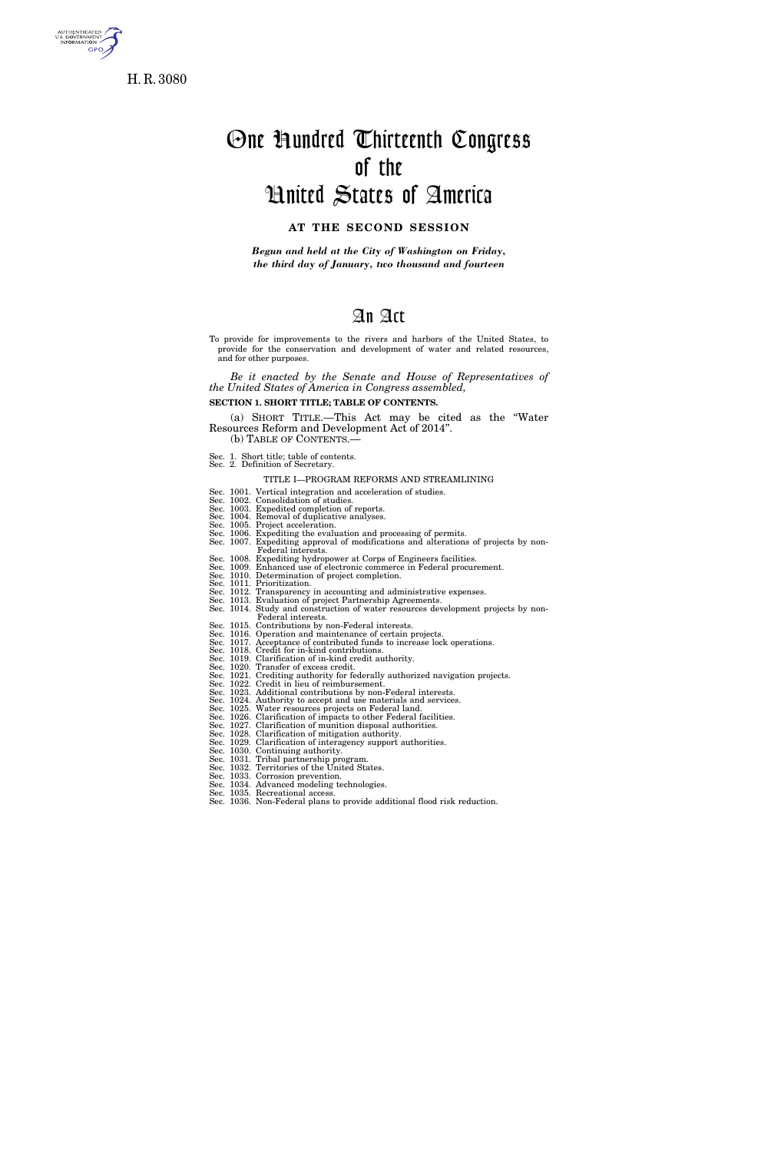

H. R. 3080

# One Hundred Thirteenth Congress of the

# United States of America

## **AT THE SECOND SESSION**

*Begun and held at the City of Washington on Friday, the third day of January, two thousand and fourteen* 

# An Act

To provide for improvements to the rivers and harbors of the United States, to provide for the conservation and development of water and related resources, and for other purposes.

*Be it enacted by the Senate and House of Representatives of the United States of America in Congress assembled,* 

**SECTION 1. SHORT TITLE; TABLE OF CONTENTS.** 

(a) SHORT TITLE.—This Act may be cited as the ''Water Resources Reform and Development Act of 2014''. (b) TABLE OF CONTENTS.—

Sec. 1. Short title; table of contents. Sec. 2. Definition of Secretary.

TITLE I—PROGRAM REFORMS AND STREAMLINING

- Sec. 1001. Vertical integration and acceleration of studies.
- Sec. 1002. Consolidation of studies. Sec. 1003. Expedited completion of reports.
- 
- Sec. 1004. Removal of duplicative analyses. Sec. 1005. Project acceleration.
- Sec. 1006. Expediting the evaluation and processing of permits. Sec. 1007. Expediting approval of modifications and alterations of projects by non-Federal interests.
- Sec. 1008. Expediting hydropower at Corps of Engineers facilities.
- Sec. 1009. Enhanced use of electronic commerce in Federal procurement. Sec. 1010. Determination of project completion.
- 
- 
- Sec. 1011. Prioritization. Sec. 1012. Transparency in accounting and administrative expenses. Sec. 1013. Evaluation of project Partnership Agreements.
- Sec. 1014. Study and construction of water resources development projects by non-Federal interests.
- 
- Sec. 1015. Contributions by non-Federal interests.<br>Sec. 1016. Operation and maintenance of certain projects.<br>Sec. 1017. Acceptance of contributed funds to increase lock operations.<br>Sec. 1018. Credit for in-kind contributio
- 
- 
- 
- 
- Sec. 1020. Transfer of excess credit.<br>Sec. 1021. Crediting authority for federally authorized navigation projects.<br>Sec. 1022. Credit in lieu of reimbursement.<br>Sec. 1023. Additional contributions by non-Federal interests.<br>S
- 
- 
- 
- 
- Sec. 1029. Clarification of interagency support authorities. Sec. 1030. Continuing authority. Sec. 1031. Tribal partnership program. Sec. 1032. Territories of the United States.
- 
- 
- 
- Sec. 1033. Corrosion prevention. Sec. 1034. Advanced modeling technologies.
- 
- Sec. 1035. Recreational access. Sec. 1036. Non-Federal plans to provide additional flood risk reduction.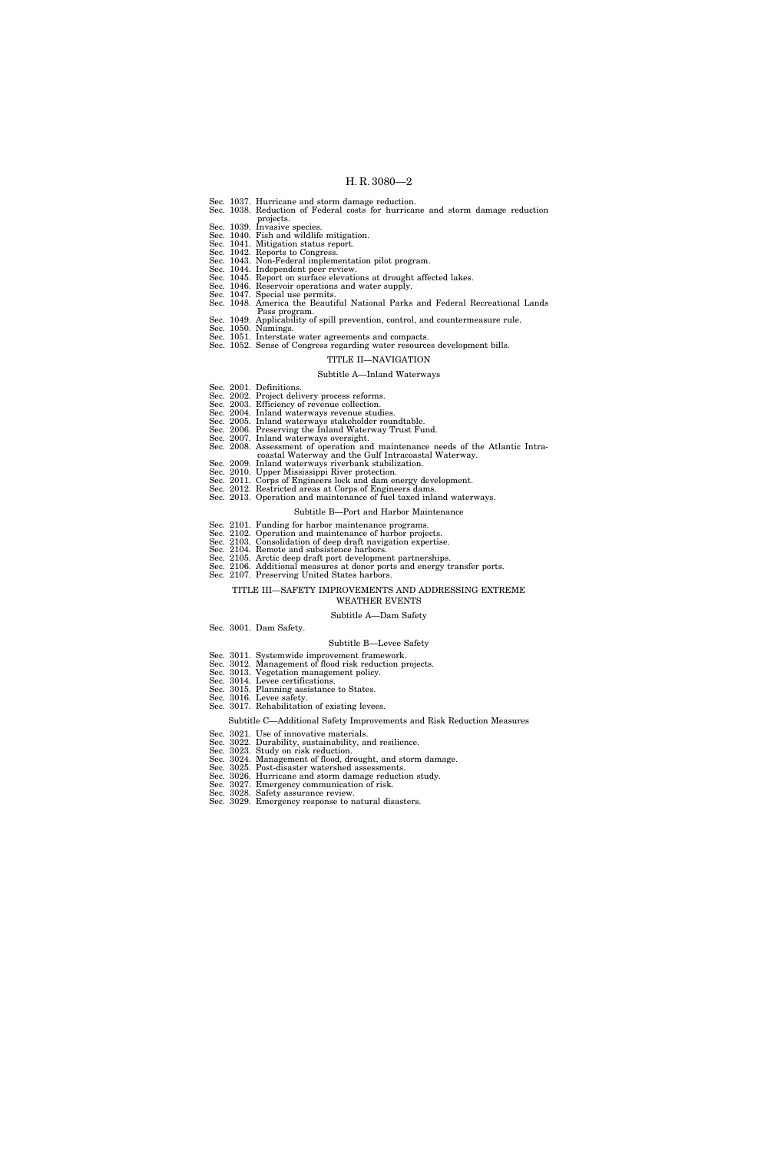- Sec. 1037. Hurricane and storm damage reduction. Sec. 1038. Reduction of Federal costs for hurricane and storm damage reduction projects.
- 
- Sec. 1039. Invasive species. Sec. 1040. Fish and wildlife mitigation. Sec. 1041. Mitigation status report. Sec. 1042. Reports to Congress.
- 
- 
- 
- Sec. 1043. Non-Federal implementation pilot program. Sec. 1044. Independent peer review. Sec. 1045. Report on surface elevations at drought affected lakes. Sec. 1046. Reservoir operations and water supply.
- 
- Sec. 1047. Special use permits. Sec. 1048. America the Beautiful National Parks and Federal Recreational Lands
	- Pass program.
- 
- Sec. 1049. Applicability of spill prevention, control, and countermeasure rule.<br>Sec. 1050. Namings.<br>Sec. 1051. Interstate water agreements and compacts.<br>Sec. 1052. Sense of Congress regarding water resources development bi

## TITLE II—NAVIGATION

## Subtitle A—Inland Waterways

- Sec. 2001. Definitions.
- 
- Sec. 2002. Project delivery process reforms. Sec. 2003. Efficiency of revenue collection. Sec. 2004. Inland waterways revenue studies.
- 
- Sec. 2005. Inland waterways stakeholder roundtable. Sec. 2006. Preserving the Inland Waterway Trust Fund. Sec. 2007. Inland waterways oversight.
- 
- Sec. 2008. Assessment of operation and maintenance needs of the Atlantic Intra-
- coastal Waterway and the Gulf Intracoastal Waterway. Sec. 2009. Inland waterways riverbank stabilization.
- 
- Sec. 2010. Upper Mississippi River protection. Sec. 2011. Corps of Engineers lock and dam energy development.
- 
- Sec. 2012. Restricted areas at Corps of Engineers dams. Sec. 2013. Operation and maintenance of fuel taxed inland waterways.

#### Subtitle B—Port and Harbor Maintenance

- Sec. 2101. Funding for harbor maintenance programs.
- 
- Sec. 2102. Operation and maintenance of harbor projects. Sec. 2103. Consolidation of deep draft navigation expertise. Sec. 2104. Remote and subsistence harbors.
- 
- Sec. 2105. Arctic deep draft port development partnerships. Sec. 2106. Additional measures at donor ports and energy transfer ports.
- Sec. 2107. Preserving United States harbors.
	- TITLE III—SAFETY IMPROVEMENTS AND ADDRESSING EXTREME
		- WEATHER EVENTS

Subtitle A—Dam Safety

Sec. 3001. Dam Safety.

#### Subtitle B—Levee Safety

- Sec. 3011. Systemwide improvement framework.
- Sec. 3012. Management of flood risk reduction projects.
- Sec. 3013. Vegetation management policy. Sec. 3014. Levee certifications.
- 
- Sec. 3015. Planning assistance to States. Sec. 3016. Levee safety.
- Sec. 3017. Rehabilitation of existing levees.

#### Subtitle C—Additional Safety Improvements and Risk Reduction Measures

- Sec. 3021. Use of innovative materials.
- 
- 
- Sec. 3022. Durability, sustainability, and resilience. Sec. 3023. Study on risk reduction. Sec. 3024. Management of flood, drought, and storm damage. Sec. 3025. Post-disaster watershed assessments.
- Sec. 3026. Hurricane and storm damage reduction study. Sec. 3027. Emergency communication of risk.
	-
- Sec. 3028. Safety assurance review. Sec. 3029. Emergency response to natural disasters.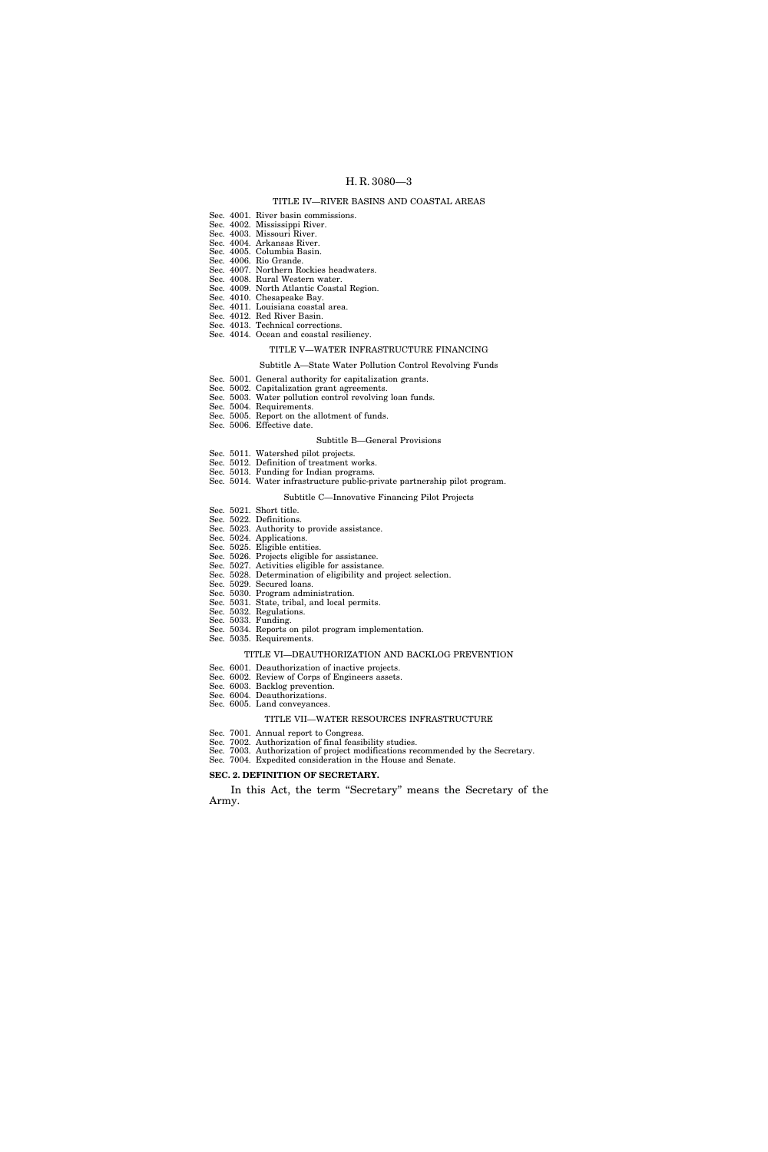## TITLE IV—RIVER BASINS AND COASTAL AREAS

- Sec. 4001. River basin commissions.
- Sec. 4002. Mississippi River. Sec. 4003. Missouri River.
- Sec. 4004. Arkansas River.
- Sec. 4005. Columbia Basin.
- Sec. 4006. Rio Grande.
- Sec. 4007. Northern Rockies headwaters. Sec. 4008. Rural Western water.
- Sec. 4009. North Atlantic Coastal Region.
- Sec. 4010. Chesapeake Bay.
- Sec. 4011. Louisiana coastal area.
- Sec. 4012. Red River Basin.
- Sec. 4013. Technical corrections. Sec. 4014. Ocean and coastal resiliency.
	-

# TITLE V—WATER INFRASTRUCTURE FINANCING

## Subtitle A—State Water Pollution Control Revolving Funds

- Sec. 5001. General authority for capitalization grants.
- Sec. 5002. Capitalization grant agreements. Sec. 5003. Water pollution control revolving loan funds.
- Sec. 5004. Requirements.
- Sec. 5005. Report on the allotment of funds.
- Sec. 5006. Effective date.

## Subtitle B—General Provisions

- Sec. 5011. Watershed pilot projects.
- Sec. 5012. Definition of treatment works.
- Sec. 5013. Funding for Indian programs.

## Sec. 5014. Water infrastructure public-private partnership pilot program.

## Subtitle C—Innovative Financing Pilot Projects

- Sec. 5021. Short title.
- Sec. 5022. Definitions. Sec. 5023. Authority to provide assistance.
- Sec. 5024. Applications.
- Sec. 5025. Eligible entities.
- Sec. 5026. Projects eligible for assistance. Sec. 5027. Activities eligible for assistance.
- Sec. 5028. Determination of eligibility and project selection.
- Sec. 5029. Secured loans.
- Sec. 5030. Program administration.
- Sec. 5031. State, tribal, and local permits.
- Sec. 5032. Regulations. Sec. 5033. Funding.
- Sec. 5034. Reports on pilot program implementation.
- Sec. 5035. Requirements.

## TITLE VI—DEAUTHORIZATION AND BACKLOG PREVENTION

- Sec. 6001. Deauthorization of inactive projects.
- Sec. 6002. Review of Corps of Engineers assets.
- Sec. 6003. Backlog prevention. Sec. 6004. Deauthorizations.
- Sec. 6005. Land conveyances.

## TITLE VII—WATER RESOURCES INFRASTRUCTURE

- Sec. 7001. Annual report to Congress.
- Sec. 7002. Authorization of final feasibility studies.
- Sec. 7003. Authorization of project modifications recommended by the Secretary.
- Sec. 7004. Expedited consideration in the House and Senate.
- **SEC. 2. DEFINITION OF SECRETARY.**

In this Act, the term "Secretary" means the Secretary of the Army.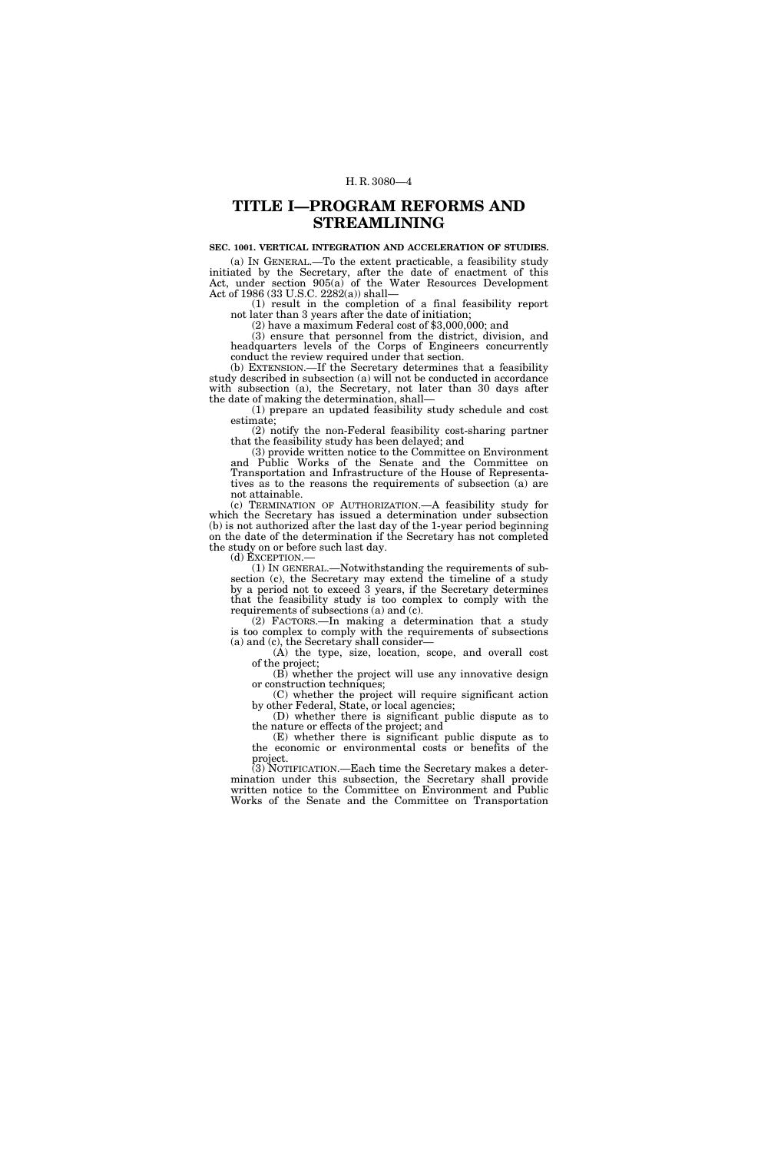## **TITLE I—PROGRAM REFORMS AND STREAMLINING**

## **SEC. 1001. VERTICAL INTEGRATION AND ACCELERATION OF STUDIES.**

(a) IN GENERAL.—To the extent practicable, a feasibility study initiated by the Secretary, after the date of enactment of this Act, under section 905(a) of the Water Resources Development Act of 1986 (33 U.S.C. 2282(a)) shall—

 $(1)$  result in the completion of a final feasibility report not later than 3 years after the date of initiation;

 $(2)$  have a maximum Federal cost of \$3,000,000; and

(3) ensure that personnel from the district, division, and headquarters levels of the Corps of Engineers concurrently conduct the review required under that section.

(b) EXTENSION.—If the Secretary determines that a feasibility study described in subsection (a) will not be conducted in accordance with subsection (a), the Secretary, not later than 30 days after the date of making the determination, shall—

(1) prepare an updated feasibility study schedule and cost estimate;

(2) notify the non-Federal feasibility cost-sharing partner that the feasibility study has been delayed; and

(3) provide written notice to the Committee on Environment and Public Works of the Senate and the Committee on Transportation and Infrastructure of the House of Representatives as to the reasons the requirements of subsection (a) are not attainable.

(c) TERMINATION OF AUTHORIZATION.—A feasibility study for which the Secretary has issued a determination under subsection (b) is not authorized after the last day of the 1-year period beginning on the date of the determination if the Secretary has not completed the study on or before such last day. <br>  $\mbox{(d)}$  EXCEPTION.—

 $(1)$  In GENERAL.—Notwithstanding the requirements of subsection (c), the Secretary may extend the timeline of a study by a period not to exceed 3 years, if the Secretary determines that the feasibility study is too complex to comply with the requirements of subsections (a) and (c).

(2) FACTORS.—In making a determination that a study is too complex to comply with the requirements of subsections (a) and (c), the Secretary shall consider—

(A) the type, size, location, scope, and overall cost of the project;

(B) whether the project will use any innovative design or construction techniques;

(C) whether the project will require significant action by other Federal, State, or local agencies;

(D) whether there is significant public dispute as to the nature or effects of the project; and

(E) whether there is significant public dispute as to the economic or environmental costs or benefits of the project.

(3) NOTIFICATION.—Each time the Secretary makes a determination under this subsection, the Secretary shall provide written notice to the Committee on Environment and Public Works of the Senate and the Committee on Transportation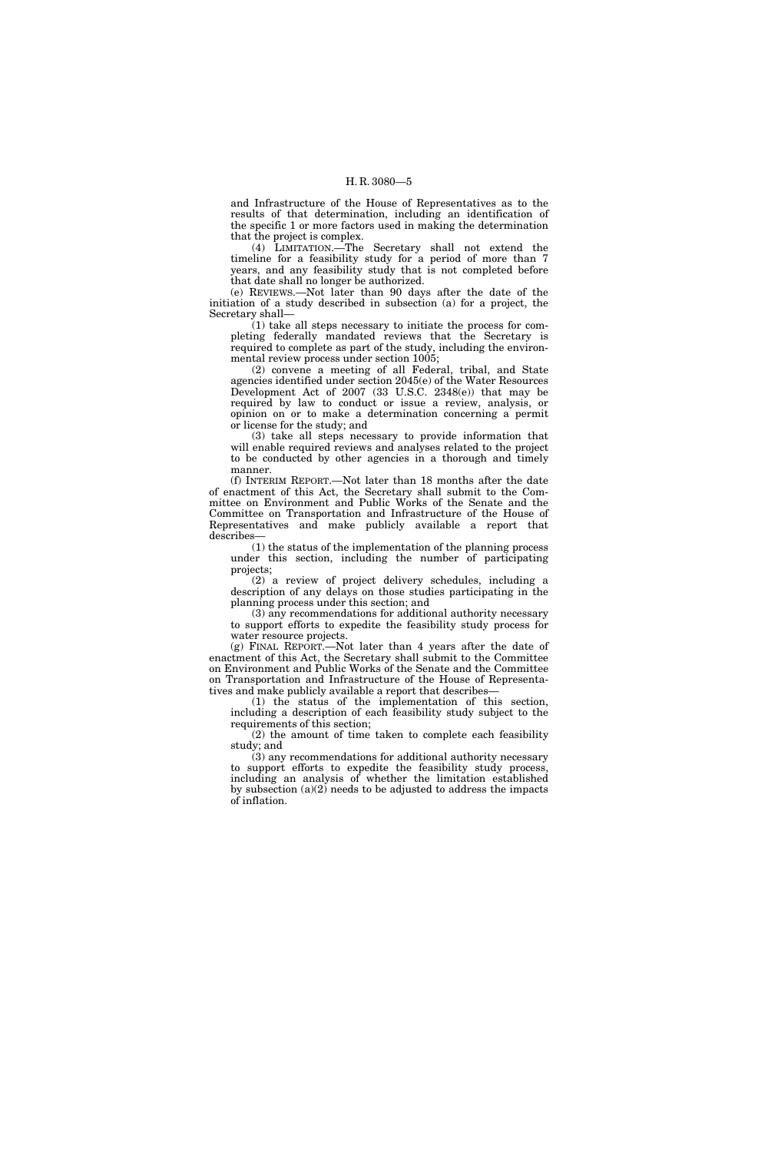and Infrastructure of the House of Representatives as to the results of that determination, including an identification of the specific 1 or more factors used in making the determination that the project is complex.

(4) LIMITATION.—The Secretary shall not extend the timeline for a feasibility study for a period of more than 7 years, and any feasibility study that is not completed before that date shall no longer be authorized.

(e) REVIEWS.—Not later than 90 days after the date of the initiation of a study described in subsection (a) for a project, the Secretary shall—

(1) take all steps necessary to initiate the process for completing federally mandated reviews that the Secretary is required to complete as part of the study, including the environmental review process under section 1005;

(2) convene a meeting of all Federal, tribal, and State agencies identified under section 2045(e) of the Water Resources Development Act of 2007 (33 U.S.C. 2348(e)) that may be required by law to conduct or issue a review, analysis, or opinion on or to make a determination concerning a permit or license for the study; and

(3) take all steps necessary to provide information that will enable required reviews and analyses related to the project to be conducted by other agencies in a thorough and timely manner.

(f) INTERIM REPORT.—Not later than 18 months after the date of enactment of this Act, the Secretary shall submit to the Committee on Environment and Public Works of the Senate and the Committee on Transportation and Infrastructure of the House of Representatives and make publicly available a report that describes—

(1) the status of the implementation of the planning process under this section, including the number of participating projects;

(2) a review of project delivery schedules, including a description of any delays on those studies participating in the planning process under this section; and

(3) any recommendations for additional authority necessary to support efforts to expedite the feasibility study process for water resource projects.

(g) FINAL REPORT.—Not later than 4 years after the date of enactment of this Act, the Secretary shall submit to the Committee on Environment and Public Works of the Senate and the Committee on Transportation and Infrastructure of the House of Representatives and make publicly available a report that describes—

(1) the status of the implementation of this section, including a description of each feasibility study subject to the requirements of this section;

(2) the amount of time taken to complete each feasibility study; and

(3) any recommendations for additional authority necessary to support efforts to expedite the feasibility study process, including an analysis of whether the limitation established by subsection (a)(2) needs to be adjusted to address the impacts of inflation.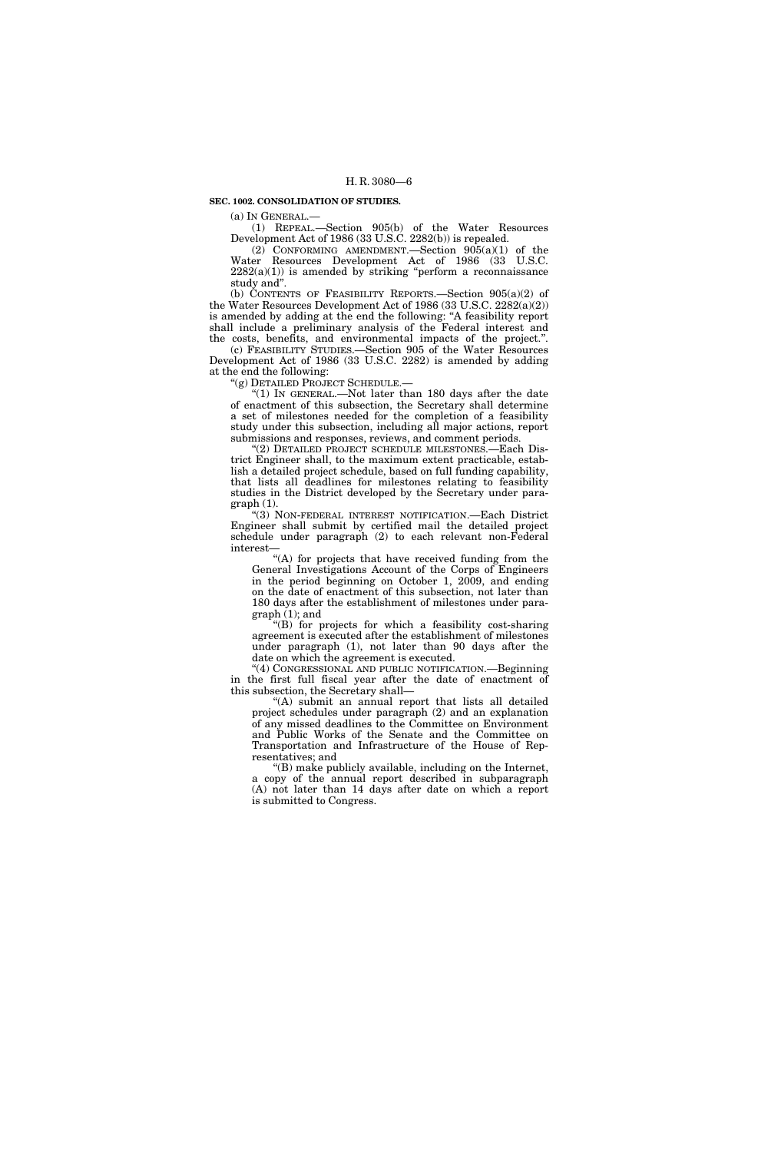### **SEC. 1002. CONSOLIDATION OF STUDIES.**

(a) IN GENERAL.—

(1) REPEAL.—Section 905(b) of the Water Resources Development Act of 1986 (33 U.S.C. 2282(b)) is repealed.

(2) CONFORMING AMENDMENT.—Section 905(a)(1) of the Water Resources Development Act of 1986 (33 U.S.C.  $2282(a)(1)$ ) is amended by striking "perform a reconnaissance study and''.

(b) CONTENTS OF FEASIBILITY REPORTS.—Section  $905(a)(2)$  of the Water Resources Development Act of 1986 (33 U.S.C. 2282(a)(2)) is amended by adding at the end the following: ''A feasibility report shall include a preliminary analysis of the Federal interest and the costs, benefits, and environmental impacts of the project.''.

(c) FEASIBILITY STUDIES.—Section 905 of the Water Resources Development Act of 1986 (33 U.S.C. 2282) is amended by adding at the end the following:

''(g) DETAILED PROJECT SCHEDULE.—

" $(1)$  In GENERAL.—Not later than 180 days after the date of enactment of this subsection, the Secretary shall determine a set of milestones needed for the completion of a feasibility study under this subsection, including all major actions, report submissions and responses, reviews, and comment periods.

''(2) DETAILED PROJECT SCHEDULE MILESTONES.—Each District Engineer shall, to the maximum extent practicable, establish a detailed project schedule, based on full funding capability, that lists all deadlines for milestones relating to feasibility studies in the District developed by the Secretary under paragraph (1).

''(3) NON-FEDERAL INTEREST NOTIFICATION.—Each District Engineer shall submit by certified mail the detailed project schedule under paragraph (2) to each relevant non-Federal interest—

''(A) for projects that have received funding from the General Investigations Account of the Corps of Engineers in the period beginning on October 1, 2009, and ending on the date of enactment of this subsection, not later than 180 days after the establishment of milestones under paragraph (1); and

''(B) for projects for which a feasibility cost-sharing agreement is executed after the establishment of milestones under paragraph (1), not later than 90 days after the date on which the agreement is executed.

''(4) CONGRESSIONAL AND PUBLIC NOTIFICATION.—Beginning in the first full fiscal year after the date of enactment of this subsection, the Secretary shall—

''(A) submit an annual report that lists all detailed project schedules under paragraph (2) and an explanation of any missed deadlines to the Committee on Environment and Public Works of the Senate and the Committee on Transportation and Infrastructure of the House of Representatives; and

''(B) make publicly available, including on the Internet, a copy of the annual report described in subparagraph (A) not later than 14 days after date on which a report is submitted to Congress.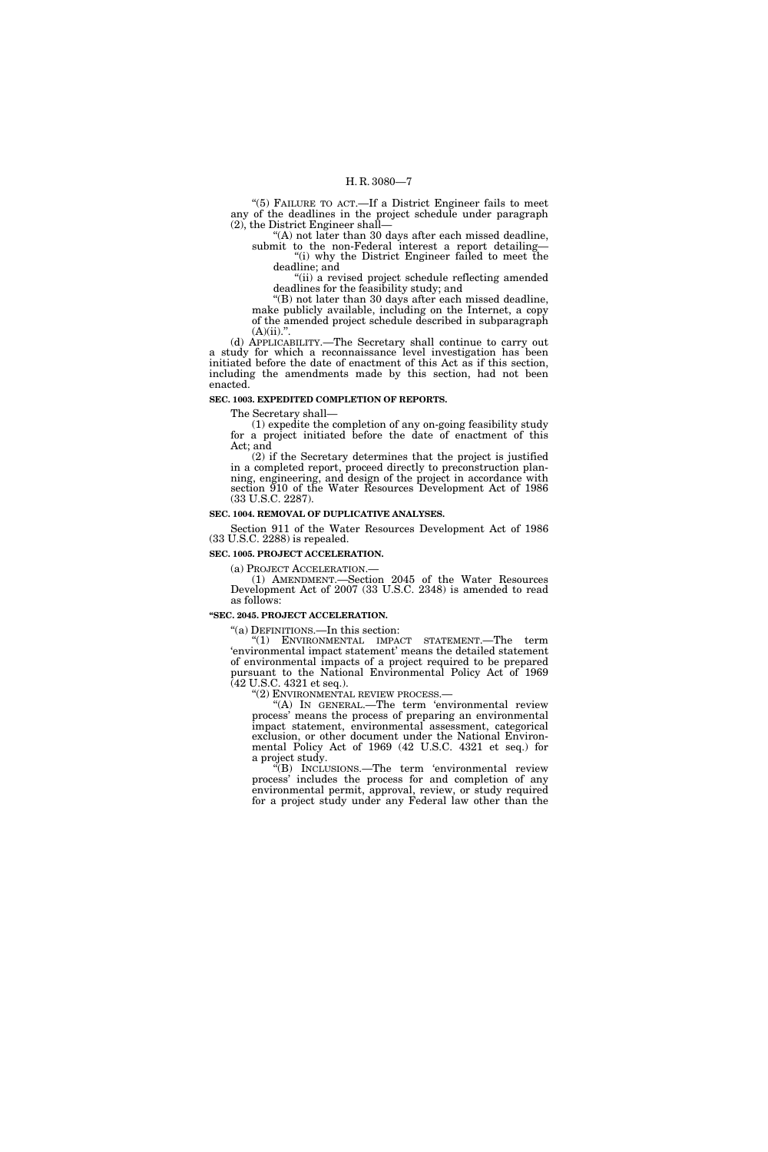"(5) FAILURE TO ACT.—If a District Engineer fails to meet any of the deadlines in the project schedule under paragraph (2), the District Engineer shall—

''(A) not later than 30 days after each missed deadline, submit to the non-Federal interest a report detailing— "(i) why the District Engineer failed to meet the

deadline; and ''(ii) a revised project schedule reflecting amended deadlines for the feasibility study; and

''(B) not later than 30 days after each missed deadline,

make publicly available, including on the Internet, a copy of the amended project schedule described in subparagraph  $(A)(ii)$ .".

(d) APPLICABILITY.—The Secretary shall continue to carry out a study for which a reconnaissance level investigation has been initiated before the date of enactment of this Act as if this section, including the amendments made by this section, had not been enacted.

#### **SEC. 1003. EXPEDITED COMPLETION OF REPORTS.**

The Secretary shall—

(1) expedite the completion of any on-going feasibility study for a project initiated before the date of enactment of this Act; and

(2) if the Secretary determines that the project is justified in a completed report, proceed directly to preconstruction planning, engineering, and design of the project in accordance with section 910 of the Water Resources Development Act of 1986 (33 U.S.C. 2287).

#### **SEC. 1004. REMOVAL OF DUPLICATIVE ANALYSES.**

Section 911 of the Water Resources Development Act of 1986 (33 U.S.C. 2288) is repealed.

**SEC. 1005. PROJECT ACCELERATION.** 

(a) PROJECT ACCELERATION.— (1) AMENDMENT.—Section 2045 of the Water Resources Development Act of 2007 (33 U.S.C. 2348) is amended to read as follows:

## **''SEC. 2045. PROJECT ACCELERATION.**

''(a) DEFINITIONS.—In this section:

''(1) ENVIRONMENTAL IMPACT STATEMENT.—The term 'environmental impact statement' means the detailed statement of environmental impacts of a project required to be prepared pursuant to the National Environmental Policy Act of 1969 (42 U.S.C. 4321 et seq.).

''(2) ENVIRONMENTAL REVIEW PROCESS.—

''(A) IN GENERAL.—The term 'environmental review process' means the process of preparing an environmental impact statement, environmental assessment, categorical exclusion, or other document under the National Environmental Policy Act of 1969 (42 U.S.C. 4321 et seq.) for a project study.

''(B) INCLUSIONS.—The term 'environmental review process' includes the process for and completion of any environmental permit, approval, review, or study required for a project study under any Federal law other than the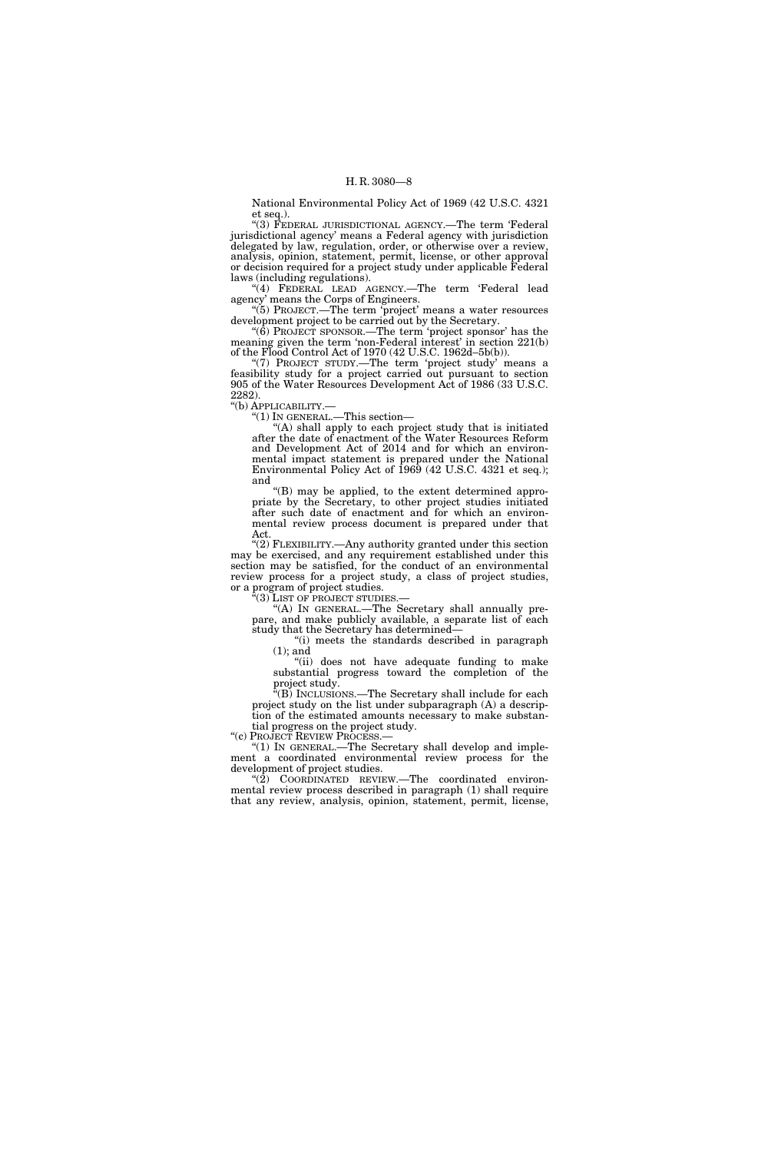National Environmental Policy Act of 1969 (42 U.S.C. 4321 et seq.).

''(3) FEDERAL JURISDICTIONAL AGENCY.—The term 'Federal jurisdictional agency' means a Federal agency with jurisdiction delegated by law, regulation, order, or otherwise over a review, analysis, opinion, statement, permit, license, or other approval or decision required for a project study under applicable Federal laws (including regulations).

"(4) FEDERAL LEAD AGENCY.—The term 'Federal lead agency' means the Corps of Engineers.

"(5) PROJECT.—The term 'project' means a water resources development project to be carried out by the Secretary.

''(6) PROJECT SPONSOR.—The term 'project sponsor' has the meaning given the term 'non-Federal interest' in section 221(b) of the Flood Control Act of 1970 (42 U.S.C. 1962d–5b(b)).

"(7) PROJECT STUDY.—The term 'project study' means a feasibility study for a project carried out pursuant to section 905 of the Water Resources Development Act of 1986 (33 U.S.C. 2282).

''(b) APPLICABILITY.—

''(1) IN GENERAL.—This section—

 $(A)$  shall apply to each project study that is initiated after the date of enactment of the Water Resources Reform and Development Act of 2014 and for which an environmental impact statement is prepared under the National Environmental Policy Act of 1969 (42 U.S.C. 4321 et seq.); and

''(B) may be applied, to the extent determined appropriate by the Secretary, to other project studies initiated after such date of enactment and for which an environmental review process document is prepared under that Act.

''(2) FLEXIBILITY.—Any authority granted under this section may be exercised, and any requirement established under this section may be satisfied, for the conduct of an environmental review process for a project study, a class of project studies, or a program of project studies.<br>"(3) LIST OF PROJECT STUDIES.-

"(A) IN GENERAL.—The Secretary shall annually prepare, and make publicly available, a separate list of each study that the Secretary has determined—

''(i) meets the standards described in paragraph (1); and

''(ii) does not have adequate funding to make substantial progress toward the completion of the project study.

(B) INCLUSIONS.—The Secretary shall include for each project study on the list under subparagraph (A) a description of the estimated amounts necessary to make substantial progress on the project study.<br>"(c) PROJECT REVIEW PROCESS.—

"(1) IN GENERAL.—The Secretary shall develop and implement a coordinated environmental review process for the development of project studies.

" $(2)$  COORDINATED REVIEW.—The coordinated environmental review process described in paragraph (1) shall require that any review, analysis, opinion, statement, permit, license,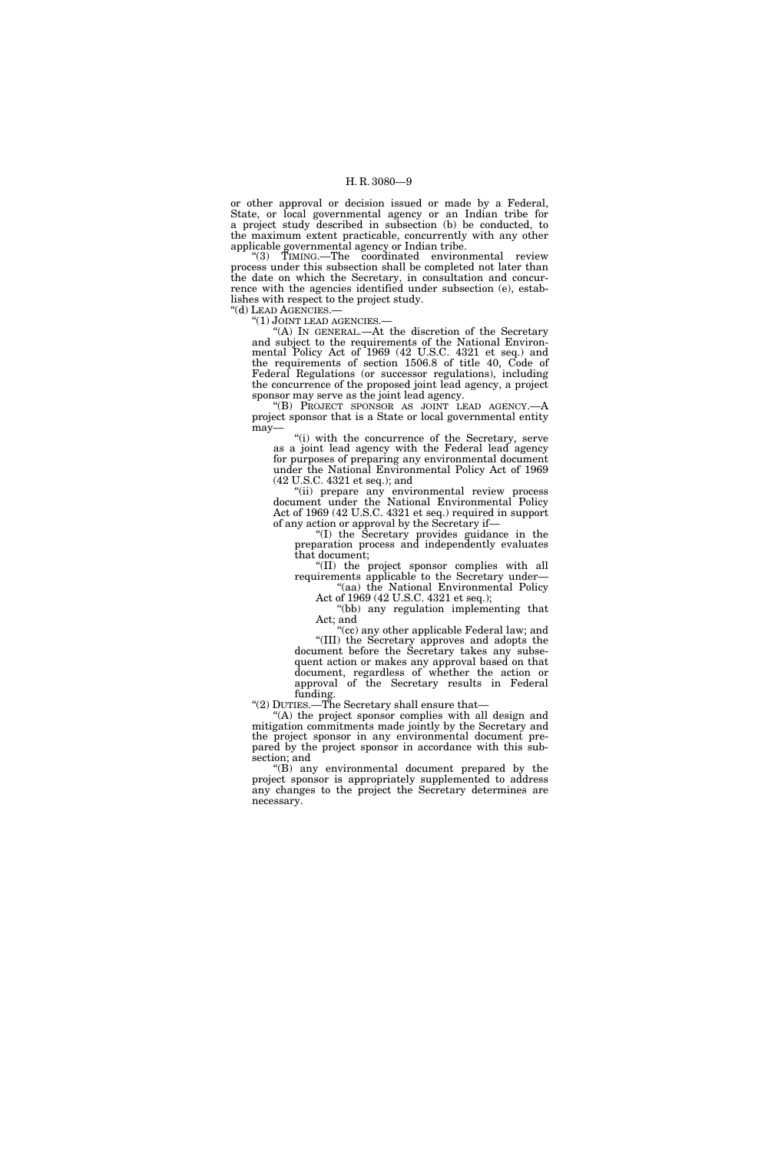or other approval or decision issued or made by a Federal, State, or local governmental agency or an Indian tribe for a project study described in subsection (b) be conducted, to the maximum extent practicable, concurrently with any other applicable governmental agency or Indian tribe.

"(3) TIMING.—The coordinated environmental review process under this subsection shall be completed not later than the date on which the Secretary, in consultation and concurrence with the agencies identified under subsection (e), establishes with respect to the project study.<br>"(d) LEAD AGENCIES.—

"(1) JOINT LEAD AGENCIES.-

"(A) IN GENERAL.—At the discretion of the Secretary and subject to the requirements of the National Environmental Policy Act of 1969 (42 U.S.C. 4321 et seq.) and the requirements of section 1506.8 of title 40, Code of Federal Regulations (or successor regulations), including the concurrence of the proposed joint lead agency, a project sponsor may serve as the joint lead agency.

''(B) PROJECT SPONSOR AS JOINT LEAD AGENCY.—A project sponsor that is a State or local governmental entity may—

"(i) with the concurrence of the Secretary, serve as a joint lead agency with the Federal lead agency for purposes of preparing any environmental document under the National Environmental Policy Act of 1969 (42 U.S.C. 4321 et seq.); and

''(ii) prepare any environmental review process document under the National Environmental Policy Act of 1969 (42 U.S.C. 4321 et seq.) required in support of any action or approval by the Secretary if—

''(I) the Secretary provides guidance in the preparation process and independently evaluates that document;

''(II) the project sponsor complies with all requirements applicable to the Secretary under— "(aa) the National Environmental Policy

Act of 1969 (42 U.S.C. 4321 et seq.); "(bb) any regulation implementing that

Act; and ''(cc) any other applicable Federal law; and

''(III) the Secretary approves and adopts the document before the Secretary takes any subsequent action or makes any approval based on that document, regardless of whether the action or approval of the Secretary results in Federal funding.

''(2) DUTIES.—The Secretary shall ensure that—

''(A) the project sponsor complies with all design and mitigation commitments made jointly by the Secretary and the project sponsor in any environmental document prepared by the project sponsor in accordance with this subsection; and

 $(f(B))$  any environmental document prepared by the project sponsor is appropriately supplemented to address any changes to the project the Secretary determines are necessary.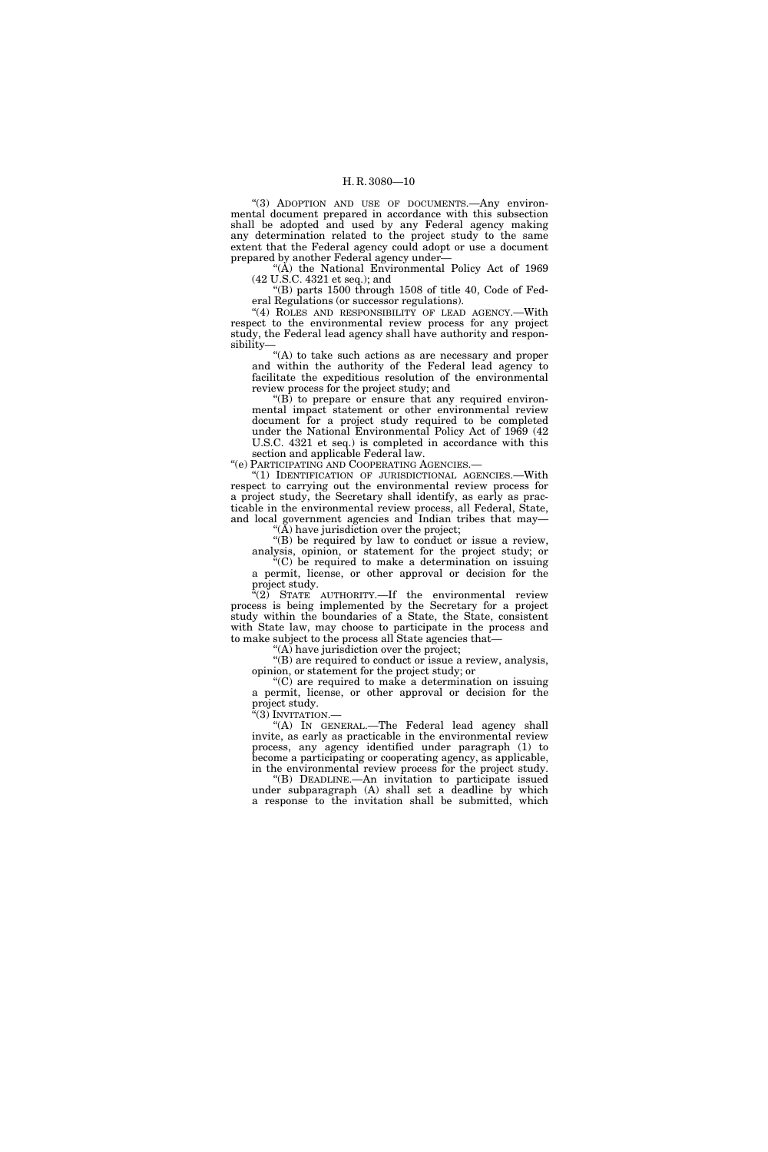"(3) ADOPTION AND USE OF DOCUMENTS. Any environmental document prepared in accordance with this subsection shall be adopted and used by any Federal agency making any determination related to the project study to the same extent that the Federal agency could adopt or use a document prepared by another Federal agency under—

"(A) the National Environmental Policy Act of 1969 (42 U.S.C. 4321 et seq.); and

''(B) parts 1500 through 1508 of title 40, Code of Federal Regulations (or successor regulations).

"(4) ROLES AND RESPONSIBILITY OF LEAD AGENCY.-With respect to the environmental review process for any project study, the Federal lead agency shall have authority and responsibility—

"(A) to take such actions as are necessary and proper and within the authority of the Federal lead agency to facilitate the expeditious resolution of the environmental review process for the project study; and

 $f(B)$  to prepare or ensure that any required environmental impact statement or other environmental review document for a project study required to be completed under the National Environmental Policy Act of 1969 (42 U.S.C. 4321 et seq.) is completed in accordance with this section and applicable Federal law.

''(e) PARTICIPATING AND COOPERATING AGENCIES.—

''(1) IDENTIFICATION OF JURISDICTIONAL AGENCIES.—With respect to carrying out the environmental review process for a project study, the Secretary shall identify, as early as practicable in the environmental review process, all Federal, State, and local government agencies and Indian tribes that may—

 $(A)$  have jurisdiction over the project;

"(B) be required by law to conduct or issue a review, analysis, opinion, or statement for the project study; or

 $(C)$  be required to make a determination on issuing a permit, license, or other approval or decision for the project study.

 $f(2)$  STATE AUTHORITY.—If the environmental review process is being implemented by the Secretary for a project study within the boundaries of a State, the State, consistent with State law, may choose to participate in the process and to make subject to the process all State agencies that—

 $(A)$  have jurisdiction over the project;

''(B) are required to conduct or issue a review, analysis, opinion, or statement for the project study; or

 $C$ ) are required to make a determination on issuing a permit, license, or other approval or decision for the project study.

''(3) INVITATION.—

''(A) IN GENERAL.—The Federal lead agency shall invite, as early as practicable in the environmental review process, any agency identified under paragraph (1) to become a participating or cooperating agency, as applicable, in the environmental review process for the project study.

''(B) DEADLINE.—An invitation to participate issued under subparagraph (A) shall set a deadline by which a response to the invitation shall be submitted, which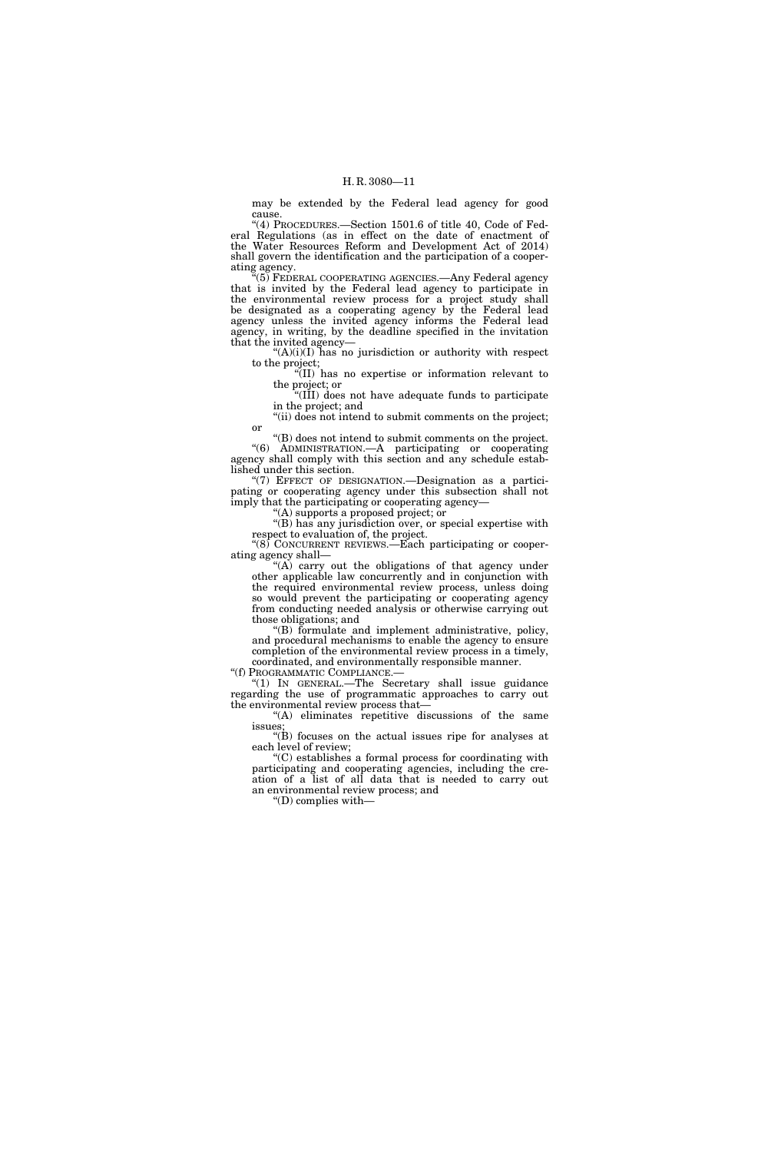may be extended by the Federal lead agency for good cause.

''(4) PROCEDURES.—Section 1501.6 of title 40, Code of Federal Regulations (as in effect on the date of enactment of the Water Resources Reform and Development Act of 2014) shall govern the identification and the participation of a cooperating agency.

(5) FEDERAL COOPERATING AGENCIES.—Any Federal agency that is invited by the Federal lead agency to participate in the environmental review process for a project study shall be designated as a cooperating agency by the Federal lead agency unless the invited agency informs the Federal lead agency, in writing, by the deadline specified in the invitation that the invited agency—

 $(A)(i)(I)$  has no jurisdiction or authority with respect to the project;

''(II) has no expertise or information relevant to the project; or

''(III) does not have adequate funds to participate in the project; and

"(ii) does not intend to submit comments on the project; or

''(B) does not intend to submit comments on the project. ''(6) ADMINISTRATION.—A participating or cooperating agency shall comply with this section and any schedule established under this section.

''(7) EFFECT OF DESIGNATION.—Designation as a participating or cooperating agency under this subsection shall not imply that the participating or cooperating agency-

'(A) supports a proposed project; or

''(B) has any jurisdiction over, or special expertise with respect to evaluation of, the project.

''(8) CONCURRENT REVIEWS.—Each participating or cooperating agency shall—

" $(A)$  carry out the obligations of that agency under other applicable law concurrently and in conjunction with the required environmental review process, unless doing so would prevent the participating or cooperating agency from conducting needed analysis or otherwise carrying out those obligations; and

''(B) formulate and implement administrative, policy, and procedural mechanisms to enable the agency to ensure completion of the environmental review process in a timely, coordinated, and environmentally responsible manner.

''(f) PROGRAMMATIC COMPLIANCE.—

''(1) IN GENERAL.—The Secretary shall issue guidance regarding the use of programmatic approaches to carry out the environmental review process that—

"(A) eliminates repetitive discussions of the same issues;

 $\mathcal{H}(B)$  focuses on the actual issues ripe for analyses at each level of review;

''(C) establishes a formal process for coordinating with participating and cooperating agencies, including the creation of a list of all data that is needed to carry out an environmental review process; and

''(D) complies with—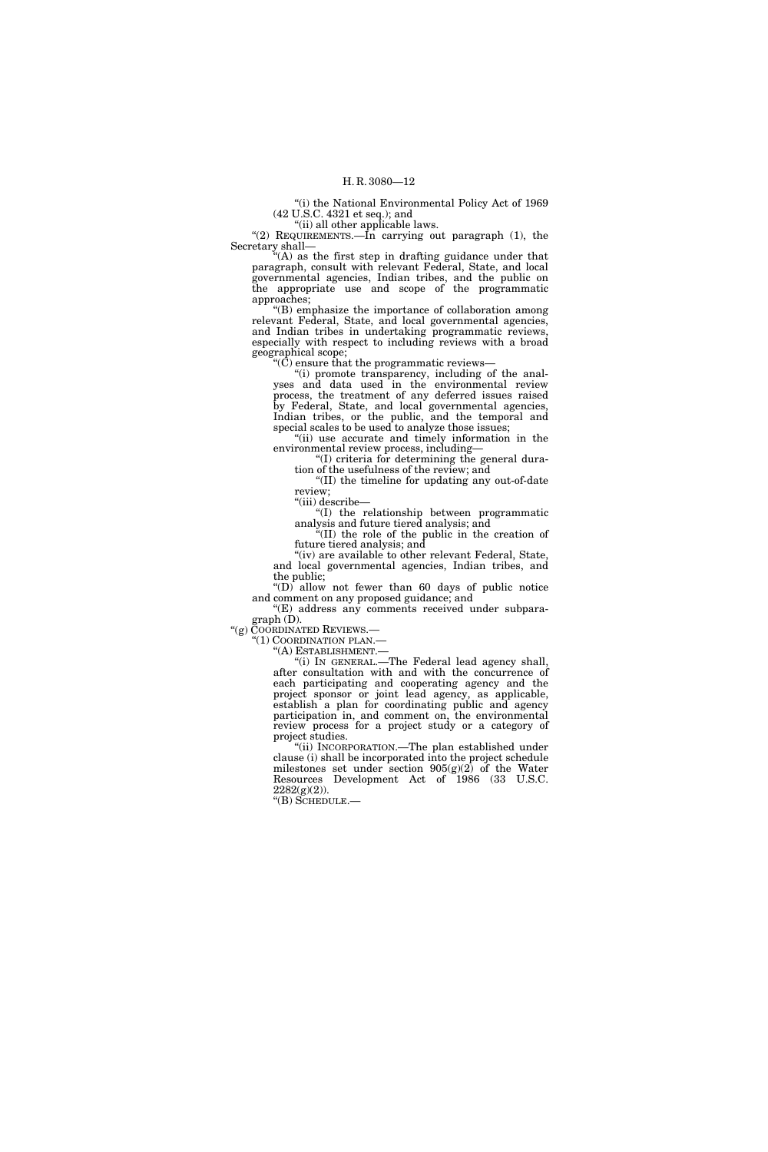''(i) the National Environmental Policy Act of 1969 (42 U.S.C. 4321 et seq.); and

"(ii) all other applicable laws.

''(2) REQUIREMENTS.—In carrying out paragraph (1), the Secretary shall—

''(A) as the first step in drafting guidance under that paragraph, consult with relevant Federal, State, and local governmental agencies, Indian tribes, and the public on the appropriate use and scope of the programmatic approaches;

''(B) emphasize the importance of collaboration among relevant Federal, State, and local governmental agencies, and Indian tribes in undertaking programmatic reviews, especially with respect to including reviews with a broad geographical scope;

 $\H(\mathrm{C})$  ensure that the programmatic reviews–

''(i) promote transparency, including of the analyses and data used in the environmental review process, the treatment of any deferred issues raised by Federal, State, and local governmental agencies, Indian tribes, or the public, and the temporal and special scales to be used to analyze those issues;

"(ii) use accurate and timely information in the environmental review process, including—

''(I) criteria for determining the general duration of the usefulness of the review; and

''(II) the timeline for updating any out-of-date review;

''(iii) describe—

''(I) the relationship between programmatic analysis and future tiered analysis; and

''(II) the role of the public in the creation of future tiered analysis; and

''(iv) are available to other relevant Federal, State, and local governmental agencies, Indian tribes, and the public;

''(D) allow not fewer than 60 days of public notice and comment on any proposed guidance; and

 $E(E)$  address any comments received under subparagraph (D).

''(g) COORDINATED REVIEWS.—

''(1) COORDINATION PLAN.—

''(A) ESTABLISHMENT.—

''(i) IN GENERAL.—The Federal lead agency shall, after consultation with and with the concurrence of each participating and cooperating agency and the project sponsor or joint lead agency, as applicable, establish a plan for coordinating public and agency participation in, and comment on, the environmental review process for a project study or a category of project studies.

''(ii) INCORPORATION.—The plan established under clause (i) shall be incorporated into the project schedule milestones set under section 905(g)(2) of the Water Resources Development Act of 1986 (33 U.S.C.  $2282(g)(2)$ ).

''(B) SCHEDULE.—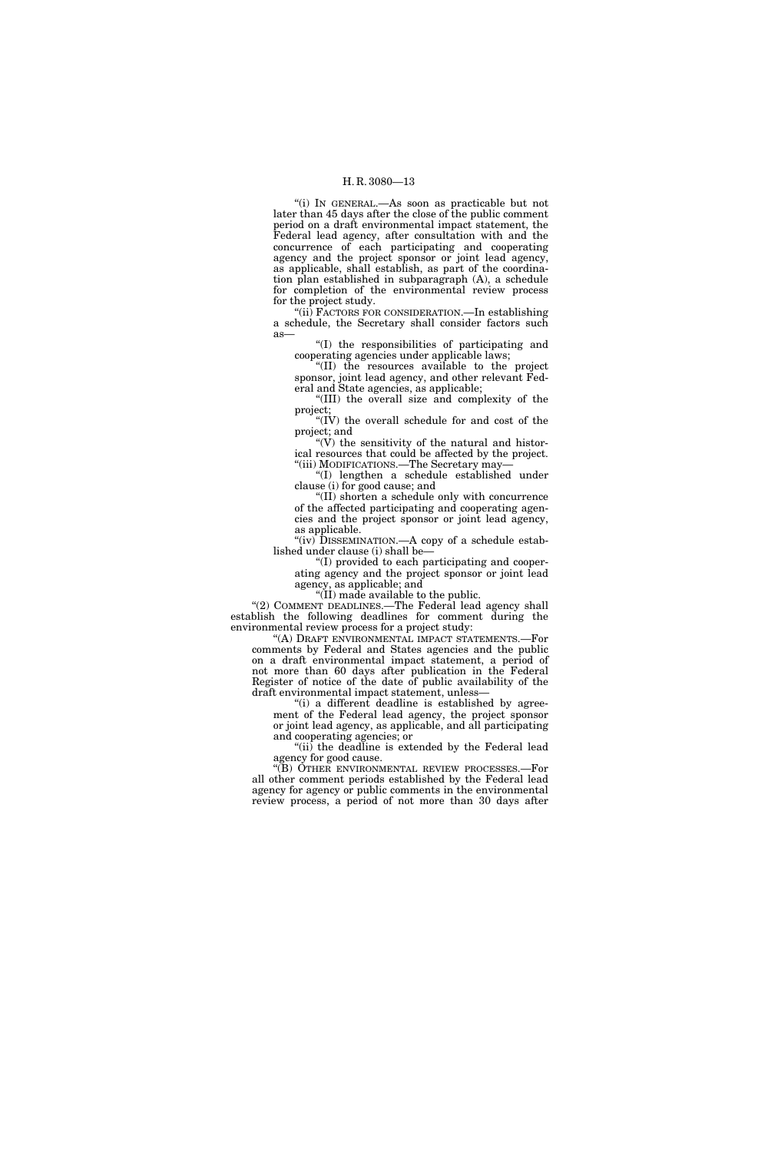''(i) IN GENERAL.—As soon as practicable but not later than 45 days after the close of the public comment period on a draft environmental impact statement, the Federal lead agency, after consultation with and the concurrence of each participating and cooperating agency and the project sponsor or joint lead agency, as applicable, shall establish, as part of the coordination plan established in subparagraph (A), a schedule for completion of the environmental review process for the project study.

''(ii) FACTORS FOR CONSIDERATION.—In establishing a schedule, the Secretary shall consider factors such as—

''(I) the responsibilities of participating and cooperating agencies under applicable laws;

''(II) the resources available to the project sponsor, joint lead agency, and other relevant Federal and State agencies, as applicable;

''(III) the overall size and complexity of the project;

''(IV) the overall schedule for and cost of the project; and

" $(V)$  the sensitivity of the natural and historical resources that could be affected by the project. ''(iii) MODIFICATIONS.—The Secretary may—

''(I) lengthen a schedule established under clause (i) for good cause; and

''(II) shorten a schedule only with concurrence of the affected participating and cooperating agencies and the project sponsor or joint lead agency, as applicable.

"(iv) DISSEMINATION.—A copy of a schedule established under clause (i) shall be—

''(I) provided to each participating and cooperating agency and the project sponsor or joint lead agency, as applicable; and

''(II) made available to the public.

"(2) COMMENT DEADLINES.—The Federal lead agency shall establish the following deadlines for comment during the environmental review process for a project study:

''(A) DRAFT ENVIRONMENTAL IMPACT STATEMENTS.—For comments by Federal and States agencies and the public on a draft environmental impact statement, a period of not more than 60 days after publication in the Federal Register of notice of the date of public availability of the draft environmental impact statement, unless—

"(i) a different deadline is established by agreement of the Federal lead agency, the project sponsor or joint lead agency, as applicable, and all participating and cooperating agencies; or

''(ii) the deadline is extended by the Federal lead agency for good cause.

''(B) OTHER ENVIRONMENTAL REVIEW PROCESSES.—For all other comment periods established by the Federal lead agency for agency or public comments in the environmental review process, a period of not more than 30 days after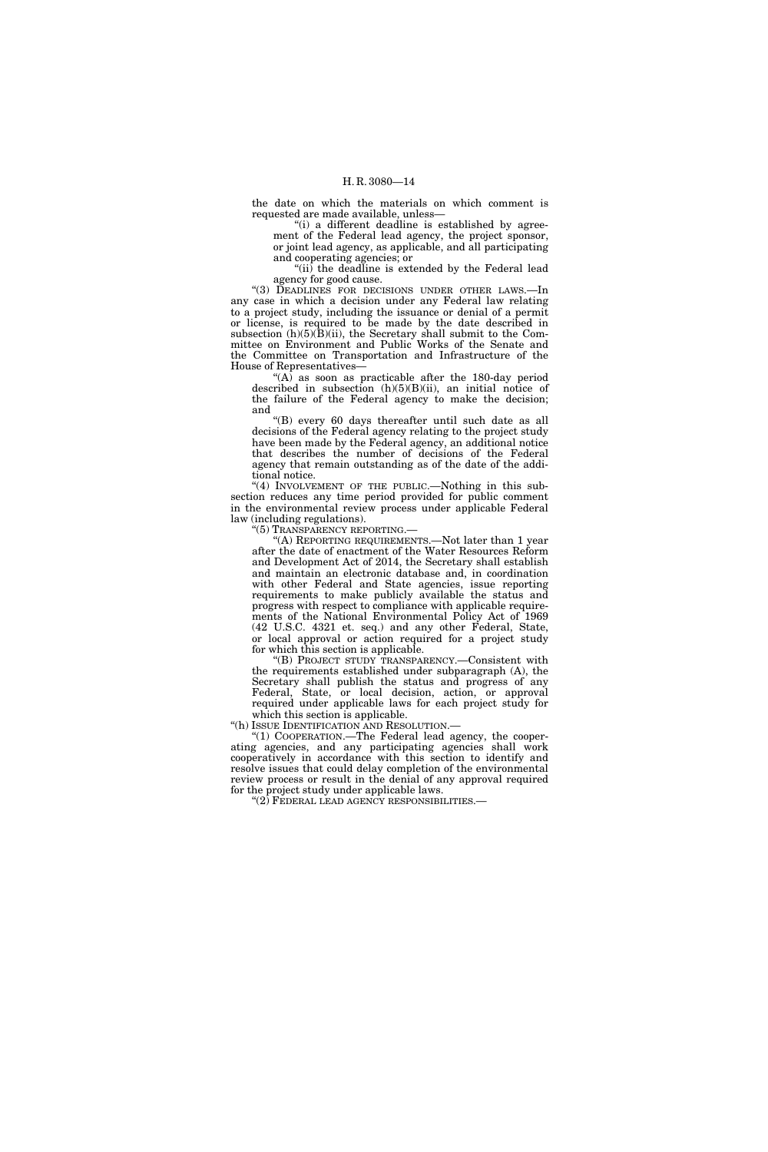the date on which the materials on which comment is requested are made available, unless—

"(i) a different deadline is established by agreement of the Federal lead agency, the project sponsor, or joint lead agency, as applicable, and all participating and cooperating agencies; or

" $(ii)$  the deadline is extended by the Federal lead agency for good cause.

''(3) DEADLINES FOR DECISIONS UNDER OTHER LAWS.—In any case in which a decision under any Federal law relating to a project study, including the issuance or denial of a permit or license, is required to be made by the date described in subsection  $(h)(5)(\overline{B})(ii)$ , the Secretary shall submit to the Committee on Environment and Public Works of the Senate and the Committee on Transportation and Infrastructure of the House of Representatives—

"(A) as soon as practicable after the 180-day period described in subsection (h)(5)(B)(ii), an initial notice of the failure of the Federal agency to make the decision; and

''(B) every 60 days thereafter until such date as all decisions of the Federal agency relating to the project study have been made by the Federal agency, an additional notice that describes the number of decisions of the Federal agency that remain outstanding as of the date of the additional notice.

"(4) INVOLVEMENT OF THE PUBLIC.—Nothing in this subsection reduces any time period provided for public comment in the environmental review process under applicable Federal law (including regulations).

''(5) TRANSPARENCY REPORTING.—

''(A) REPORTING REQUIREMENTS.—Not later than 1 year after the date of enactment of the Water Resources Reform and Development Act of 2014, the Secretary shall establish and maintain an electronic database and, in coordination with other Federal and State agencies, issue reporting requirements to make publicly available the status and progress with respect to compliance with applicable requirements of the National Environmental Policy Act of 1969 (42 U.S.C. 4321 et. seq.) and any other Federal, State, or local approval or action required for a project study for which this section is applicable.

''(B) PROJECT STUDY TRANSPARENCY.—Consistent with the requirements established under subparagraph (A), the Secretary shall publish the status and progress of any Federal, State, or local decision, action, or approval required under applicable laws for each project study for which this section is applicable.

''(h) ISSUE IDENTIFICATION AND RESOLUTION.—

''(1) COOPERATION.—The Federal lead agency, the cooperating agencies, and any participating agencies shall work cooperatively in accordance with this section to identify and resolve issues that could delay completion of the environmental review process or result in the denial of any approval required for the project study under applicable laws.

 $\rm ^{\prime\prime}(2)$  Federal lead agency responsibilities.—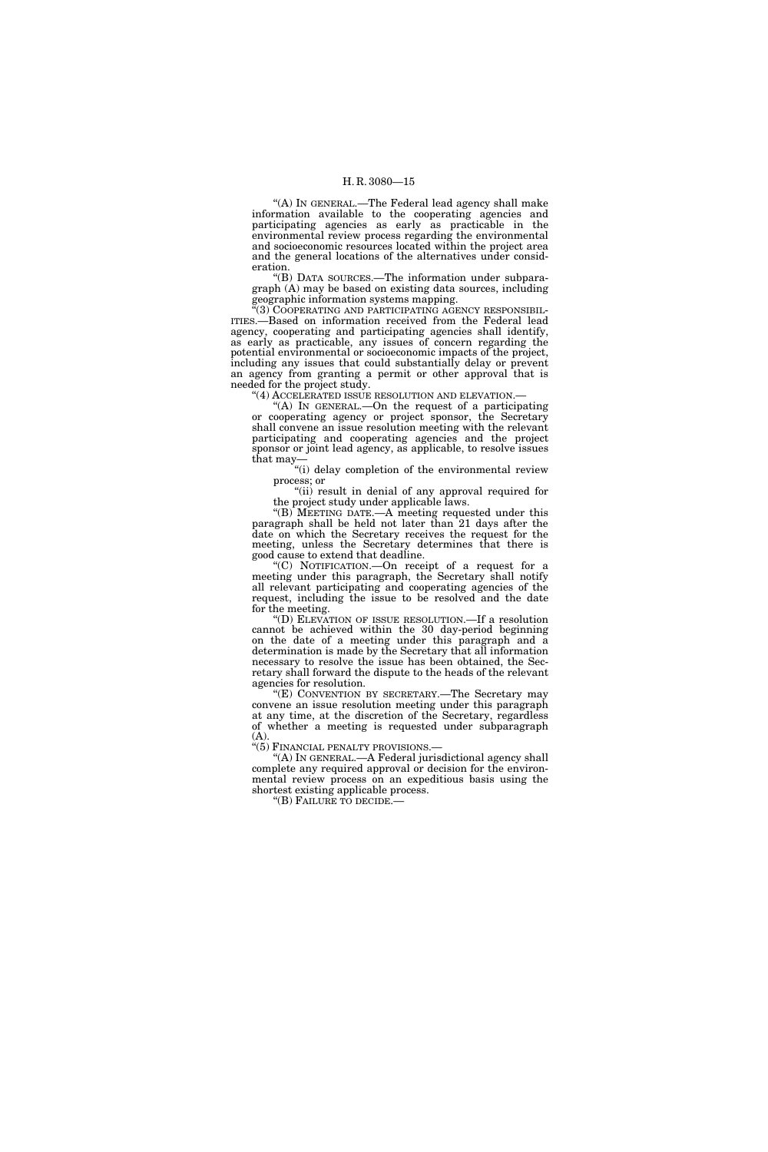"(A) IN GENERAL.—The Federal lead agency shall make information available to the cooperating agencies and participating agencies as early as practicable in the environmental review process regarding the environmental and socioeconomic resources located within the project area and the general locations of the alternatives under consideration.

''(B) DATA SOURCES.—The information under subparagraph (A) may be based on existing data sources, including geographic information systems mapping.

''(3) COOPERATING AND PARTICIPATING AGENCY RESPONSIBIL-ITIES.—Based on information received from the Federal lead agency, cooperating and participating agencies shall identify, as early as practicable, any issues of concern regarding the potential environmental or socioeconomic impacts of the project, including any issues that could substantially delay or prevent an agency from granting a permit or other approval that is needed for the project study.

"(4) ACCELERATED ISSUE RESOLUTION AND ELEVATION.-

''(A) IN GENERAL.—On the request of a participating or cooperating agency or project sponsor, the Secretary shall convene an issue resolution meeting with the relevant participating and cooperating agencies and the project sponsor or joint lead agency, as applicable, to resolve issues that may—

''(i) delay completion of the environmental review process; or

"(ii) result in denial of any approval required for the project study under applicable laws.

''(B) MEETING DATE.—A meeting requested under this paragraph shall be held not later than 21 days after the date on which the Secretary receives the request for the meeting, unless the Secretary determines that there is good cause to extend that deadline.

''(C) NOTIFICATION.—On receipt of a request for a meeting under this paragraph, the Secretary shall notify all relevant participating and cooperating agencies of the request, including the issue to be resolved and the date for the meeting.

'(D) ELEVATION OF ISSUE RESOLUTION.—If a resolution cannot be achieved within the 30 day-period beginning on the date of a meeting under this paragraph and a determination is made by the Secretary that all information necessary to resolve the issue has been obtained, the Secretary shall forward the dispute to the heads of the relevant agencies for resolution.

''(E) CONVENTION BY SECRETARY.—The Secretary may convene an issue resolution meeting under this paragraph at any time, at the discretion of the Secretary, regardless of whether a meeting is requested under subparagraph (A).<br>"(5) FINANCIAL PENALTY PROVISIONS.—

"(A) IN GENERAL.—A Federal jurisdictional agency shall complete any required approval or decision for the environmental review process on an expeditious basis using the shortest existing applicable process.

''(B) FAILURE TO DECIDE.—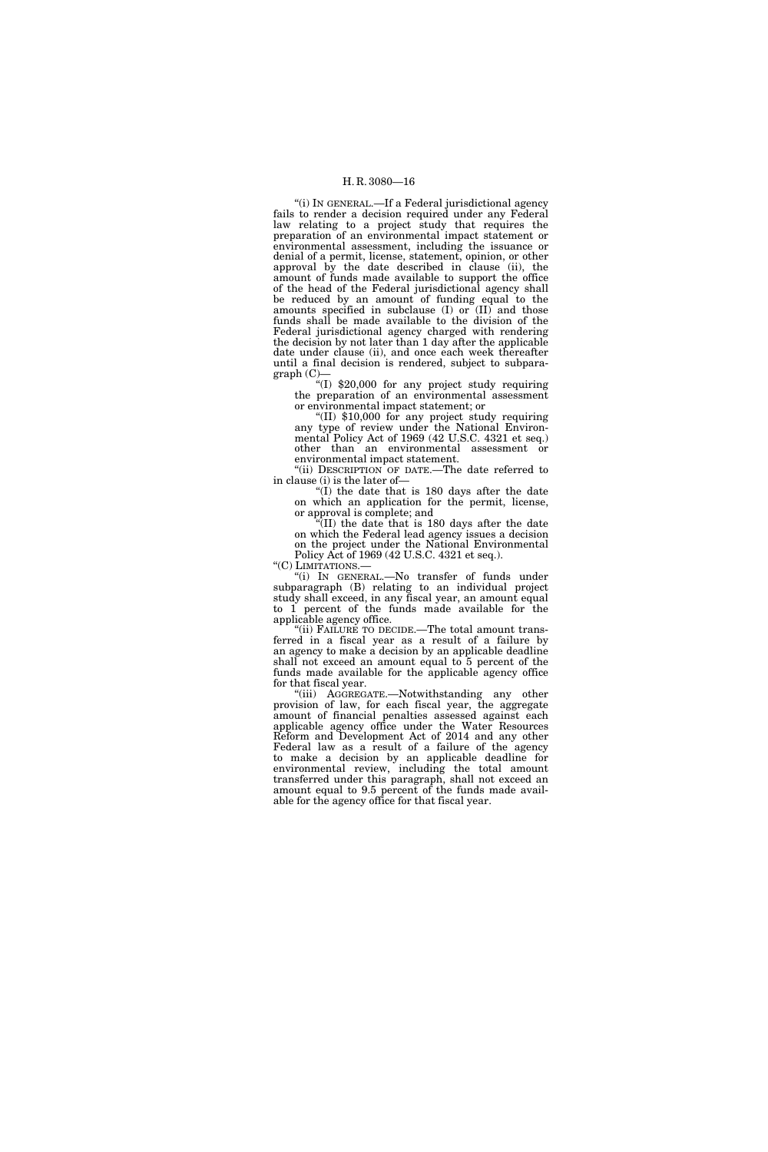"(i) IN GENERAL.-If a Federal jurisdictional agency fails to render a decision required under any Federal law relating to a project study that requires the preparation of an environmental impact statement or environmental assessment, including the issuance or denial of a permit, license, statement, opinion, or other approval by the date described in clause (ii), the amount of funds made available to support the office of the head of the Federal jurisdictional agency shall be reduced by an amount of funding equal to the amounts specified in subclause  $(I)$  or  $(II)$  and those funds shall be made available to the division of the Federal jurisdictional agency charged with rendering the decision by not later than 1 day after the applicable date under clause (ii), and once each week thereafter until a final decision is rendered, subject to subparagraph (C)—

 $*(I)$  \$20,000 for any project study requiring the preparation of an environmental assessment or environmental impact statement; or

''(II) \$10,000 for any project study requiring any type of review under the National Environmental Policy Act of 1969 (42 U.S.C. 4321 et seq.) other than an environmental assessment or environmental impact statement.

"(ii) DESCRIPTION OF DATE.—The date referred to in clause (i) is the later of—

''(I) the date that is 180 days after the date on which an application for the permit, license, or approval is complete; and

''(II) the date that is 180 days after the date on which the Federal lead agency issues a decision on the project under the National Environmental Policy Act of 1969 (42 U.S.C. 4321 et seq.).<br>"(C) LIMITATIONS.—

"(i) IN GENERAL.—No transfer of funds under subparagraph (B) relating to an individual project study shall exceed, in any fiscal year, an amount equal to 1 percent of the funds made available for the applicable agency office.

"(ii) FAILURE TO DECIDE.—The total amount transferred in a fiscal year as a result of a failure by an agency to make a decision by an applicable deadline shall not exceed an amount equal to 5 percent of the funds made available for the applicable agency office for that fiscal year.

''(iii) AGGREGATE.—Notwithstanding any other provision of law, for each fiscal year, the aggregate amount of financial penalties assessed against each applicable agency office under the Water Resources Reform and Development Act of 2014 and any other Federal law as a result of a failure of the agency to make a decision by an applicable deadline for environmental review, including the total amount transferred under this paragraph, shall not exceed an amount equal to 9.5 percent of the funds made available for the agency office for that fiscal year.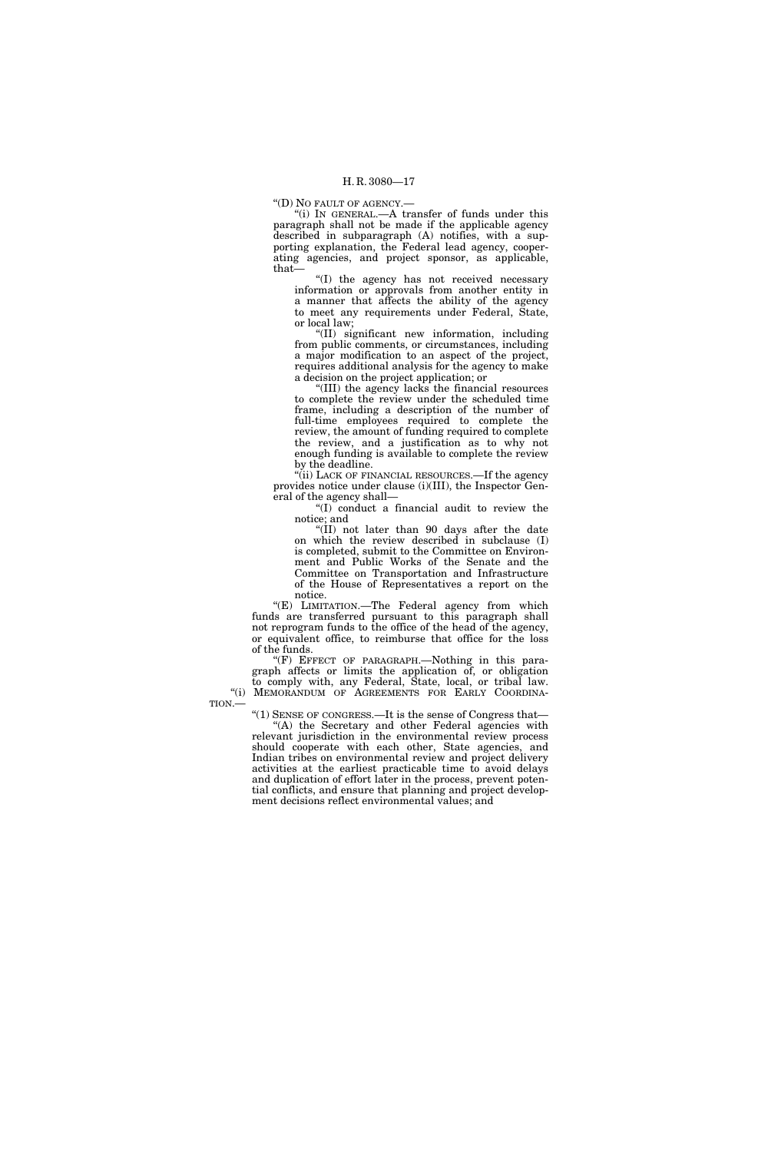''(D) NO FAULT OF AGENCY.—

''(i) IN GENERAL.—A transfer of funds under this paragraph shall not be made if the applicable agency described in subparagraph (A) notifies, with a supporting explanation, the Federal lead agency, cooperating agencies, and project sponsor, as applicable, that—

''(I) the agency has not received necessary information or approvals from another entity in a manner that affects the ability of the agency to meet any requirements under Federal, State, or local law;

''(II) significant new information, including from public comments, or circumstances, including a major modification to an aspect of the project, requires additional analysis for the agency to make a decision on the project application; or

''(III) the agency lacks the financial resources to complete the review under the scheduled time frame, including a description of the number of full-time employees required to complete the review, the amount of funding required to complete the review, and a justification as to why not enough funding is available to complete the review by the deadline.

"(ii) LACK OF FINANCIAL RESOURCES.—If the agency provides notice under clause (i)(III), the Inspector General of the agency shall—

''(I) conduct a financial audit to review the notice; and

"(II) not later than 90 days after the date on which the review described in subclause (I) is completed, submit to the Committee on Environment and Public Works of the Senate and the Committee on Transportation and Infrastructure of the House of Representatives a report on the notice.

"(E) LIMITATION.-The Federal agency from which funds are transferred pursuant to this paragraph shall not reprogram funds to the office of the head of the agency, or equivalent office, to reimburse that office for the loss of the funds.

''(F) EFFECT OF PARAGRAPH.—Nothing in this paragraph affects or limits the application of, or obligation to comply with, any Federal, State, local, or tribal law. "(i) MEMORANDUM OF AGREEMENTS FOR EARLY COORDINA-

TION.—

''(1) SENSE OF CONGRESS.—It is the sense of Congress that—

''(A) the Secretary and other Federal agencies with relevant jurisdiction in the environmental review process should cooperate with each other, State agencies, and Indian tribes on environmental review and project delivery activities at the earliest practicable time to avoid delays and duplication of effort later in the process, prevent potential conflicts, and ensure that planning and project development decisions reflect environmental values; and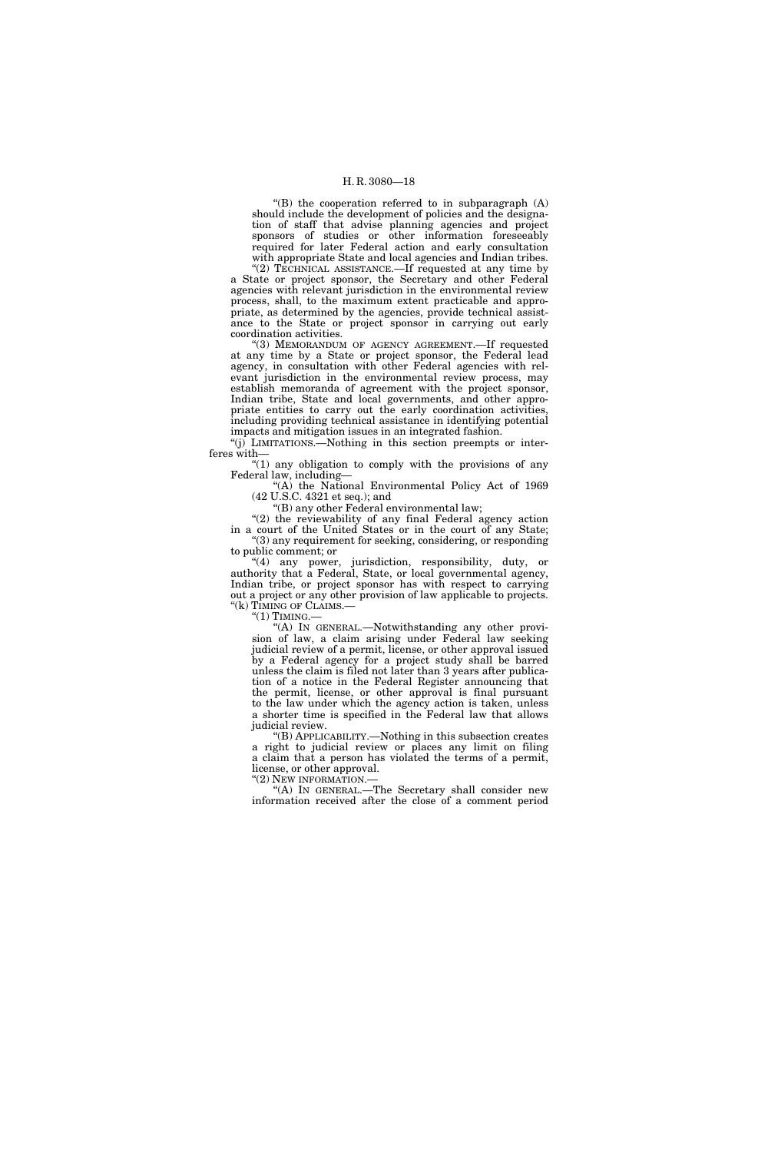''(B) the cooperation referred to in subparagraph (A) should include the development of policies and the designation of staff that advise planning agencies and project sponsors of studies or other information foreseeably required for later Federal action and early consultation with appropriate State and local agencies and Indian tribes.

"(2) TECHNICAL ASSISTANCE.—If requested at any time by a State or project sponsor, the Secretary and other Federal agencies with relevant jurisdiction in the environmental review process, shall, to the maximum extent practicable and appropriate, as determined by the agencies, provide technical assistance to the State or project sponsor in carrying out early coordination activities.

''(3) MEMORANDUM OF AGENCY AGREEMENT.—If requested at any time by a State or project sponsor, the Federal lead agency, in consultation with other Federal agencies with relevant jurisdiction in the environmental review process, may establish memoranda of agreement with the project sponsor, Indian tribe, State and local governments, and other appropriate entities to carry out the early coordination activities, including providing technical assistance in identifying potential impacts and mitigation issues in an integrated fashion.

''(j) LIMITATIONS.—Nothing in this section preempts or interferes with—

" $(1)$  any obligation to comply with the provisions of any Federal law, including—

"(A) the National Environmental Policy Act of 1969 (42 U.S.C. 4321 et seq.); and

''(B) any other Federal environmental law;

"(2) the reviewability of any final Federal agency action in a court of the United States or in the court of any State; ''(3) any requirement for seeking, considering, or responding to public comment; or

''(4) any power, jurisdiction, responsibility, duty, or authority that a Federal, State, or local governmental agency, Indian tribe, or project sponsor has with respect to carrying out a project or any other provision of law applicable to projects. "(k) TIMING OF CLAIMS.-

 $"(1)$  TIMING.

"(A) In GENERAL.—Notwithstanding any other provision of law, a claim arising under Federal law seeking judicial review of a permit, license, or other approval issued by a Federal agency for a project study shall be barred unless the claim is filed not later than 3 years after publication of a notice in the Federal Register announcing that the permit, license, or other approval is final pursuant to the law under which the agency action is taken, unless a shorter time is specified in the Federal law that allows judicial review.

''(B) APPLICABILITY.—Nothing in this subsection creates a right to judicial review or places any limit on filing a claim that a person has violated the terms of a permit, license, or other approval.

''(2) NEW INFORMATION.—

''(A) IN GENERAL.—The Secretary shall consider new information received after the close of a comment period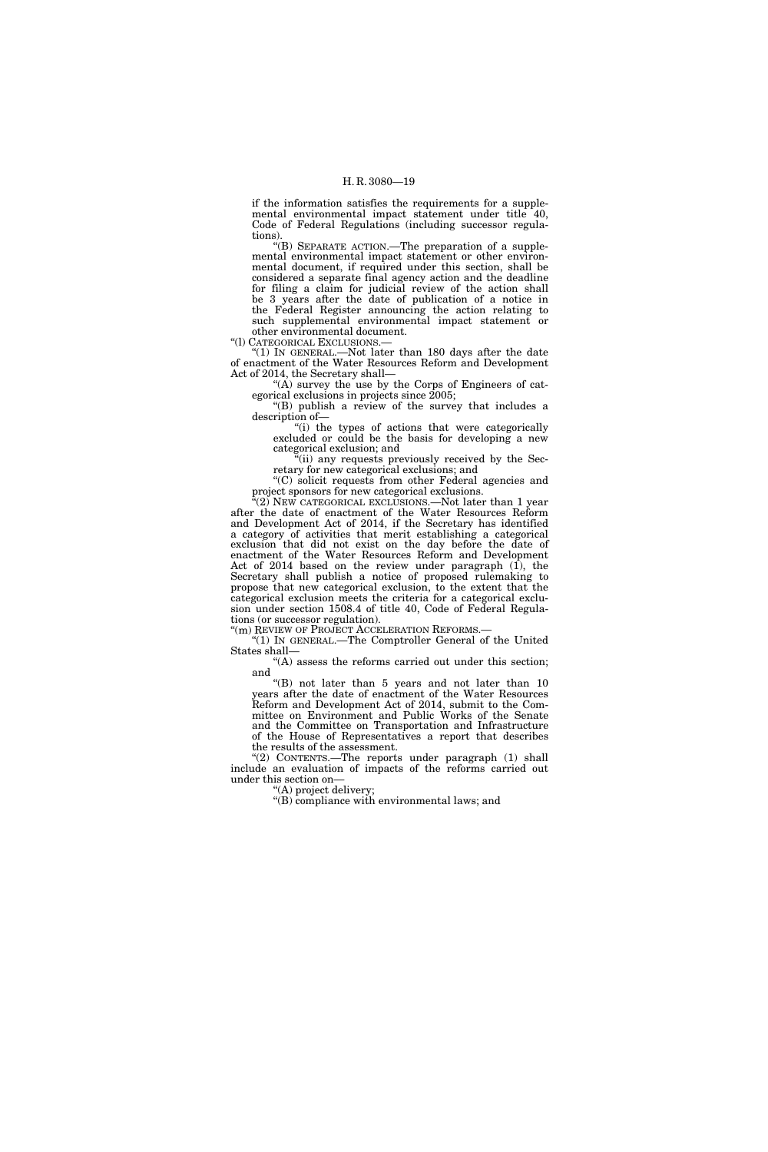if the information satisfies the requirements for a supplemental environmental impact statement under title 40, Code of Federal Regulations (including successor regulations).

''(B) SEPARATE ACTION.—The preparation of a supplemental environmental impact statement or other environmental document, if required under this section, shall be considered a separate final agency action and the deadline for filing a claim for judicial review of the action shall be 3 years after the date of publication of a notice in the Federal Register announcing the action relating to such supplemental environmental impact statement or other environmental document.

''(l) CATEGORICAL EXCLUSIONS.—

 $'(1)$  IN GENERAL.—Not later than 180 days after the date of enactment of the Water Resources Reform and Development Act of 2014, the Secretary shall—

"(A) survey the use by the Corps of Engineers of categorical exclusions in projects since 2005;

''(B) publish a review of the survey that includes a description of—

"(i) the types of actions that were categorically excluded or could be the basis for developing a new categorical exclusion; and

"(ii) any requests previously received by the Secretary for new categorical exclusions; and

''(C) solicit requests from other Federal agencies and project sponsors for new categorical exclusions.

 $(2)$  NEW CATEGORICAL EXCLUSIONS.—Not later than 1 year after the date of enactment of the Water Resources Reform and Development Act of 2014, if the Secretary has identified a category of activities that merit establishing a categorical exclusion that did not exist on the day before the date of enactment of the Water Resources Reform and Development Act of 2014 based on the review under paragraph  $(1)$ , the Secretary shall publish a notice of proposed rulemaking to propose that new categorical exclusion, to the extent that the categorical exclusion meets the criteria for a categorical exclusion under section 1508.4 of title 40, Code of Federal Regulations (or successor regulation).

"(m) REVIEW OF PROJECT ACCELERATION REFORMS.-

''(1) IN GENERAL.—The Comptroller General of the United States shall—

"(A) assess the reforms carried out under this section; and

''(B) not later than 5 years and not later than 10 years after the date of enactment of the Water Resources Reform and Development Act of 2014, submit to the Committee on Environment and Public Works of the Senate and the Committee on Transportation and Infrastructure of the House of Representatives a report that describes the results of the assessment.

''(2) CONTENTS.—The reports under paragraph (1) shall include an evaluation of impacts of the reforms carried out under this section on—

''(A) project delivery;

"(B) compliance with environmental laws; and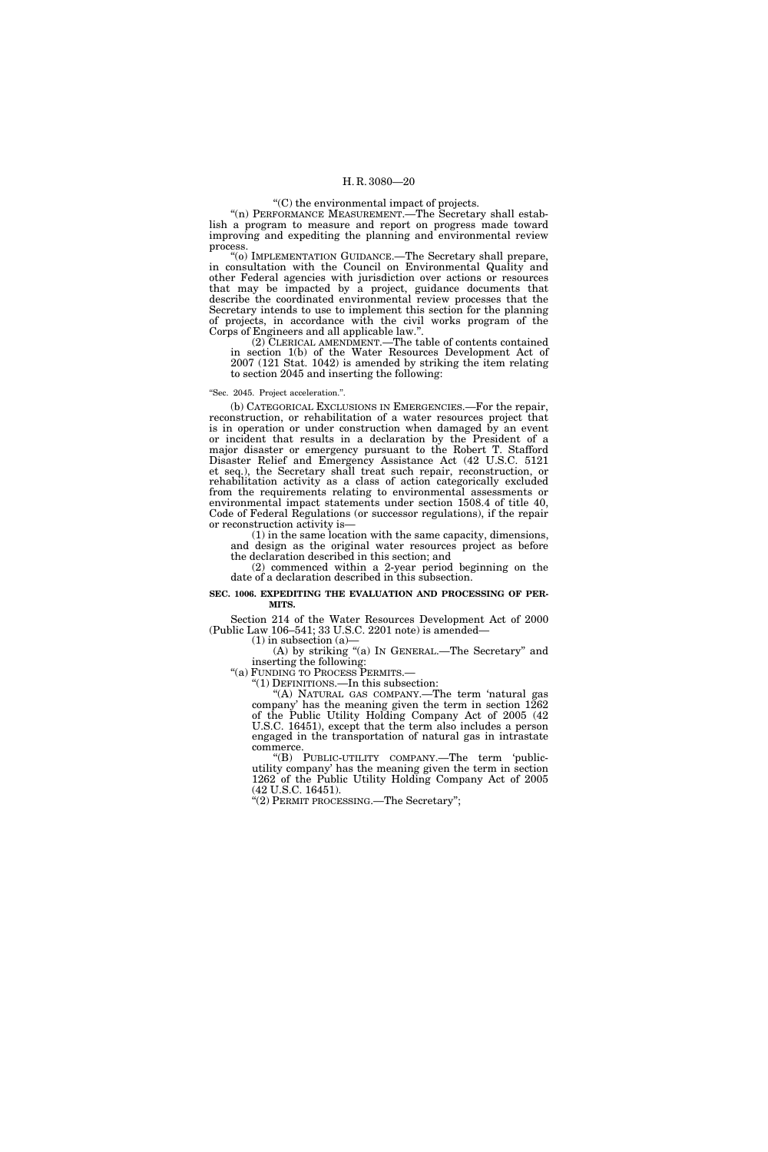## ''(C) the environmental impact of projects.

"(n) PERFORMANCE MEASUREMENT.—The Secretary shall establish a program to measure and report on progress made toward improving and expediting the planning and environmental review process.

''(o) IMPLEMENTATION GUIDANCE.—The Secretary shall prepare, in consultation with the Council on Environmental Quality and other Federal agencies with jurisdiction over actions or resources that may be impacted by a project, guidance documents that describe the coordinated environmental review processes that the Secretary intends to use to implement this section for the planning of projects, in accordance with the civil works program of the Corps of Engineers and all applicable law."

(2) CLERICAL AMENDMENT.—The table of contents contained in section 1(b) of the Water Resources Development Act of 2007 (121 Stat. 1042) is amended by striking the item relating to section 2045 and inserting the following:

#### ''Sec. 2045. Project acceleration.''.

(b) CATEGORICAL EXCLUSIONS IN EMERGENCIES.—For the repair, reconstruction, or rehabilitation of a water resources project that is in operation or under construction when damaged by an event or incident that results in a declaration by the President of a major disaster or emergency pursuant to the Robert T. Stafford Disaster Relief and Emergency Assistance Act (42 U.S.C. 5121 et seq.), the Secretary shall treat such repair, reconstruction, or rehabilitation activity as a class of action categorically excluded from the requirements relating to environmental assessments or environmental impact statements under section 1508.4 of title 40, Code of Federal Regulations (or successor regulations), if the repair or reconstruction activity is—

(1) in the same location with the same capacity, dimensions, and design as the original water resources project as before the declaration described in this section; and

(2) commenced within a 2-year period beginning on the date of a declaration described in this subsection.

#### **SEC. 1006. EXPEDITING THE EVALUATION AND PROCESSING OF PER-MITS.**

Section 214 of the Water Resources Development Act of 2000 (Public Law 106–541; 33 U.S.C. 2201 note) is amended—

 $(1)$  in subsection  $(a)$ —

 $(A)$  by striking "(a) In GENERAL.—The Secretary" and inserting the following:

''(a) FUNDING TO PROCESS PERMITS.—

''(1) DEFINITIONS.—In this subsection:

''(A) NATURAL GAS COMPANY.—The term 'natural gas company' has the meaning given the term in section  $1262$ of the Public Utility Holding Company Act of 2005 (42 U.S.C. 16451), except that the term also includes a person engaged in the transportation of natural gas in intrastate commerce.

''(B) PUBLIC-UTILITY COMPANY.—The term 'publicutility company' has the meaning given the term in section 1262 of the Public Utility Holding Company Act of 2005 (42 U.S.C. 16451).

''(2) PERMIT PROCESSING.—The Secretary'';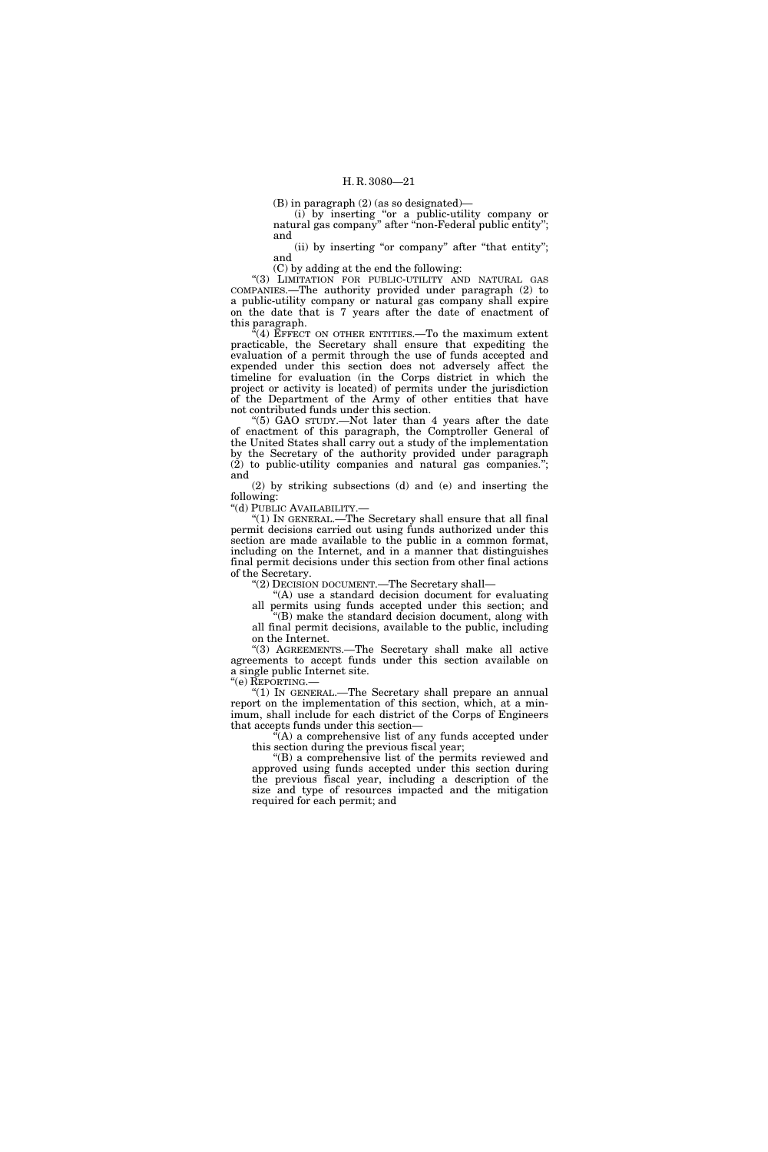(B) in paragraph (2) (as so designated)—

(i) by inserting ''or a public-utility company or natural gas company'' after ''non-Federal public entity''; and

(ii) by inserting "or company" after "that entity"; and

(C) by adding at the end the following:

"(3) LIMITATION FOR PUBLIC-UTILITY AND NATURAL GAS COMPANIES.—The authority provided under paragraph (2) to a public-utility company or natural gas company shall expire on the date that is 7 years after the date of enactment of this paragraph.

 $\mathcal{E}(4)$  EFFECT ON OTHER ENTITIES.—To the maximum extent practicable, the Secretary shall ensure that expediting the evaluation of a permit through the use of funds accepted and expended under this section does not adversely affect the timeline for evaluation (in the Corps district in which the project or activity is located) of permits under the jurisdiction of the Department of the Army of other entities that have not contributed funds under this section.

''(5) GAO STUDY.—Not later than 4 years after the date of enactment of this paragraph, the Comptroller General of the United States shall carry out a study of the implementation by the Secretary of the authority provided under paragraph  $(2)$  to public-utility companies and natural gas companies."; and

(2) by striking subsections (d) and (e) and inserting the following:

''(d) PUBLIC AVAILABILITY.—

''(1) IN GENERAL.—The Secretary shall ensure that all final permit decisions carried out using funds authorized under this section are made available to the public in a common format, including on the Internet, and in a manner that distinguishes final permit decisions under this section from other final actions of the Secretary.

''(2) DECISION DOCUMENT.—The Secretary shall—

''(A) use a standard decision document for evaluating all permits using funds accepted under this section; and

''(B) make the standard decision document, along with all final permit decisions, available to the public, including on the Internet.

''(3) AGREEMENTS.—The Secretary shall make all active agreements to accept funds under this section available on a single public Internet site.

''(e) REPORTING.—

"(1) IN GENERAL.—The Secretary shall prepare an annual report on the implementation of this section, which, at a minimum, shall include for each district of the Corps of Engineers that accepts funds under this section—

 $\epsilon(A)$  a comprehensive list of any funds accepted under this section during the previous fiscal year;

''(B) a comprehensive list of the permits reviewed and approved using funds accepted under this section during the previous fiscal year, including a description of the size and type of resources impacted and the mitigation required for each permit; and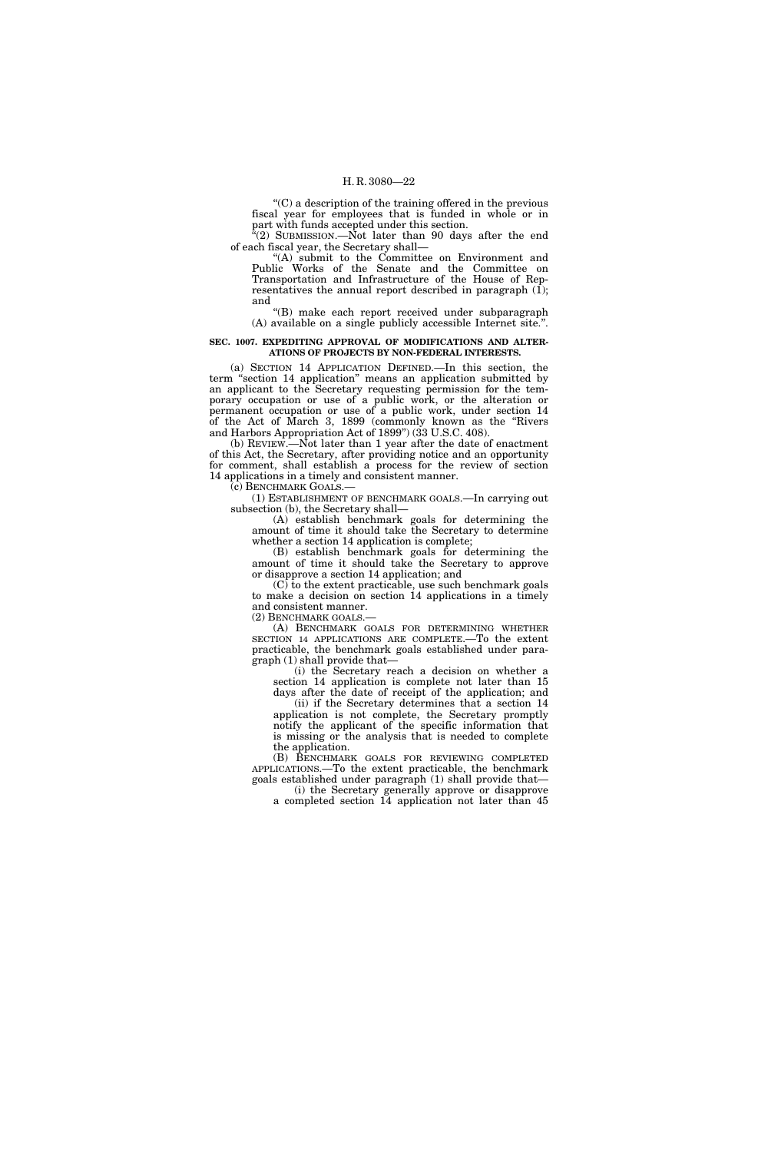''(C) a description of the training offered in the previous fiscal year for employees that is funded in whole or in part with funds accepted under this section.

"(2) SUBMISSION.—Not later than 90 days after the end of each fiscal year, the Secretary shall—

''(A) submit to the Committee on Environment and Public Works of the Senate and the Committee on Transportation and Infrastructure of the House of Representatives the annual report described in paragraph (1); and

''(B) make each report received under subparagraph (A) available on a single publicly accessible Internet site.''.

#### **SEC. 1007. EXPEDITING APPROVAL OF MODIFICATIONS AND ALTER-ATIONS OF PROJECTS BY NON-FEDERAL INTERESTS.**

(a) SECTION 14 APPLICATION DEFINED.—In this section, the term ''section 14 application'' means an application submitted by an applicant to the Secretary requesting permission for the temporary occupation or use of a public work, or the alteration or permanent occupation or use of a public work, under section 14 of the Act of March 3, 1899 (commonly known as the ''Rivers and Harbors Appropriation Act of 1899'') (33 U.S.C. 408).

(b) REVIEW.—Not later than 1 year after the date of enactment of this Act, the Secretary, after providing notice and an opportunity for comment, shall establish a process for the review of section 14 applications in a timely and consistent manner.

(c) BENCHMARK GOALS.—

(1) ESTABLISHMENT OF BENCHMARK GOALS.—In carrying out subsection (b), the Secretary shall—

(A) establish benchmark goals for determining the amount of time it should take the Secretary to determine whether a section 14 application is complete;

(B) establish benchmark goals for determining the amount of time it should take the Secretary to approve or disapprove a section 14 application; and

(C) to the extent practicable, use such benchmark goals to make a decision on section 14 applications in a timely and consistent manner.

(2) BENCHMARK GOALS.—

(A) BENCHMARK GOALS FOR DETERMINING WHETHER SECTION 14 APPLICATIONS ARE COMPLETE.—To the extent practicable, the benchmark goals established under paragraph (1) shall provide that—

(i) the Secretary reach a decision on whether a section 14 application is complete not later than 15

days after the date of receipt of the application; and (ii) if the Secretary determines that a section 14 application is not complete, the Secretary promptly notify the applicant of the specific information that is missing or the analysis that is needed to complete

the application. (B) BENCHMARK GOALS FOR REVIEWING COMPLETED APPLICATIONS.—To the extent practicable, the benchmark

goals established under paragraph (1) shall provide that— (i) the Secretary generally approve or disapprove

a completed section 14 application not later than 45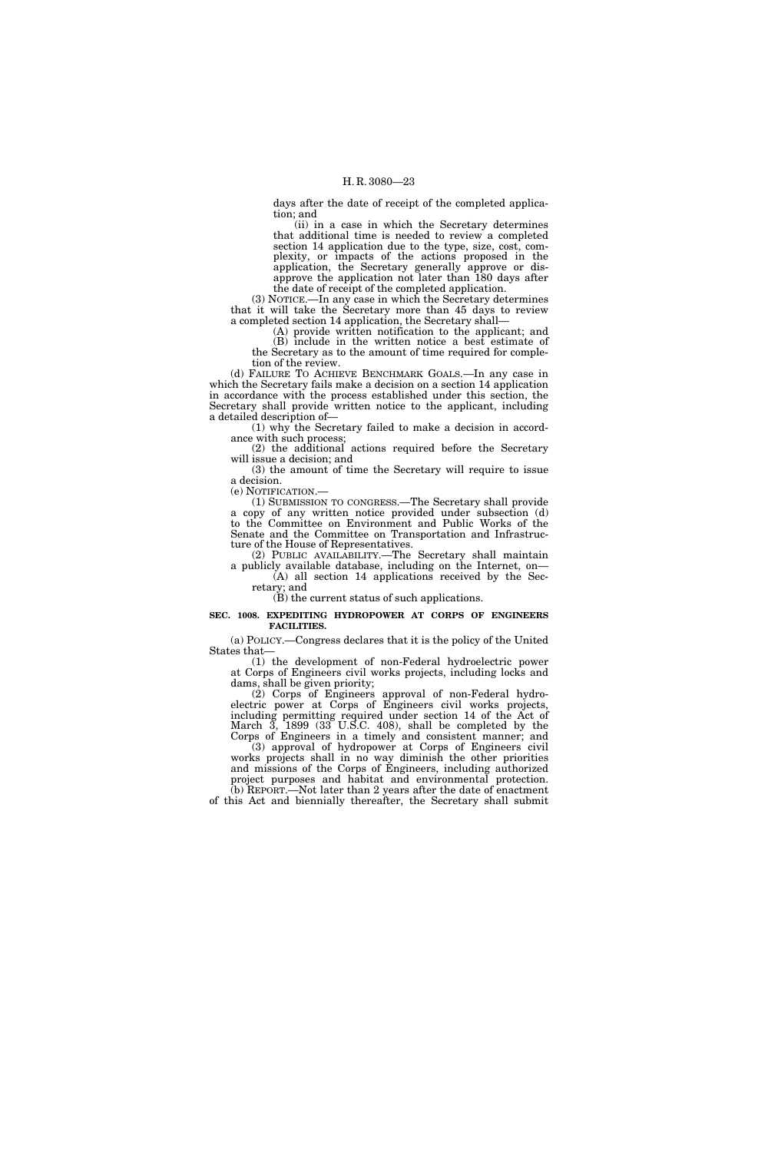days after the date of receipt of the completed application; and

(ii) in a case in which the Secretary determines that additional time is needed to review a completed section 14 application due to the type, size, cost, complexity, or impacts of the actions proposed in the application, the Secretary generally approve or disapprove the application not later than 180 days after the date of receipt of the completed application.

(3) NOTICE.—In any case in which the Secretary determines that it will take the Secretary more than 45 days to review a completed section 14 application, the Secretary shall—

(A) provide written notification to the applicant; and (B) include in the written notice a best estimate of the Secretary as to the amount of time required for completion of the review.

(d) FAILURE TO ACHIEVE BENCHMARK GOALS.—In any case in which the Secretary fails make a decision on a section 14 application in accordance with the process established under this section, the Secretary shall provide written notice to the applicant, including a detailed description of—

(1) why the Secretary failed to make a decision in accordance with such process;

(2) the additional actions required before the Secretary will issue a decision; and

(3) the amount of time the Secretary will require to issue a decision.<br>(e) NOTIFICATION.—

(1) SUBMISSION TO CONGRESS.—The Secretary shall provide a copy of any written notice provided under subsection (d) to the Committee on Environment and Public Works of the Senate and the Committee on Transportation and Infrastructure of the House of Representatives.

(2) PUBLIC AVAILABILITY.—The Secretary shall maintain a publicly available database, including on the Internet, on— (A) all section 14 applications received by the Sec-

retary; and (B) the current status of such applications.

## **SEC. 1008. EXPEDITING HYDROPOWER AT CORPS OF ENGINEERS FACILITIES.**

(a) POLICY.—Congress declares that it is the policy of the United States that—

(1) the development of non-Federal hydroelectric power at Corps of Engineers civil works projects, including locks and dams, shall be given priority;

(2) Corps of Engineers approval of non-Federal hydroelectric power at Corps of Engineers civil works projects, including permitting required under section 14 of the Act of March  $\overline{3}$ , 1899 (33 U.S.C. 408), shall be completed by the Corps of Engineers in a timely and consistent manner; and

(3) approval of hydropower at Corps of Engineers civil works projects shall in no way diminish the other priorities and missions of the Corps of Engineers, including authorized project purposes and habitat and environmental protection. (b) REPORT.—Not later than 2 years after the date of enactment

of this Act and biennially thereafter, the Secretary shall submit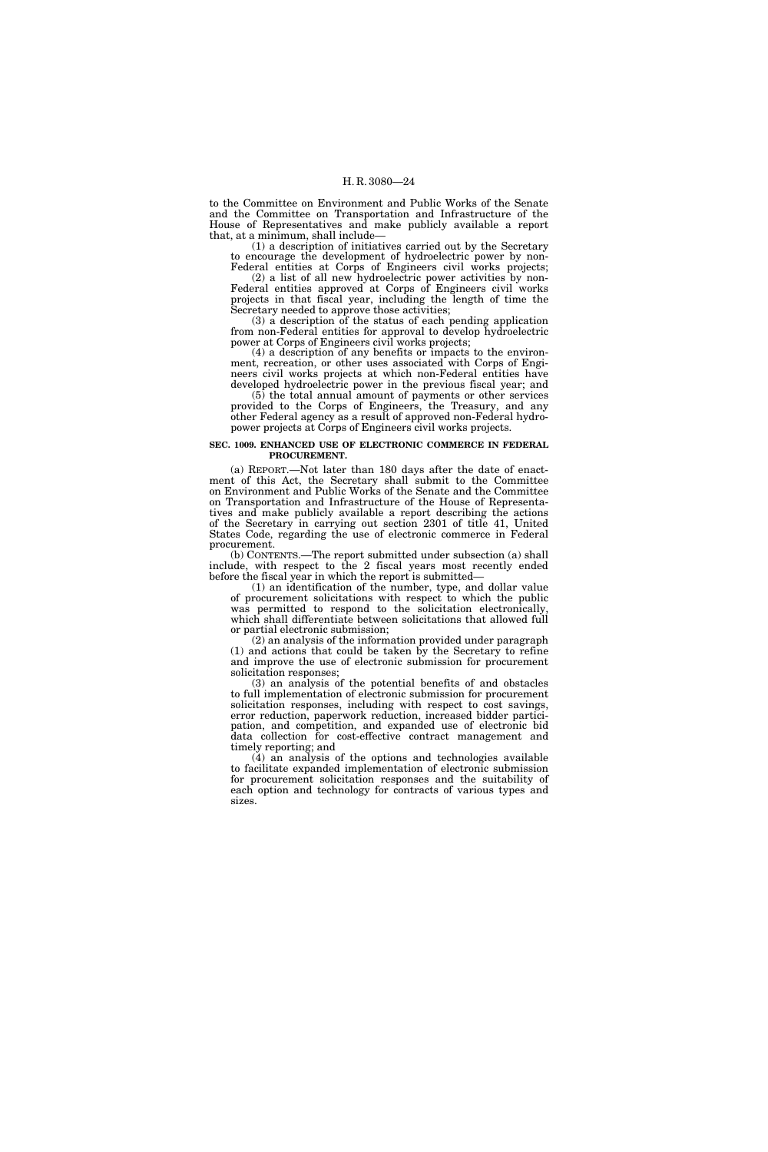to the Committee on Environment and Public Works of the Senate and the Committee on Transportation and Infrastructure of the House of Representatives and make publicly available a report that, at a minimum, shall include—

(1) a description of initiatives carried out by the Secretary to encourage the development of hydroelectric power by non-

Federal entities at Corps of Engineers civil works projects; (2) a list of all new hydroelectric power activities by non-Federal entities approved at Corps of Engineers civil works projects in that fiscal year, including the length of time the Secretary needed to approve those activities;

(3) a description of the status of each pending application from non-Federal entities for approval to develop hydroelectric power at Corps of Engineers civil works projects;

(4) a description of any benefits or impacts to the environment, recreation, or other uses associated with Corps of Engineers civil works projects at which non-Federal entities have developed hydroelectric power in the previous fiscal year; and

(5) the total annual amount of payments or other services provided to the Corps of Engineers, the Treasury, and any other Federal agency as a result of approved non-Federal hydropower projects at Corps of Engineers civil works projects.

#### **SEC. 1009. ENHANCED USE OF ELECTRONIC COMMERCE IN FEDERAL PROCUREMENT.**

(a) REPORT.—Not later than 180 days after the date of enactment of this Act, the Secretary shall submit to the Committee on Environment and Public Works of the Senate and the Committee on Transportation and Infrastructure of the House of Representatives and make publicly available a report describing the actions of the Secretary in carrying out section 2301 of title 41, United States Code, regarding the use of electronic commerce in Federal procurement.

(b) CONTENTS.—The report submitted under subsection (a) shall include, with respect to the 2 fiscal years most recently ended before the fiscal year in which the report is submitted—

(1) an identification of the number, type, and dollar value of procurement solicitations with respect to which the public was permitted to respond to the solicitation electronically, which shall differentiate between solicitations that allowed full or partial electronic submission;

(2) an analysis of the information provided under paragraph (1) and actions that could be taken by the Secretary to refine and improve the use of electronic submission for procurement solicitation responses;

(3) an analysis of the potential benefits of and obstacles to full implementation of electronic submission for procurement solicitation responses, including with respect to cost savings, error reduction, paperwork reduction, increased bidder participation, and competition, and expanded use of electronic bid data collection for cost-effective contract management and timely reporting; and

(4) an analysis of the options and technologies available to facilitate expanded implementation of electronic submission for procurement solicitation responses and the suitability of each option and technology for contracts of various types and sizes.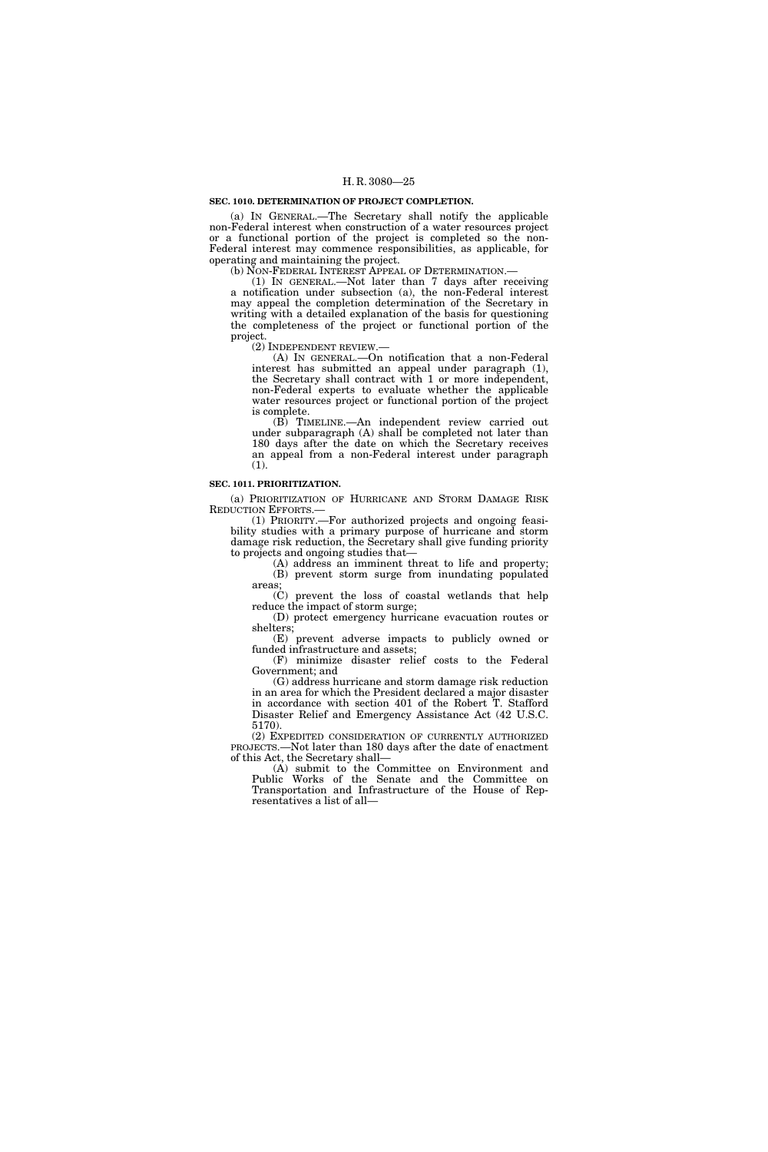#### **SEC. 1010. DETERMINATION OF PROJECT COMPLETION.**

(a) IN GENERAL.—The Secretary shall notify the applicable non-Federal interest when construction of a water resources project or a functional portion of the project is completed so the non-Federal interest may commence responsibilities, as applicable, for operating and maintaining the project.

(b) NON-FEDERAL INTEREST APPEAL OF DETERMINATION.—

(1) IN GENERAL.—Not later than 7 days after receiving a notification under subsection (a), the non-Federal interest may appeal the completion determination of the Secretary in writing with a detailed explanation of the basis for questioning the completeness of the project or functional portion of the project.

(2) INDEPENDENT REVIEW.—

(A) IN GENERAL.—On notification that a non-Federal interest has submitted an appeal under paragraph (1), the Secretary shall contract with 1 or more independent, non-Federal experts to evaluate whether the applicable water resources project or functional portion of the project is complete.

(B) TIMELINE.—An independent review carried out under subparagraph (A) shall be completed not later than 180 days after the date on which the Secretary receives an appeal from a non-Federal interest under paragraph (1).

## **SEC. 1011. PRIORITIZATION.**

(a) PRIORITIZATION OF HURRICANE AND STORM DAMAGE RISK REDUCTION EFFORTS.—

(1) PRIORITY.—For authorized projects and ongoing feasibility studies with a primary purpose of hurricane and storm damage risk reduction, the Secretary shall give funding priority to projects and ongoing studies that—

(A) address an imminent threat to life and property; (B) prevent storm surge from inundating populated areas;

(C) prevent the loss of coastal wetlands that help reduce the impact of storm surge;

(D) protect emergency hurricane evacuation routes or shelters;

(E) prevent adverse impacts to publicly owned or funded infrastructure and assets;

(F) minimize disaster relief costs to the Federal Government; and

(G) address hurricane and storm damage risk reduction in an area for which the President declared a major disaster in accordance with section 401 of the Robert T. Stafford Disaster Relief and Emergency Assistance Act (42 U.S.C. 5170).

(2) EXPEDITED CONSIDERATION OF CURRENTLY AUTHORIZED PROJECTS.—Not later than 180 days after the date of enactment of this Act, the Secretary shall—

(A) submit to the Committee on Environment and Public Works of the Senate and the Committee on Transportation and Infrastructure of the House of Representatives a list of all—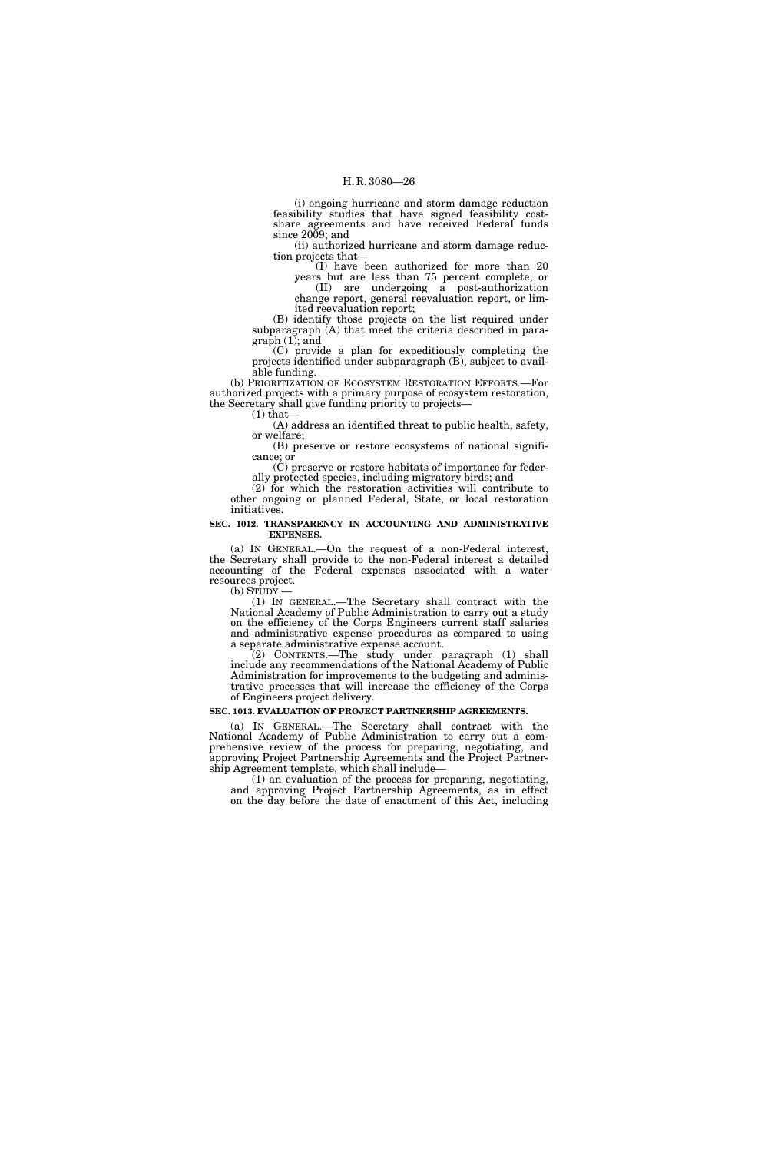(i) ongoing hurricane and storm damage reduction feasibility studies that have signed feasibility costshare agreements and have received Federal funds since  $2009$ ; and

(ii) authorized hurricane and storm damage reduction projects that—

(I) have been authorized for more than 20 years but are less than 75 percent complete; or (II) are undergoing a post-authorization

change report, general reevaluation report, or limited reevaluation report;

(B) identify those projects on the list required under subparagraph (A) that meet the criteria described in paragraph (1); and

(C) provide a plan for expeditiously completing the projects identified under subparagraph (B), subject to available funding.

(b) PRIORITIZATION OF ECOSYSTEM RESTORATION EFFORTS.—For authorized projects with a primary purpose of ecosystem restoration, the Secretary shall give funding priority to projects— (1) that—

(A) address an identified threat to public health, safety, or welfare;

(B) preserve or restore ecosystems of national significance; or

(C) preserve or restore habitats of importance for federally protected species, including migratory birds; and

(2) for which the restoration activities will contribute to other ongoing or planned Federal, State, or local restoration initiatives.

#### **SEC. 1012. TRANSPARENCY IN ACCOUNTING AND ADMINISTRATIVE EXPENSES.**

(a) IN GENERAL.—On the request of a non-Federal interest, the Secretary shall provide to the non-Federal interest a detailed accounting of the Federal expenses associated with a water resources project.<br>(b) STUDY.—

(b) STUDY.— (1) IN GENERAL.—The Secretary shall contract with the National Academy of Public Administration to carry out a study on the efficiency of the Corps Engineers current staff salaries and administrative expense procedures as compared to using a separate administrative expense account.

(2) CONTENTS.—The study under paragraph (1) shall include any recommendations of the National Academy of Public Administration for improvements to the budgeting and administrative processes that will increase the efficiency of the Corps of Engineers project delivery.

### **SEC. 1013. EVALUATION OF PROJECT PARTNERSHIP AGREEMENTS.**

(a) IN GENERAL.—The Secretary shall contract with the National Academy of Public Administration to carry out a comprehensive review of the process for preparing, negotiating, and approving Project Partnership Agreements and the Project Partnership Agreement template, which shall include—

(1) an evaluation of the process for preparing, negotiating, and approving Project Partnership Agreements, as in effect on the day before the date of enactment of this Act, including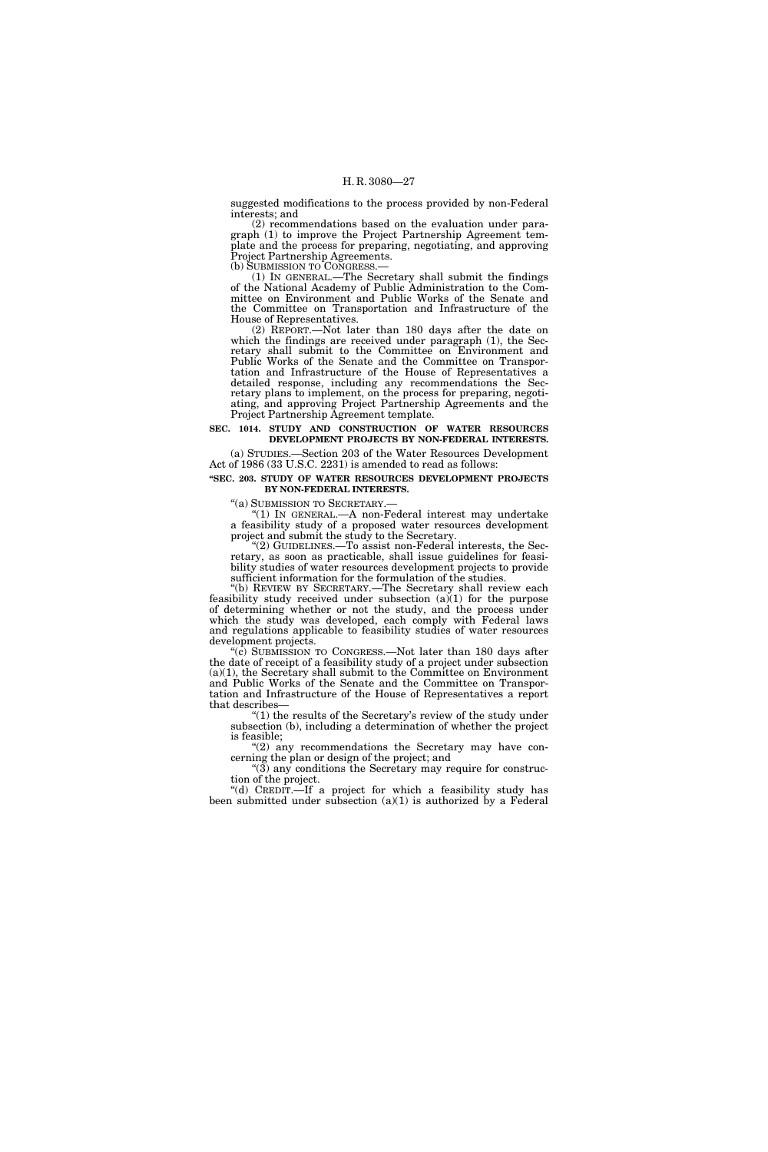suggested modifications to the process provided by non-Federal interests; and

(2) recommendations based on the evaluation under paragraph (1) to improve the Project Partnership Agreement template and the process for preparing, negotiating, and approving Project Partnership Agreements.<br>(b) SUBMISSION TO CONGRESS.

 $(1)$  In GENERAL.—The Secretary shall submit the findings of the National Academy of Public Administration to the Committee on Environment and Public Works of the Senate and the Committee on Transportation and Infrastructure of the House of Representatives.

(2) REPORT.—Not later than 180 days after the date on which the findings are received under paragraph (1), the Secretary shall submit to the Committee on Environment and Public Works of the Senate and the Committee on Transportation and Infrastructure of the House of Representatives a detailed response, including any recommendations the Secretary plans to implement, on the process for preparing, negotiating, and approving Project Partnership Agreements and the Project Partnership Agreement template.

## **SEC. 1014. STUDY AND CONSTRUCTION OF WATER RESOURCES DEVELOPMENT PROJECTS BY NON-FEDERAL INTERESTS.**

(a) STUDIES.—Section 203 of the Water Resources Development Act of 1986 (33 U.S.C. 2231) is amended to read as follows:

#### **''SEC. 203. STUDY OF WATER RESOURCES DEVELOPMENT PROJECTS BY NON-FEDERAL INTERESTS.**

''(a) SUBMISSION TO SECRETARY.— ''(1) IN GENERAL.—A non-Federal interest may undertake a feasibility study of a proposed water resources development project and submit the study to the Secretary.

''(2) GUIDELINES.—To assist non-Federal interests, the Secretary, as soon as practicable, shall issue guidelines for feasibility studies of water resources development projects to provide sufficient information for the formulation of the studies.

''(b) REVIEW BY SECRETARY.—The Secretary shall review each feasibility study received under subsection  $(a)(1)$  for the purpose of determining whether or not the study, and the process under which the study was developed, each comply with Federal laws and regulations applicable to feasibility studies of water resources development projects.

"(c) SUBMISSION TO CONGRESS.—Not later than 180 days after the date of receipt of a feasibility study of a project under subsection (a)(1), the Secretary shall submit to the Committee on Environment and Public Works of the Senate and the Committee on Transportation and Infrastructure of the House of Representatives a report that describes—

" $(1)$  the results of the Secretary's review of the study under subsection (b), including a determination of whether the project is feasible;

" $(2)$  any recommendations the Secretary may have concerning the plan or design of the project; and

" $(3)$  any conditions the Secretary may require for construction of the project.

''(d) CREDIT.—If a project for which a feasibility study has been submitted under subsection  $(a)(1)$  is authorized by a Federal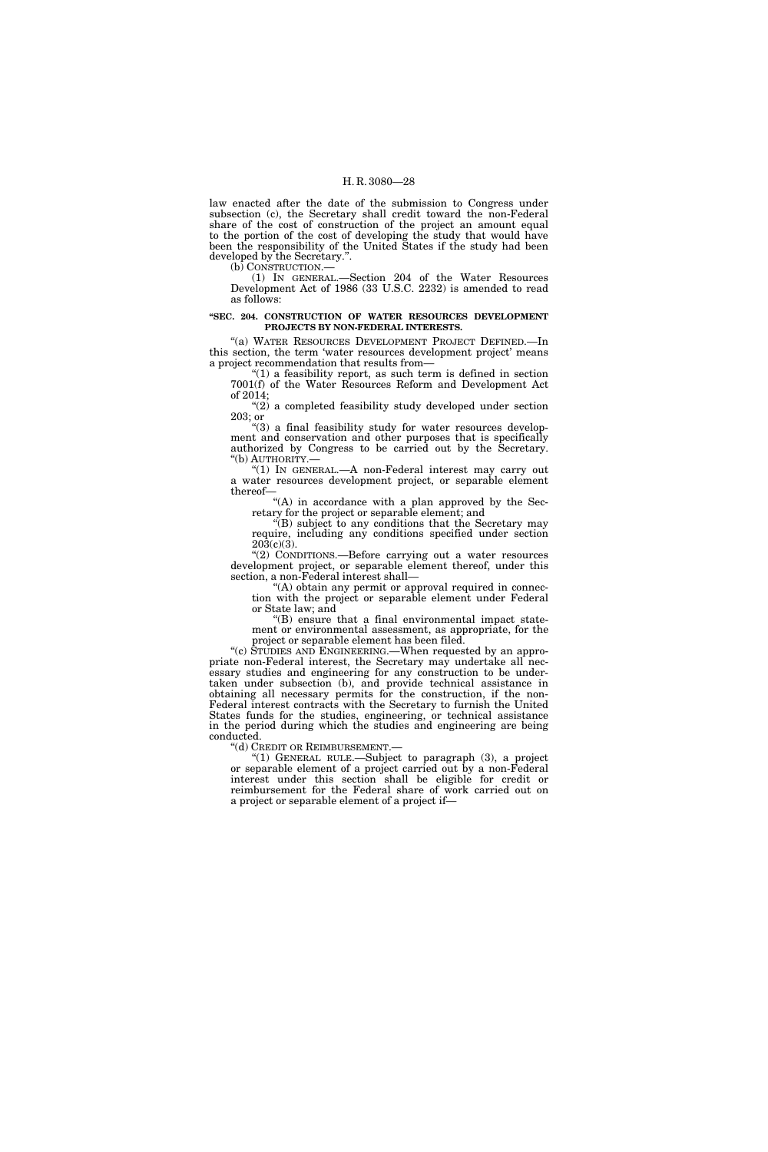law enacted after the date of the submission to Congress under subsection (c), the Secretary shall credit toward the non-Federal share of the cost of construction of the project an amount equal to the portion of the cost of developing the study that would have been the responsibility of the United States if the study had been developed by the Secretary.''.

(b) CONSTRUCTION.—

(1) IN GENERAL.—Section 204 of the Water Resources Development Act of 1986 (33 U.S.C. 2232) is amended to read as follows:

## **''SEC. 204. CONSTRUCTION OF WATER RESOURCES DEVELOPMENT PROJECTS BY NON-FEDERAL INTERESTS.**

"(a) WATER RESOURCES DEVELOPMENT PROJECT DEFINED.—In this section, the term 'water resources development project' means a project recommendation that results from—

" $(1)$  a feasibility report, as such term is defined in section 7001(f) of the Water Resources Reform and Development Act of 2014;

''(2) a completed feasibility study developed under section 203; or

"(3) a final feasibility study for water resources development and conservation and other purposes that is specifically authorized by Congress to be carried out by the Secretary.

''(b) AUTHORITY.— ''(1) IN GENERAL.—A non-Federal interest may carry out a water resources development project, or separable element thereof—

"(A) in accordance with a plan approved by the Secretary for the project or separable element; and

''(B) subject to any conditions that the Secretary may require, including any conditions specified under section 203(c)(3).

''(2) CONDITIONS.—Before carrying out a water resources development project, or separable element thereof, under this section, a non-Federal interest shall—

"(A) obtain any permit or approval required in connection with the project or separable element under Federal or State law; and

''(B) ensure that a final environmental impact statement or environmental assessment, as appropriate, for the project or separable element has been filed.

''(c) STUDIES AND ENGINEERING.—When requested by an appropriate non-Federal interest, the Secretary may undertake all necessary studies and engineering for any construction to be undertaken under subsection (b), and provide technical assistance in obtaining all necessary permits for the construction, if the non-Federal interest contracts with the Secretary to furnish the United States funds for the studies, engineering, or technical assistance in the period during which the studies and engineering are being conducted.

''(d) CREDIT OR REIMBURSEMENT.— ''(1) GENERAL RULE.—Subject to paragraph (3), a project or separable element of a project carried out by a non-Federal interest under this section shall be eligible for credit or reimbursement for the Federal share of work carried out on a project or separable element of a project if—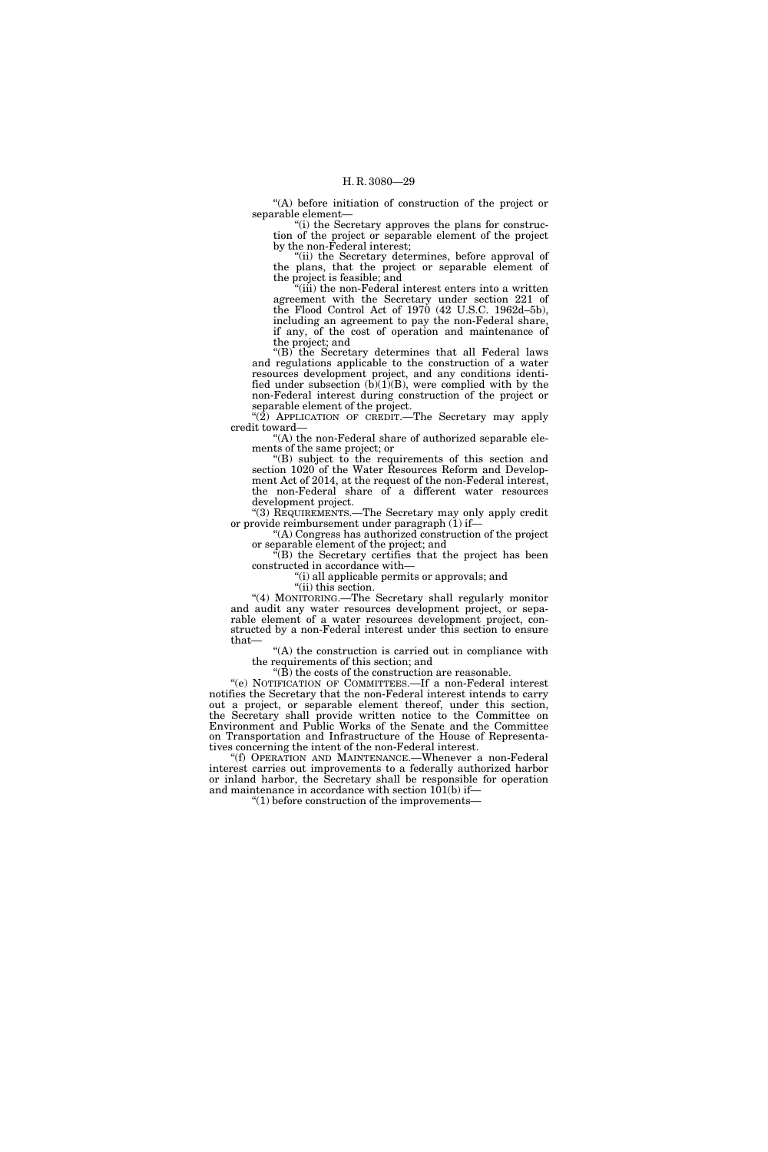''(A) before initiation of construction of the project or separable element—

''(i) the Secretary approves the plans for construction of the project or separable element of the project by the non-Federal interest;

''(ii) the Secretary determines, before approval of the plans, that the project or separable element of the project is feasible; and

(iii) the non-Federal interest enters into a written agreement with the Secretary under section 221 of the Flood Control Act of 1970 (42 U.S.C. 1962d–5b), including an agreement to pay the non-Federal share, if any, of the cost of operation and maintenance of the project; and

" $(B)$  the Secretary determines that all Federal laws and regulations applicable to the construction of a water resources development project, and any conditions identified under subsection  $(b)(1)(B)$ , were complied with by the non-Federal interest during construction of the project or separable element of the project.

" $(2)$  APPLICATION OF CREDIT.—The Secretary may apply credit toward—

"(A) the non-Federal share of authorized separable elements of the same project; or

''(B) subject to the requirements of this section and section 1020 of the Water Resources Reform and Development Act of 2014, at the request of the non-Federal interest, the non-Federal share of a different water resources development project.

"(3) REQUIREMENTS.—The Secretary may only apply credit or provide reimbursement under paragraph (1) if—

''(A) Congress has authorized construction of the project or separable element of the project; and

''(B) the Secretary certifies that the project has been constructed in accordance with—

''(i) all applicable permits or approvals; and

''(ii) this section.

"(4) MONITORING.—The Secretary shall regularly monitor and audit any water resources development project, or separable element of a water resources development project, constructed by a non-Federal interest under this section to ensure that—

"(A) the construction is carried out in compliance with the requirements of this section; and

" $(\tilde{B})$  the costs of the construction are reasonable.

''(e) NOTIFICATION OF COMMITTEES.—If a non-Federal interest notifies the Secretary that the non-Federal interest intends to carry out a project, or separable element thereof, under this section, the Secretary shall provide written notice to the Committee on Environment and Public Works of the Senate and the Committee on Transportation and Infrastructure of the House of Representatives concerning the intent of the non-Federal interest.

''(f) OPERATION AND MAINTENANCE.—Whenever a non-Federal interest carries out improvements to a federally authorized harbor or inland harbor, the Secretary shall be responsible for operation and maintenance in accordance with section  $101(b)$  if-

''(1) before construction of the improvements—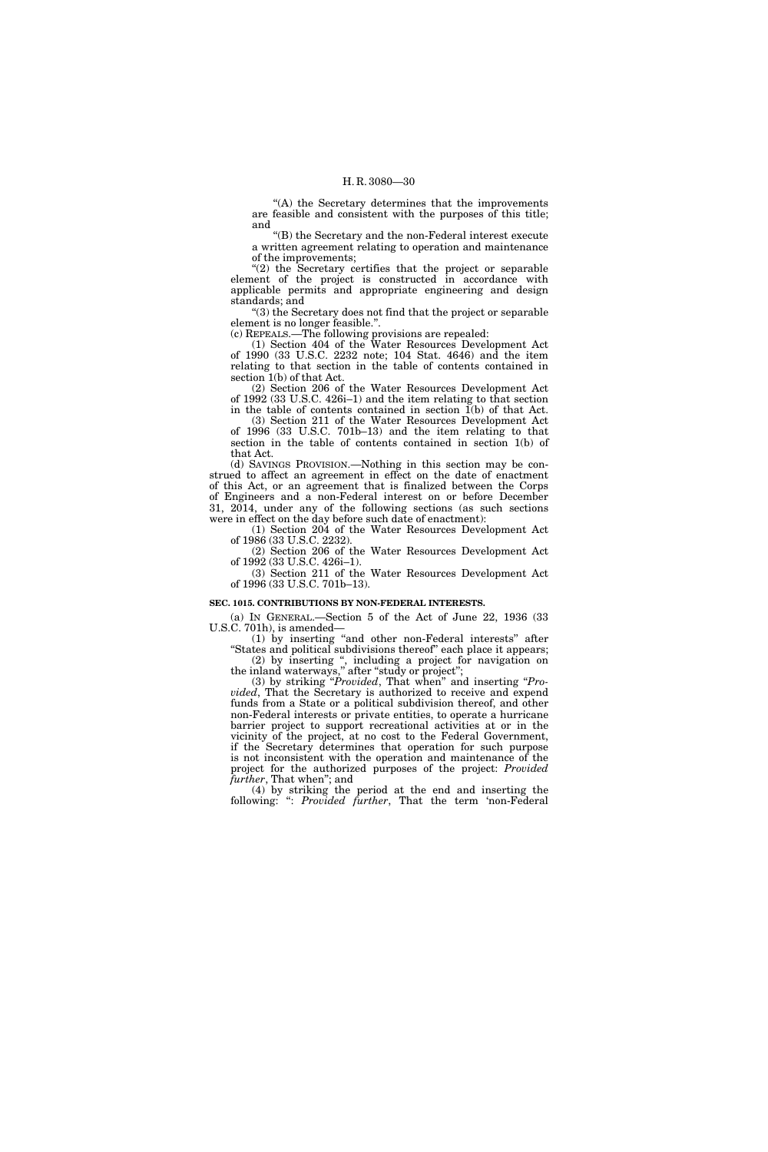''(A) the Secretary determines that the improvements are feasible and consistent with the purposes of this title; and

''(B) the Secretary and the non-Federal interest execute a written agreement relating to operation and maintenance of the improvements;

" $(2)$  the Secretary certifies that the project or separable element of the project is constructed in accordance with applicable permits and appropriate engineering and design standards; and

''(3) the Secretary does not find that the project or separable element is no longer feasible.''.

(c) REPEALS.—The following provisions are repealed:

(1) Section 404 of the Water Resources Development Act of 1990 (33 U.S.C. 2232 note; 104 Stat. 4646) and the item relating to that section in the table of contents contained in section 1(b) of that Act.

(2) Section 206 of the Water Resources Development Act of 1992 (33 U.S.C. 426i–1) and the item relating to that section in the table of contents contained in section  $\tilde{I}(b)$  of that Act.

(3) Section 211 of the Water Resources Development Act of 1996 (33 U.S.C. 701b–13) and the item relating to that section in the table of contents contained in section 1(b) of that Act.

(d) SAVINGS PROVISION.—Nothing in this section may be construed to affect an agreement in effect on the date of enactment of this Act, or an agreement that is finalized between the Corps of Engineers and a non-Federal interest on or before December  $31, 2014$ , under any of the following sections (as such sections were in effect on the day before such date of enactment):

(1) Section 204 of the Water Resources Development Act of 1986 (33 U.S.C. 2232).

(2) Section 206 of the Water Resources Development Act of 1992 (33 U.S.C. 426i–1).

(3) Section 211 of the Water Resources Development Act of 1996 (33 U.S.C. 701b–13).

#### **SEC. 1015. CONTRIBUTIONS BY NON-FEDERAL INTERESTS.**

(a) IN GENERAL.—Section 5 of the Act of June 22, 1936 (33 U.S.C. 701h), is amended—

(1) by inserting ''and other non-Federal interests'' after "States and political subdivisions thereof" each place it appears; (2) by inserting '', including a project for navigation on

the inland waterways,'' after ''study or project'';

(3) by striking ''*Provided*, That when'' and inserting ''*Provided*, That the Secretary is authorized to receive and expend funds from a State or a political subdivision thereof, and other non-Federal interests or private entities, to operate a hurricane barrier project to support recreational activities at or in the vicinity of the project, at no cost to the Federal Government, if the Secretary determines that operation for such purpose is not inconsistent with the operation and maintenance of the project for the authorized purposes of the project: *Provided further*, That when''; and

(4) by striking the period at the end and inserting the following: '': *Provided further*, That the term 'non-Federal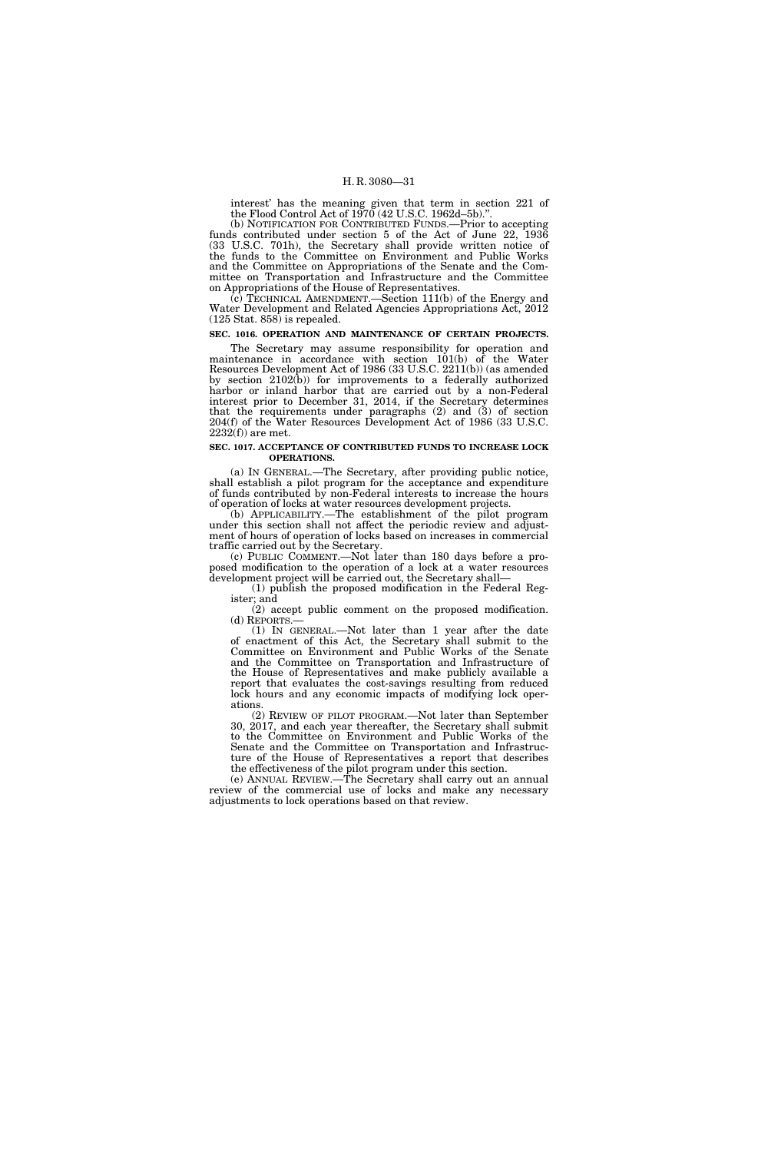interest' has the meaning given that term in section 221 of the Flood Control Act of  $1970(42$  U.S.C. 1962d–5b)."

(b) NOTIFICATION FOR CONTRIBUTED FUNDS.—Prior to accepting funds contributed under section 5 of the Act of June 22, 1936 (33 U.S.C. 701h), the Secretary shall provide written notice of the funds to the Committee on Environment and Public Works and the Committee on Appropriations of the Senate and the Committee on Transportation and Infrastructure and the Committee on Appropriations of the House of Representatives.

 $(c)$  TECHNICAL AMENDMENT.—Section 111(b) of the Energy and Water Development and Related Agencies Appropriations Act, 2012 (125 Stat. 858) is repealed.

## **SEC. 1016. OPERATION AND MAINTENANCE OF CERTAIN PROJECTS.**

The Secretary may assume responsibility for operation and maintenance in accordance with section 101(b) of the Water Resources Development Act of 1986 (33 U.S.C. 2211(b)) (as amended by section 2102(b)) for improvements to a federally authorized harbor or inland harbor that are carried out by a non-Federal interest prior to December 31, 2014, if the Secretary determines that the requirements under paragraphs (2) and (3) of section 204(f) of the Water Resources Development Act of 1986 (33 U.S.C. 2232(f)) are met.

#### **SEC. 1017. ACCEPTANCE OF CONTRIBUTED FUNDS TO INCREASE LOCK OPERATIONS.**

(a) IN GENERAL.—The Secretary, after providing public notice, shall establish a pilot program for the acceptance and expenditure of funds contributed by non-Federal interests to increase the hours of operation of locks at water resources development projects.

(b) APPLICABILITY.—The establishment of the pilot program under this section shall not affect the periodic review and adjustment of hours of operation of locks based on increases in commercial traffic carried out by the Secretary.

(c) PUBLIC COMMENT.—Not later than 180 days before a proposed modification to the operation of a lock at a water resources development project will be carried out, the Secretary shall—

(1) publish the proposed modification in the Federal Register; and

(2) accept public comment on the proposed modification.<br>(d) REPORTS.—

(1) IN GENERAL.—Not later than 1 year after the date of enactment of this Act, the Secretary shall submit to the Committee on Environment and Public Works of the Senate and the Committee on Transportation and Infrastructure of the House of Representatives and make publicly available a report that evaluates the cost-savings resulting from reduced lock hours and any economic impacts of modifying lock operations.

(2) REVIEW OF PILOT PROGRAM.—Not later than September 30, 2017, and each year thereafter, the Secretary shall submit to the Committee on Environment and Public Works of the Senate and the Committee on Transportation and Infrastructure of the House of Representatives a report that describes the effectiveness of the pilot program under this section.

(e) ANNUAL REVIEW.—The Secretary shall carry out an annual review of the commercial use of locks and make any necessary adjustments to lock operations based on that review.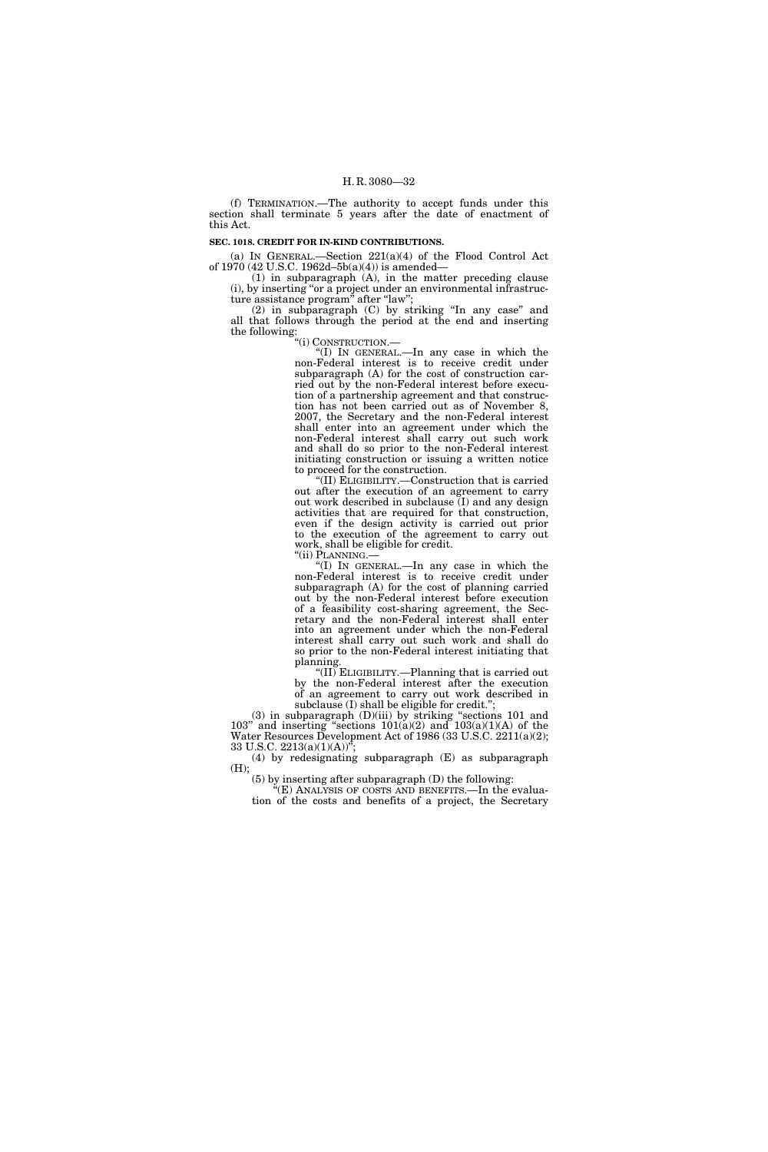(f) TERMINATION.—The authority to accept funds under this section shall terminate 5 years after the date of enactment of this Act.

#### **SEC. 1018. CREDIT FOR IN-KIND CONTRIBUTIONS.**

(a) IN GENERAL.—Section 221(a)(4) of the Flood Control Act of 1970 (42 U.S.C. 1962d–5b(a)(4)) is amended—

(1) in subparagraph (A), in the matter preceding clause (i), by inserting ''or a project under an environmental infrastructure assistance program'' after ''law'';

(2) in subparagraph (C) by striking ''In any case'' and all that follows through the period at the end and inserting the following:

''(i) CONSTRUCTION.—

''(I) IN GENERAL.—In any case in which the non-Federal interest is to receive credit under subparagraph (A) for the cost of construction carried out by the non-Federal interest before execution of a partnership agreement and that construction has not been carried out as of November 8, 2007, the Secretary and the non-Federal interest shall enter into an agreement under which the non-Federal interest shall carry out such work and shall do so prior to the non-Federal interest initiating construction or issuing a written notice to proceed for the construction.

''(II) ELIGIBILITY.—Construction that is carried out after the execution of an agreement to carry out work described in subclause  $(I)$  and any design activities that are required for that construction, even if the design activity is carried out prior to the execution of the agreement to carry out work, shall be eligible for credit.

"(I) IN GENERAL.—In any case in which the non-Federal interest is to receive credit under subparagraph (A) for the cost of planning carried out by the non-Federal interest before execution of a feasibility cost-sharing agreement, the Secretary and the non-Federal interest shall enter into an agreement under which the non-Federal interest shall carry out such work and shall do so prior to the non-Federal interest initiating that planning.

''(II) ELIGIBILITY.—Planning that is carried out by the non-Federal interest after the execution of an agreement to carry out work described in subclause (I) shall be eligible for credit.";

 $(3)$  in subparagraph  $(D)(iii)$  by striking "sections 101 and 103" and inserting "sections  $101(a)(2)$  and  $103(a)(1)(A)$  of the Water Resources Development Act of 1986 (33 U.S.C. 2211(a)(2); 33 U.S.C.  $2213(a)(1)(A))^{\prime}$ ;

(4) by redesignating subparagraph (E) as subparagraph (H);

(5) by inserting after subparagraph (D) the following:

''(E) ANALYSIS OF COSTS AND BENEFITS.—In the evaluation of the costs and benefits of a project, the Secretary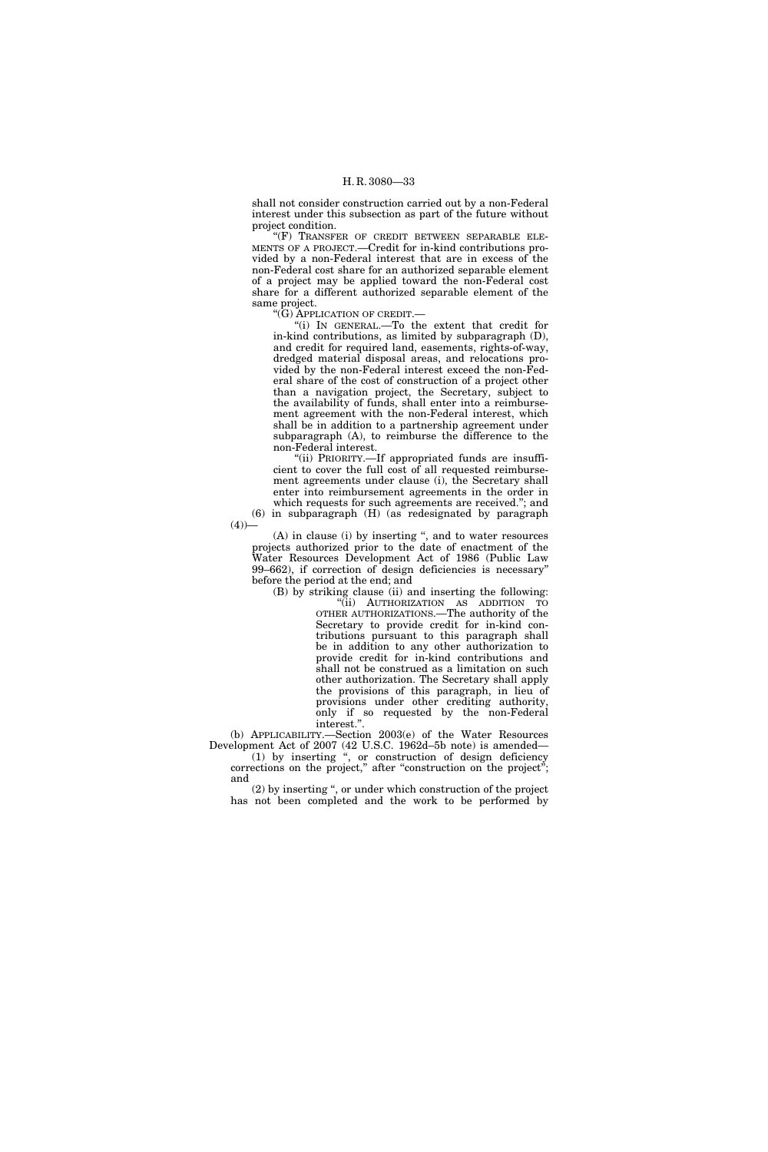shall not consider construction carried out by a non-Federal interest under this subsection as part of the future without project condition.

''(F) TRANSFER OF CREDIT BETWEEN SEPARABLE ELE-MENTS OF A PROJECT.—Credit for in-kind contributions provided by a non-Federal interest that are in excess of the non-Federal cost share for an authorized separable element of a project may be applied toward the non-Federal cost share for a different authorized separable element of the same project.

''(G) APPLICATION OF CREDIT.—

 $(4)$ )

''(i) IN GENERAL.—To the extent that credit for in-kind contributions, as limited by subparagraph (D), and credit for required land, easements, rights-of-way, dredged material disposal areas, and relocations provided by the non-Federal interest exceed the non-Federal share of the cost of construction of a project other than a navigation project, the Secretary, subject to the availability of funds, shall enter into a reimbursement agreement with the non-Federal interest, which shall be in addition to a partnership agreement under subparagraph (A), to reimburse the difference to the non-Federal interest.

"(ii) PRIORITY.-If appropriated funds are insufficient to cover the full cost of all requested reimbursement agreements under clause (i), the Secretary shall enter into reimbursement agreements in the order in which requests for such agreements are received.''; and (6) in subparagraph (H) (as redesignated by paragraph

(A) in clause (i) by inserting '', and to water resources projects authorized prior to the date of enactment of the Water Resources Development Act of 1986 (Public Law 99–662), if correction of design deficiencies is necessary'' before the period at the end; and

(B) by striking clause (ii) and inserting the following: "(ii) AUTHORIZATION AS ADDITION TO OTHER AUTHORIZATIONS.—The authority of the Secretary to provide credit for in-kind contributions pursuant to this paragraph shall be in addition to any other authorization to provide credit for in-kind contributions and shall not be construed as a limitation on such other authorization. The Secretary shall apply the provisions of this paragraph, in lieu of provisions under other crediting authority, only if so requested by the non-Federal interest.''.

(b) APPLICABILITY.—Section 2003(e) of the Water Resources Development Act of 2007 (42 U.S.C. 1962d–5b note) is amended— (1) by inserting '', or construction of design deficiency

corrections on the project,'' after ''construction on the project''; and

(2) by inserting '', or under which construction of the project has not been completed and the work to be performed by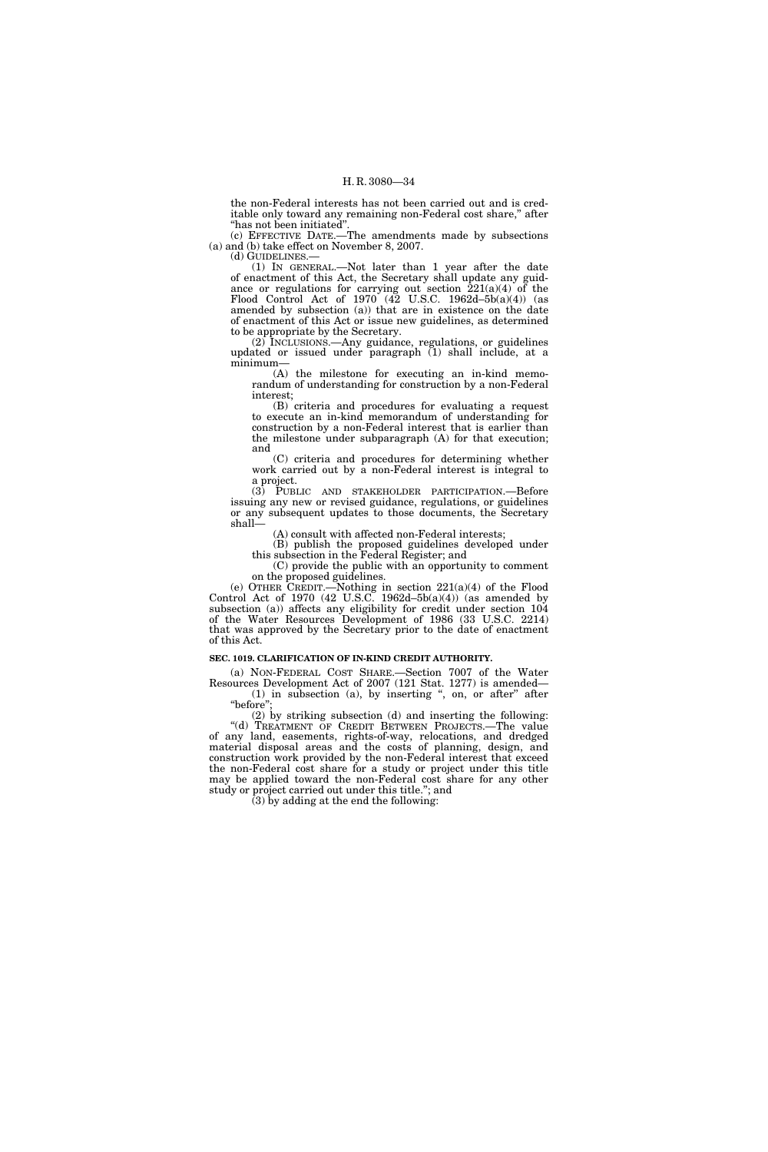the non-Federal interests has not been carried out and is creditable only toward any remaining non-Federal cost share," after ''has not been initiated''.

(c) EFFECTIVE DATE.—The amendments made by subsections (a) and (b) take effect on November 8, 2007.

(d) GUIDELINES.—

(1) IN GENERAL.—Not later than 1 year after the date of enactment of this Act, the Secretary shall update any guidance or regulations for carrying out section  $221(a)(4)$  of the Flood Control Act of 1970 (42 U.S.C. 1962d–5b(a)(4)) (as amended by subsection (a)) that are in existence on the date of enactment of this Act or issue new guidelines, as determined to be appropriate by the Secretary.

(2) INCLUSIONS.—Any guidance, regulations, or guidelines updated or issued under paragraph (1) shall include, at a minimum—

(A) the milestone for executing an in-kind memorandum of understanding for construction by a non-Federal interest;

(B) criteria and procedures for evaluating a request to execute an in-kind memorandum of understanding for construction by a non-Federal interest that is earlier than the milestone under subparagraph (A) for that execution; and

(C) criteria and procedures for determining whether work carried out by a non-Federal interest is integral to a project.

(3) PUBLIC AND STAKEHOLDER PARTICIPATION.—Before issuing any new or revised guidance, regulations, or guidelines or any subsequent updates to those documents, the Secretary shall—

(A) consult with affected non-Federal interests;

(B) publish the proposed guidelines developed under this subsection in the Federal Register; and

(C) provide the public with an opportunity to comment on the proposed guidelines.

(e) OTHER CREDIT.—Nothing in section 221(a)(4) of the Flood Control Act of 1970 (42 U.S.C. 1962d–5b(a)(4)) (as amended by subsection (a)) affects any eligibility for credit under section 104 of the Water Resources Development of 1986 (33 U.S.C. 2214) that was approved by the Secretary prior to the date of enactment of this Act.

#### **SEC. 1019. CLARIFICATION OF IN-KIND CREDIT AUTHORITY.**

(a) NON-FEDERAL COST SHARE.—Section 7007 of the Water Resources Development Act of 2007 (121 Stat. 1277) is amended—

 $(1)$  in subsection  $(a)$ , by inserting ", on, or after" after "before'

(2) by striking subsection (d) and inserting the following: "(d) TREATMENT OF CREDIT BETWEEN PROJECTS.—The value of any land, easements, rights-of-way, relocations, and dredged material disposal areas and the costs of planning, design, and construction work provided by the non-Federal interest that exceed the non-Federal cost share for a study or project under this title may be applied toward the non-Federal cost share for any other study or project carried out under this title.''; and

 $(3)$  by adding at the end the following: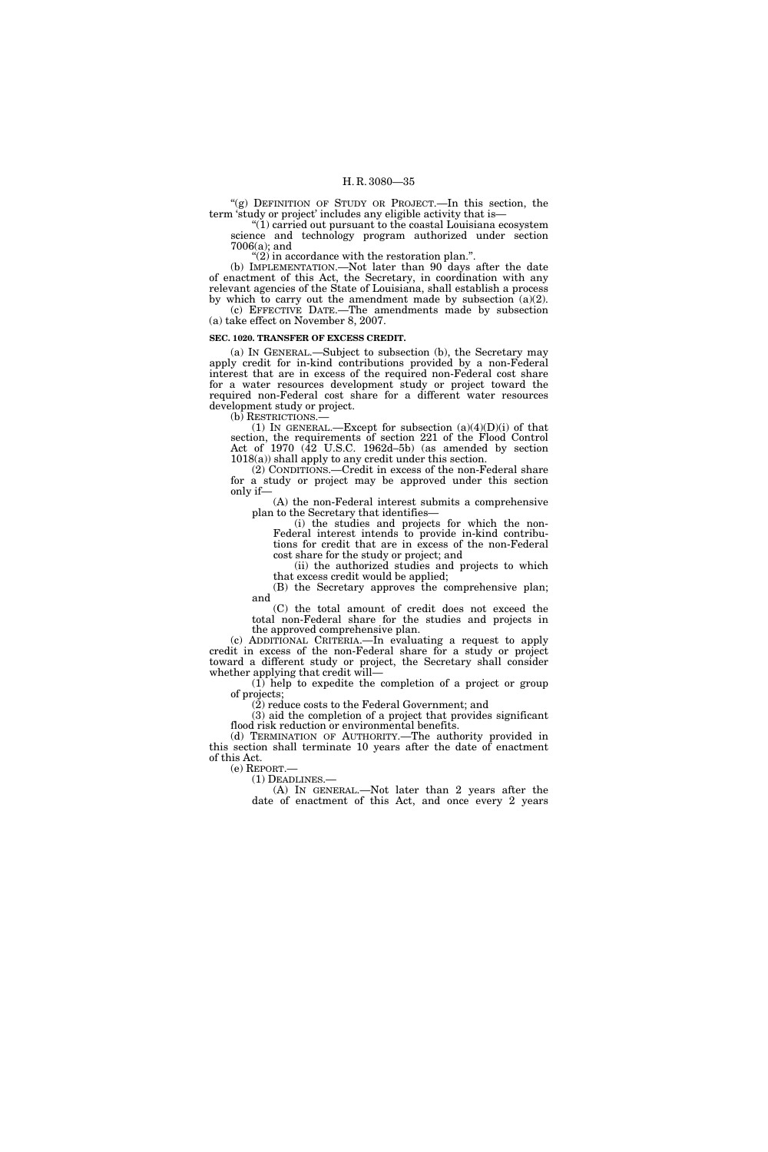''(g) DEFINITION OF STUDY OR PROJECT.—In this section, the term 'study or project' includes any eligible activity that is—

''(1) carried out pursuant to the coastal Louisiana ecosystem science and technology program authorized under section 7006(a); and

 $(2)$  in accordance with the restoration plan.".

(b) IMPLEMENTATION.—Not later than 90 days after the date of enactment of this Act, the Secretary, in coordination with any relevant agencies of the State of Louisiana, shall establish a process by which to carry out the amendment made by subsection (a)(2). (c) EFFECTIVE DATE.—The amendments made by subsection (a) take effect on November 8, 2007.

#### **SEC. 1020. TRANSFER OF EXCESS CREDIT.**

(a) IN GENERAL.—Subject to subsection (b), the Secretary may apply credit for in-kind contributions provided by a non-Federal interest that are in excess of the required non-Federal cost share for a water resources development study or project toward the required non-Federal cost share for a different water resources development study or project.

(b) RESTRICTIONS.—

(1) IN GENERAL.—Except for subsection  $(a)(4)(D)(i)$  of that section, the requirements of section 221 of the Flood Control Act of 1970  $(\overline{42} \text{ U.S.C. } 1962d - 5b)$  (as amended by section 1018(a)) shall apply to any credit under this section.

(2) CONDITIONS.—Credit in excess of the non-Federal share for a study or project may be approved under this section only if—

(A) the non-Federal interest submits a comprehensive plan to the Secretary that identifies—

(i) the studies and projects for which the non-Federal interest intends to provide in-kind contributions for credit that are in excess of the non-Federal cost share for the study or project; and

(ii) the authorized studies and projects to which that excess credit would be applied;

(B) the Secretary approves the comprehensive plan; and

(C) the total amount of credit does not exceed the total non-Federal share for the studies and projects in the approved comprehensive plan.

(c) ADDITIONAL CRITERIA.—In evaluating a request to apply credit in excess of the non-Federal share for a study or project toward a different study or project, the Secretary shall consider whether applying that credit will-

(1) help to expedite the completion of a project or group of projects;

 $(2)$  reduce costs to the Federal Government: and

(3) aid the completion of a project that provides significant flood risk reduction or environmental benefits.

(d) TERMINATION OF AUTHORITY.—The authority provided in this section shall terminate 10 years after the date of enactment of this Act.<br>(e)  $REPORT.$ —

(1) DEADLINES.—<br>(A) IN GENERAL.—Not later than 2 years after the date of enactment of this Act, and once every 2 years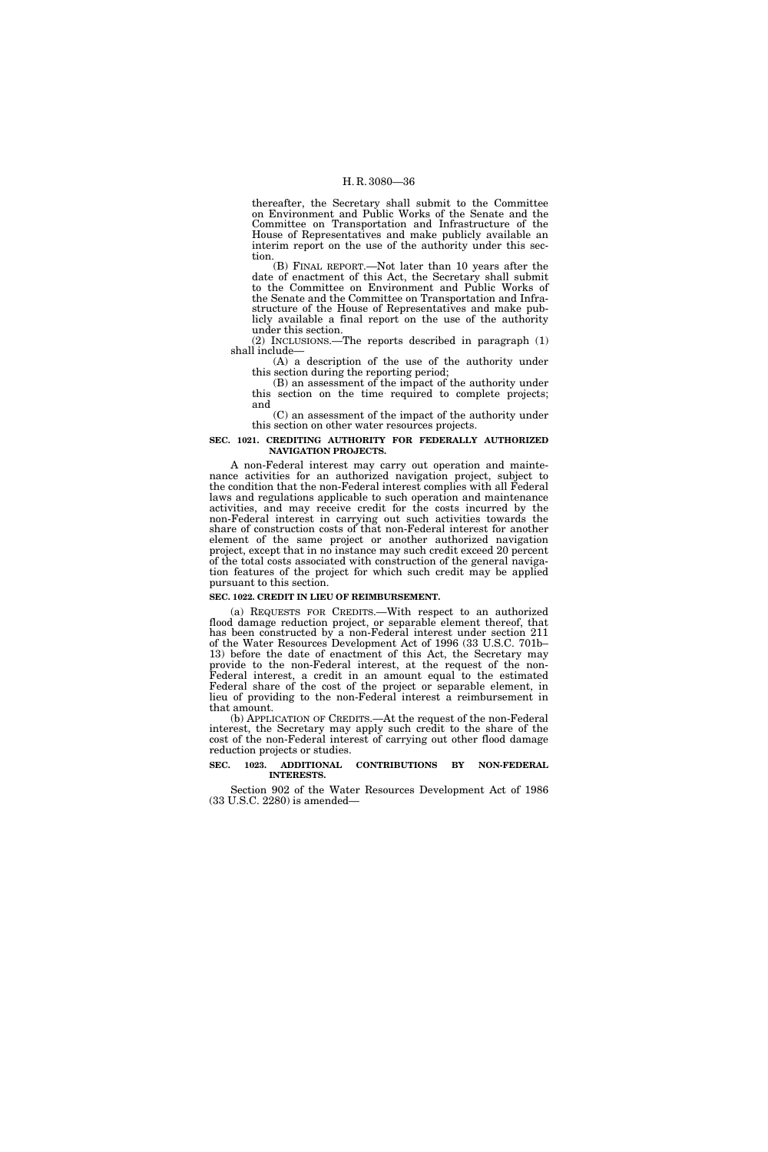thereafter, the Secretary shall submit to the Committee on Environment and Public Works of the Senate and the Committee on Transportation and Infrastructure of the House of Representatives and make publicly available an interim report on the use of the authority under this section.

(B) FINAL REPORT.—Not later than 10 years after the date of enactment of this Act, the Secretary shall submit to the Committee on Environment and Public Works of the Senate and the Committee on Transportation and Infrastructure of the House of Representatives and make publicly available a final report on the use of the authority under this section.

(2) INCLUSIONS.—The reports described in paragraph (1) shall include—

(A) a description of the use of the authority under this section during the reporting period;

(B) an assessment of the impact of the authority under this section on the time required to complete projects; and

(C) an assessment of the impact of the authority under this section on other water resources projects.

#### **SEC. 1021. CREDITING AUTHORITY FOR FEDERALLY AUTHORIZED NAVIGATION PROJECTS.**

A non-Federal interest may carry out operation and maintenance activities for an authorized navigation project, subject to the condition that the non-Federal interest complies with all Federal laws and regulations applicable to such operation and maintenance activities, and may receive credit for the costs incurred by the non-Federal interest in carrying out such activities towards the share of construction costs of that non-Federal interest for another element of the same project or another authorized navigation project, except that in no instance may such credit exceed 20 percent of the total costs associated with construction of the general navigation features of the project for which such credit may be applied pursuant to this section.

### **SEC. 1022. CREDIT IN LIEU OF REIMBURSEMENT.**

(a) REQUESTS FOR CREDITS.—With respect to an authorized flood damage reduction project, or separable element thereof, that has been constructed by a non-Federal interest under section 211 of the Water Resources Development Act of 1996 (33 U.S.C. 701b– 13) before the date of enactment of this Act, the Secretary may provide to the non-Federal interest, at the request of the non-Federal interest, a credit in an amount equal to the estimated Federal share of the cost of the project or separable element, in lieu of providing to the non-Federal interest a reimbursement in that amount.

(b) APPLICATION OF CREDITS.—At the request of the non-Federal interest, the Secretary may apply such credit to the share of the cost of the non-Federal interest of carrying out other flood damage reduction projects or studies.

## **SEC. 1023. ADDITIONAL CONTRIBUTIONS BY NON-FEDERAL INTERESTS.**

Section 902 of the Water Resources Development Act of 1986 (33 U.S.C. 2280) is amended—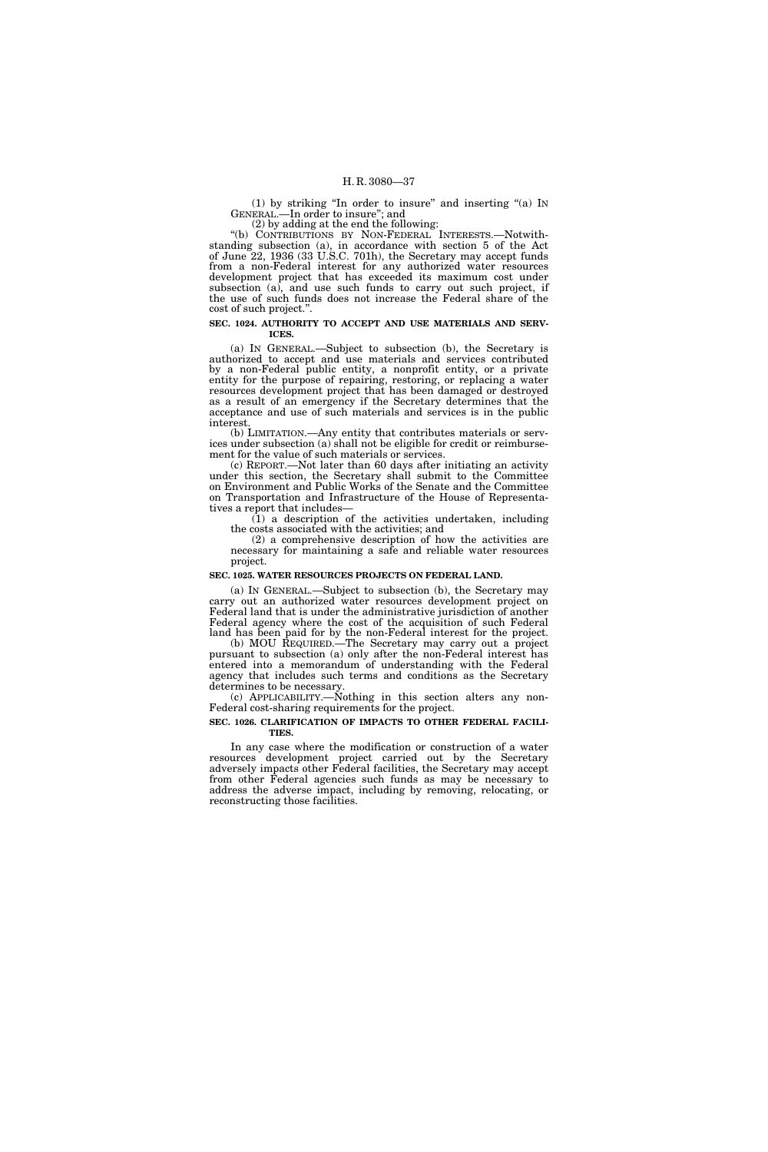(1) by striking ''In order to insure'' and inserting ''(a) IN GENERAL.—In order to insure''; and

(2) by adding at the end the following:

''(b) CONTRIBUTIONS BY NON-FEDERAL INTERESTS.—Notwithstanding subsection (a), in accordance with section 5 of the Act of June 22, 1936 (33 U.S.C. 701h), the Secretary may accept funds from a non-Federal interest for any authorized water resources development project that has exceeded its maximum cost under subsection (a), and use such funds to carry out such project, if the use of such funds does not increase the Federal share of the cost of such project.''.

#### **SEC. 1024. AUTHORITY TO ACCEPT AND USE MATERIALS AND SERV-ICES.**

(a) IN GENERAL.—Subject to subsection (b), the Secretary is authorized to accept and use materials and services contributed by a non-Federal public entity, a nonprofit entity, or a private entity for the purpose of repairing, restoring, or replacing a water resources development project that has been damaged or destroyed as a result of an emergency if the Secretary determines that the acceptance and use of such materials and services is in the public interest.

(b) LIMITATION.—Any entity that contributes materials or services under subsection (a) shall not be eligible for credit or reimbursement for the value of such materials or services.

(c) REPORT.—Not later than 60 days after initiating an activity under this section, the Secretary shall submit to the Committee on Environment and Public Works of the Senate and the Committee on Transportation and Infrastructure of the House of Representatives a report that includes—

 $(1)$  a description of the activities undertaken, including the costs associated with the activities; and

(2) a comprehensive description of how the activities are necessary for maintaining a safe and reliable water resources project.

# **SEC. 1025. WATER RESOURCES PROJECTS ON FEDERAL LAND.**

(a) IN GENERAL.—Subject to subsection (b), the Secretary may carry out an authorized water resources development project on Federal land that is under the administrative jurisdiction of another Federal agency where the cost of the acquisition of such Federal land has been paid for by the non-Federal interest for the project.

(b) MOU REQUIRED.—The Secretary may carry out a project pursuant to subsection (a) only after the non-Federal interest has entered into a memorandum of understanding with the Federal agency that includes such terms and conditions as the Secretary determines to be necessary.

(c) APPLICABILITY.—Nothing in this section alters any non-Federal cost-sharing requirements for the project.

#### **SEC. 1026. CLARIFICATION OF IMPACTS TO OTHER FEDERAL FACILI-TIES.**

In any case where the modification or construction of a water resources development project carried out by the Secretary adversely impacts other Federal facilities, the Secretary may accept from other Federal agencies such funds as may be necessary to address the adverse impact, including by removing, relocating, or reconstructing those facilities.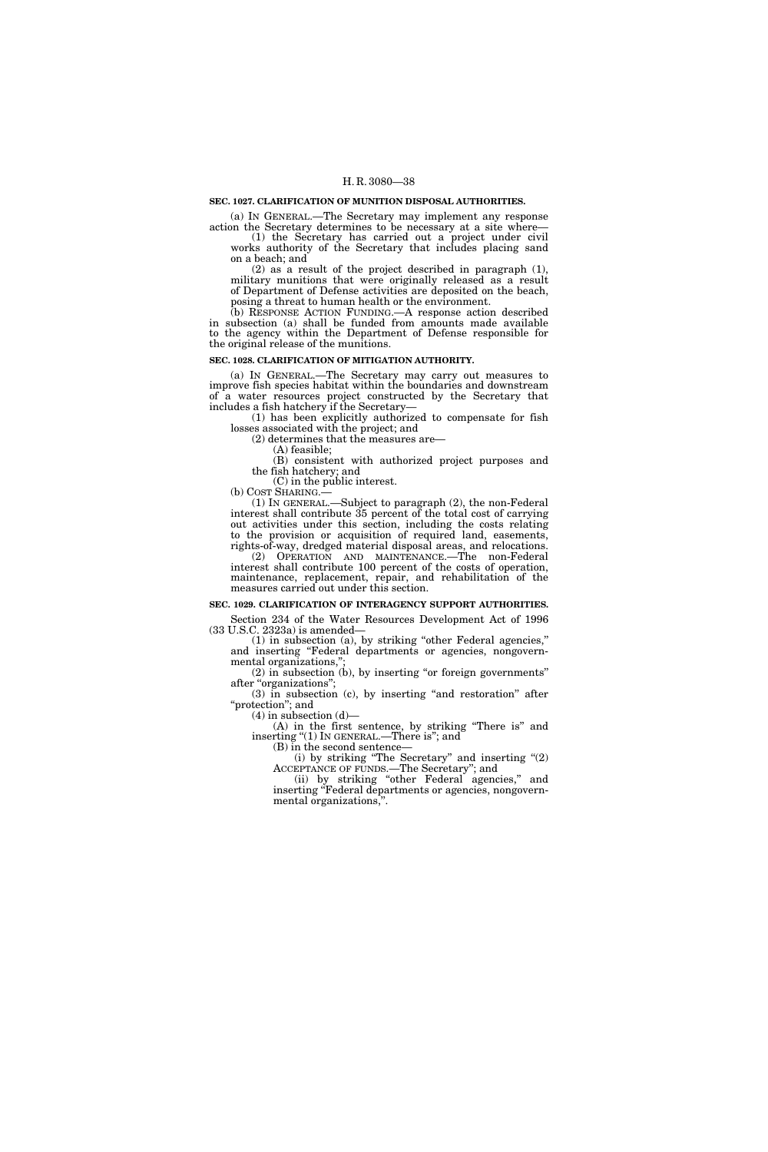#### **SEC. 1027. CLARIFICATION OF MUNITION DISPOSAL AUTHORITIES.**

(a) IN GENERAL.—The Secretary may implement any response

action the Secretary determines to be necessary at a site where— (1) the Secretary has carried out a project under civil works authority of the Secretary that includes placing sand on a beach; and

(2) as a result of the project described in paragraph (1), military munitions that were originally released as a result of Department of Defense activities are deposited on the beach, posing a threat to human health or the environment.

(b) RESPONSE ACTION FUNDING.—A response action described in subsection (a) shall be funded from amounts made available to the agency within the Department of Defense responsible for the original release of the munitions.

#### **SEC. 1028. CLARIFICATION OF MITIGATION AUTHORITY.**

(a) IN GENERAL.—The Secretary may carry out measures to improve fish species habitat within the boundaries and downstream of a water resources project constructed by the Secretary that includes a fish hatchery if the Secretary—

(1) has been explicitly authorized to compensate for fish losses associated with the project; and

(2) determines that the measures are—

(A) feasible;

(B) consistent with authorized project purposes and the fish hatchery; and

(C) in the public interest. (b) COST SHARING.—

(1) IN GENERAL.—Subject to paragraph (2), the non-Federal interest shall contribute 35 percent of the total cost of carrying out activities under this section, including the costs relating to the provision or acquisition of required land, easements, rights-of-way, dredged material disposal areas, and relocations.

(2) OPERATION AND MAINTENANCE.—The non-Federal interest shall contribute 100 percent of the costs of operation, maintenance, replacement, repair, and rehabilitation of the measures carried out under this section.

# **SEC. 1029. CLARIFICATION OF INTERAGENCY SUPPORT AUTHORITIES.**

Section 234 of the Water Resources Development Act of 1996 (33 U.S.C. 2323a) is amended—

(1) in subsection (a), by striking ''other Federal agencies,'' and inserting ''Federal departments or agencies, nongovernmental organizations,

 $(2)$  in subsection  $(b)$ , by inserting "or foreign governments" after "organizations";

(3) in subsection (c), by inserting ''and restoration'' after ''protection''; and

 $(4)$  in subsection  $(d)$ —

(A) in the first sentence, by striking ''There is'' and inserting "(1) IN GENERAL.—There is"; and

(B) in the second sentence—

(i) by striking ''The Secretary'' and inserting ''(2) ACCEPTANCE OF FUNDS.—The Secretary''; and

(ii) by striking "other Federal agencies," and inserting "Federal departments or agencies, nongovernmental organizations,''.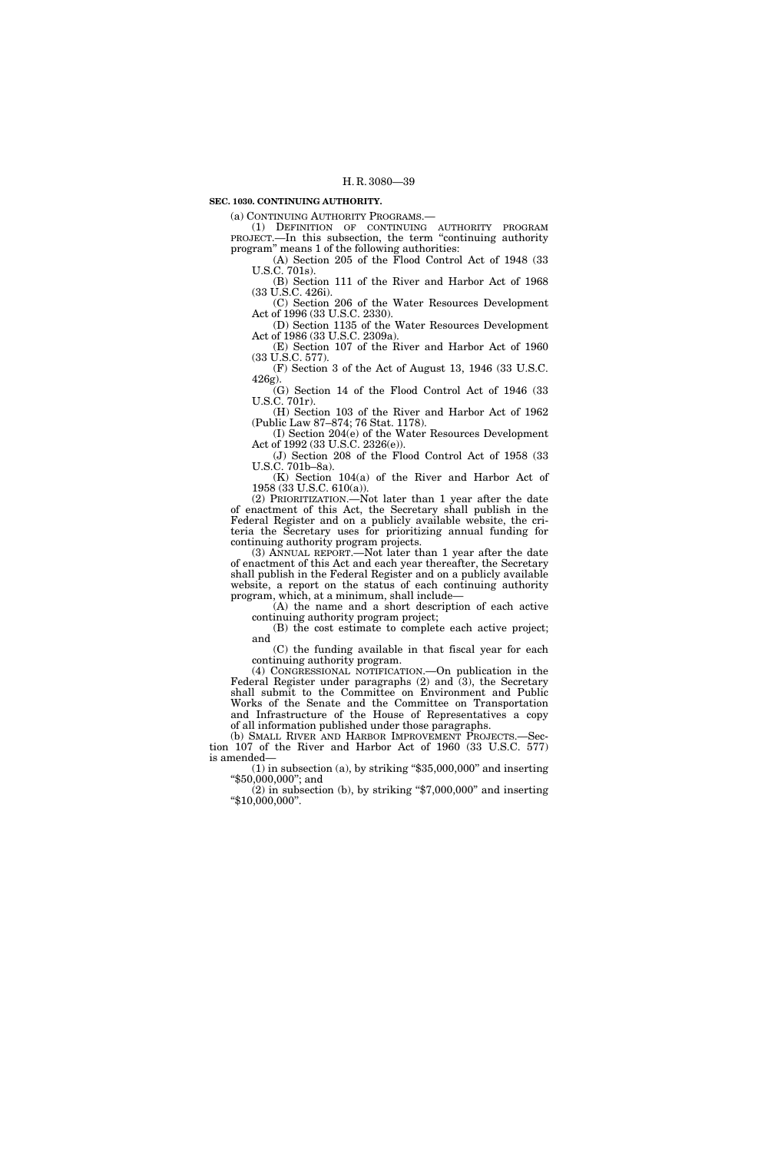# **SEC. 1030. CONTINUING AUTHORITY.**

(a) CONTINUING AUTHORITY PROGRAMS.—

(1) DEFINITION OF CONTINUING AUTHORITY PROGRAM PROJECT.—In this subsection, the term "continuing authority program'' means 1 of the following authorities:

(A) Section 205 of the Flood Control Act of 1948 (33 U.S.C. 701s).

(B) Section 111 of the River and Harbor Act of 1968 (33 U.S.C. 426i).

(C) Section 206 of the Water Resources Development Act of 1996 (33 U.S.C. 2330).

(D) Section 1135 of the Water Resources Development Act of 1986 (33 U.S.C. 2309a).

(E) Section 107 of the River and Harbor Act of 1960 (33 U.S.C. 577). (F) Section 3 of the Act of August 13, 1946 (33 U.S.C.

426g).

(G) Section 14 of the Flood Control Act of 1946 (33 U.S.C. 701r).

(H) Section 103 of the River and Harbor Act of 1962 (Public Law 87–874; 76 Stat. 1178).

(I) Section 204(e) of the Water Resources Development Act of 1992 (33 U.S.C. 2326(e)).

(J) Section 208 of the Flood Control Act of 1958 (33 U.S.C. 701b–8a).

(K) Section 104(a) of the River and Harbor Act of 1958 (33 U.S.C. 610(a)).

(2) PRIORITIZATION.—Not later than 1 year after the date of enactment of this Act, the Secretary shall publish in the Federal Register and on a publicly available website, the criteria the Secretary uses for prioritizing annual funding for continuing authority program projects.

(3) ANNUAL REPORT.—Not later than 1 year after the date of enactment of this Act and each year thereafter, the Secretary shall publish in the Federal Register and on a publicly available website, a report on the status of each continuing authority program, which, at a minimum, shall include—

(A) the name and a short description of each active continuing authority program project;

(B) the cost estimate to complete each active project; and

(C) the funding available in that fiscal year for each continuing authority program.

(4) CONGRESSIONAL NOTIFICATION.—On publication in the Federal Register under paragraphs  $(2)$  and  $(3)$ , the Secretary shall submit to the Committee on Environment and Public Works of the Senate and the Committee on Transportation and Infrastructure of the House of Representatives a copy of all information published under those paragraphs.

(b) SMALL RIVER AND HARBOR IMPROVEMENT PROJECTS.—Section 107 of the River and Harbor Act of 1960 (33 U.S.C. 577) is amended—

 $(1)$  in subsection  $(a)$ , by striking "\$35,000,000" and inserting ''\$50,000,000''; and

 $(2)$  in subsection  $(b)$ , by striking "\$7,000,000" and inserting ''\$10,000,000''.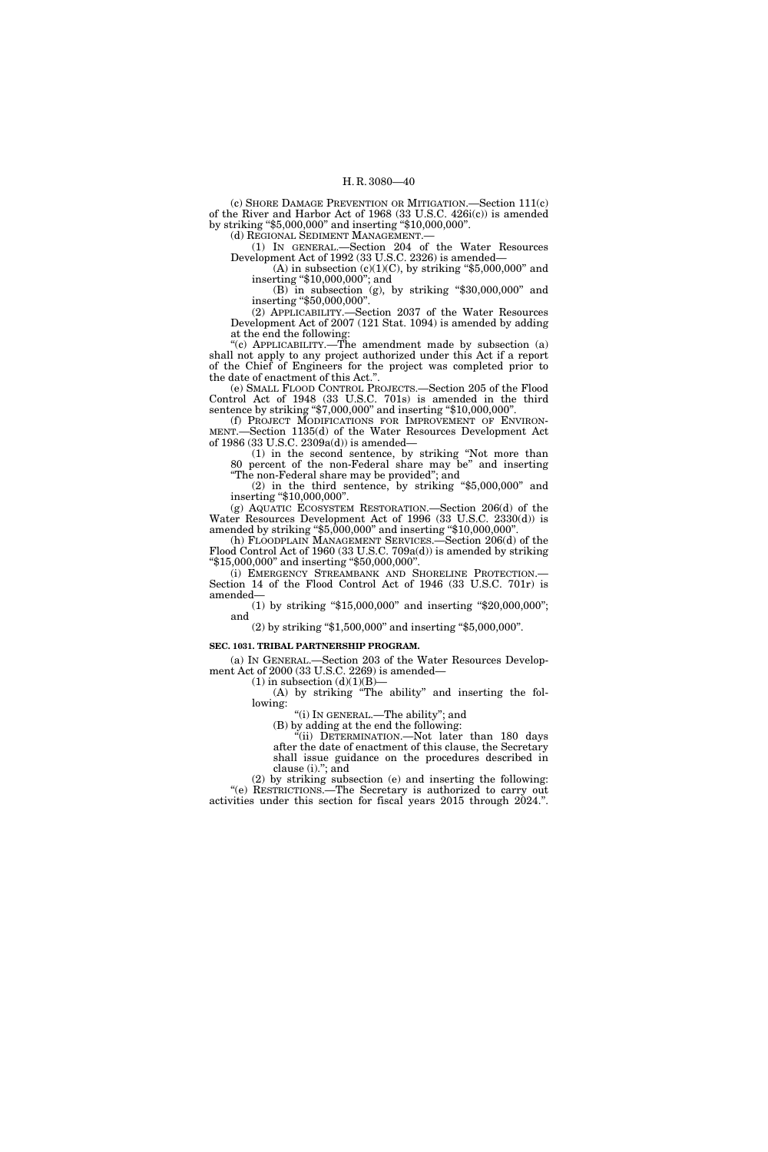(c) SHORE DAMAGE PREVENTION OR MITIGATION.—Section 111(c) of the River and Harbor Act of 1968 (33 U.S.C. 426i(c)) is amended by striking ''\$5,000,000'' and inserting ''\$10,000,000''.

(d) REGIONAL SEDIMENT MANAGEMENT.—

(1) IN GENERAL.—Section 204 of the Water Resources Development Act of 1992 (33 U.S.C. 2326) is amended—

(A) in subsection  $(c)(1)(C)$ , by striking "\$5,000,000" and inserting ''\$10,000,000''; and

(B) in subsection (g), by striking ''\$30,000,000'' and inserting "\$50,000,000".

(2) APPLICABILITY.—Section 2037 of the Water Resources Development Act of 2007 (121 Stat. 1094) is amended by adding at the end the following:

"(c) APPLICABILITY.—The amendment made by subsection (a) shall not apply to any project authorized under this Act if a report of the Chief of Engineers for the project was completed prior to the date of enactment of this Act.''.

(e) SMALL FLOOD CONTROL PROJECTS.—Section 205 of the Flood Control Act of 1948 (33 U.S.C. 701s) is amended in the third sentence by striking "\$7,000,000" and inserting "\$10,000,000".

(f) PROJECT MODIFICATIONS FOR IMPROVEMENT OF ENVIRON-MENT.—Section 1135(d) of the Water Resources Development Act of 1986 (33 U.S.C. 2309a(d)) is amended—

(1) in the second sentence, by striking ''Not more than 80 percent of the non-Federal share may be'' and inserting ''The non-Federal share may be provided''; and

 $(2)$  in the third sentence, by striking "\$5,000,000" and inserting "\$10,000,000".

(g) AQUATIC ECOSYSTEM RESTORATION.—Section 206(d) of the Water Resources Development Act of 1996 (33 U.S.C. 2330(d)) is amended by striking "\$5,000,000" and inserting "\$10,000,000".

(h) FLOODPLAIN MANAGEMENT SERVICES.—Section 206(d) of the Flood Control Act of 1960 (33 U.S.C. 709a(d)) is amended by striking ''\$15,000,000'' and inserting ''\$50,000,000''.

(i) EMERGENCY STREAMBANK AND SHORELINE PROTECTION.— Section 14 of the Flood Control Act of 1946 (33 U.S.C. 701r) is amended—

(1) by striking ''\$15,000,000'' and inserting ''\$20,000,000''; and

(2) by striking ''\$1,500,000'' and inserting ''\$5,000,000''.

#### **SEC. 1031. TRIBAL PARTNERSHIP PROGRAM.**

(a) IN GENERAL.—Section 203 of the Water Resources Development Act of 2000 (33 U.S.C. 2269) is amended—

(1) in subsection  $(d)(1)(B)$ —

(A) by striking ''The ability'' and inserting the following:

"(i) IN GENERAL.—The ability"; and

(B) by adding at the end the following:

''(ii) DETERMINATION.—Not later than 180 days after the date of enactment of this clause, the Secretary shall issue guidance on the procedures described in clause (i).''; and

(2) by striking subsection (e) and inserting the following: ''(e) RESTRICTIONS.—The Secretary is authorized to carry out activities under this section for fiscal years 2015 through 2024.''.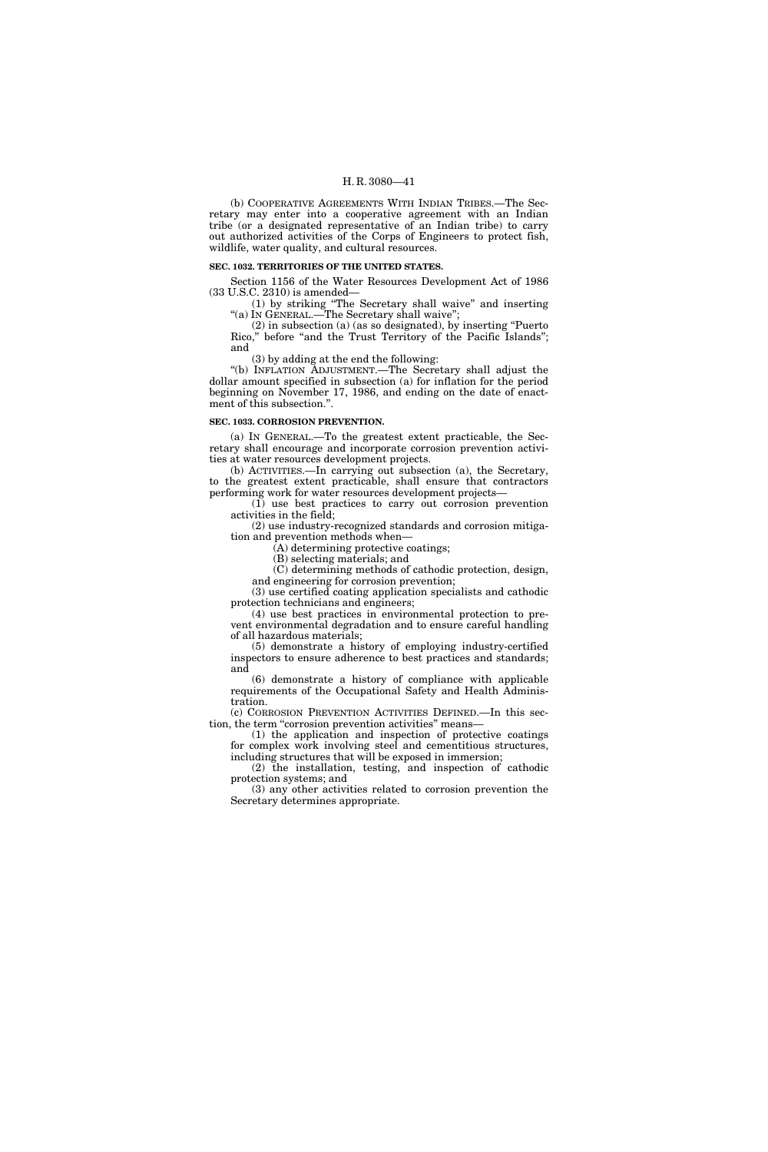(b) COOPERATIVE AGREEMENTS WITH INDIAN TRIBES.—The Secretary may enter into a cooperative agreement with an Indian tribe (or a designated representative of an Indian tribe) to carry out authorized activities of the Corps of Engineers to protect fish, wildlife, water quality, and cultural resources.

## **SEC. 1032. TERRITORIES OF THE UNITED STATES.**

Section 1156 of the Water Resources Development Act of 1986 (33 U.S.C. 2310) is amended—

(1) by striking ''The Secretary shall waive'' and inserting ''(a) IN GENERAL.—The Secretary shall waive'';

(2) in subsection (a) (as so designated), by inserting ''Puerto Rico," before "and the Trust Territory of the Pacific Islands"; and

(3) by adding at the end the following:

''(b) INFLATION ADJUSTMENT.—The Secretary shall adjust the dollar amount specified in subsection (a) for inflation for the period beginning on November 17, 1986, and ending on the date of enactment of this subsection.''.

## **SEC. 1033. CORROSION PREVENTION.**

(a) IN GENERAL.—To the greatest extent practicable, the Secretary shall encourage and incorporate corrosion prevention activities at water resources development projects.

(b) ACTIVITIES.—In carrying out subsection (a), the Secretary, to the greatest extent practicable, shall ensure that contractors performing work for water resources development projects—

(1) use best practices to carry out corrosion prevention activities in the field;

(2) use industry-recognized standards and corrosion mitigation and prevention methods when—

(A) determining protective coatings;

(B) selecting materials; and

(C) determining methods of cathodic protection, design, and engineering for corrosion prevention;

(3) use certified coating application specialists and cathodic protection technicians and engineers;

(4) use best practices in environmental protection to prevent environmental degradation and to ensure careful handling of all hazardous materials;

(5) demonstrate a history of employing industry-certified inspectors to ensure adherence to best practices and standards; and

(6) demonstrate a history of compliance with applicable requirements of the Occupational Safety and Health Administration.

(c) CORROSION PREVENTION ACTIVITIES DEFINED.—In this section, the term "corrosion prevention activities" means—

(1) the application and inspection of protective coatings for complex work involving steel and cementitious structures, including structures that will be exposed in immersion;

(2) the installation, testing, and inspection of cathodic protection systems; and

(3) any other activities related to corrosion prevention the Secretary determines appropriate.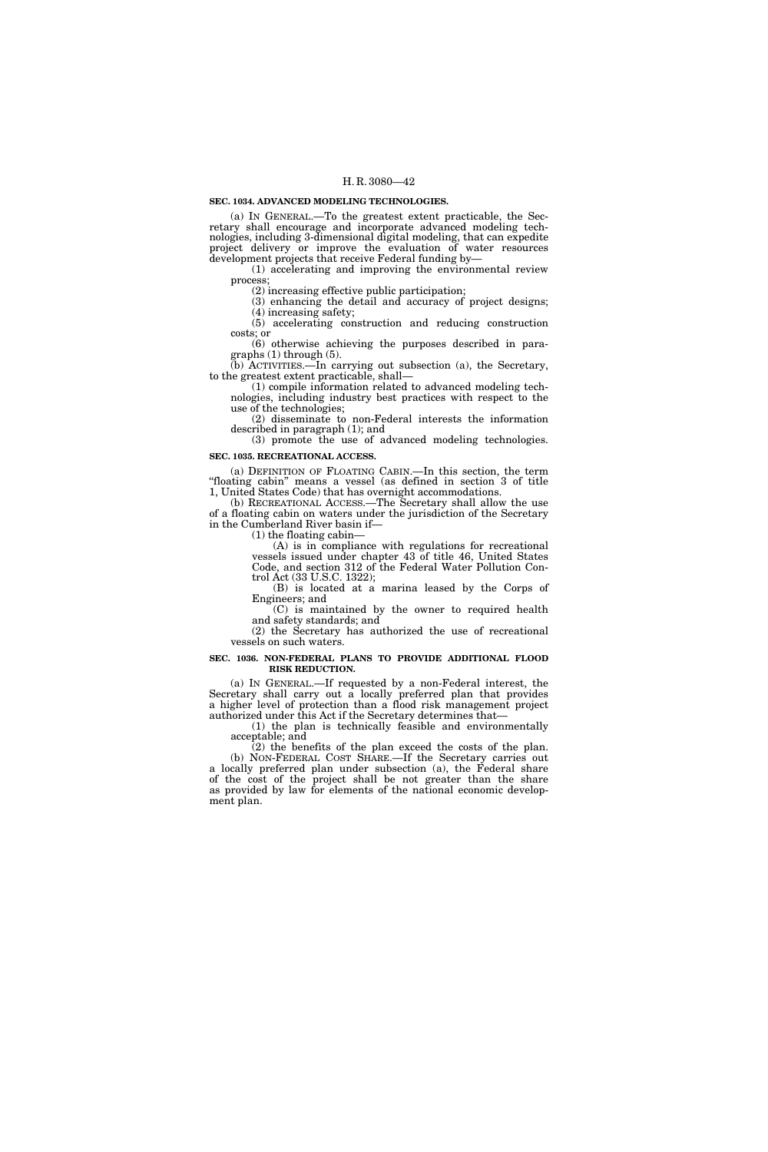## **SEC. 1034. ADVANCED MODELING TECHNOLOGIES.**

(a) IN GENERAL.—To the greatest extent practicable, the Secretary shall encourage and incorporate advanced modeling technologies, including 3-dimensional digital modeling, that can expedite project delivery or improve the evaluation of water resources development projects that receive Federal funding by—

(1) accelerating and improving the environmental review process;

(2) increasing effective public participation;

(3) enhancing the detail and accuracy of project designs; (4) increasing safety;

(5) accelerating construction and reducing construction costs; or

(6) otherwise achieving the purposes described in paragraphs (1) through (5).

(b) ACTIVITIES.—In carrying out subsection (a), the Secretary, to the greatest extent practicable, shall—

(1) compile information related to advanced modeling technologies, including industry best practices with respect to the use of the technologies;

(2) disseminate to non-Federal interests the information described in paragraph (1); and

(3) promote the use of advanced modeling technologies.

# **SEC. 1035. RECREATIONAL ACCESS.**

(a) DEFINITION OF FLOATING CABIN.—In this section, the term ''floating cabin'' means a vessel (as defined in section 3 of title 1, United States Code) that has overnight accommodations.

(b) RECREATIONAL ACCESS.—The Secretary shall allow the use of a floating cabin on waters under the jurisdiction of the Secretary in the Cumberland River basin if—

(1) the floating cabin—

(A) is in compliance with regulations for recreational vessels issued under chapter 43 of title 46, United States Code, and section 312 of the Federal Water Pollution Control Act (33 U.S.C. 1322);

(B) is located at a marina leased by the Corps of Engineers; and

(C) is maintained by the owner to required health and safety standards; and

(2) the Secretary has authorized the use of recreational vessels on such waters.

#### **SEC. 1036. NON-FEDERAL PLANS TO PROVIDE ADDITIONAL FLOOD RISK REDUCTION.**

(a) IN GENERAL.—If requested by a non-Federal interest, the Secretary shall carry out a locally preferred plan that provides a higher level of protection than a flood risk management project authorized under this Act if the Secretary determines that—

(1) the plan is technically feasible and environmentally acceptable; and

(2) the benefits of the plan exceed the costs of the plan. (b) NON-FEDERAL COST SHARE.—If the Secretary carries out a locally preferred plan under subsection (a), the Federal share of the cost of the project shall be not greater than the share as provided by law for elements of the national economic development plan.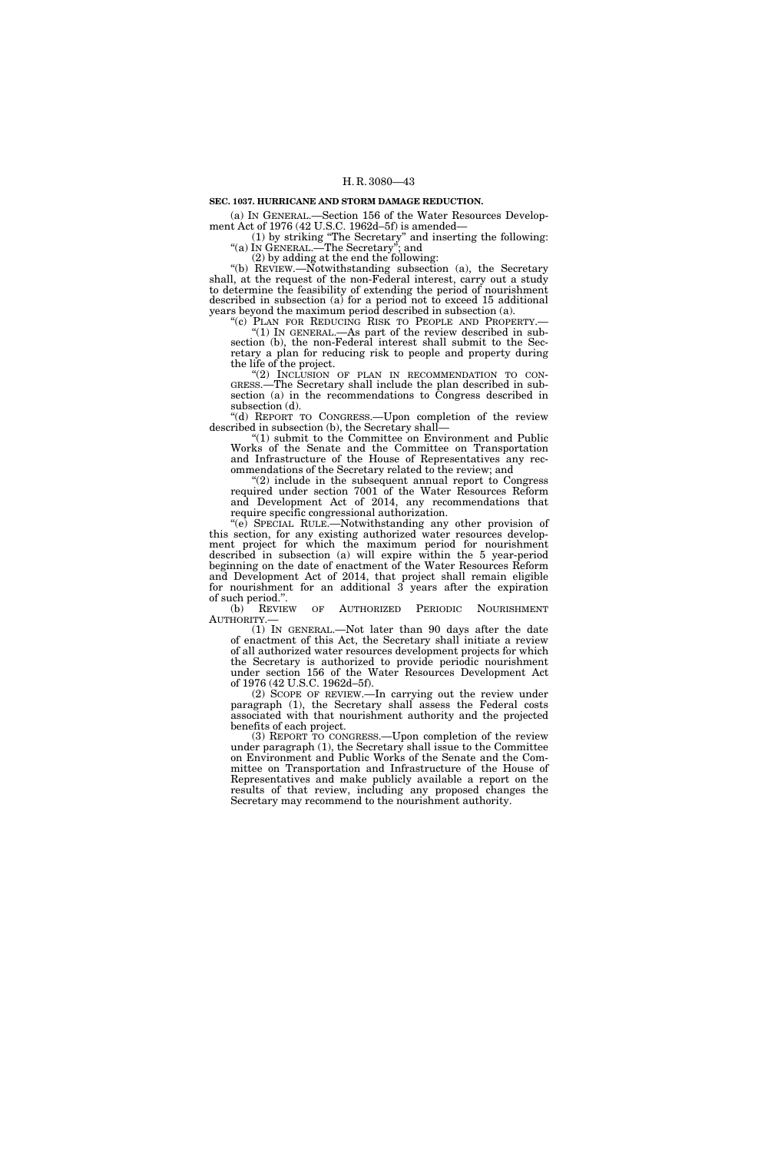#### **SEC. 1037. HURRICANE AND STORM DAMAGE REDUCTION.**

(a) IN GENERAL.—Section 156 of the Water Resources Development Act of 1976 (42 U.S.C. 1962d–5f) is amended—

(1) by striking ''The Secretary'' and inserting the following: ''(a) IN GENERAL.—The Secretary''; and

(2) by adding at the end the following:

''(b) REVIEW.—Notwithstanding subsection (a), the Secretary shall, at the request of the non-Federal interest, carry out a study to determine the feasibility of extending the period of nourishment described in subsection (a) for a period not to exceed 15 additional years beyond the maximum period described in subsection (a).

''(c) PLAN FOR REDUCING RISK TO PEOPLE AND PROPERTY.— ''(1) IN GENERAL.—As part of the review described in subsection (b), the non-Federal interest shall submit to the Secretary a plan for reducing risk to people and property during the life of the project.<br>"(2) INCLUSION OF PLAN IN RECOMMENDATION TO CON-

GRESS.—The Secretary shall include the plan described in subsection (a) in the recommendations to Congress described in subsection (d).

''(d) REPORT TO CONGRESS.—Upon completion of the review described in subsection (b), the Secretary shall—

"(1) submit to the Committee on Environment and Public Works of the Senate and the Committee on Transportation and Infrastructure of the House of Representatives any recommendations of the Secretary related to the review; and

"(2) include in the subsequent annual report to Congress required under section 7001 of the Water Resources Reform and Development Act of 2014, any recommendations that require specific congressional authorization.

''(e) SPECIAL RULE.—Notwithstanding any other provision of this section, for any existing authorized water resources development project for which the maximum period for nourishment described in subsection (a) will expire within the 5 year-period beginning on the date of enactment of the Water Resources Reform and Development Act of 2014, that project shall remain eligible for nourishment for an additional 3 years after the expiration of such period.".<br>(b) REVIEW

(b) REVIEW OF AUTHORIZED PERIODIC NOURISHMENT AUTHORITY.—

(1) IN GENERAL.—Not later than 90 days after the date of enactment of this Act, the Secretary shall initiate a review of all authorized water resources development projects for which the Secretary is authorized to provide periodic nourishment under section 156 of the Water Resources Development Act of 1976 (42 U.S.C. 1962d–5f).

(2) SCOPE OF REVIEW.—In carrying out the review under paragraph (1), the Secretary shall assess the Federal costs associated with that nourishment authority and the projected benefits of each project.

(3) REPORT TO CONGRESS.—Upon completion of the review under paragraph (1), the Secretary shall issue to the Committee on Environment and Public Works of the Senate and the Committee on Transportation and Infrastructure of the House of Representatives and make publicly available a report on the results of that review, including any proposed changes the Secretary may recommend to the nourishment authority.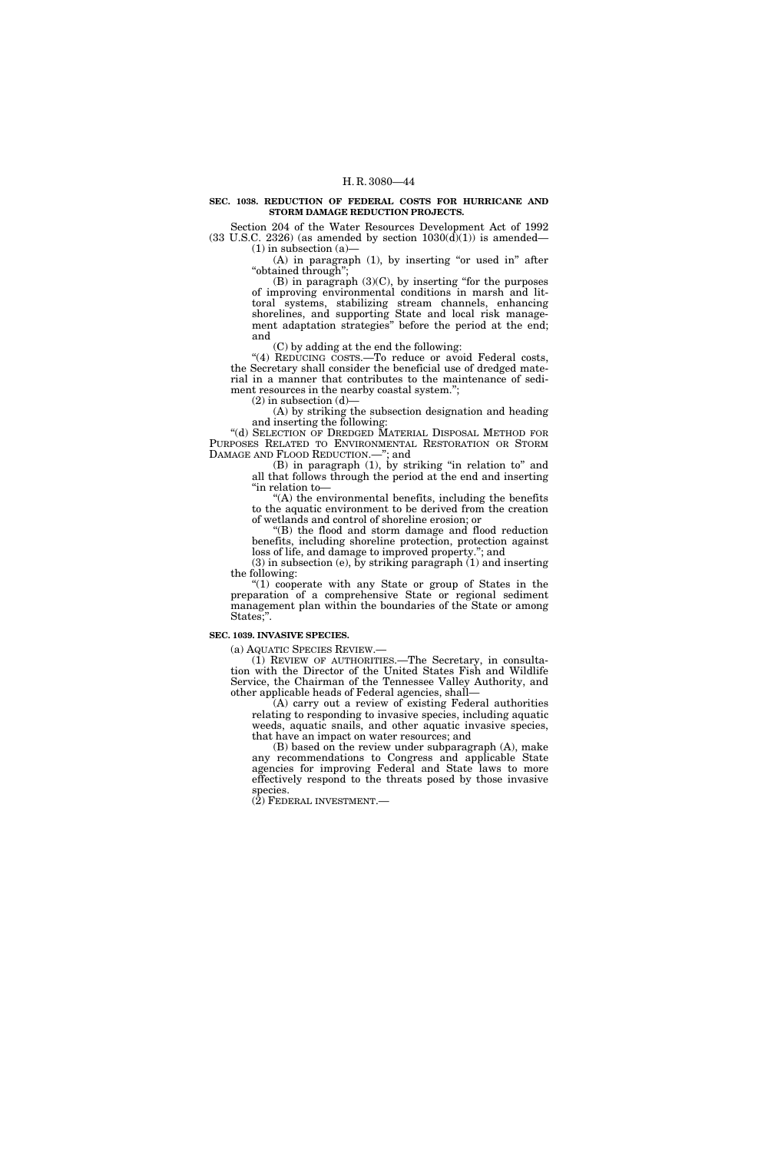#### **SEC. 1038. REDUCTION OF FEDERAL COSTS FOR HURRICANE AND STORM DAMAGE REDUCTION PROJECTS.**

Section 204 of the Water Resources Development Act of 1992  $(33 \text{ U.S.C. } 2326)$  (as amended by section  $1030(\overline{d})(1)$ ) is amended—  $(1)$  in subsection  $(a)$ 

 $(A)$  in paragraph  $(1)$ , by inserting "or used in" after ''obtained through'';

 $(B)$  in paragraph  $(3)(C)$ , by inserting "for the purposes" of improving environmental conditions in marsh and littoral systems, stabilizing stream channels, enhancing shorelines, and supporting State and local risk management adaptation strategies'' before the period at the end; and

(C) by adding at the end the following:

"(4) REDUCING COSTS.-To reduce or avoid Federal costs, the Secretary shall consider the beneficial use of dredged material in a manner that contributes to the maintenance of sediment resources in the nearby coastal system.";

(2) in subsection (d)—

(A) by striking the subsection designation and heading and inserting the following:

"(d) SELECTION OF DREDGED MATERIAL DISPOSAL METHOD FOR PURPOSES RELATED TO ENVIRONMENTAL RESTORATION OR STORM DAMAGE AND FLOOD REDUCTION.—''; and

(B) in paragraph (1), by striking ''in relation to'' and all that follows through the period at the end and inserting ''in relation to—

"(A) the environmental benefits, including the benefits to the aquatic environment to be derived from the creation of wetlands and control of shoreline erosion; or

''(B) the flood and storm damage and flood reduction benefits, including shoreline protection, protection against loss of life, and damage to improved property.''; and

(3) in subsection (e), by striking paragraph (1) and inserting the following:

"(1) cooperate with any State or group of States in the preparation of a comprehensive State or regional sediment management plan within the boundaries of the State or among States;''.

## **SEC. 1039. INVASIVE SPECIES.**

(a) AQUATIC SPECIES REVIEW.—

(1) REVIEW OF AUTHORITIES.—The Secretary, in consultation with the Director of the United States Fish and Wildlife Service, the Chairman of the Tennessee Valley Authority, and other applicable heads of Federal agencies, shall—

(A) carry out a review of existing Federal authorities relating to responding to invasive species, including aquatic weeds, aquatic snails, and other aquatic invasive species, that have an impact on water resources; and

(B) based on the review under subparagraph (A), make any recommendations to Congress and applicable State agencies for improving Federal and State laws to more effectively respond to the threats posed by those invasive species.

 $(2)$  FEDERAL INVESTMENT.—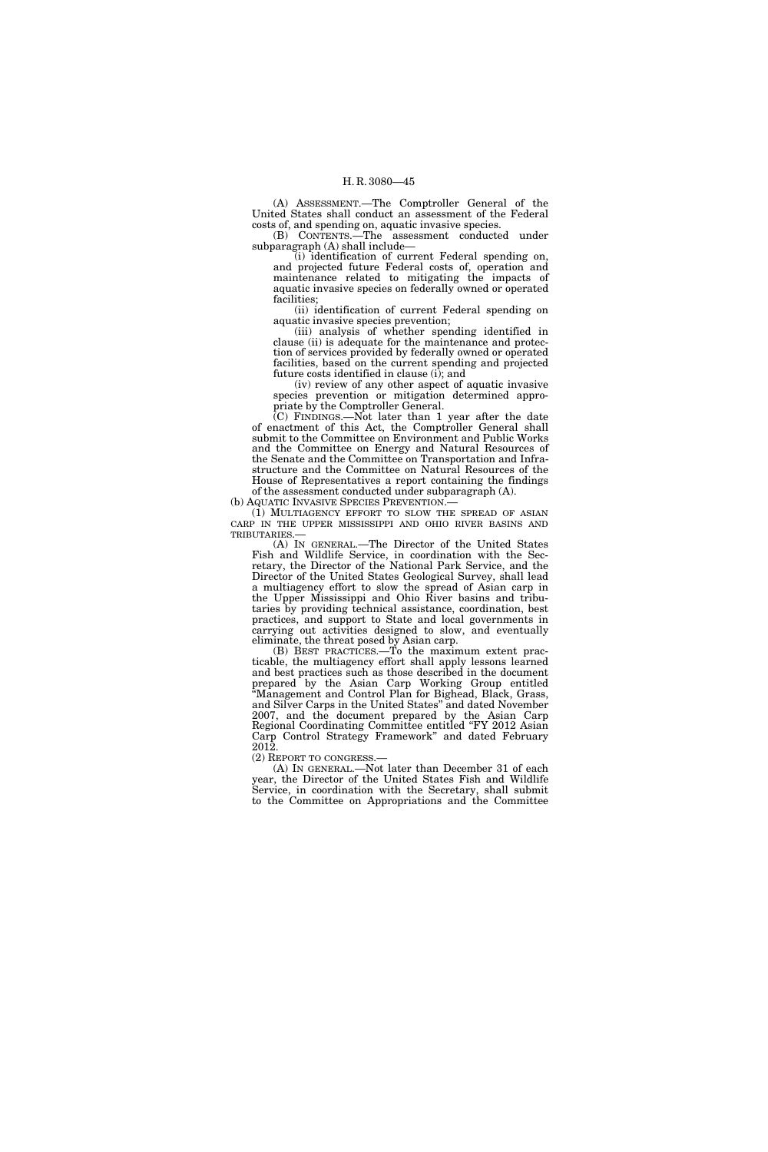(A) ASSESSMENT.—The Comptroller General of the United States shall conduct an assessment of the Federal costs of, and spending on, aquatic invasive species.

(B) CONTENTS.—The assessment conducted under subparagraph (A) shall include—

(i) identification of current Federal spending on, and projected future Federal costs of, operation and maintenance related to mitigating the impacts of aquatic invasive species on federally owned or operated facilities;

(ii) identification of current Federal spending on aquatic invasive species prevention;

(iii) analysis of whether spending identified in clause (ii) is adequate for the maintenance and protection of services provided by federally owned or operated facilities, based on the current spending and projected future costs identified in clause (i); and

(iv) review of any other aspect of aquatic invasive species prevention or mitigation determined appropriate by the Comptroller General.

(C) FINDINGS.—Not later than 1 year after the date of enactment of this Act, the Comptroller General shall submit to the Committee on Environment and Public Works and the Committee on Energy and Natural Resources of the Senate and the Committee on Transportation and Infrastructure and the Committee on Natural Resources of the House of Representatives a report containing the findings

of the assessment conducted under subparagraph (A). (b) AQUATIC INVASIVE SPECIES PREVENTION.—

(1) MULTIAGENCY EFFORT TO SLOW THE SPREAD OF ASIAN CARP IN THE UPPER MISSISSIPPI AND OHIO RIVER BASINS AND TRIBUTARIES.—

(A) IN GENERAL.—The Director of the United States Fish and Wildlife Service, in coordination with the Secretary, the Director of the National Park Service, and the Director of the United States Geological Survey, shall lead a multiagency effort to slow the spread of Asian carp in the Upper Mississippi and Ohio River basins and tributaries by providing technical assistance, coordination, best practices, and support to State and local governments in carrying out activities designed to slow, and eventually eliminate, the threat posed by Asian carp.

(B) BEST PRACTICES.—To the maximum extent practicable, the multiagency effort shall apply lessons learned and best practices such as those described in the document prepared by the Asian Carp Working Group entitled ''Management and Control Plan for Bighead, Black, Grass, and Silver Carps in the United States'' and dated November 2007, and the document prepared by the Asian Carp Regional Coordinating Committee entitled "FY 2012 Asian Carp Control Strategy Framework'' and dated February 2012.

(2) REPORT TO CONGRESS.—

(A) IN GENERAL.—Not later than December 31 of each year, the Director of the United States Fish and Wildlife Service, in coordination with the Secretary, shall submit to the Committee on Appropriations and the Committee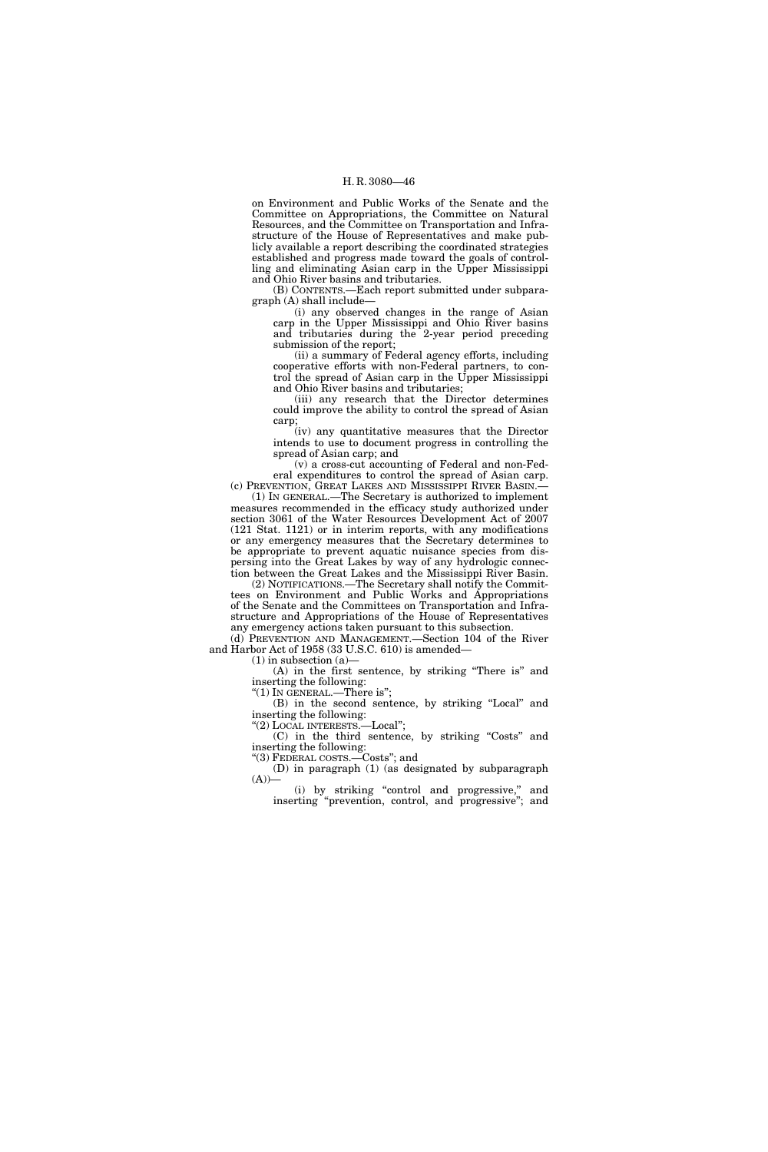on Environment and Public Works of the Senate and the Committee on Appropriations, the Committee on Natural Resources, and the Committee on Transportation and Infrastructure of the House of Representatives and make publicly available a report describing the coordinated strategies established and progress made toward the goals of controlling and eliminating Asian carp in the Upper Mississippi and Ohio River basins and tributaries.

(B) CONTENTS.—Each report submitted under subparagraph (A) shall include—

(i) any observed changes in the range of Asian carp in the Upper Mississippi and Ohio River basins and tributaries during the 2-year period preceding submission of the report;

(ii) a summary of Federal agency efforts, including cooperative efforts with non-Federal partners, to control the spread of Asian carp in the Upper Mississippi and Ohio River basins and tributaries;

(iii) any research that the Director determines could improve the ability to control the spread of Asian carp;

(iv) any quantitative measures that the Director intends to use to document progress in controlling the spread of Asian carp; and

(v) a cross-cut accounting of Federal and non-Federal expenditures to control the spread of Asian carp. (c) PREVENTION, GREAT LAKES AND MISSISSIPPI RIVER BASIN.—

(1) IN GENERAL.—The Secretary is authorized to implement measures recommended in the efficacy study authorized under section 3061 of the Water Resources Development Act of 2007 (121 Stat. 1121) or in interim reports, with any modifications or any emergency measures that the Secretary determines to be appropriate to prevent aquatic nuisance species from dispersing into the Great Lakes by way of any hydrologic connection between the Great Lakes and the Mississippi River Basin.

(2) NOTIFICATIONS.—The Secretary shall notify the Committees on Environment and Public Works and Appropriations of the Senate and the Committees on Transportation and Infrastructure and Appropriations of the House of Representatives any emergency actions taken pursuant to this subsection.

(d) PREVENTION AND MANAGEMENT.—Section 104 of the River and Harbor Act of 1958 (33 U.S.C. 610) is amended—

(1) in subsection (a)—

(A) in the first sentence, by striking ''There is'' and inserting the following:

" $(1)$  In GENERAL.—There is";

(B) in the second sentence, by striking ''Local'' and inserting the following: ''(2) LOCAL INTERESTS.—Local'';

(C) in the third sentence, by striking ''Costs'' and inserting the following:

''(3) FEDERAL COSTS.—Costs''; and

(D) in paragraph (1) (as designated by subparagraph  $(A)$ )—

(i) by striking ''control and progressive,'' and inserting ''prevention, control, and progressive''; and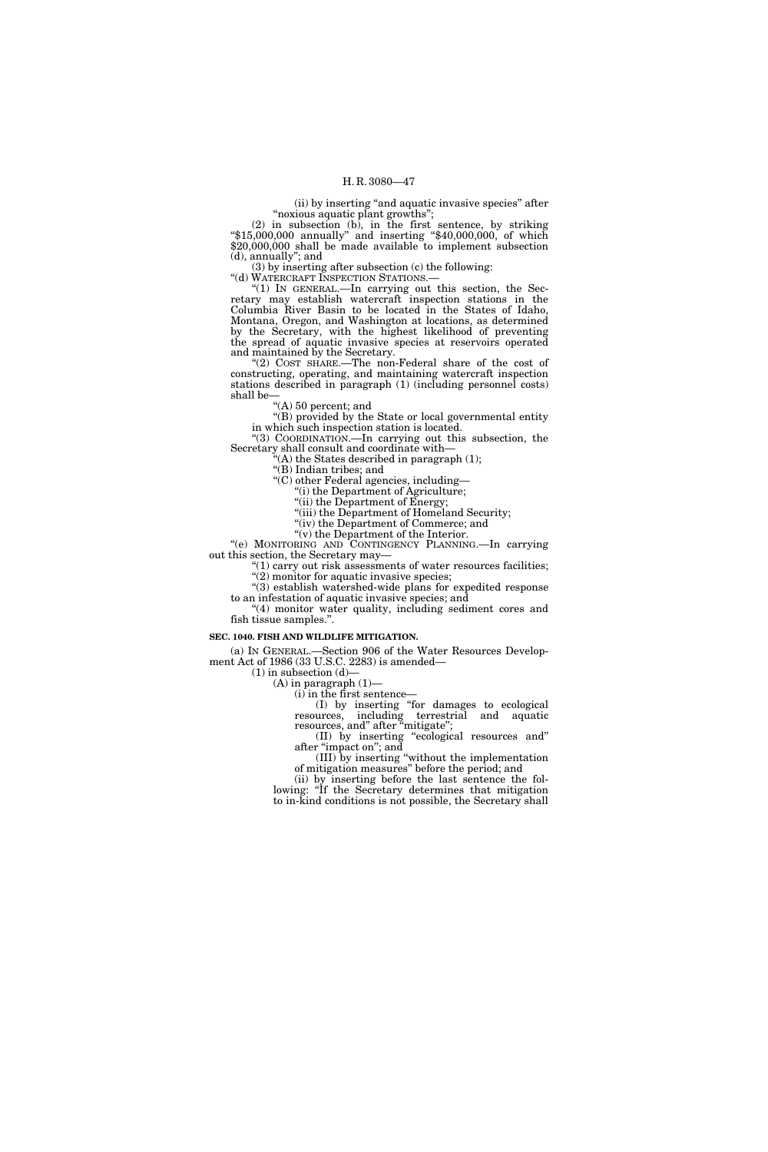(ii) by inserting ''and aquatic invasive species'' after ''noxious aquatic plant growths'';

(2) in subsection (b), in the first sentence, by striking ''\$15,000,000 annually'' and inserting ''\$40,000,000, of which \$20,000,000 shall be made available to implement subsection (d), annually''; and

(3) by inserting after subsection (c) the following:

"(d) WATERCRAFT INSPECTION STATIONS.-

"(1) IN GENERAL.—In carrying out this section, the Secretary may establish watercraft inspection stations in the Columbia River Basin to be located in the States of Idaho, Montana, Oregon, and Washington at locations, as determined by the Secretary, with the highest likelihood of preventing the spread of aquatic invasive species at reservoirs operated and maintained by the Secretary.

"(2) COST SHARE.—The non-Federal share of the cost of constructing, operating, and maintaining watercraft inspection stations described in paragraph (1) (including personnel costs) shall be—

''(A) 50 percent; and

''(B) provided by the State or local governmental entity in which such inspection station is located.

''(3) COORDINATION.—In carrying out this subsection, the Secretary shall consult and coordinate with—

 $'(A)$  the States described in paragraph  $(1);$ 

''(B) Indian tribes; and

''(C) other Federal agencies, including—

''(i) the Department of Agriculture; ''(ii) the Department of Energy;

"(iii) the Department of Homeland Security;

''(iv) the Department of Commerce; and

" $(v)$  the Department of the Interior.

''(e) MONITORING AND CONTINGENCY PLANNING.—In carrying out this section, the Secretary may—

 $''(1)$  carry out risk assessments of water resources facilities;  $'(2)$  monitor for aquatic invasive species;

''(3) establish watershed-wide plans for expedited response to an infestation of aquatic invasive species; and

 $(4)$  monitor water quality, including sediment cores and fish tissue samples.''.

#### **SEC. 1040. FISH AND WILDLIFE MITIGATION.**

(a) IN GENERAL.—Section 906 of the Water Resources Development Act of 1986 (33 U.S.C. 2283) is amended—

 $(1)$  in subsection  $(d)$ —

 $(A)$  in paragraph  $(1)$ —  $(i)$  in the first sentence-

(I) by inserting ''for damages to ecological resources, including terrestrial and aquatic resources, and" after "mitigate";

(II) by inserting ''ecological resources and'' after "impact on"; and

(III) by inserting ''without the implementation of mitigation measures'' before the period; and

(ii) by inserting before the last sentence the following: "If the Secretary determines that mitigation to in-kind conditions is not possible, the Secretary shall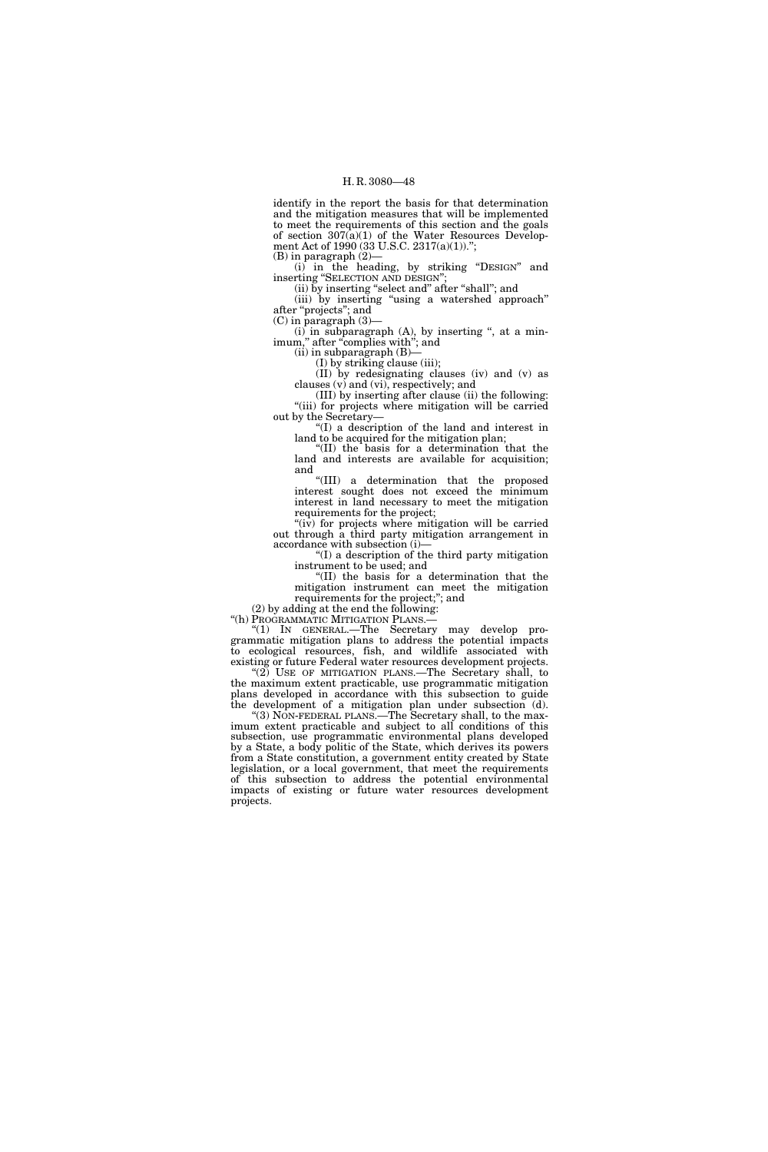identify in the report the basis for that determination and the mitigation measures that will be implemented to meet the requirements of this section and the goals of section  $307(a)(1)$  of the Water Resources Development Act of 1990 (33 U.S.C. 2317(a)(1))."; (B) in paragraph (2)—

(i) in the heading, by striking "DESIGN" and inserting "SELECTION AND DESIGN";

(ii) by inserting "select and" after "shall"; and (iii) by inserting "using a watershed approach" after ''projects''; and

(C) in paragraph (3)—

 $(i)$  in subparagraph  $(A)$ , by inserting ", at a minimum," after "complies with"; and  $(ii)$  in subparagraph  $(B)$ —

(I) by striking clause (iii);

(II) by redesignating clauses (iv) and (v) as

clauses (v) and (vi), respectively; and (III) by inserting after clause (ii) the following: "(iii) for projects where mitigation will be carried out by the Secretary—

''(I) a description of the land and interest in land to be acquired for the mitigation plan;

''(II) the basis for a determination that the land and interests are available for acquisition; and

''(III) a determination that the proposed interest sought does not exceed the minimum interest in land necessary to meet the mitigation requirements for the project;

"(iv) for projects where mitigation will be carried out through a third party mitigation arrangement in accordance with subsection (i)—

''(I) a description of the third party mitigation instrument to be used; and

''(II) the basis for a determination that the mitigation instrument can meet the mitigation requirements for the project;"; and

(2) by adding at the end the following:

''(h) PROGRAMMATIC MITIGATION PLANS.—

''(1) IN GENERAL.—The Secretary may develop programmatic mitigation plans to address the potential impacts to ecological resources, fish, and wildlife associated with existing or future Federal water resources development projects.

"(2) USE OF MITIGATION PLANS.—The Secretary shall, to the maximum extent practicable, use programmatic mitigation plans developed in accordance with this subsection to guide the development of a mitigation plan under subsection (d).

''(3) NON-FEDERAL PLANS.—The Secretary shall, to the maximum extent practicable and subject to all conditions of this subsection, use programmatic environmental plans developed by a State, a body politic of the State, which derives its powers from a State constitution, a government entity created by State legislation, or a local government, that meet the requirements of this subsection to address the potential environmental impacts of existing or future water resources development projects.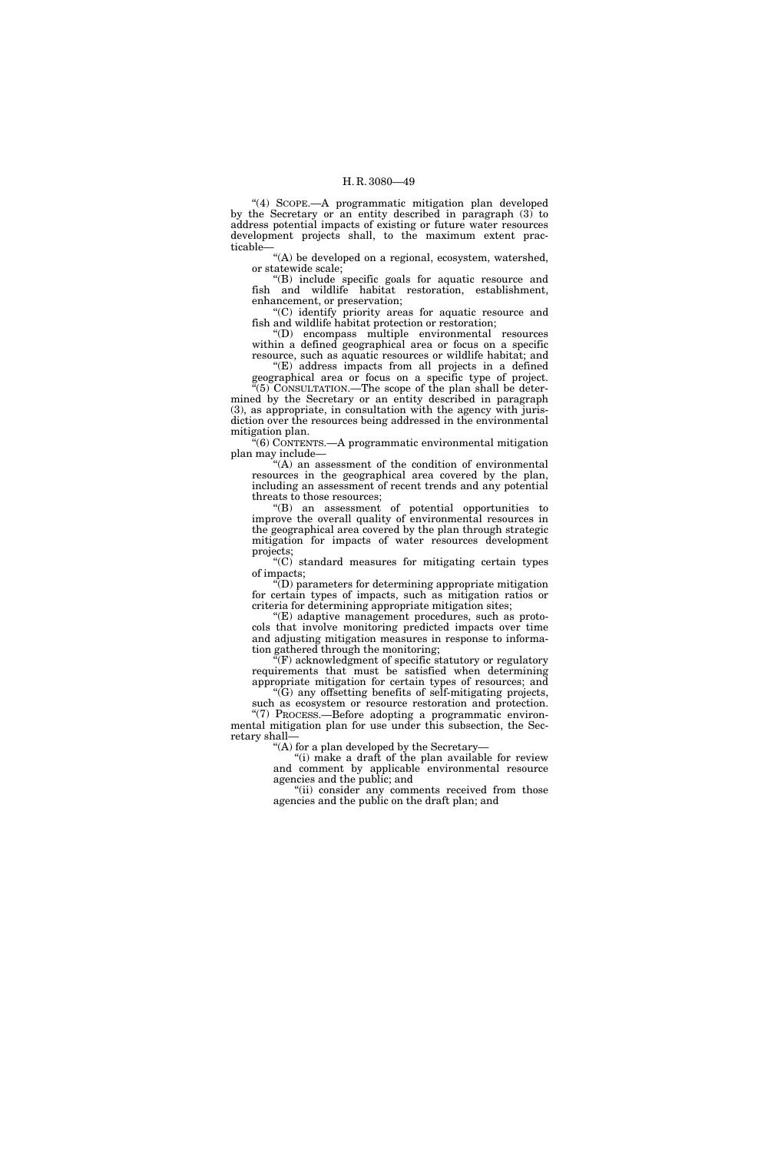"(4) SCOPE.--A programmatic mitigation plan developed by the Secretary or an entity described in paragraph (3) to address potential impacts of existing or future water resources development projects shall, to the maximum extent practicable—

"(A) be developed on a regional, ecosystem, watershed, or statewide scale;

''(B) include specific goals for aquatic resource and fish and wildlife habitat restoration, establishment, enhancement, or preservation;

''(C) identify priority areas for aquatic resource and fish and wildlife habitat protection or restoration;

''(D) encompass multiple environmental resources within a defined geographical area or focus on a specific resource, such as aquatic resources or wildlife habitat; and

 $E'(E)$  address impacts from all projects in a defined geographical area or focus on a specific type of project.  $\cdot$ <sup>"(5)</sup> CONSULTATION.—The scope of the plan shall be deter-

mined by the Secretary or an entity described in paragraph (3), as appropriate, in consultation with the agency with jurisdiction over the resources being addressed in the environmental mitigation plan.

 $\mathbb{R}(6)$  CONTENTS.—A programmatic environmental mitigation plan may include—

''(A) an assessment of the condition of environmental resources in the geographical area covered by the plan, including an assessment of recent trends and any potential threats to those resources;

''(B) an assessment of potential opportunities to improve the overall quality of environmental resources in the geographical area covered by the plan through strategic mitigation for impacts of water resources development projects;

''(C) standard measures for mitigating certain types of impacts;

''(D) parameters for determining appropriate mitigation for certain types of impacts, such as mitigation ratios or criteria for determining appropriate mitigation sites;

 $E(E)$  adaptive management procedures, such as protocols that involve monitoring predicted impacts over time and adjusting mitigation measures in response to information gathered through the monitoring;

 $\widetilde{f}(F)$  acknowledgment of specific statutory or regulatory requirements that must be satisfied when determining appropriate mitigation for certain types of resources; and

''(G) any offsetting benefits of self-mitigating projects, such as ecosystem or resource restoration and protection. ''(7) PROCESS.—Before adopting a programmatic environ-

mental mitigation plan for use under this subsection, the Secretary shall—

'(A) for a plan developed by the Secretary-

''(i) make a draft of the plan available for review and comment by applicable environmental resource agencies and the public; and

"(ii) consider any comments received from those agencies and the public on the draft plan; and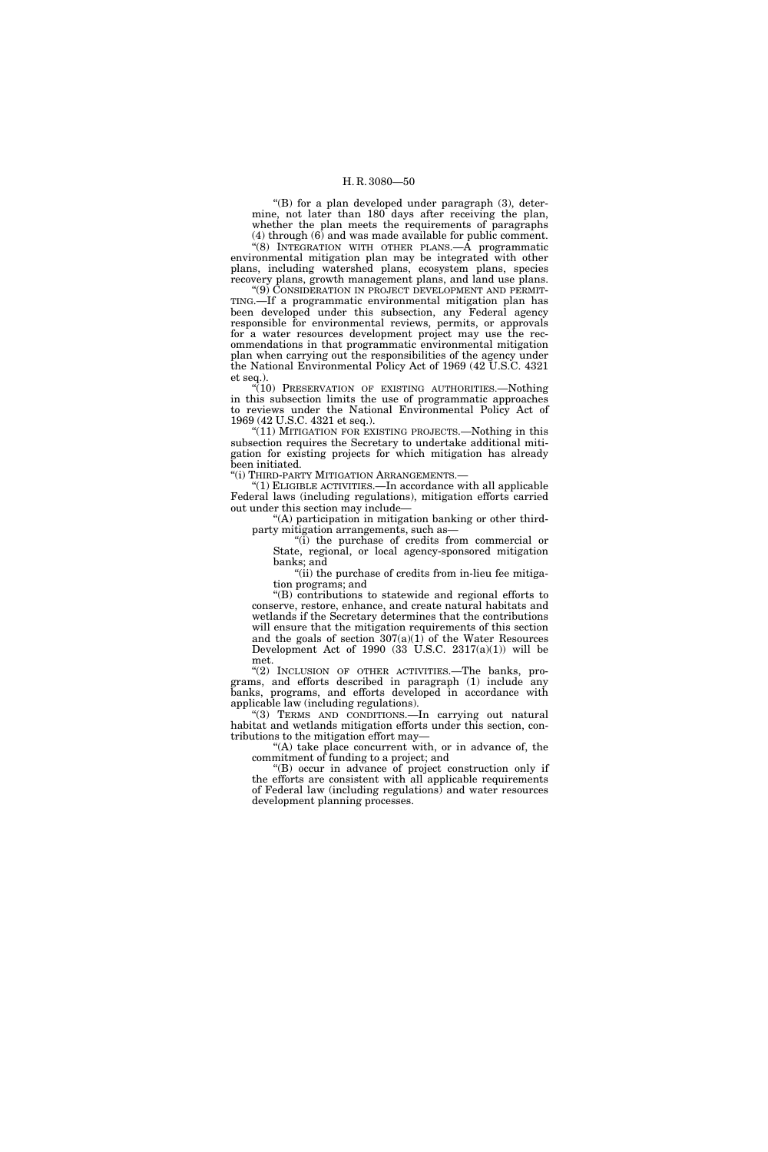''(B) for a plan developed under paragraph (3), determine, not later than 180 days after receiving the plan, whether the plan meets the requirements of paragraphs (4) through (6) and was made available for public comment.

''(8) INTEGRATION WITH OTHER PLANS.—A programmatic environmental mitigation plan may be integrated with other plans, including watershed plans, ecosystem plans, species recovery plans, growth management plans, and land use plans.

''(9) CONSIDERATION IN PROJECT DEVELOPMENT AND PERMIT-TING.—If a programmatic environmental mitigation plan has been developed under this subsection, any Federal agency responsible for environmental reviews, permits, or approvals for a water resources development project may use the recommendations in that programmatic environmental mitigation plan when carrying out the responsibilities of the agency under the National Environmental Policy Act of 1969 (42 U.S.C. 4321 et seq.).

"(10) PRESERVATION OF EXISTING AUTHORITIES. Nothing in this subsection limits the use of programmatic approaches to reviews under the National Environmental Policy Act of 1969 (42 U.S.C. 4321 et seq.).

"(11) MITIGATION FOR EXISTING PROJECTS.—Nothing in this subsection requires the Secretary to undertake additional mitigation for existing projects for which mitigation has already been initiated.

"(i) THIRD-PARTY MITIGATION ARRANGEMENTS.-

 $''(1)$  ELIGIBLE ACTIVITIES.—In accordance with all applicable Federal laws (including regulations), mitigation efforts carried out under this section may include—

''(A) participation in mitigation banking or other thirdparty mitigation arrangements, such as—

''(i) the purchase of credits from commercial or State, regional, or local agency-sponsored mitigation banks; and

" $(iii)$  the purchase of credits from in-lieu fee mitigation programs; and

''(B) contributions to statewide and regional efforts to conserve, restore, enhance, and create natural habitats and wetlands if the Secretary determines that the contributions will ensure that the mitigation requirements of this section and the goals of section 307(a)(1) of the Water Resources Development Act of 1990  $(33 \text{ U.S.C. } 2317(a)(1))$  will be  $m$ et.

"(2) INCLUSION OF OTHER ACTIVITIES.—The banks, programs, and efforts described in paragraph (1) include any banks, programs, and efforts developed in accordance with applicable law (including regulations).

"(3) TERMS AND CONDITIONS.—In carrying out natural habitat and wetlands mitigation efforts under this section, contributions to the mitigation effort may—

"(A) take place concurrent with, or in advance of, the commitment of funding to a project; and

''(B) occur in advance of project construction only if the efforts are consistent with all applicable requirements of Federal law (including regulations) and water resources development planning processes.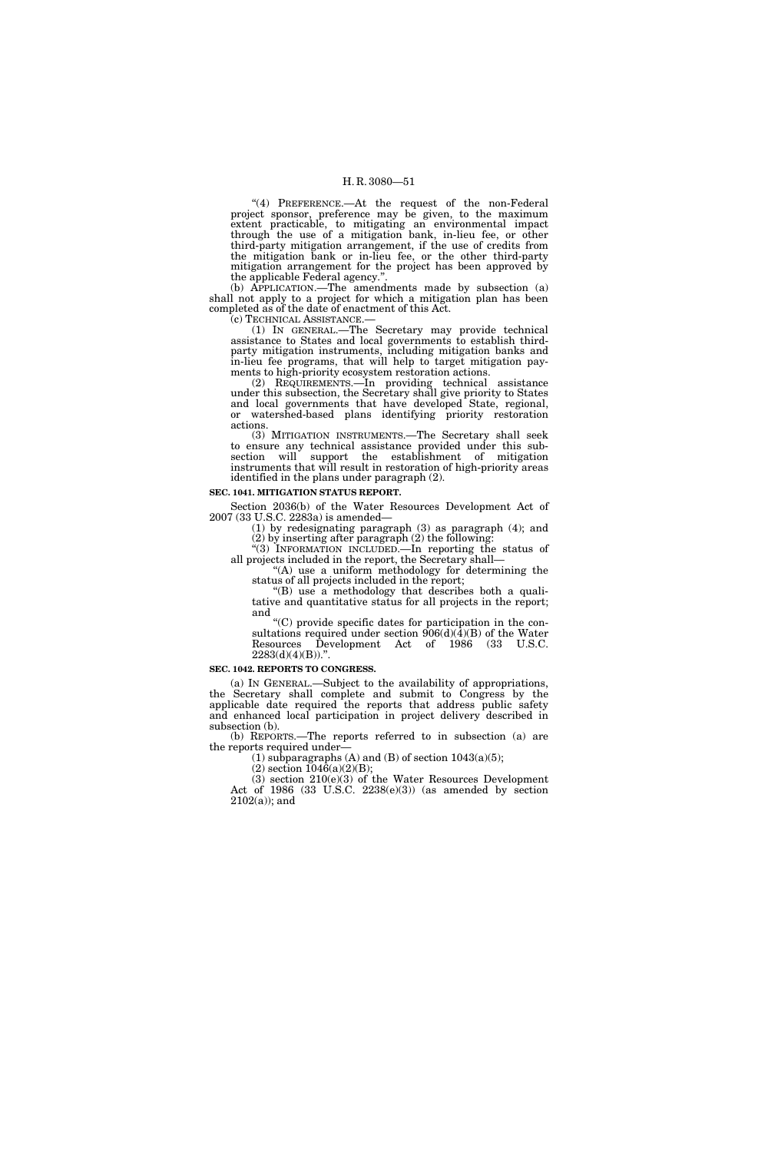"(4) PREFERENCE.—At the request of the non-Federal project sponsor, preference may be given, to the maximum extent practicable, to mitigating an environmental impact through the use of a mitigation bank, in-lieu fee, or other third-party mitigation arrangement, if the use of credits from the mitigation bank or in-lieu fee, or the other third-party mitigation arrangement for the project has been approved by the applicable Federal agency.''.

(b) APPLICATION.—The amendments made by subsection (a) shall not apply to a project for which a mitigation plan has been completed as of the date of enactment of this Act.

(c) TECHNICAL ASSISTANCE.— (1) IN GENERAL.—The Secretary may provide technical assistance to States and local governments to establish thirdparty mitigation instruments, including mitigation banks and in-lieu fee programs, that will help to target mitigation payments to high-priority ecosystem restoration actions.

(2) REQUIREMENTS.—In providing technical assistance under this subsection, the Secretary shall give priority to States and local governments that have developed State, regional, or watershed-based plans identifying priority restoration actions.

(3) MITIGATION INSTRUMENTS.—The Secretary shall seek to ensure any technical assistance provided under this subsection will support the establishment of mitigation instruments that will result in restoration of high-priority areas identified in the plans under paragraph (2).

#### **SEC. 1041. MITIGATION STATUS REPORT.**

Section 2036(b) of the Water Resources Development Act of 2007 (33 U.S.C. 2283a) is amended—

(1) by redesignating paragraph (3) as paragraph (4); and (2) by inserting after paragraph (2) the following:

''(3) INFORMATION INCLUDED.—In reporting the status of all projects included in the report, the Secretary shall—

"(A) use a uniform methodology for determining the status of all projects included in the report;

''(B) use a methodology that describes both a qualitative and quantitative status for all projects in the report; and

''(C) provide specific dates for participation in the consultations required under section  $906(d)(4)(B)$  of the Water Resources Development Act of 1986 (33 U.S.C.  $2283(d)(4)(B)$ .".

#### **SEC. 1042. REPORTS TO CONGRESS.**

(a) IN GENERAL.—Subject to the availability of appropriations, the Secretary shall complete and submit to Congress by the applicable date required the reports that address public safety and enhanced local participation in project delivery described in subsection (b).

(b) REPORTS.—The reports referred to in subsection (a) are the reports required under—

(1) subparagraphs (A) and (B) of section  $1043(a)(5)$ ;

 $(2)$  section  $1046(a)(2)(B);$ 

(3) section 210(e)(3) of the Water Resources Development Act of  $1986$   $(33 \text{ U.S.C. } 2238(e)(3))$   $(as$  amended by section 2102(a)); and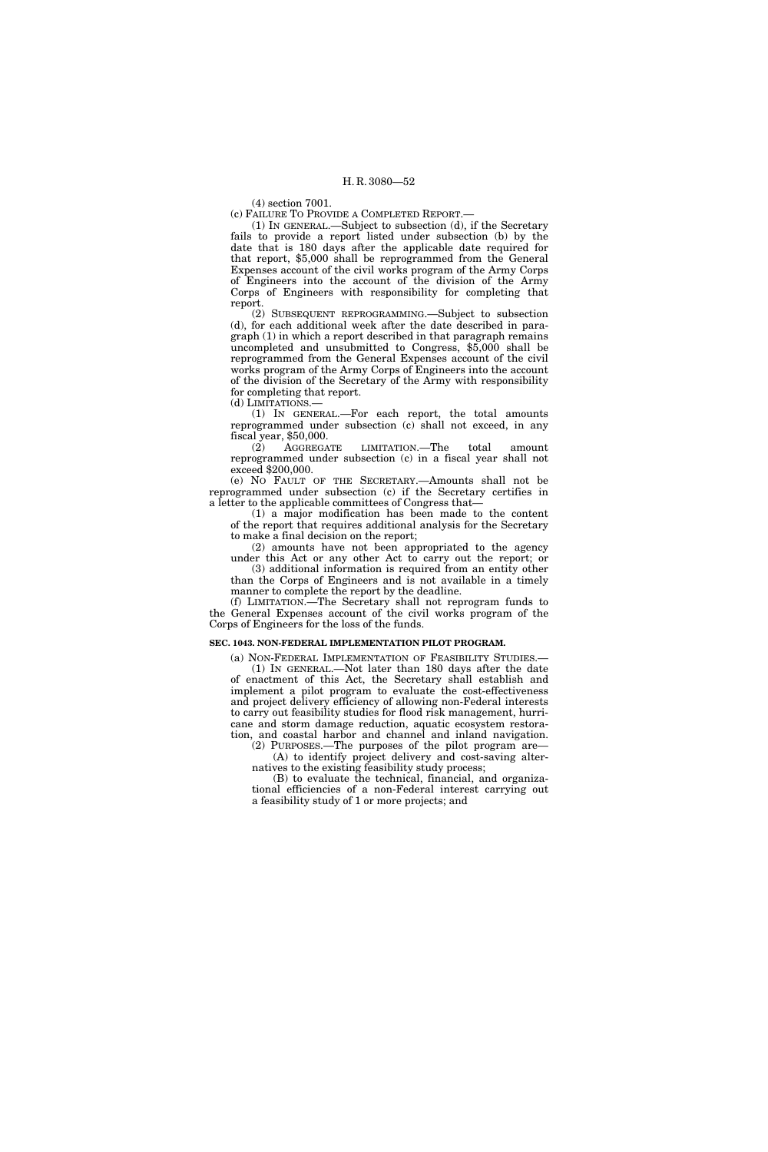(4) section 7001.

(c) FAILURE TO PROVIDE A COMPLETED REPORT.—

(1) IN GENERAL.—Subject to subsection (d), if the Secretary fails to provide a report listed under subsection (b) by the date that is 180 days after the applicable date required for that report, \$5,000 shall be reprogrammed from the General Expenses account of the civil works program of the Army Corps of Engineers into the account of the division of the Army Corps of Engineers with responsibility for completing that report.

(2) SUBSEQUENT REPROGRAMMING.—Subject to subsection (d), for each additional week after the date described in paragraph (1) in which a report described in that paragraph remains uncompleted and unsubmitted to Congress, \$5,000 shall be reprogrammed from the General Expenses account of the civil works program of the Army Corps of Engineers into the account of the division of the Secretary of the Army with responsibility for completing that report. (d) LIMITATIONS.—

(1) IN GENERAL.—For each report, the total amounts reprogrammed under subsection (c) shall not exceed, in any fiscal year, \$50,000.

(2) AGGREGATE LIMITATION.—The total amount reprogrammed under subsection (c) in a fiscal year shall not exceed \$200,000.

(e) NO FAULT OF THE SECRETARY.—Amounts shall not be reprogrammed under subsection (c) if the Secretary certifies in a letter to the applicable committees of Congress that—

(1) a major modification has been made to the content of the report that requires additional analysis for the Secretary to make a final decision on the report;

(2) amounts have not been appropriated to the agency under this Act or any other Act to carry out the report; or (3) additional information is required from an entity other

than the Corps of Engineers and is not available in a timely manner to complete the report by the deadline.

(f) LIMITATION.—The Secretary shall not reprogram funds to the General Expenses account of the civil works program of the Corps of Engineers for the loss of the funds.

#### **SEC. 1043. NON-FEDERAL IMPLEMENTATION PILOT PROGRAM.**

(a) NON-FEDERAL IMPLEMENTATION OF FEASIBILITY STUDIES.— (1) IN GENERAL.—Not later than 180 days after the date of enactment of this Act, the Secretary shall establish and implement a pilot program to evaluate the cost-effectiveness and project delivery efficiency of allowing non-Federal interests to carry out feasibility studies for flood risk management, hurricane and storm damage reduction, aquatic ecosystem restoration, and coastal harbor and channel and inland navigation.

(2) PURPOSES.—The purposes of the pilot program are— (A) to identify project delivery and cost-saving alternatives to the existing feasibility study process;

(B) to evaluate the technical, financial, and organizational efficiencies of a non-Federal interest carrying out a feasibility study of 1 or more projects; and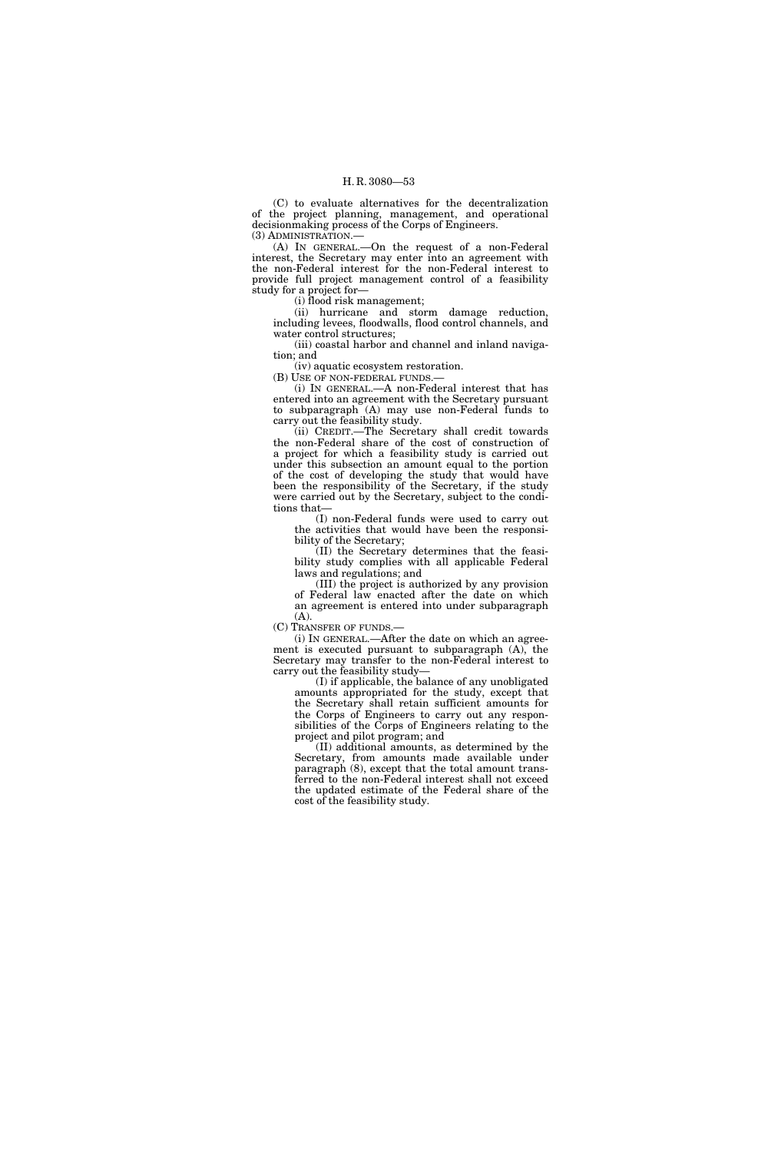(C) to evaluate alternatives for the decentralization of the project planning, management, and operational decisionmaking process of the Corps of Engineers.

(3) ADMINISTRATION.—

(A) IN GENERAL.—On the request of a non-Federal interest, the Secretary may enter into an agreement with the non-Federal interest for the non-Federal interest to provide full project management control of a feasibility study for a project for—

(i) flood risk management;

(ii) hurricane and storm damage reduction, including levees, floodwalls, flood control channels, and water control structures;

(iii) coastal harbor and channel and inland navigation; and

(iv) aquatic ecosystem restoration.

(B) USE OF NON-FEDERAL FUNDS.—

(i) IN GENERAL.—A non-Federal interest that has entered into an agreement with the Secretary pursuant to subparagraph (A) may use non-Federal funds to carry out the feasibility study.

(ii) CREDIT.—The Secretary shall credit towards the non-Federal share of the cost of construction of a project for which a feasibility study is carried out under this subsection an amount equal to the portion of the cost of developing the study that would have been the responsibility of the Secretary, if the study were carried out by the Secretary, subject to the conditions that—

(I) non-Federal funds were used to carry out the activities that would have been the responsibility of the Secretary;

(II) the Secretary determines that the feasibility study complies with all applicable Federal laws and regulations; and

(III) the project is authorized by any provision of Federal law enacted after the date on which an agreement is entered into under subparagraph (A).

(C) TRANSFER OF FUNDS.—

(i) IN GENERAL.—After the date on which an agreement is executed pursuant to subparagraph (A), the Secretary may transfer to the non-Federal interest to carry out the feasibility study—

(I) if applicable, the balance of any unobligated amounts appropriated for the study, except that the Secretary shall retain sufficient amounts for the Corps of Engineers to carry out any responsibilities of the Corps of Engineers relating to the project and pilot program; and

(II) additional amounts, as determined by the Secretary, from amounts made available under paragraph (8), except that the total amount transferred to the non-Federal interest shall not exceed the updated estimate of the Federal share of the cost of the feasibility study.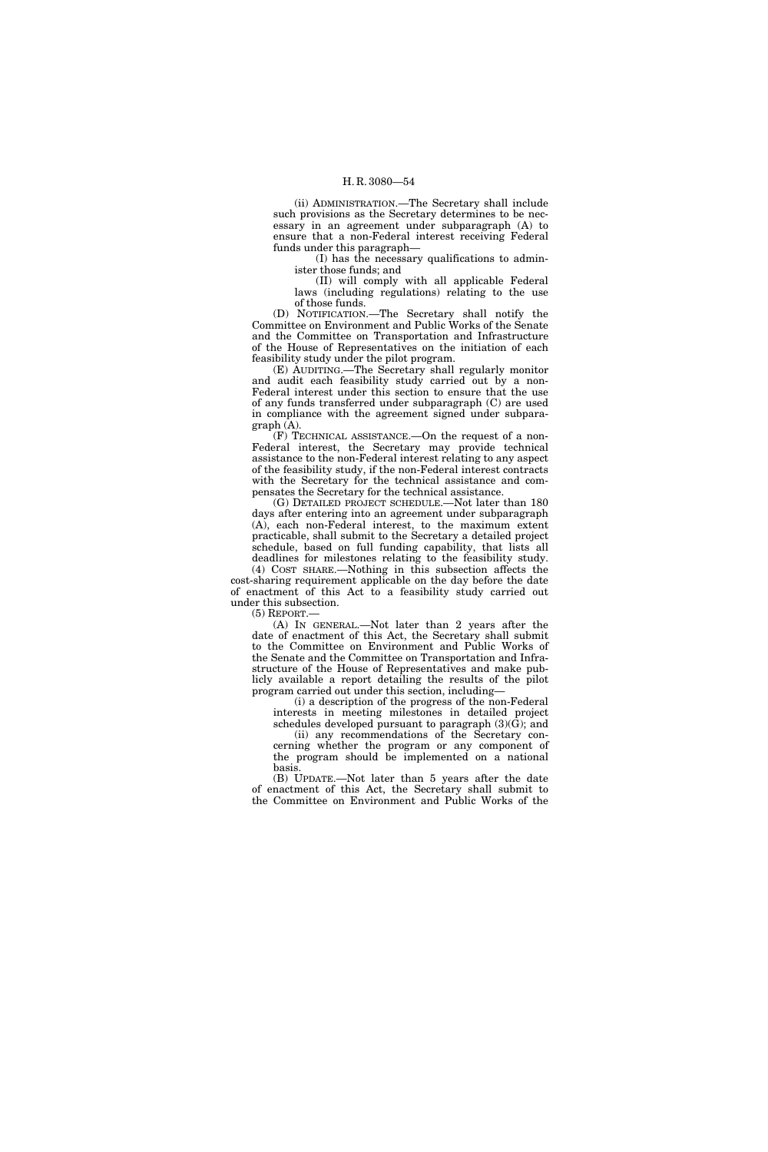(ii) ADMINISTRATION.—The Secretary shall include such provisions as the Secretary determines to be necessary in an agreement under subparagraph (A) to ensure that a non-Federal interest receiving Federal funds under this paragraph—

(I) has the necessary qualifications to administer those funds; and

(II) will comply with all applicable Federal laws (including regulations) relating to the use of those funds.

(D) NOTIFICATION.—The Secretary shall notify the Committee on Environment and Public Works of the Senate and the Committee on Transportation and Infrastructure of the House of Representatives on the initiation of each feasibility study under the pilot program.

(E) AUDITING.—The Secretary shall regularly monitor and audit each feasibility study carried out by a non-Federal interest under this section to ensure that the use of any funds transferred under subparagraph (C) are used in compliance with the agreement signed under subparagraph (A).

(F) TECHNICAL ASSISTANCE.—On the request of a non-Federal interest, the Secretary may provide technical assistance to the non-Federal interest relating to any aspect of the feasibility study, if the non-Federal interest contracts with the Secretary for the technical assistance and compensates the Secretary for the technical assistance.

(G) DETAILED PROJECT SCHEDULE.—Not later than 180 days after entering into an agreement under subparagraph (A), each non-Federal interest, to the maximum extent practicable, shall submit to the Secretary a detailed project schedule, based on full funding capability, that lists all deadlines for milestones relating to the feasibility study.

(4) COST SHARE.—Nothing in this subsection affects the cost-sharing requirement applicable on the day before the date of enactment of this Act to a feasibility study carried out under this subsection.

 $(5)$  REPORT.

(A) IN GENERAL.—Not later than 2 years after the date of enactment of this Act, the Secretary shall submit to the Committee on Environment and Public Works of the Senate and the Committee on Transportation and Infrastructure of the House of Representatives and make publicly available a report detailing the results of the pilot program carried out under this section, including—

(i) a description of the progress of the non-Federal interests in meeting milestones in detailed project

schedules developed pursuant to paragraph  $(3)(\tilde{G})$ ; and (ii) any recommendations of the Secretary concerning whether the program or any component of

the program should be implemented on a national basis. (B) UPDATE.—Not later than 5 years after the date

of enactment of this Act, the Secretary shall submit to the Committee on Environment and Public Works of the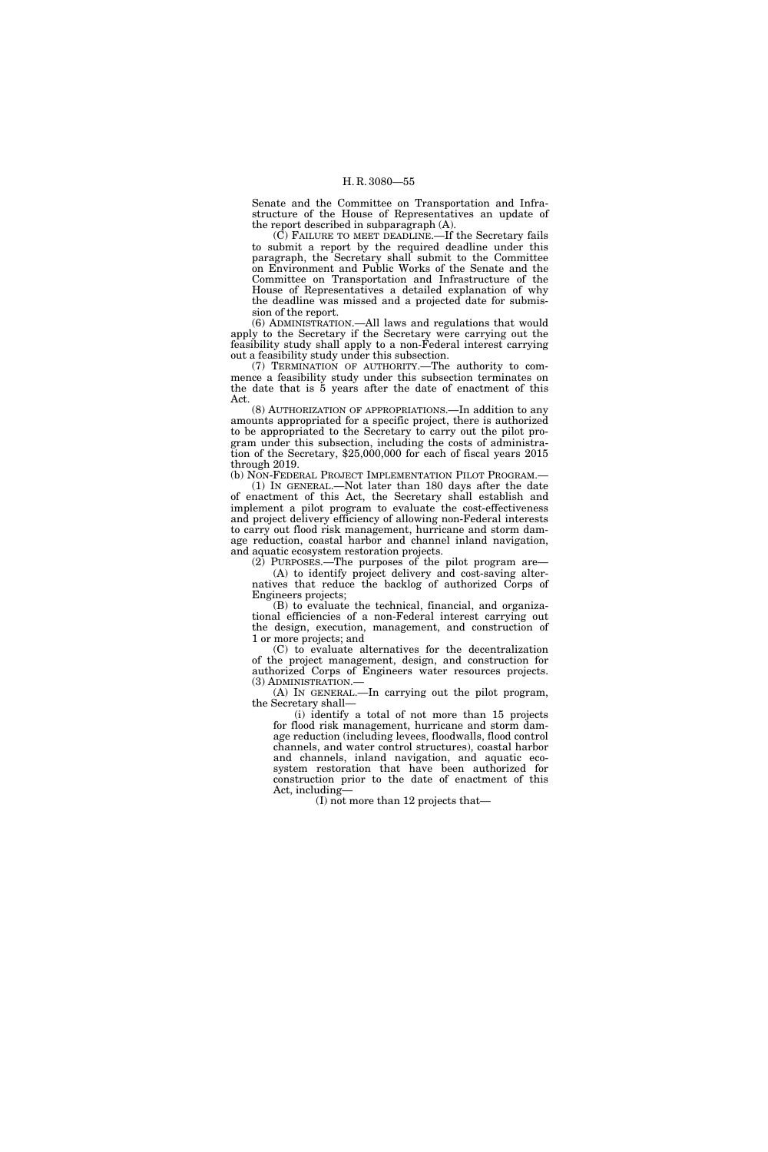Senate and the Committee on Transportation and Infrastructure of the House of Representatives an update of the report described in subparagraph (A).

(C) FAILURE TO MEET DEADLINE.—If the Secretary fails to submit a report by the required deadline under this paragraph, the Secretary shall submit to the Committee on Environment and Public Works of the Senate and the Committee on Transportation and Infrastructure of the House of Representatives a detailed explanation of why the deadline was missed and a projected date for submission of the report.

(6) ADMINISTRATION.—All laws and regulations that would apply to the Secretary if the Secretary were carrying out the feasibility study shall apply to a non-Federal interest carrying out a feasibility study under this subsection.

(7) TERMINATION OF AUTHORITY.—The authority to commence a feasibility study under this subsection terminates on the date that is 5 years after the date of enactment of this Act.

(8) AUTHORIZATION OF APPROPRIATIONS.—In addition to any amounts appropriated for a specific project, there is authorized to be appropriated to the Secretary to carry out the pilot program under this subsection, including the costs of administration of the Secretary, \$25,000,000 for each of fiscal years 2015 through 2019.

(b) NON-FEDERAL PROJECT IMPLEMENTATION PILOT PROGRAM.— (1) IN GENERAL.—Not later than 180 days after the date of enactment of this Act, the Secretary shall establish and implement a pilot program to evaluate the cost-effectiveness and project delivery efficiency of allowing non-Federal interests to carry out flood risk management, hurricane and storm damage reduction, coastal harbor and channel inland navigation, and aquatic ecosystem restoration projects.

(2) PURPOSES.—The purposes of the pilot program are— (A) to identify project delivery and cost-saving alternatives that reduce the backlog of authorized Corps of Engineers projects;

(B) to evaluate the technical, financial, and organizational efficiencies of a non-Federal interest carrying out the design, execution, management, and construction of 1 or more projects; and

(C) to evaluate alternatives for the decentralization of the project management, design, and construction for authorized Corps of Engineers water resources projects. (3) ADMINISTRATION.—

(A) IN GENERAL.—In carrying out the pilot program, the Secretary shall—

(i) identify a total of not more than 15 projects for flood risk management, hurricane and storm damage reduction (including levees, floodwalls, flood control channels, and water control structures), coastal harbor and channels, inland navigation, and aquatic ecosystem restoration that have been authorized for construction prior to the date of enactment of this Act, including—

(I) not more than 12 projects that—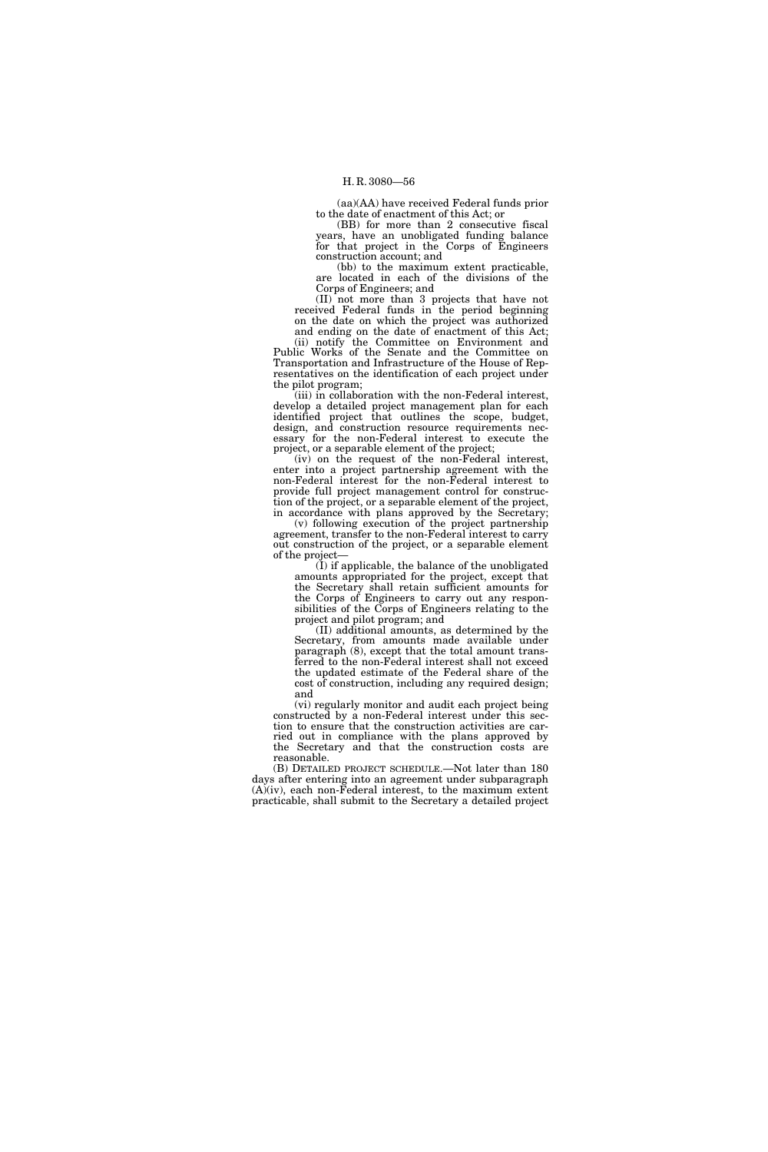(aa)(AA) have received Federal funds prior to the date of enactment of this Act; or

(BB) for more than 2 consecutive fiscal years, have an unobligated funding balance for that project in the Corps of Engineers construction account; and

(bb) to the maximum extent practicable, are located in each of the divisions of the Corps of Engineers; and

(II) not more than 3 projects that have not received Federal funds in the period beginning on the date on which the project was authorized and ending on the date of enactment of this Act;

(ii) notify the Committee on Environment and Public Works of the Senate and the Committee on Transportation and Infrastructure of the House of Representatives on the identification of each project under the pilot program;

(iii) in collaboration with the non-Federal interest, develop a detailed project management plan for each identified project that outlines the scope, budget, design, and construction resource requirements necessary for the non-Federal interest to execute the project, or a separable element of the project;

(iv) on the request of the non-Federal interest, enter into a project partnership agreement with the non-Federal interest for the non-Federal interest to provide full project management control for construction of the project, or a separable element of the project,

in accordance with plans approved by the Secretary; (v) following execution of the project partnership agreement, transfer to the non-Federal interest to carry out construction of the project, or a separable element of the project—

 $(I)$  if applicable, the balance of the unobligated amounts appropriated for the project, except that the Secretary shall retain sufficient amounts for the Corps of Engineers to carry out any responsibilities of the Corps of Engineers relating to the project and pilot program; and

(II) additional amounts, as determined by the Secretary, from amounts made available under paragraph (8), except that the total amount transferred to the non-Federal interest shall not exceed the updated estimate of the Federal share of the cost of construction, including any required design; and

(vi) regularly monitor and audit each project being constructed by a non-Federal interest under this section to ensure that the construction activities are carried out in compliance with the plans approved by the Secretary and that the construction costs are reasonable.

(B) DETAILED PROJECT SCHEDULE.—Not later than 180 days after entering into an agreement under subparagraph  $(A)(iv)$ , each non-Federal interest, to the maximum extent practicable, shall submit to the Secretary a detailed project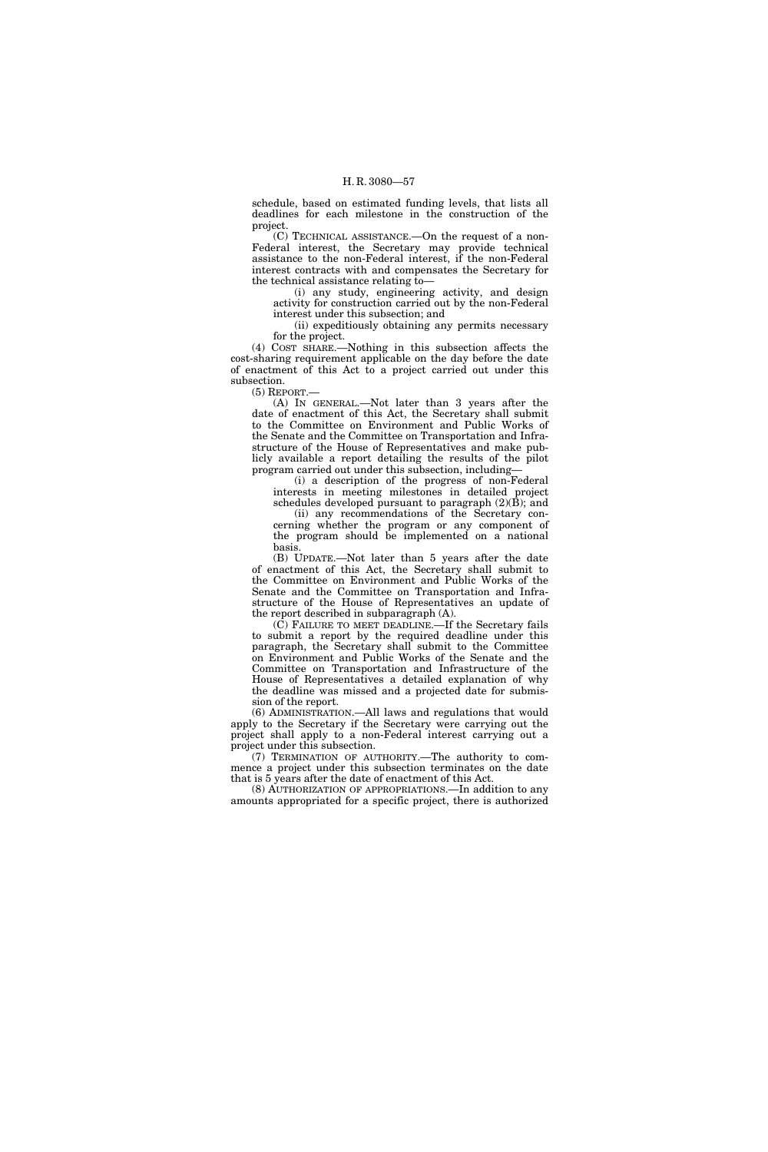schedule, based on estimated funding levels, that lists all deadlines for each milestone in the construction of the project.

(C) TECHNICAL ASSISTANCE.—On the request of a non-Federal interest, the Secretary may provide technical assistance to the non-Federal interest, if the non-Federal interest contracts with and compensates the Secretary for the technical assistance relating to—

(i) any study, engineering activity, and design activity for construction carried out by the non-Federal interest under this subsection; and

(ii) expeditiously obtaining any permits necessary for the project.

(4) COST SHARE.—Nothing in this subsection affects the cost-sharing requirement applicable on the day before the date of enactment of this Act to a project carried out under this subsection.

(5) REPORT.—

(A) IN GENERAL.—Not later than 3 years after the date of enactment of this Act, the Secretary shall submit to the Committee on Environment and Public Works of the Senate and the Committee on Transportation and Infrastructure of the House of Representatives and make publicly available a report detailing the results of the pilot program carried out under this subsection, including—

(i) a description of the progress of non-Federal interests in meeting milestones in detailed project schedules developed pursuant to paragraph (2)(B); and

(ii) any recommendations of the Secretary concerning whether the program or any component of

the program should be implemented on a national basis.

(B) UPDATE.—Not later than 5 years after the date of enactment of this Act, the Secretary shall submit to the Committee on Environment and Public Works of the Senate and the Committee on Transportation and Infrastructure of the House of Representatives an update of the report described in subparagraph (A).

(C) FAILURE TO MEET DEADLINE.—If the Secretary fails to submit a report by the required deadline under this paragraph, the Secretary shall submit to the Committee on Environment and Public Works of the Senate and the Committee on Transportation and Infrastructure of the House of Representatives a detailed explanation of why the deadline was missed and a projected date for submission of the report.

(6) ADMINISTRATION.—All laws and regulations that would apply to the Secretary if the Secretary were carrying out the project shall apply to a non-Federal interest carrying out a project under this subsection.

(7) TERMINATION OF AUTHORITY.—The authority to commence a project under this subsection terminates on the date that is 5 years after the date of enactment of this Act.

(8) AUTHORIZATION OF APPROPRIATIONS.—In addition to any amounts appropriated for a specific project, there is authorized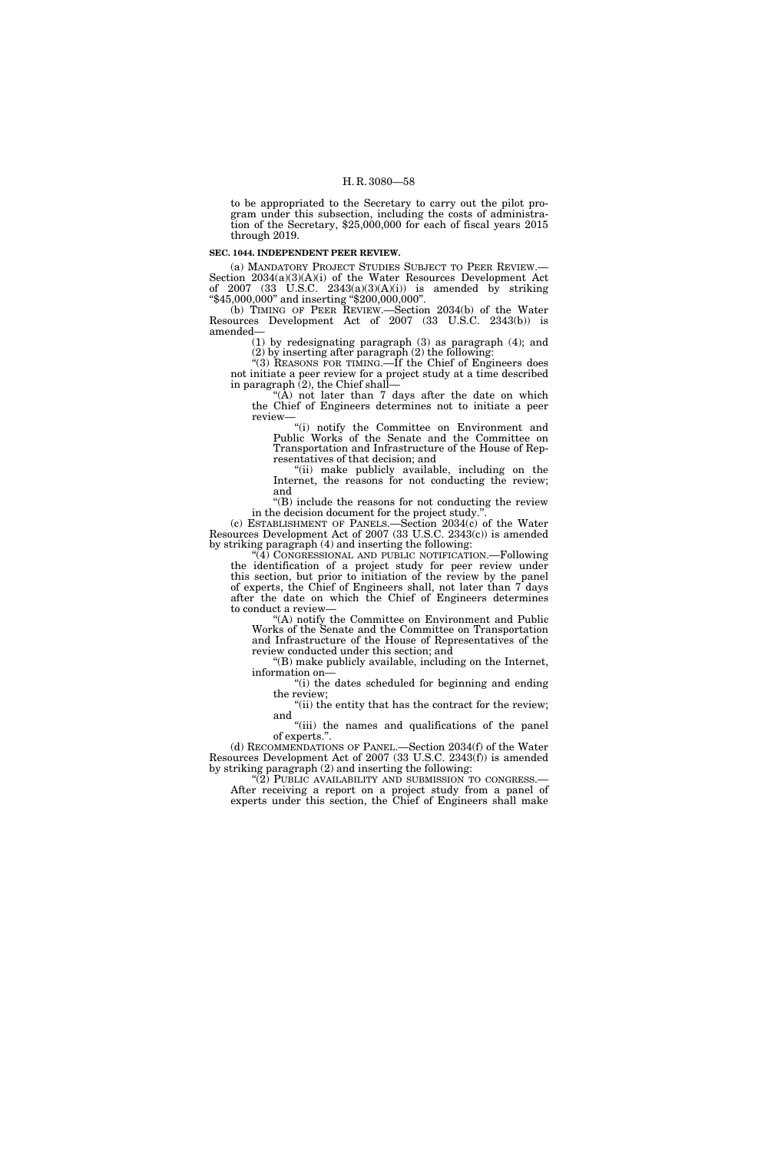to be appropriated to the Secretary to carry out the pilot program under this subsection, including the costs of administration of the Secretary, \$25,000,000 for each of fiscal years 2015 through 2019.

#### **SEC. 1044. INDEPENDENT PEER REVIEW.**

(a) MANDATORY PROJECT STUDIES SUBJECT TO PEER REVIEW.— Section 2034(a)(3)(A)(i) of the Water Resources Development Act of 2007 (33 U.S.C. 2343(a)(3)(A)(i)) is amended by striking  $``\$45,000,000"$  and inserting  $\ddot{``\$200,000,000"}.$ 

(b) TIMING OF PEER REVIEW.—Section 2034(b) of the Water Resources Development Act of 2007 (33 U.S.C. 2343(b)) is amended—

(1) by redesignating paragraph (3) as paragraph (4); and (2) by inserting after paragraph (2) the following:

''(3) REASONS FOR TIMING.—If the Chief of Engineers does not initiate a peer review for a project study at a time described in paragraph  $(2)$ , the Chief shall-

"( $\hat{A}$ ) not later than  $\hat{7}$  days after the date on which the Chief of Engineers determines not to initiate a peer review—

''(i) notify the Committee on Environment and Public Works of the Senate and the Committee on Transportation and Infrastructure of the House of Representatives of that decision; and

''(ii) make publicly available, including on the Internet, the reasons for not conducting the review; and

''(B) include the reasons for not conducting the review in the decision document for the project study.''.

(c) ESTABLISHMENT OF PANELS.—Section 2034(c) of the Water Resources Development Act of 2007 (33 U.S.C. 2343(c)) is amended by striking paragraph (4) and inserting the following:

''(4) CONGRESSIONAL AND PUBLIC NOTIFICATION.—Following the identification of a project study for peer review under this section, but prior to initiation of the review by the panel of experts, the Chief of Engineers shall, not later than 7 days after the date on which the Chief of Engineers determines to conduct a review—

'(A) notify the Committee on Environment and Public Works of the Senate and the Committee on Transportation and Infrastructure of the House of Representatives of the review conducted under this section; and

''(B) make publicly available, including on the Internet, information on—

''(i) the dates scheduled for beginning and ending the review;

"(ii) the entity that has the contract for the review; and

"(iii) the names and qualifications of the panel of experts.''.

(d) RECOMMENDATIONS OF PANEL.—Section 2034(f) of the Water Resources Development Act of 2007 (33 U.S.C. 2343(f)) is amended by striking paragraph (2) and inserting the following:

"(2) PUBLIC AVAILABILITY AND SUBMISSION TO CONGRESS.— After receiving a report on a project study from a panel of experts under this section, the Chief of Engineers shall make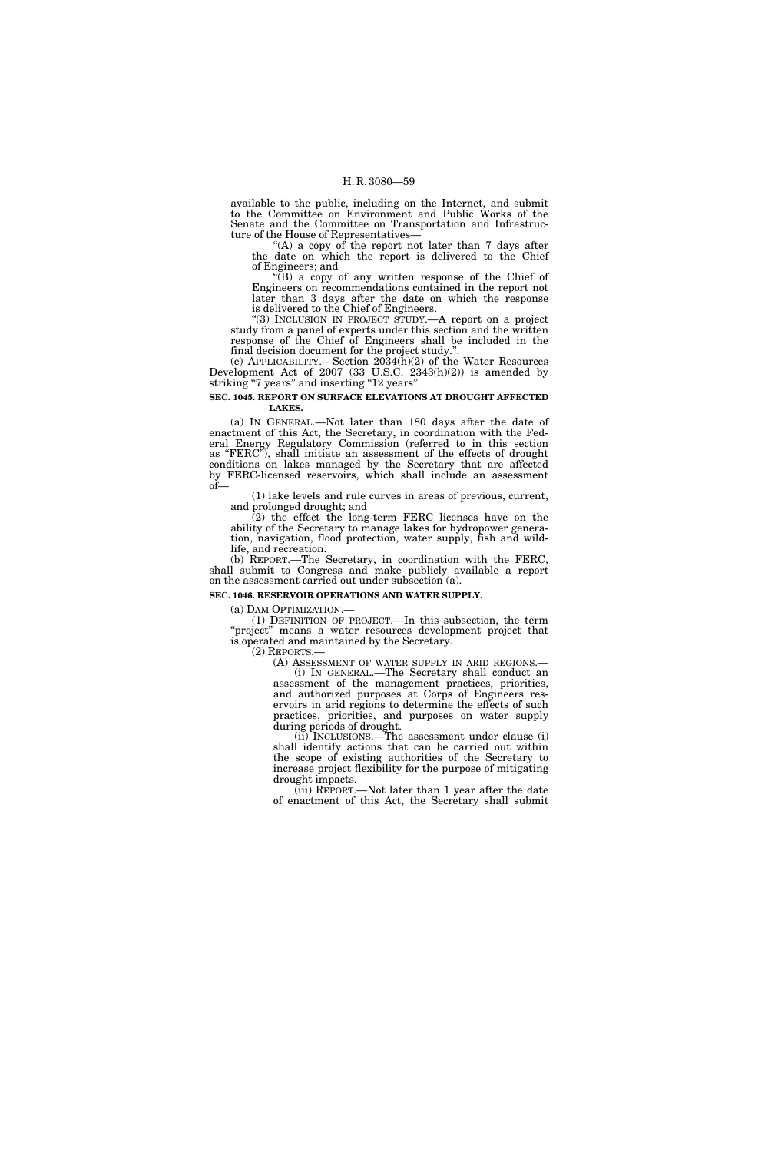available to the public, including on the Internet, and submit to the Committee on Environment and Public Works of the Senate and the Committee on Transportation and Infrastructure of the House of Representatives—

"(A) a copy of the report not later than 7 days after the date on which the report is delivered to the Chief of Engineers; and

''(B) a copy of any written response of the Chief of Engineers on recommendations contained in the report not later than 3 days after the date on which the response is delivered to the Chief of Engineers.

''(3) INCLUSION IN PROJECT STUDY.—A report on a project study from a panel of experts under this section and the written response of the Chief of Engineers shall be included in the final decision document for the project study.'

(e) APPLICABILITY.—Section 2034(h)(2) of the Water Resources Development Act of 2007 (33 U.S.C. 2343(h)(2)) is amended by striking ''7 years'' and inserting ''12 years''.

**SEC. 1045. REPORT ON SURFACE ELEVATIONS AT DROUGHT AFFECTED LAKES.** 

(a) IN GENERAL.—Not later than 180 days after the date of enactment of this Act, the Secretary, in coordination with the Federal Energy Regulatory Commission (referred to in this section as ''FERC''), shall initiate an assessment of the effects of drought conditions on lakes managed by the Secretary that are affected by FERC-licensed reservoirs, which shall include an assessment of—

(1) lake levels and rule curves in areas of previous, current, and prolonged drought; and

(2) the effect the long-term FERC licenses have on the ability of the Secretary to manage lakes for hydropower generation, navigation, flood protection, water supply, fish and wildlife, and recreation.

(b) REPORT.—The Secretary, in coordination with the FERC, shall submit to Congress and make publicly available a report on the assessment carried out under subsection (a).

# **SEC. 1046. RESERVOIR OPERATIONS AND WATER SUPPLY.**

(a) DAM OPTIMIZATION.— (1) DEFINITION OF PROJECT.—In this subsection, the term "project" means a water resources development project that is operated and maintained by the Secretary.<br>(2) REPORTS.—

(A) ASSESSMENT OF WATER SUPPLY IN ARID REGIONS.—<br>(i) IN GENERAL.—The Secretary shall conduct an

assessment of the management practices, priorities, and authorized purposes at Corps of Engineers reservoirs in arid regions to determine the effects of such practices, priorities, and purposes on water supply during periods of drought.

(ii) INCLUSIONS.—The assessment under clause (i) shall identify actions that can be carried out within the scope of existing authorities of the Secretary to increase project flexibility for the purpose of mitigating drought impacts.

(iii) REPORT.—Not later than 1 year after the date of enactment of this Act, the Secretary shall submit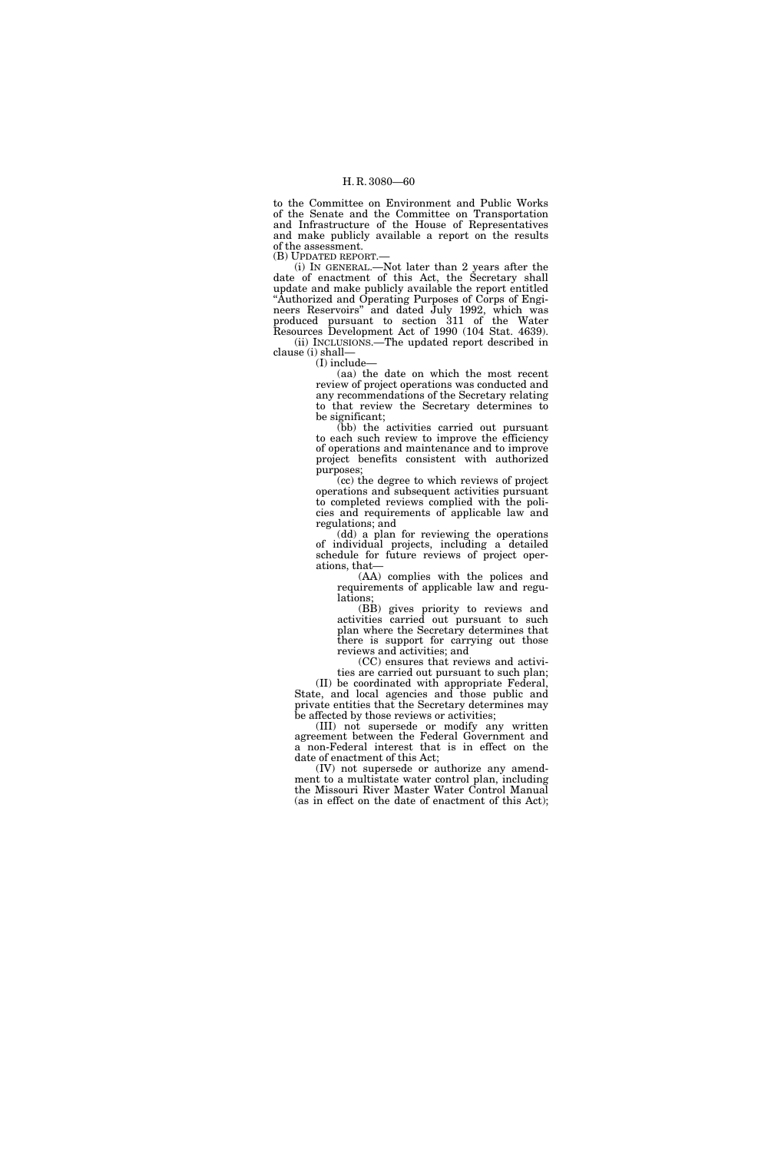to the Committee on Environment and Public Works of the Senate and the Committee on Transportation and Infrastructure of the House of Representatives and make publicly available a report on the results of the assessment. (B) UPDATED REPORT.—

(i) IN GENERAL.—Not later than 2 years after the date of enactment of this Act, the Secretary shall update and make publicly available the report entitled ''Authorized and Operating Purposes of Corps of Engineers Reservoirs'' and dated July 1992, which was produced pursuant to section 311 of the Water Resources Development Act of 1990 (104 Stat. 4639). (ii) INCLUSIONS.—The updated report described in clause (i) shall—

(I) include—

(aa) the date on which the most recent review of project operations was conducted and any recommendations of the Secretary relating to that review the Secretary determines to be significant;

(bb) the activities carried out pursuant to each such review to improve the efficiency of operations and maintenance and to improve project benefits consistent with authorized purposes;

(cc) the degree to which reviews of project operations and subsequent activities pursuant to completed reviews complied with the policies and requirements of applicable law and regulations; and

(dd) a plan for reviewing the operations of individual projects, including a detailed schedule for future reviews of project operations, that—

(AA) complies with the polices and requirements of applicable law and regulations;

(BB) gives priority to reviews and activities carried out pursuant to such plan where the Secretary determines that there is support for carrying out those reviews and activities; and

(CC) ensures that reviews and activities are carried out pursuant to such plan;

(II) be coordinated with appropriate Federal, State, and local agencies and those public and private entities that the Secretary determines may be affected by those reviews or activities;

(III) not supersede or modify any written agreement between the Federal Government and a non-Federal interest that is in effect on the date of enactment of this Act;

(IV) not supersede or authorize any amendment to a multistate water control plan, including the Missouri River Master Water Control Manual (as in effect on the date of enactment of this Act);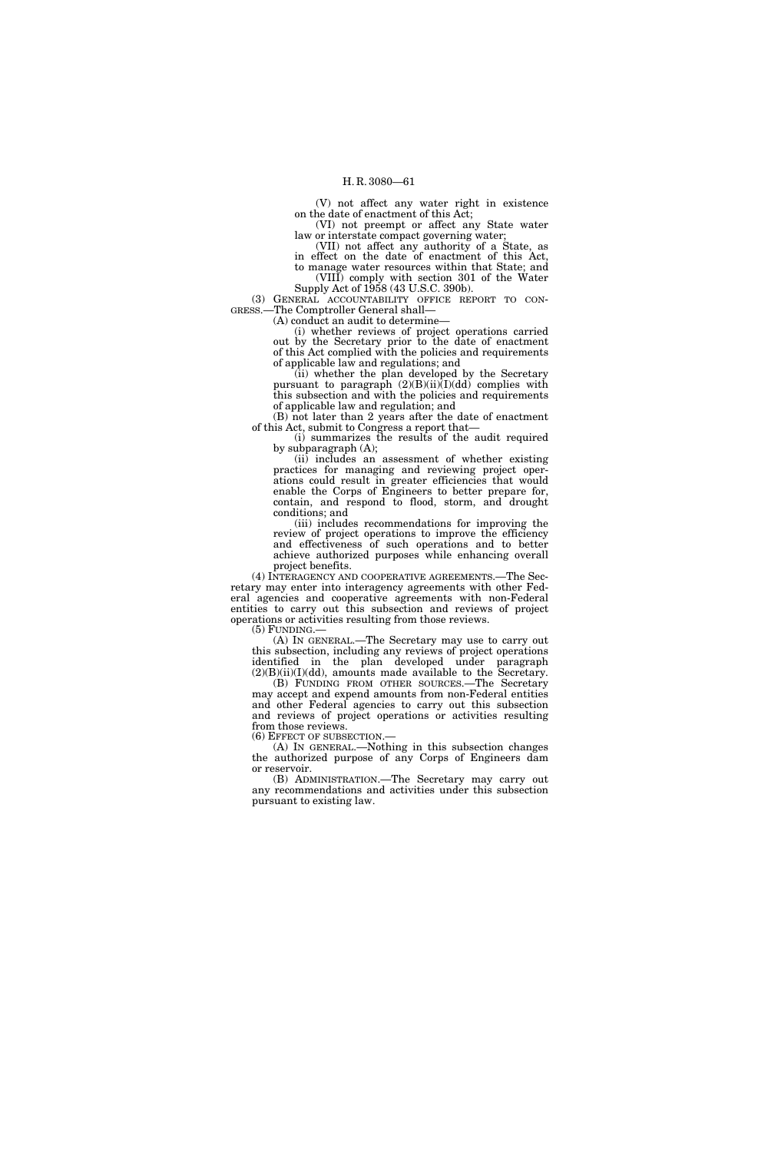(V) not affect any water right in existence on the date of enactment of this Act;

(VI) not preempt or affect any State water law or interstate compact governing water;

(VII) not affect any authority of a State, as in effect on the date of enactment of this Act, to manage water resources within that State; and

(VIII) comply with section 301 of the Water Supply Act of 1958 (43 U.S.C. 390b).

(3) GENERAL ACCOUNTABILITY OFFICE REPORT TO CON- GRESS.—The Comptroller General shall—

(A) conduct an audit to determine—

(i) whether reviews of project operations carried out by the Secretary prior to the date of enactment of this Act complied with the policies and requirements of applicable law and regulations; and

(ii) whether the plan developed by the Secretary pursuant to paragraph (2)(B)(ii)(I)(dd) complies with this subsection and with the policies and requirements of applicable law and regulation; and

(B) not later than 2 years after the date of enactment of this Act, submit to Congress a report that—

(i) summarizes the results of the audit required by subparagraph (A);

(ii) includes an assessment of whether existing practices for managing and reviewing project operations could result in greater efficiencies that would enable the Corps of Engineers to better prepare for, contain, and respond to flood, storm, and drought conditions; and

(iii) includes recommendations for improving the review of project operations to improve the efficiency and effectiveness of such operations and to better achieve authorized purposes while enhancing overall project benefits.

(4) INTERAGENCY AND COOPERATIVE AGREEMENTS.—The Secretary may enter into interagency agreements with other Federal agencies and cooperative agreements with non-Federal entities to carry out this subsection and reviews of project operations or activities resulting from those reviews.

(5) FUNDING.—

(A) IN GENERAL.—The Secretary may use to carry out this subsection, including any reviews of project operations identified in the plan developed under paragraph  $(2)(B)(ii)(I)(dd)$ , amounts made available to the Secretary.

(B) FUNDING FROM OTHER SOURCES.—The Secretary may accept and expend amounts from non-Federal entities and other Federal agencies to carry out this subsection and reviews of project operations or activities resulting from those reviews.<br>(6) EFFECT OF SUBSECTION.—

(A) IN GENERAL.—Nothing in this subsection changes the authorized purpose of any Corps of Engineers dam or reservoir.

(B) ADMINISTRATION.—The Secretary may carry out any recommendations and activities under this subsection pursuant to existing law.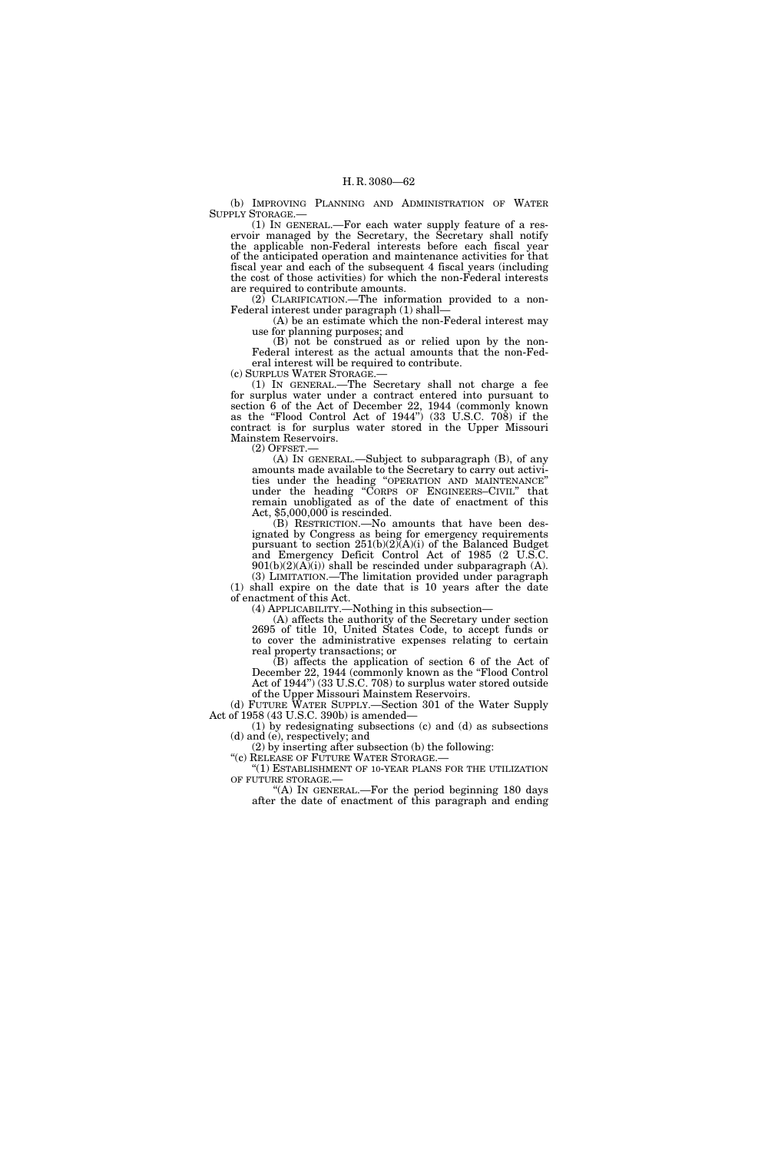(b) IMPROVING PLANNING AND ADMINISTRATION OF WATER SUPPLY STORAGE.—

(1) IN GENERAL.—For each water supply feature of a reservoir managed by the Secretary, the Secretary shall notify the applicable non-Federal interests before each fiscal year of the anticipated operation and maintenance activities for that fiscal year and each of the subsequent 4 fiscal years (including the cost of those activities) for which the non-Federal interests are required to contribute amounts.

(2) CLARIFICATION.—The information provided to a non-Federal interest under paragraph (1) shall—

(A) be an estimate which the non-Federal interest may use for planning purposes; and

(B) not be construed as or relied upon by the non-Federal interest as the actual amounts that the non-Federal interest will be required to contribute.

(c) SURPLUS WATER STORAGE.—

(1) IN GENERAL.—The Secretary shall not charge a fee for surplus water under a contract entered into pursuant to section 6 of the Act of December 22, 1944 (commonly known as the ''Flood Control Act of 1944'') (33 U.S.C. 708) if the contract is for surplus water stored in the Upper Missouri Mainstem Reservoirs.

(2) OFFSET.—

(A) IN GENERAL.—Subject to subparagraph (B), of any amounts made available to the Secretary to carry out activities under the heading ''OPERATION AND MAINTENANCE'' under the heading "CORPS OF ENGINEERS–CIVIL" that remain unobligated as of the date of enactment of this Act, \$5,000,000 is rescinded.

(B) RESTRICTION.—No amounts that have been designated by Congress as being for emergency requirements pursuant to section  $251(b)(2)(A)(i)$  of the Balanced Budget and Emergency Deficit Control Act of 1985 (2 U.S.C.  $901(b)(2)(A)(i)$  shall be rescinded under subparagraph (A). (3) LIMITATION.—The limitation provided under paragraph

(1) shall expire on the date that is 10 years after the date of enactment of this Act. (4) APPLICABILITY.—Nothing in this subsection—

(A) affects the authority of the Secretary under section 2695 of title 10, United States Code, to accept funds or to cover the administrative expenses relating to certain real property transactions; or

(B) affects the application of section 6 of the Act of December 22, 1944 (commonly known as the "Flood Control" Act of 1944'') (33 U.S.C. 708) to surplus water stored outside of the Upper Missouri Mainstem Reservoirs.

(d) FUTURE WATER SUPPLY.—Section 301 of the Water Supply Act of 1958 (43 U.S.C. 390b) is amended—

(1) by redesignating subsections (c) and (d) as subsections (d) and (e), respectively; and

(2) by inserting after subsection (b) the following: ''(c) RELEASE OF FUTURE WATER STORAGE.—

"(1) ESTABLISHMENT OF 10-YEAR PLANS FOR THE UTILIZATION

OF FUTURE STORAGE.— ''(A) IN GENERAL.—For the period beginning 180 days after the date of enactment of this paragraph and ending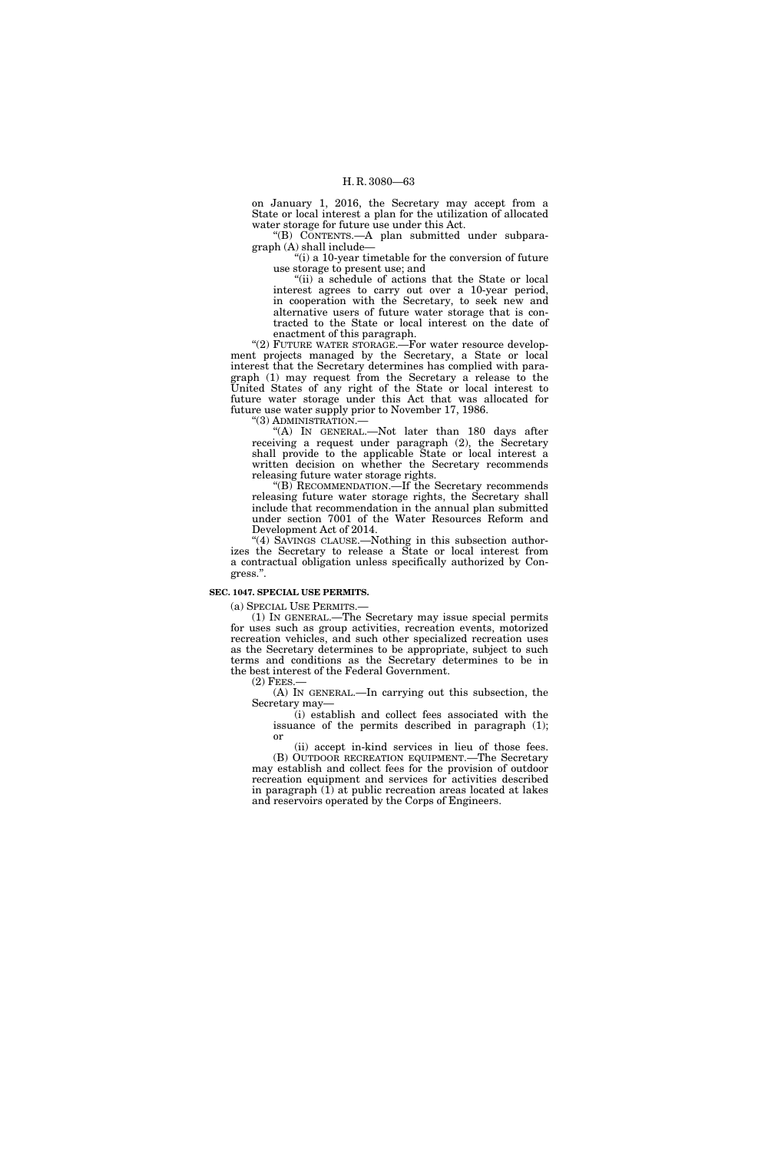on January 1, 2016, the Secretary may accept from a State or local interest a plan for the utilization of allocated water storage for future use under this Act.

''(B) CONTENTS.—A plan submitted under subparagraph (A) shall include—

"(i) a 10-year timetable for the conversion of future" use storage to present use; and

"(ii) a schedule of actions that the State or local interest agrees to carry out over a 10-year period, in cooperation with the Secretary, to seek new and alternative users of future water storage that is contracted to the State or local interest on the date of enactment of this paragraph.

"(2) FUTURE WATER STORAGE.—For water resource development projects managed by the Secretary, a State or local interest that the Secretary determines has complied with paragraph (1) may request from the Secretary a release to the United States of any right of the State or local interest to future water storage under this Act that was allocated for future use water supply prior to November 17, 1986.

''(3) ADMINISTRATION.—

''(A) IN GENERAL.—Not later than 180 days after receiving a request under paragraph (2), the Secretary shall provide to the applicable State or local interest a written decision on whether the Secretary recommends releasing future water storage rights.

''(B) RECOMMENDATION.—If the Secretary recommends releasing future water storage rights, the Secretary shall include that recommendation in the annual plan submitted under section 7001 of the Water Resources Reform and Development Act of 2014.

''(4) SAVINGS CLAUSE.—Nothing in this subsection authorizes the Secretary to release a State or local interest from a contractual obligation unless specifically authorized by Congress.''.

#### **SEC. 1047. SPECIAL USE PERMITS.**

(a) SPECIAL USE PERMITS.—

(1) IN GENERAL.—The Secretary may issue special permits for uses such as group activities, recreation events, motorized recreation vehicles, and such other specialized recreation uses as the Secretary determines to be appropriate, subject to such terms and conditions as the Secretary determines to be in the best interest of the Federal Government.

(2) FEES.—

(A) IN GENERAL.—In carrying out this subsection, the Secretary may—

(i) establish and collect fees associated with the issuance of the permits described in paragraph (1); or

(ii) accept in-kind services in lieu of those fees. (B) OUTDOOR RECREATION EQUIPMENT.—The Secretary may establish and collect fees for the provision of outdoor recreation equipment and services for activities described in paragraph  $(I)$  at public recreation areas located at lakes and reservoirs operated by the Corps of Engineers.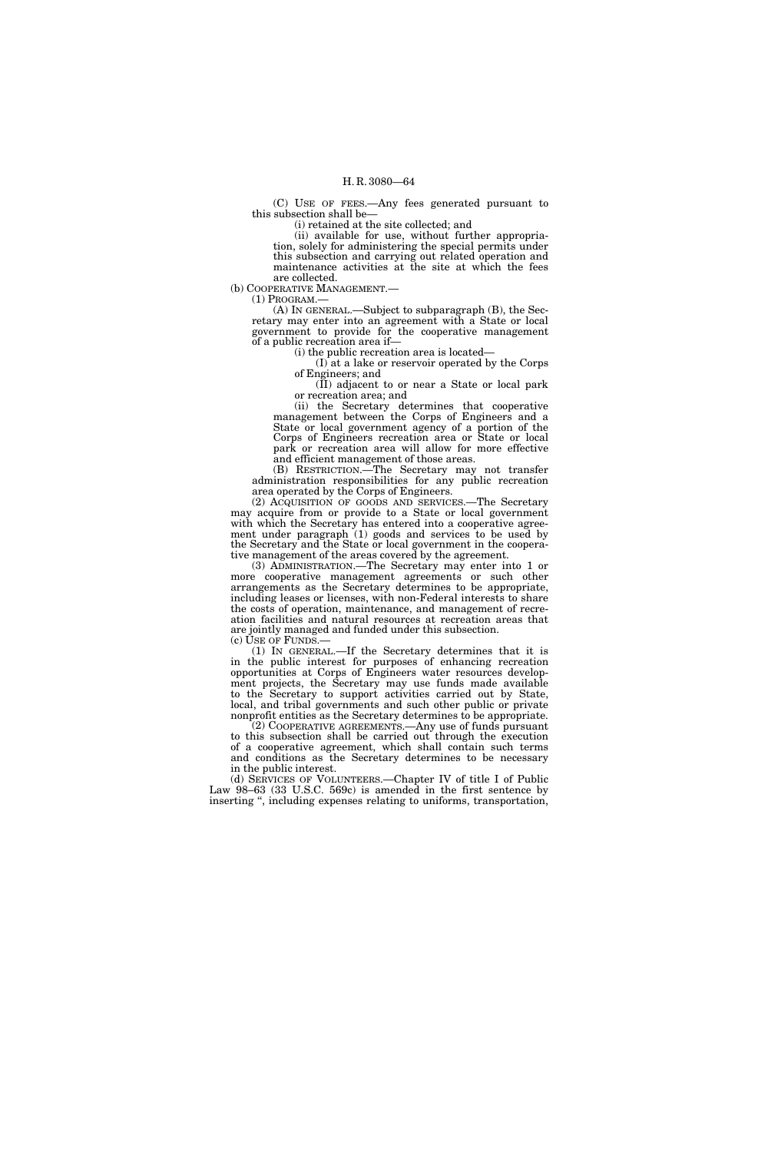(C) USE OF FEES.—Any fees generated pursuant to this subsection shall be—

(i) retained at the site collected; and

(ii) available for use, without further appropriation, solely for administering the special permits under this subsection and carrying out related operation and maintenance activities at the site at which the fees are collected.

(b) COOPERATIVE MANAGEMENT.—

(1) PROGRAM.— (A) IN GENERAL.—Subject to subparagraph (B), the Secretary may enter into an agreement with a State or local government to provide for the cooperative management of a public recreation area if—

(i) the public recreation area is located—

(I) at a lake or reservoir operated by the Corps of Engineers; and

(II) adjacent to or near a State or local park or recreation area; and

(ii) the Secretary determines that cooperative management between the Corps of Engineers and a State or local government agency of a portion of the Corps of Engineers recreation area or State or local park or recreation area will allow for more effective and efficient management of those areas.

(B) RESTRICTION.—The Secretary may not transfer administration responsibilities for any public recreation area operated by the Corps of Engineers.

(2) ACQUISITION OF GOODS AND SERVICES.—The Secretary may acquire from or provide to a State or local government with which the Secretary has entered into a cooperative agreement under paragraph (1) goods and services to be used by the Secretary and the State or local government in the cooperative management of the areas covered by the agreement.

(3) ADMINISTRATION.—The Secretary may enter into 1 or more cooperative management agreements or such other arrangements as the Secretary determines to be appropriate, including leases or licenses, with non-Federal interests to share the costs of operation, maintenance, and management of recreation facilities and natural resources at recreation areas that are jointly managed and funded under this subsection. (c) USE OF FUNDS.—

(1) IN GENERAL.—If the Secretary determines that it is in the public interest for purposes of enhancing recreation opportunities at Corps of Engineers water resources development projects, the Secretary may use funds made available to the Secretary to support activities carried out by State, local, and tribal governments and such other public or private nonprofit entities as the Secretary determines to be appropriate.

(2) COOPERATIVE AGREEMENTS.—Any use of funds pursuant to this subsection shall be carried out through the execution of a cooperative agreement, which shall contain such terms and conditions as the Secretary determines to be necessary in the public interest.

(d) SERVICES OF VOLUNTEERS.—Chapter IV of title I of Public Law 98–63 (33 U.S.C. 569c) is amended in the first sentence by inserting ", including expenses relating to uniforms, transportation,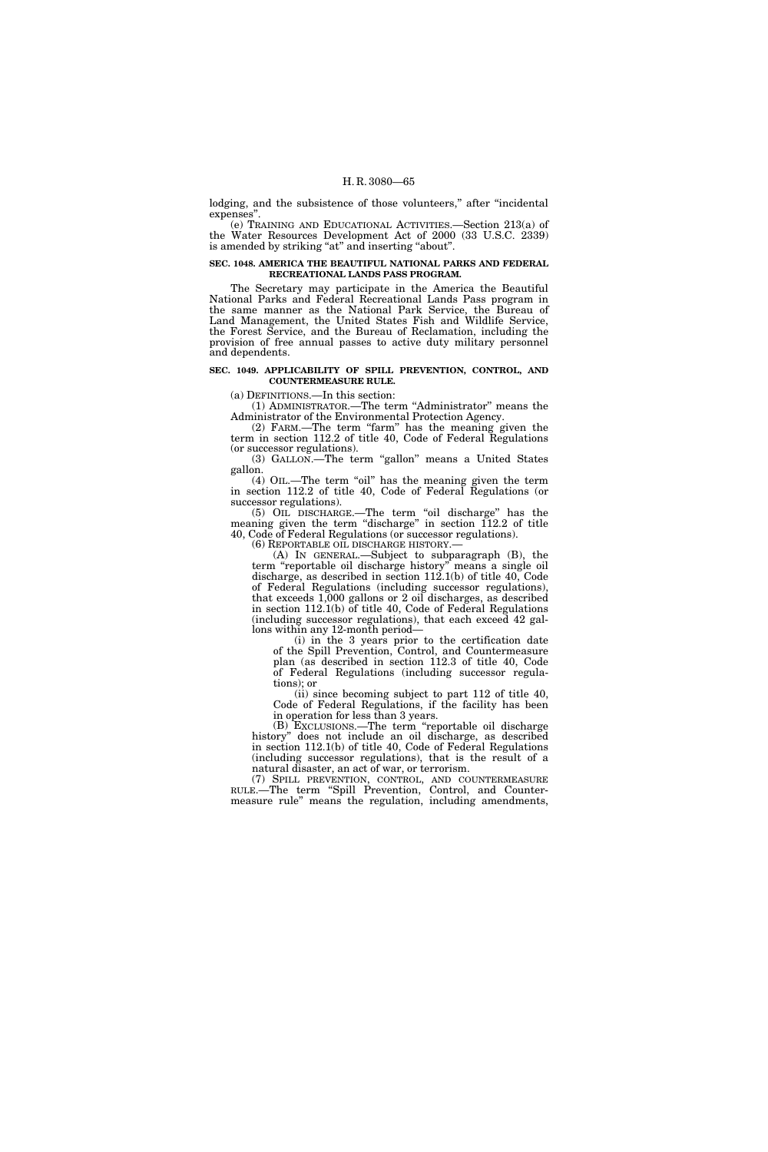lodging, and the subsistence of those volunteers," after "incidental expenses''.

(e) TRAINING AND EDUCATIONAL ACTIVITIES.—Section 213(a) of the Water Resources Development Act of 2000 (33 U.S.C. 2339) is amended by striking "at" and inserting "about".

#### **SEC. 1048. AMERICA THE BEAUTIFUL NATIONAL PARKS AND FEDERAL RECREATIONAL LANDS PASS PROGRAM.**

The Secretary may participate in the America the Beautiful National Parks and Federal Recreational Lands Pass program in the same manner as the National Park Service, the Bureau of Land Management, the United States Fish and Wildlife Service, the Forest Service, and the Bureau of Reclamation, including the provision of free annual passes to active duty military personnel and dependents.

#### **SEC. 1049. APPLICABILITY OF SPILL PREVENTION, CONTROL, AND COUNTERMEASURE RULE.**

(a) DEFINITIONS.—In this section:

(1) ADMINISTRATOR.—The term ''Administrator'' means the Administrator of the Environmental Protection Agency.

(2) FARM.—The term ''farm'' has the meaning given the term in section 112.2 of title 40, Code of Federal Regulations (or successor regulations).

(3) GALLON.—The term ''gallon'' means a United States gallon.

(4) OIL.—The term "oil" has the meaning given the term in section 112.2 of title 40, Code of Federal Regulations (or successor regulations).

(5) OIL DISCHARGE.—The term ''oil discharge'' has the meaning given the term "discharge" in section 112.2 of title 40, Code of Federal Regulations (or successor regulations).

(A) IN GENERAL.—Subject to subparagraph (B), the term "reportable oil discharge history" means a single oil discharge, as described in section 112.1(b) of title 40, Code of Federal Regulations (including successor regulations), that exceeds 1,000 gallons or 2 oil discharges, as described in section 112.1(b) of title 40, Code of Federal Regulations (including successor regulations), that each exceed 42 gallons within any 12-month period—

(i) in the 3 years prior to the certification date of the Spill Prevention, Control, and Countermeasure plan (as described in section 112.3 of title 40, Code of Federal Regulations (including successor regulations); or

(ii) since becoming subject to part 112 of title 40, Code of Federal Regulations, if the facility has been in operation for less than 3 years.

(B) EXCLUSIONS.—The term ''reportable oil discharge history'' does not include an oil discharge, as described in section 112.1(b) of title 40, Code of Federal Regulations (including successor regulations), that is the result of a natural disaster, an act of war, or terrorism.

(7) SPILL PREVENTION, CONTROL, AND COUNTERMEASURE RULE.—The term ''Spill Prevention, Control, and Countermeasure rule'' means the regulation, including amendments,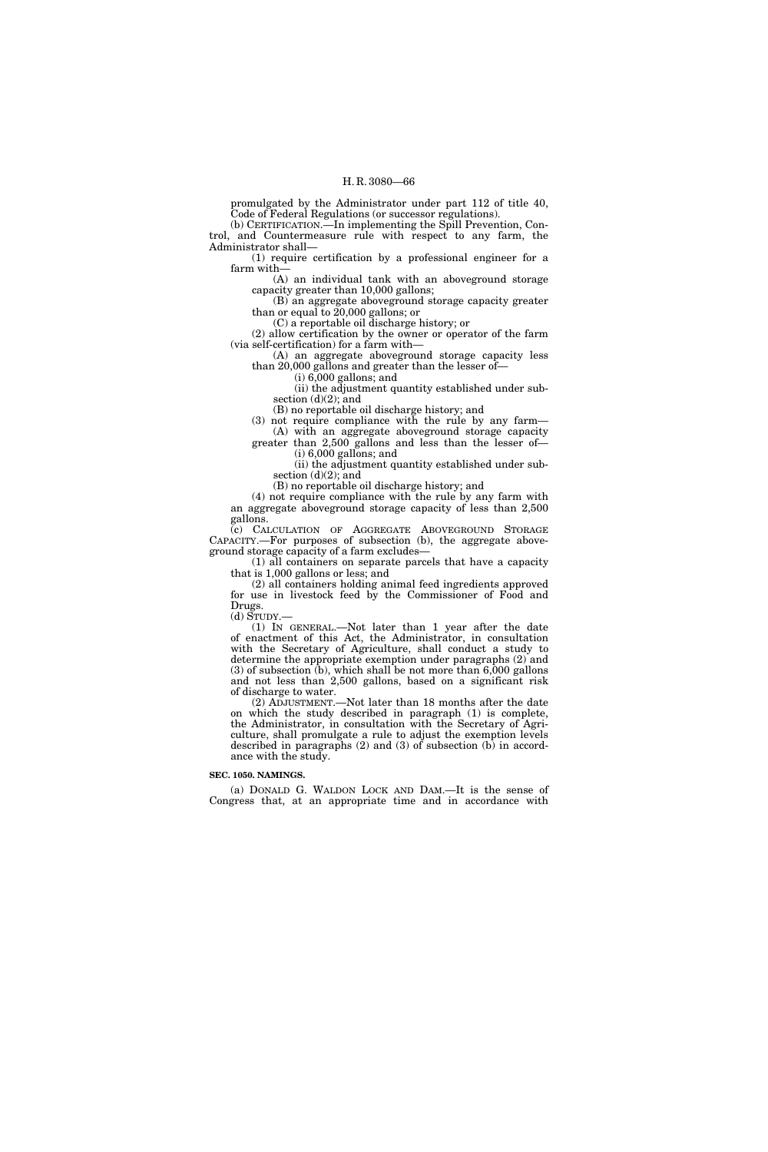promulgated by the Administrator under part 112 of title 40, Code of Federal Regulations (or successor regulations).

(b) CERTIFICATION.—In implementing the Spill Prevention, Control, and Countermeasure rule with respect to any farm, the Administrator shall—

(1) require certification by a professional engineer for a farm with—

(A) an individual tank with an aboveground storage capacity greater than 10,000 gallons;

(B) an aggregate aboveground storage capacity greater than or equal to 20,000 gallons; or

(C) a reportable oil discharge history; or

(2) allow certification by the owner or operator of the farm (via self-certification) for a farm with—

(A) an aggregate aboveground storage capacity less than 20,000 gallons and greater than the lesser of—

(i) 6,000 gallons; and

(ii) the adjustment quantity established under subsection  $(d)(2)$ ; and

(B) no reportable oil discharge history; and

(3) not require compliance with the rule by any farm—

(A) with an aggregate aboveground storage capacity greater than 2,500 gallons and less than the lesser of (i) 6,000 gallons; and

(ii) the adjustment quantity established under subsection (d)(2); and

(B) no reportable oil discharge history; and

(4) not require compliance with the rule by any farm with an aggregate aboveground storage capacity of less than 2,500 gallons.

(c) CALCULATION OF AGGREGATE ABOVEGROUND STORAGE CAPACITY.—For purposes of subsection (b), the aggregate aboveground storage capacity of a farm excludes—

(1) all containers on separate parcels that have a capacity that is 1,000 gallons or less; and

(2) all containers holding animal feed ingredients approved for use in livestock feed by the Commissioner of Food and Drugs.

(d) STUDY.—

(1) IN GENERAL.—Not later than 1 year after the date of enactment of this Act, the Administrator, in consultation with the Secretary of Agriculture, shall conduct a study to determine the appropriate exemption under paragraphs (2) and (3) of subsection (b), which shall be not more than 6,000 gallons and not less than 2,500 gallons, based on a significant risk of discharge to water.

(2) ADJUSTMENT.—Not later than 18 months after the date on which the study described in paragraph (1) is complete, the Administrator, in consultation with the Secretary of Agriculture, shall promulgate a rule to adjust the exemption levels described in paragraphs  $(2)$  and  $(3)$  of subsection  $(b)$  in accordance with the study.

#### **SEC. 1050. NAMINGS.**

(a) DONALD G. WALDON LOCK AND DAM.—It is the sense of Congress that, at an appropriate time and in accordance with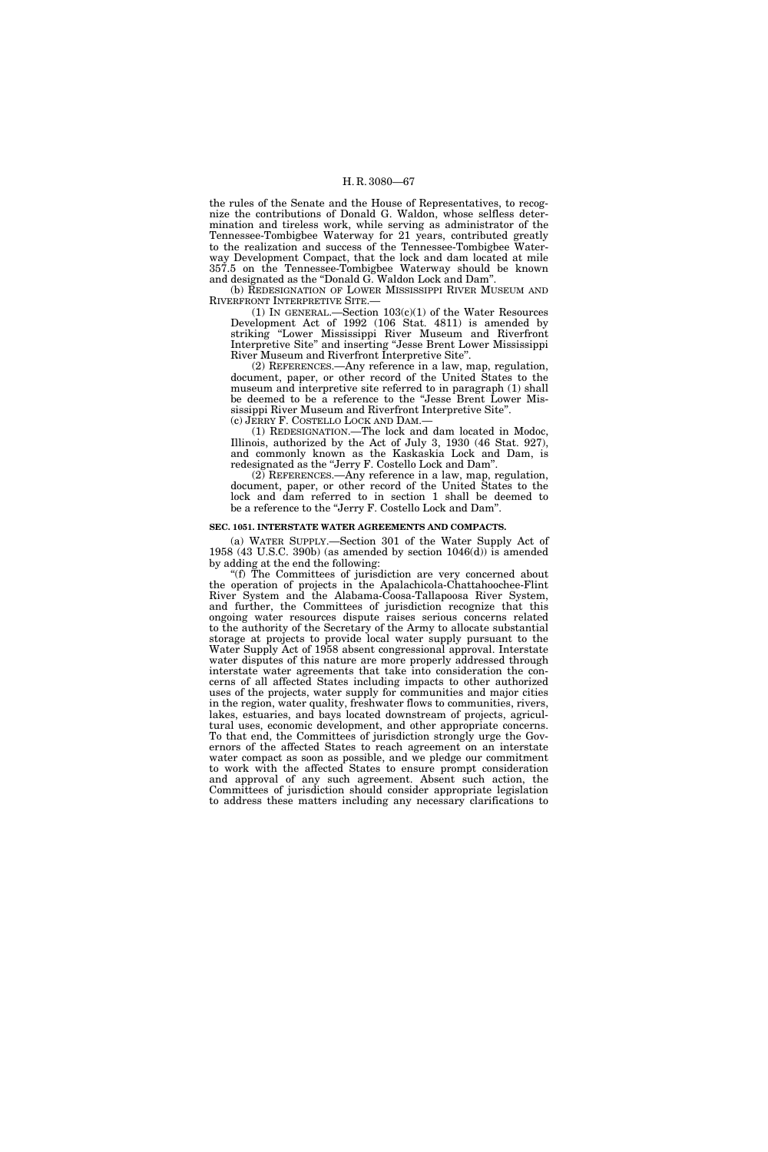the rules of the Senate and the House of Representatives, to recognize the contributions of Donald G. Waldon, whose selfless determination and tireless work, while serving as administrator of the Tennessee-Tombigbee Waterway for 21 years, contributed greatly to the realization and success of the Tennessee-Tombigbee Waterway Development Compact, that the lock and dam located at mile 357.5 on the Tennessee-Tombigbee Waterway should be known and designated as the ''Donald G. Waldon Lock and Dam''.

(b) REDESIGNATION OF LOWER MISSISSIPPI RIVER MUSEUM AND RIVERFRONT INTERPRETIVE SITE.—

(1) IN GENERAL.—Section 103(c)(1) of the Water Resources Development Act of 1992 (106 Stat. 4811) is amended by striking ''Lower Mississippi River Museum and Riverfront Interpretive Site'' and inserting ''Jesse Brent Lower Mississippi River Museum and Riverfront Interpretive Site''.

(2) REFERENCES.—Any reference in a law, map, regulation, document, paper, or other record of the United States to the museum and interpretive site referred to in paragraph (1) shall be deemed to be a reference to the ''Jesse Brent Lower Mississippi River Museum and Riverfront Interpretive Site''. (c) JERRY F. COSTELLO LOCK AND DAM.—

(1) REDESIGNATION.—The lock and dam located in Modoc, Illinois, authorized by the Act of July 3, 1930 (46 Stat. 927), and commonly known as the Kaskaskia Lock and Dam, is redesignated as the ''Jerry F. Costello Lock and Dam''.

 $(2)$  REFERENCES.—Any reference in a law, map, regulation, document, paper, or other record of the United States to the lock and dam referred to in section 1 shall be deemed to be a reference to the "Jerry F. Costello Lock and Dam".

#### **SEC. 1051. INTERSTATE WATER AGREEMENTS AND COMPACTS.**

(a) WATER SUPPLY.—Section 301 of the Water Supply Act of 1958 (43 U.S.C. 390b) (as amended by section 1046(d)) is amended by adding at the end the following:

''(f) The Committees of jurisdiction are very concerned about the operation of projects in the Apalachicola-Chattahoochee-Flint River System and the Alabama-Coosa-Tallapoosa River System, and further, the Committees of jurisdiction recognize that this ongoing water resources dispute raises serious concerns related to the authority of the Secretary of the Army to allocate substantial storage at projects to provide local water supply pursuant to the Water Supply Act of 1958 absent congressional approval. Interstate water disputes of this nature are more properly addressed through interstate water agreements that take into consideration the concerns of all affected States including impacts to other authorized uses of the projects, water supply for communities and major cities in the region, water quality, freshwater flows to communities, rivers, lakes, estuaries, and bays located downstream of projects, agricultural uses, economic development, and other appropriate concerns. To that end, the Committees of jurisdiction strongly urge the Governors of the affected States to reach agreement on an interstate water compact as soon as possible, and we pledge our commitment to work with the affected States to ensure prompt consideration and approval of any such agreement. Absent such action, the Committees of jurisdiction should consider appropriate legislation to address these matters including any necessary clarifications to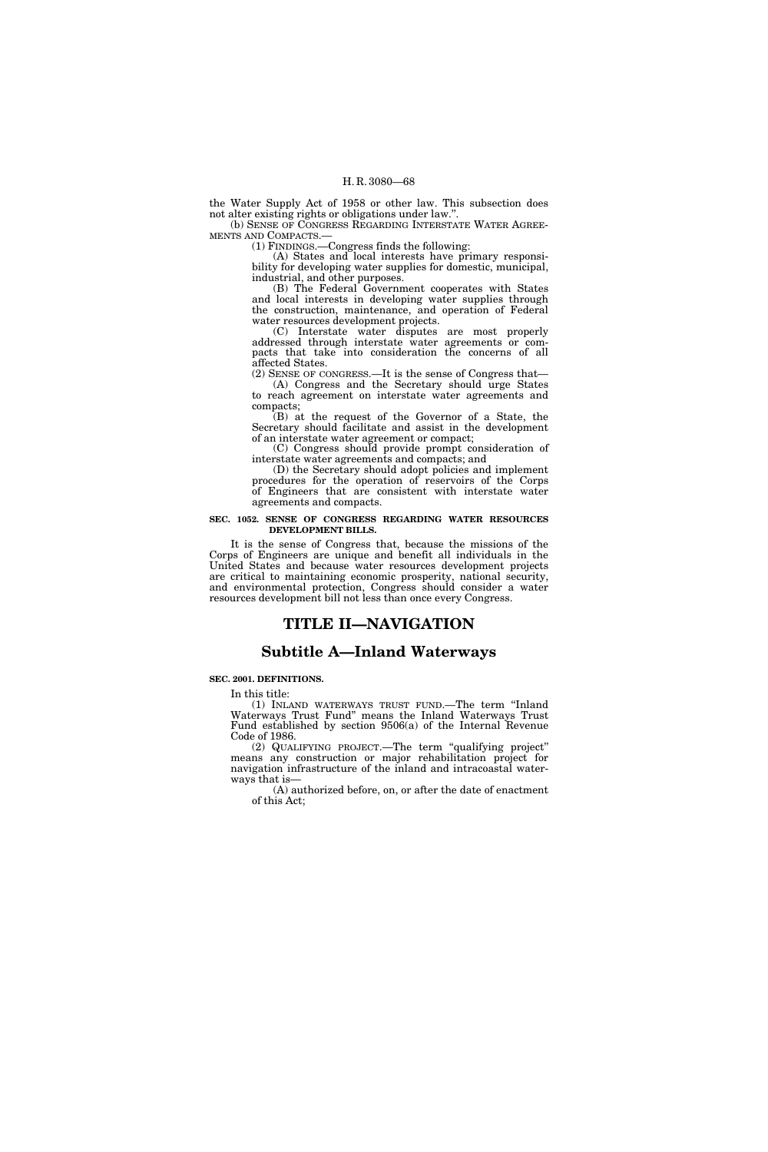the Water Supply Act of 1958 or other law. This subsection does not alter existing rights or obligations under law.''. (b) SENSE OF CONGRESS REGARDING INTERSTATE WATER AGREE-

MENTS AND COMPACTS.—

(1) FINDINGS.—Congress finds the following:

(A) States and local interests have primary responsibility for developing water supplies for domestic, municipal, industrial, and other purposes.

(B) The Federal Government cooperates with States and local interests in developing water supplies through the construction, maintenance, and operation of Federal water resources development projects.

(C) Interstate water disputes are most properly addressed through interstate water agreements or compacts that take into consideration the concerns of all affected States.

(2) SENSE OF CONGRESS.—It is the sense of Congress that— (A) Congress and the Secretary should urge States to reach agreement on interstate water agreements and compacts;

(B) at the request of the Governor of a State, the Secretary should facilitate and assist in the development of an interstate water agreement or compact;

(C) Congress should provide prompt consideration of interstate water agreements and compacts; and

(D) the Secretary should adopt policies and implement procedures for the operation of reservoirs of the Corps of Engineers that are consistent with interstate water agreements and compacts.

#### **SEC. 1052. SENSE OF CONGRESS REGARDING WATER RESOURCES DEVELOPMENT BILLS.**

It is the sense of Congress that, because the missions of the Corps of Engineers are unique and benefit all individuals in the United States and because water resources development projects are critical to maintaining economic prosperity, national security, and environmental protection, Congress should consider a water resources development bill not less than once every Congress.

# **TITLE II—NAVIGATION**

# **Subtitle A—Inland Waterways**

#### **SEC. 2001. DEFINITIONS.**

In this title:

(1) INLAND WATERWAYS TRUST FUND.—The term ''Inland Waterways Trust Fund'' means the Inland Waterways Trust Fund established by section 9506(a) of the Internal Revenue Code of 1986.

(2) QUALIFYING PROJECT.—The term ''qualifying project'' means any construction or major rehabilitation project for navigation infrastructure of the inland and intracoastal waterways that is—

(A) authorized before, on, or after the date of enactment of this Act;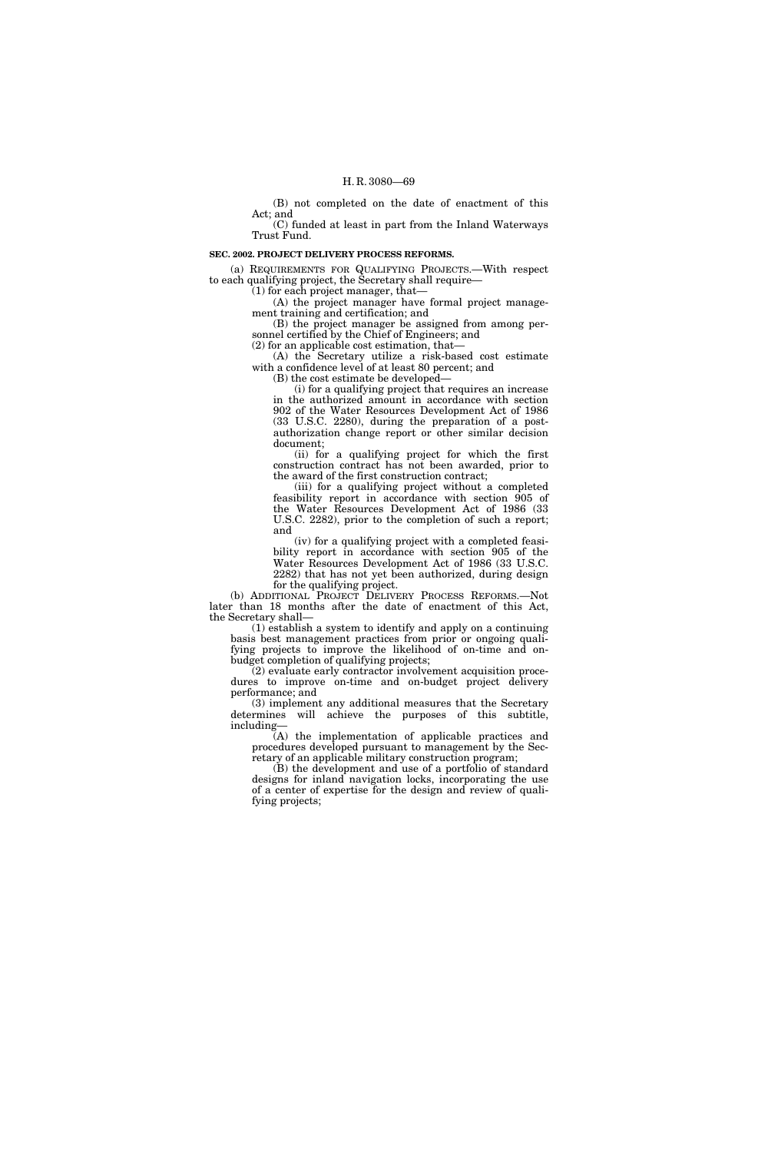(B) not completed on the date of enactment of this Act; and

(C) funded at least in part from the Inland Waterways Trust Fund.

#### **SEC. 2002. PROJECT DELIVERY PROCESS REFORMS.**

(a) REQUIREMENTS FOR QUALIFYING PROJECTS.—With respect to each qualifying project, the Secretary shall require—

(1) for each project manager, that—

(A) the project manager have formal project management training and certification; and (B) the project manager be assigned from among per-

sonnel certified by the Chief of Engineers; and (2) for an applicable cost estimation, that—

(A) the Secretary utilize a risk-based cost estimate with a confidence level of at least 80 percent; and

(B) the cost estimate be developed—

(i) for a qualifying project that requires an increase in the authorized amount in accordance with section 902 of the Water Resources Development Act of 1986 (33 U.S.C. 2280), during the preparation of a postauthorization change report or other similar decision document;

(ii) for a qualifying project for which the first construction contract has not been awarded, prior to the award of the first construction contract;

(iii) for a qualifying project without a completed feasibility report in accordance with section 905 of the Water Resources Development Act of 1986 (33 U.S.C. 2282), prior to the completion of such a report; and

(iv) for a qualifying project with a completed feasibility report in accordance with section 905 of the Water Resources Development Act of 1986 (33 U.S.C. 2282) that has not yet been authorized, during design for the qualifying project.

(b) ADDITIONAL PROJECT DELIVERY PROCESS REFORMS.—Not later than 18 months after the date of enactment of this Act, the Secretary shall—

(1) establish a system to identify and apply on a continuing basis best management practices from prior or ongoing qualifying projects to improve the likelihood of on-time and onbudget completion of qualifying projects;

(2) evaluate early contractor involvement acquisition procedures to improve on-time and on-budget project delivery performance; and

(3) implement any additional measures that the Secretary determines will achieve the purposes of this subtitle, including—

(A) the implementation of applicable practices and procedures developed pursuant to management by the Secretary of an applicable military construction program;

(B) the development and use of a portfolio of standard designs for inland navigation locks, incorporating the use of a center of expertise for the design and review of qualifying projects;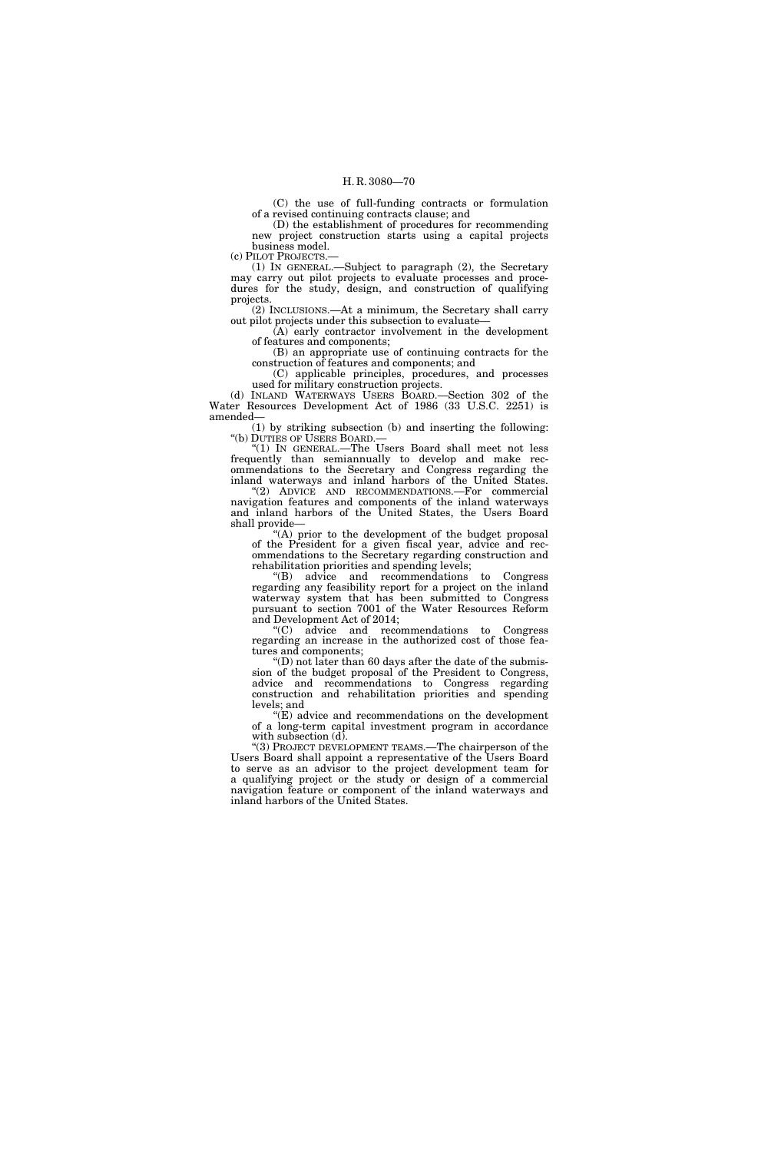(C) the use of full-funding contracts or formulation of a revised continuing contracts clause; and

(D) the establishment of procedures for recommending new project construction starts using a capital projects business model.

(c) PILOT PROJECTS.—

(1) IN GENERAL.—Subject to paragraph (2), the Secretary may carry out pilot projects to evaluate processes and procedures for the study, design, and construction of qualifying projects.

(2) INCLUSIONS.—At a minimum, the Secretary shall carry out pilot projects under this subsection to evaluate—

(A) early contractor involvement in the development of features and components;

(B) an appropriate use of continuing contracts for the construction of features and components; and

(C) applicable principles, procedures, and processes used for military construction projects.

(d) INLAND WATERWAYS USERS BOARD.—Section 302 of the Water Resources Development Act of 1986 (33 U.S.C. 2251) is amended—

(1) by striking subsection (b) and inserting the following: ''(b) DUTIES OF USERS BOARD.—

''(1) IN GENERAL.—The Users Board shall meet not less frequently than semiannually to develop and make recommendations to the Secretary and Congress regarding the inland waterways and inland harbors of the United States. ''(2) ADVICE AND RECOMMENDATIONS.—For commercial navigation features and components of the inland waterways

and inland harbors of the United States, the Users Board shall provide— ''(A) prior to the development of the budget proposal

of the President for a given fiscal year, advice and recommendations to the Secretary regarding construction and rehabilitation priorities and spending levels;

''(B) advice and recommendations to Congress regarding any feasibility report for a project on the inland waterway system that has been submitted to Congress pursuant to section 7001 of the Water Resources Reform and Development Act of 2014;

''(C) advice and recommendations to Congress regarding an increase in the authorized cost of those features and components;

''(D) not later than 60 days after the date of the submission of the budget proposal of the President to Congress, advice and recommendations to Congress regarding construction and rehabilitation priorities and spending levels; and

''(E) advice and recommendations on the development of a long-term capital investment program in accordance with subsection  $(d)$ .

"(3) PROJECT DEVELOPMENT TEAMS.—The chairperson of the Users Board shall appoint a representative of the Users Board to serve as an advisor to the project development team for a qualifying project or the study or design of a commercial navigation feature or component of the inland waterways and inland harbors of the United States.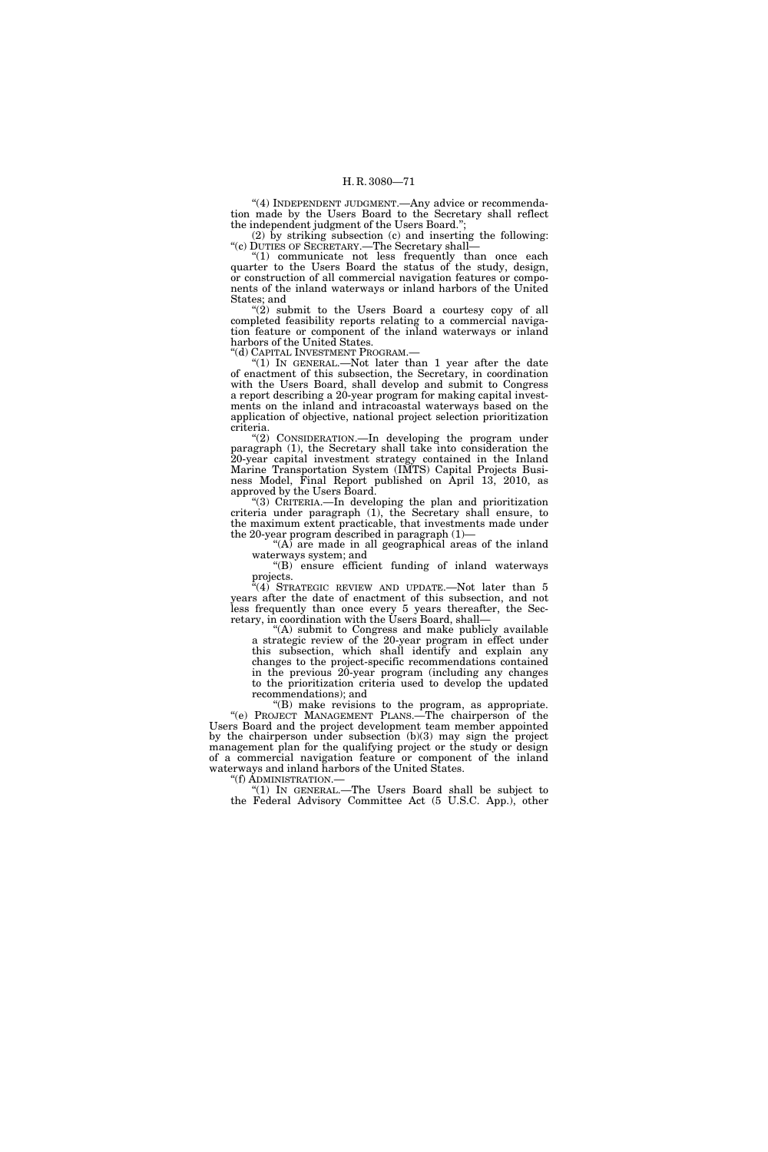"(4) INDEPENDENT JUDGMENT. Any advice or recommendation made by the Users Board to the Secretary shall reflect the independent judgment of the Users Board.'';

(2) by striking subsection (c) and inserting the following: ''(c) DUTIES OF SECRETARY.—The Secretary shall—

''(1) communicate not less frequently than once each quarter to the Users Board the status of the study, design, or construction of all commercial navigation features or components of the inland waterways or inland harbors of the United States; and

"(2) submit to the Users Board a courtesy copy of all completed feasibility reports relating to a commercial navigation feature or component of the inland waterways or inland harbors of the United States.

''(d) CAPITAL INVESTMENT PROGRAM.—

"(1) In GENERAL.—Not later than 1 year after the date of enactment of this subsection, the Secretary, in coordination with the Users Board, shall develop and submit to Congress a report describing a 20-year program for making capital investments on the inland and intracoastal waterways based on the application of objective, national project selection prioritization criteria.

"(2) CONSIDERATION.—In developing the program under paragraph (1), the Secretary shall take into consideration the 20-year capital investment strategy contained in the Inland Marine Transportation System (IMTS) Capital Projects Business Model, Final Report published on April 13, 2010, as approved by the Users Board.

''(3) CRITERIA.—In developing the plan and prioritization criteria under paragraph (1), the Secretary shall ensure, to the maximum extent practicable, that investments made under the 20-year program described in paragraph (1)—

"(A) are made in all geographical areas of the inland waterways system; and

''(B) ensure efficient funding of inland waterways projects.

 $f^{n}(4)$  STRATEGIC REVIEW AND UPDATE.—Not later than 5 years after the date of enactment of this subsection, and not less frequently than once every 5 years thereafter, the Secretary, in coordination with the Users Board, shall—

''(A) submit to Congress and make publicly available a strategic review of the 20-year program in effect under this subsection, which shall identify and explain any changes to the project-specific recommendations contained in the previous 20-year program (including any changes to the prioritization criteria used to develop the updated recommendations); and

''(B) make revisions to the program, as appropriate. "(e) PROJECT MANAGEMENT PLANS.—The chairperson of the Users Board and the project development team member appointed by the chairperson under subsection (b)(3) may sign the project management plan for the qualifying project or the study or design of a commercial navigation feature or component of the inland waterways and inland harbors of the United States.

''(f) ADMINISTRATION.— ''(1) IN GENERAL.—The Users Board shall be subject to the Federal Advisory Committee Act (5 U.S.C. App.), other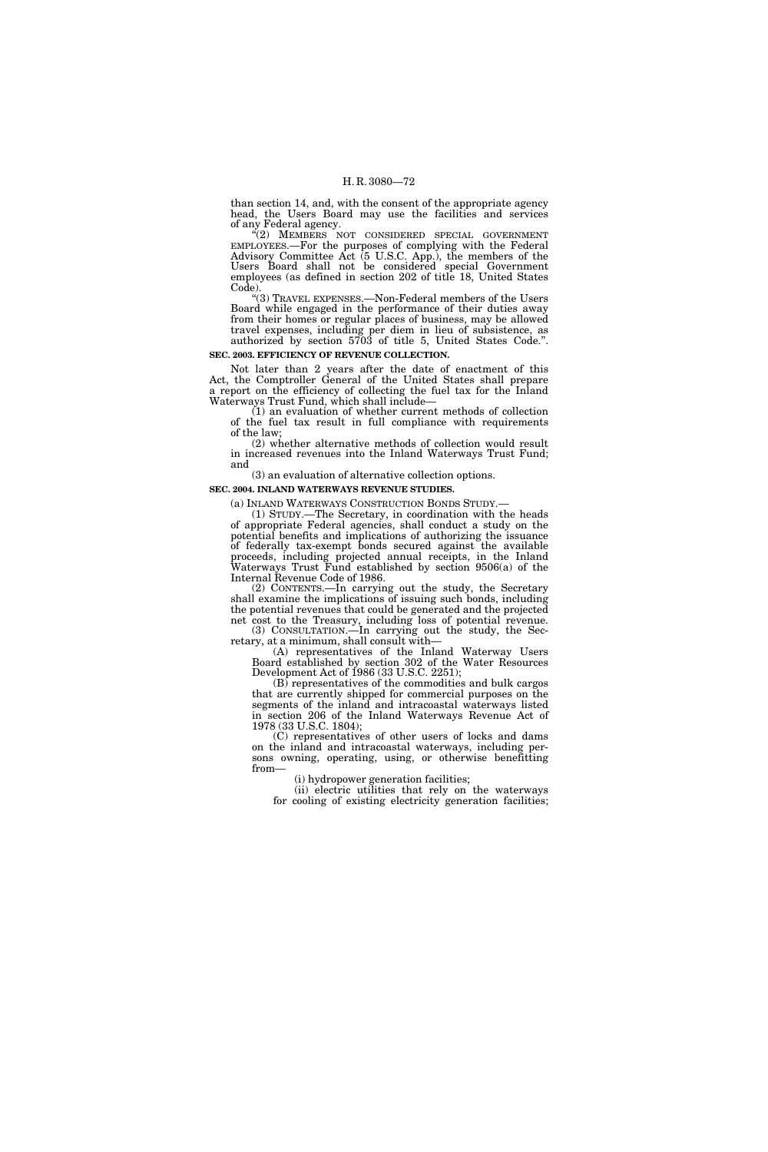than section 14, and, with the consent of the appropriate agency head, the Users Board may use the facilities and services of any Federal agency.

''(2) MEMBERS NOT CONSIDERED SPECIAL GOVERNMENT EMPLOYEES.—For the purposes of complying with the Federal Advisory Committee Act (5 U.S.C. App.), the members of the Users Board shall not be considered special Government employees (as defined in section 202 of title 18, United States Code).

''(3) TRAVEL EXPENSES.—Non-Federal members of the Users Board while engaged in the performance of their duties away from their homes or regular places of business, may be allowed travel expenses, including per diem in lieu of subsistence, as authorized by section 5703 of title 5, United States Code.''.

# **SEC. 2003. EFFICIENCY OF REVENUE COLLECTION.**

Not later than 2 years after the date of enactment of this Act, the Comptroller General of the United States shall prepare a report on the efficiency of collecting the fuel tax for the Inland Waterways Trust Fund, which shall include—

(1) an evaluation of whether current methods of collection of the fuel tax result in full compliance with requirements of the law;

(2) whether alternative methods of collection would result in increased revenues into the Inland Waterways Trust Fund; and

(3) an evaluation of alternative collection options.

# **SEC. 2004. INLAND WATERWAYS REVENUE STUDIES.**

(a) INLAND WATERWAYS CONSTRUCTION BONDS STUDY.— (1) STUDY.—The Secretary, in coordination with the heads

of appropriate Federal agencies, shall conduct a study on the potential benefits and implications of authorizing the issuance of federally tax-exempt bonds secured against the available proceeds, including projected annual receipts, in the Inland Waterways Trust Fund established by section 9506(a) of the Internal Revenue Code of 1986.

(2) CONTENTS.—In carrying out the study, the Secretary shall examine the implications of issuing such bonds, including the potential revenues that could be generated and the projected net cost to the Treasury, including loss of potential revenue. (3) CONSULTATION.—In carrying out the study, the Sec-

retary, at a minimum, shall consult with— (A) representatives of the Inland Waterway Users

Board established by section 302 of the Water Resources Development Act of 1986 (33 U.S.C. 2251);

(B) representatives of the commodities and bulk cargos that are currently shipped for commercial purposes on the segments of the inland and intracoastal waterways listed in section 206 of the Inland Waterways Revenue Act of 1978 (33 U.S.C. 1804);

(C) representatives of other users of locks and dams on the inland and intracoastal waterways, including persons owning, operating, using, or otherwise benefitting from—

(i) hydropower generation facilities;

(ii) electric utilities that rely on the waterways for cooling of existing electricity generation facilities;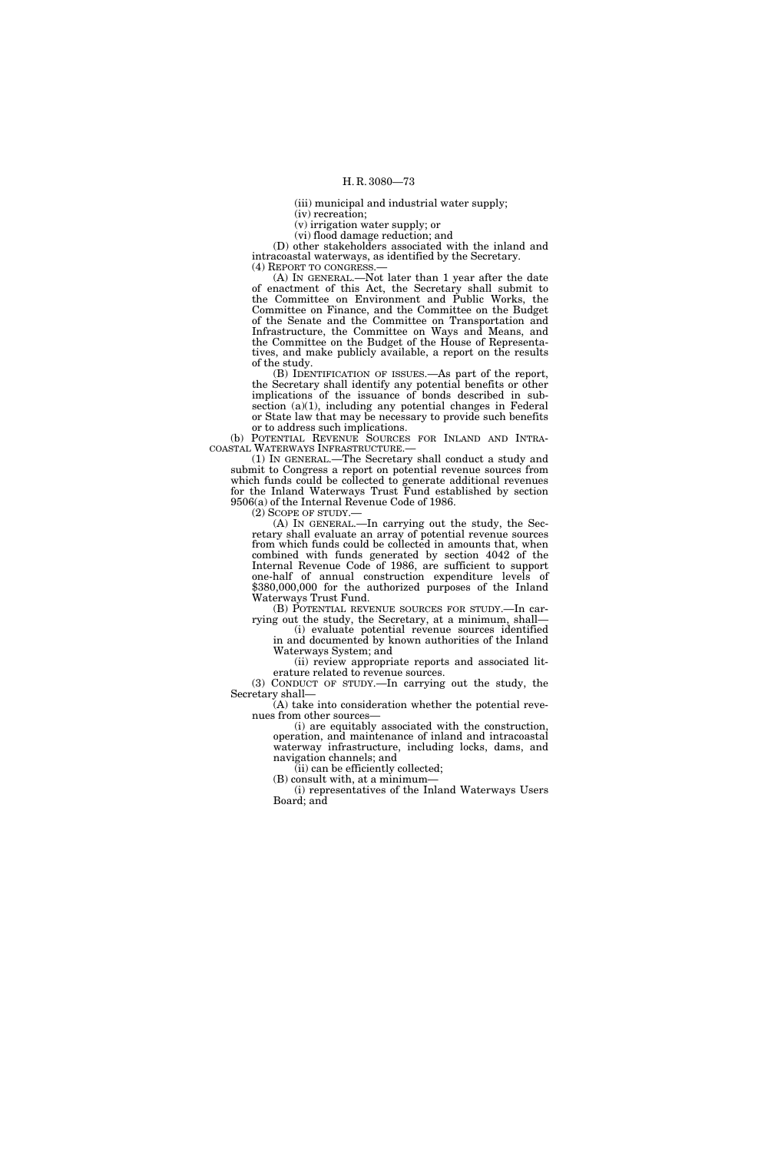(iii) municipal and industrial water supply;

(iv) recreation;

(v) irrigation water supply; or (vi) flood damage reduction; and

(D) other stakeholders associated with the inland and intracoastal waterways, as identified by the Secretary. (4) REPORT TO CONGRESS.—

(A) IN GENERAL.—Not later than 1 year after the date of enactment of this Act, the Secretary shall submit to the Committee on Environment and Public Works, the Committee on Finance, and the Committee on the Budget of the Senate and the Committee on Transportation and Infrastructure, the Committee on Ways and Means, and the Committee on the Budget of the House of Representatives, and make publicly available, a report on the results of the study.

(B) IDENTIFICATION OF ISSUES.—As part of the report, the Secretary shall identify any potential benefits or other implications of the issuance of bonds described in subsection  $(a)(1)$ , including any potential changes in Federal or State law that may be necessary to provide such benefits or to address such implications.

(b) POTENTIAL REVENUE SOURCES FOR INLAND AND INTRA-COASTAL WATERWAYS INFRASTRUCTURE.—

(1) IN GENERAL.—The Secretary shall conduct a study and submit to Congress a report on potential revenue sources from which funds could be collected to generate additional revenues for the Inland Waterways Trust Fund established by section 9506(a) of the Internal Revenue Code of 1986.<br>(2) SCOPE OF STUDY.—

(A) In GENERAL.—In carrying out the study, the Secretary shall evaluate an array of potential revenue sources from which funds could be collected in amounts that, when combined with funds generated by section 4042 of the Internal Revenue Code of 1986, are sufficient to support one-half of annual construction expenditure levels of \$380,000,000 for the authorized purposes of the Inland Waterways Trust Fund.

(B) POTENTIAL REVENUE SOURCES FOR STUDY.—In carrying out the study, the Secretary, at a minimum, shall—

(i) evaluate potential revenue sources identified in and documented by known authorities of the Inland Waterways System; and

(ii) review appropriate reports and associated literature related to revenue sources.

(3) CONDUCT OF STUDY.—In carrying out the study, the Secretary shall—

(A) take into consideration whether the potential revenues from other sources—

(i) are equitably associated with the construction, operation, and maintenance of inland and intracoastal waterway infrastructure, including locks, dams, and navigation channels; and

(ii) can be efficiently collected; (B) consult with, at a minimum—

(i) representatives of the Inland Waterways Users Board; and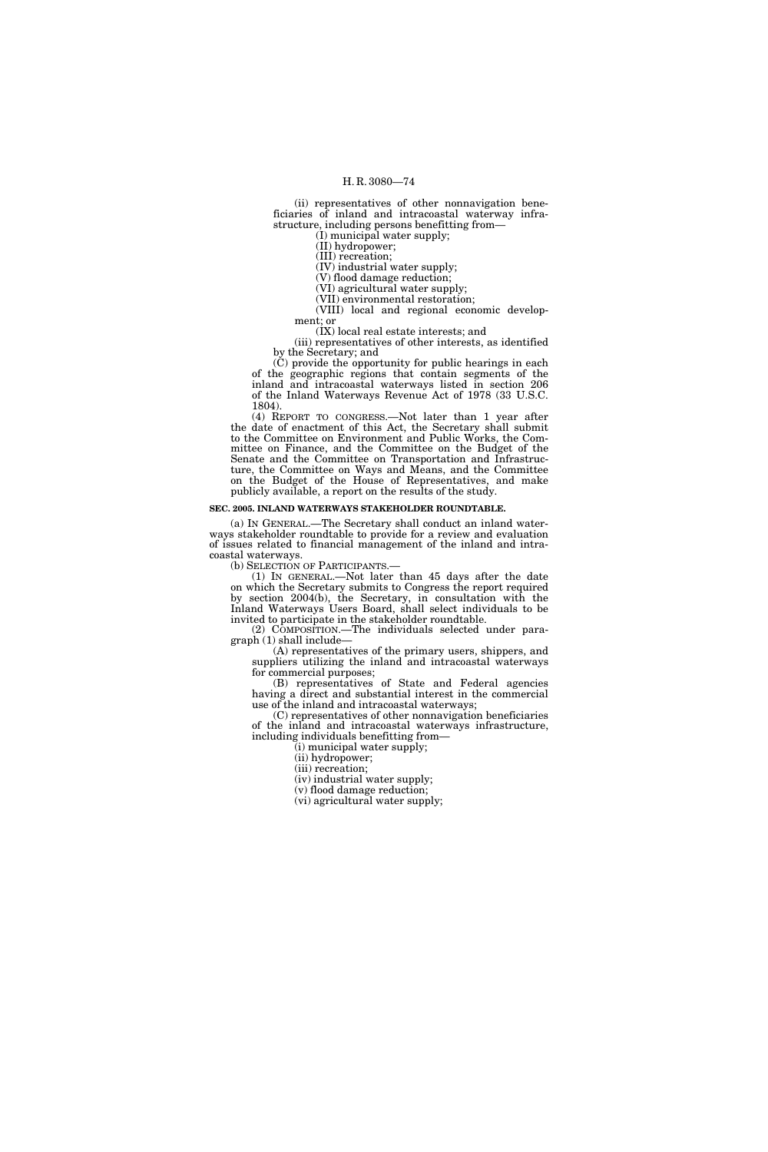(ii) representatives of other nonnavigation beneficiaries of inland and intracoastal waterway infrastructure, including persons benefitting from—

(I) municipal water supply;

(II) hydropower;

(III) recreation;

(IV) industrial water supply; (V) flood damage reduction;

(VI) agricultural water supply;

(VII) environmental restoration;

(VIII) local and regional economic development; or

(IX) local real estate interests; and (iii) representatives of other interests, as identified by the Secretary; and

(C) provide the opportunity for public hearings in each of the geographic regions that contain segments of the inland and intracoastal waterways listed in section 206 of the Inland Waterways Revenue Act of 1978 (33 U.S.C. 1804).

(4) REPORT TO CONGRESS.—Not later than 1 year after the date of enactment of this Act, the Secretary shall submit to the Committee on Environment and Public Works, the Committee on Finance, and the Committee on the Budget of the Senate and the Committee on Transportation and Infrastructure, the Committee on Ways and Means, and the Committee on the Budget of the House of Representatives, and make publicly available, a report on the results of the study.

#### **SEC. 2005. INLAND WATERWAYS STAKEHOLDER ROUNDTABLE.**

(a) IN GENERAL.—The Secretary shall conduct an inland waterways stakeholder roundtable to provide for a review and evaluation of issues related to financial management of the inland and intracoastal waterways.<br>(b) SELECTION OF PARTICIPANTS.—

(1) IN GENERAL.—Not later than  $45$  days after the date on which the Secretary submits to Congress the report required by section 2004(b), the Secretary, in consultation with the Inland Waterways Users Board, shall select individuals to be invited to participate in the stakeholder roundtable.

(2) COMPOSITION.—The individuals selected under paragraph (1) shall include—

(A) representatives of the primary users, shippers, and suppliers utilizing the inland and intracoastal waterways for commercial purposes;

(B) representatives of State and Federal agencies having a direct and substantial interest in the commercial use of the inland and intracoastal waterways;

(C) representatives of other nonnavigation beneficiaries of the inland and intracoastal waterways infrastructure, including individuals benefitting from—

(i) municipal water supply;

(ii) hydropower;

(iii) recreation;

(iv) industrial water supply;

(v) flood damage reduction;

(vi) agricultural water supply;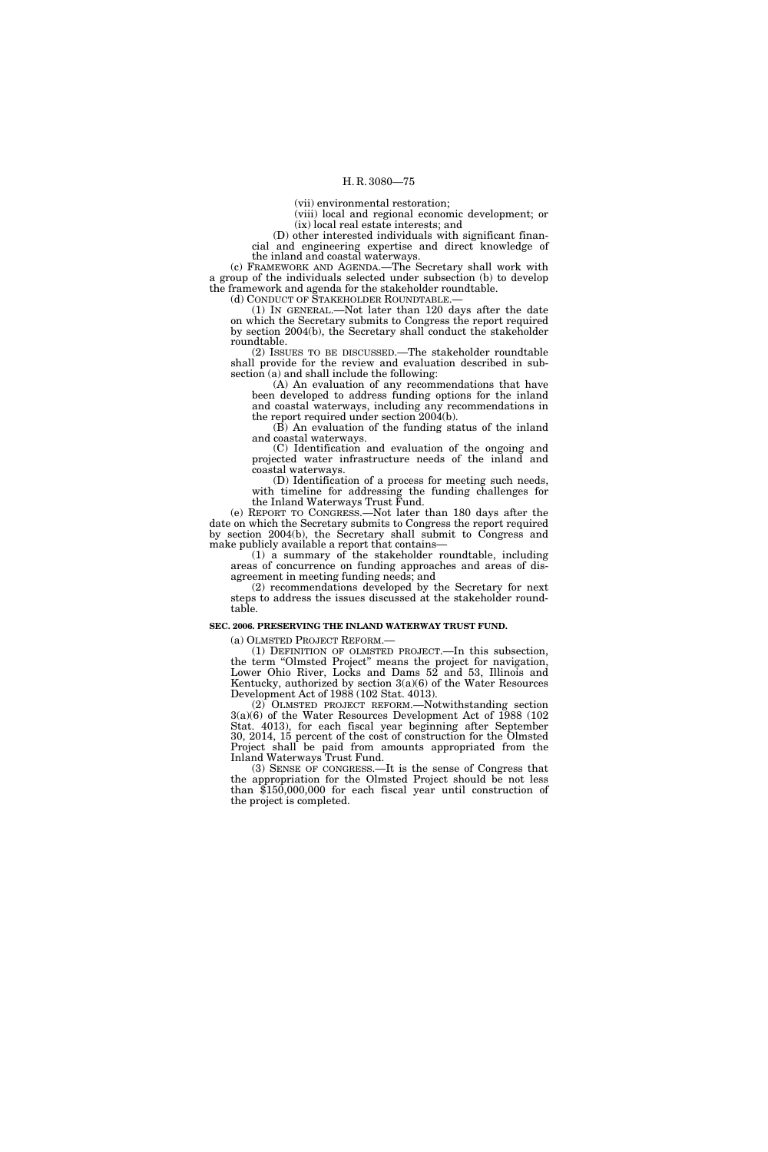(vii) environmental restoration;

(viii) local and regional economic development; or (ix) local real estate interests; and

(D) other interested individuals with significant financial and engineering expertise and direct knowledge of the inland and coastal waterways.

(c) FRAMEWORK AND AGENDA.—The Secretary shall work with a group of the individuals selected under subsection (b) to develop the framework and agenda for the stakeholder roundtable.<br>(d) CONDUCT OF STAKEHOLDER ROUNDTABLE.—

(1) IN GENERAL.—Not later than  $120$  days after the date on which the Secretary submits to Congress the report required by section 2004(b), the Secretary shall conduct the stakeholder roundtable.

(2) ISSUES TO BE DISCUSSED.—The stakeholder roundtable shall provide for the review and evaluation described in subsection (a) and shall include the following:

(A) An evaluation of any recommendations that have been developed to address funding options for the inland and coastal waterways, including any recommendations in the report required under section 2004(b).

(B) An evaluation of the funding status of the inland and coastal waterways.

(C) Identification and evaluation of the ongoing and projected water infrastructure needs of the inland and coastal waterways.

(D) Identification of a process for meeting such needs, with timeline for addressing the funding challenges for the Inland Waterways Trust Fund.

(e) REPORT TO CONGRESS.—Not later than 180 days after the date on which the Secretary submits to Congress the report required by section 2004(b), the Secretary shall submit to Congress and make publicly available a report that contains—

(1) a summary of the stakeholder roundtable, including areas of concurrence on funding approaches and areas of disagreement in meeting funding needs; and

(2) recommendations developed by the Secretary for next steps to address the issues discussed at the stakeholder roundtable.

#### **SEC. 2006. PRESERVING THE INLAND WATERWAY TRUST FUND.**

(a) OLMSTED PROJECT REFORM.—

(1) DEFINITION OF OLMSTED PROJECT.—In this subsection, the term ''Olmsted Project'' means the project for navigation, Lower Ohio River, Locks and Dams 52 and 53, Illinois and Kentucky, authorized by section  $3(a)(6)$  of the Water Resources Development Act of 1988 (102 Stat. 4013).

(2) OLMSTED PROJECT REFORM.—Notwithstanding section 3(a)(6) of the Water Resources Development Act of 1988 (102 Stat. 4013), for each fiscal year beginning after September 30, 2014, 15 percent of the cost of construction for the Olmsted Project shall be paid from amounts appropriated from the Inland Waterways Trust Fund.

(3) SENSE OF CONGRESS.—It is the sense of Congress that the appropriation for the Olmsted Project should be not less than \$150,000,000 for each fiscal year until construction of the project is completed.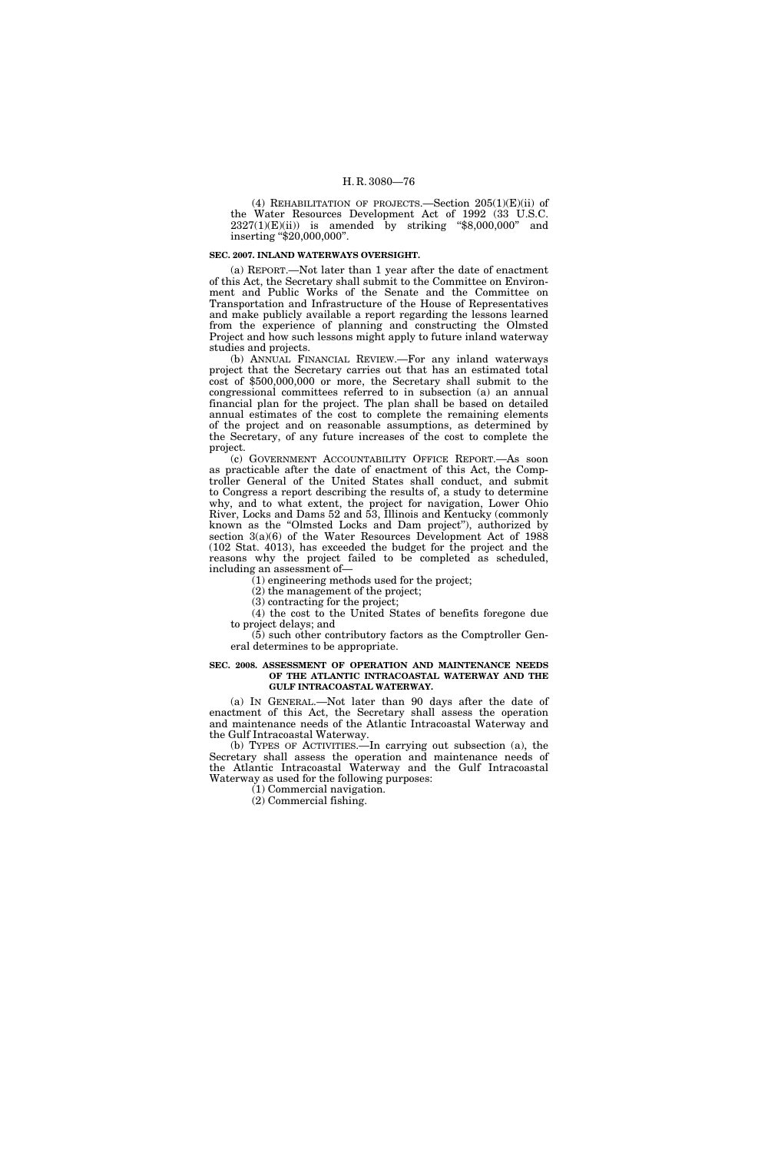(4) REHABILITATION OF PROJECTS.—Section  $205(1)(E)(ii)$  of the Water Resources Development Act of 1992 (33 U.S.C.  $2327(1)(E)(ii)$  is amended by striking "\$8,000,000" and inserting "\$20,000,000".

#### **SEC. 2007. INLAND WATERWAYS OVERSIGHT.**

(a) REPORT.—Not later than 1 year after the date of enactment of this Act, the Secretary shall submit to the Committee on Environment and Public Works of the Senate and the Committee on Transportation and Infrastructure of the House of Representatives and make publicly available a report regarding the lessons learned from the experience of planning and constructing the Olmsted Project and how such lessons might apply to future inland waterway studies and projects.

(b) ANNUAL FINANCIAL REVIEW.—For any inland waterways project that the Secretary carries out that has an estimated total cost of \$500,000,000 or more, the Secretary shall submit to the congressional committees referred to in subsection (a) an annual financial plan for the project. The plan shall be based on detailed annual estimates of the cost to complete the remaining elements of the project and on reasonable assumptions, as determined by the Secretary, of any future increases of the cost to complete the project.

(c) GOVERNMENT ACCOUNTABILITY OFFICE REPORT.—As soon as practicable after the date of enactment of this Act, the Comptroller General of the United States shall conduct, and submit to Congress a report describing the results of, a study to determine why, and to what extent, the project for navigation, Lower Ohio River, Locks and Dams 52 and 53, Illinois and Kentucky (commonly known as the ''Olmsted Locks and Dam project''), authorized by section  $3(a)(6)$  of the Water Resources Development Act of 1988 (102 Stat. 4013), has exceeded the budget for the project and the reasons why the project failed to be completed as scheduled, including an assessment of—

(1) engineering methods used for the project;

(2) the management of the project;

(3) contracting for the project;

(4) the cost to the United States of benefits foregone due to project delays; and

(5) such other contributory factors as the Comptroller General determines to be appropriate.

#### **SEC. 2008. ASSESSMENT OF OPERATION AND MAINTENANCE NEEDS OF THE ATLANTIC INTRACOASTAL WATERWAY AND THE GULF INTRACOASTAL WATERWAY.**

(a) IN GENERAL.—Not later than 90 days after the date of enactment of this Act, the Secretary shall assess the operation and maintenance needs of the Atlantic Intracoastal Waterway and the Gulf Intracoastal Waterway.

(b) TYPES OF ACTIVITIES.—In carrying out subsection (a), the Secretary shall assess the operation and maintenance needs of the Atlantic Intracoastal Waterway and the Gulf Intracoastal Waterway as used for the following purposes:

(1) Commercial navigation.

(2) Commercial fishing.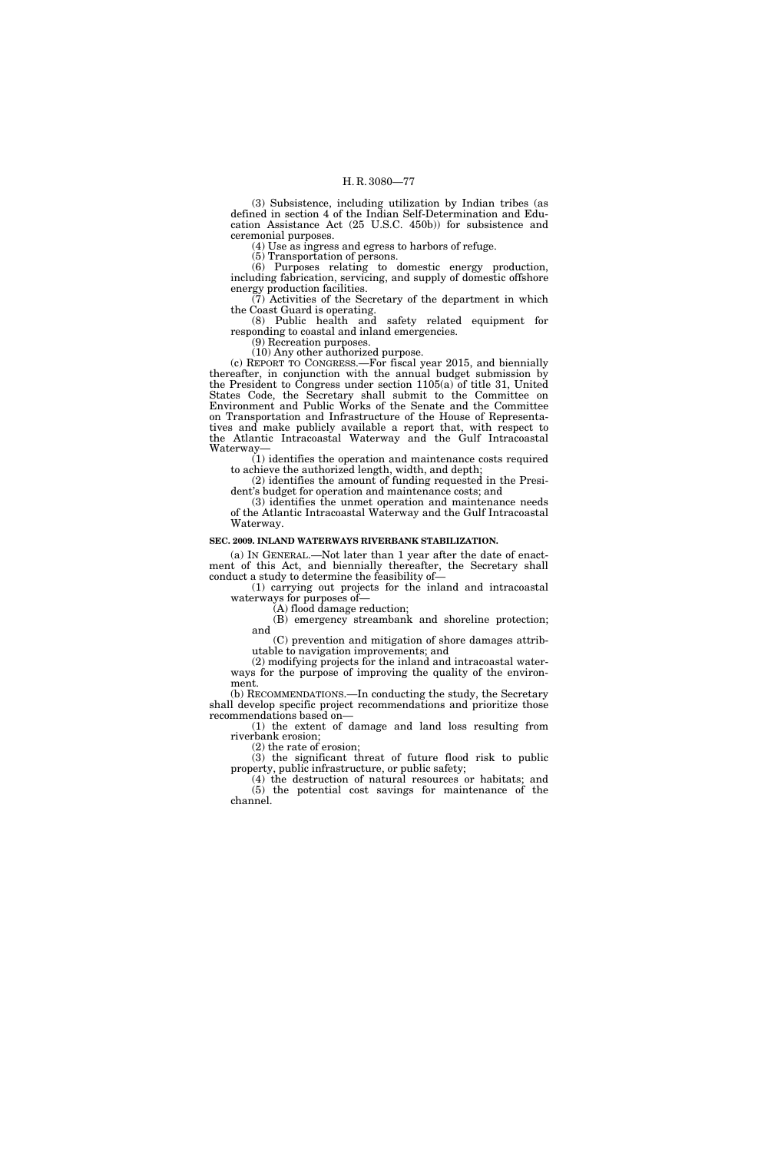(3) Subsistence, including utilization by Indian tribes (as defined in section 4 of the Indian Self-Determination and Education Assistance Act (25 U.S.C. 450b)) for subsistence and ceremonial purposes.

(4) Use as ingress and egress to harbors of refuge.

(5) Transportation of persons.

(6) Purposes relating to domestic energy production, including fabrication, servicing, and supply of domestic offshore energy production facilities.

(7) Activities of the Secretary of the department in which the Coast Guard is operating.

(8) Public health and safety related equipment for responding to coastal and inland emergencies.

(9) Recreation purposes.

(10) Any other authorized purpose. (c) REPORT TO CONGRESS.—For fiscal year 2015, and biennially thereafter, in conjunction with the annual budget submission by the President to Congress under section 1105(a) of title 31, United States Code, the Secretary shall submit to the Committee on Environment and Public Works of the Senate and the Committee on Transportation and Infrastructure of the House of Representatives and make publicly available a report that, with respect to the Atlantic Intracoastal Waterway and the Gulf Intracoastal Waterway—

(1) identifies the operation and maintenance costs required to achieve the authorized length, width, and depth;

(2) identifies the amount of funding requested in the President's budget for operation and maintenance costs; and

(3) identifies the unmet operation and maintenance needs of the Atlantic Intracoastal Waterway and the Gulf Intracoastal Waterway.

# **SEC. 2009. INLAND WATERWAYS RIVERBANK STABILIZATION.**

(a) IN GENERAL.—Not later than 1 year after the date of enactment of this Act, and biennially thereafter, the Secretary shall conduct a study to determine the feasibility of—

(1) carrying out projects for the inland and intracoastal waterways for purposes of—

(A) flood damage reduction;

(B) emergency streambank and shoreline protection; and

(C) prevention and mitigation of shore damages attributable to navigation improvements; and

(2) modifying projects for the inland and intracoastal waterways for the purpose of improving the quality of the environment.

(b) RECOMMENDATIONS.—In conducting the study, the Secretary shall develop specific project recommendations and prioritize those recommendations based on—

(1) the extent of damage and land loss resulting from riverbank erosion;

(2) the rate of erosion;

(3) the significant threat of future flood risk to public property, public infrastructure, or public safety;

(4) the destruction of natural resources or habitats; and (5) the potential cost savings for maintenance of the channel.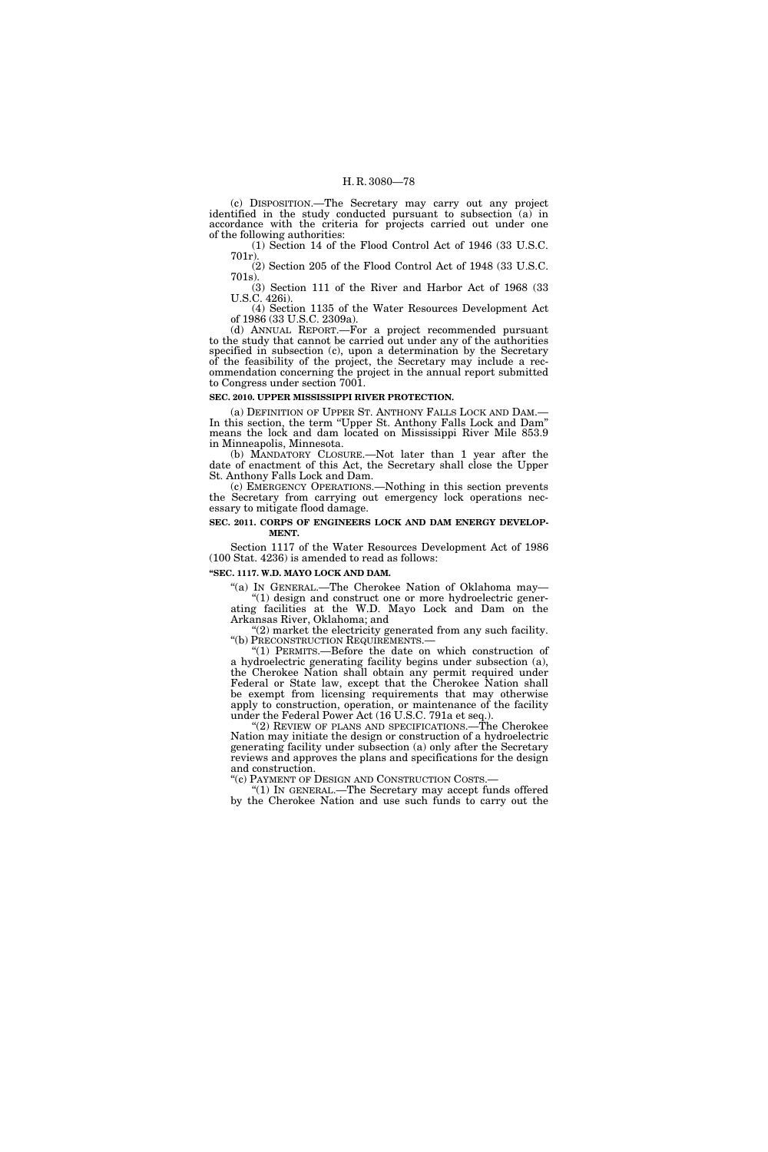(c) DISPOSITION.—The Secretary may carry out any project identified in the study conducted pursuant to subsection (a) in accordance with the criteria for projects carried out under one of the following authorities:

(1) Section 14 of the Flood Control Act of 1946 (33 U.S.C. 701r).

(2) Section 205 of the Flood Control Act of 1948 (33 U.S.C. 701s).

(3) Section 111 of the River and Harbor Act of 1968 (33 U.S.C. 426i).

(4) Section 1135 of the Water Resources Development Act of 1986 (33 U.S.C. 2309a).

(d) ANNUAL REPORT.—For a project recommended pursuant to the study that cannot be carried out under any of the authorities specified in subsection (c), upon a determination by the Secretary of the feasibility of the project, the Secretary may include a recommendation concerning the project in the annual report submitted to Congress under section 7001.

# **SEC. 2010. UPPER MISSISSIPPI RIVER PROTECTION.**

(a) DEFINITION OF UPPER ST. ANTHONY FALLS LOCK AND DAM.— In this section, the term "Upper St. Anthony Falls Lock and Dam" means the lock and dam located on Mississippi River Mile 853.9 in Minneapolis, Minnesota.

(b) MANDATORY CLOSURE.—Not later than 1 year after the date of enactment of this Act, the Secretary shall close the Upper St. Anthony Falls Lock and Dam.

(c) EMERGENCY OPERATIONS.—Nothing in this section prevents the Secretary from carrying out emergency lock operations necessary to mitigate flood damage.

# **SEC. 2011. CORPS OF ENGINEERS LOCK AND DAM ENERGY DEVELOP-MENT.**

Section 1117 of the Water Resources Development Act of 1986 (100 Stat. 4236) is amended to read as follows:

**''SEC. 1117. W.D. MAYO LOCK AND DAM.** 

''(a) IN GENERAL.—The Cherokee Nation of Oklahoma may— ''(1) design and construct one or more hydroelectric generating facilities at the W.D. Mayo Lock and Dam on the Arkansas River, Oklahoma; and

"(2) market the electricity generated from any such facility. ''(b) PRECONSTRUCTION REQUIREMENTS.—

''(1) PERMITS.—Before the date on which construction of a hydroelectric generating facility begins under subsection (a), the Cherokee Nation shall obtain any permit required under Federal or State law, except that the Cherokee Nation shall be exempt from licensing requirements that may otherwise apply to construction, operation, or maintenance of the facility under the Federal Power Act (16 U.S.C. 791a et seq.).

"(2) REVIEW OF PLANS AND SPECIFICATIONS.—The Cherokee Nation may initiate the design or construction of a hydroelectric generating facility under subsection (a) only after the Secretary reviews and approves the plans and specifications for the design and construction.

''(c) PAYMENT OF DESIGN AND CONSTRUCTION COSTS.—

''(1) IN GENERAL.—The Secretary may accept funds offered by the Cherokee Nation and use such funds to carry out the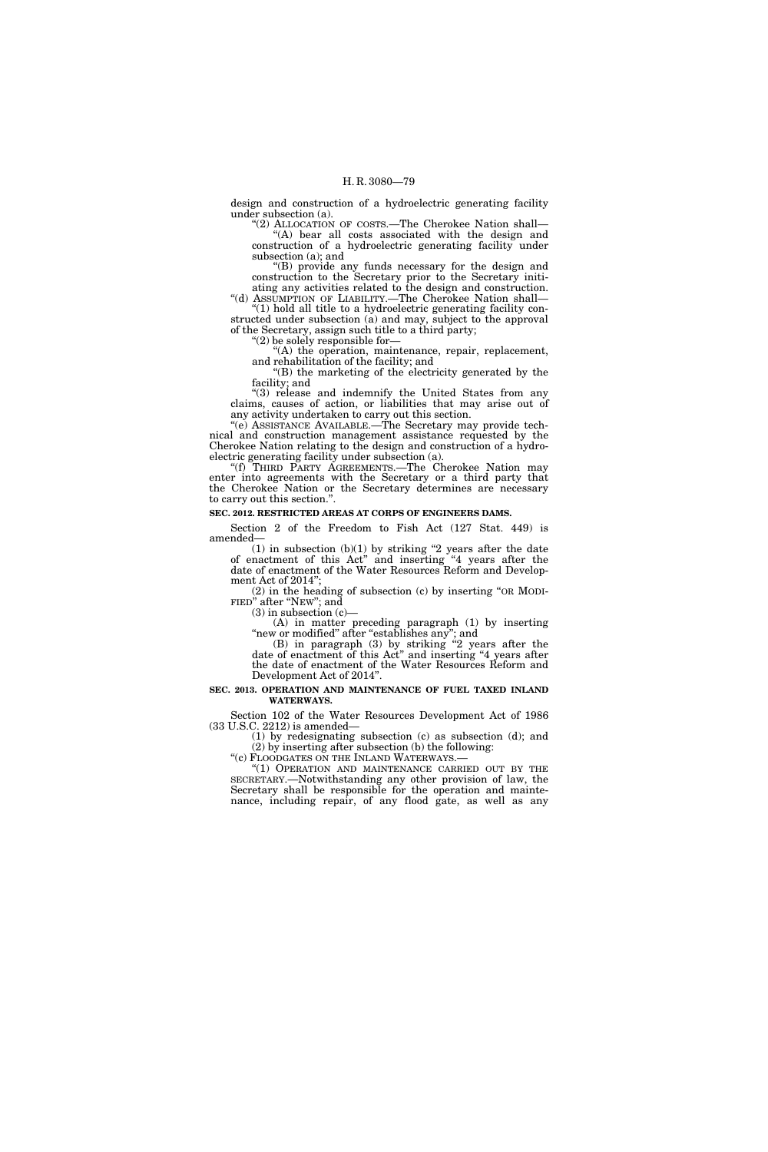design and construction of a hydroelectric generating facility under subsection (a).

''(2) ALLOCATION OF COSTS.—The Cherokee Nation shall— "(A) bear all costs associated with the design and construction of a hydroelectric generating facility under subsection (a); and

''(B) provide any funds necessary for the design and construction to the Secretary prior to the Secretary initiating any activities related to the design and construction.

''(d) ASSUMPTION OF LIABILITY.—The Cherokee Nation shall— ''(1) hold all title to a hydroelectric generating facility con-

structed under subsection (a) and may, subject to the approval of the Secretary, assign such title to a third party;

''(2) be solely responsible for—

''(A) the operation, maintenance, repair, replacement, and rehabilitation of the facility; and

''(B) the marketing of the electricity generated by the facility; and

''(3) release and indemnify the United States from any claims, causes of action, or liabilities that may arise out of any activity undertaken to carry out this section.

''(e) ASSISTANCE AVAILABLE.—The Secretary may provide technical and construction management assistance requested by the Cherokee Nation relating to the design and construction of a hydroelectric generating facility under subsection (a).

''(f) THIRD PARTY AGREEMENTS.—The Cherokee Nation may enter into agreements with the Secretary or a third party that the Cherokee Nation or the Secretary determines are necessary to carry out this section.''.

#### **SEC. 2012. RESTRICTED AREAS AT CORPS OF ENGINEERS DAMS.**

Section 2 of the Freedom to Fish Act (127 Stat. 449) is amended—

 $(1)$  in subsection  $(b)(1)$  by striking "2 years after the date of enactment of this Act'' and inserting ''4 years after the date of enactment of the Water Resources Reform and Development Act of 2014'';

(2) in the heading of subsection (c) by inserting ''OR MODI- FIED'' after ''NEW''; and

 $(3)$  in subsection  $(c)$ —

(A) in matter preceding paragraph (1) by inserting "new or modified" after "establishes any"; and

(B) in paragraph (3) by striking ''2 years after the date of enactment of this Act'' and inserting ''4 years after the date of enactment of the Water Resources Reform and Development Act of 2014''.

#### **SEC. 2013. OPERATION AND MAINTENANCE OF FUEL TAXED INLAND WATERWAYS.**

Section 102 of the Water Resources Development Act of 1986 (33 U.S.C. 2212) is amended—

(1) by redesignating subsection (c) as subsection (d); and (2) by inserting after subsection (b) the following:

''(c) FLOODGATES ON THE INLAND WATERWAYS.—

''(1) OPERATION AND MAINTENANCE CARRIED OUT BY THE SECRETARY.—Notwithstanding any other provision of law, the Secretary shall be responsible for the operation and maintenance, including repair, of any flood gate, as well as any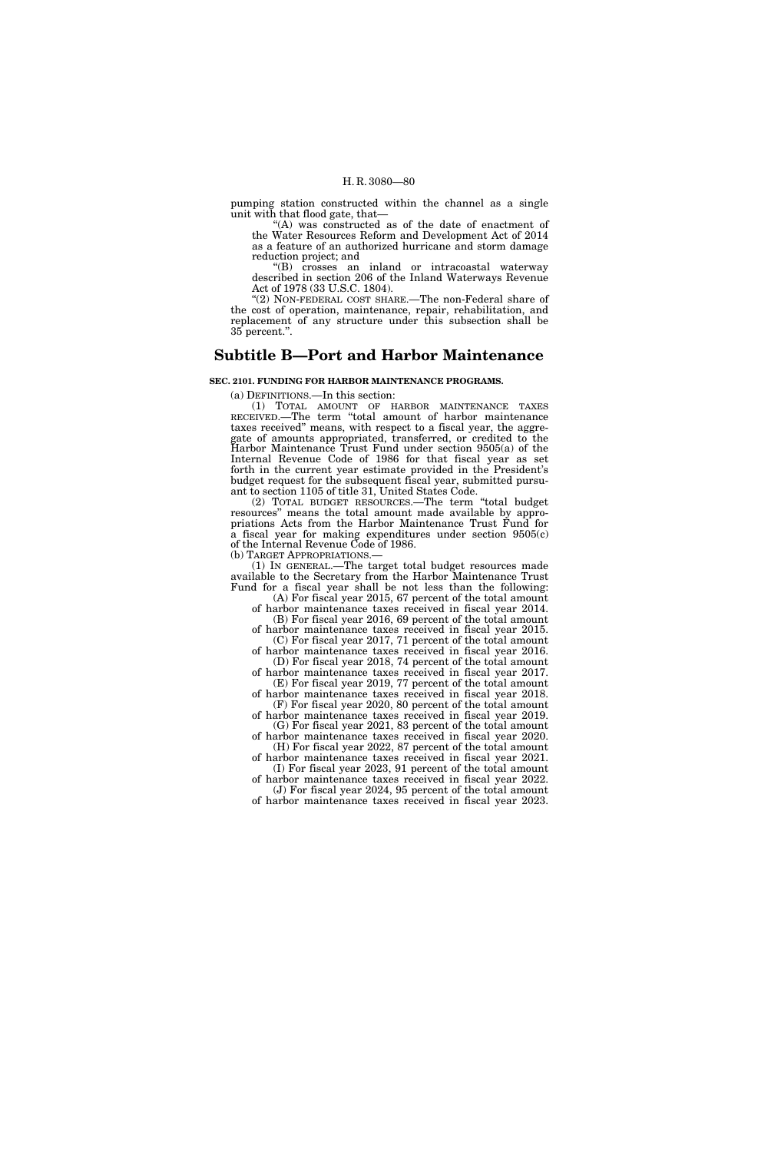pumping station constructed within the channel as a single unit with that flood gate, that—

''(A) was constructed as of the date of enactment of the Water Resources Reform and Development Act of 2014 as a feature of an authorized hurricane and storm damage reduction project; and

''(B) crosses an inland or intracoastal waterway described in section 206 of the Inland Waterways Revenue Act of 1978 (33 U.S.C. 1804).

''(2) NON-FEDERAL COST SHARE.—The non-Federal share of the cost of operation, maintenance, repair, rehabilitation, and replacement of any structure under this subsection shall be 35 percent.''.

# **Subtitle B—Port and Harbor Maintenance**

# **SEC. 2101. FUNDING FOR HARBOR MAINTENANCE PROGRAMS.**

(a) DEFINITIONS.—In this section:

(1) TOTAL AMOUNT OF HARBOR MAINTENANCE TAXES RECEIVED.—The term ''total amount of harbor maintenance taxes received'' means, with respect to a fiscal year, the aggregate of amounts appropriated, transferred, or credited to the Harbor Maintenance Trust Fund under section 9505(a) of the Internal Revenue Code of 1986 for that fiscal year as set forth in the current year estimate provided in the President's budget request for the subsequent fiscal year, submitted pursuant to section 1105 of title 31, United States Code.

(2) TOTAL BUDGET RESOURCES.—The term ''total budget resources'' means the total amount made available by appropriations Acts from the Harbor Maintenance Trust Fund for a fiscal year for making expenditures under section 9505(c) of the Internal Revenue Code of 1986.

(b) TARGET APPROPRIATIONS.— (1) IN GENERAL.—The target total budget resources made available to the Secretary from the Harbor Maintenance Trust Fund for a fiscal year shall be not less than the following:

(A) For fiscal year 2015, 67 percent of the total amount of harbor maintenance taxes received in fiscal year 2014. (B) For fiscal year 2016, 69 percent of the total amount

of harbor maintenance taxes received in fiscal year 2015. (C) For fiscal year 2017, 71 percent of the total amount

of harbor maintenance taxes received in fiscal year 2016. (D) For fiscal year 2018, 74 percent of the total amount of harbor maintenance taxes received in fiscal year 2017.

(E) For fiscal year 2019, 77 percent of the total amount of harbor maintenance taxes received in fiscal year 2018. (F) For fiscal year 2020, 80 percent of the total amount

of harbor maintenance taxes received in fiscal year 2019. (G) For fiscal year 2021, 83 percent of the total amount

of harbor maintenance taxes received in fiscal year 2020. (H) For fiscal year 2022, 87 percent of the total amount

of harbor maintenance taxes received in fiscal year 2021. (I) For fiscal year 2023, 91 percent of the total amount

of harbor maintenance taxes received in fiscal year 2022. (J) For fiscal year 2024, 95 percent of the total amount of harbor maintenance taxes received in fiscal year 2023.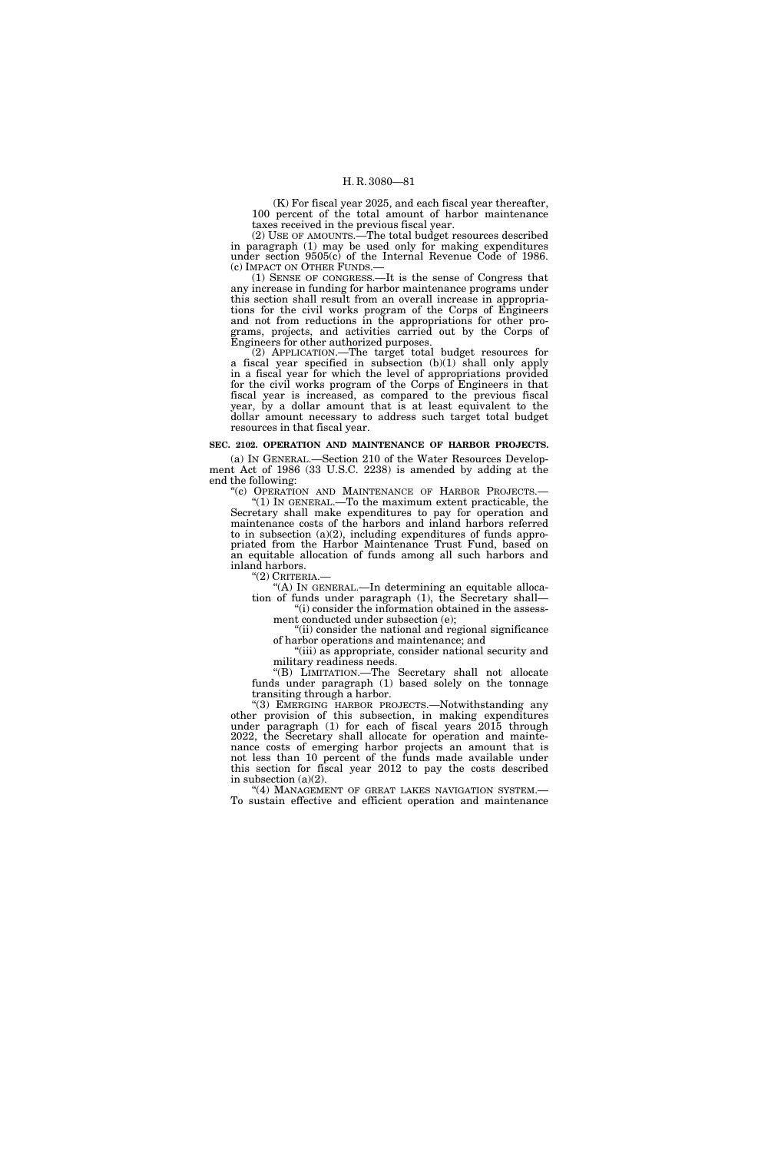(K) For fiscal year 2025, and each fiscal year thereafter, 100 percent of the total amount of harbor maintenance taxes received in the previous fiscal year.

(2) USE OF AMOUNTS.—The total budget resources described in paragraph (1) may be used only for making expenditures under section 9505(c) of the Internal Revenue Code of 1986. (c) IMPACT ON OTHER FUNDS.—

(1) SENSE OF CONGRESS.—It is the sense of Congress that any increase in funding for harbor maintenance programs under this section shall result from an overall increase in appropriations for the civil works program of the Corps of Engineers and not from reductions in the appropriations for other programs, projects, and activities carried out by the Corps of Engineers for other authorized purposes.

(2) APPLICATION.—The target total budget resources for a fiscal year specified in subsection (b)(1) shall only apply in a fiscal year for which the level of appropriations provided for the civil works program of the Corps of Engineers in that fiscal year is increased, as compared to the previous fiscal year, by a dollar amount that is at least equivalent to the dollar amount necessary to address such target total budget resources in that fiscal year.

# **SEC. 2102. OPERATION AND MAINTENANCE OF HARBOR PROJECTS.**

(a) IN GENERAL.—Section 210 of the Water Resources Development Act of 1986 (33 U.S.C. 2238) is amended by adding at the end the following:<br>"(c) OPERATION AND MAINTENANCE OF HARBOR PROJECTS.—

"(1) IN GENERAL.—To the maximum extent practicable, the Secretary shall make expenditures to pay for operation and maintenance costs of the harbors and inland harbors referred to in subsection  $(a)(2)$ , including expenditures of funds appropriated from the Harbor Maintenance Trust Fund, based on an equitable allocation of funds among all such harbors and inland harbors.<br>"(2) CRITERIA.-

'(A) In GENERAL.—In determining an equitable allocation of funds under paragraph (1), the Secretary shall—

"(i) consider the information obtained in the assessment conducted under subsection (e);

"(ii) consider the national and regional significance of harbor operations and maintenance; and

''(iii) as appropriate, consider national security and military readiness needs.

''(B) LIMITATION.—The Secretary shall not allocate funds under paragraph (1) based solely on the tonnage transiting through a harbor.

''(3) EMERGING HARBOR PROJECTS.—Notwithstanding any other provision of this subsection, in making expenditures under paragraph (1) for each of fiscal years 2015 through 2022, the Secretary shall allocate for operation and maintenance costs of emerging harbor projects an amount that is not less than 10 percent of the funds made available under this section for fiscal year 2012 to pay the costs described in subsection (a)(2).

"(4) MANAGEMENT OF GREAT LAKES NAVIGATION SYSTEM.-To sustain effective and efficient operation and maintenance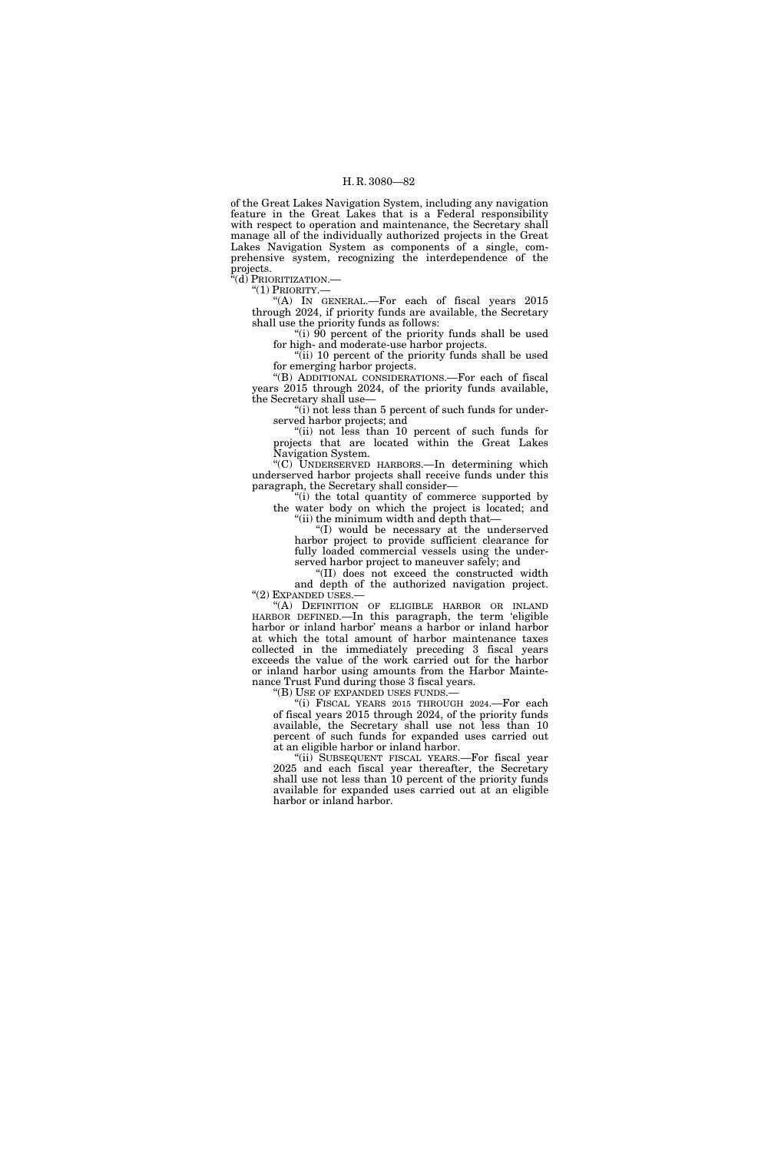of the Great Lakes Navigation System, including any navigation feature in the Great Lakes that is a Federal responsibility with respect to operation and maintenance, the Secretary shall manage all of the individually authorized projects in the Great Lakes Navigation System as components of a single, comprehensive system, recognizing the interdependence of the projects.

"(d) Prioritization.—

''(1) PRIORITY.—

''(A) IN GENERAL.—For each of fiscal years 2015 through 2024, if priority funds are available, the Secretary shall use the priority funds as follows:

"(i) 90 percent of the priority funds shall be used for high- and moderate-use harbor projects.

"(ii) 10 percent of the priority funds shall be used for emerging harbor projects.

''(B) ADDITIONAL CONSIDERATIONS.—For each of fiscal years 2015 through 2024, of the priority funds available, the Secretary shall use—

"(i) not less than 5 percent of such funds for underserved harbor projects; and

"(ii) not less than 10 percent of such funds for projects that are located within the Great Lakes Navigation System.

''(C) UNDERSERVED HARBORS.—In determining which underserved harbor projects shall receive funds under this paragraph, the Secretary shall consider—

"(i) the total quantity of commerce supported by the water body on which the project is located; and ''(ii) the minimum width and depth that—

''(I) would be necessary at the underserved harbor project to provide sufficient clearance for fully loaded commercial vessels using the underserved harbor project to maneuver safely; and

''(II) does not exceed the constructed width

and depth of the authorized navigation project. ''(2) EXPANDED USES.—

''(A) DEFINITION OF ELIGIBLE HARBOR OR INLAND HARBOR DEFINED.—In this paragraph, the term 'eligible harbor or inland harbor' means a harbor or inland harbor at which the total amount of harbor maintenance taxes collected in the immediately preceding 3 fiscal years exceeds the value of the work carried out for the harbor or inland harbor using amounts from the Harbor Maintenance Trust Fund during those 3 fiscal years.

''(B) USE OF EXPANDED USES FUNDS.—

''(i) FISCAL YEARS 2015 THROUGH 2024.—For each of fiscal years 2015 through 2024, of the priority funds available, the Secretary shall use not less than 10 percent of such funds for expanded uses carried out at an eligible harbor or inland harbor.

''(ii) SUBSEQUENT FISCAL YEARS.—For fiscal year 2025 and each fiscal year thereafter, the Secretary shall use not less than 10 percent of the priority funds available for expanded uses carried out at an eligible harbor or inland harbor.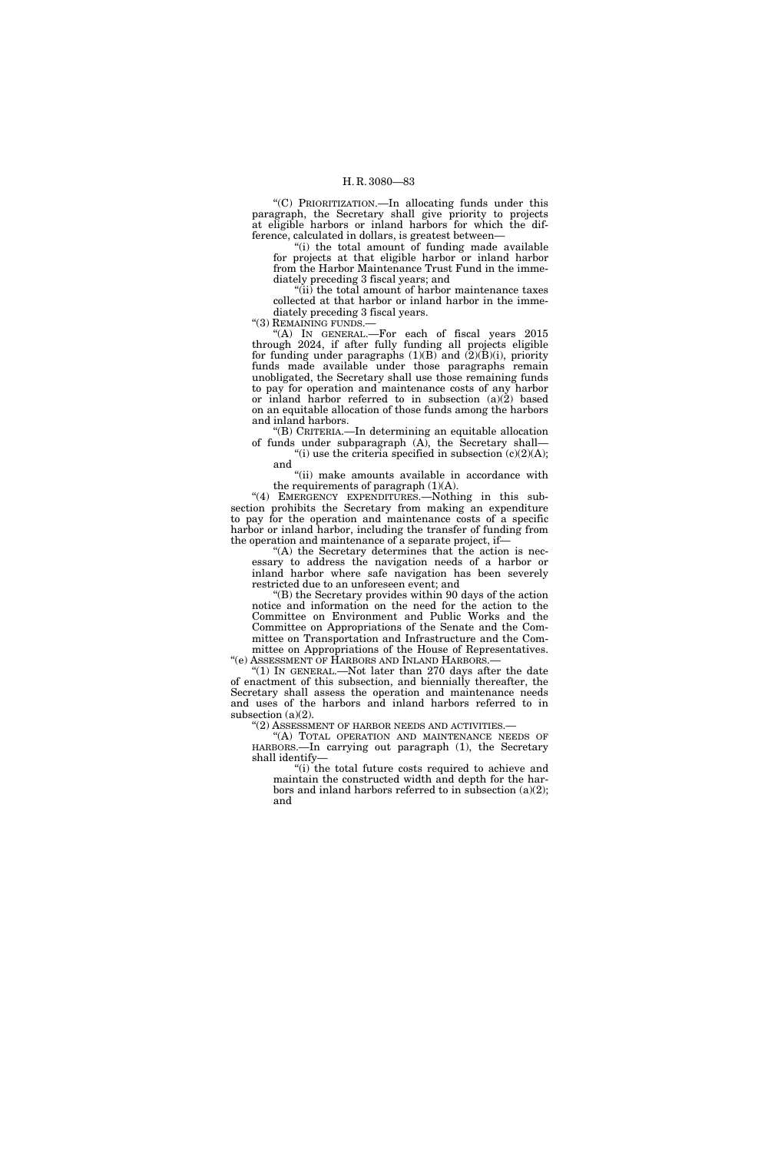''(C) PRIORITIZATION.—In allocating funds under this paragraph, the Secretary shall give priority to projects at eligible harbors or inland harbors for which the difference, calculated in dollars, is greatest between—

"(i) the total amount of funding made available for projects at that eligible harbor or inland harbor from the Harbor Maintenance Trust Fund in the immediately preceding 3 fiscal years; and

''(ii) the total amount of harbor maintenance taxes collected at that harbor or inland harbor in the immediately preceding 3 fiscal years.

"(3) REMAINING FUNDS.-

''(A) IN GENERAL.—For each of fiscal years 2015 through 2024, if after fully funding all projects eligible for funding under paragraphs  $(1)(B)$  and  $(2)(B)(i)$ , priority funds made available under those paragraphs remain unobligated, the Secretary shall use those remaining funds to pay for operation and maintenance costs of any harbor or inland harbor referred to in subsection (a)(2) based on an equitable allocation of those funds among the harbors and inland harbors.

''(B) CRITERIA.—In determining an equitable allocation of funds under subparagraph (A), the Secretary shall— "(i) use the criteria specified in subsection  $(c)(2)(A);$ 

and "(ii) make amounts available in accordance with

the requirements of paragraph  $(1)(A)$ .

"(4) EMERGENCY EXPENDITURES. Nothing in this subsection prohibits the Secretary from making an expenditure to pay for the operation and maintenance costs of a specific harbor or inland harbor, including the transfer of funding from the operation and maintenance of a separate project, if—

"(A) the Secretary determines that the action is necessary to address the navigation needs of a harbor or inland harbor where safe navigation has been severely restricted due to an unforeseen event; and

''(B) the Secretary provides within 90 days of the action notice and information on the need for the action to the Committee on Environment and Public Works and the Committee on Appropriations of the Senate and the Committee on Transportation and Infrastructure and the Committee on Appropriations of the House of Representatives.

''(e) ASSESSMENT OF HARBORS AND INLAND HARBORS.—  $(1)$  In GENERAL.—Not later than 270 days after the date of enactment of this subsection, and biennially thereafter, the Secretary shall assess the operation and maintenance needs and uses of the harbors and inland harbors referred to in subsection (a)(2).

''(2) ASSESSMENT OF HARBOR NEEDS AND ACTIVITIES.—

''(A) TOTAL OPERATION AND MAINTENANCE NEEDS OF HARBORS.—In carrying out paragraph (1), the Secretary shall identify—

"(i) the total future costs required to achieve and maintain the constructed width and depth for the harbors and inland harbors referred to in subsection (a)(2); and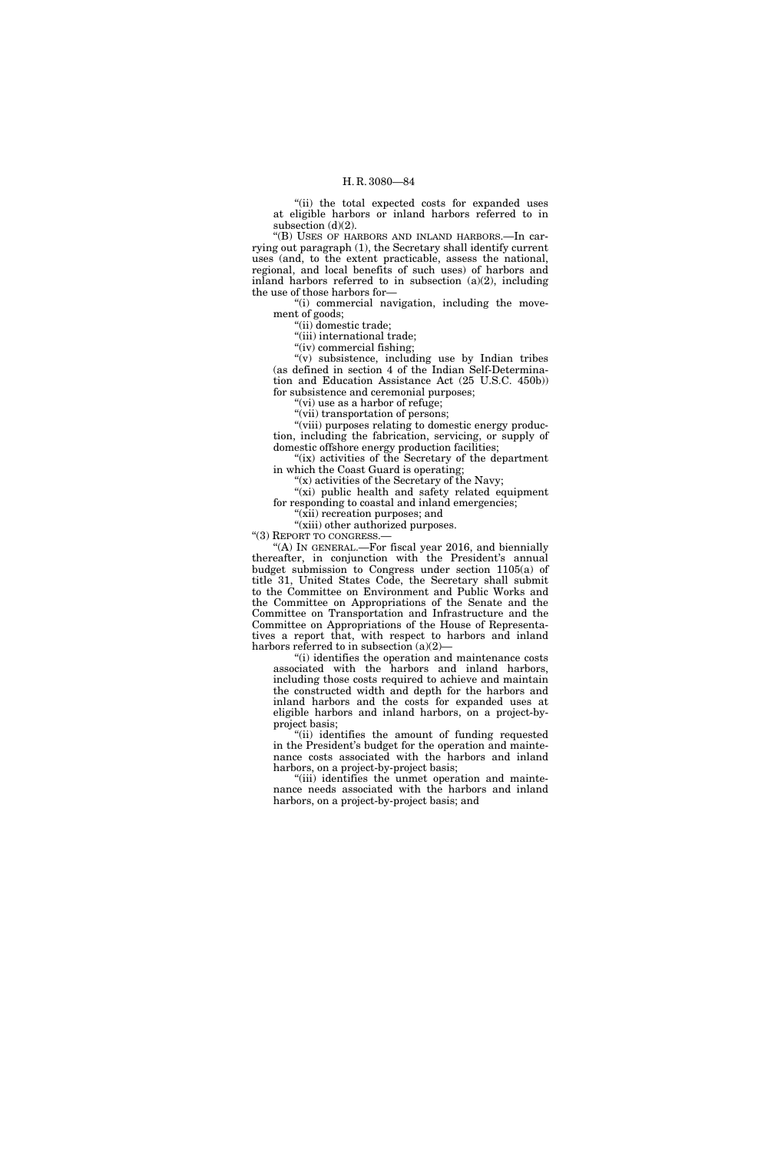"(ii) the total expected costs for expanded uses at eligible harbors or inland harbors referred to in subsection  $(d)(2)$ .

''(B) USES OF HARBORS AND INLAND HARBORS.—In carrying out paragraph (1), the Secretary shall identify current uses (and, to the extent practicable, assess the national, regional, and local benefits of such uses) of harbors and inland harbors referred to in subsection  $(a)(2)$ , including the use of those harbors for—

''(i) commercial navigation, including the movement of goods;

''(ii) domestic trade;

''(iii) international trade;

"(iv) commercial fishing;

''(v) subsistence, including use by Indian tribes (as defined in section 4 of the Indian Self-Determination and Education Assistance Act (25 U.S.C. 450b)) for subsistence and ceremonial purposes;

"(vi) use as a harbor of refuge;

"(vii) transportation of persons;

"(viii) purposes relating to domestic energy production, including the fabrication, servicing, or supply of domestic offshore energy production facilities;

"(ix) activities of the Secretary of the department in which the Coast Guard is operating;

" $(x)$  activities of the Secretary of the Navy;

"(xi) public health and safety related equipment for responding to coastal and inland emergencies;

''(xii) recreation purposes; and "(xiii) other authorized purposes.

"(3) REPORT TO CONGRESS.-

"(A) IN GENERAL.—For fiscal year 2016, and biennially thereafter, in conjunction with the President's annual budget submission to Congress under section 1105(a) of title 31, United States Code, the Secretary shall submit to the Committee on Environment and Public Works and the Committee on Appropriations of the Senate and the Committee on Transportation and Infrastructure and the Committee on Appropriations of the House of Representatives a report that, with respect to harbors and inland harbors referred to in subsection  $(a)(2)$ —

''(i) identifies the operation and maintenance costs associated with the harbors and inland harbors, including those costs required to achieve and maintain the constructed width and depth for the harbors and inland harbors and the costs for expanded uses at eligible harbors and inland harbors, on a project-byproject basis;

"(ii) identifies the amount of funding requested in the President's budget for the operation and maintenance costs associated with the harbors and inland harbors, on a project-by-project basis;

''(iii) identifies the unmet operation and maintenance needs associated with the harbors and inland harbors, on a project-by-project basis; and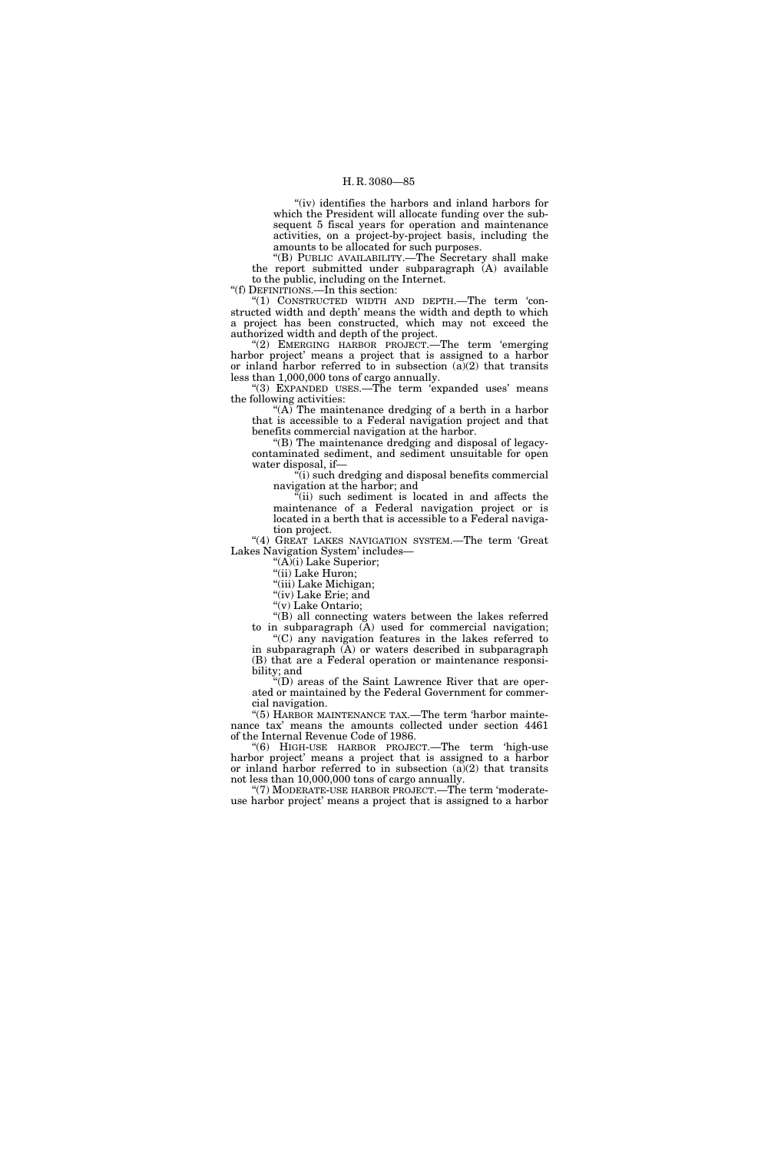"(iv) identifies the harbors and inland harbors for which the President will allocate funding over the subsequent 5 fiscal years for operation and maintenance activities, on a project-by-project basis, including the amounts to be allocated for such purposes.

''(B) PUBLIC AVAILABILITY.—The Secretary shall make the report submitted under subparagraph (A) available to the public, including on the Internet.

''(f) DEFINITIONS.—In this section:

"(1) CONSTRUCTED WIDTH AND DEPTH.—The term 'constructed width and depth' means the width and depth to which a project has been constructed, which may not exceed the authorized width and depth of the project.

''(2) EMERGING HARBOR PROJECT.—The term 'emerging harbor project' means a project that is assigned to a harbor or inland harbor referred to in subsection  $(a)(2)$  that transits less than 1,000,000 tons of cargo annually.

"(3) EXPANDED USES.—The term 'expanded uses' means the following activities:

"(A) The maintenance dredging of a berth in a harbor that is accessible to a Federal navigation project and that benefits commercial navigation at the harbor.

''(B) The maintenance dredging and disposal of legacycontaminated sediment, and sediment unsuitable for open water disposal, if—

''(i) such dredging and disposal benefits commercial navigation at the harbor; and

 $\mathbb{I}$ <sup>"(ii)</sup> such sediment is located in and affects the maintenance of a Federal navigation project or is located in a berth that is accessible to a Federal navigation project.

"(4) GREAT LAKES NAVIGATION SYSTEM.-The term 'Great Lakes Navigation System' includes—

''(A)(i) Lake Superior;

"(ii) Lake Huron;

"(iii) Lake Michigan; "(iv) Lake Erie; and

''(v) Lake Ontario;

"(B) all connecting waters between the lakes referred to in subparagraph (A) used for commercial navigation;

''(C) any navigation features in the lakes referred to in subparagraph  $(A)$  or waters described in subparagraph (B) that are a Federal operation or maintenance responsibility; and

''(D) areas of the Saint Lawrence River that are operated or maintained by the Federal Government for commercial navigation.

"(5) HARBOR MAINTENANCE TAX.—The term 'harbor maintenance tax' means the amounts collected under section 4461 of the Internal Revenue Code of 1986.

''(6) HIGH-USE HARBOR PROJECT.—The term 'high-use harbor project' means a project that is assigned to a harbor or inland harbor referred to in subsection  $(a)(2)$  that transits not less than 10,000,000 tons of cargo annually.

"(7) MODERATE-USE HARBOR PROJECT.—The term 'moderateuse harbor project' means a project that is assigned to a harbor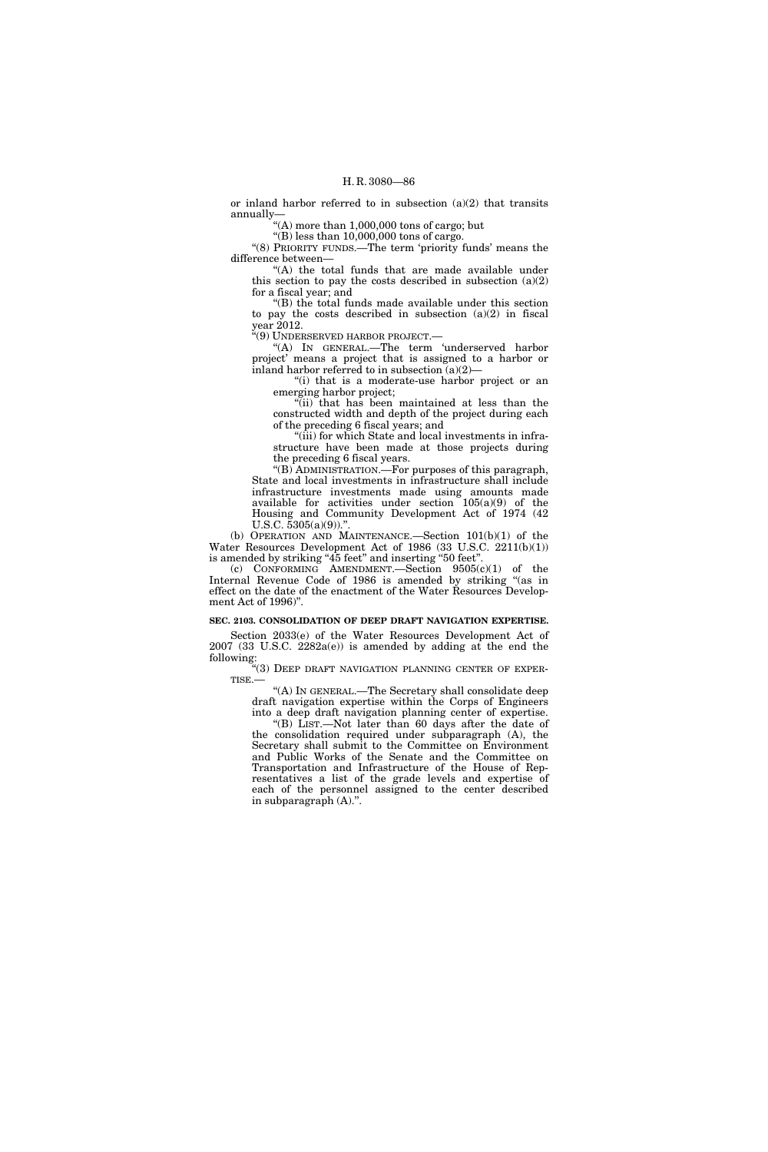or inland harbor referred to in subsection  $(a)(2)$  that transits annually—

"(A) more than  $1,000,000$  tons of cargo; but

 $\sqrt{\text{B}}$ ) less than 10,000,000 tons of cargo. ''(8) PRIORITY FUNDS.—The term 'priority funds' means the difference between—

"(A) the total funds that are made available under this section to pay the costs described in subsection  $(a)(2)$ for a fiscal year; and

''(B) the total funds made available under this section to pay the costs described in subsection  $(a)(2)$  in fiscal year 2012.

''(9) UNDERSERVED HARBOR PROJECT.—

''(A) IN GENERAL.—The term 'underserved harbor project' means a project that is assigned to a harbor or inland harbor referred to in subsection (a)(2)—

"(i) that is a moderate-use harbor project or an emerging harbor project;

''(ii) that has been maintained at less than the constructed width and depth of the project during each of the preceding 6 fiscal years; and

"(iii) for which State and local investments in infrastructure have been made at those projects during the preceding 6 fiscal years.

''(B) ADMINISTRATION.—For purposes of this paragraph, State and local investments in infrastructure shall include infrastructure investments made using amounts made available for activities under section  $105(a)(9)$  of the Housing and Community Development Act of 1974 (42 U.S.C.  $5305(a)(9)$ .".

(b) OPERATION AND MAINTENANCE.—Section 101(b)(1) of the Water Resources Development Act of 1986 (33 U.S.C. 2211(b)(1)) is amended by striking "45 feet" and inserting "50 feet".

(c) CONFORMING AMENDMENT.—Section  $9505(c)(1)$  of the Internal Revenue Code of 1986 is amended by striking ''(as in effect on the date of the enactment of the Water Resources Development Act of 1996)''.

# **SEC. 2103. CONSOLIDATION OF DEEP DRAFT NAVIGATION EXPERTISE.**

Section 2033(e) of the Water Resources Development Act of  $2007$  (33 U.S.C.  $2282a(e)$ ) is amended by adding at the end the following:

''(3) DEEP DRAFT NAVIGATION PLANNING CENTER OF EXPER-TISE.—

''(A) IN GENERAL.—The Secretary shall consolidate deep draft navigation expertise within the Corps of Engineers into a deep draft navigation planning center of expertise.

''(B) LIST.—Not later than 60 days after the date of the consolidation required under subparagraph (A), the Secretary shall submit to the Committee on Environment and Public Works of the Senate and the Committee on Transportation and Infrastructure of the House of Representatives a list of the grade levels and expertise of each of the personnel assigned to the center described in subparagraph (A).''.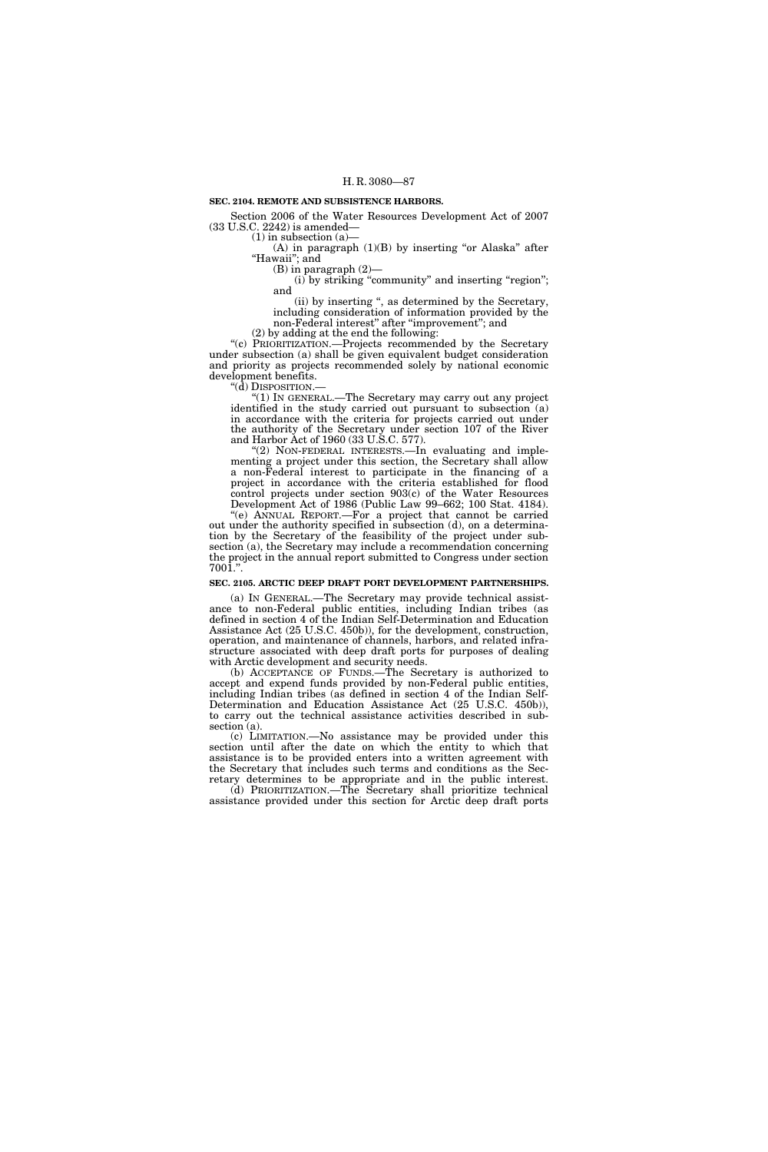# **SEC. 2104. REMOTE AND SUBSISTENCE HARBORS.**

Section 2006 of the Water Resources Development Act of 2007 (33 U.S.C. 2242) is amended—

 $(1)$  in subsection  $(a)$ 

(A) in paragraph  $(1)(B)$  by inserting "or Alaska" after "Hawaii"; and

(B) in paragraph (2)—

(i) by striking "community" and inserting "region"; and

(ii) by inserting '', as determined by the Secretary, including consideration of information provided by the non-Federal interest" after "improvement"; and

(2) by adding at the end the following:

''(c) PRIORITIZATION.—Projects recommended by the Secretary under subsection (a) shall be given equivalent budget consideration and priority as projects recommended solely by national economic development benefits.

"(d) DISPOSITION.-

''(1) IN GENERAL.—The Secretary may carry out any project identified in the study carried out pursuant to subsection (a) in accordance with the criteria for projects carried out under the authority of the Secretary under section 107 of the River and Harbor Act of 1960 (33 U.S.C. 577).

" $(2)$  NON-FEDERAL INTERESTS.—In evaluating and implementing a project under this section, the Secretary shall allow a non-Federal interest to participate in the financing of a project in accordance with the criteria established for flood control projects under section 903(c) of the Water Resources Development Act of 1986 (Public Law 99–662; 100 Stat. 4184).

''(e) ANNUAL REPORT.—For a project that cannot be carried out under the authority specified in subsection (d), on a determination by the Secretary of the feasibility of the project under subsection (a), the Secretary may include a recommendation concerning the project in the annual report submitted to Congress under section 7001.''.

# **SEC. 2105. ARCTIC DEEP DRAFT PORT DEVELOPMENT PARTNERSHIPS.**

(a) IN GENERAL.—The Secretary may provide technical assistance to non-Federal public entities, including Indian tribes (as defined in section 4 of the Indian Self-Determination and Education Assistance Act (25 U.S.C. 450b)), for the development, construction, operation, and maintenance of channels, harbors, and related infrastructure associated with deep draft ports for purposes of dealing with Arctic development and security needs.

(b) ACCEPTANCE OF FUNDS.—The Secretary is authorized to accept and expend funds provided by non-Federal public entities, including Indian tribes (as defined in section 4 of the Indian Self-Determination and Education Assistance Act (25 U.S.C. 450b)), to carry out the technical assistance activities described in subsection (a).

(c) LIMITATION.—No assistance may be provided under this section until after the date on which the entity to which that assistance is to be provided enters into a written agreement with the Secretary that includes such terms and conditions as the Secretary determines to be appropriate and in the public interest. (d) PRIORITIZATION.—The Secretary shall prioritize technical assistance provided under this section for Arctic deep draft ports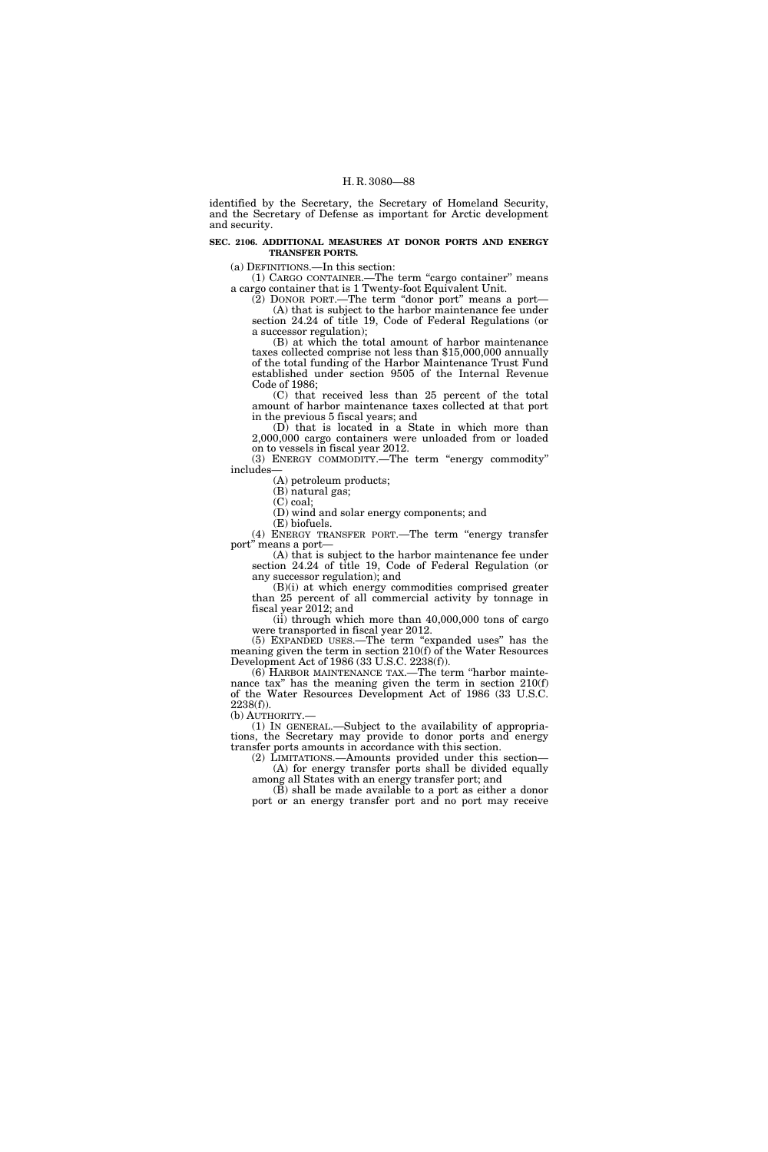identified by the Secretary, the Secretary of Homeland Security, and the Secretary of Defense as important for Arctic development and security.

#### **SEC. 2106. ADDITIONAL MEASURES AT DONOR PORTS AND ENERGY TRANSFER PORTS.**

(a) DEFINITIONS.—In this section:

(1) CARGO CONTAINER.—The term ''cargo container'' means a cargo container that is 1 Twenty-foot Equivalent Unit.

(2) DONOR PORT.—The term ''donor port'' means a port— (A) that is subject to the harbor maintenance fee under section 24.24 of title 19, Code of Federal Regulations (or a successor regulation);

(B) at which the total amount of harbor maintenance taxes collected comprise not less than \$15,000,000 annually of the total funding of the Harbor Maintenance Trust Fund established under section 9505 of the Internal Revenue Code of 1986;

(C) that received less than 25 percent of the total amount of harbor maintenance taxes collected at that port in the previous 5 fiscal years; and

(D) that is located in a State in which more than 2,000,000 cargo containers were unloaded from or loaded on to vessels in fiscal year 2012.

(3) ENERGY COMMODITY.—The term ''energy commodity'' includes—

(A) petroleum products; (B) natural gas;

(C) coal;

(D) wind and solar energy components; and

(E) biofuels. (4) ENERGY TRANSFER PORT.—The term ''energy transfer port'' means a port—

(A) that is subject to the harbor maintenance fee under section 24.24 of title 19, Code of Federal Regulation (or any successor regulation); and

(B)(i) at which energy commodities comprised greater than 25 percent of all commercial activity by tonnage in fiscal year 2012; and

(ii) through which more than 40,000,000 tons of cargo were transported in fiscal year 2012.

(5) EXPANDED USES.—The term ''expanded uses'' has the meaning given the term in section 210(f) of the Water Resources Development Act of 1986 (33 U.S.C. 2238(f)).

(6) HARBOR MAINTENANCE TAX.—The term ''harbor maintenance tax'' has the meaning given the term in section 210(f) of the Water Resources Development Act of 1986 (33 U.S.C.  $2238(f)$ ).

(b) AUTHORITY.— (1) IN GENERAL.—Subject to the availability of appropriations, the Secretary may provide to donor ports and energy transfer ports amounts in accordance with this section.

(2) LIMITATIONS.—Amounts provided under this section— (A) for energy transfer ports shall be divided equally among all States with an energy transfer port; and

(B) shall be made available to a port as either a donor port or an energy transfer port and no port may receive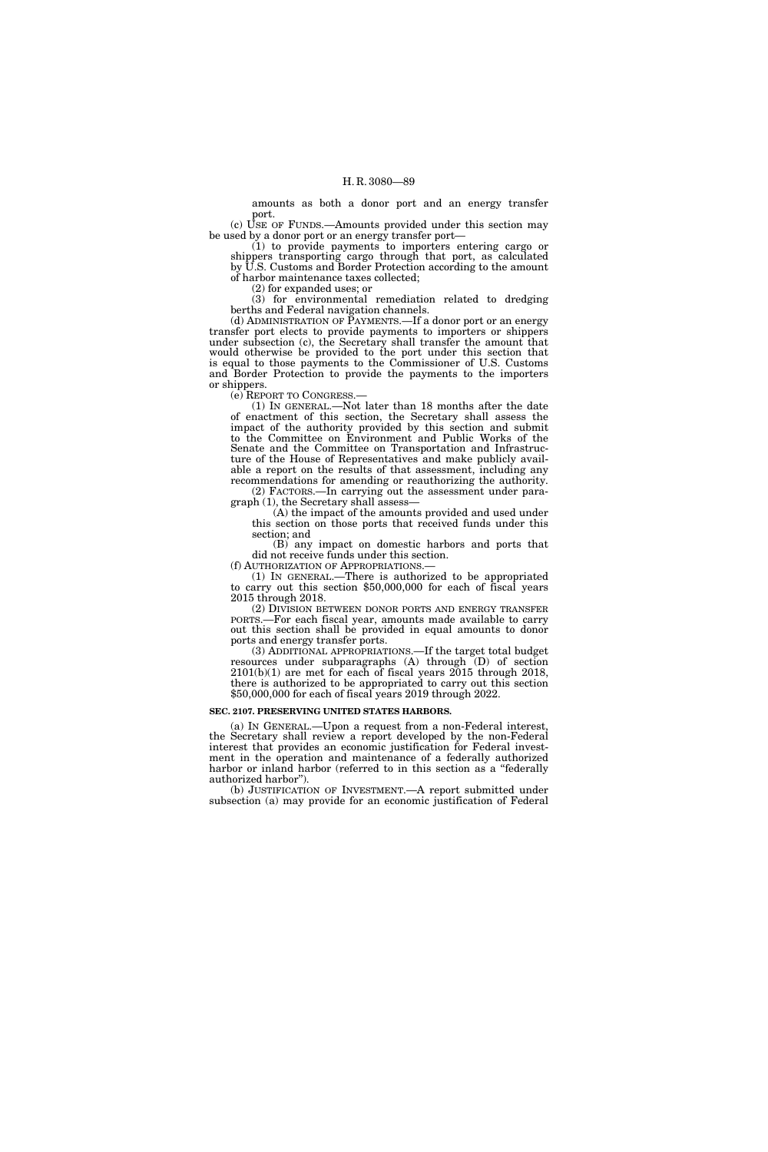amounts as both a donor port and an energy transfer port.

(c) USE OF FUNDS.—Amounts provided under this section may be used by a donor port or an energy transfer port—

(1) to provide payments to importers entering cargo or shippers transporting cargo through that port, as calculated by U.S. Customs and Border Protection according to the amount of harbor maintenance taxes collected;

(2) for expanded uses; or

(3) for environmental remediation related to dredging berths and Federal navigation channels.

(d) ADMINISTRATION OF PAYMENTS.—If a donor port or an energy transfer port elects to provide payments to importers or shippers under subsection (c), the Secretary shall transfer the amount that would otherwise be provided to the port under this section that is equal to those payments to the Commissioner of U.S. Customs and Border Protection to provide the payments to the importers or shippers.

(e) REPORT TO CONGRESS.—

(1) IN GENERAL.—Not later than 18 months after the date of enactment of this section, the Secretary shall assess the impact of the authority provided by this section and submit to the Committee on Environment and Public Works of the Senate and the Committee on Transportation and Infrastructure of the House of Representatives and make publicly available a report on the results of that assessment, including any recommendations for amending or reauthorizing the authority. (2) FACTORS.—In carrying out the assessment under para-

graph (1), the Secretary shall assess— (A) the impact of the amounts provided and used under

this section on those ports that received funds under this section; and

(B) any impact on domestic harbors and ports that did not receive funds under this section.<br>(f) AUTHORIZATION OF APPROPRIATIONS.—

(1) IN GENERAL.—There is authorized to be appropriated to carry out this section  $$50,000,000$  for each of fiscal years 2015 through 2018.

(2) DIVISION BETWEEN DONOR PORTS AND ENERGY TRANSFER PORTS.—For each fiscal year, amounts made available to carry out this section shall be provided in equal amounts to donor ports and energy transfer ports.

(3) ADDITIONAL APPROPRIATIONS.—If the target total budget resources under subparagraphs (A) through (D) of section  $2101(b)(1)$  are met for each of fiscal years  $2015$  through  $2018$ , there is authorized to be appropriated to carry out this section \$50,000,000 for each of fiscal years 2019 through 2022.

#### **SEC. 2107. PRESERVING UNITED STATES HARBORS.**

(a) IN GENERAL.—Upon a request from a non-Federal interest, the Secretary shall review a report developed by the non-Federal interest that provides an economic justification for Federal investment in the operation and maintenance of a federally authorized harbor or inland harbor (referred to in this section as a "federally authorized harbor'').

(b) JUSTIFICATION OF INVESTMENT.—A report submitted under subsection (a) may provide for an economic justification of Federal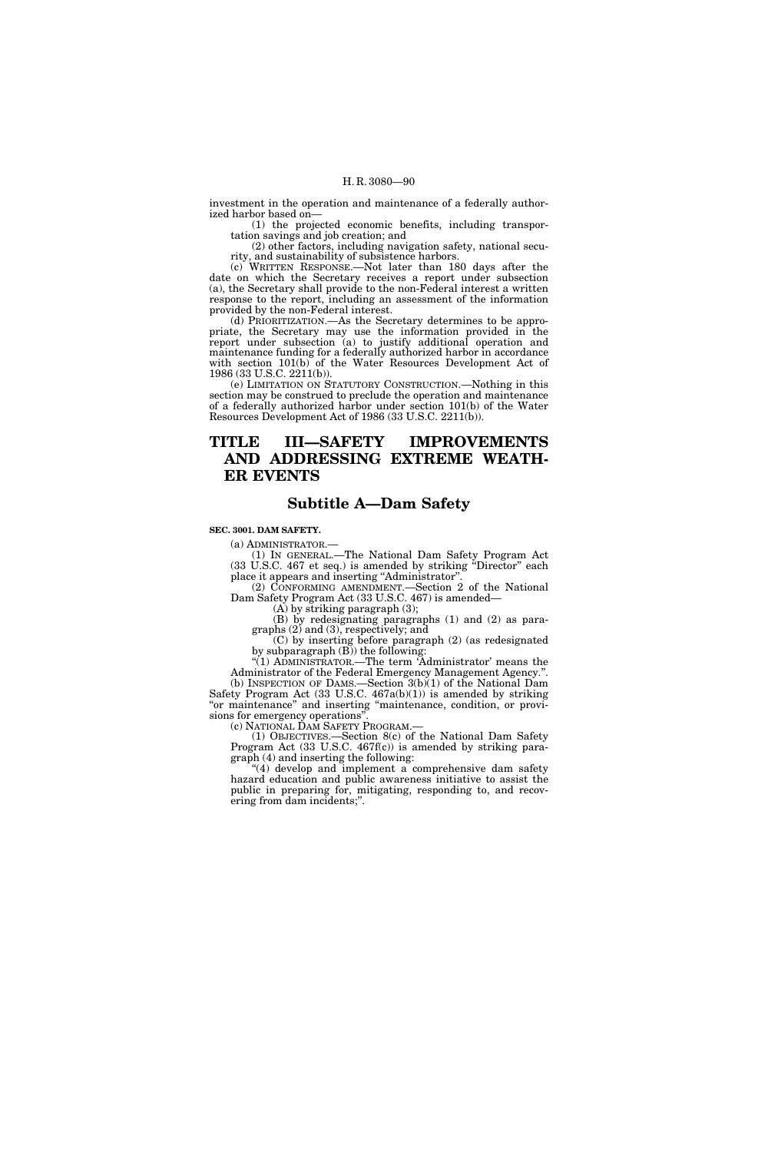investment in the operation and maintenance of a federally authorized harbor based on—

(1) the projected economic benefits, including transportation savings and job creation; and

(2) other factors, including navigation safety, national security, and sustainability of subsistence harbors.

(c) WRITTEN RESPONSE.—Not later than 180 days after the date on which the Secretary receives a report under subsection (a), the Secretary shall provide to the non-Federal interest a written response to the report, including an assessment of the information provided by the non-Federal interest.

(d) PRIORITIZATION.—As the Secretary determines to be appropriate, the Secretary may use the information provided in the report under subsection (a) to justify additional operation and maintenance funding for a federally authorized harbor in accordance with section 101(b) of the Water Resources Development Act of 1986 (33 U.S.C. 2211(b)).

(e) LIMITATION ON STATUTORY CONSTRUCTION.—Nothing in this section may be construed to preclude the operation and maintenance of a federally authorized harbor under section 101(b) of the Water Resources Development Act of 1986 (33 U.S.C. 2211(b)).

# **TITLE III—SAFETY IMPROVEMENTS AND ADDRESSING EXTREME WEATH-ER EVENTS**

# **Subtitle A—Dam Safety**

#### **SEC. 3001. DAM SAFETY.**

(a) ADMINISTRATOR.— (1) IN GENERAL.—The National Dam Safety Program Act (33 U.S.C. 467 et seq.) is amended by striking ''Director'' each place it appears and inserting "Administrator".

(2) CONFORMING AMENDMENT. Section 2 of the National Dam Safety Program Act (33 U.S.C. 467) is amended—

 $(A)$  by striking paragraph  $(3)$ ;

(B) by redesignating paragraphs (1) and (2) as paragraphs (2) and (3), respectively; and

(C) by inserting before paragraph (2) (as redesignated by subparagraph (B)) the following:

''(1) ADMINISTRATOR.—The term 'Administrator' means the Administrator of the Federal Emergency Management Agency.". (b) INSPECTION OF DAMS.—Section 3(b)(1) of the National Dam Safety Program Act (33 U.S.C. 467a(b)(1)) is amended by striking 'or maintenance" and inserting "maintenance, condition, or provisions for emergency operations''.

(c) NATIONAL DAM SAFETY PROGRAM.—

(1) OBJECTIVES.—Section 8(c) of the National Dam Safety Program Act (33 U.S.C. 467f(c)) is amended by striking paragraph (4) and inserting the following:

"(4) develop and implement a comprehensive dam safety hazard education and public awareness initiative to assist the public in preparing for, mitigating, responding to, and recovering from dam incidents;''.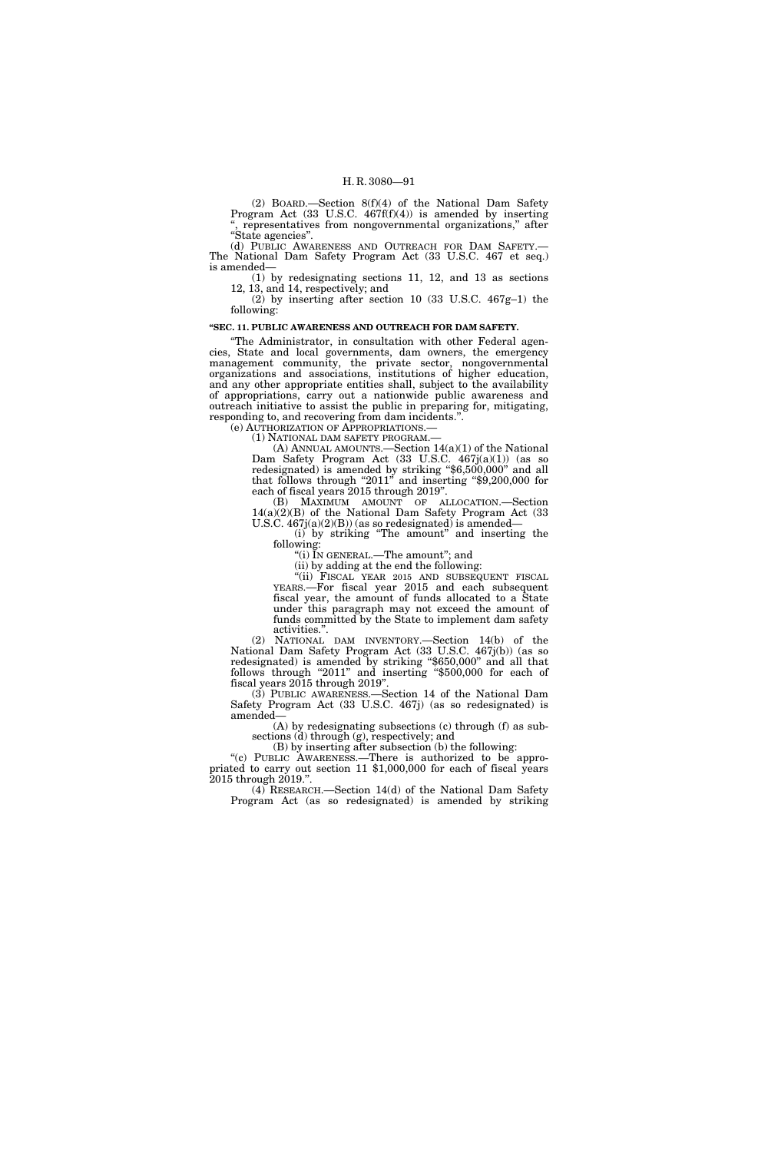(2) BOARD.—Section 8(f)(4) of the National Dam Safety Program Act (33 U.S.C. 467f(f)(4)) is amended by inserting representatives from nongovernmental organizations," after ''State agencies''.

(d) PUBLIC AWARENESS AND OUTREACH FOR DAM SAFETY.— The National Dam Safety Program Act (33 U.S.C. 467 et seq.) is amended—

(1) by redesignating sections 11, 12, and 13 as sections 12, 13, and 14, respectively; and

(2) by inserting after section 10 (33 U.S.C. 467g–1) the following:

# **''SEC. 11. PUBLIC AWARENESS AND OUTREACH FOR DAM SAFETY.**

''The Administrator, in consultation with other Federal agencies, State and local governments, dam owners, the emergency management community, the private sector, nongovernmental organizations and associations, institutions of higher education, and any other appropriate entities shall, subject to the availability of appropriations, carry out a nationwide public awareness and outreach initiative to assist the public in preparing for, mitigating, responding to, and recovering from dam incidents.".<br>
(e) AUTHORIZATION OF APPROPRIATIONS.—

(e) AUTHORIZATION OF APPROPRIATIONS.— (1) NATIONAL DAM SAFETY PROGRAM.— (A) ANNUAL AMOUNTS.—Section 14(a)(1) of the National Dam Safety Program Act (33 U.S.C. 467j(a)(1)) (as so redesignated) is amended by striking "\$6,500,000" and all that follows through "2011" and inserting "\$9,200,000 for each of fiscal years 2015 through 2019''.

(B) MAXIMUM AMOUNT OF ALLOCATION.—Section 14(a)(2)(B) of the National Dam Safety Program Act (33 U.S.C.  $467j(a)(2)(B)$  (as so redesignated) is amended—

(i) by striking ''The amount'' and inserting the following:

''(i) IN GENERAL.—The amount''; and

(ii) by adding at the end the following:

"(ii) FISCAL YEAR 2015 AND SUBSEQUENT FISCAL YEARS.—For fiscal year 2015 and each subsequent fiscal year, the amount of funds allocated to a State under this paragraph may not exceed the amount of funds committed by the State to implement dam safety activities.''.

(2) NATIONAL DAM INVENTORY.—Section 14(b) of the National Dam Safety Program Act (33 U.S.C. 467j(b)) (as so redesignated) is amended by striking ''\$650,000'' and all that follows through "2011" and inserting "\$500,000 for each of fiscal years 2015 through 2019''.

(3) PUBLIC AWARENESS.—Section 14 of the National Dam Safety Program Act (33 U.S.C. 467j) (as so redesignated) is amended—

(A) by redesignating subsections (c) through (f) as subsections (d) through (g), respectively; and

(B) by inserting after subsection (b) the following:

''(c) PUBLIC AWARENESS.—There is authorized to be appropriated to carry out section 11 \$1,000,000 for each of fiscal years 2015 through 2019.''.

(4) RESEARCH.—Section 14(d) of the National Dam Safety Program Act (as so redesignated) is amended by striking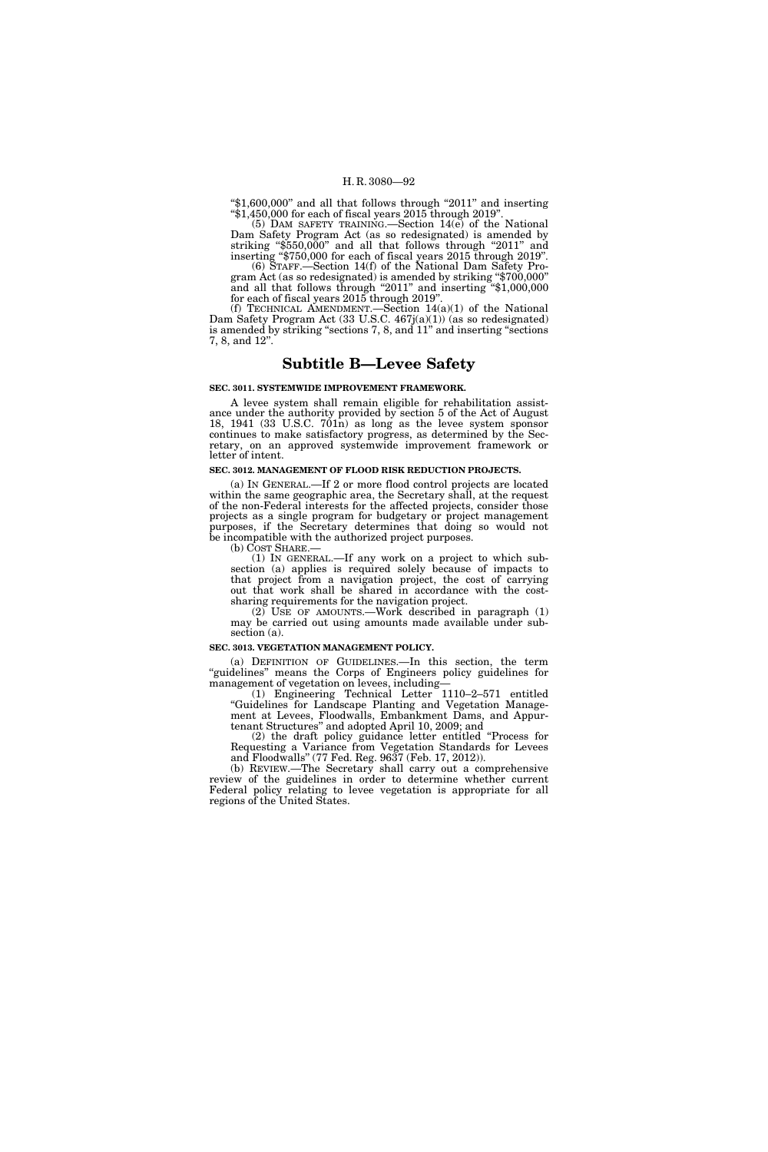''\$1,600,000'' and all that follows through ''2011'' and inserting  $\pm 1,450,000$  for each of fiscal years 2015 through 2019".

(5) DAM SAFETY TRAINING.—Section 14(e) of the National Dam Safety Program Act (as so redesignated) is amended by striking "\$550,000" and all that follows through "2011" and inserting ''\$750,000 for each of fiscal years 2015 through 2019''.

(6) STAFF.—Section 14(f) of the National Dam Safety Program Act (as so redesignated) is amended by striking " $$700,000"$ and all that follows through "2011" and inserting "\$1,000,000 for each of fiscal years 2015 through 2019''.

(f) TECHNICAL AMENDMENT.—Section 14(a)(1) of the National Dam Safety Program Act (33 U.S.C. 467j(a)(1)) (as so redesignated) is amended by striking ''sections 7, 8, and 11'' and inserting ''sections 7, 8, and 12''.

# **Subtitle B—Levee Safety**

#### **SEC. 3011. SYSTEMWIDE IMPROVEMENT FRAMEWORK.**

A levee system shall remain eligible for rehabilitation assistance under the authority provided by section 5 of the Act of August 18, 1941 (33 U.S.C.  $701n$ ) as long as the levee system sponsor continues to make satisfactory progress, as determined by the Secretary, on an approved systemwide improvement framework or letter of intent.

#### **SEC. 3012. MANAGEMENT OF FLOOD RISK REDUCTION PROJECTS.**

(a) IN GENERAL.—If 2 or more flood control projects are located within the same geographic area, the Secretary shall, at the request of the non-Federal interests for the affected projects, consider those projects as a single program for budgetary or project management purposes, if the Secretary determines that doing so would not be incompatible with the authorized project purposes.<br>(b) COST SHARE.—

 $(1)$  IN GENERAL.—If any work on a project to which subsection (a) applies is required solely because of impacts to that project from a navigation project, the cost of carrying out that work shall be shared in accordance with the costsharing requirements for the navigation project.

 $(2)$  USE OF AMOUNTS.—Work described in paragraph  $(1)$ may be carried out using amounts made available under subsection (a).

# **SEC. 3013. VEGETATION MANAGEMENT POLICY.**

(a) DEFINITION OF GUIDELINES.—In this section, the term "guidelines" means the Corps of Engineers policy guidelines for management of vegetation on levees, including—

(1) Engineering Technical Letter 1110–2–571 entitled ''Guidelines for Landscape Planting and Vegetation Management at Levees, Floodwalls, Embankment Dams, and Appurtenant Structures'' and adopted April 10, 2009; and

(2) the draft policy guidance letter entitled ''Process for Requesting a Variance from Vegetation Standards for Levees and Floodwalls'' (77 Fed. Reg. 9637 (Feb. 17, 2012)).

(b) REVIEW.—The Secretary shall carry out a comprehensive review of the guidelines in order to determine whether current Federal policy relating to levee vegetation is appropriate for all regions of the United States.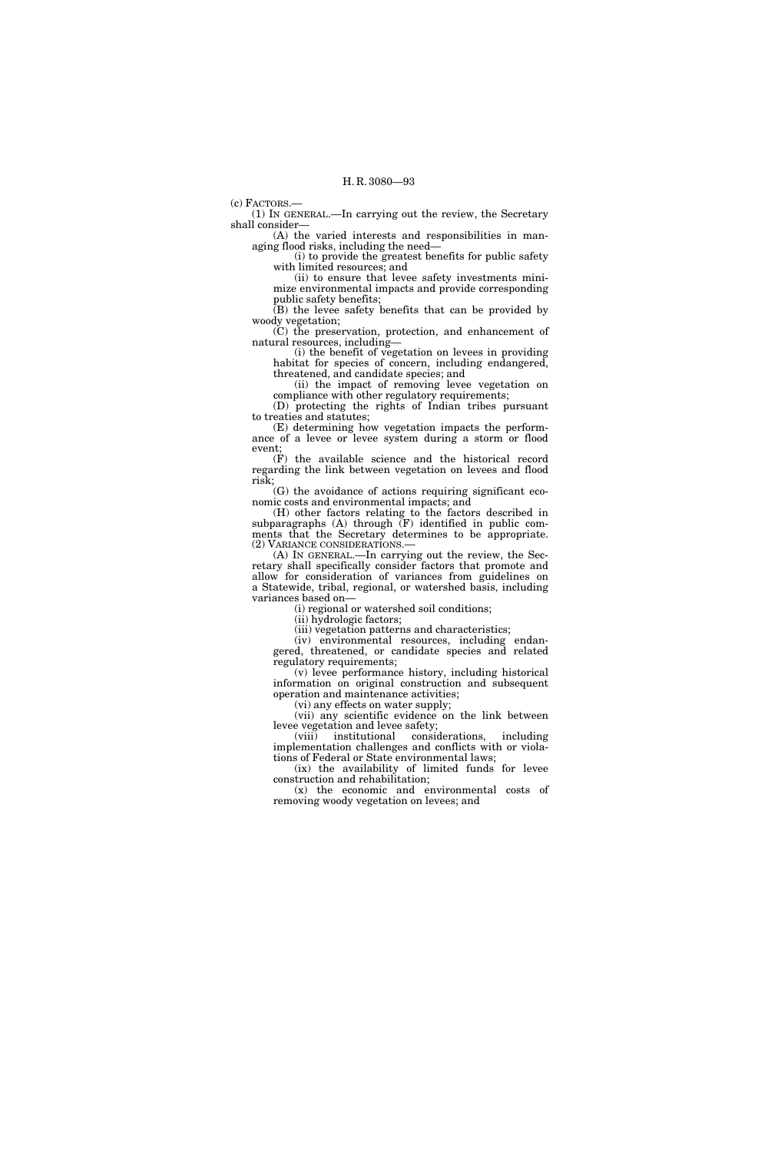(c) FACTORS.—

(1) IN GENERAL.—In carrying out the review, the Secretary shall consider—

(A) the varied interests and responsibilities in managing flood risks, including the need—

(i) to provide the greatest benefits for public safety with limited resources; and

(ii) to ensure that levee safety investments minimize environmental impacts and provide corresponding public safety benefits;

(B) the levee safety benefits that can be provided by woody vegetation;

(C) the preservation, protection, and enhancement of natural resources, including—

(i) the benefit of vegetation on levees in providing habitat for species of concern, including endangered, threatened, and candidate species; and

(ii) the impact of removing levee vegetation on compliance with other regulatory requirements;

(D) protecting the rights of Indian tribes pursuant to treaties and statutes;

(E) determining how vegetation impacts the performance of a levee or levee system during a storm or flood event;

(F) the available science and the historical record regarding the link between vegetation on levees and flood risk;

(G) the avoidance of actions requiring significant economic costs and environmental impacts; and

(H) other factors relating to the factors described in subparagraphs (A) through (F) identified in public comments that the Secretary determines to be appropriate. (2) VARIANCE CONSIDERATIONS.— (A) IN GENERAL.—In carrying out the review, the Sec-

retary shall specifically consider factors that promote and allow for consideration of variances from guidelines on a Statewide, tribal, regional, or watershed basis, including variances based on—

(i) regional or watershed soil conditions;

(ii) hydrologic factors;

(iii) vegetation patterns and characteristics;

(iv) environmental resources, including endangered, threatened, or candidate species and related regulatory requirements;

(v) levee performance history, including historical information on original construction and subsequent operation and maintenance activities;

(vi) any effects on water supply;

(vii) any scientific evidence on the link between levee vegetation and levee safety;<br>(viii) institutional consider

(viii) institutional considerations, including implementation challenges and conflicts with or violations of Federal or State environmental laws;

(ix) the availability of limited funds for levee construction and rehabilitation;

(x) the economic and environmental costs of removing woody vegetation on levees; and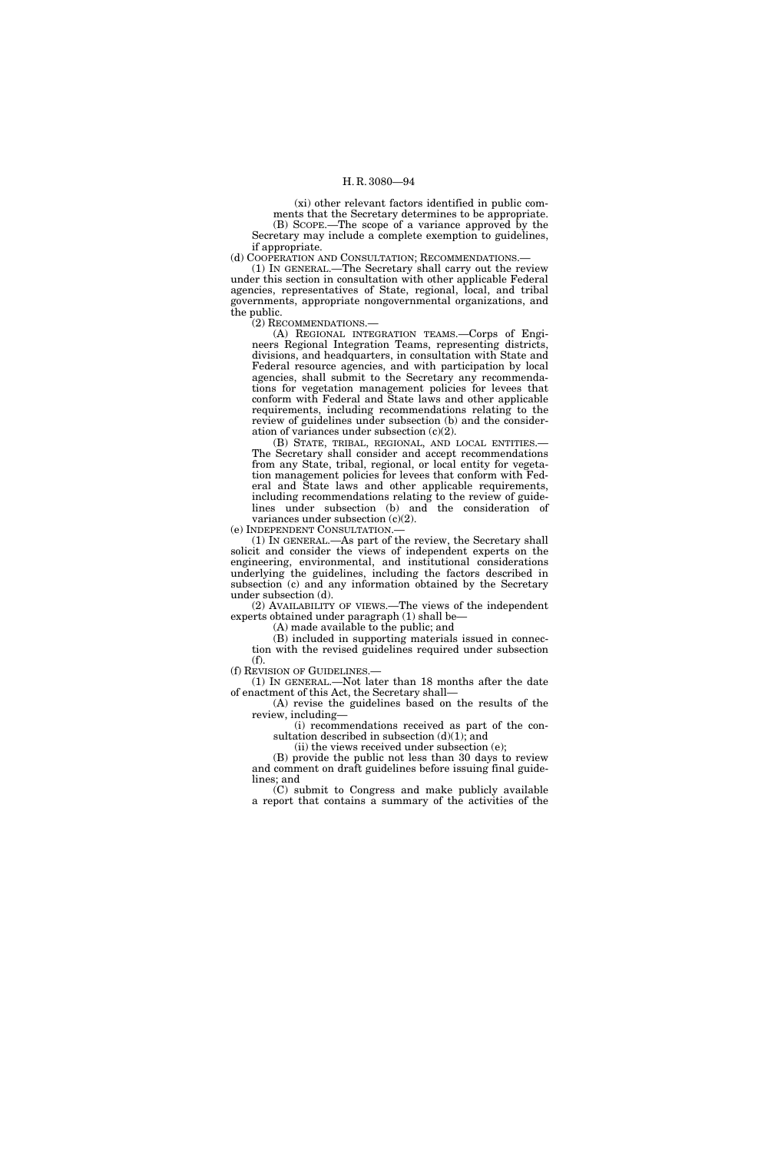(xi) other relevant factors identified in public comments that the Secretary determines to be appropriate. (B) SCOPE.—The scope of a variance approved by the Secretary may include a complete exemption to guidelines, if appropriate.

(d) COOPERATION AND CONSULTATION; RECOMMENDATIONS.—

(1) IN GENERAL.—The Secretary shall carry out the review under this section in consultation with other applicable Federal agencies, representatives of State, regional, local, and tribal governments, appropriate nongovernmental organizations, and the public.

(2) RECOMMENDATIONS.—

(A) REGIONAL INTEGRATION TEAMS.—Corps of Engineers Regional Integration Teams, representing districts, divisions, and headquarters, in consultation with State and Federal resource agencies, and with participation by local agencies, shall submit to the Secretary any recommendations for vegetation management policies for levees that conform with Federal and State laws and other applicable requirements, including recommendations relating to the review of guidelines under subsection (b) and the consideration of variances under subsection (c)(2).

(B) STATE, TRIBAL, REGIONAL, AND LOCAL ENTITIES.— The Secretary shall consider and accept recommendations from any State, tribal, regional, or local entity for vegetation management policies for levees that conform with Federal and State laws and other applicable requirements, including recommendations relating to the review of guidelines under subsection (b) and the consideration of variances under subsection (c)(2).

(e) INDEPENDENT CONSULTATION.—

(1) IN GENERAL.—As part of the review, the Secretary shall solicit and consider the views of independent experts on the engineering, environmental, and institutional considerations underlying the guidelines, including the factors described in subsection (c) and any information obtained by the Secretary under subsection (d).

(2) AVAILABILITY OF VIEWS.—The views of the independent experts obtained under paragraph (1) shall be—

(A) made available to the public; and

(B) included in supporting materials issued in connection with the revised guidelines required under subsection (f).

(f) REVISION OF GUIDELINES.—

(1) IN GENERAL.—Not later than 18 months after the date of enactment of this Act, the Secretary shall—

(A) revise the guidelines based on the results of the review, including—

(i) recommendations received as part of the consultation described in subsection  $(d)(1)$ ; and

(ii) the views received under subsection (e);

(B) provide the public not less than 30 days to review and comment on draft guidelines before issuing final guidelines; and

(C) submit to Congress and make publicly available a report that contains a summary of the activities of the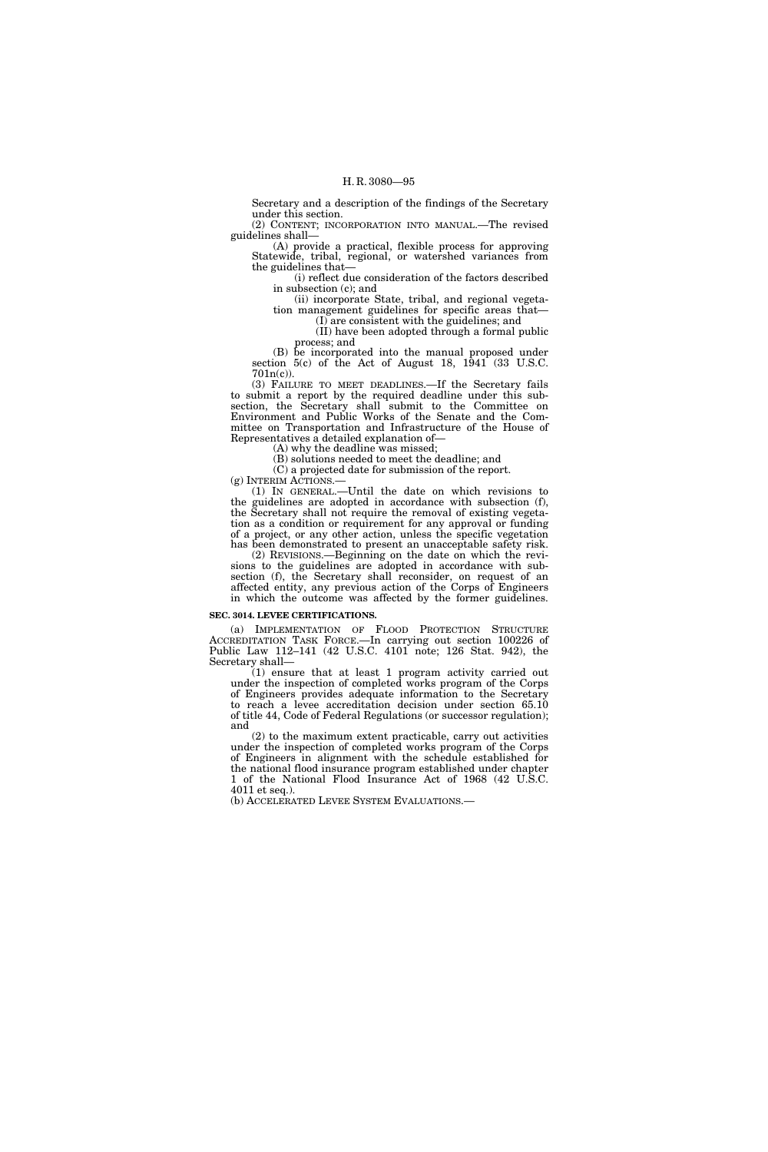Secretary and a description of the findings of the Secretary under this section.

(2) CONTENT; INCORPORATION INTO MANUAL.—The revised guidelines shall—

(A) provide a practical, flexible process for approving Statewide, tribal, regional, or watershed variances from the guidelines that—

(i) reflect due consideration of the factors described in subsection (c); and

(ii) incorporate State, tribal, and regional vegetation management guidelines for specific areas that—

(I) are consistent with the guidelines; and (II) have been adopted through a formal public

process; and

(B) be incorporated into the manual proposed under section 5(c) of the Act of August 18, 1941 (33 U.S.C.  $701n(c)$ ).

(3) FAILURE TO MEET DEADLINES.—If the Secretary fails to submit a report by the required deadline under this subsection, the Secretary shall submit to the Committee on Environment and Public Works of the Senate and the Committee on Transportation and Infrastructure of the House of Representatives a detailed explanation of—

(A) why the deadline was missed;

(B) solutions needed to meet the deadline; and

(C) a projected date for submission of the report.<br>(g) INTERIM ACTIONS.—

(1) IN GENERAL.—Until the date on which revisions to the guidelines are adopted in accordance with subsection (f), the Secretary shall not require the removal of existing vegetation as a condition or requirement for any approval or funding of a project, or any other action, unless the specific vegetation has been demonstrated to present an unacceptable safety risk.

(2) REVISIONS.—Beginning on the date on which the revisions to the guidelines are adopted in accordance with subsection (f), the Secretary shall reconsider, on request of an affected entity, any previous action of the Corps of Engineers in which the outcome was affected by the former guidelines.

# **SEC. 3014. LEVEE CERTIFICATIONS.**

(a) IMPLEMENTATION OF FLOOD PROTECTION STRUCTURE ACCREDITATION TASK FORCE.—In carrying out section 100226 of Public Law 112–141 (42 U.S.C. 4101 note; 126 Stat. 942), the Secretary shall—

(1) ensure that at least 1 program activity carried out under the inspection of completed works program of the Corps of Engineers provides adequate information to the Secretary to reach a levee accreditation decision under section 65.10 of title 44, Code of Federal Regulations (or successor regulation); and

(2) to the maximum extent practicable, carry out activities under the inspection of completed works program of the Corps of Engineers in alignment with the schedule established for the national flood insurance program established under chapter 1 of the National Flood Insurance Act of 1968 (42 U.S.C. 4011 et seq.).

(b) ACCELERATED LEVEE SYSTEM EVALUATIONS.—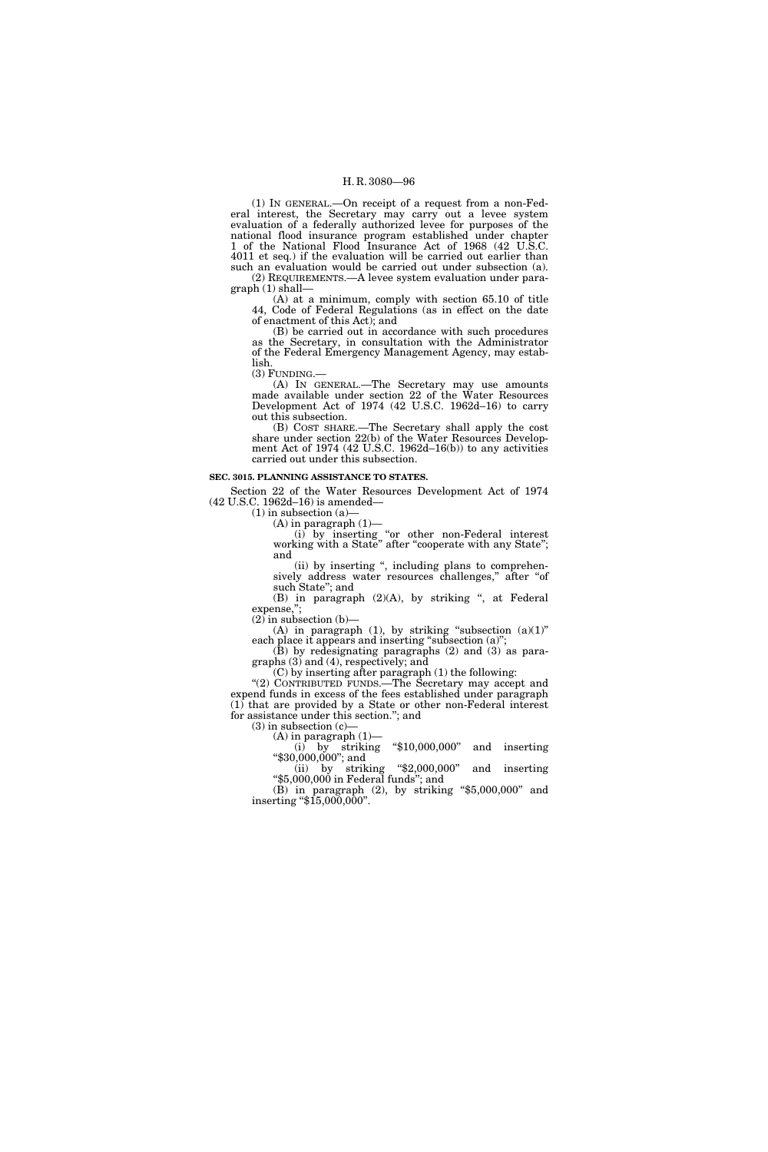(1) IN GENERAL.—On receipt of a request from a non-Federal interest, the Secretary may carry out a levee system evaluation of a federally authorized levee for purposes of the national flood insurance program established under chapter 1 of the National Flood Insurance Act of 1968 (42 U.S.C. 4011 et seq.) if the evaluation will be carried out earlier than such an evaluation would be carried out under subsection (a). (2) REQUIREMENTS.—A levee system evaluation under para-

graph (1) shall— (A) at a minimum, comply with section 65.10 of title 44, Code of Federal Regulations (as in effect on the date of enactment of this Act); and

(B) be carried out in accordance with such procedures as the Secretary, in consultation with the Administrator of the Federal Emergency Management Agency, may establish.

(3) FUNDING.—

(A) IN GENERAL.—The Secretary may use amounts made available under section 22 of the Water Resources Development Act of 1974 (42 U.S.C. 1962d–16) to carry out this subsection.

(B) COST SHARE.—The Secretary shall apply the cost share under section 22(b) of the Water Resources Development Act of 1974 (42 U.S.C. 1962d–16(b)) to any activities carried out under this subsection.

#### **SEC. 3015. PLANNING ASSISTANCE TO STATES.**

Section 22 of the Water Resources Development Act of 1974 (42 U.S.C. 1962d–16) is amended—

 $(1)$  in subsection  $(a)$ –

 $(A)$  in paragraph  $(1)$ -

(i) by inserting ''or other non-Federal interest working with a State'' after ''cooperate with any State''; and

(ii) by inserting '', including plans to comprehensively address water resources challenges," after "of such State''; and

(B) in paragraph (2)(A), by striking ", at Federal expense,";

 $(2)$  in subsection  $(b)$ — (A) in paragraph (1), by striking "subsection  $(a)(1)$ " each place it appears and inserting "subsection (a)";

(B) by redesignating paragraphs (2) and (3) as paragraphs (3) and (4), respectively; and

(C) by inserting after paragraph (1) the following:

''(2) CONTRIBUTED FUNDS.—The Secretary may accept and expend funds in excess of the fees established under paragraph (1) that are provided by a State or other non-Federal interest for assistance under this section.''; and

(3) in subsection (c)—<br>(A) in paragraph  $(1)$ —

(i) by striking " $$10,000,000$ " and inserting " $$30,000,000$ "; and (ii) by striking " $$2,000,000$ " and inserting

(ii) by striking ''\$2,000,000'' and inserting ''\$5,000,000 in Federal funds''; and

(B) in paragraph (2), by striking " $$5,000,000$ " and inserting " $$15,000,000$ ".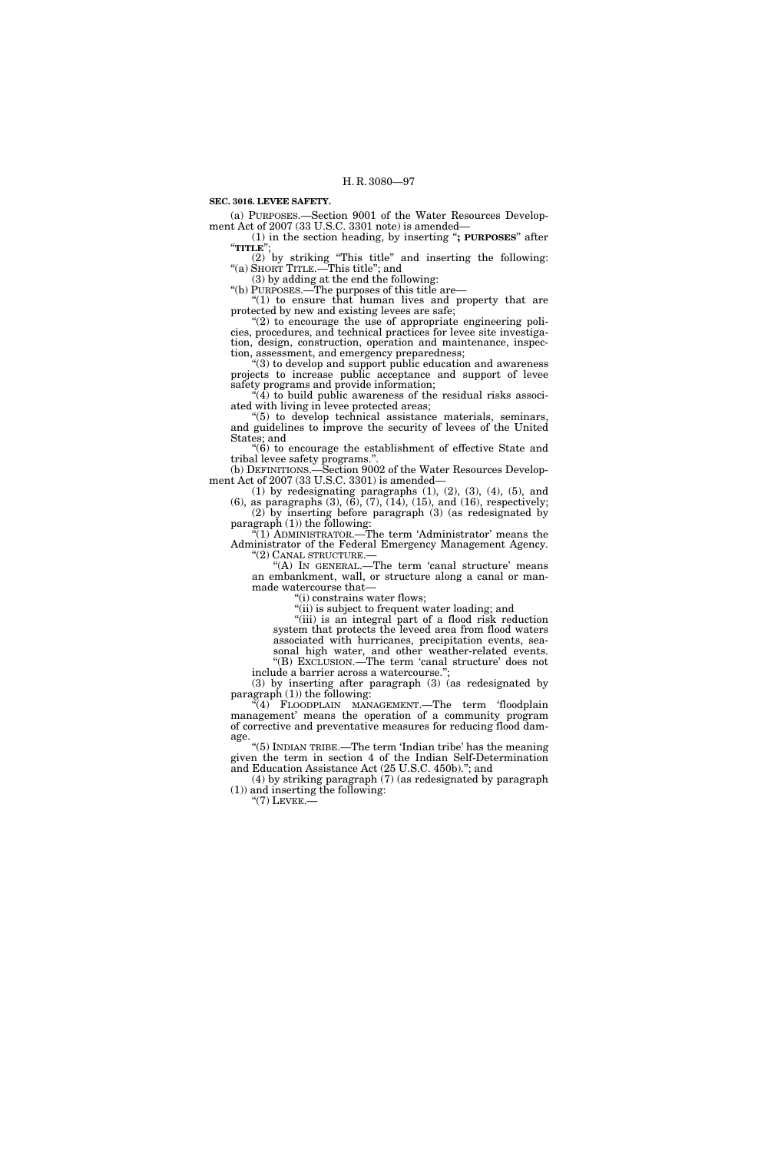**SEC. 3016. LEVEE SAFETY.** 

(a) PURPOSES.—Section 9001 of the Water Resources Development Act of 2007 (33 U.S.C. 3301 note) is amended—

(1) in the section heading, by inserting "**; PURPOSES**" after "**TITLE**";

(2) by striking ''This title'' and inserting the following: ''(a) SHORT TITLE.—This title''; and

(3) by adding at the end the following:

''(b) PURPOSES.—The purposes of this title are—

" $(1)$  to ensure that human lives and property that are protected by new and existing levees are safe;

" $(2)$  to encourage the use of appropriate engineering policies, procedures, and technical practices for levee site investigation, design, construction, operation and maintenance, inspection, assessment, and emergency preparedness;

''(3) to develop and support public education and awareness projects to increase public acceptance and support of levee safety programs and provide information;

"(4) to build public awareness of the residual risks associated with living in levee protected areas;

''(5) to develop technical assistance materials, seminars, and guidelines to improve the security of levees of the United States; and

''(6) to encourage the establishment of effective State and tribal levee safety programs."

(b) DEFINITIONS.—Section 9002 of the Water Resources Development Act of 2007 (33 U.S.C. 3301) is amended—

 $(1)$  by redesignating paragraphs  $(1)$ ,  $(2)$ ,  $(3)$ ,  $(4)$ ,  $(5)$ , and (6), as paragraphs (3), (6), (7), (14), (15), and (16), respectively; (2) by inserting before paragraph (3) (as redesignated by paragraph (1)) the following:

"(1) ADMINISTRATOR.—The term 'Administrator' means the Administrator of the Federal Emergency Management Agency.

''(2) CANAL STRUCTURE.— ''(A) IN GENERAL.—The term 'canal structure' means an embankment, wall, or structure along a canal or man-

made watercourse that— ''(i) constrains water flows;

''(ii) is subject to frequent water loading; and

"(iii) is an integral part of a flood risk reduction system that protects the leveed area from flood waters associated with hurricanes, precipitation events, seasonal high water, and other weather-related events.

''(B) EXCLUSION.—The term 'canal structure' does not include a barrier across a watercourse.'';

(3) by inserting after paragraph (3) (as redesignated by paragraph  $(1)$ ) the following:

"(4) FLOODPLAIN MANAGEMENT.—The term 'floodplain management' means the operation of a community program of corrective and preventative measures for reducing flood damage.

''(5) INDIAN TRIBE.—The term 'Indian tribe' has the meaning given the term in section 4 of the Indian Self-Determination and Education Assistance Act (25 U.S.C. 450b).''; and

(4) by striking paragraph (7) (as redesignated by paragraph (1)) and inserting the following:

 $"$ (7) LEVEE.—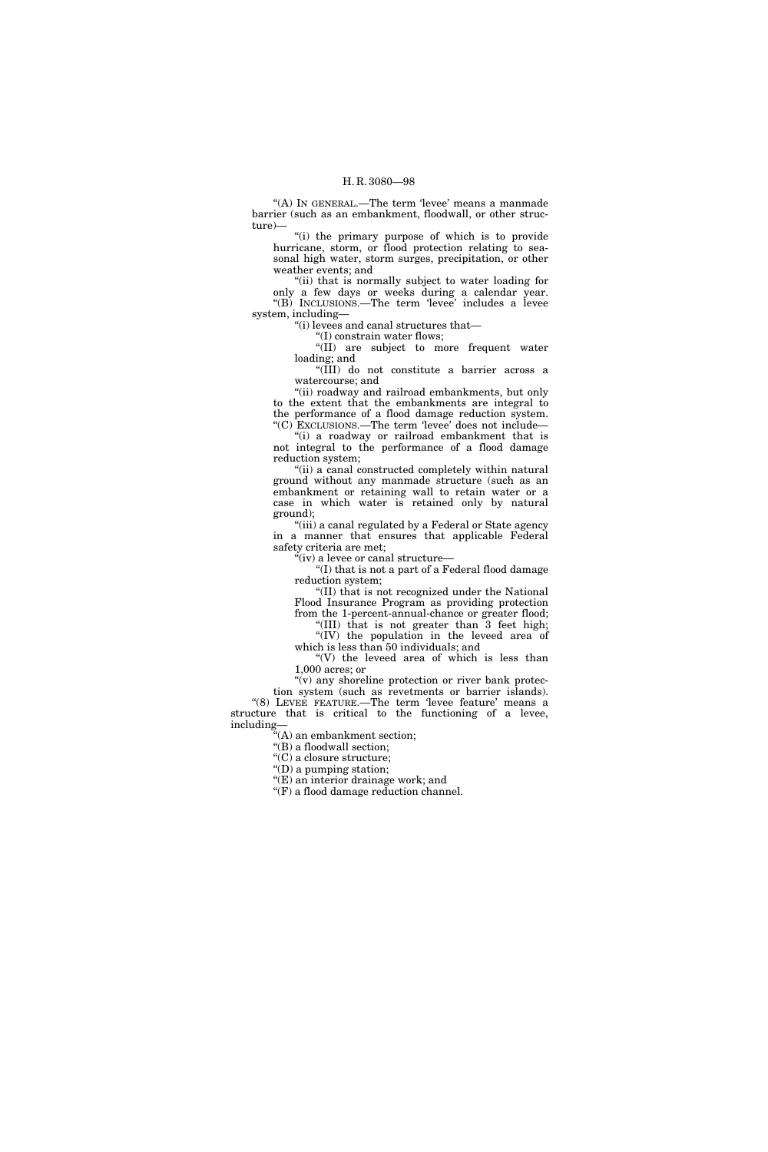"(A) IN GENERAL.—The term 'levee' means a manmade barrier (such as an embankment, floodwall, or other structure)—

"(i) the primary purpose of which is to provide hurricane, storm, or flood protection relating to seasonal high water, storm surges, precipitation, or other weather events; and

''(ii) that is normally subject to water loading for only a few days or weeks during a calendar year. ''(B) INCLUSIONS.—The term 'levee' includes a levee system, including—

''(i) levees and canal structures that—

''(I) constrain water flows;

''(II) are subject to more frequent water loading; and

''(III) do not constitute a barrier across a watercourse; and

''(ii) roadway and railroad embankments, but only to the extent that the embankments are integral to the performance of a flood damage reduction system. ''(C) EXCLUSIONS.—The term 'levee' does not include—

''(i) a roadway or railroad embankment that is not integral to the performance of a flood damage reduction system;

"(ii) a canal constructed completely within natural ground without any manmade structure (such as an embankment or retaining wall to retain water or a case in which water is retained only by natural ground);

"(iii) a canal regulated by a Federal or State agency in a manner that ensures that applicable Federal safety criteria are met;

''(iv) a levee or canal structure—

''(I) that is not a part of a Federal flood damage reduction system;

''(II) that is not recognized under the National Flood Insurance Program as providing protection from the 1-percent-annual-chance or greater flood;

''(III) that is not greater than 3 feet high; ''(IV) the population in the leveed area of which is less than 50 individuals; and

"(V) the leveed area of which is less than 1,000 acres; or

" $(v)$  any shoreline protection or river bank protection system (such as revetments or barrier islands).

"(8) LEVEE FEATURE.—The term 'levee feature' means a structure that is critical to the functioning of a levee, including—

''(A) an embankment section;

''(B) a floodwall section;

 $\mathcal{C}(C)$  a closure structure;

''(D) a pumping station;

"(E) an interior drainage work; and

" $(F)$  a flood damage reduction channel.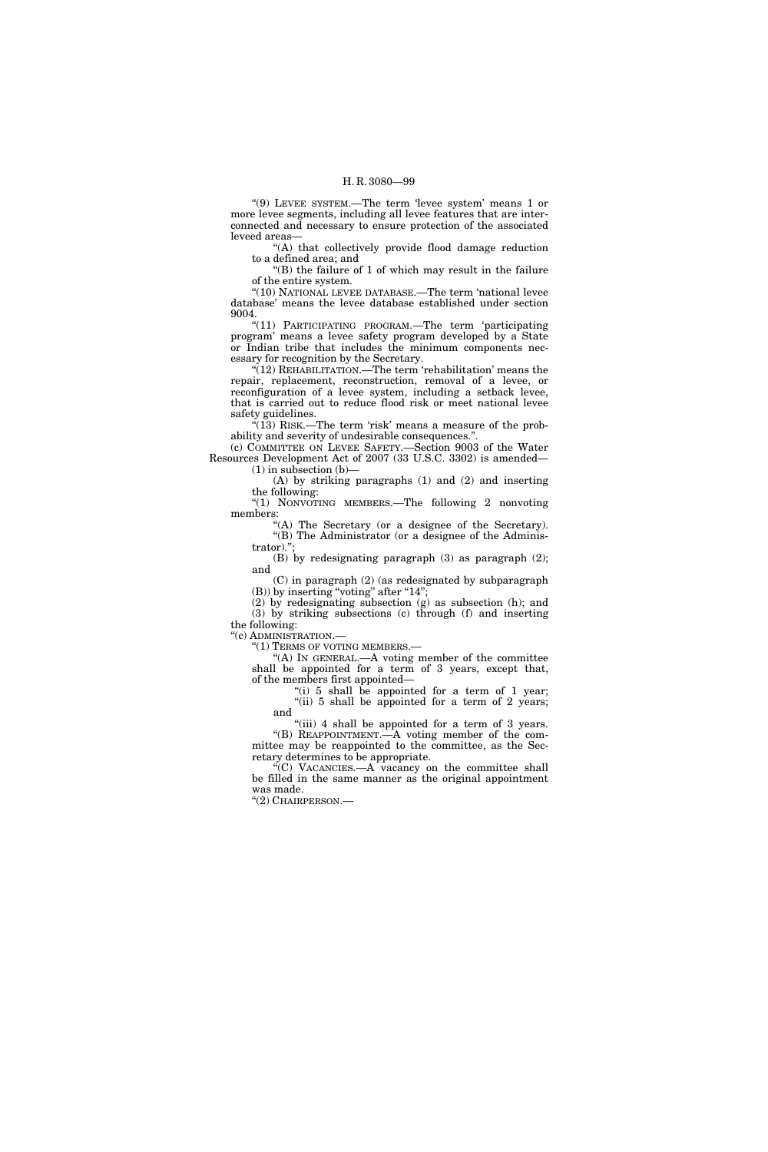''(9) LEVEE SYSTEM.—The term 'levee system' means 1 or more levee segments, including all levee features that are interconnected and necessary to ensure protection of the associated leveed areas—

''(A) that collectively provide flood damage reduction to a defined area; and

 $'(B)$  the failure of 1 of which may result in the failure of the entire system.

 $\mbox{``(10)}$  NATIONAL LEVEE DATABASE.—The term 'national levee database' means the levee database established under section 9004.

''(11) PARTICIPATING PROGRAM.—The term 'participating program' means a levee safety program developed by a State or Indian tribe that includes the minimum components necessary for recognition by the Secretary.

"(12) REHABILITATION.—The term 'rehabilitation' means the repair, replacement, reconstruction, removal of a levee, or reconfiguration of a levee system, including a setback levee, that is carried out to reduce flood risk or meet national levee safety guidelines.

 $\cdot$ (13) RISK.—The term 'risk' means a measure of the probability and severity of undesirable consequences.''.

(c) COMMITTEE ON LEVEE SAFETY.—Section 9003 of the Water Resources Development Act of 2007 (33 U.S.C. 3302) is amended—  $(1)$  in subsection  $(b)$ –

(A) by striking paragraphs (1) and (2) and inserting the following:

''(1) NONVOTING MEMBERS.—The following 2 nonvoting members:

"(A) The Secretary (or a designee of the Secretary). "(B) The Administrator (or a designee of the Administrator).'';

(B) by redesignating paragraph (3) as paragraph (2); and

(C) in paragraph (2) (as redesignated by subparagraph  $(B)$ ) by inserting "voting" after "14";

(2) by redesignating subsection (g) as subsection (h); and (3) by striking subsections (c) through (f) and inserting the following:

''(c) ADMINISTRATION.—

''(1) TERMS OF VOTING MEMBERS.—

 $(A)$  In GENERAL.—A voting member of the committee shall be appointed for a term of 3 years, except that, of the members first appointed—

"(i) 5 shall be appointed for a term of 1 year;  $(iii)$  5 shall be appointed for a term of 2 years; and

 $^{\circ}$ (iii) 4 shall be appointed for a term of 3 years. ''(B) REAPPOINTMENT.—A voting member of the committee may be reappointed to the committee, as the Sec-

retary determines to be appropriate. ''(C) VACANCIES.—A vacancy on the committee shall be filled in the same manner as the original appointment was made.

''(2) CHAIRPERSON.—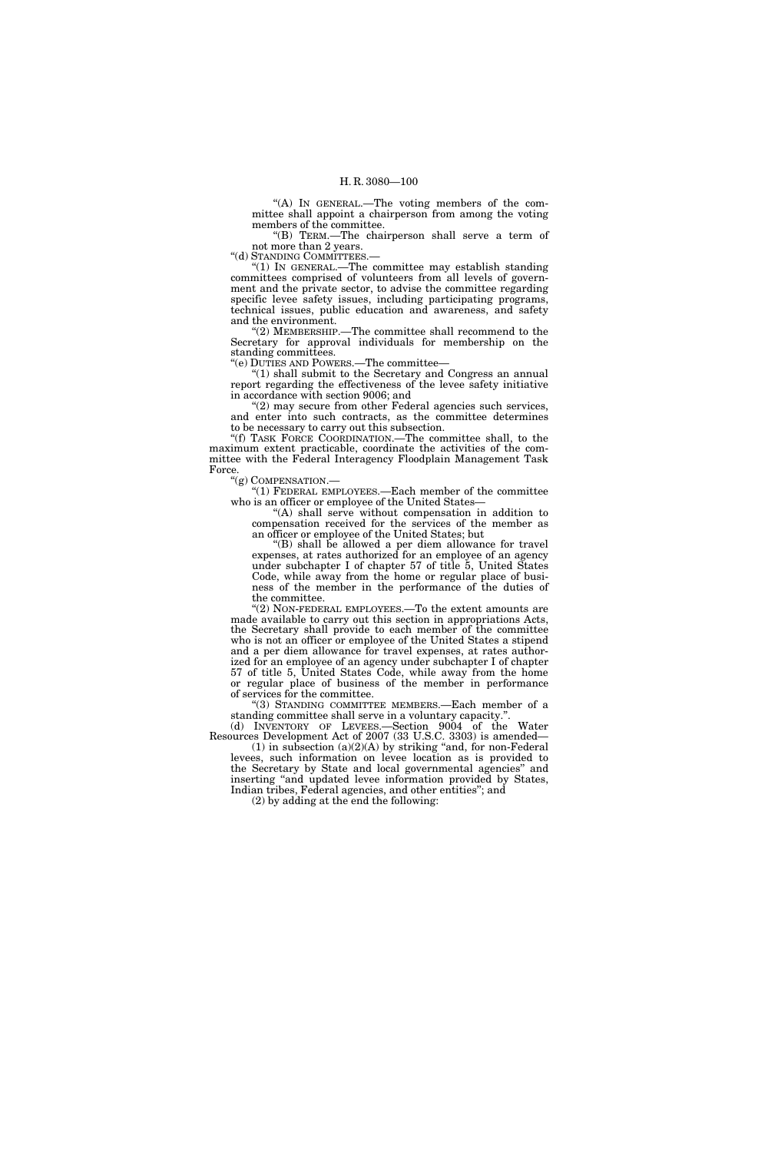"(A) IN GENERAL.—The voting members of the committee shall appoint a chairperson from among the voting members of the committee.

''(B) TERM.—The chairperson shall serve a term of not more than 2 years.

"(d) STANDING COMMITTEES.-

''(1) IN GENERAL.—The committee may establish standing committees comprised of volunteers from all levels of government and the private sector, to advise the committee regarding specific levee safety issues, including participating programs, technical issues, public education and awareness, and safety and the environment.

''(2) MEMBERSHIP.—The committee shall recommend to the Secretary for approval individuals for membership on the standing committees.

''(e) DUTIES AND POWERS.—The committee—

''(1) shall submit to the Secretary and Congress an annual report regarding the effectiveness of the levee safety initiative in accordance with section 9006; and

"(2) may secure from other Federal agencies such services, and enter into such contracts, as the committee determines to be necessary to carry out this subsection.

''(f) TASK FORCE COORDINATION.—The committee shall, to the maximum extent practicable, coordinate the activities of the committee with the Federal Interagency Floodplain Management Task Force.<br>"(g) COMPENSATION.—

" $(1)$  FEDERAL EMPLOYEES.—Each member of the committee who is an officer or employee of the United States—

 $(A)$  shall serve without compensation in addition to compensation received for the services of the member as an officer or employee of the United States; but

''(B) shall be allowed a per diem allowance for travel expenses, at rates authorized for an employee of an agency under subchapter I of chapter 57 of title 5, United States Code, while away from the home or regular place of business of the member in the performance of the duties of the committee.

" $(2)$  NON-FEDERAL EMPLOYEES.—To the extent amounts are made available to carry out this section in appropriations Acts, the Secretary shall provide to each member of the committee who is not an officer or employee of the United States a stipend and a per diem allowance for travel expenses, at rates authorized for an employee of an agency under subchapter I of chapter 57 of title 5, United States Code, while away from the home or regular place of business of the member in performance of services for the committee.

''(3) STANDING COMMITTEE MEMBERS.—Each member of a standing committee shall serve in a voluntary capacity.''.

(d) INVENTORY OF LEVEES.—Section 9004 of the Water Resources Development Act of 2007 (33 U.S.C. 3303) is amended—

(1) in subsection  $(a)(2)(A)$  by striking "and, for non-Federal levees, such information on levee location as is provided to the Secretary by State and local governmental agencies'' and inserting "and updated levee information provided by States, Indian tribes, Federal agencies, and other entities''; and

(2) by adding at the end the following: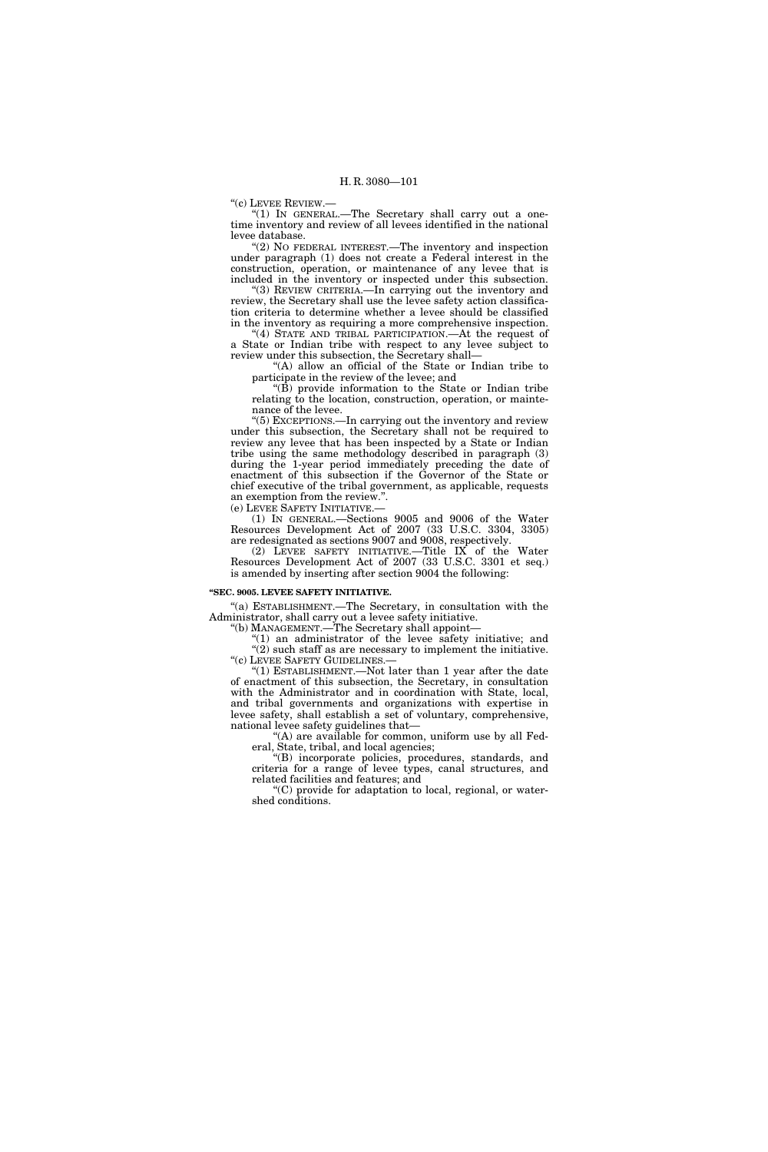''(c) LEVEE REVIEW.—

"(1) IN GENERAL.—The Secretary shall carry out a onetime inventory and review of all levees identified in the national levee database.

"(2) NO FEDERAL INTEREST.—The inventory and inspection under paragraph (1) does not create a Federal interest in the construction, operation, or maintenance of any levee that is included in the inventory or inspected under this subsection.

''(3) REVIEW CRITERIA.—In carrying out the inventory and review, the Secretary shall use the levee safety action classification criteria to determine whether a levee should be classified in the inventory as requiring a more comprehensive inspection.

"(4) STATE AND TRIBAL PARTICIPATION.—At the request of a State or Indian tribe with respect to any levee subject to review under this subsection, the Secretary shall—

''(A) allow an official of the State or Indian tribe to participate in the review of the levee; and

" $(B)$  provide information to the State or Indian tribe relating to the location, construction, operation, or maintenance of the levee.

''(5) EXCEPTIONS.—In carrying out the inventory and review under this subsection, the Secretary shall not be required to review any levee that has been inspected by a State or Indian tribe using the same methodology described in paragraph (3) during the 1-year period immediately preceding the date of enactment of this subsection if the Governor of the State or chief executive of the tribal government, as applicable, requests an exemption from the review.''.

(e) LEVEE SAFETY INITIATIVE.—

(1) IN GENERAL.—Sections 9005 and 9006 of the Water Resources Development Act of 2007 (33 U.S.C. 3304, 3305) are redesignated as sections 9007 and 9008, respectively.

(2) LEVEE SAFETY INITIATIVE.—Title IX of the Water Resources Development Act of 2007 (33 U.S.C. 3301 et seq.) is amended by inserting after section 9004 the following:

# **''SEC. 9005. LEVEE SAFETY INITIATIVE.**

''(a) ESTABLISHMENT.—The Secretary, in consultation with the Administrator, shall carry out a levee safety initiative.

''(b) MANAGEMENT.—The Secretary shall appoint—

 $(1)$  an administrator of the levee safety initiative; and  $(2)$  such staff as are necessary to implement the initiative. ''(c) LEVEE SAFETY GUIDELINES.—

 $(1)$  ESTABLISHMENT.—Not later than 1 year after the date of enactment of this subsection, the Secretary, in consultation with the Administrator and in coordination with State, local, and tribal governments and organizations with expertise in levee safety, shall establish a set of voluntary, comprehensive, national levee safety guidelines that—

 $f(A)$  are available for common, uniform use by all Federal, State, tribal, and local agencies;

''(B) incorporate policies, procedures, standards, and criteria for a range of levee types, canal structures, and related facilities and features; and

''(C) provide for adaptation to local, regional, or watershed conditions.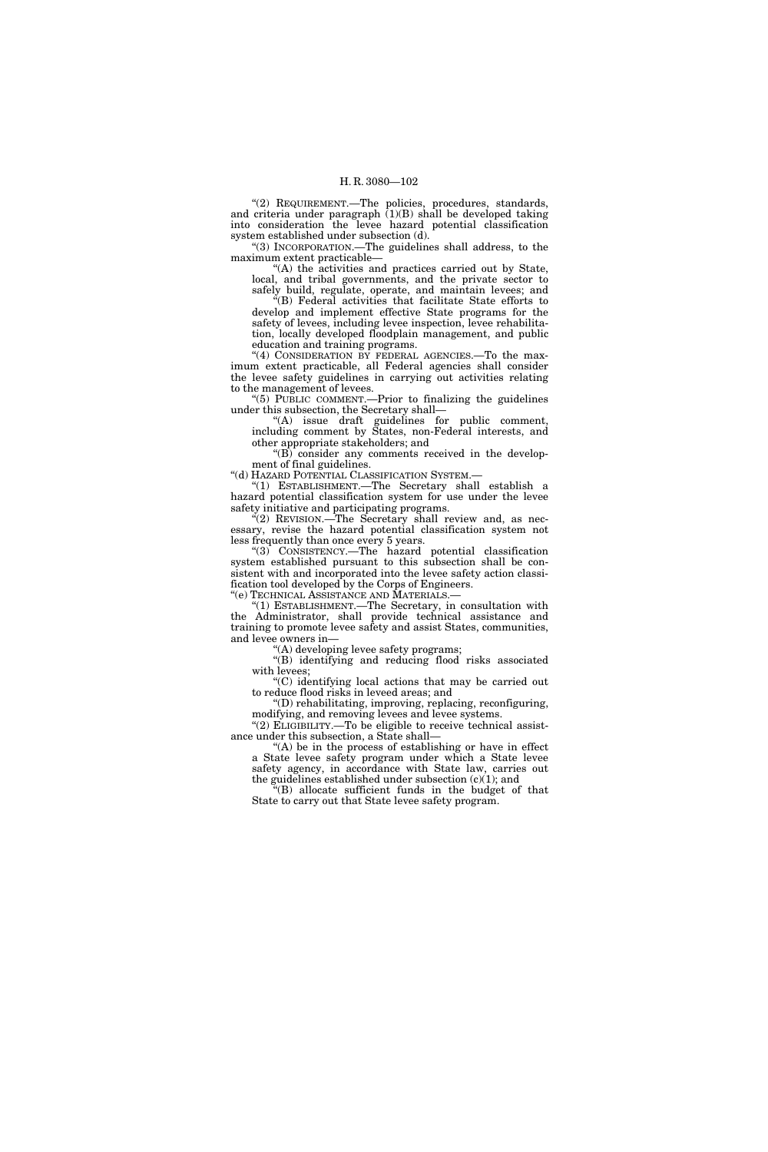"(2) REQUIREMENT.-The policies, procedures, standards, and criteria under paragraph  $(1)(B)$  shall be developed taking into consideration the levee hazard potential classification system established under subsection (d).

''(3) INCORPORATION.—The guidelines shall address, to the maximum extent practicable—

''(A) the activities and practices carried out by State, local, and tribal governments, and the private sector to safely build, regulate, operate, and maintain levees; and

''(B) Federal activities that facilitate State efforts to develop and implement effective State programs for the safety of levees, including levee inspection, levee rehabilitation, locally developed floodplain management, and public education and training programs.

"(4) CONSIDERATION BY FEDERAL AGENCIES.—To the maximum extent practicable, all Federal agencies shall consider the levee safety guidelines in carrying out activities relating to the management of levees.

''(5) PUBLIC COMMENT.—Prior to finalizing the guidelines under this subsection, the Secretary shall—

''(A) issue draft guidelines for public comment, including comment by States, non-Federal interests, and other appropriate stakeholders; and

 $E(E)$  consider any comments received in the development of final guidelines.

''(d) HAZARD POTENTIAL CLASSIFICATION SYSTEM.—

''(1) ESTABLISHMENT.—The Secretary shall establish a hazard potential classification system for use under the levee safety initiative and participating programs.

 $\mathcal{F}(2)$  REVISION.—The Secretary shall review and, as necessary, revise the hazard potential classification system not less frequently than once every 5 years.

''(3) CONSISTENCY.—The hazard potential classification system established pursuant to this subsection shall be consistent with and incorporated into the levee safety action classification tool developed by the Corps of Engineers.

''(e) TECHNICAL ASSISTANCE AND MATERIALS.—

(1) ESTABLISHMENT.—The Secretary, in consultation with the Administrator, shall provide technical assistance and training to promote levee safety and assist States, communities, and levee owners in—

''(A) developing levee safety programs;

"(B) identifying and reducing flood risks associated with levees;

''(C) identifying local actions that may be carried out to reduce flood risks in leveed areas; and

''(D) rehabilitating, improving, replacing, reconfiguring, modifying, and removing levees and levee systems.

"(2) ELIGIBILITY.—To be eligible to receive technical assistance under this subsection, a State shall—

"(A) be in the process of establishing or have in effect a State levee safety program under which a State levee safety agency, in accordance with State law, carries out the guidelines established under subsection  $(c)(1)$ ; and

''(B) allocate sufficient funds in the budget of that State to carry out that State levee safety program.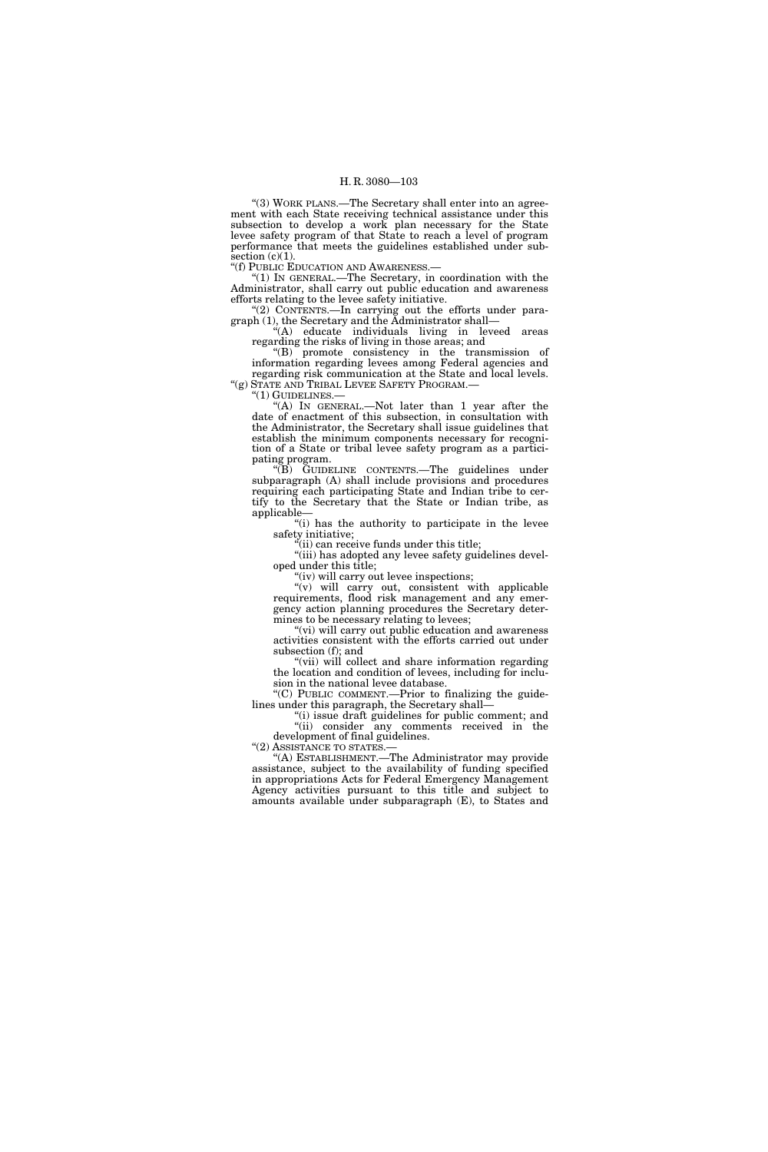''(3) WORK PLANS.—The Secretary shall enter into an agreement with each State receiving technical assistance under this subsection to develop a work plan necessary for the State levee safety program of that State to reach a level of program performance that meets the guidelines established under subsection  $(c)(1)$ .

''(f) PUBLIC EDUCATION AND AWARENESS.—

''(1) IN GENERAL.—The Secretary, in coordination with the Administrator, shall carry out public education and awareness efforts relating to the levee safety initiative.

"(2) CONTENTS.—In carrying out the efforts under paragraph (1), the Secretary and the Administrator shall—

''(A) educate individuals living in leveed areas regarding the risks of living in those areas; and

''(B) promote consistency in the transmission of information regarding levees among Federal agencies and regarding risk communication at the State and local levels. ''(g) STATE AND TRIBAL LEVEE SAFETY PROGRAM.—

"(1) GUIDELINES.

''(A) IN GENERAL.—Not later than 1 year after the date of enactment of this subsection, in consultation with the Administrator, the Secretary shall issue guidelines that establish the minimum components necessary for recognition of a State or tribal levee safety program as a participating program.

''(B) GUIDELINE CONTENTS.—The guidelines under subparagraph (A) shall include provisions and procedures requiring each participating State and Indian tribe to certify to the Secretary that the State or Indian tribe, as applicable—

"(i) has the authority to participate in the levee safety initiative;

 $\epsilon$ <sup>i</sup>(ii) can receive funds under this title;

"(iii) has adopted any levee safety guidelines developed under this title;

"(iv) will carry out levee inspections;

 $(v)$  will carry out, consistent with applicable requirements, flood risk management and any emergency action planning procedures the Secretary determines to be necessary relating to levees;

"(vi) will carry out public education and awareness activities consistent with the efforts carried out under subsection (f); and

"(vii) will collect and share information regarding the location and condition of levees, including for inclusion in the national levee database.

"(C) PUBLIC COMMENT.—Prior to finalizing the guidelines under this paragraph, the Secretary shall—

''(i) issue draft guidelines for public comment; and ''(ii) consider any comments received in the development of final guidelines.<br>"(2) ASSISTANCE TO STATES.

"(A) ESTABLISHMENT.—The Administrator may provide assistance, subject to the availability of funding specified in appropriations Acts for Federal Emergency Management Agency activities pursuant to this title and subject to amounts available under subparagraph (E), to States and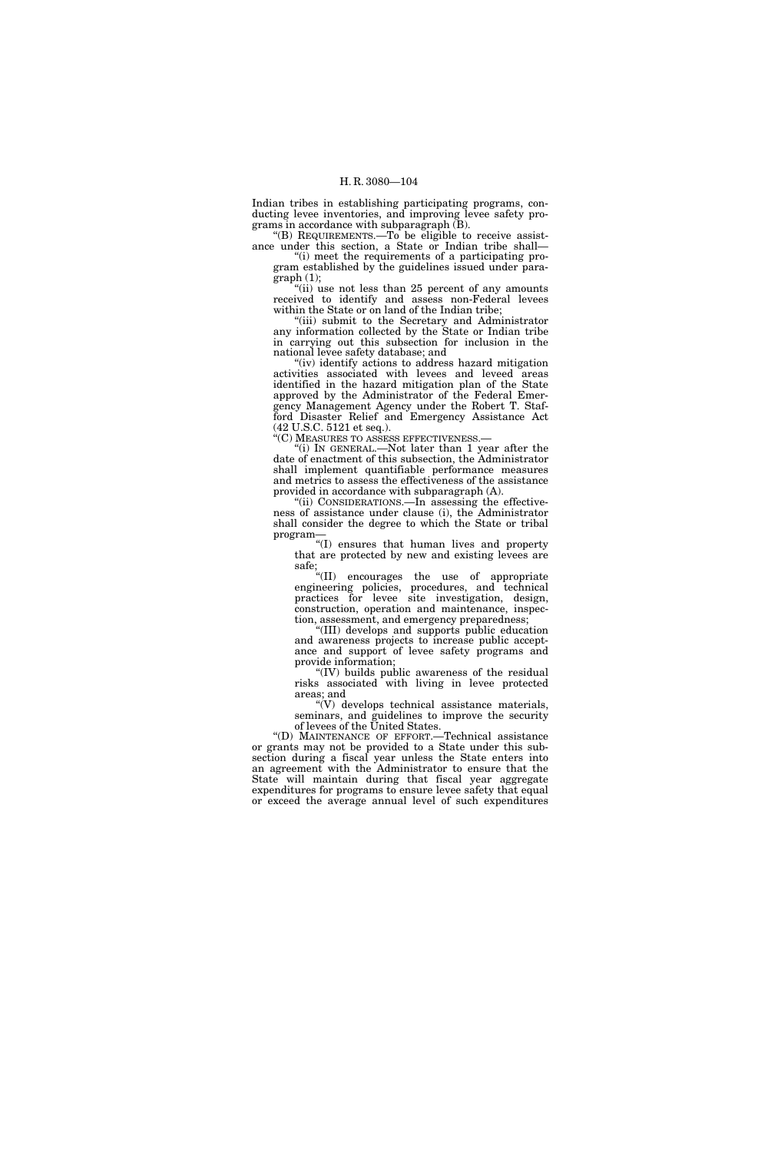Indian tribes in establishing participating programs, conducting levee inventories, and improving levee safety programs in accordance with subparagraph  $(B)$ .

''(B) REQUIREMENTS.—To be eligible to receive assistance under this section, a State or Indian tribe shall— ''(i) meet the requirements of a participating pro-

gram established by the guidelines issued under para $graph (1);$ 

"(ii) use not less than 25 percent of any amounts received to identify and assess non-Federal levees within the State or on land of the Indian tribe;

"(iii) submit to the Secretary and Administrator any information collected by the State or Indian tribe in carrying out this subsection for inclusion in the national levee safety database; and

''(iv) identify actions to address hazard mitigation activities associated with levees and leveed areas identified in the hazard mitigation plan of the State approved by the Administrator of the Federal Emergency Management Agency under the Robert T. Stafford Disaster Relief and Emergency Assistance Act (42 U.S.C. 5121 et seq.).

''(C) MEASURES TO ASSESS EFFECTIVENESS.—

''(i) IN GENERAL.—Not later than 1 year after the date of enactment of this subsection, the Administrator shall implement quantifiable performance measures and metrics to assess the effectiveness of the assistance provided in accordance with subparagraph (A).

''(ii) CONSIDERATIONS.—In assessing the effectiveness of assistance under clause (i), the Administrator shall consider the degree to which the State or tribal program—

''(I) ensures that human lives and property that are protected by new and existing levees are safe;

''(II) encourages the use of appropriate engineering policies, procedures, and technical practices for levee site investigation, design, construction, operation and maintenance, inspection, assessment, and emergency preparedness;

''(III) develops and supports public education and awareness projects to increase public acceptance and support of levee safety programs and provide information;

''(IV) builds public awareness of the residual risks associated with living in levee protected areas; and

''(V) develops technical assistance materials, seminars, and guidelines to improve the security of levees of the United States.

''(D) MAINTENANCE OF EFFORT.—Technical assistance or grants may not be provided to a State under this subsection during a fiscal year unless the State enters into an agreement with the Administrator to ensure that the State will maintain during that fiscal year aggregate expenditures for programs to ensure levee safety that equal or exceed the average annual level of such expenditures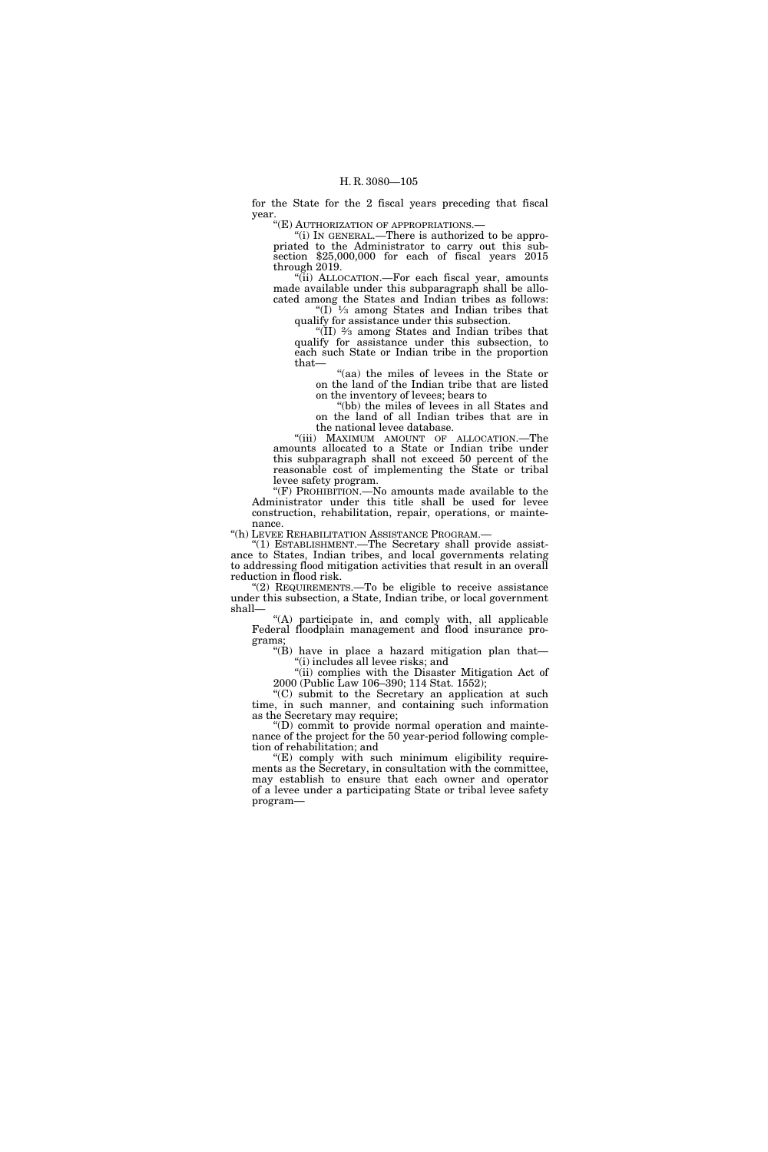for the State for the 2 fiscal years preceding that fiscal year.

''(E) AUTHORIZATION OF APPROPRIATIONS.—

''(i) IN GENERAL.—There is authorized to be appropriated to the Administrator to carry out this subsection \$25,000,000 for each of fiscal years 2015 through 2019.

''(ii) ALLOCATION.—For each fiscal year, amounts made available under this subparagraph shall be allocated among the States and Indian tribes as follows: " $(I)$ <sup> $1/3$ </sup> among States and Indian tribes that

qualify for assistance under this subsection. ''(II) 2⁄3 among States and Indian tribes that

qualify for assistance under this subsection, to each such State or Indian tribe in the proportion that—

''(aa) the miles of levees in the State or on the land of the Indian tribe that are listed on the inventory of levees; bears to

"(bb) the miles of levees in all States and on the land of all Indian tribes that are in the national levee database.

"(iii) MAXIMUM AMOUNT OF ALLOCATION.—The amounts allocated to a State or Indian tribe under this subparagraph shall not exceed 50 percent of the reasonable cost of implementing the State or tribal levee safety program.

''(F) PROHIBITION.—No amounts made available to the Administrator under this title shall be used for levee construction, rehabilitation, repair, operations, or maintenance.

''(h) LEVEE REHABILITATION ASSISTANCE PROGRAM.—

''(1) ESTABLISHMENT.—The Secretary shall provide assistance to States, Indian tribes, and local governments relating to addressing flood mitigation activities that result in an overall reduction in flood risk.

"(2) REQUIREMENTS.—To be eligible to receive assistance under this subsection, a State, Indian tribe, or local government shall—

''(A) participate in, and comply with, all applicable Federal floodplain management and flood insurance programs;

''(B) have in place a hazard mitigation plan that— ''(i) includes all levee risks; and

"(ii) complies with the Disaster Mitigation Act of 2000 (Public Law 106–390; 114 Stat. 1552);

''(C) submit to the Secretary an application at such time, in such manner, and containing such information as the Secretary may require;

''(D) commit to provide normal operation and maintenance of the project for the 50 year-period following completion of rehabilitation; and

 $E$ ) comply with such minimum eligibility requirements as the Secretary, in consultation with the committee, may establish to ensure that each owner and operator of a levee under a participating State or tribal levee safety program—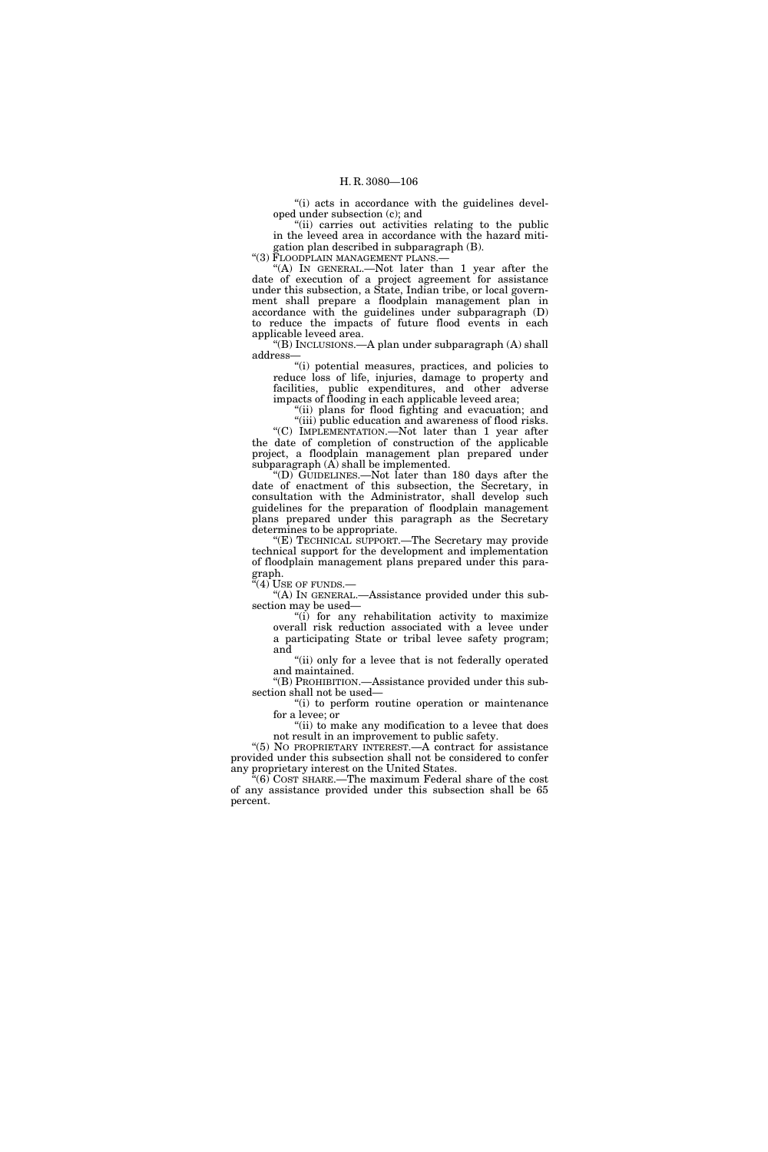"(i) acts in accordance with the guidelines developed under subsection (c); and

''(ii) carries out activities relating to the public in the leveed area in accordance with the hazard mitigation plan described in subparagraph (B).

"(3) FLOODPLAIN MANAGEMENT PLANS.-

"(A) IN GENERAL.—Not later than 1 year after the date of execution of a project agreement for assistance under this subsection, a State, Indian tribe, or local government shall prepare a floodplain management plan in accordance with the guidelines under subparagraph (D) to reduce the impacts of future flood events in each applicable leveed area.

''(B) INCLUSIONS.—A plan under subparagraph (A) shall address—

''(i) potential measures, practices, and policies to reduce loss of life, injuries, damage to property and facilities, public expenditures, and other adverse impacts of flooding in each applicable leveed area;

"(ii) plans for flood fighting and evacuation; and

"(iii) public education and awareness of flood risks. "(C) IMPLEMENTATION.—Not later than 1 year after the date of completion of construction of the applicable project, a floodplain management plan prepared under subparagraph  $(A)$  shall be implemented.

''(D) GUIDELINES.—Not later than 180 days after the date of enactment of this subsection, the Secretary, in consultation with the Administrator, shall develop such guidelines for the preparation of floodplain management plans prepared under this paragraph as the Secretary determines to be appropriate.

''(E) TECHNICAL SUPPORT.—The Secretary may provide technical support for the development and implementation of floodplain management plans prepared under this paragraph.

 $'(4)$  Use of funds.—

''(A) IN GENERAL.—Assistance provided under this subsection may be used—

''(i) for any rehabilitation activity to maximize overall risk reduction associated with a levee under a participating State or tribal levee safety program; and

"(ii) only for a levee that is not federally operated and maintained.

''(B) PROHIBITION.—Assistance provided under this subsection shall not be used—

''(i) to perform routine operation or maintenance for a levee; or

''(ii) to make any modification to a levee that does not result in an improvement to public safety.

''(5) NO PROPRIETARY INTEREST.—A contract for assistance provided under this subsection shall not be considered to confer any proprietary interest on the United States.

 $\sqrt[4]{6}$  COST SHARE.—The maximum Federal share of the cost of any assistance provided under this subsection shall be 65 percent.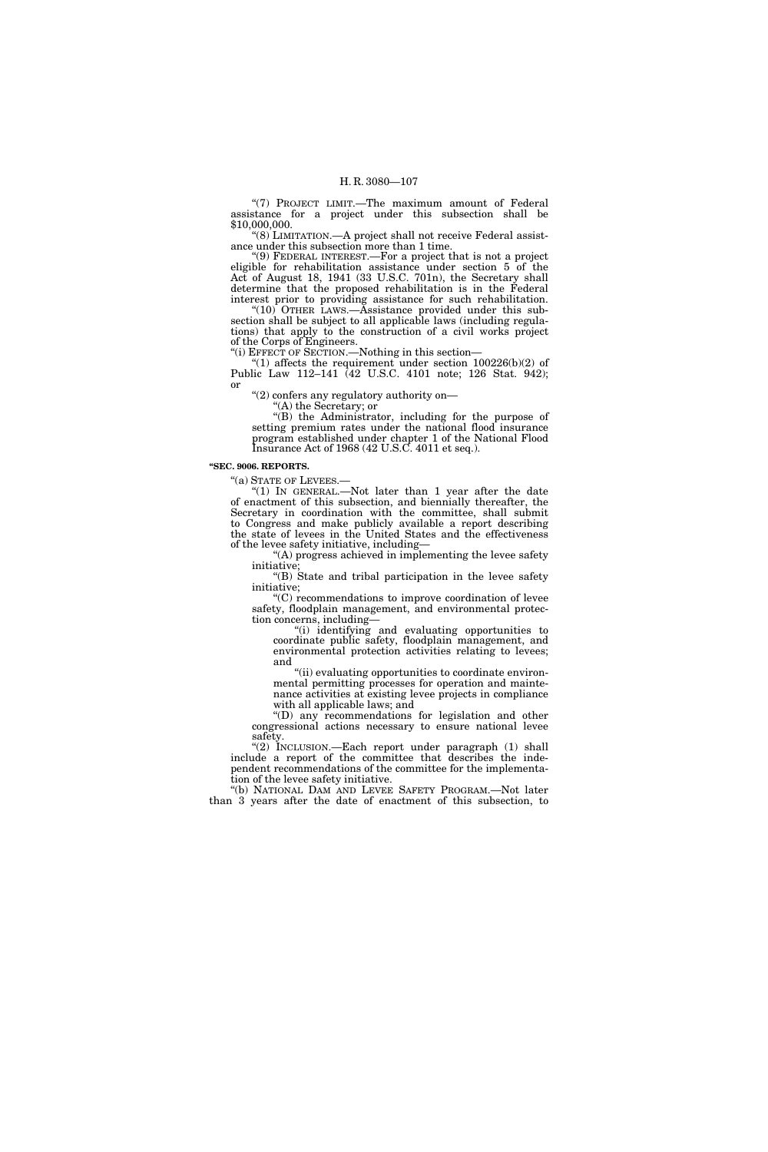"(7) PROJECT LIMIT.-The maximum amount of Federal assistance for a project under this subsection shall be \$10,000,000.

''(8) LIMITATION.—A project shall not receive Federal assistance under this subsection more than 1 time.

''(9) FEDERAL INTEREST.—For a project that is not a project eligible for rehabilitation assistance under section 5 of the Act of August 18, 1941 (33 U.S.C. 701n), the Secretary shall determine that the proposed rehabilitation is in the Federal interest prior to providing assistance for such rehabilitation. " $(10)$  OTHER LAWS.—Assistance provided under this sub-

section shall be subject to all applicable laws (including regulations) that apply to the construction of a civil works project of the Corps of Engineers. ''(i) EFFECT OF SECTION.—Nothing in this section—

"(1) affects the requirement under section  $100226(b)(2)$  of

Public Law 112–141 (42 U.S.C. 4101 note; 126 Stat. 942); or

"(2) confers any regulatory authority on—

''(A) the Secretary; or

''(B) the Administrator, including for the purpose of setting premium rates under the national flood insurance program established under chapter 1 of the National Flood Insurance Act of 1968 (42 U.S.C. 4011 et seq.).

#### **''SEC. 9006. REPORTS.**

''(a) STATE OF LEVEES.— ''(1) IN GENERAL.—Not later than 1 year after the date of enactment of this subsection, and biennially thereafter, the Secretary in coordination with the committee, shall submit to Congress and make publicly available a report describing the state of levees in the United States and the effectiveness of the levee safety initiative, including—

''(A) progress achieved in implementing the levee safety initiative;

''(B) State and tribal participation in the levee safety initiative;

''(C) recommendations to improve coordination of levee safety, floodplain management, and environmental protection concerns, including—

''(i) identifying and evaluating opportunities to coordinate public safety, floodplain management, and environmental protection activities relating to levees; and

''(ii) evaluating opportunities to coordinate environmental permitting processes for operation and maintenance activities at existing levee projects in compliance with all applicable laws; and

''(D) any recommendations for legislation and other congressional actions necessary to ensure national levee safety.

''(2) INCLUSION.—Each report under paragraph (1) shall include a report of the committee that describes the independent recommendations of the committee for the implementation of the levee safety initiative.

''(b) NATIONAL DAM AND LEVEE SAFETY PROGRAM.—Not later than 3 years after the date of enactment of this subsection, to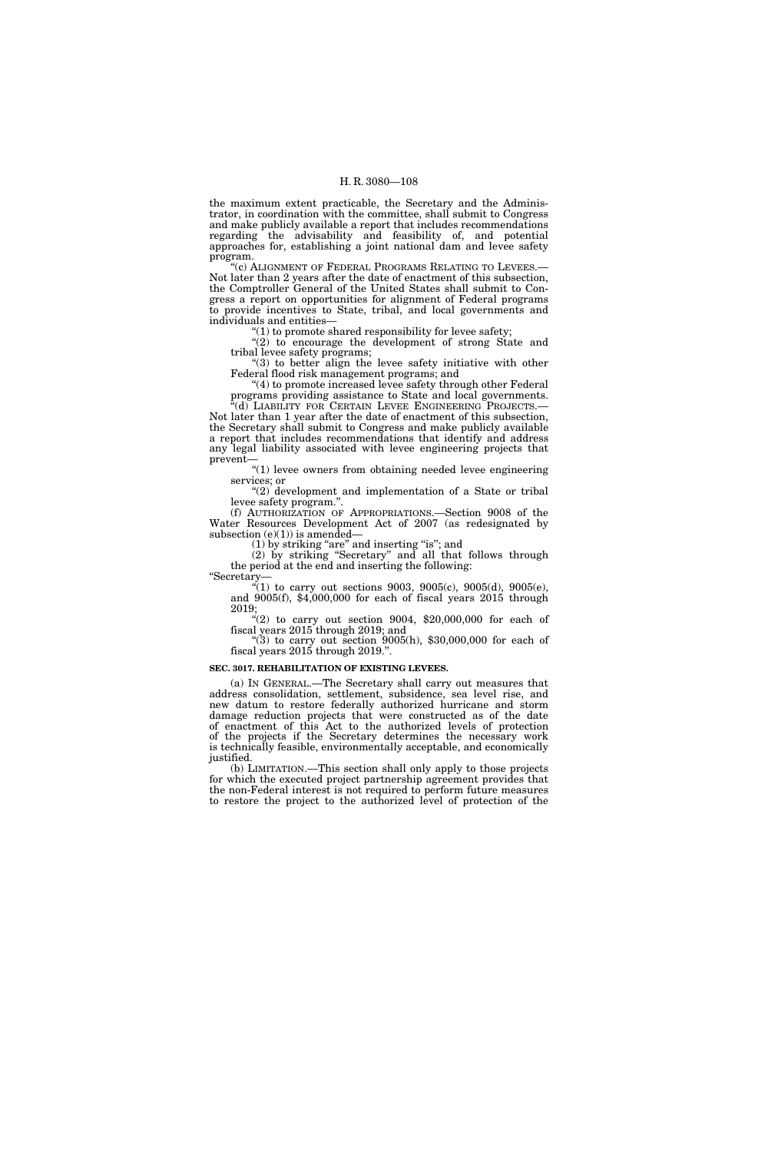the maximum extent practicable, the Secretary and the Administrator, in coordination with the committee, shall submit to Congress and make publicly available a report that includes recommendations regarding the advisability and feasibility of, and potential approaches for, establishing a joint national dam and levee safety program.

''(c) ALIGNMENT OF FEDERAL PROGRAMS RELATING TO LEVEES.— Not later than 2 years after the date of enactment of this subsection, the Comptroller General of the United States shall submit to Congress a report on opportunities for alignment of Federal programs to provide incentives to State, tribal, and local governments and individuals and entities—

''(1) to promote shared responsibility for levee safety;

"(2) to encourage the development of strong State and tribal levee safety programs;

''(3) to better align the levee safety initiative with other Federal flood risk management programs; and

''(4) to promote increased levee safety through other Federal programs providing assistance to State and local governments. (d) LIABILITY FOR CERTAIN LEVEE ENGINEERING PROJECTS.—

Not later than 1 year after the date of enactment of this subsection, the Secretary shall submit to Congress and make publicly available a report that includes recommendations that identify and address any legal liability associated with levee engineering projects that prevent—

 $"(1)$  levee owners from obtaining needed levee engineering services; or

" $(2)$  development and implementation of a State or tribal levee safety program."

(f) AUTHORIZATION OF APPROPRIATIONS.—Section 9008 of the Water Resources Development Act of 2007 (as redesignated by subsection  $(e)(1)$ ) is amended—

(1) by striking "are" and inserting "is"; and

(2) by striking ''Secretary'' and all that follows through the period at the end and inserting the following: ''Secretary—

''(1) to carry out sections 9003, 9005(c), 9005(d), 9005(e), and 9005(f), \$4,000,000 for each of fiscal years 2015 through 2019;

 $\frac{1}{2}$ (2) to carry out section 9004, \$20,000,000 for each of fiscal years 2015 through 2019; and

"(3) to carry out section  $9005(h)$ , \$30,000,000 for each of fiscal years 2015 through 2019.''.

# **SEC. 3017. REHABILITATION OF EXISTING LEVEES.**

(a) IN GENERAL.—The Secretary shall carry out measures that address consolidation, settlement, subsidence, sea level rise, and new datum to restore federally authorized hurricane and storm damage reduction projects that were constructed as of the date of enactment of this Act to the authorized levels of protection of the projects if the Secretary determines the necessary work is technically feasible, environmentally acceptable, and economically justified.

(b) LIMITATION.—This section shall only apply to those projects for which the executed project partnership agreement provides that the non-Federal interest is not required to perform future measures to restore the project to the authorized level of protection of the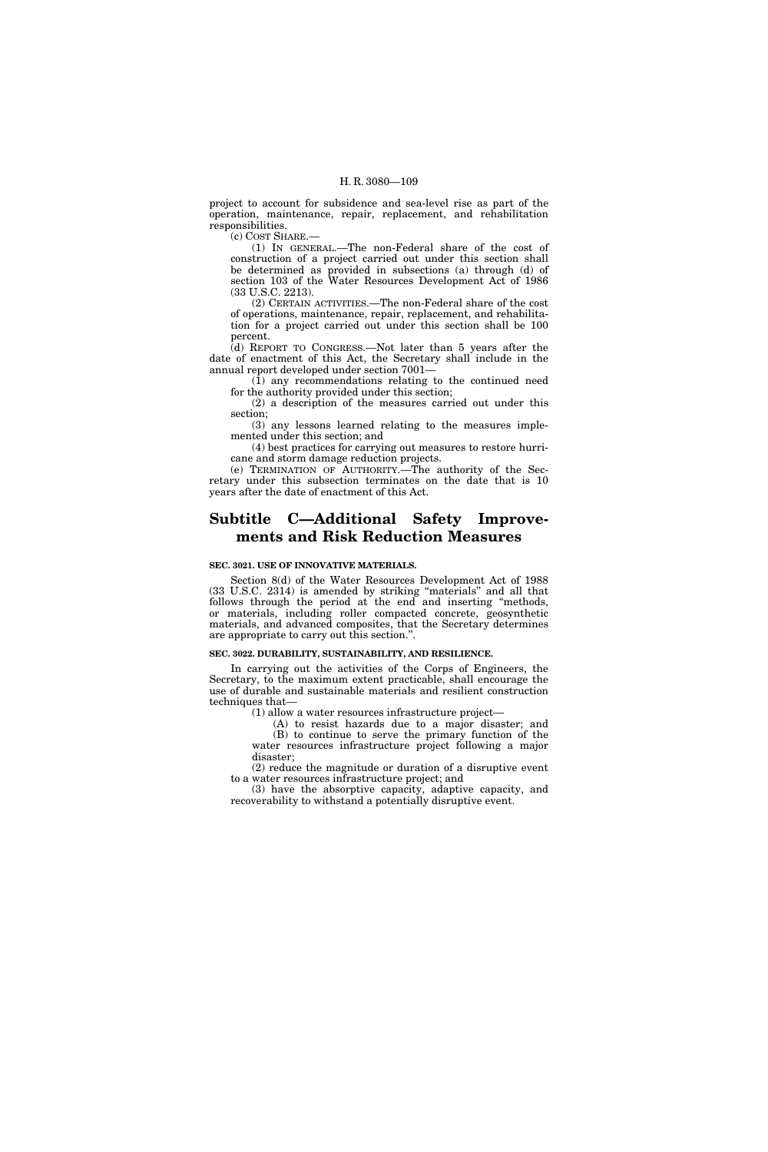project to account for subsidence and sea-level rise as part of the operation, maintenance, repair, replacement, and rehabilitation responsibilities.

(c) COST SHARE.—

(1) IN GENERAL.—The non-Federal share of the cost of construction of a project carried out under this section shall be determined as provided in subsections (a) through (d) of section 103 of the Water Resources Development Act of 1986 (33 U.S.C. 2213).

(2) CERTAIN ACTIVITIES.—The non-Federal share of the cost of operations, maintenance, repair, replacement, and rehabilitation for a project carried out under this section shall be 100 percent.

(d) REPORT TO CONGRESS.—Not later than 5 years after the date of enactment of this Act, the Secretary shall include in the annual report developed under section 7001—

(1) any recommendations relating to the continued need for the authority provided under this section;

(2) a description of the measures carried out under this section;

(3) any lessons learned relating to the measures implemented under this section; and

(4) best practices for carrying out measures to restore hurricane and storm damage reduction projects.

(e) TERMINATION OF AUTHORITY.—The authority of the Secretary under this subsection terminates on the date that is 10 years after the date of enactment of this Act.

# **Subtitle C—Additional Safety Improvements and Risk Reduction Measures**

#### **SEC. 3021. USE OF INNOVATIVE MATERIALS.**

Section 8(d) of the Water Resources Development Act of 1988 (33 U.S.C. 2314) is amended by striking ''materials'' and all that follows through the period at the end and inserting "methods, or materials, including roller compacted concrete, geosynthetic materials, and advanced composites, that the Secretary determines are appropriate to carry out this section.''.

## **SEC. 3022. DURABILITY, SUSTAINABILITY, AND RESILIENCE.**

In carrying out the activities of the Corps of Engineers, the Secretary, to the maximum extent practicable, shall encourage the use of durable and sustainable materials and resilient construction techniques that—

(1) allow a water resources infrastructure project—

(A) to resist hazards due to a major disaster; and (B) to continue to serve the primary function of the water resources infrastructure project following a major disaster;

(2) reduce the magnitude or duration of a disruptive event to a water resources infrastructure project; and

(3) have the absorptive capacity, adaptive capacity, and recoverability to withstand a potentially disruptive event.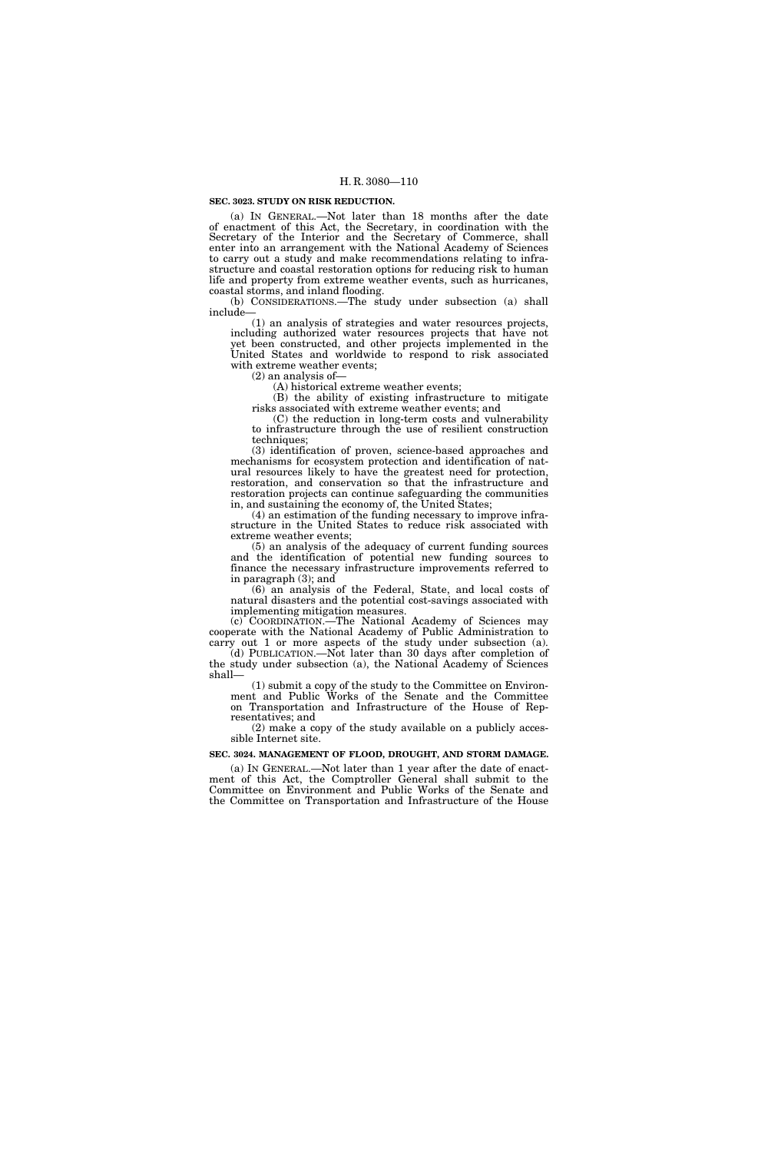## **SEC. 3023. STUDY ON RISK REDUCTION.**

(a) IN GENERAL.—Not later than 18 months after the date of enactment of this Act, the Secretary, in coordination with the Secretary of the Interior and the Secretary of Commerce, shall enter into an arrangement with the National Academy of Sciences to carry out a study and make recommendations relating to infrastructure and coastal restoration options for reducing risk to human life and property from extreme weather events, such as hurricanes, coastal storms, and inland flooding.

(b) CONSIDERATIONS.—The study under subsection (a) shall include—

(1) an analysis of strategies and water resources projects, including authorized water resources projects that have not yet been constructed, and other projects implemented in the United States and worldwide to respond to risk associated with extreme weather events;

(2) an analysis of—

(A) historical extreme weather events;

(B) the ability of existing infrastructure to mitigate risks associated with extreme weather events; and

(C) the reduction in long-term costs and vulnerability to infrastructure through the use of resilient construction techniques;

(3) identification of proven, science-based approaches and mechanisms for ecosystem protection and identification of natural resources likely to have the greatest need for protection, restoration, and conservation so that the infrastructure and restoration projects can continue safeguarding the communities in, and sustaining the economy of, the United States;

(4) an estimation of the funding necessary to improve infrastructure in the United States to reduce risk associated with extreme weather events;

(5) an analysis of the adequacy of current funding sources and the identification of potential new funding sources to finance the necessary infrastructure improvements referred to in paragraph (3); and

(6) an analysis of the Federal, State, and local costs of natural disasters and the potential cost-savings associated with implementing mitigation measures.

(c) COORDINATION.—The National Academy of Sciences may cooperate with the National Academy of Public Administration to carry out 1 or more aspects of the study under subsection (a).

(d) PUBLICATION.—Not later than 30 days after completion of the study under subsection (a), the National Academy of Sciences shall—

(1) submit a copy of the study to the Committee on Environment and Public Works of the Senate and the Committee on Transportation and Infrastructure of the House of Representatives; and

(2) make a copy of the study available on a publicly accessible Internet site.

#### **SEC. 3024. MANAGEMENT OF FLOOD, DROUGHT, AND STORM DAMAGE.**

(a) IN GENERAL.—Not later than 1 year after the date of enactment of this Act, the Comptroller General shall submit to the Committee on Environment and Public Works of the Senate and the Committee on Transportation and Infrastructure of the House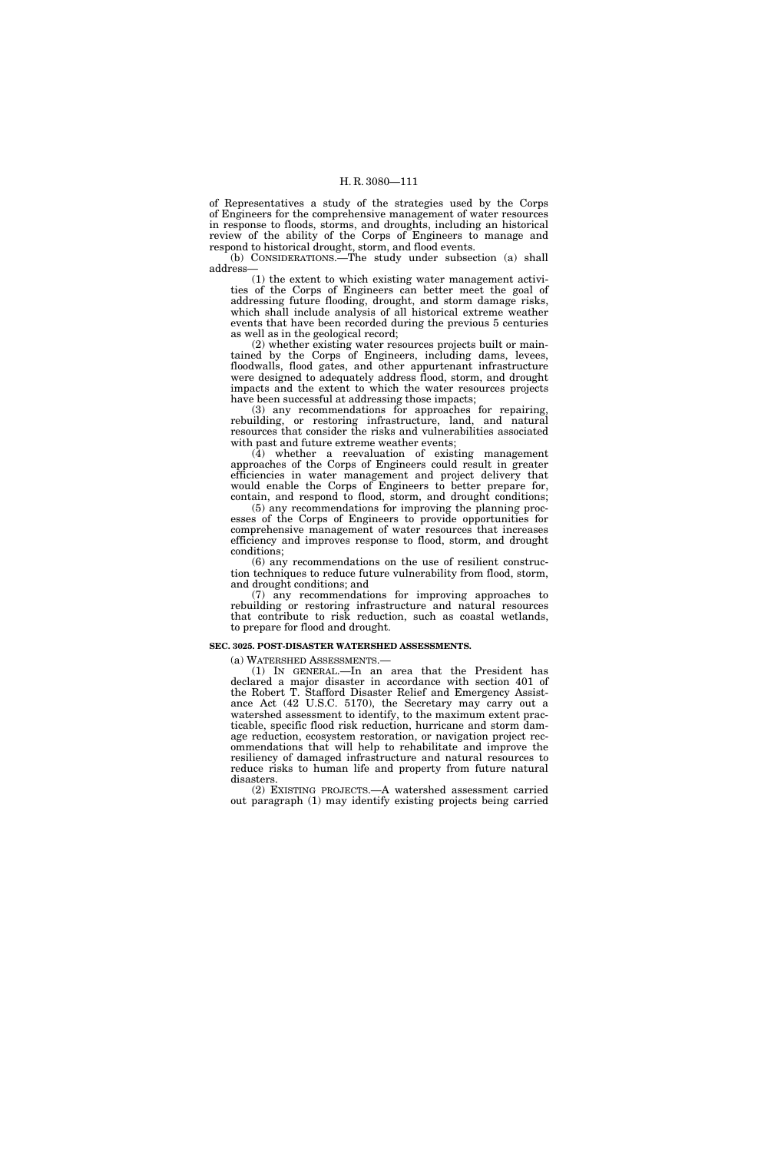of Representatives a study of the strategies used by the Corps of Engineers for the comprehensive management of water resources in response to floods, storms, and droughts, including an historical review of the ability of the Corps of Engineers to manage and respond to historical drought, storm, and flood events.

(b) CONSIDERATIONS.—The study under subsection (a) shall address—

(1) the extent to which existing water management activities of the Corps of Engineers can better meet the goal of addressing future flooding, drought, and storm damage risks, which shall include analysis of all historical extreme weather events that have been recorded during the previous 5 centuries as well as in the geological record;

(2) whether existing water resources projects built or maintained by the Corps of Engineers, including dams, levees, floodwalls, flood gates, and other appurtenant infrastructure were designed to adequately address flood, storm, and drought impacts and the extent to which the water resources projects have been successful at addressing those impacts;

(3) any recommendations for approaches for repairing, rebuilding, or restoring infrastructure, land, and natural resources that consider the risks and vulnerabilities associated with past and future extreme weather events;

(4) whether a reevaluation of existing management approaches of the Corps of Engineers could result in greater efficiencies in water management and project delivery that would enable the Corps of Engineers to better prepare for, contain, and respond to flood, storm, and drought conditions;

(5) any recommendations for improving the planning processes of the Corps of Engineers to provide opportunities for comprehensive management of water resources that increases efficiency and improves response to flood, storm, and drought conditions;

(6) any recommendations on the use of resilient construction techniques to reduce future vulnerability from flood, storm, and drought conditions; and

(7) any recommendations for improving approaches to rebuilding or restoring infrastructure and natural resources that contribute to risk reduction, such as coastal wetlands, to prepare for flood and drought.

#### **SEC. 3025. POST-DISASTER WATERSHED ASSESSMENTS.**

(a) WATERSHED ASSESSMENTS.—

(1) IN GENERAL.—In an area that the President has declared a major disaster in accordance with section 401 of the Robert T. Stafford Disaster Relief and Emergency Assistance Act (42 U.S.C. 5170), the Secretary may carry out a watershed assessment to identify, to the maximum extent practicable, specific flood risk reduction, hurricane and storm damage reduction, ecosystem restoration, or navigation project recommendations that will help to rehabilitate and improve the resiliency of damaged infrastructure and natural resources to reduce risks to human life and property from future natural disasters.

(2) EXISTING PROJECTS.—A watershed assessment carried out paragraph (1) may identify existing projects being carried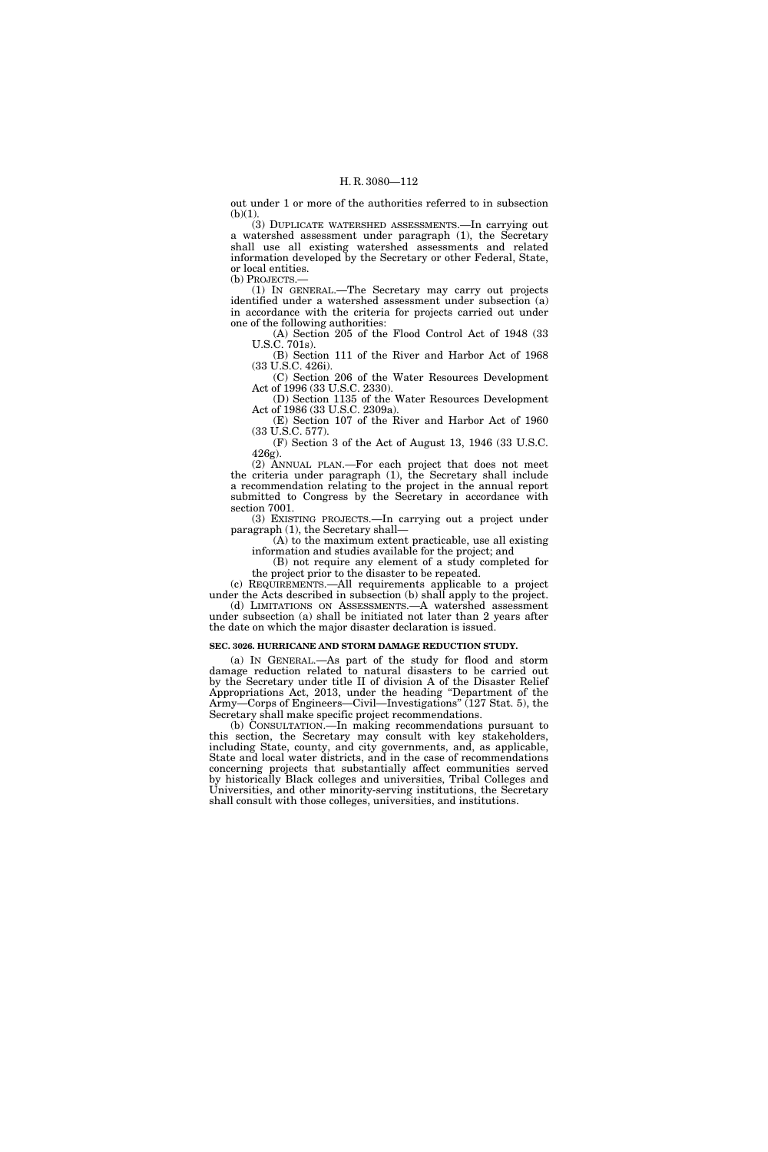out under 1 or more of the authorities referred to in subsection  $(b)(1)$ .

(3) DUPLICATE WATERSHED ASSESSMENTS.—In carrying out a watershed assessment under paragraph (1), the Secretary shall use all existing watershed assessments and related information developed by the Secretary or other Federal, State, or local entities.

(b) PROJECTS.— (1) IN GENERAL.—The Secretary may carry out projects

identified under a watershed assessment under subsection (a) in accordance with the criteria for projects carried out under one of the following authorities:

(A) Section 205 of the Flood Control Act of 1948 (33 U.S.C. 701s).

(B) Section 111 of the River and Harbor Act of 1968 (33 U.S.C. 426i).

(C) Section 206 of the Water Resources Development Act of 1996 (33 U.S.C. 2330).

(D) Section 1135 of the Water Resources Development Act of 1986 (33 U.S.C. 2309a).

(E) Section 107 of the River and Harbor Act of 1960 (33 U.S.C. 577).

(F) Section 3 of the Act of August 13, 1946 (33 U.S.C. 426g).

(2) ANNUAL PLAN.—For each project that does not meet the criteria under paragraph (1), the Secretary shall include a recommendation relating to the project in the annual report submitted to Congress by the Secretary in accordance with section 7001.

(3) EXISTING PROJECTS.—In carrying out a project under paragraph (1), the Secretary shall—

(A) to the maximum extent practicable, use all existing information and studies available for the project; and

(B) not require any element of a study completed for the project prior to the disaster to be repeated.

(c) REQUIREMENTS.—All requirements applicable to a project under the Acts described in subsection (b) shall apply to the project. (d) LIMITATIONS ON ASSESSMENTS.—A watershed assessment

under subsection (a) shall be initiated not later than 2 years after the date on which the major disaster declaration is issued.

#### **SEC. 3026. HURRICANE AND STORM DAMAGE REDUCTION STUDY.**

(a) IN GENERAL.—As part of the study for flood and storm damage reduction related to natural disasters to be carried out by the Secretary under title II of division A of the Disaster Relief Appropriations Act, 2013, under the heading ''Department of the Army—Corps of Engineers—Civil—Investigations'' (127 Stat. 5), the Secretary shall make specific project recommendations.

(b) CONSULTATION.—In making recommendations pursuant to this section, the Secretary may consult with key stakeholders, including State, county, and city governments, and, as applicable, State and local water districts, and in the case of recommendations concerning projects that substantially affect communities served by historically Black colleges and universities, Tribal Colleges and Universities, and other minority-serving institutions, the Secretary shall consult with those colleges, universities, and institutions.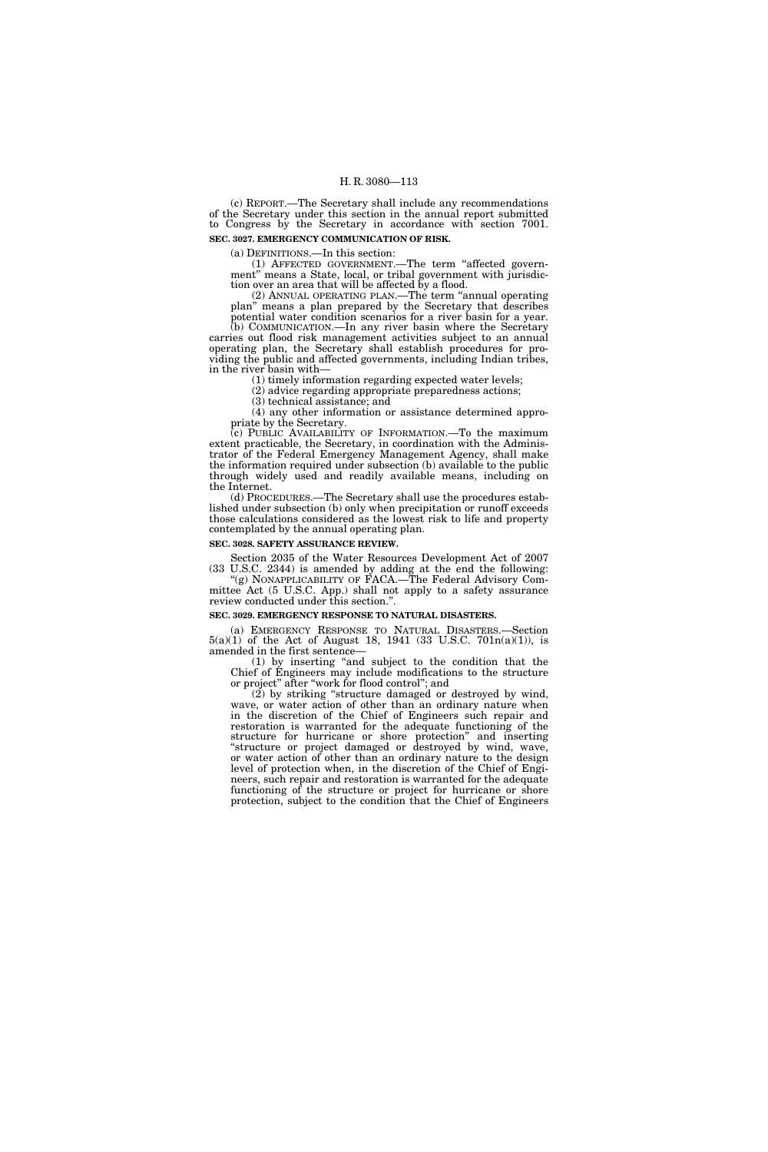(c) REPORT.—The Secretary shall include any recommendations of the Secretary under this section in the annual report submitted to Congress by the Secretary in accordance with section 7001. **SEC. 3027. EMERGENCY COMMUNICATION OF RISK.** 

(a) DEFINITIONS.—In this section:

(1) AFFECTED GOVERNMENT.—The term ''affected government" means a State, local, or tribal government with jurisdiction over an area that will be affected by a flood.

(2) ANNUAL OPERATING PLAN.—The term ''annual operating plan'' means a plan prepared by the Secretary that describes potential water condition scenarios for a river basin for a year. (b) COMMUNICATION.—In any river basin where the Secretary

carries out flood risk management activities subject to an annual operating plan, the Secretary shall establish procedures for providing the public and affected governments, including Indian tribes, in the river basin with—

(1) timely information regarding expected water levels;

(2) advice regarding appropriate preparedness actions;

(3) technical assistance; and

(4) any other information or assistance determined appropriate by the Secretary.

(c) PUBLIC AVAILABILITY OF INFORMATION.—To the maximum extent practicable, the Secretary, in coordination with the Administrator of the Federal Emergency Management Agency, shall make the information required under subsection (b) available to the public through widely used and readily available means, including on the Internet.

(d) PROCEDURES.—The Secretary shall use the procedures established under subsection (b) only when precipitation or runoff exceeds those calculations considered as the lowest risk to life and property contemplated by the annual operating plan.

## **SEC. 3028. SAFETY ASSURANCE REVIEW**

Section 2035 of the Water Resources Development Act of 2007 (33 U.S.C. 2344) is amended by adding at the end the following: ''(g) NONAPPLICABILITY OF FACA.—The Federal Advisory Com-

mittee Act (5 U.S.C. App.) shall not apply to a safety assurance review conducted under this section.''.

## **SEC. 3029. EMERGENCY RESPONSE TO NATURAL DISASTERS.**

(a) EMERGENCY RESPONSE TO NATURAL DISASTERS.—Section 5(a)(1) of the Act of August 18, 1941 (33 U.S.C. 701n(a)(1)), is amended in the first sentence—

(1) by inserting ''and subject to the condition that the Chief of Engineers may include modifications to the structure or project'' after ''work for flood control''; and

(2) by striking ''structure damaged or destroyed by wind, wave, or water action of other than an ordinary nature when in the discretion of the Chief of Engineers such repair and restoration is warranted for the adequate functioning of the structure for hurricane or shore protection'' and inserting ''structure or project damaged or destroyed by wind, wave, or water action of other than an ordinary nature to the design level of protection when, in the discretion of the Chief of Engineers, such repair and restoration is warranted for the adequate functioning of the structure or project for hurricane or shore protection, subject to the condition that the Chief of Engineers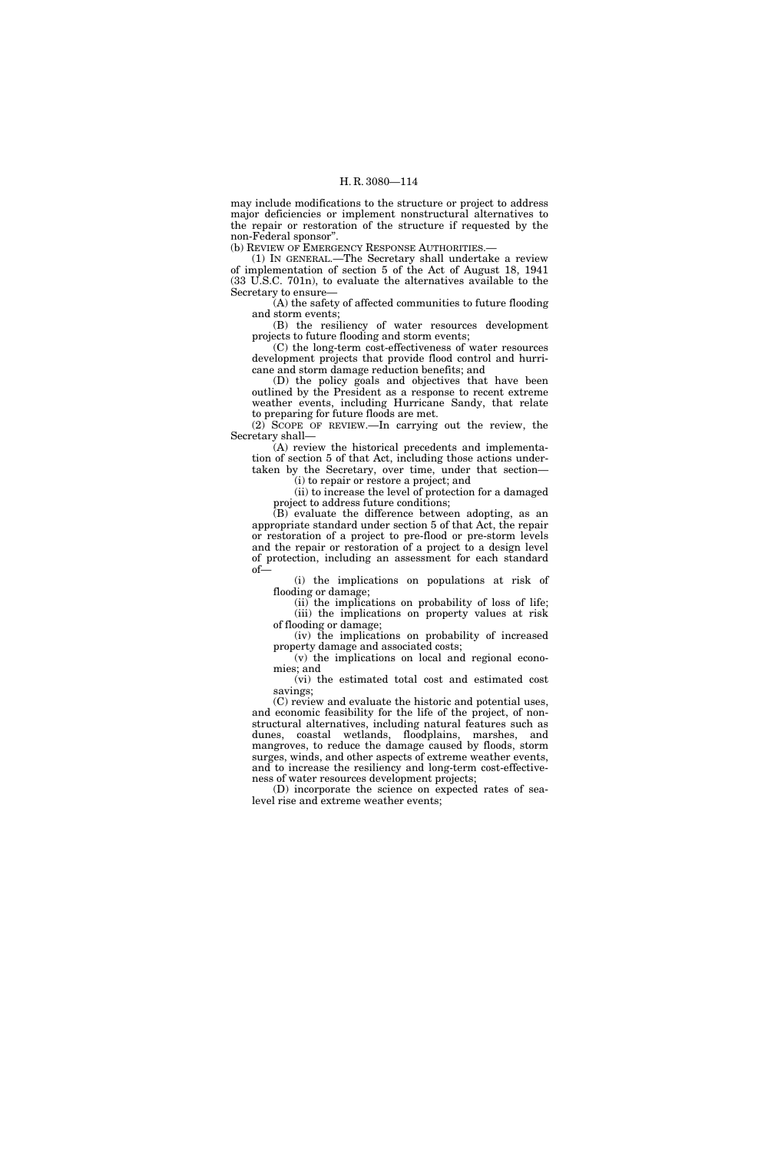may include modifications to the structure or project to address major deficiencies or implement nonstructural alternatives to the repair or restoration of the structure if requested by the non-Federal sponsor''.

(b) REVIEW OF EMERGENCY RESPONSE AUTHORITIES.—

(1) IN GENERAL.—The Secretary shall undertake a review of implementation of section 5 of the Act of August 18, 1941 (33 U.S.C. 701n), to evaluate the alternatives available to the Secretary to ensure—

(A) the safety of affected communities to future flooding and storm events;

(B) the resiliency of water resources development projects to future flooding and storm events;

(C) the long-term cost-effectiveness of water resources development projects that provide flood control and hurricane and storm damage reduction benefits; and

(D) the policy goals and objectives that have been outlined by the President as a response to recent extreme weather events, including Hurricane Sandy, that relate to preparing for future floods are met.

(2) SCOPE OF REVIEW.—In carrying out the review, the Secretary shall—

(A) review the historical precedents and implementation of section 5 of that Act, including those actions undertaken by the Secretary, over time, under that section—

(i) to repair or restore a project; and

(ii) to increase the level of protection for a damaged project to address future conditions;

(B) evaluate the difference between adopting, as an appropriate standard under section 5 of that Act, the repair or restoration of a project to pre-flood or pre-storm levels and the repair or restoration of a project to a design level of protection, including an assessment for each standard of—

(i) the implications on populations at risk of flooding or damage;

(ii) the implications on probability of loss of life; (iii) the implications on property values at risk of flooding or damage;

(iv) the implications on probability of increased property damage and associated costs;

(v) the implications on local and regional economies; and

(vi) the estimated total cost and estimated cost savings;

(C) review and evaluate the historic and potential uses, and economic feasibility for the life of the project, of nonstructural alternatives, including natural features such as dunes, coastal wetlands, floodplains, marshes, and mangroves, to reduce the damage caused by floods, storm surges, winds, and other aspects of extreme weather events, and to increase the resiliency and long-term cost-effectiveness of water resources development projects;

(D) incorporate the science on expected rates of sealevel rise and extreme weather events;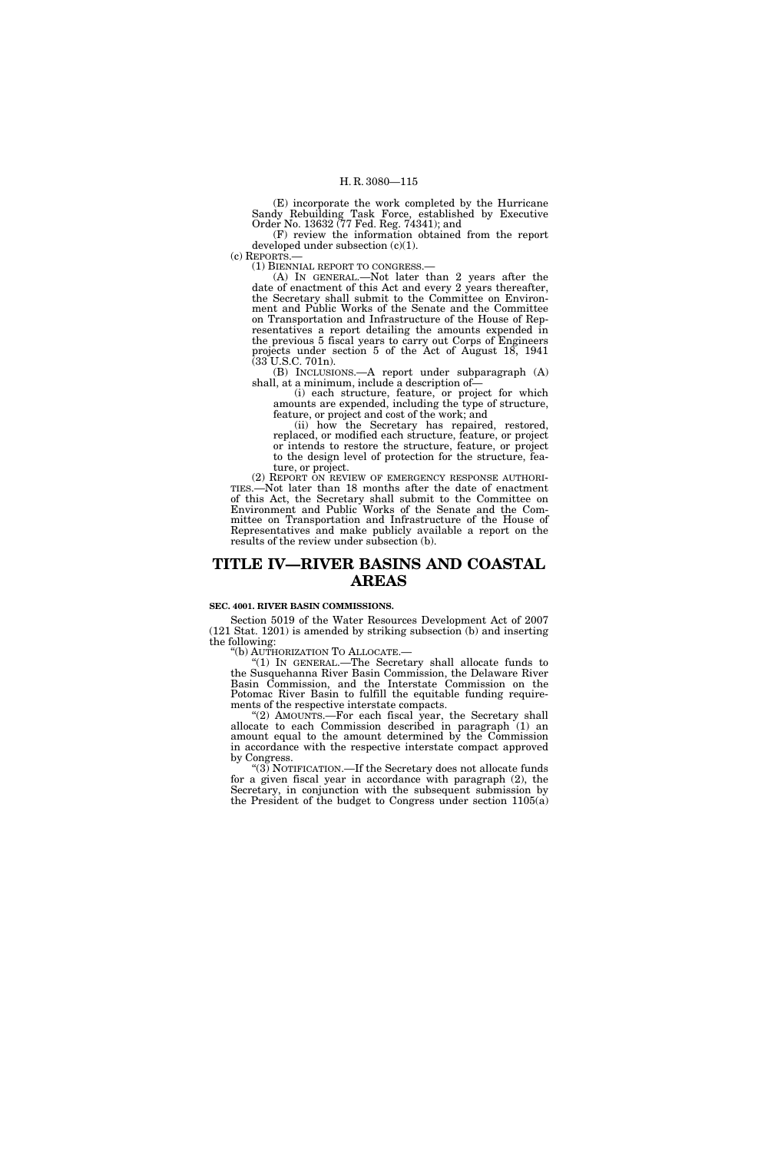(E) incorporate the work completed by the Hurricane Sandy Rebuilding Task Force, established by Executive Order No. 13632 (77 Fed. Reg. 74341); and

(F) review the information obtained from the report developed under subsection  $(c)(1)$ .<br>(c) REPORTS.—

(1) BIENNIAL REPORT TO CONGRESS.—<br>(A) IN GENERAL.—Not later than 2 years after the date of enactment of this Act and every 2 years thereafter, the Secretary shall submit to the Committee on Environment and Public Works of the Senate and the Committee on Transportation and Infrastructure of the House of Representatives a report detailing the amounts expended in the previous 5 fiscal years to carry out Corps of Engineers projects under section 5 of the Act of August 18, 1941  $(33 \text{ U.S.C. } 701 \text{ n}).$ 

(B) INCLUSIONS.—A report under subparagraph (A) shall, at a minimum, include a description of—

(i) each structure, feature, or project for which amounts are expended, including the type of structure, feature, or project and cost of the work; and

(ii) how the Secretary has repaired, restored, replaced, or modified each structure, feature, or project or intends to restore the structure, feature, or project to the design level of protection for the structure, feature, or project.<br>(2) REPORT ON REVIEW OF EMERGENCY RESPONSE AUTHORI-

TIES.—Not later than 18 months after the date of enactment of this Act, the Secretary shall submit to the Committee on Environment and Public Works of the Senate and the Committee on Transportation and Infrastructure of the House of Representatives and make publicly available a report on the results of the review under subsection (b).

## **TITLE IV—RIVER BASINS AND COASTAL AREAS**

## **SEC. 4001. RIVER BASIN COMMISSIONS.**

Section 5019 of the Water Resources Development Act of 2007 (121 Stat. 1201) is amended by striking subsection (b) and inserting the following:<br>"(b) AUTHORIZATION TO ALLOCATE.

"(1) IN GENERAL.—The Secretary shall allocate funds to the Susquehanna River Basin Commission, the Delaware River Basin Commission, and the Interstate Commission on the Potomac River Basin to fulfill the equitable funding requirements of the respective interstate compacts.

''(2) AMOUNTS.—For each fiscal year, the Secretary shall allocate to each Commission described in paragraph (1) an amount equal to the amount determined by the Commission in accordance with the respective interstate compact approved by Congress.

" $(3)$  NOTIFICATION.—If the Secretary does not allocate funds for a given fiscal year in accordance with paragraph (2), the Secretary, in conjunction with the subsequent submission by the President of the budget to Congress under section 1105(a)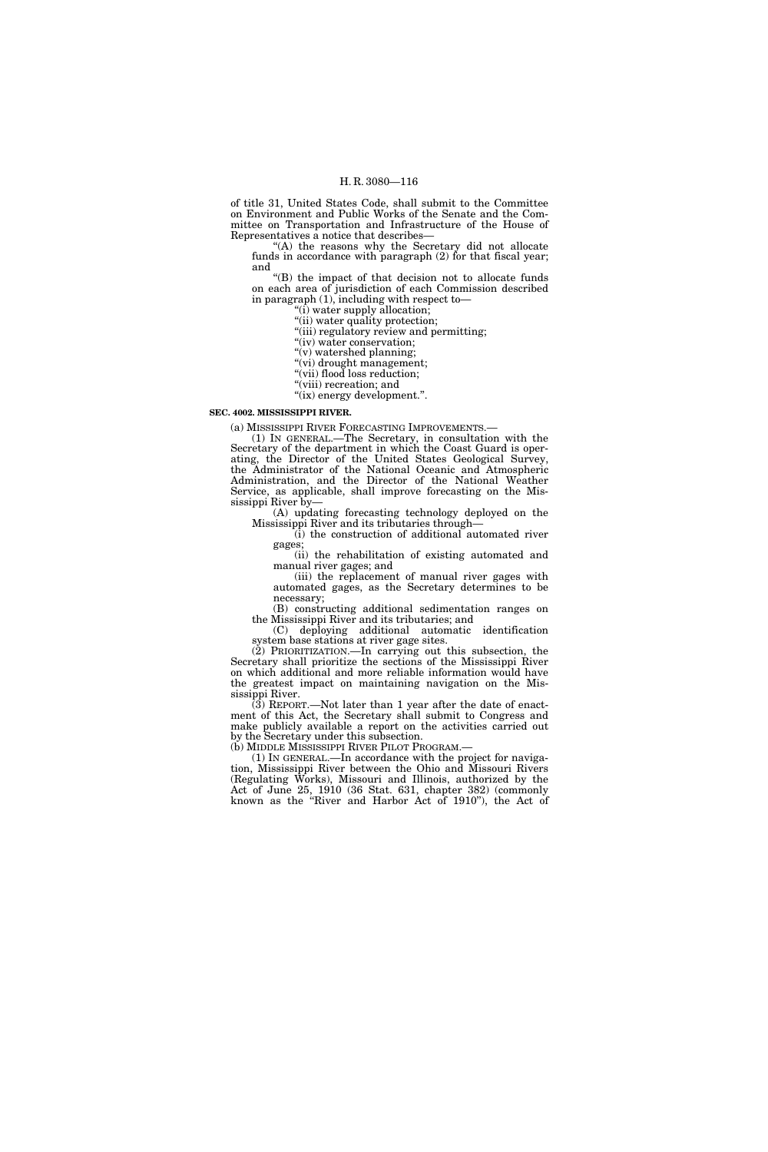of title 31, United States Code, shall submit to the Committee on Environment and Public Works of the Senate and the Committee on Transportation and Infrastructure of the House of Representatives a notice that describes—

"(A) the reasons why the Secretary did not allocate funds in accordance with paragraph  $(2)$  for that fiscal year; and

''(B) the impact of that decision not to allocate funds on each area of jurisdiction of each Commission described in paragraph (1), including with respect to—

''(i) water supply allocation;

''(ii) water quality protection;

''(iii) regulatory review and permitting;

"(iv) water conservation; ''(v) watershed planning;

"(vi) drought management;

"(vii) flood loss reduction;

"(viii) recreation; and

"(ix) energy development.".

#### **SEC. 4002. MISSISSIPPI RIVER.**

(a) MISSISSIPPI RIVER FORECASTING IMPROVEMENTS.—

(1) IN GENERAL.—The Secretary, in consultation with the Secretary of the department in which the Coast Guard is operating, the Director of the United States Geological Survey, the Administrator of the National Oceanic and Atmospheric Administration, and the Director of the National Weather Service, as applicable, shall improve forecasting on the Mississippi River by—

(A) updating forecasting technology deployed on the Mississippi River and its tributaries through—

(i) the construction of additional automated river gages;

(ii) the rehabilitation of existing automated and manual river gages; and

(iii) the replacement of manual river gages with automated gages, as the Secretary determines to be necessary;

(B) constructing additional sedimentation ranges on the Mississippi River and its tributaries; and

(C) deploying additional automatic identification system base stations at river gage sites.

(2) PRIORITIZATION.—In carrying out this subsection, the Secretary shall prioritize the sections of the Mississippi River on which additional and more reliable information would have the greatest impact on maintaining navigation on the Mississippi River.

(3) REPORT.—Not later than 1 year after the date of enactment of this Act, the Secretary shall submit to Congress and make publicly available a report on the activities carried out by the Secretary under this subsection.<br>(b) MIDDLE MISSISSIPPI RIVER PILOT PROGRAM.—

 $(1)$  In GENERAL.—In accordance with the project for navigation, Mississippi River between the Ohio and Missouri Rivers (Regulating Works), Missouri and Illinois, authorized by the Act of June 25, 1910 (36 Stat. 631, chapter 382) (commonly known as the ''River and Harbor Act of 1910''), the Act of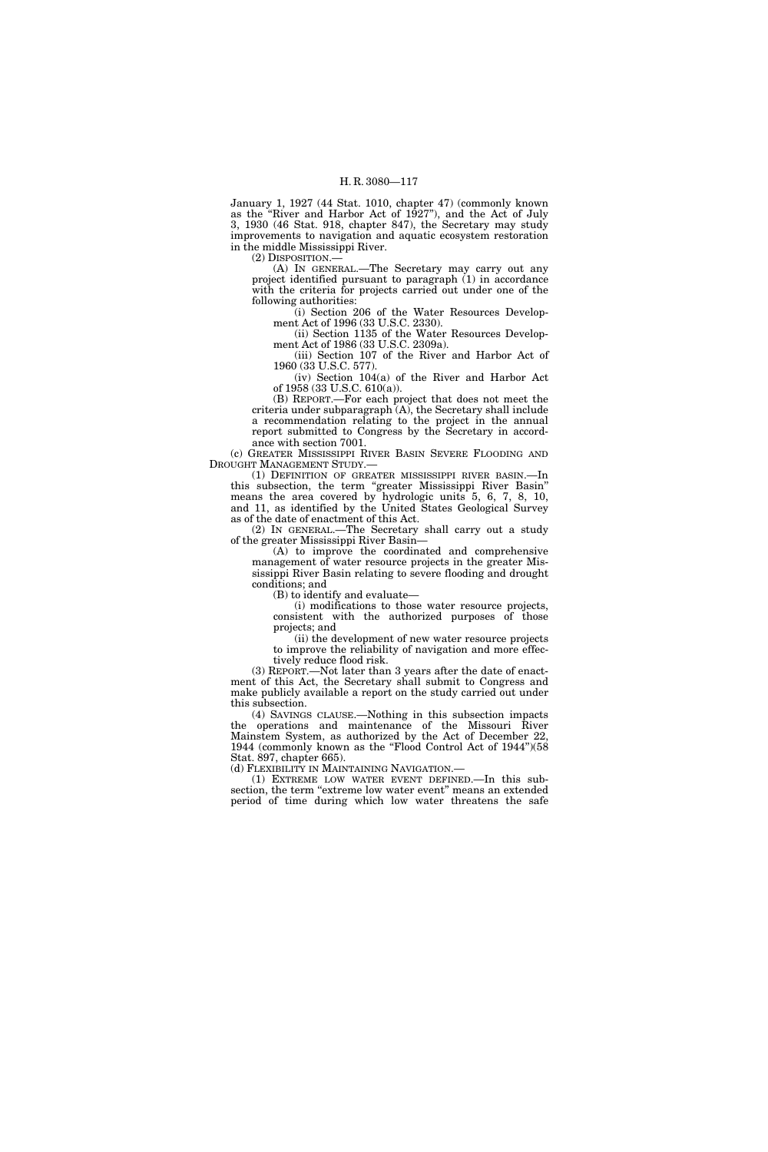January 1, 1927 (44 Stat. 1010, chapter 47) (commonly known as the ''River and Harbor Act of 1927''), and the Act of July 3, 1930 (46 Stat. 918, chapter 847), the Secretary may study improvements to navigation and aquatic ecosystem restoration in the middle Mississippi River.

(2) DISPOSITION.—

(A) IN GENERAL.—The Secretary may carry out any project identified pursuant to paragraph (1) in accordance with the criteria for projects carried out under one of the following authorities:

(i) Section 206 of the Water Resources Development Act of 1996 (33 U.S.C. 2330).

(ii) Section 1135 of the Water Resources Development Act of 1986 (33 U.S.C. 2309a).

(iii) Section 107 of the River and Harbor Act of 1960 (33 U.S.C. 577).

(iv) Section 104(a) of the River and Harbor Act of 1958 (33 U.S.C. 610(a)).

(B) REPORT.—For each project that does not meet the criteria under subparagraph (A), the Secretary shall include a recommendation relating to the project in the annual report submitted to Congress by the Secretary in accordance with section 7001.

(c) GREATER MISSISSIPPI RIVER BASIN SEVERE FLOODING AND DROUGHT MANAGEMENT STUDY.—

(1) DEFINITION OF GREATER MISSISSIPPI RIVER BASIN.—In this subsection, the term ''greater Mississippi River Basin'' means the area covered by hydrologic units 5, 6, 7, 8, 10, and 11, as identified by the United States Geological Survey as of the date of enactment of this Act.

(2) IN GENERAL.—The Secretary shall carry out a study of the greater Mississippi River Basin—

(A) to improve the coordinated and comprehensive management of water resource projects in the greater Mississippi River Basin relating to severe flooding and drought conditions; and

(B) to identify and evaluate—

(i) modifications to those water resource projects, consistent with the authorized purposes of those projects; and

(ii) the development of new water resource projects to improve the reliability of navigation and more effectively reduce flood risk.

(3) REPORT.—Not later than 3 years after the date of enactment of this Act, the Secretary shall submit to Congress and make publicly available a report on the study carried out under this subsection.

(4) SAVINGS CLAUSE.—Nothing in this subsection impacts the operations and maintenance of the Missouri River Mainstem System, as authorized by the Act of December 22, 1944 (commonly known as the "Flood Control Act of 1944")(58 Stat. 897, chapter 665).

(d) FLEXIBILITY IN MAINTAINING NAVIGATION.—

(1) EXTREME LOW WATER EVENT DEFINED.—In this subsection, the term "extreme low water event" means an extended period of time during which low water threatens the safe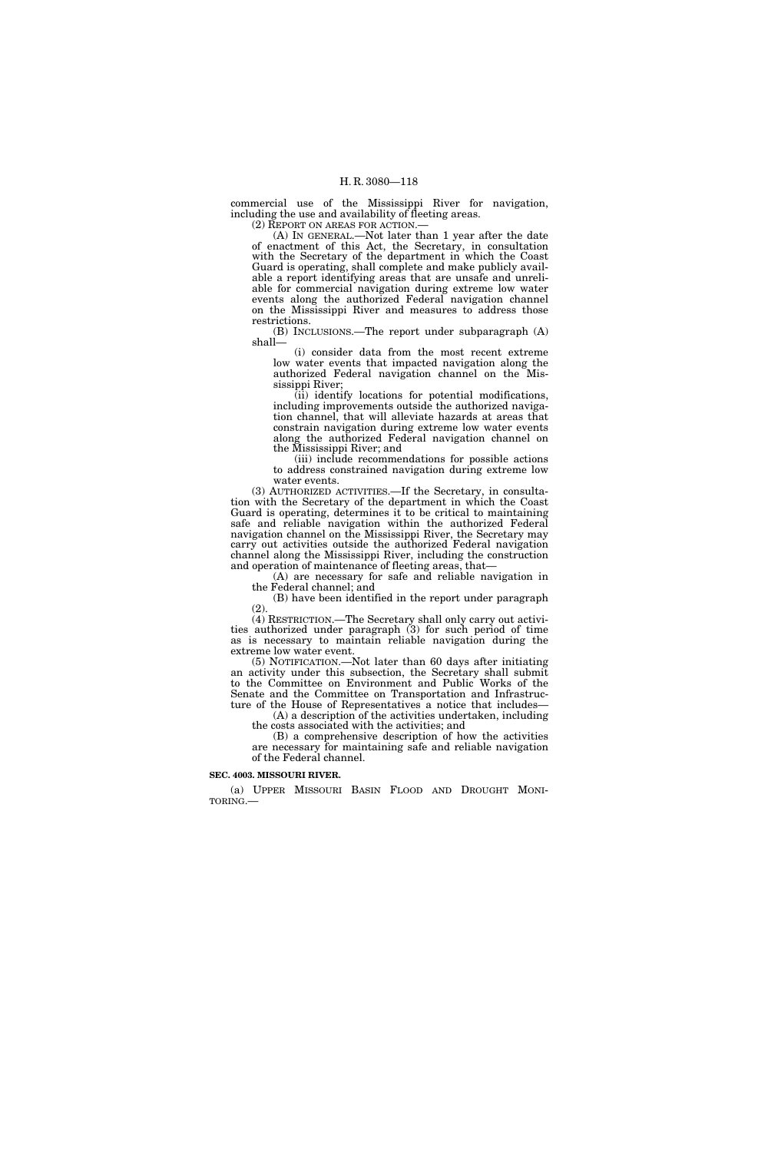commercial use of the Mississippi River for navigation, including the use and availability of fleeting areas.

(2) REPORT ON AREAS FOR ACTION.—

(A) IN GENERAL.—Not later than 1 year after the date of enactment of this Act, the Secretary, in consultation with the Secretary of the department in which the Coast Guard is operating, shall complete and make publicly available a report identifying areas that are unsafe and unreliable for commercial navigation during extreme low water events along the authorized Federal navigation channel on the Mississippi River and measures to address those restrictions.

(B) INCLUSIONS.—The report under subparagraph (A) shall—

(i) consider data from the most recent extreme low water events that impacted navigation along the authorized Federal navigation channel on the Mississippi River;

(ii) identify locations for potential modifications, including improvements outside the authorized navigation channel, that will alleviate hazards at areas that constrain navigation during extreme low water events along the authorized Federal navigation channel on the Mississippi River; and

(iii) include recommendations for possible actions to address constrained navigation during extreme low water events.

(3) AUTHORIZED ACTIVITIES.—If the Secretary, in consultation with the Secretary of the department in which the Coast Guard is operating, determines it to be critical to maintaining safe and reliable navigation within the authorized Federal navigation channel on the Mississippi River, the Secretary may carry out activities outside the authorized Federal navigation channel along the Mississippi River, including the construction and operation of maintenance of fleeting areas, that—

(A) are necessary for safe and reliable navigation in the Federal channel; and

(B) have been identified in the report under paragraph  $(2)$ 

(4) RESTRICTION.—The Secretary shall only carry out activities authorized under paragraph (3) for such period of time as is necessary to maintain reliable navigation during the extreme low water event.

(5) NOTIFICATION.—Not later than 60 days after initiating an activity under this subsection, the Secretary shall submit to the Committee on Environment and Public Works of the Senate and the Committee on Transportation and Infrastructure of the House of Representatives a notice that includes—

(A) a description of the activities undertaken, including the costs associated with the activities; and

(B) a comprehensive description of how the activities are necessary for maintaining safe and reliable navigation of the Federal channel.

#### **SEC. 4003. MISSOURI RIVER.**

(a) UPPER MISSOURI BASIN FLOOD AND DROUGHT MONITORING.—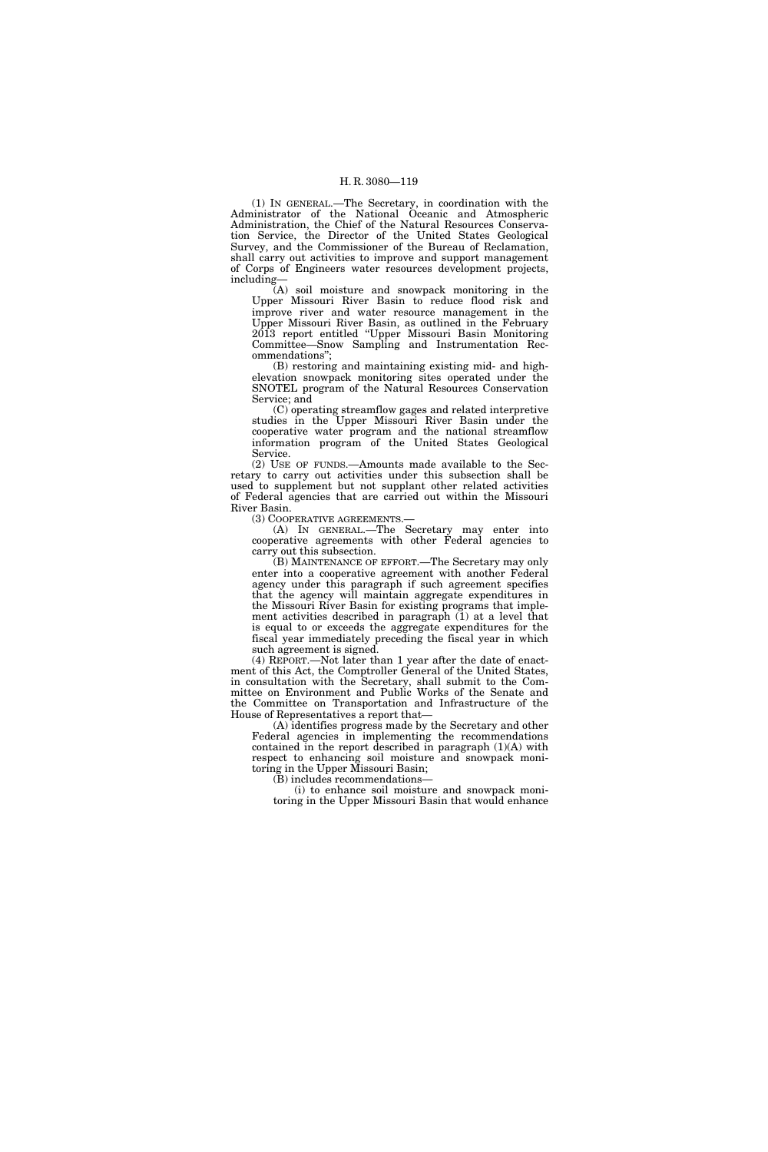(1) IN GENERAL.—The Secretary, in coordination with the Administrator of the National Oceanic and Atmospheric Administration, the Chief of the Natural Resources Conservation Service, the Director of the United States Geological Survey, and the Commissioner of the Bureau of Reclamation, shall carry out activities to improve and support management of Corps of Engineers water resources development projects, including—

(A) soil moisture and snowpack monitoring in the Upper Missouri River Basin to reduce flood risk and improve river and water resource management in the Upper Missouri River Basin, as outlined in the February 2013 report entitled ''Upper Missouri Basin Monitoring Committee—Snow Sampling and Instrumentation Recommendations'';

(B) restoring and maintaining existing mid- and highelevation snowpack monitoring sites operated under the SNOTEL program of the Natural Resources Conservation Service; and

(C) operating streamflow gages and related interpretive studies in the Upper Missouri River Basin under the cooperative water program and the national streamflow information program of the United States Geological Service.

(2) USE OF FUNDS.—Amounts made available to the Secretary to carry out activities under this subsection shall be used to supplement but not supplant other related activities of Federal agencies that are carried out within the Missouri River Basin.

(3) COOPERATIVE AGREEMENTS.—

(A) IN GENERAL.—The Secretary may enter into cooperative agreements with other Federal agencies to carry out this subsection.

(B) MAINTENANCE OF EFFORT.—The Secretary may only enter into a cooperative agreement with another Federal agency under this paragraph if such agreement specifies that the agency will maintain aggregate expenditures in the Missouri River Basin for existing programs that implement activities described in paragraph (1) at a level that is equal to or exceeds the aggregate expenditures for the fiscal year immediately preceding the fiscal year in which such agreement is signed.

(4) REPORT.—Not later than 1 year after the date of enactment of this Act, the Comptroller General of the United States, in consultation with the Secretary, shall submit to the Committee on Environment and Public Works of the Senate and the Committee on Transportation and Infrastructure of the House of Representatives a report that—

(A) identifies progress made by the Secretary and other Federal agencies in implementing the recommendations contained in the report described in paragraph (1)(A) with respect to enhancing soil moisture and snowpack monitoring in the Upper Missouri Basin;

(B) includes recommendations—

(i) to enhance soil moisture and snowpack monitoring in the Upper Missouri Basin that would enhance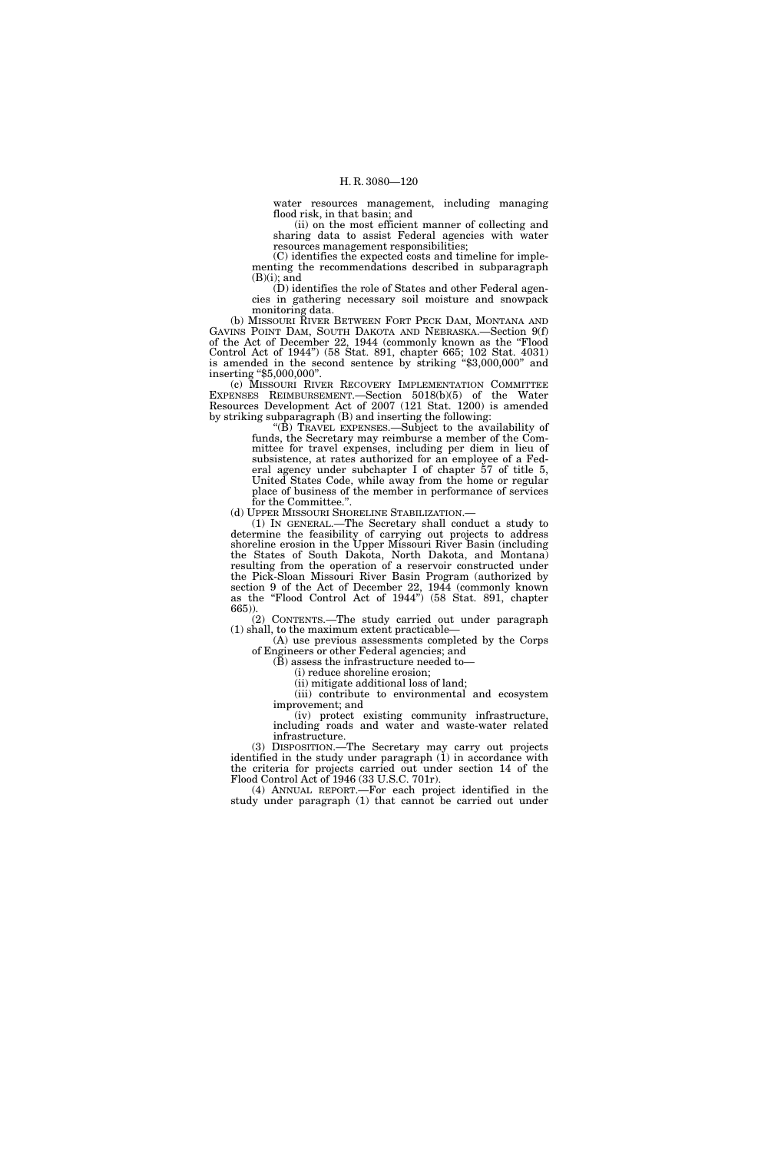water resources management, including managing flood risk, in that basin; and

(ii) on the most efficient manner of collecting and sharing data to assist Federal agencies with water resources management responsibilities;

(C) identifies the expected costs and timeline for implementing the recommendations described in subparagraph  $(B)(i)$ ; and

(D) identifies the role of States and other Federal agencies in gathering necessary soil moisture and snowpack monitoring data.

(b) MISSOURI RIVER BETWEEN FORT PECK DAM, MONTANA AND GAVINS POINT DAM, SOUTH DAKOTA AND NEBRASKA.—Section 9(f) of the Act of December 22, 1944 (commonly known as the "Flood Control Act of 1944'') (58 Stat. 891, chapter 665; 102 Stat. 4031) is amended in the second sentence by striking ''\$3,000,000'' and inserting "\$5,000,000".

(c) MISSOURI RIVER RECOVERY IMPLEMENTATION COMMITTEE EXPENSES REIMBURSEMENT.—Section 5018(b)(5) of the Water Resources Development Act of 2007 (121 Stat. 1200) is amended by striking subparagraph (B) and inserting the following:

''(B) TRAVEL EXPENSES.—Subject to the availability of funds, the Secretary may reimburse a member of the Committee for travel expenses, including per diem in lieu of subsistence, at rates authorized for an employee of a Federal agency under subchapter I of chapter 57 of title 5, United States Code, while away from the home or regular place of business of the member in performance of services

for the Committee.".<br>(d) UPPER MISSOURI SHORELINE STABILIZATION.-

(1) IN GENERAL.—The Secretary shall conduct a study to determine the feasibility of carrying out projects to address shoreline erosion in the Upper Missouri River Basin (including the States of South Dakota, North Dakota, and Montana) resulting from the operation of a reservoir constructed under the Pick-Sloan Missouri River Basin Program (authorized by section 9 of the Act of December 22, 1944 (commonly known as the ''Flood Control Act of 1944'') (58 Stat. 891, chapter 665)).

(2) CONTENTS.—The study carried out under paragraph (1) shall, to the maximum extent practicable—

(A) use previous assessments completed by the Corps of Engineers or other Federal agencies; and

(B) assess the infrastructure needed to—

(i) reduce shoreline erosion;

(ii) mitigate additional loss of land; (iii) contribute to environmental and ecosystem improvement; and

(iv) protect existing community infrastructure, including roads and water and waste-water related infrastructure.

(3) DISPOSITION.—The Secretary may carry out projects identified in the study under paragraph (1) in accordance with the criteria for projects carried out under section 14 of the Flood Control Act of 1946 (33 U.S.C. 701r).

(4) ANNUAL REPORT.—For each project identified in the study under paragraph (1) that cannot be carried out under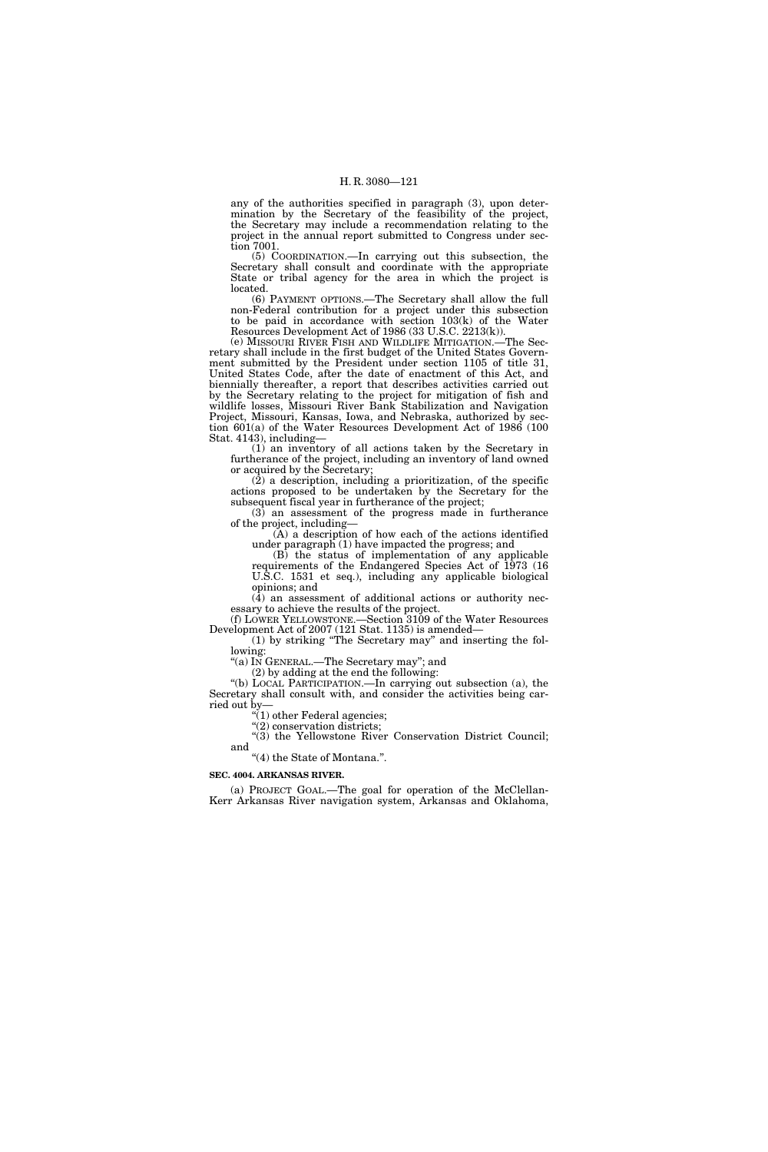any of the authorities specified in paragraph (3), upon determination by the Secretary of the feasibility of the project, the Secretary may include a recommendation relating to the project in the annual report submitted to Congress under section 7001.

(5) COORDINATION.—In carrying out this subsection, the Secretary shall consult and coordinate with the appropriate State or tribal agency for the area in which the project is located.

(6) PAYMENT OPTIONS.—The Secretary shall allow the full non-Federal contribution for a project under this subsection to be paid in accordance with section 103(k) of the Water Resources Development Act of 1986 (33 U.S.C. 2213(k)).

(e) MISSOURI RIVER FISH AND WILDLIFE MITIGATION.—The Secretary shall include in the first budget of the United States Government submitted by the President under section 1105 of title 31, United States Code, after the date of enactment of this Act, and biennially thereafter, a report that describes activities carried out by the Secretary relating to the project for mitigation of fish and wildlife losses, Missouri River Bank Stabilization and Navigation Project, Missouri, Kansas, Iowa, and Nebraska, authorized by section 601(a) of the Water Resources Development Act of 1986 (100 Stat. 4143), including—

(1) an inventory of all actions taken by the Secretary in furtherance of the project, including an inventory of land owned or acquired by the Secretary;

 $(2)$  a description, including a prioritization, of the specific actions proposed to be undertaken by the Secretary for the subsequent fiscal year in furtherance of the project;

(3) an assessment of the progress made in furtherance of the project, including—

(A) a description of how each of the actions identified under paragraph (1) have impacted the progress; and

(B) the status of implementation of any applicable requirements of the Endangered Species Act of 1973 (16 U.S.C. 1531 et seq.), including any applicable biological opinions; and

 $(\overline{4})$  an assessment of additional actions or authority necessary to achieve the results of the project.

(f) LOWER YELLOWSTONE.—Section 3109 of the Water Resources Development Act of 2007 (121 Stat. 1135) is amended—

(1) by striking ''The Secretary may'' and inserting the following:

''(a) IN GENERAL.—The Secretary may''; and

(2) by adding at the end the following:

"(b) LOCAL PARTICIPATION.—In carrying out subsection (a), the Secretary shall consult with, and consider the activities being carried out by—

''(1) other Federal agencies;

 $\widetilde{C}(2)$  conservation districts;

"(3) the Yellowstone River Conservation District Council; and ''(4) the State of Montana.''.

# **SEC. 4004. ARKANSAS RIVER.**

(a) PROJECT GOAL.—The goal for operation of the McClellan-Kerr Arkansas River navigation system, Arkansas and Oklahoma,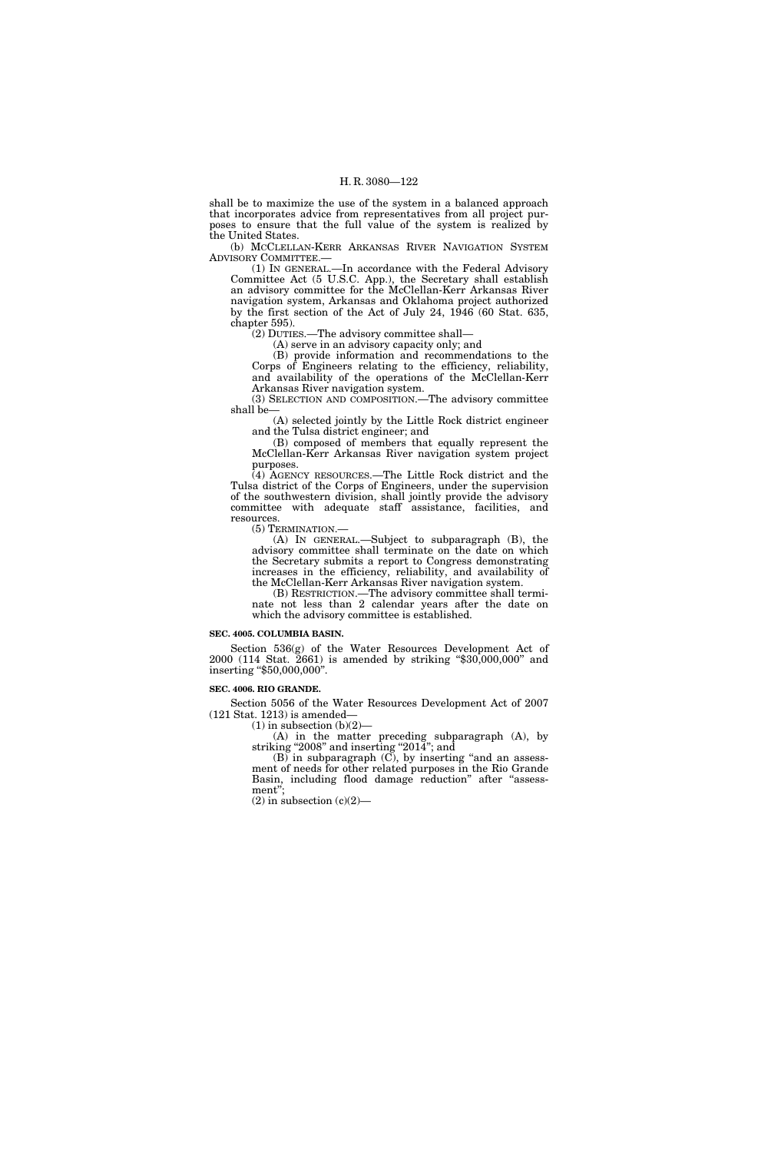shall be to maximize the use of the system in a balanced approach that incorporates advice from representatives from all project purposes to ensure that the full value of the system is realized by the United States.

(b) MCCLELLAN-KERR ARKANSAS RIVER NAVIGATION SYSTEM ADVISORY COMMITTEE.—

(1) IN GENERAL.—In accordance with the Federal Advisory Committee Act (5 U.S.C. App.), the Secretary shall establish an advisory committee for the McClellan-Kerr Arkansas River navigation system, Arkansas and Oklahoma project authorized by the first section of the Act of July 24, 1946 (60 Stat. 635, chapter 595).

(2) DUTIES.—The advisory committee shall—

(A) serve in an advisory capacity only; and (B) provide information and recommendations to the Corps of Engineers relating to the efficiency, reliability, and availability of the operations of the McClellan-Kerr

Arkansas River navigation system. (3) SELECTION AND COMPOSITION.—The advisory committee shall be—

(A) selected jointly by the Little Rock district engineer and the Tulsa district engineer; and

(B) composed of members that equally represent the McClellan-Kerr Arkansas River navigation system project purposes.

(4) AGENCY RESOURCES.—The Little Rock district and the Tulsa district of the Corps of Engineers, under the supervision of the southwestern division, shall jointly provide the advisory committee with adequate staff assistance, facilities, and resources.

(5) TERMINATION.—

(A) IN GENERAL.—Subject to subparagraph (B), the advisory committee shall terminate on the date on which the Secretary submits a report to Congress demonstrating increases in the efficiency, reliability, and availability of the McClellan-Kerr Arkansas River navigation system.

(B) RESTRICTION.—The advisory committee shall terminate not less than 2 calendar years after the date on which the advisory committee is established.

#### **SEC. 4005. COLUMBIA BASIN.**

Section 536(g) of the Water Resources Development Act of 2000 (114 Stat. 2661) is amended by striking ''\$30,000,000'' and inserting ''\$50,000,000''.

#### **SEC. 4006. RIO GRANDE.**

Section 5056 of the Water Resources Development Act of 2007 (121 Stat. 1213) is amended—

 $(1)$  in subsection  $(b)(2)$ -

(A) in the matter preceding subparagraph (A), by striking "2008" and inserting "2014"; and

(B) in subparagraph (C), by inserting ''and an assessment of needs for other related purposes in the Rio Grande Basin, including flood damage reduction" after "assessment'';

 $(2)$  in subsection  $(c)(2)$ —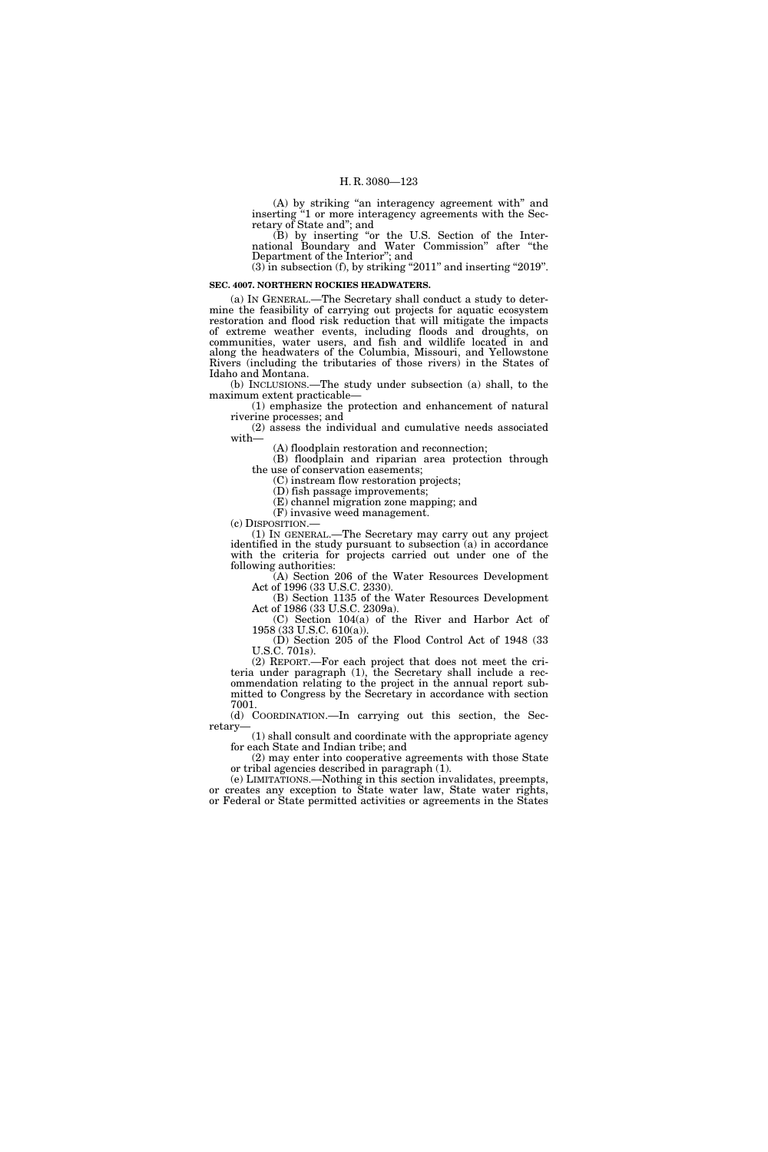(A) by striking "an interagency agreement with" and inserting ''1 or more interagency agreements with the Secretary of State and''; and

(B) by inserting ''or the U.S. Section of the International Boundary and Water Commission" after "the Department of the Interior''; and

 $(3)$  in subsection  $(f)$ , by striking "2011" and inserting "2019".

## **SEC. 4007. NORTHERN ROCKIES HEADWATERS.**

(a) IN GENERAL.—The Secretary shall conduct a study to determine the feasibility of carrying out projects for aquatic ecosystem restoration and flood risk reduction that will mitigate the impacts of extreme weather events, including floods and droughts, on communities, water users, and fish and wildlife located in and along the headwaters of the Columbia, Missouri, and Yellowstone Rivers (including the tributaries of those rivers) in the States of Idaho and Montana.

(b) INCLUSIONS.—The study under subsection (a) shall, to the maximum extent practicable—

(1) emphasize the protection and enhancement of natural riverine processes; and (2) assess the individual and cumulative needs associated

with—

(A) floodplain restoration and reconnection;

(B) floodplain and riparian area protection through the use of conservation easements;

(C) instream flow restoration projects;

(D) fish passage improvements; (E) channel migration zone mapping; and

(F) invasive weed management.

(c) DISPOSITION.— (1) IN GENERAL.—The Secretary may carry out any project identified in the study pursuant to subsection (a) in accordance with the criteria for projects carried out under one of the following authorities:

(A) Section 206 of the Water Resources Development Act of 1996 (33 U.S.C. 2330).

(B) Section 1135 of the Water Resources Development Act of 1986 (33 U.S.C. 2309a).

(C) Section 104(a) of the River and Harbor Act of 1958 (33 U.S.C. 610(a)). (D) Section 205 of the Flood Control Act of 1948 (33

U.S.C. 701s).

(2) REPORT.—For each project that does not meet the criteria under paragraph (1), the Secretary shall include a recommendation relating to the project in the annual report submitted to Congress by the Secretary in accordance with section 7001.

(d) COORDINATION.—In carrying out this section, the Secretary—

(1) shall consult and coordinate with the appropriate agency for each State and Indian tribe; and

(2) may enter into cooperative agreements with those State or tribal agencies described in paragraph (1).

(e) LIMITATIONS.—Nothing in this section invalidates, preempts, or creates any exception to State water law, State water rights, or Federal or State permitted activities or agreements in the States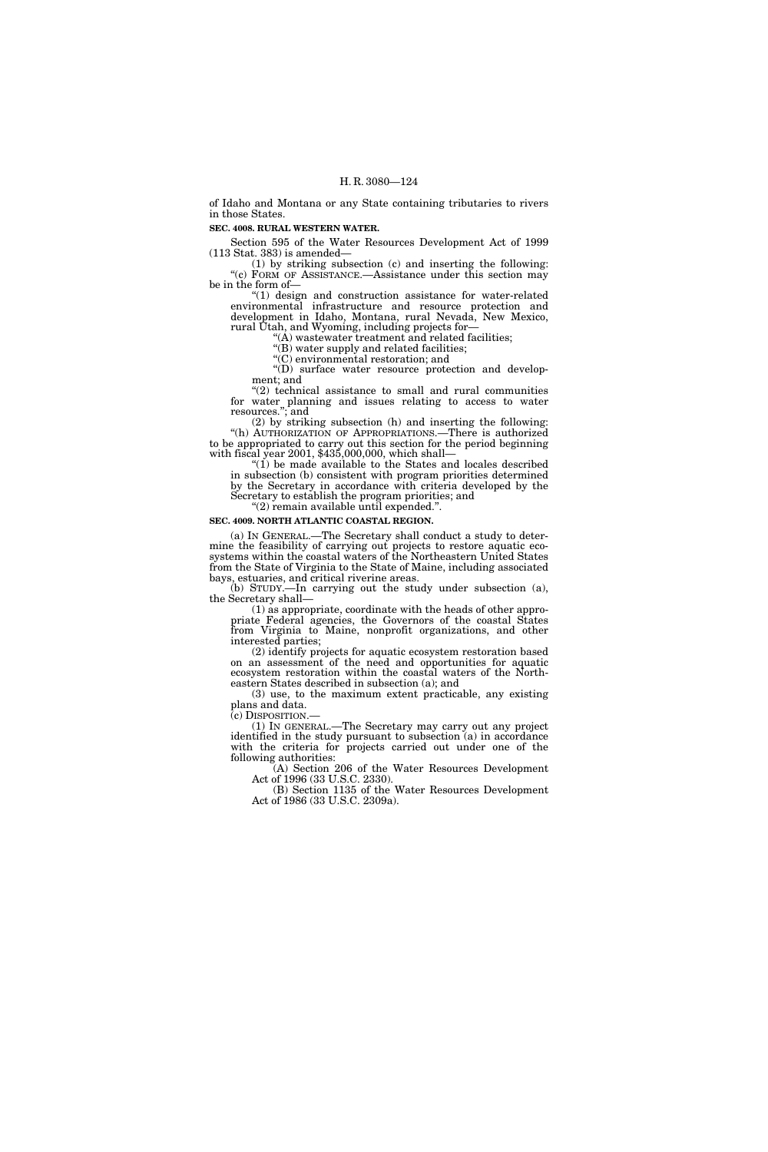of Idaho and Montana or any State containing tributaries to rivers in those States.

## **SEC. 4008. RURAL WESTERN WATER.**

Section 595 of the Water Resources Development Act of 1999 (113 Stat. 383) is amended—

(1) by striking subsection (c) and inserting the following: "(c) FORM OF ASSISTANCE.—Assistance under this section may be in the form of—

''(1) design and construction assistance for water-related environmental infrastructure and resource protection and development in Idaho, Montana, rural Nevada, New Mexico, rural Utah, and Wyoming, including projects for—

 $(A)$  wastewater treatment and related facilities;

"(B) water supply and related facilities;

''(C) environmental restoration; and

"(D) surface water resource protection and development; and

 $(2)$  technical assistance to small and rural communities for water planning and issues relating to access to water resources.''; and

(2) by striking subsection (h) and inserting the following: "(h) AUTHORIZATION OF APPROPRIATIONS.—There is authorized to be appropriated to carry out this section for the period beginning with fiscal year 2001, \$435,000,000, which shall—

"(1) be made available to the States and locales described in subsection (b) consistent with program priorities determined by the Secretary in accordance with criteria developed by the Secretary to establish the program priorities; and ''(2) remain available until expended.''.

## **SEC. 4009. NORTH ATLANTIC COASTAL REGION.**

(a) IN GENERAL.—The Secretary shall conduct a study to determine the feasibility of carrying out projects to restore aquatic ecosystems within the coastal waters of the Northeastern United States from the State of Virginia to the State of Maine, including associated bays, estuaries, and critical riverine areas.

(b) STUDY.—In carrying out the study under subsection (a), the Secretary shall—

(1) as appropriate, coordinate with the heads of other appropriate Federal agencies, the Governors of the coastal States from Virginia to Maine, nonprofit organizations, and other interested parties;

(2) identify projects for aquatic ecosystem restoration based on an assessment of the need and opportunities for aquatic ecosystem restoration within the coastal waters of the Northeastern States described in subsection (a); and

(3) use, to the maximum extent practicable, any existing plans and data.

(c) DISPOSITION.— (1) IN GENERAL.—The Secretary may carry out any project identified in the study pursuant to subsection (a) in accordance with the criteria for projects carried out under one of the following authorities:

(A) Section 206 of the Water Resources Development Act of 1996 (33 U.S.C. 2330).

(B) Section 1135 of the Water Resources Development Act of 1986 (33 U.S.C. 2309a).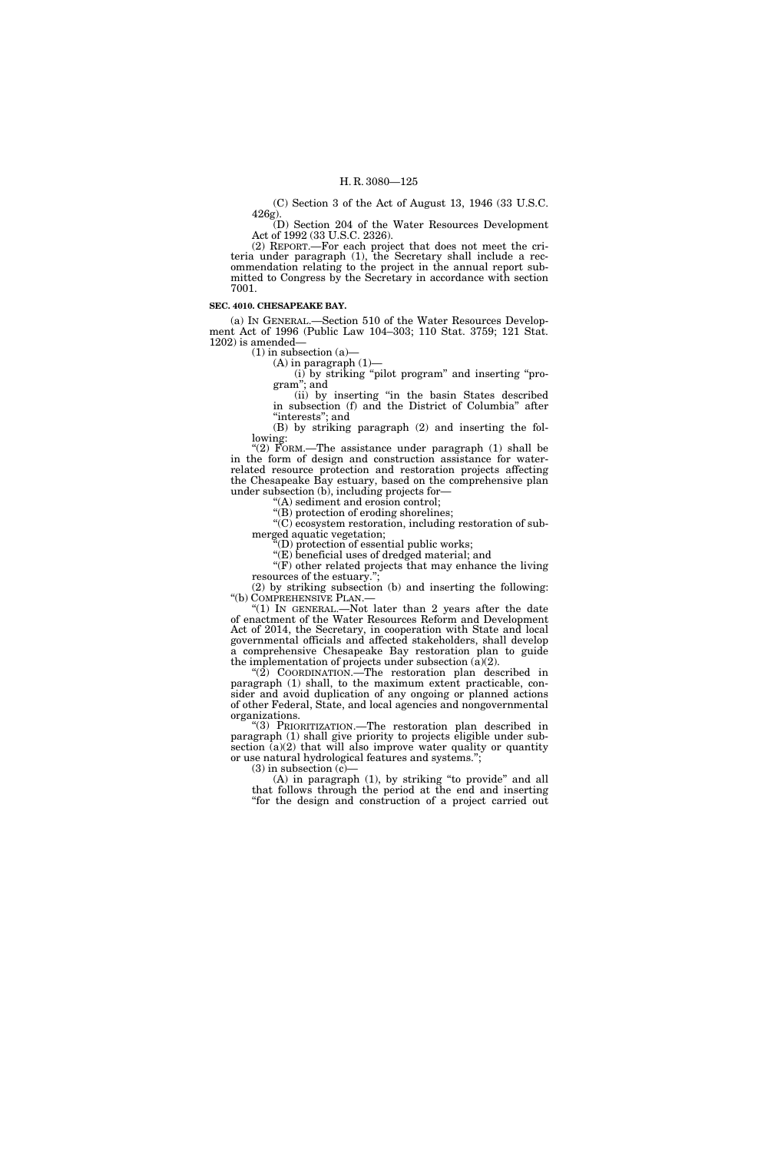(C) Section 3 of the Act of August 13, 1946 (33 U.S.C. 426g).

(D) Section 204 of the Water Resources Development Act of 1992 (33 U.S.C. 2326).

(2) REPORT.—For each project that does not meet the criteria under paragraph (1), the Secretary shall include a recommendation relating to the project in the annual report submitted to Congress by the Secretary in accordance with section 7001.

#### **SEC. 4010. CHESAPEAKE BAY.**

(a) IN GENERAL.—Section 510 of the Water Resources Development Act of 1996 (Public Law 104–303; 110 Stat. 3759; 121 Stat. 1202) is amended—

(1) in subsection (a)—

 $(A)$  in paragraph  $(1)$ —

(i) by striking ''pilot program'' and inserting ''program''; and

(ii) by inserting ''in the basin States described in subsection (f) and the District of Columbia'' after "interests"; and

(B) by striking paragraph (2) and inserting the following:

"(2) FORM.—The assistance under paragraph  $(1)$  shall be in the form of design and construction assistance for waterrelated resource protection and restoration projects affecting the Chesapeake Bay estuary, based on the comprehensive plan under subsection (b), including projects for—

''(A) sediment and erosion control; ''(B) protection of eroding shorelines;

''(C) ecosystem restoration, including restoration of submerged aquatic vegetation;

 $f(D)$  protection of essential public works;

 $\widetilde{E}$ ) beneficial uses of dredged material; and

''(F) other related projects that may enhance the living resources of the estuary.";

(2) by striking subsection (b) and inserting the following: "(b) COMPREHENSIVE PLAN.— ''(b) COMPREHENSIVE PLAN.— ''(1) IN GENERAL.—Not later than 2 years after the date

of enactment of the Water Resources Reform and Development Act of 2014, the Secretary, in cooperation with State and local governmental officials and affected stakeholders, shall develop a comprehensive Chesapeake Bay restoration plan to guide the implementation of projects under subsection (a)(2).

" $(2)$  COORDINATION.—The restoration plan described in paragraph (1) shall, to the maximum extent practicable, consider and avoid duplication of any ongoing or planned actions of other Federal, State, and local agencies and nongovernmental organizations.

''(3) PRIORITIZATION.—The restoration plan described in paragraph (1) shall give priority to projects eligible under subsection  $(a)(2)$  that will also improve water quality or quantity or use natural hydrological features and systems.'';

 $(3)$  in subsection  $(c)$ –

(A) in paragraph (1), by striking ''to provide'' and all that follows through the period at the end and inserting ''for the design and construction of a project carried out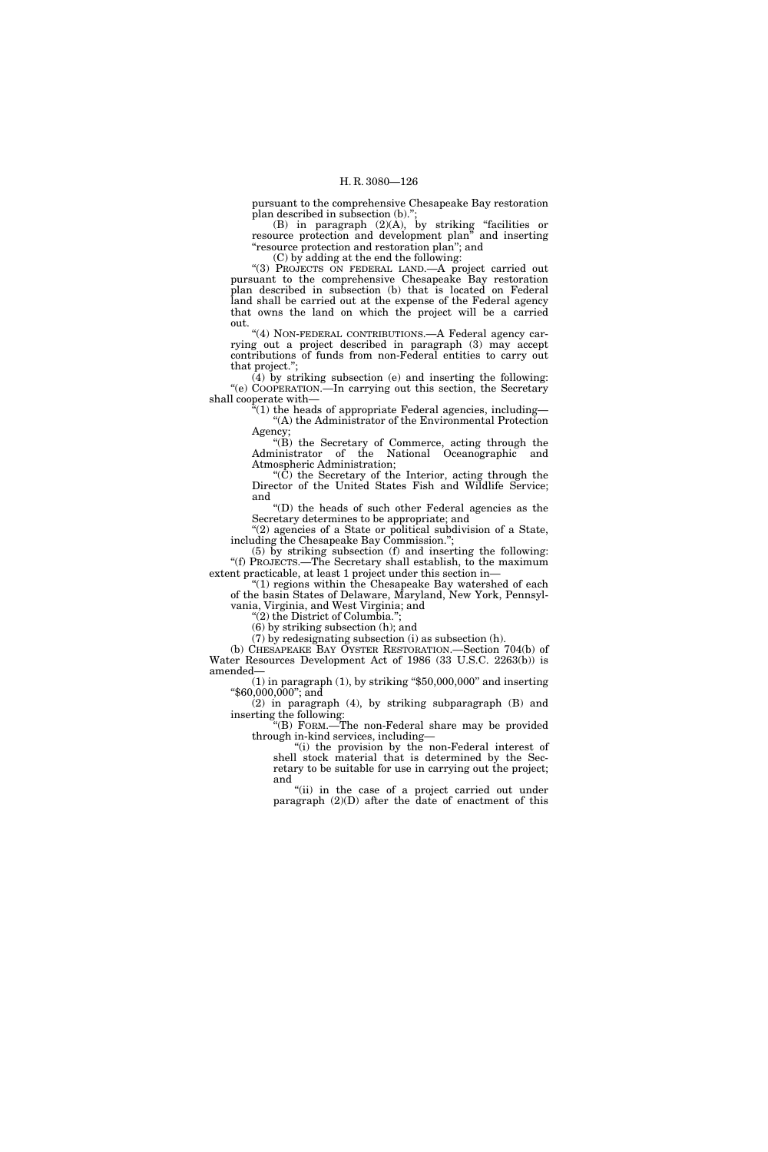pursuant to the comprehensive Chesapeake Bay restoration plan described in subsection (b).'';

(B) in paragraph (2)(A), by striking ''facilities or resource protection and development plan'' and inserting "resource protection and restoration plan"; and

(C) by adding at the end the following:

''(3) PROJECTS ON FEDERAL LAND.—A project carried out pursuant to the comprehensive Chesapeake Bay restoration plan described in subsection (b) that is located on Federal land shall be carried out at the expense of the Federal agency that owns the land on which the project will be a carried out.

''(4) NON-FEDERAL CONTRIBUTIONS.—A Federal agency carrying out a project described in paragraph (3) may accept contributions of funds from non-Federal entities to carry out that project.'';

(4) by striking subsection (e) and inserting the following: "(e) COOPERATION.—In carrying out this section, the Secretary shall cooperate with—

 $\mathbb{F}(1)$  the heads of appropriate Federal agencies, including— ''(A) the Administrator of the Environmental Protection Agency;

''(B) the Secretary of Commerce, acting through the Administrator of the National Oceanographic and Atmospheric Administration;

''(C) the Secretary of the Interior, acting through the Director of the United States Fish and Wildlife Service; and

''(D) the heads of such other Federal agencies as the Secretary determines to be appropriate; and

"(2) agencies of a State or political subdivision of a State, including the Chesapeake Bay Commission.'';

(5) by striking subsection (f) and inserting the following: ''(f) PROJECTS.—The Secretary shall establish, to the maximum extent practicable, at least 1 project under this section in—

"(1) regions within the Chesapeake Bay watershed of each of the basin States of Delaware, Maryland, New York, Pennsylvania, Virginia, and West Virginia; and

''(2) the District of Columbia.'';

(6) by striking subsection (h); and

(7) by redesignating subsection (i) as subsection (h).

(b) CHESAPEAKE BAY OYSTER RESTORATION.—Section 704(b) of Water Resources Development Act of 1986 (33 U.S.C. 2263(b)) is amended—

 $(1)$  in paragraph  $(1)$ , by striking "\$50,000,000" and inserting ''\$60,000,000''; and

(2) in paragraph (4), by striking subparagraph (B) and inserting the following:

''(B) FORM.—The non-Federal share may be provided through in-kind services, including—

''(i) the provision by the non-Federal interest of shell stock material that is determined by the Secretary to be suitable for use in carrying out the project; and

"(ii) in the case of a project carried out under paragraph (2)(D) after the date of enactment of this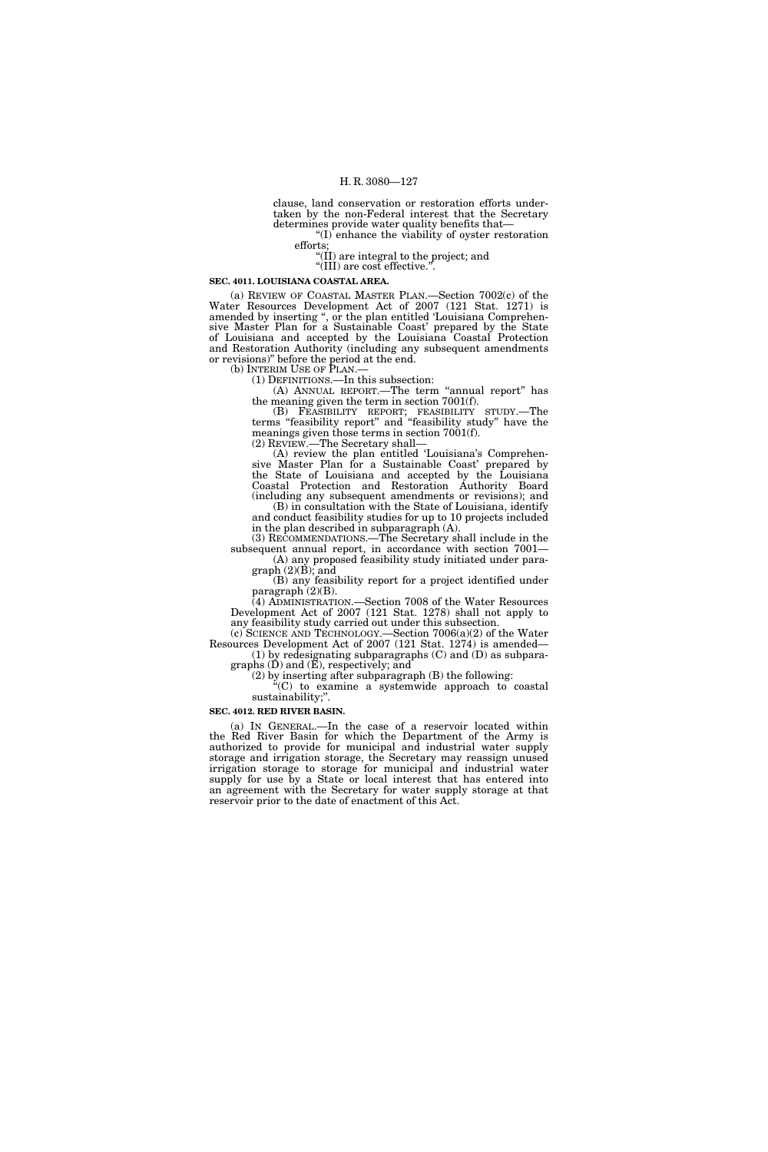clause, land conservation or restoration efforts undertaken by the non-Federal interest that the Secretary determines provide water quality benefits that—

''(I) enhance the viability of oyster restoration efforts;

''(II) are integral to the project; and

"(III) are cost effective."

**SEC. 4011. LOUISIANA COASTAL AREA.** 

(a) REVIEW OF COASTAL MASTER PLAN.—Section 7002(c) of the Water Resources Development Act of 2007 (121 Stat. 1271) is amended by inserting '', or the plan entitled 'Louisiana Comprehensive Master Plan for a Sustainable Coast' prepared by the State of Louisiana and accepted by the Louisiana Coastal Protection and Restoration Authority (including any subsequent amendments or revisions)'' before the period at the end.

(b) INTERIM USE OF  $\overline{P}$ LAN.—<br>(1) DEFINITIONS.—In this subsection:

(A) ANNUAL REPORT.—The term ''annual report'' has the meaning given the term in section 7001(f).

(B) FEASIBILITY REPORT; FEASIBILITY STUDY.—The terms ''feasibility report'' and ''feasibility study'' have the meanings given those terms in section 7001(f).

(2) REVIEW.—The Secretary shall—

(A) review the plan entitled 'Louisiana's Comprehensive Master Plan for a Sustainable Coast' prepared by the State of Louisiana and accepted by the Louisiana Coastal Protection and Restoration Authority Board (including any subsequent amendments or revisions); and (B) in consultation with the State of Louisiana, identify

and conduct feasibility studies for up to 10 projects included in the plan described in subparagraph (A).

(3) RECOMMENDATIONS.—The Secretary shall include in the subsequent annual report, in accordance with section 7001— (A) any proposed feasibility study initiated under para-

graph (2)(B); and (B) any feasibility report for a project identified under paragraph $(2)(B)$ .

(4) ADMINISTRATION.—Section 7008 of the Water Resources Development Act of 2007 (121 Stat. 1278) shall not apply to any feasibility study carried out under this subsection.

(c) SCIENCE AND TECHNOLOGY.—Section 7006(a)(2) of the Water Resources Development Act of 2007 (121 Stat. 1274) is amended— (1) by redesignating subparagraphs (C) and (D) as subpara-

graphs  $(D)$  and  $(\overline{E})$ , respectively; and

(2) by inserting after subparagraph (B) the following: ''(C) to examine a systemwide approach to coastal sustainability;".

**SEC. 4012. RED RIVER BASIN.** 

(a) IN GENERAL.—In the case of a reservoir located within the Red River Basin for which the Department of the Army is authorized to provide for municipal and industrial water supply storage and irrigation storage, the Secretary may reassign unused irrigation storage to storage for municipal and industrial water supply for use by a State or local interest that has entered into an agreement with the Secretary for water supply storage at that reservoir prior to the date of enactment of this Act.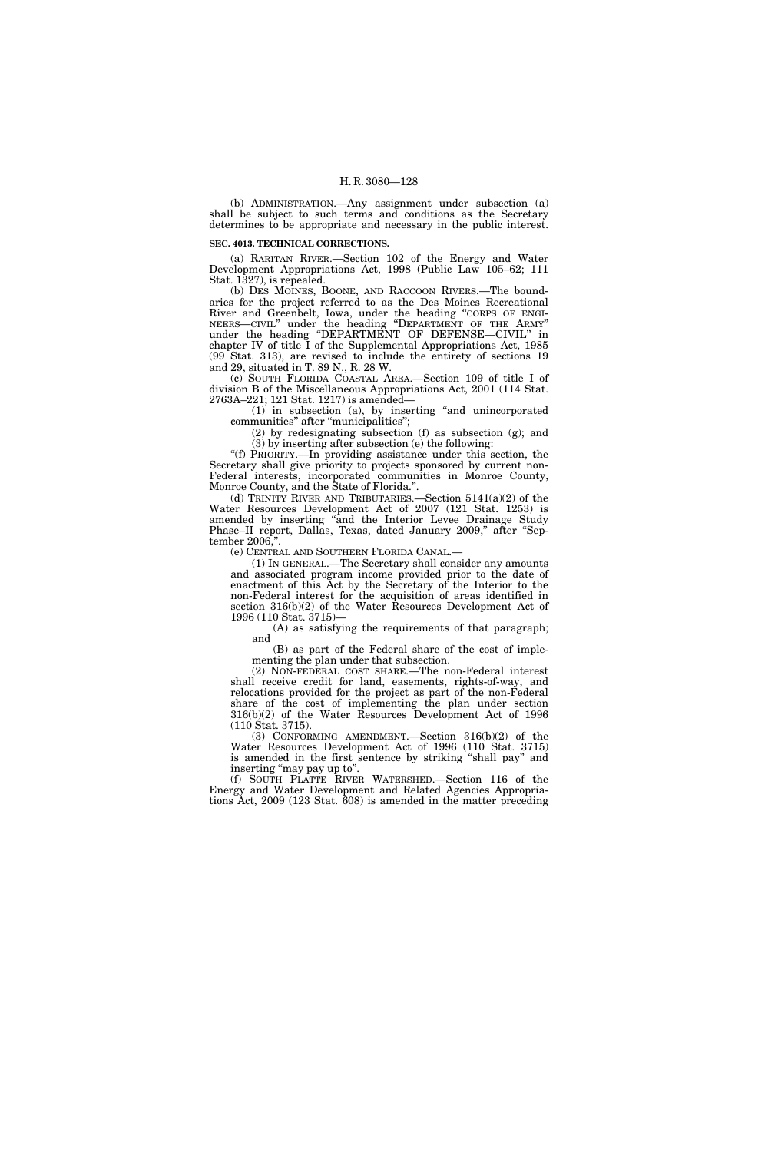(b) ADMINISTRATION.—Any assignment under subsection (a) shall be subject to such terms and conditions as the Secretary determines to be appropriate and necessary in the public interest.

## **SEC. 4013. TECHNICAL CORRECTIONS.**

(a) RARITAN RIVER.—Section 102 of the Energy and Water Development Appropriations Act, 1998 (Public Law 105–62; 111 Stat. 1327), is repealed.

(b) DES MOINES, BOONE, AND RACCOON RIVERS.—The boundaries for the project referred to as the Des Moines Recreational River and Greenbelt, Iowa, under the heading ''CORPS OF ENGI-NEERS—CIVIL'' under the heading ''DEPARTMENT OF THE ARMY'' under the heading "DEPARTMENT OF DEFENSE-CIVIL" in chapter IV of title I of the Supplemental Appropriations Act, 1985 (99 Stat. 313), are revised to include the entirety of sections 19 and 29, situated in T. 89 N., R. 28 W.

(c) SOUTH FLORIDA COASTAL AREA.—Section 109 of title I of division B of the Miscellaneous Appropriations Act, 2001 (114 Stat. 2763A–221; 121 Stat. 1217) is amended—

(1) in subsection (a), by inserting ''and unincorporated communities'' after ''municipalities'';

(2) by redesignating subsection (f) as subsection (g); and (3) by inserting after subsection (e) the following:

''(f) PRIORITY.—In providing assistance under this section, the Secretary shall give priority to projects sponsored by current non-Federal interests, incorporated communities in Monroe County, Monroe County, and the State of Florida.''.

(d) TRINITY RIVER AND TRIBUTARIES.—Section  $5141(a)(2)$  of the Water Resources Development Act of 2007 (121 Stat. 1253) is amended by inserting ''and the Interior Levee Drainage Study Phase–II report, Dallas, Texas, dated January 2009,'' after ''September 2006,''.

(e) CENTRAL AND SOUTHERN FLORIDA CANAL.—

(1) IN GENERAL.—The Secretary shall consider any amounts and associated program income provided prior to the date of enactment of this Act by the Secretary of the Interior to the non-Federal interest for the acquisition of areas identified in section 316(b)(2) of the Water Resources Development Act of 1996 (110 Stat. 3715)—

(A) as satisfying the requirements of that paragraph; and

(B) as part of the Federal share of the cost of implementing the plan under that subsection.

(2) NON-FEDERAL COST SHARE.—The non-Federal interest shall receive credit for land, easements, rights-of-way, and relocations provided for the project as part of the non-Federal share of the cost of implementing the plan under section 316(b)(2) of the Water Resources Development Act of 1996 (110 Stat. 3715).

(3) CONFORMING AMENDMENT.—Section 316(b)(2) of the Water Resources Development Act of 1996 (110 Stat. 3715) is amended in the first sentence by striking "shall pay" and inserting "may pay up to".

(f) SOUTH PLATTE RIVER WATERSHED.—Section 116 of the Energy and Water Development and Related Agencies Appropriations Act, 2009 (123 Stat. 608) is amended in the matter preceding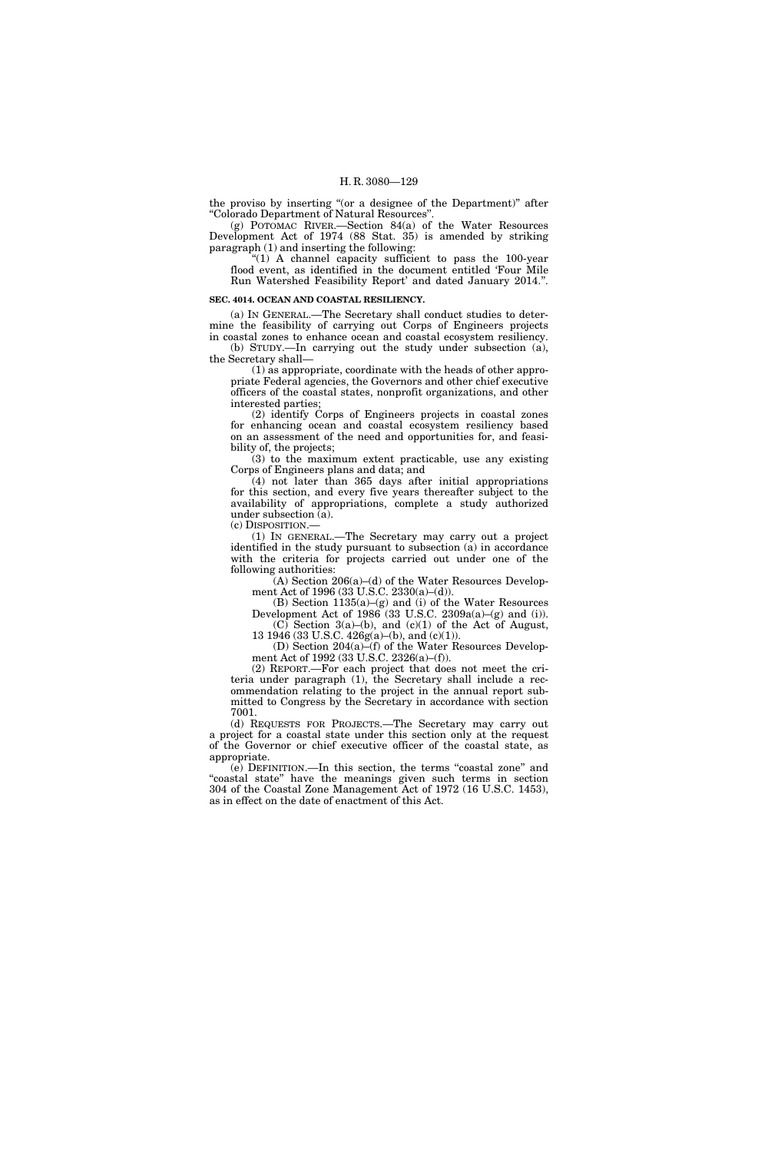the proviso by inserting "(or a designee of the Department)" after ''Colorado Department of Natural Resources''.

(g) POTOMAC RIVER.—Section 84(a) of the Water Resources Development Act of 1974 (88 Stat. 35) is amended by striking paragraph (1) and inserting the following:

" $(1)$  A channel capacity sufficient to pass the 100-year flood event, as identified in the document entitled 'Four Mile Run Watershed Feasibility Report' and dated January 2014.''.

#### **SEC. 4014. OCEAN AND COASTAL RESILIENCY.**

(a) IN GENERAL.—The Secretary shall conduct studies to determine the feasibility of carrying out Corps of Engineers projects in coastal zones to enhance ocean and coastal ecosystem resiliency. (b) STUDY.—In carrying out the study under subsection (a),

the Secretary shall— (1) as appropriate, coordinate with the heads of other appropriate Federal agencies, the Governors and other chief executive officers of the coastal states, nonprofit organizations, and other interested parties;

(2) identify Corps of Engineers projects in coastal zones for enhancing ocean and coastal ecosystem resiliency based on an assessment of the need and opportunities for, and feasibility of, the projects;

(3) to the maximum extent practicable, use any existing Corps of Engineers plans and data; and

(4) not later than 365 days after initial appropriations for this section, and every five years thereafter subject to the availability of appropriations, complete a study authorized under subsection (a).

(c) DISPOSITION.—

(1) IN GENERAL.—The Secretary may carry out a project identified in the study pursuant to subsection (a) in accordance with the criteria for projects carried out under one of the following authorities:

(A) Section 206(a)–(d) of the Water Resources Development Act of 1996 (33 U.S.C. 2330(a)–(d)).

(B) Section 1135(a)–(g) and (i) of the Water Resources Development Act of  $1986(33 \text{ U.S.C. } 2309a(a)–(g) \text{ and } (i))$ .  $(C)$  Section 3(a)–(b), and  $(c)(1)$  of the Act of August,

13 1946 (33 U.S.C. 426g(a)–(b), and (c)(1)). (D) Section 204(a)–(f) of the Water Resources Development Act of 1992 (33 U.S.C. 2326(a)–(f)).

(2) REPORT.—For each project that does not meet the criteria under paragraph (1), the Secretary shall include a recommendation relating to the project in the annual report submitted to Congress by the Secretary in accordance with section 7001.

(d) REQUESTS FOR PROJECTS.—The Secretary may carry out a project for a coastal state under this section only at the request of the Governor or chief executive officer of the coastal state, as appropriate.

(e) DEFINITION.—In this section, the terms ''coastal zone'' and "coastal state" have the meanings given such terms in section 304 of the Coastal Zone Management Act of 1972 (16 U.S.C. 1453), as in effect on the date of enactment of this Act.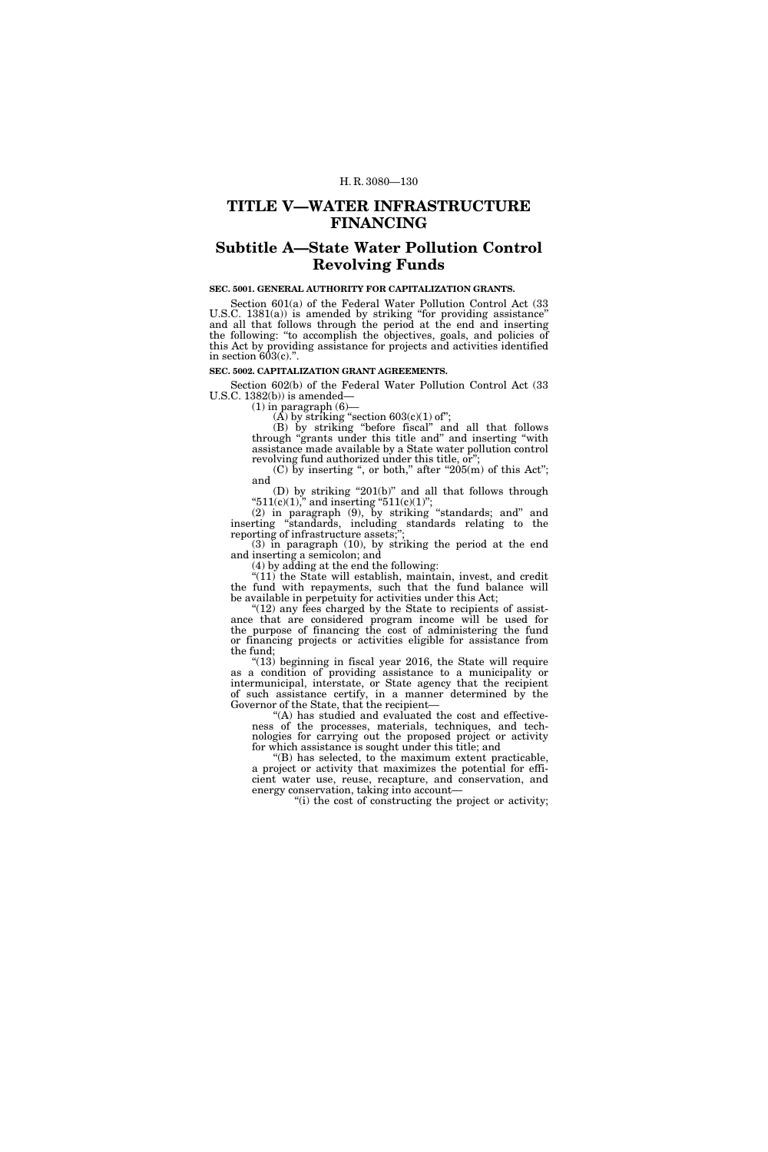## **TITLE V—WATER INFRASTRUCTURE FINANCING**

# **Subtitle A—State Water Pollution Control Revolving Funds**

## **SEC. 5001. GENERAL AUTHORITY FOR CAPITALIZATION GRANTS.**

Section 601(a) of the Federal Water Pollution Control Act (33 U.S.C. 1381(a)) is amended by striking "for providing assistance" and all that follows through the period at the end and inserting the following: ''to accomplish the objectives, goals, and policies of this Act by providing assistance for projects and activities identified in section  $603(c)$ .".

#### **SEC. 5002. CAPITALIZATION GRANT AGREEMENTS.**

Section 602(b) of the Federal Water Pollution Control Act (33 U.S.C.  $1382(b)$  is amended—

 $(1)$  in paragraph  $(6)$ —

 $(\overline{A})$  by striking "section 603 $(c)(1)$  of";

(B) by striking ''before fiscal'' and all that follows through ''grants under this title and'' and inserting ''with assistance made available by a State water pollution control revolving fund authorized under this title, or'';

(C) by inserting ", or both," after " $205(m)$  of this Act"; and

(D) by striking " $201(b)$ " and all that follows through " $511(c)(1)$ ," and inserting " $511(c)(1)$ ";

(2) in paragraph (9), by striking ''standards; and'' and inserting ''standards, including standards relating to the reporting of infrastructure assets;'';

(3) in paragraph (10), by striking the period at the end and inserting a semicolon; and

(4) by adding at the end the following:

"(11) the State will establish, maintain, invest, and credit the fund with repayments, such that the fund balance will be available in perpetuity for activities under this Act;

 $(12)$  any fees charged by the State to recipients of assistance that are considered program income will be used for the purpose of financing the cost of administering the fund or financing projects or activities eligible for assistance from the fund;

" $(13)$  beginning in fiscal year 2016, the State will require as a condition of providing assistance to a municipality or intermunicipal, interstate, or State agency that the recipient of such assistance certify, in a manner determined by the Governor of the State, that the recipient-

"(A) has studied and evaluated the cost and effectiveness of the processes, materials, techniques, and technologies for carrying out the proposed project or activity for which assistance is sought under this title; and

''(B) has selected, to the maximum extent practicable, a project or activity that maximizes the potential for efficient water use, reuse, recapture, and conservation, and energy conservation, taking into account—

''(i) the cost of constructing the project or activity;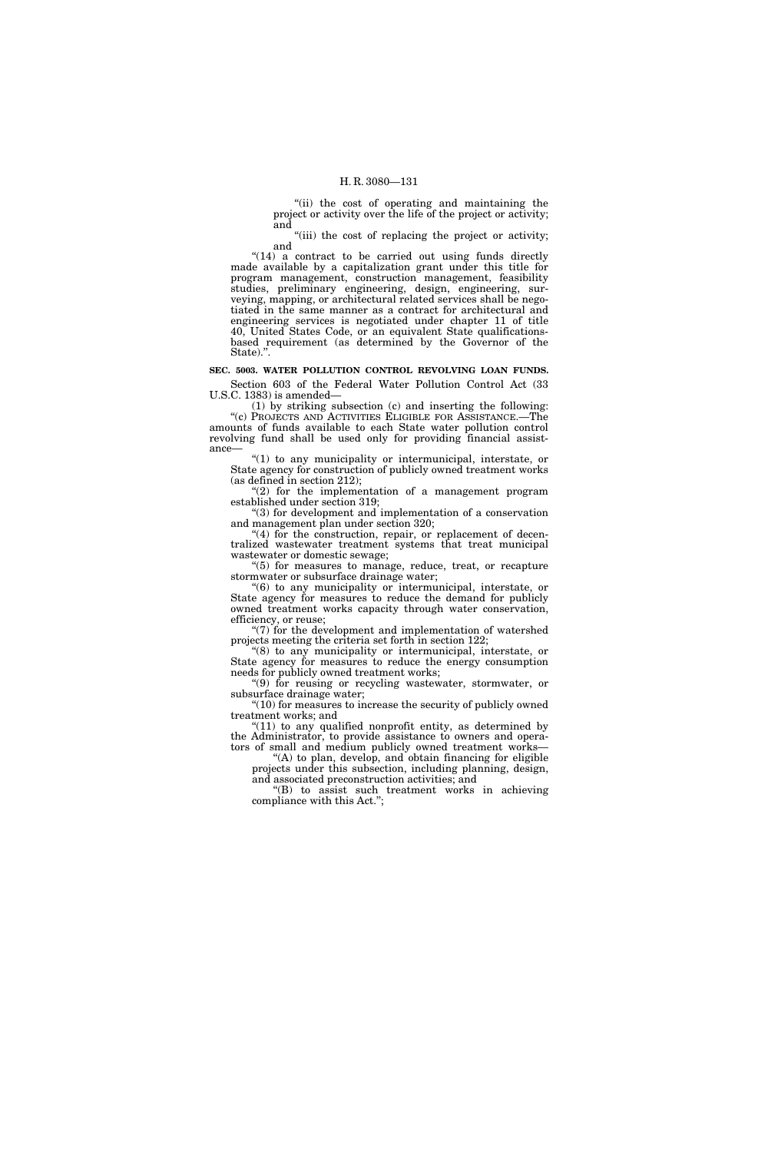''(ii) the cost of operating and maintaining the project or activity over the life of the project or activity; and

"(iii) the cost of replacing the project or activity; and

 $"(14)$  a contract to be carried out using funds directly made available by a capitalization grant under this title for program management, construction management, feasibility studies, preliminary engineering, design, engineering, surveying, mapping, or architectural related services shall be negotiated in the same manner as a contract for architectural and engineering services is negotiated under chapter 11 of title 40, United States Code, or an equivalent State qualificationsbased requirement (as determined by the Governor of the State).''.

**SEC. 5003. WATER POLLUTION CONTROL REVOLVING LOAN FUNDS.**  Section 603 of the Federal Water Pollution Control Act (33 U.S.C. 1383) is amended—

(1) by striking subsection (c) and inserting the following: ''(c) PROJECTS AND ACTIVITIES ELIGIBLE FOR ASSISTANCE.—The amounts of funds available to each State water pollution control revolving fund shall be used only for providing financial assistance—

''(1) to any municipality or intermunicipal, interstate, or State agency for construction of publicly owned treatment works (as defined in section 212);

"(2) for the implementation of a management program established under section 319;

''(3) for development and implementation of a conservation and management plan under section 320;

"(4) for the construction, repair, or replacement of decentralized wastewater treatment systems that treat municipal wastewater or domestic sewage;

''(5) for measures to manage, reduce, treat, or recapture stormwater or subsurface drainage water;

''(6) to any municipality or intermunicipal, interstate, or State agency for measures to reduce the demand for publicly owned treatment works capacity through water conservation, efficiency, or reuse;

 $\degree$ (7) for the development and implementation of watershed projects meeting the criteria set forth in section 122;

''(8) to any municipality or intermunicipal, interstate, or State agency for measures to reduce the energy consumption needs for publicly owned treatment works;

''(9) for reusing or recycling wastewater, stormwater, or subsurface drainage water;

''(10) for measures to increase the security of publicly owned treatment works; and

 $f(11)$  to any qualified nonprofit entity, as determined by the Administrator, to provide assistance to owners and operators of small and medium publicly owned treatment works—

''(A) to plan, develop, and obtain financing for eligible projects under this subsection, including planning, design, and associated preconstruction activities; and

''(B) to assist such treatment works in achieving compliance with this Act.'';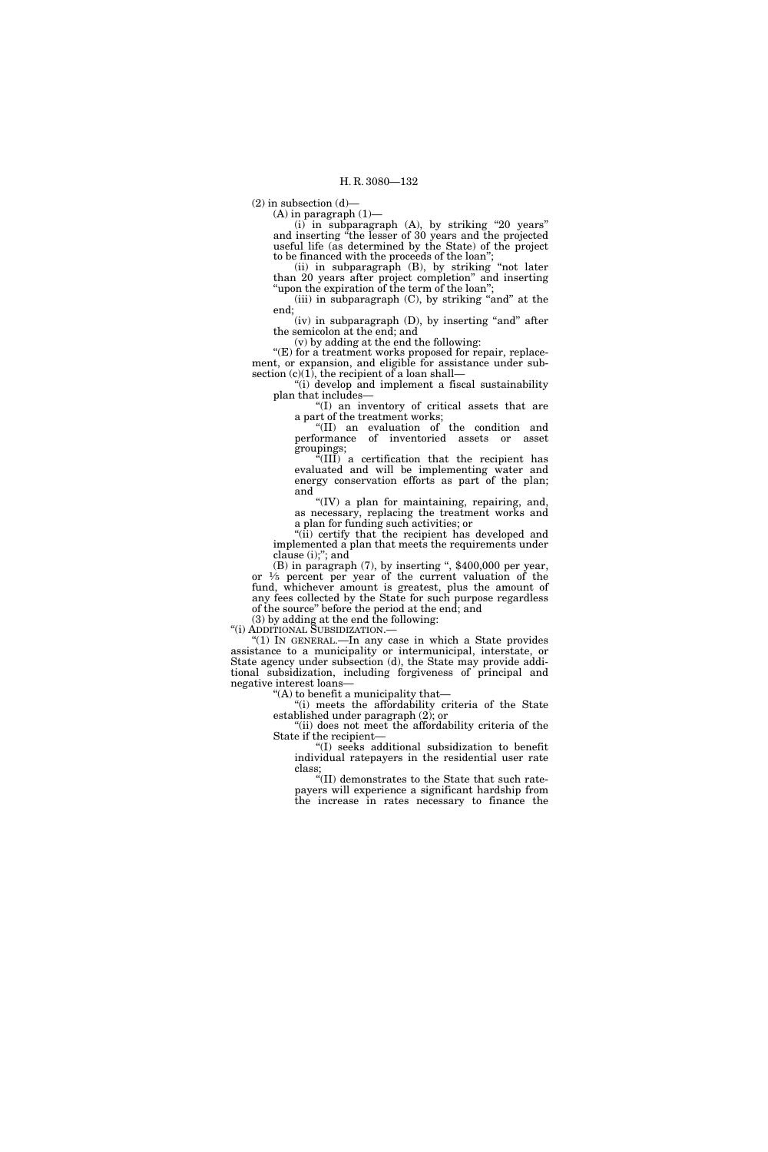$(2)$  in subsection  $(d)$ 

 $(A)$  in paragraph  $(1)$ —

(i) in subparagraph (A), by striking ''20 years'' and inserting ''the lesser of 30 years and the projected useful life (as determined by the State) of the project to be financed with the proceeds of the loan'';

(ii) in subparagraph (B), by striking ''not later than 20 years after project completion'' and inserting 'upon the expiration of the term of the loan";

(iii) in subparagraph (C), by striking ''and'' at the end;

(iv) in subparagraph (D), by inserting "and" after the semicolon at the end; and

(v) by adding at the end the following:

"(E) for a treatment works proposed for repair, replacement, or expansion, and eligible for assistance under subsection  $(c)(1)$ , the recipient of a loan shall—

''(i) develop and implement a fiscal sustainability plan that includes—

''(I) an inventory of critical assets that are a part of the treatment works;

''(II) an evaluation of the condition and performance of inventoried assets or asset groupings;

''(III) a certification that the recipient has evaluated and will be implementing water and energy conservation efforts as part of the plan; and

"(IV) a plan for maintaining, repairing, and, as necessary, replacing the treatment works and a plan for funding such activities; or

"(ii) certify that the recipient has developed and implemented a plan that meets the requirements under clause (i);''; and

 $(B)$  in paragraph  $(7)$ , by inserting ", \$400,000 per year, or  $\frac{1}{5}$  percent per year of the current valuation of the fund, whichever amount is greatest, plus the amount of any fees collected by the State for such purpose regardless of the source'' before the period at the end; and

(3) by adding at the end the following:

''(i) ADDITIONAL SUBSIDIZATION.—

"(1) IN GENERAL.—In any case in which a State provides assistance to a municipality or intermunicipal, interstate, or State agency under subsection (d), the State may provide additional subsidization, including forgiveness of principal and negative interest loans— ''(A) to benefit a municipality that—

"(i) meets the affordability criteria of the State established under paragraph (2); or

"(ii) does not meet the affordability criteria of the State if the recipient—

''(I) seeks additional subsidization to benefit individual ratepayers in the residential user rate class;

''(II) demonstrates to the State that such ratepayers will experience a significant hardship from the increase in rates necessary to finance the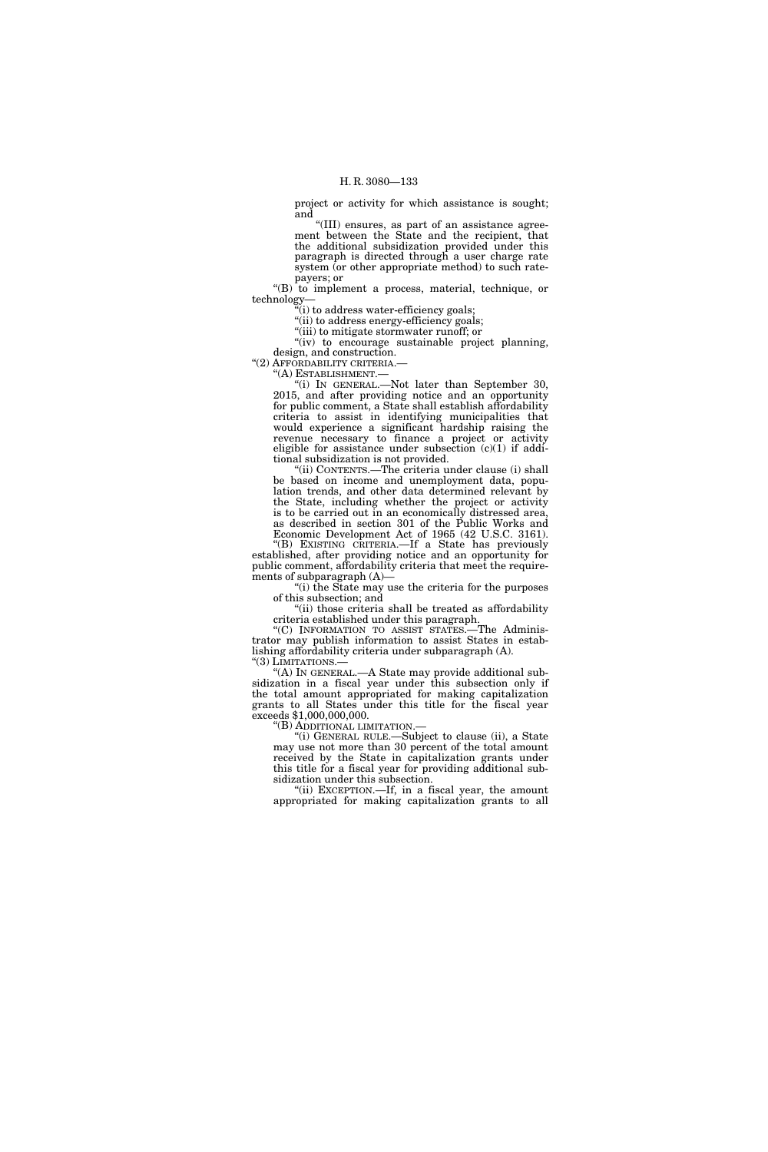project or activity for which assistance is sought; and

''(III) ensures, as part of an assistance agreement between the State and the recipient, that the additional subsidization provided under this paragraph is directed through a user charge rate system (or other appropriate method) to such ratepayers; or

"(B) to implement a process, material, technique, or technology—

''(i) to address water-efficiency goals;

''(ii) to address energy-efficiency goals;

''(iii) to mitigate stormwater runoff; or "(iv) to encourage sustainable project planning, design, and construction.

''(2) AFFORDABILITY CRITERIA.—

''(A) ESTABLISHMENT.—

''(i) IN GENERAL.—Not later than September 30, 2015, and after providing notice and an opportunity for public comment, a State shall establish affordability criteria to assist in identifying municipalities that would experience a significant hardship raising the revenue necessary to finance a project or activity eligible for assistance under subsection  $(c)(1)$  if additional subsidization is not provided.

''(ii) CONTENTS.—The criteria under clause (i) shall be based on income and unemployment data, population trends, and other data determined relevant by the State, including whether the project or activity is to be carried out in an economically distressed area, as described in section 301 of the Public Works and Economic Development Act of 1965 (42 U.S.C. 3161).

''(B) EXISTING CRITERIA.—If a State has previously established, after providing notice and an opportunity for

public comment, affordability criteria that meet the requirements of subparagraph (A)—

''(i) the State may use the criteria for the purposes of this subsection; and "(ii) those criteria shall be treated as affordability

criteria established under this paragraph.

''(C) INFORMATION TO ASSIST STATES.—The Administrator may publish information to assist States in establishing affordability criteria under subparagraph (A). "(3) LIMITATIONS.-

''(A) IN GENERAL.—A State may provide additional subsidization in a fiscal year under this subsection only if the total amount appropriated for making capitalization grants to all States under this title for the fiscal year exceeds \$1,000,000,000.

''(B) ADDITIONAL LIMITATION.—

''(i) GENERAL RULE.—Subject to clause (ii), a State may use not more than 30 percent of the total amount received by the State in capitalization grants under this title for a fiscal year for providing additional subsidization under this subsection.

"(ii) EXCEPTION.—If, in a fiscal year, the amount appropriated for making capitalization grants to all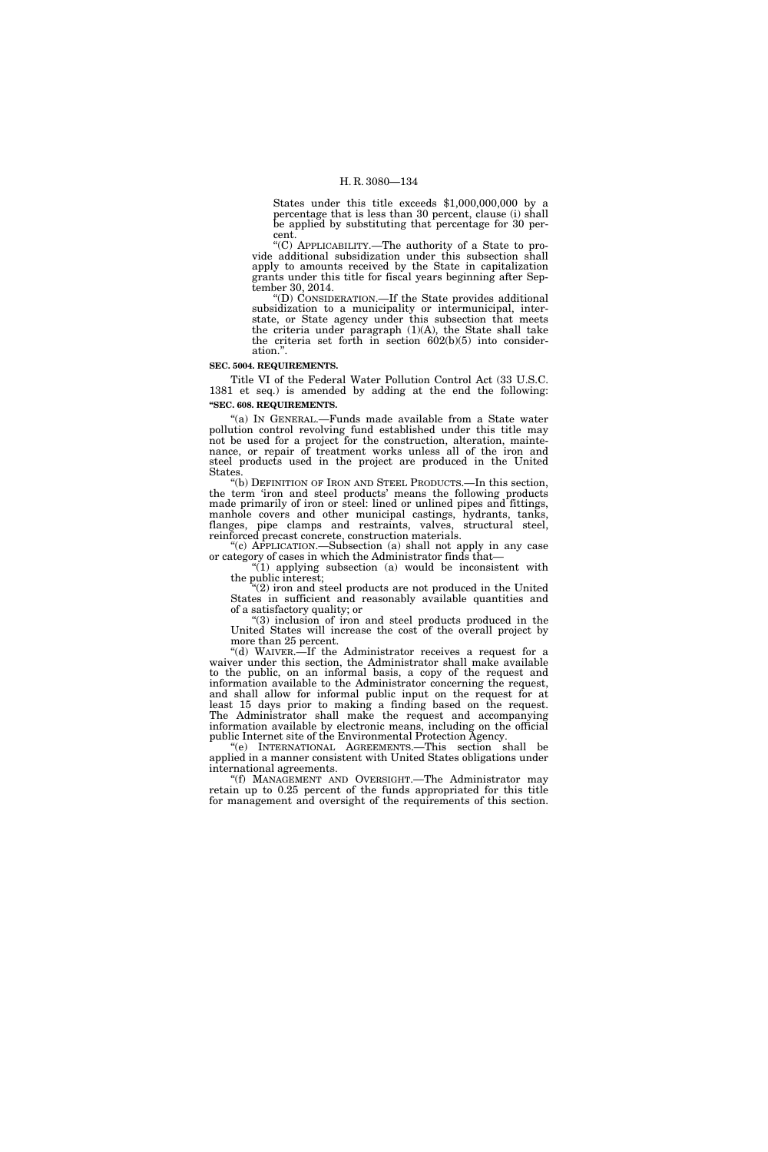States under this title exceeds \$1,000,000,000 by a percentage that is less than 30 percent, clause (i) shall be applied by substituting that percentage for 30 percent.

''(C) APPLICABILITY.—The authority of a State to provide additional subsidization under this subsection shall apply to amounts received by the State in capitalization grants under this title for fiscal years beginning after September 30, 2014.

''(D) CONSIDERATION.—If the State provides additional subsidization to a municipality or intermunicipal, interstate, or State agency under this subsection that meets the criteria under paragraph (1)(A), the State shall take the criteria set forth in section 602(b)(5) into consideration.''.

#### **SEC. 5004. REQUIREMENTS.**

Title VI of the Federal Water Pollution Control Act (33 U.S.C. 1381 et seq.) is amended by adding at the end the following: **''SEC. 608. REQUIREMENTS.** 

''(a) IN GENERAL.—Funds made available from a State water pollution control revolving fund established under this title may not be used for a project for the construction, alteration, maintenance, or repair of treatment works unless all of the iron and steel products used in the project are produced in the United States.

''(b) DEFINITION OF IRON AND STEEL PRODUCTS.—In this section, the term 'iron and steel products' means the following products made primarily of iron or steel: lined or unlined pipes and fittings, manhole covers and other municipal castings, hydrants, tanks, flanges, pipe clamps and restraints, valves, structural steel, reinforced precast concrete, construction materials.

''(c) APPLICATION.—Subsection (a) shall not apply in any case or category of cases in which the Administrator finds that—

''(1) applying subsection (a) would be inconsistent with the public interest;

 $(2)$  iron and steel products are not produced in the United States in sufficient and reasonably available quantities and of a satisfactory quality; or

''(3) inclusion of iron and steel products produced in the United States will increase the cost of the overall project by more than 25 percent.

"(d) WAIVER.—If the Administrator receives a request for a waiver under this section, the Administrator shall make available to the public, on an informal basis, a copy of the request and information available to the Administrator concerning the request, and shall allow for informal public input on the request for at least 15 days prior to making a finding based on the request. The Administrator shall make the request and accompanying information available by electronic means, including on the official public Internet site of the Environmental Protection Agency.

''(e) INTERNATIONAL AGREEMENTS.—This section shall be applied in a manner consistent with United States obligations under international agreements.

''(f) MANAGEMENT AND OVERSIGHT.—The Administrator may retain up to 0.25 percent of the funds appropriated for this title for management and oversight of the requirements of this section.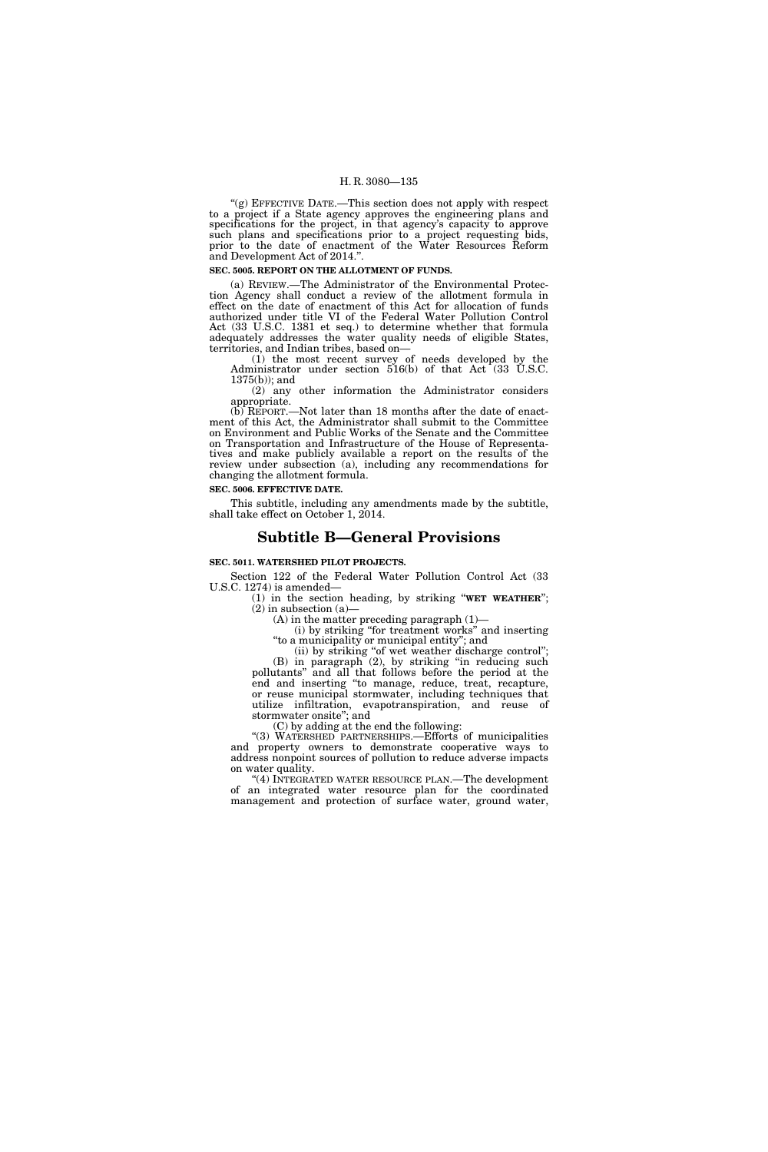"(g) EFFECTIVE DATE.—This section does not apply with respect to a project if a State agency approves the engineering plans and specifications for the project, in that agency's capacity to approve such plans and specifications prior to a project requesting bids, prior to the date of enactment of the Water Resources Reform and Development Act of 2014.''.

#### **SEC. 5005. REPORT ON THE ALLOTMENT OF FUNDS.**

(a) REVIEW.—The Administrator of the Environmental Protection Agency shall conduct a review of the allotment formula in effect on the date of enactment of this Act for allocation of funds authorized under title VI of the Federal Water Pollution Control Act (33 U.S.C. 1381 et seq.) to determine whether that formula adequately addresses the water quality needs of eligible States, territories, and Indian tribes, based on—

(1) the most recent survey of needs developed by the Administrator under section 516(b) of that Act (33 U.S.C. 1375(b)); and

(2) any other information the Administrator considers appropriate.

(b) REPORT.—Not later than 18 months after the date of enactment of this Act, the Administrator shall submit to the Committee on Environment and Public Works of the Senate and the Committee on Transportation and Infrastructure of the House of Representatives and make publicly available a report on the results of the review under subsection (a), including any recommendations for changing the allotment formula.

#### **SEC. 5006. EFFECTIVE DATE.**

This subtitle, including any amendments made by the subtitle, shall take effect on October 1, 2014.

## **Subtitle B—General Provisions**

## **SEC. 5011. WATERSHED PILOT PROJECTS.**

Section 122 of the Federal Water Pollution Control Act (33 U.S.C. 1274) is amended—

(1) in the section heading, by striking ''**WET WEATHER**'';  $(2)$  in subsection  $(a)$ —

(A) in the matter preceding paragraph (1)—

(i) by striking ''for treatment works'' and inserting ''to a municipality or municipal entity''; and

(ii) by striking ''of wet weather discharge control''; (B) in paragraph (2), by striking ''in reducing such pollutants'' and all that follows before the period at the end and inserting ''to manage, reduce, treat, recapture, or reuse municipal stormwater, including techniques that utilize infiltration, evapotranspiration, and reuse of stormwater onsite''; and

(C) by adding at the end the following:

''(3) WATERSHED PARTNERSHIPS.—Efforts of municipalities and property owners to demonstrate cooperative ways to address nonpoint sources of pollution to reduce adverse impacts on water quality.

''(4) INTEGRATED WATER RESOURCE PLAN.—The development of an integrated water resource plan for the coordinated management and protection of surface water, ground water,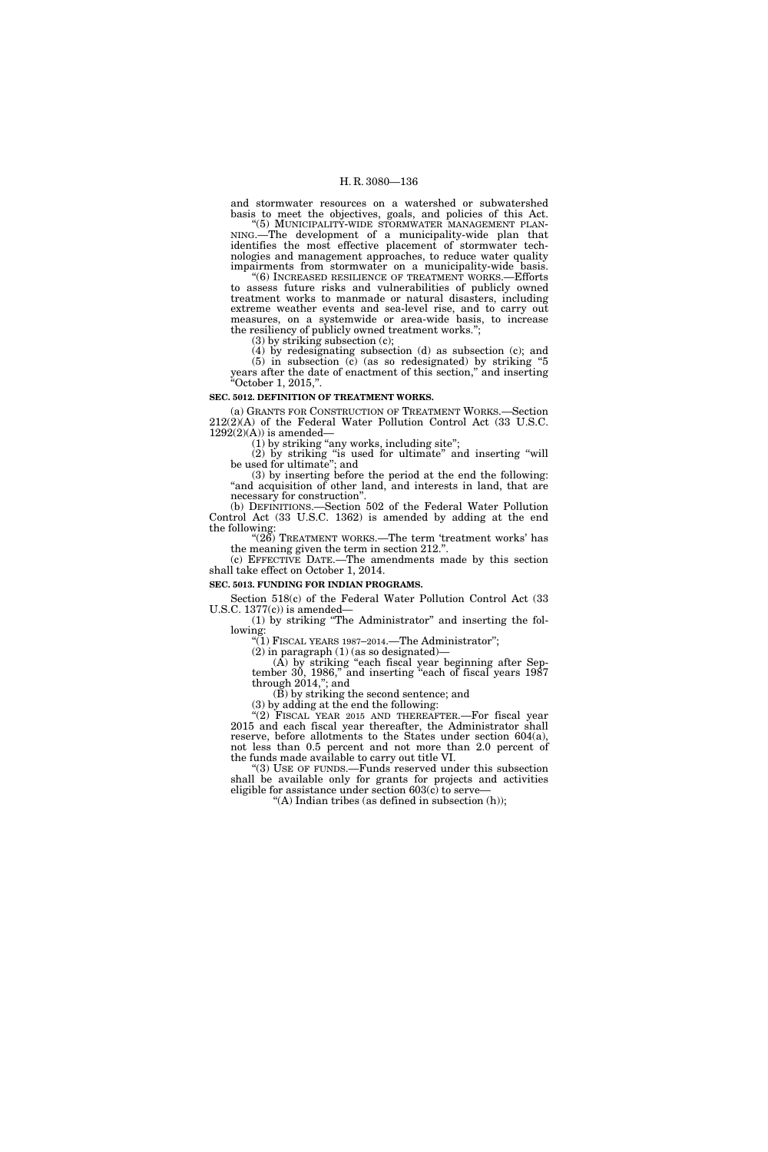and stormwater resources on a watershed or subwatershed basis to meet the objectives, goals, and policies of this Act.<br>"(5) MUNICIPALITY-WIDE STORMWATER MANAGEMENT PLAN-

NING.—The development of a municipality-wide plan that identifies the most effective placement of stormwater technologies and management approaches, to reduce water quality impairments from stormwater on a municipality-wide basis.

''(6) INCREASED RESILIENCE OF TREATMENT WORKS.—Efforts to assess future risks and vulnerabilities of publicly owned treatment works to manmade or natural disasters, including extreme weather events and sea-level rise, and to carry out measures, on a systemwide or area-wide basis, to increase the resiliency of publicly owned treatment works.'';

(3) by striking subsection (c);

(4) by redesignating subsection (d) as subsection (c); and  $(5)$  in subsection  $(6)$  (as so redesignated) by striking "5 years after the date of enactment of this section,'' and inserting ''October 1, 2015,''.

#### **SEC. 5012. DEFINITION OF TREATMENT WORKS.**

(a) GRANTS FOR CONSTRUCTION OF TREATMENT WORKS.—Section 212(2)(A) of the Federal Water Pollution Control Act (33 U.S.C.  $1292(2)(A)$  is amended—

(1) by striking "any works, including site";

(2) by striking ''is used for ultimate'' and inserting ''will be used for ultimate''; and

(3) by inserting before the period at the end the following: "and acquisition of other land, and interests in land, that are necessary for construction''.

(b) DEFINITIONS.—Section 502 of the Federal Water Pollution Control Act (33 U.S.C. 1362) is amended by adding at the end the following:

"(26) TREATMENT WORKS.—The term 'treatment works' has the meaning given the term in section 212.

(c) EFFECTIVE DATE.—The amendments made by this section shall take effect on October 1, 2014.

#### **SEC. 5013. FUNDING FOR INDIAN PROGRAMS.**

Section 518(c) of the Federal Water Pollution Control Act (33 U.S.C. 1377(c)) is amended— (1) by striking ''The Administrator'' and inserting the fol-

lowing:

 $\widetilde{H(1)}$  FISCAL YEARS 1987–2014.—The Administrator";

 $(2)$  in paragraph  $(1)$  (as so designated)-

(A) by striking ''each fiscal year beginning after September 30, 1986,'' and inserting ''each of fiscal years 1987 through 2014,''; and

 $(\breve{B})$  by striking the second sentence; and

(3) by adding at the end the following:

"(2) FISCAL YEAR 2015 AND THEREAFTER. For fiscal year 2015 and each fiscal year thereafter, the Administrator shall reserve, before allotments to the States under section 604(a), not less than 0.5 percent and not more than 2.0 percent of the funds made available to carry out title VI.

''(3) USE OF FUNDS.—Funds reserved under this subsection shall be available only for grants for projects and activities eligible for assistance under section  $603(c)$  to serve-

"(A) Indian tribes (as defined in subsection  $(h)$ );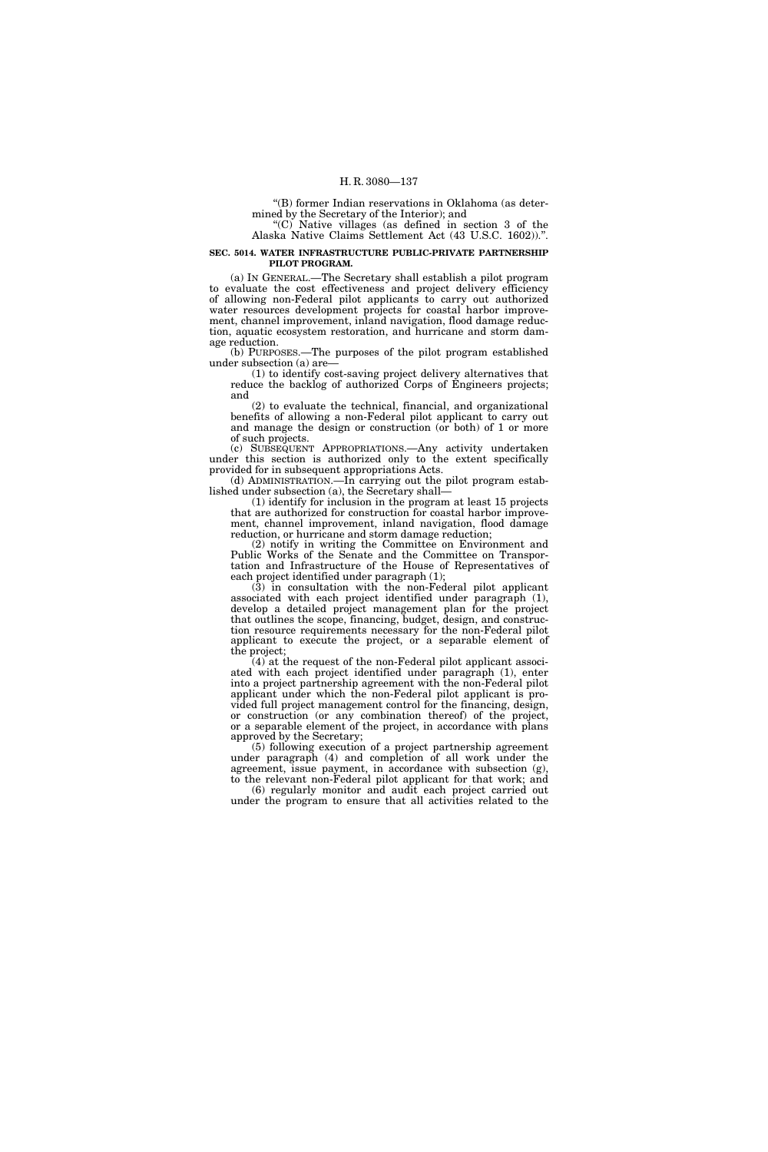''(B) former Indian reservations in Oklahoma (as determined by the Secretary of the Interior); and

" $(C)$  Native villages (as defined in section 3 of the Alaska Native Claims Settlement Act (43 U.S.C. 1602)).''.

#### **SEC. 5014. WATER INFRASTRUCTURE PUBLIC-PRIVATE PARTNERSHIP PILOT PROGRAM.**

(a) IN GENERAL.—The Secretary shall establish a pilot program to evaluate the cost effectiveness and project delivery efficiency of allowing non-Federal pilot applicants to carry out authorized water resources development projects for coastal harbor improvement, channel improvement, inland navigation, flood damage reduction, aquatic ecosystem restoration, and hurricane and storm damage reduction.

(b) PURPOSES.—The purposes of the pilot program established under subsection (a) are—

(1) to identify cost-saving project delivery alternatives that reduce the backlog of authorized Corps of Engineers projects; and

(2) to evaluate the technical, financial, and organizational benefits of allowing a non-Federal pilot applicant to carry out and manage the design or construction (or both) of 1 or more of such projects.

(c) SUBSEQUENT APPROPRIATIONS.—Any activity undertaken under this section is authorized only to the extent specifically provided for in subsequent appropriations Acts.

(d) ADMINISTRATION.—In carrying out the pilot program established under subsection (a), the Secretary shall—

(1) identify for inclusion in the program at least 15 projects that are authorized for construction for coastal harbor improvement, channel improvement, inland navigation, flood damage reduction, or hurricane and storm damage reduction;

(2) notify in writing the Committee on Environment and Public Works of the Senate and the Committee on Transportation and Infrastructure of the House of Representatives of each project identified under paragraph (1);

(3) in consultation with the non-Federal pilot applicant associated with each project identified under paragraph (1), develop a detailed project management plan for the project that outlines the scope, financing, budget, design, and construction resource requirements necessary for the non-Federal pilot applicant to execute the project, or a separable element of the project;

(4) at the request of the non-Federal pilot applicant associated with each project identified under paragraph (1), enter into a project partnership agreement with the non-Federal pilot applicant under which the non-Federal pilot applicant is provided full project management control for the financing, design, or construction (or any combination thereof) of the project, or a separable element of the project, in accordance with plans approved by the Secretary;

(5) following execution of a project partnership agreement under paragraph (4) and completion of all work under the agreement, issue payment, in accordance with subsection (g), to the relevant non-Federal pilot applicant for that work; and (6) regularly monitor and audit each project carried out under the program to ensure that all activities related to the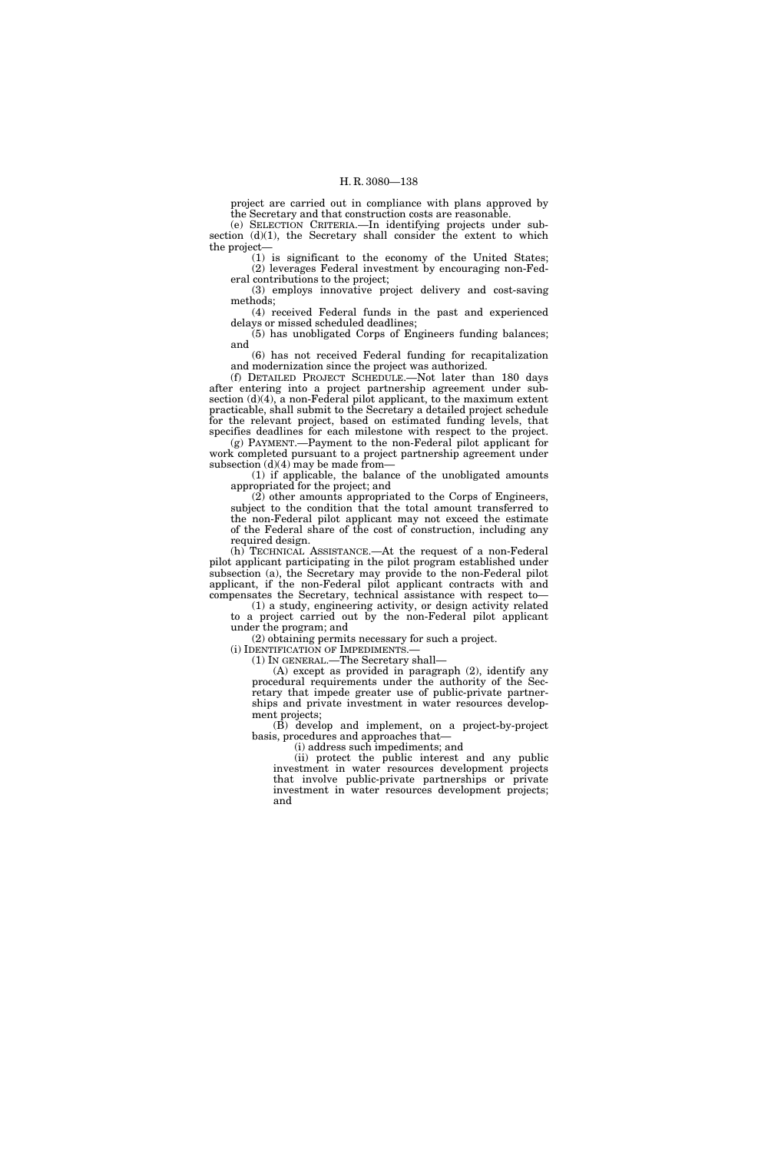project are carried out in compliance with plans approved by the Secretary and that construction costs are reasonable.

(e) SELECTION CRITERIA.—In identifying projects under subsection (d)(1), the Secretary shall consider the extent to which the project—

(1) is significant to the economy of the United States; (2) leverages Federal investment by encouraging non-Federal contributions to the project;

(3) employs innovative project delivery and cost-saving methods;

(4) received Federal funds in the past and experienced delays or missed scheduled deadlines;

(5) has unobligated Corps of Engineers funding balances; and (6) has not received Federal funding for recapitalization

and modernization since the project was authorized.

(f) DETAILED PROJECT SCHEDULE.—Not later than 180 days after entering into a project partnership agreement under subsection (d)(4), a non-Federal pilot applicant, to the maximum extent practicable, shall submit to the Secretary a detailed project schedule for the relevant project, based on estimated funding levels, that specifies deadlines for each milestone with respect to the project.

(g) PAYMENT.—Payment to the non-Federal pilot applicant for work completed pursuant to a project partnership agreement under subsection  $(d)(4)$  may be made from—

(1) if applicable, the balance of the unobligated amounts appropriated for the project; and

(2) other amounts appropriated to the Corps of Engineers, subject to the condition that the total amount transferred to the non-Federal pilot applicant may not exceed the estimate of the Federal share of the cost of construction, including any required design.

(h) TECHNICAL ASSISTANCE.—At the request of a non-Federal pilot applicant participating in the pilot program established under subsection (a), the Secretary may provide to the non-Federal pilot applicant, if the non-Federal pilot applicant contracts with and compensates the Secretary, technical assistance with respect to—

(1) a study, engineering activity, or design activity related to a project carried out by the non-Federal pilot applicant under the program; and

(2) obtaining permits necessary for such a project.

(i) IDENTIFICATION OF IMPEDIMENTS.—

(1) IN GENERAL.—The Secretary shall—

(A) except as provided in paragraph (2), identify any procedural requirements under the authority of the Secretary that impede greater use of public-private partnerships and private investment in water resources development projects;

(B) develop and implement, on a project-by-project basis, procedures and approaches that—

(i) address such impediments; and

(ii) protect the public interest and any public investment in water resources development projects that involve public-private partnerships or private investment in water resources development projects; and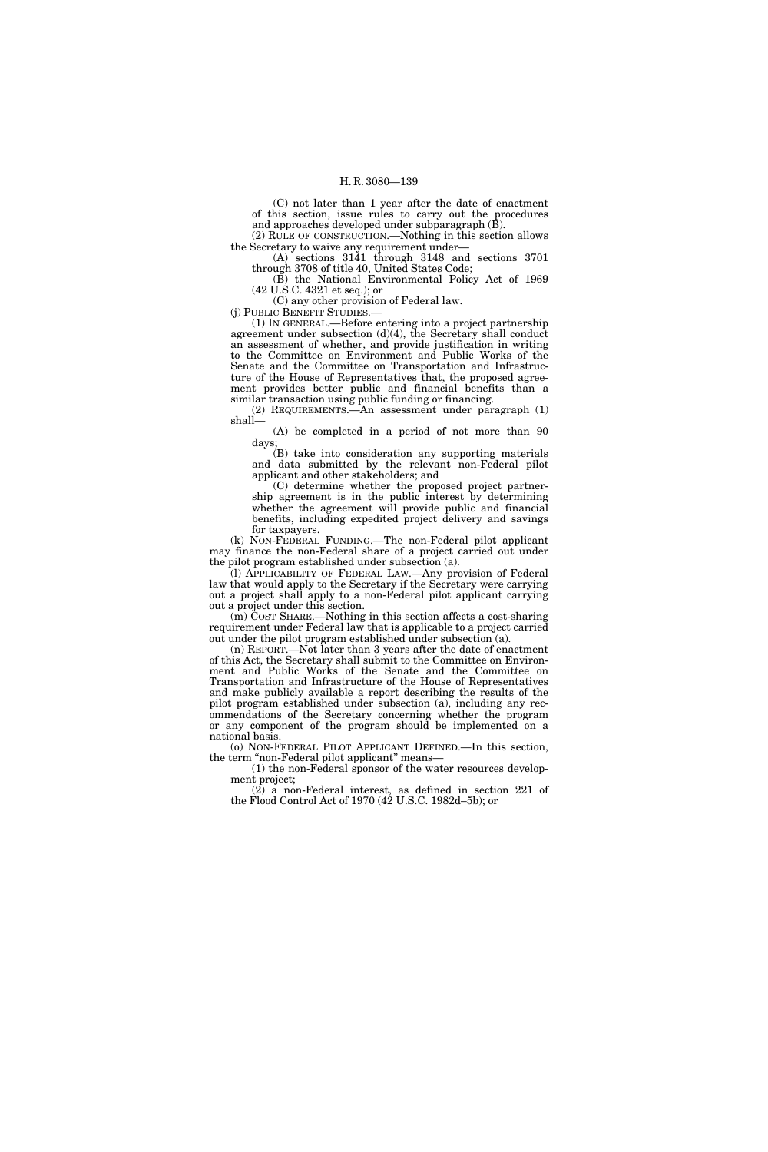(C) not later than 1 year after the date of enactment of this section, issue rules to carry out the procedures and approaches developed under subparagraph (B).

(2) RULE OF CONSTRUCTION.—Nothing in this section allows the Secretary to waive any requirement under—

(A) sections 3141 through 3148 and sections 3701 through 3708 of title 40, United States Code;

(B) the National Environmental Policy Act of 1969 (42 U.S.C. 4321 et seq.); or

(C) any other provision of Federal law.

(j) PUBLIC BENEFIT STUDIES.—

(1) IN GENERAL.—Before entering into a project partnership agreement under subsection (d)(4), the Secretary shall conduct an assessment of whether, and provide justification in writing to the Committee on Environment and Public Works of the Senate and the Committee on Transportation and Infrastructure of the House of Representatives that, the proposed agreement provides better public and financial benefits than a similar transaction using public funding or financing.

(2) REQUIREMENTS.—An assessment under paragraph (1) shall—

(A) be completed in a period of not more than 90 days;

(B) take into consideration any supporting materials and data submitted by the relevant non-Federal pilot applicant and other stakeholders; and

(C) determine whether the proposed project partnership agreement is in the public interest by determining whether the agreement will provide public and financial benefits, including expedited project delivery and savings for taxpayers.

(k) NON-FEDERAL FUNDING.—The non-Federal pilot applicant may finance the non-Federal share of a project carried out under the pilot program established under subsection (a).

(l) APPLICABILITY OF FEDERAL LAW.—Any provision of Federal law that would apply to the Secretary if the Secretary were carrying out a project shall apply to a non-Federal pilot applicant carrying out a project under this section.

(m) COST SHARE.—Nothing in this section affects a cost-sharing requirement under Federal law that is applicable to a project carried out under the pilot program established under subsection (a).

(n) REPORT.—Not later than 3 years after the date of enactment of this Act, the Secretary shall submit to the Committee on Environment and Public Works of the Senate and the Committee on Transportation and Infrastructure of the House of Representatives and make publicly available a report describing the results of the pilot program established under subsection (a), including any recommendations of the Secretary concerning whether the program or any component of the program should be implemented on a national basis.

(o) NON-FEDERAL PILOT APPLICANT DEFINED.—In this section, the term "non-Federal pilot applicant" means-

(1) the non-Federal sponsor of the water resources development project;

(2) a non-Federal interest, as defined in section 221 of the Flood Control Act of 1970 (42 U.S.C. 1982d–5b); or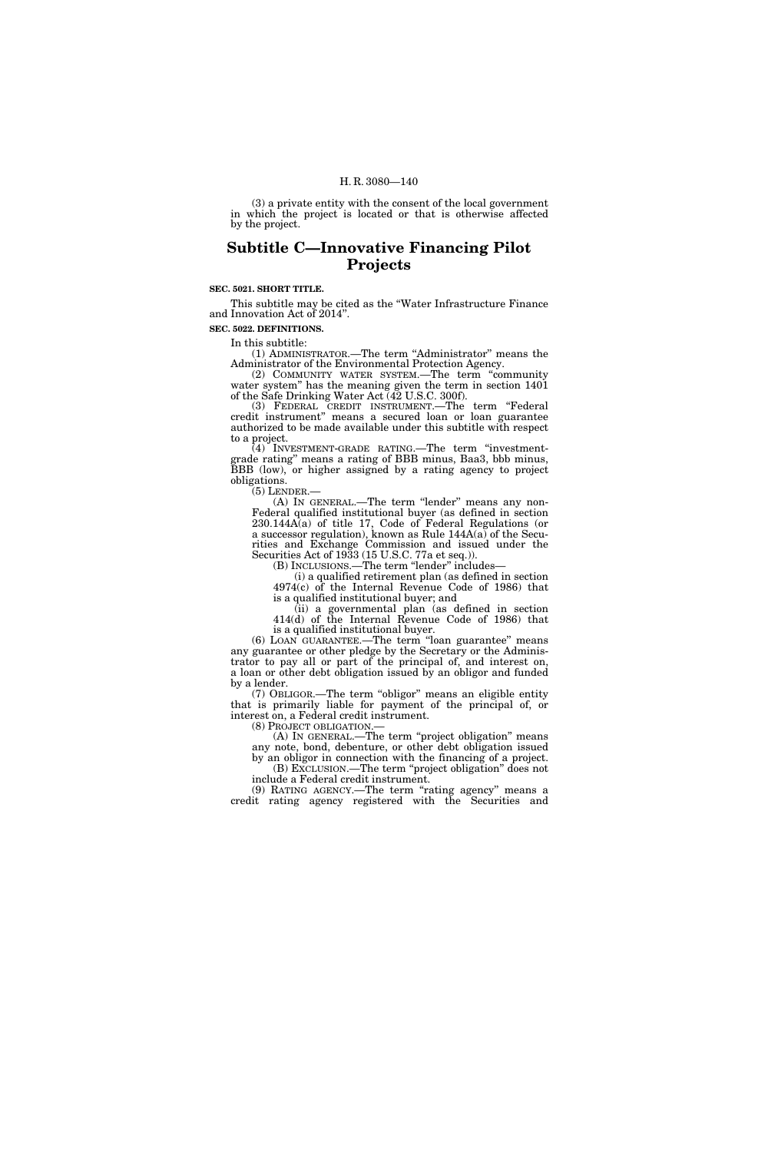(3) a private entity with the consent of the local government in which the project is located or that is otherwise affected by the project.

# **Subtitle C—Innovative Financing Pilot Projects**

## **SEC. 5021. SHORT TITLE.**

This subtitle may be cited as the ''Water Infrastructure Finance and Innovation Act of 2014''.

**SEC. 5022. DEFINITIONS.** 

In this subtitle:

(1) ADMINISTRATOR.—The term ''Administrator'' means the Administrator of the Environmental Protection Agency.

(2) COMMUNITY WATER SYSTEM.—The term ''community water system'' has the meaning given the term in section 1401 of the Safe Drinking Water Act (42 U.S.C. 300f).

(3) FEDERAL CREDIT INSTRUMENT.—The term ''Federal credit instrument'' means a secured loan or loan guarantee authorized to be made available under this subtitle with respect to a project.

(4) INVESTMENT-GRADE RATING.—The term ''investmentgrade rating'' means a rating of BBB minus, Baa3, bbb minus, grade rating means a rating of  $L_{\text{max}}$ ,  $\frac{1}{2}$ ,  $\frac{1}{2}$ ,  $\frac{1}{2}$ ,  $\frac{1}{2}$ ,  $\frac{1}{2}$ ,  $\frac{1}{2}$ ,  $\frac{1}{2}$ ,  $\frac{1}{2}$ ,  $\frac{1}{2}$ ,  $\frac{1}{2}$ ,  $\frac{1}{2}$ ,  $\frac{1}{2}$ ,  $\frac{1}{2}$ ,  $\frac{1}{2}$ ,  $\frac{1}{2}$ ,  $\frac{1}{2}$ ,  $\frac{$ obligations.<br>(5) LENDER.-

 $(A)$  In GENERAL.—The term "lender" means any non-Federal qualified institutional buyer (as defined in section 230.144A(a) of title 17, Code of Federal Regulations (or a successor regulation), known as Rule  $144A(a)$  of the Securities and Exchange Commission and issued under the Securities Act of 1933 (15 U.S.C. 77a et seq.)).

(B) INCLUSIONS.—The term ''lender'' includes—

(i) a qualified retirement plan (as defined in section 4974(c) of the Internal Revenue Code of 1986) that is a qualified institutional buyer; and

(ii) a governmental plan (as defined in section 414(d) of the Internal Revenue Code of 1986) that is a qualified institutional buyer.

(6) LOAN GUARANTEE.—The term ''loan guarantee'' means any guarantee or other pledge by the Secretary or the Administrator to pay all or part of the principal of, and interest on, a loan or other debt obligation issued by an obligor and funded by a lender.

(7) OBLIGOR.—The term ''obligor'' means an eligible entity that is primarily liable for payment of the principal of, or interest on, a Federal credit instrument.

(8) PROJECT OBLIGATION.—

(A) IN GENERAL.—The term ''project obligation'' means any note, bond, debenture, or other debt obligation issued by an obligor in connection with the financing of a project. (B) EXCLUSION.—The term ''project obligation'' does not include a Federal credit instrument.

(9) RATING AGENCY.—The term "rating agency" means a credit rating agency registered with the Securities and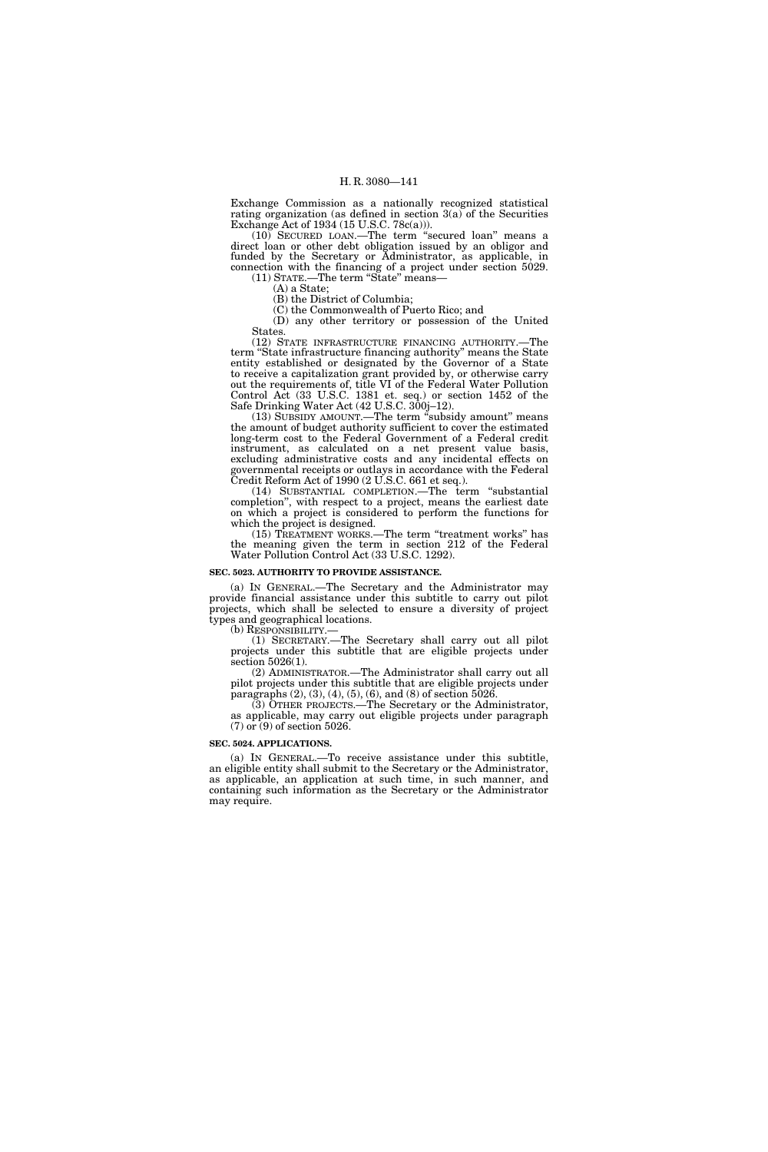Exchange Commission as a nationally recognized statistical rating organization (as defined in section 3(a) of the Securities Exchange Act of 1934 (15 U.S.C. 78c(a))).

(10) SECURED LOAN.—The term ''secured loan'' means a direct loan or other debt obligation issued by an obligor and funded by the Secretary or Administrator, as applicable, in connection with the financing of a project under section 5029.

(11) STATE.—The term "State" means-

(A) a State;

(B) the District of Columbia;

(C) the Commonwealth of Puerto Rico; and (D) any other territory or possession of the United States.

(12) STATE INFRASTRUCTURE FINANCING AUTHORITY.—The term ''State infrastructure financing authority'' means the State entity established or designated by the Governor of a State to receive a capitalization grant provided by, or otherwise carry out the requirements of, title VI of the Federal Water Pollution Control Act (33 U.S.C. 1381 et. seq.) or section 1452 of the Safe Drinking Water Act (42 U.S.C. 300j–12).

(13) SUBSIDY AMOUNT.—The term ''subsidy amount'' means the amount of budget authority sufficient to cover the estimated long-term cost to the Federal Government of a Federal credit instrument, as calculated on a net present value basis, excluding administrative costs and any incidental effects on governmental receipts or outlays in accordance with the Federal Credit Reform Act of 1990 (2 U.S.C. 661 et seq.).

(14) SUBSTANTIAL COMPLETION.—The term "substantial completion'', with respect to a project, means the earliest date on which a project is considered to perform the functions for which the project is designed.

(15) TREATMENT WORKS.—The term ''treatment works'' has the meaning given the term in section 212 of the Federal Water Pollution Control Act (33 U.S.C. 1292).

## **SEC. 5023. AUTHORITY TO PROVIDE ASSISTANCE.**

(a) IN GENERAL.—The Secretary and the Administrator may provide financial assistance under this subtitle to carry out pilot projects, which shall be selected to ensure a diversity of project types and geographical locations.

(b) RESPONSIBILITY.—

(1) SECRETARY.—The Secretary shall carry out all pilot projects under this subtitle that are eligible projects under section 5026(1).

(2) ADMINISTRATOR.—The Administrator shall carry out all pilot projects under this subtitle that are eligible projects under paragraphs  $(2)$ ,  $(3)$ ,  $(4)$ ,  $(5)$ ,  $(6)$ , and  $(8)$  of section  $5026$ .

(3) OTHER PROJECTS.—The Secretary or the Administrator, as applicable, may carry out eligible projects under paragraph (7) or (9) of section 5026.

### **SEC. 5024. APPLICATIONS.**

(a) IN GENERAL.—To receive assistance under this subtitle, an eligible entity shall submit to the Secretary or the Administrator, as applicable, an application at such time, in such manner, and containing such information as the Secretary or the Administrator may require.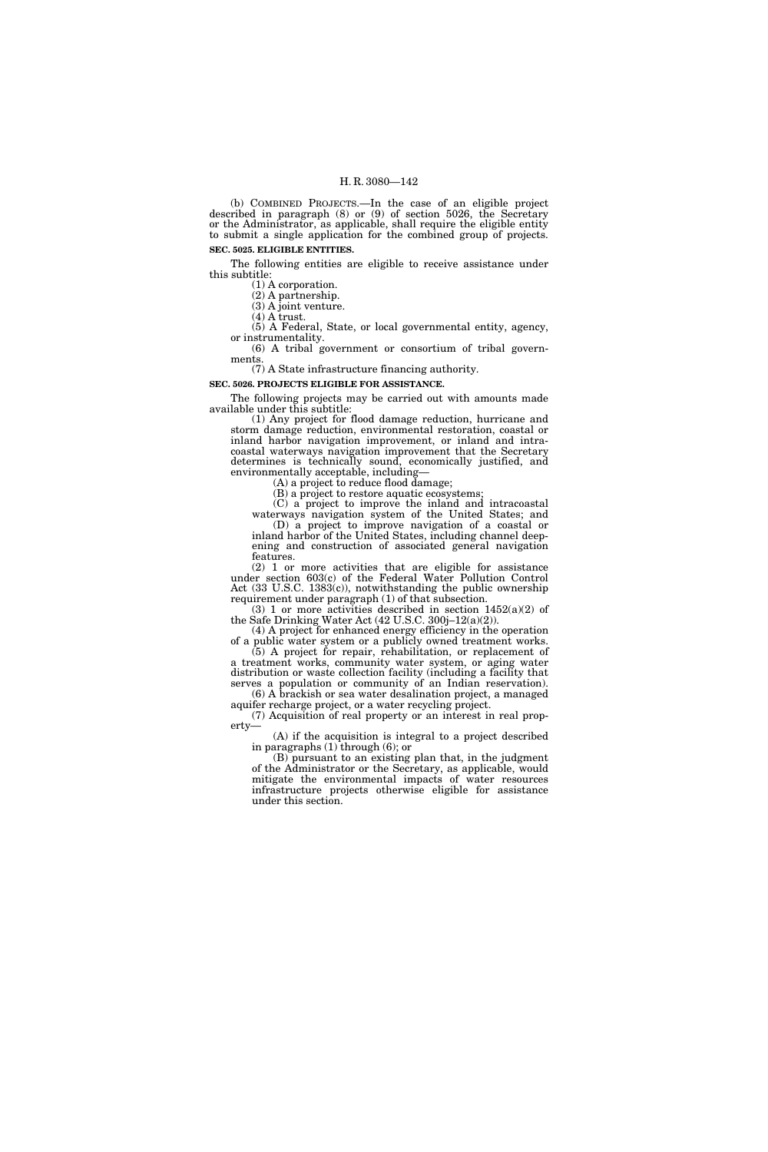(b) COMBINED PROJECTS.—In the case of an eligible project described in paragraph (8) or (9) of section 5026, the Secretary or the Administrator, as applicable, shall require the eligible entity to submit a single application for the combined group of projects. **SEC. 5025. ELIGIBLE ENTITIES.** 

The following entities are eligible to receive assistance under this subtitle:

(1) A corporation.

(2) A partnership. (3) A joint venture.

(4) A trust.

(5) A Federal, State, or local governmental entity, agency, or instrumentality.

(6) A tribal government or consortium of tribal governments.

(7) A State infrastructure financing authority.

**SEC. 5026. PROJECTS ELIGIBLE FOR ASSISTANCE.** 

The following projects may be carried out with amounts made available under this subtitle:

(1) Any project for flood damage reduction, hurricane and storm damage reduction, environmental restoration, coastal or inland harbor navigation improvement, or inland and intracoastal waterways navigation improvement that the Secretary determines is technically sound, economically justified, and environmentally acceptable, including—

(A) a project to reduce flood damage;

(B) a project to restore aquatic ecosystems;

(C) a project to improve the inland and intracoastal waterways navigation system of the United States; and (D) a project to improve navigation of a coastal or inland harbor of the United States, including channel deep-

ening and construction of associated general navigation features. (2) 1 or more activities that are eligible for assistance

under section 603(c) of the Federal Water Pollution Control Act (33 U.S.C. 1383(c)), notwithstanding the public ownership requirement under paragraph (1) of that subsection.

(3) 1 or more activities described in section  $1452(a)(2)$  of the Safe Drinking Water Act (42 U.S.C. 300j–12(a)(2)).

(4) A project for enhanced energy efficiency in the operation of a public water system or a publicly owned treatment works. (5) A project for repair, rehabilitation, or replacement of

a treatment works, community water system, or aging water distribution or waste collection facility (including a facility that serves a population or community of an Indian reservation). (6) A brackish or sea water desalination project, a managed

aquifer recharge project, or a water recycling project. (7) Acquisition of real property or an interest in real property—

(A) if the acquisition is integral to a project described in paragraphs (1) through (6); or

(B) pursuant to an existing plan that, in the judgment of the Administrator or the Secretary, as applicable, would mitigate the environmental impacts of water resources infrastructure projects otherwise eligible for assistance under this section.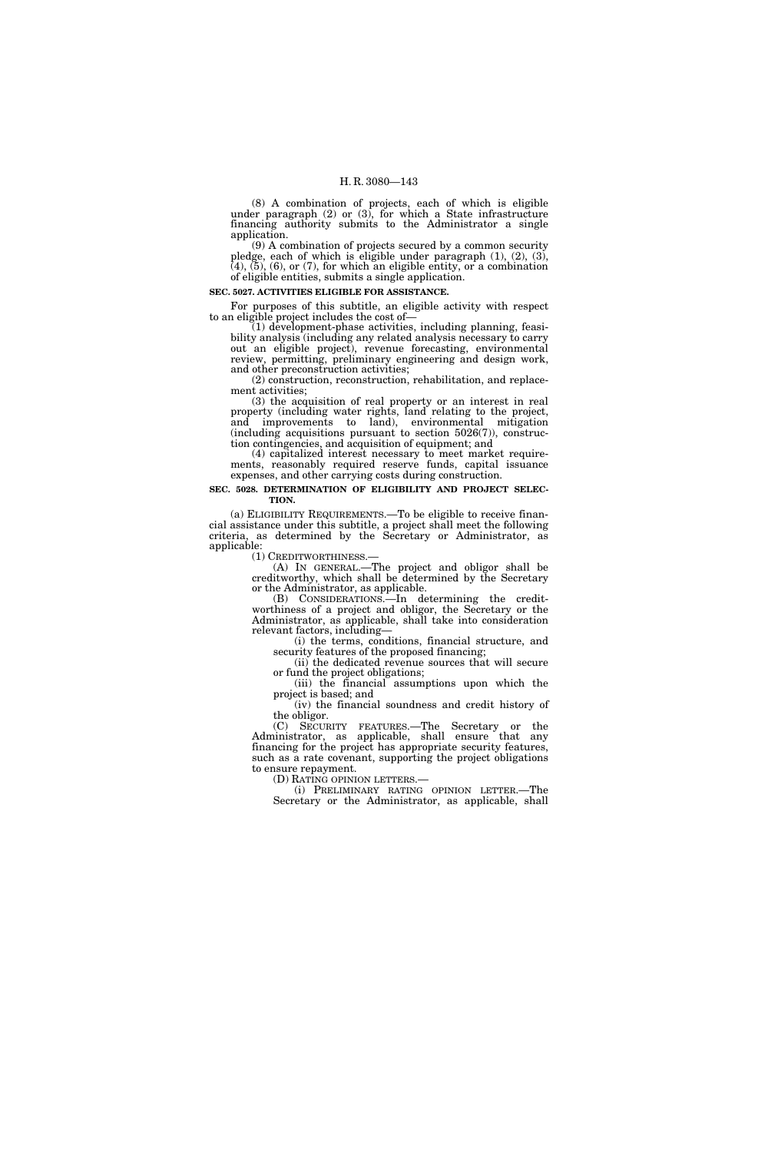(8) A combination of projects, each of which is eligible under paragraph  $(2)$  or  $(3)$ , for which a State infrastructure financing authority submits to the Administrator a single application.

(9) A combination of projects secured by a common security pledge, each of which is eligible under paragraph (1), (2), (3),  $(4)$ ,  $(5)$ ,  $(6)$ , or  $(7)$ , for which an eligible entity, or a combination of eligible entities, submits a single application.

## **SEC. 5027. ACTIVITIES ELIGIBLE FOR ASSISTANCE.**

For purposes of this subtitle, an eligible activity with respect to an eligible project includes the cost of—

(1) development-phase activities, including planning, feasibility analysis (including any related analysis necessary to carry out an eligible project), revenue forecasting, environmental review, permitting, preliminary engineering and design work, and other preconstruction activities;

(2) construction, reconstruction, rehabilitation, and replacement activities;

(3) the acquisition of real property or an interest in real property (including water rights, land relating to the project, and improvements to land), environmental mitigation (including acquisitions pursuant to section 5026(7)), construction contingencies, and acquisition of equipment; and

(4) capitalized interest necessary to meet market requirements, reasonably required reserve funds, capital issuance expenses, and other carrying costs during construction.

#### **SEC. 5028. DETERMINATION OF ELIGIBILITY AND PROJECT SELEC-TION.**

(a) ELIGIBILITY REQUIREMENTS.—To be eligible to receive financial assistance under this subtitle, a project shall meet the following criteria, as determined by the Secretary or Administrator, as  $appliedbe:$   $(1)$  CREDITWORTHINESS.

 $(A)$  In GENERAL.—The project and obligor shall be creditworthy, which shall be determined by the Secretary or the Administrator, as applicable.

(B) CONSIDERATIONS.—In determining the creditworthiness of a project and obligor, the Secretary or the Administrator, as applicable, shall take into consideration relevant factors, including—

(i) the terms, conditions, financial structure, and security features of the proposed financing;

(ii) the dedicated revenue sources that will secure or fund the project obligations;

(iii) the financial assumptions upon which the project is based; and

(iv) the financial soundness and credit history of the obligor.

(C) SECURITY FEATURES.—The Secretary or the Administrator, as applicable, shall ensure that any financing for the project has appropriate security features, such as a rate covenant, supporting the project obligations to ensure repayment.

(D) RATING OPINION LETTERS.— (i) PRELIMINARY RATING OPINION LETTER.—The Secretary or the Administrator, as applicable, shall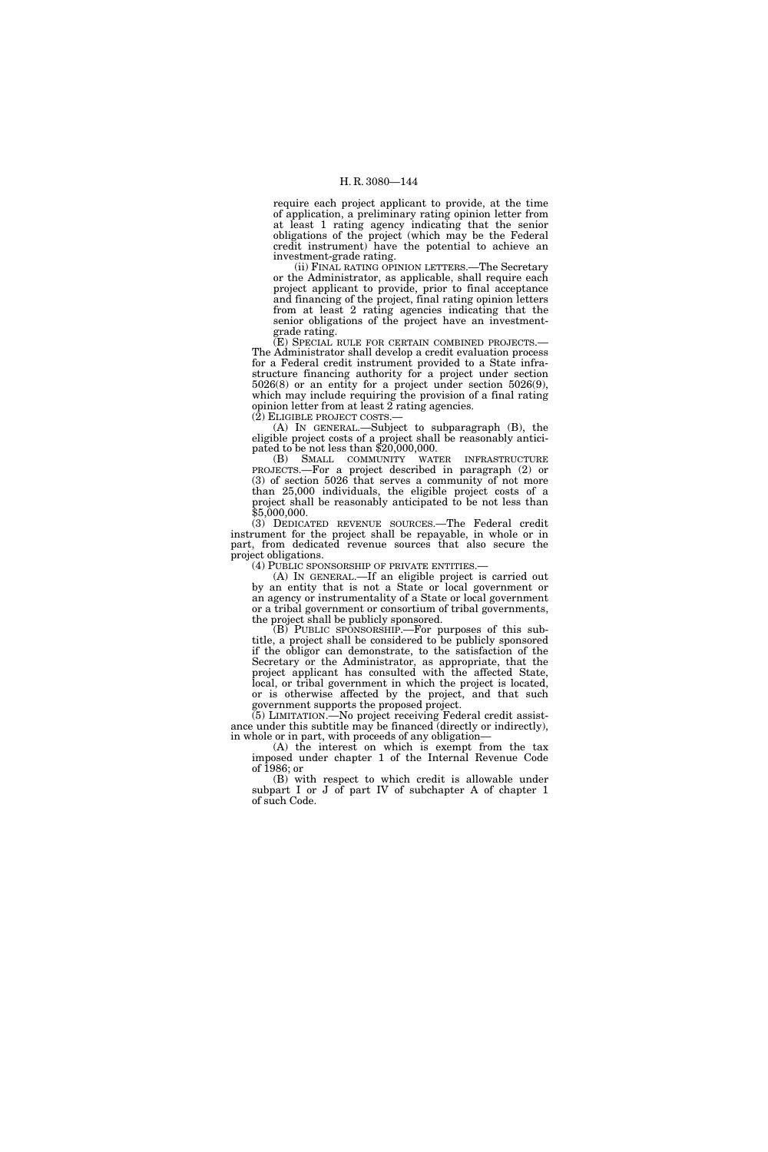require each project applicant to provide, at the time of application, a preliminary rating opinion letter from at least 1 rating agency indicating that the senior obligations of the project (which may be the Federal credit instrument) have the potential to achieve an investment-grade rating.

(ii) FINAL RATING OPINION LETTERS.—The Secretary or the Administrator, as applicable, shall require each project applicant to provide, prior to final acceptance and financing of the project, final rating opinion letters from at least 2 rating agencies indicating that the senior obligations of the project have an investmentgrade rating.

(E) SPECIAL RULE FOR CERTAIN COMBINED PROJECTS.— The Administrator shall develop a credit evaluation process for a Federal credit instrument provided to a State infrastructure financing authority for a project under section 5026(8) or an entity for a project under section 5026(9), which may include requiring the provision of a final rating opinion letter from at least 2 rating agencies.  $(2)$  ELIGIBLE PROJECT COSTS.

(A) IN GENERAL.—Subject to subparagraph (B), the eligible project costs of a project shall be reasonably anticipated to be not less than \$20,000,000.

(B) SMALL COMMUNITY WATER INFRASTRUCTURE PROJECTS.—For a project described in paragraph (2) or (3) of section 5026 that serves a community of not more than 25,000 individuals, the eligible project costs of a project shall be reasonably anticipated to be not less than \$5,000,000.

(3) DEDICATED REVENUE SOURCES.—The Federal credit instrument for the project shall be repayable, in whole or in part, from dedicated revenue sources that also secure the project obligations.<br>(4) PUBLIC SPONSORSHIP OF PRIVATE ENTITIES.—

(A) IN GENERAL.—If an eligible project is carried out by an entity that is not a State or local government or an agency or instrumentality of a State or local government or a tribal government or consortium of tribal governments, the project shall be publicly sponsored.

(B) PUBLIC SPONSORSHIP.—For purposes of this subtitle, a project shall be considered to be publicly sponsored if the obligor can demonstrate, to the satisfaction of the Secretary or the Administrator, as appropriate, that the project applicant has consulted with the affected State, local, or tribal government in which the project is located, or is otherwise affected by the project, and that such government supports the proposed project.

(5) LIMITATION.—No project receiving Federal credit assistance under this subtitle may be financed (directly or indirectly), in whole or in part, with proceeds of any obligation—

(A) the interest on which is exempt from the tax imposed under chapter 1 of the Internal Revenue Code of 1986; or

(B) with respect to which credit is allowable under subpart I or J of part IV of subchapter A of chapter 1 of such Code.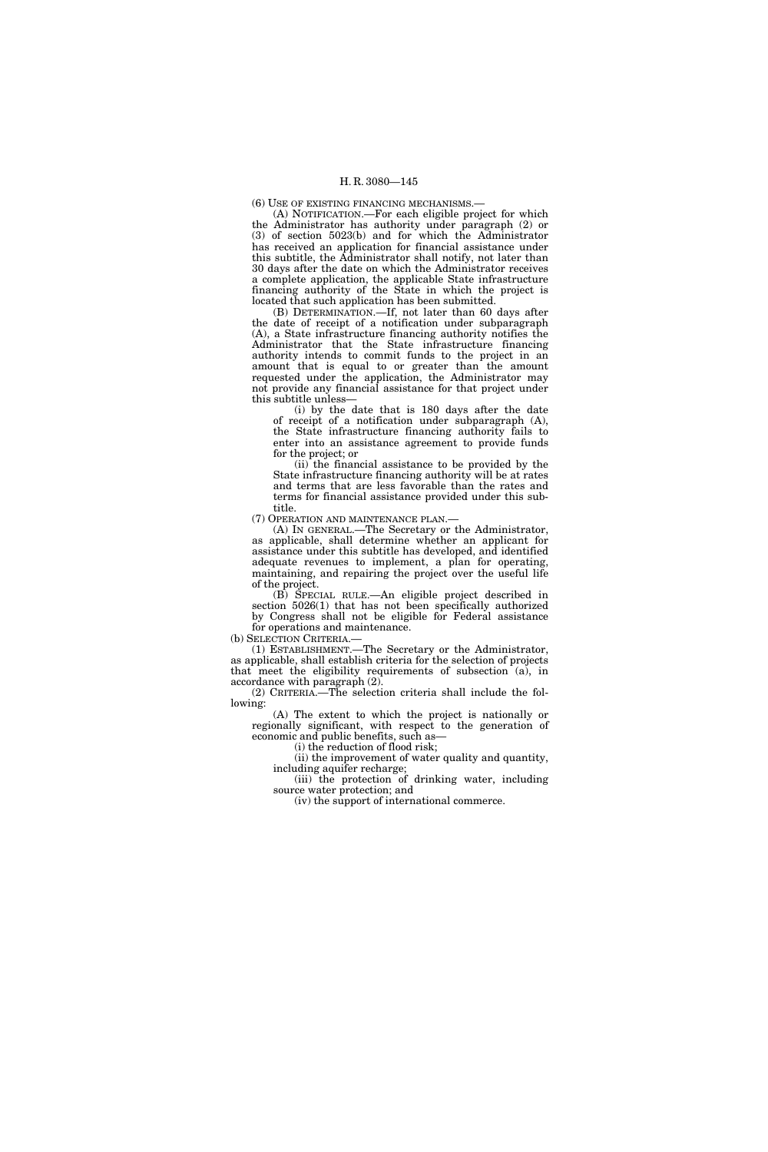(6) USE OF EXISTING FINANCING MECHANISMS.—

(A) NOTIFICATION.—For each eligible project for which the Administrator has authority under paragraph (2) or (3) of section 5023(b) and for which the Administrator has received an application for financial assistance under this subtitle, the Administrator shall notify, not later than 30 days after the date on which the Administrator receives a complete application, the applicable State infrastructure financing authority of the State in which the project is located that such application has been submitted.

(B) DETERMINATION.—If, not later than 60 days after the date of receipt of a notification under subparagraph (A), a State infrastructure financing authority notifies the Administrator that the State infrastructure financing authority intends to commit funds to the project in an amount that is equal to or greater than the amount requested under the application, the Administrator may not provide any financial assistance for that project under this subtitle unless—

(i) by the date that is 180 days after the date of receipt of a notification under subparagraph (A), the State infrastructure financing authority fails to enter into an assistance agreement to provide funds for the project; or

(ii) the financial assistance to be provided by the State infrastructure financing authority will be at rates and terms that are less favorable than the rates and terms for financial assistance provided under this subtitle.

(7) OPERATION AND MAINTENANCE PLAN.—

(A) IN GENERAL.—The Secretary or the Administrator, as applicable, shall determine whether an applicant for assistance under this subtitle has developed, and identified adequate revenues to implement, a plan for operating, maintaining, and repairing the project over the useful life of the project.

(B) SPECIAL RULE.—An eligible project described in section 5026(1) that has not been specifically authorized by Congress shall not be eligible for Federal assistance for operations and maintenance.

(b) SELECTION CRITERIA.—

(1) ESTABLISHMENT.—The Secretary or the Administrator, as applicable, shall establish criteria for the selection of projects that meet the eligibility requirements of subsection (a), in accordance with paragraph (2).

(2) CRITERIA.—The selection criteria shall include the following:

(A) The extent to which the project is nationally or regionally significant, with respect to the generation of economic and public benefits, such as—

(i) the reduction of flood risk;

(ii) the improvement of water quality and quantity, including aquifer recharge;

(iii) the protection of drinking water, including source water protection; and

(iv) the support of international commerce.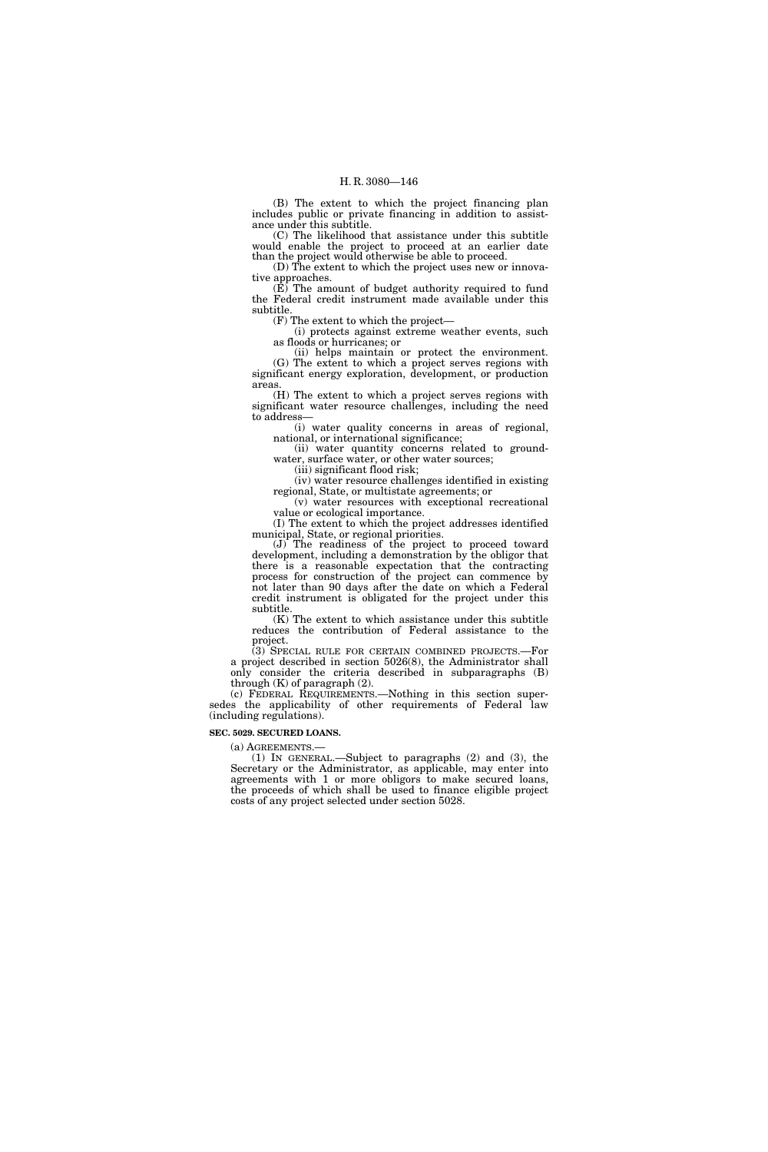(B) The extent to which the project financing plan includes public or private financing in addition to assistance under this subtitle.

(C) The likelihood that assistance under this subtitle would enable the project to proceed at an earlier date than the project would otherwise be able to proceed.

(D) The extent to which the project uses new or innovative approaches.

 $(E)$  The amount of budget authority required to fund the Federal credit instrument made available under this subtitle.

(F) The extent to which the project—

(i) protects against extreme weather events, such as floods or hurricanes; or

(ii) helps maintain or protect the environment. (G) The extent to which a project serves regions with significant energy exploration, development, or production areas.

(H) The extent to which a project serves regions with significant water resource challenges, including the need to address—

(i) water quality concerns in areas of regional, national, or international significance;

(ii) water quantity concerns related to groundwater, surface water, or other water sources;

(iii) significant flood risk;

(iv) water resource challenges identified in existing regional, State, or multistate agreements; or

(v) water resources with exceptional recreational value or ecological importance.

(I) The extent to which the project addresses identified municipal, State, or regional priorities.

(J) The readiness of the project to proceed toward development, including a demonstration by the obligor that there is a reasonable expectation that the contracting process for construction of the project can commence by not later than 90 days after the date on which a Federal credit instrument is obligated for the project under this subtitle.

(K) The extent to which assistance under this subtitle reduces the contribution of Federal assistance to the project.

(3) SPECIAL RULE FOR CERTAIN COMBINED PROJECTS.—For a project described in section 5026(8), the Administrator shall only consider the criteria described in subparagraphs (B) through (K) of paragraph (2).

(c) FEDERAL REQUIREMENTS.—Nothing in this section supersedes the applicability of other requirements of Federal law (including regulations).

**SEC. 5029. SECURED LOANS.** 

(a) AGREEMENTS.—<br>(1) IN GENERAL.—Subject to paragraphs (2) and (3), the Secretary or the Administrator, as applicable, may enter into agreements with 1 or more obligors to make secured loans, the proceeds of which shall be used to finance eligible project costs of any project selected under section 5028.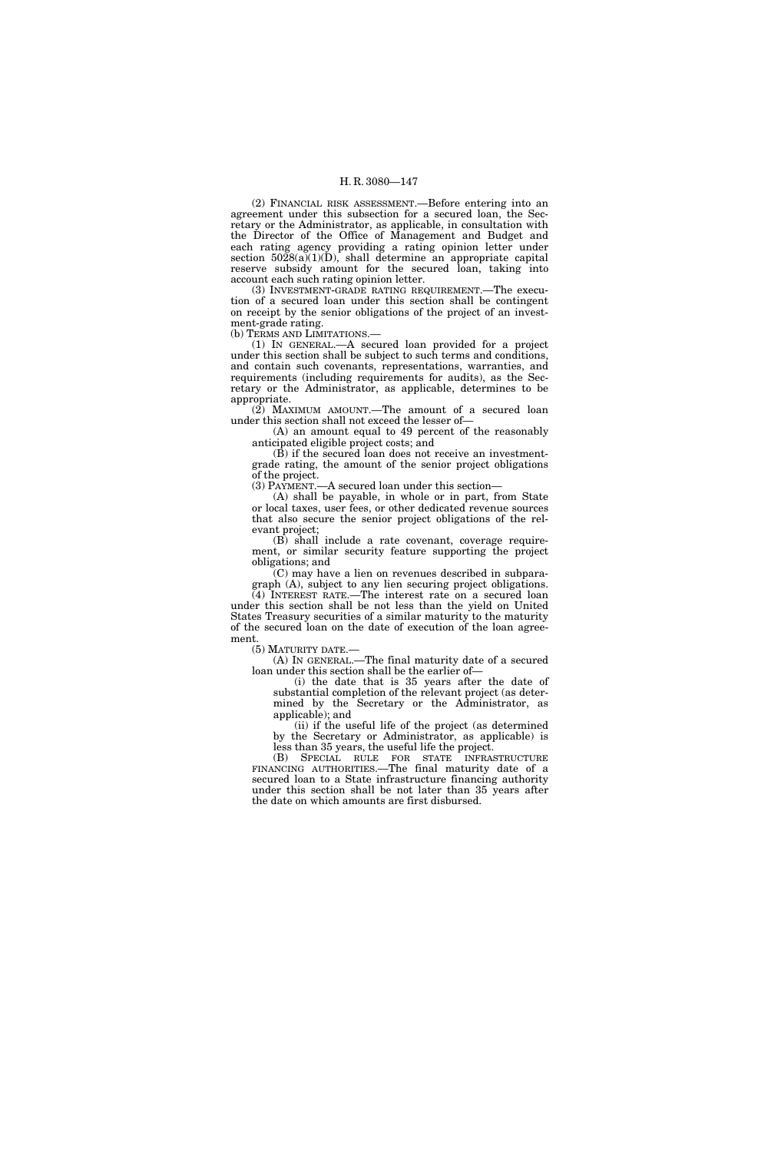(2) FINANCIAL RISK ASSESSMENT.—Before entering into an agreement under this subsection for a secured loan, the Secretary or the Administrator, as applicable, in consultation with the Director of the Office of Management and Budget and each rating agency providing a rating opinion letter under section  $5028(a)(1)(D)$ , shall determine an appropriate capital reserve subsidy amount for the secured loan, taking into account each such rating opinion letter.

(3) INVESTMENT-GRADE RATING REQUIREMENT.—The execution of a secured loan under this section shall be contingent on receipt by the senior obligations of the project of an investment-grade rating.

(b) TERMS AND LIMITATIONS.—

(1) IN GENERAL.—A secured loan provided for a project under this section shall be subject to such terms and conditions, and contain such covenants, representations, warranties, and requirements (including requirements for audits), as the Secretary or the Administrator, as applicable, determines to be appropriate.

(2) MAXIMUM AMOUNT.—The amount of a secured loan under this section shall not exceed the lesser of—

(A) an amount equal to 49 percent of the reasonably anticipated eligible project costs; and

(B) if the secured loan does not receive an investmentgrade rating, the amount of the senior project obligations of the project.

(3) PAYMENT.—A secured loan under this section—

(A) shall be payable, in whole or in part, from State or local taxes, user fees, or other dedicated revenue sources that also secure the senior project obligations of the relevant project;

(B) shall include a rate covenant, coverage requirement, or similar security feature supporting the project obligations; and

(C) may have a lien on revenues described in subparagraph (A), subject to any lien securing project obligations.

(4) INTEREST RATE.—The interest rate on a secured loan under this section shall be not less than the yield on United States Treasury securities of a similar maturity to the maturity of the secured loan on the date of execution of the loan agreement.

(5) MATURITY DATE.—

(A) IN GENERAL.—The final maturity date of a secured loan under this section shall be the earlier of—

(i) the date that is 35 years after the date of substantial completion of the relevant project (as determined by the Secretary or the Administrator, as applicable); and

(ii) if the useful life of the project (as determined by the Secretary or Administrator, as applicable) is less than 35 years, the useful life the project.

(B) SPECIAL RULE FOR STATE INFRASTRUCTURE FINANCING AUTHORITIES.—The final maturity date of a secured loan to a State infrastructure financing authority under this section shall be not later than 35 years after the date on which amounts are first disbursed.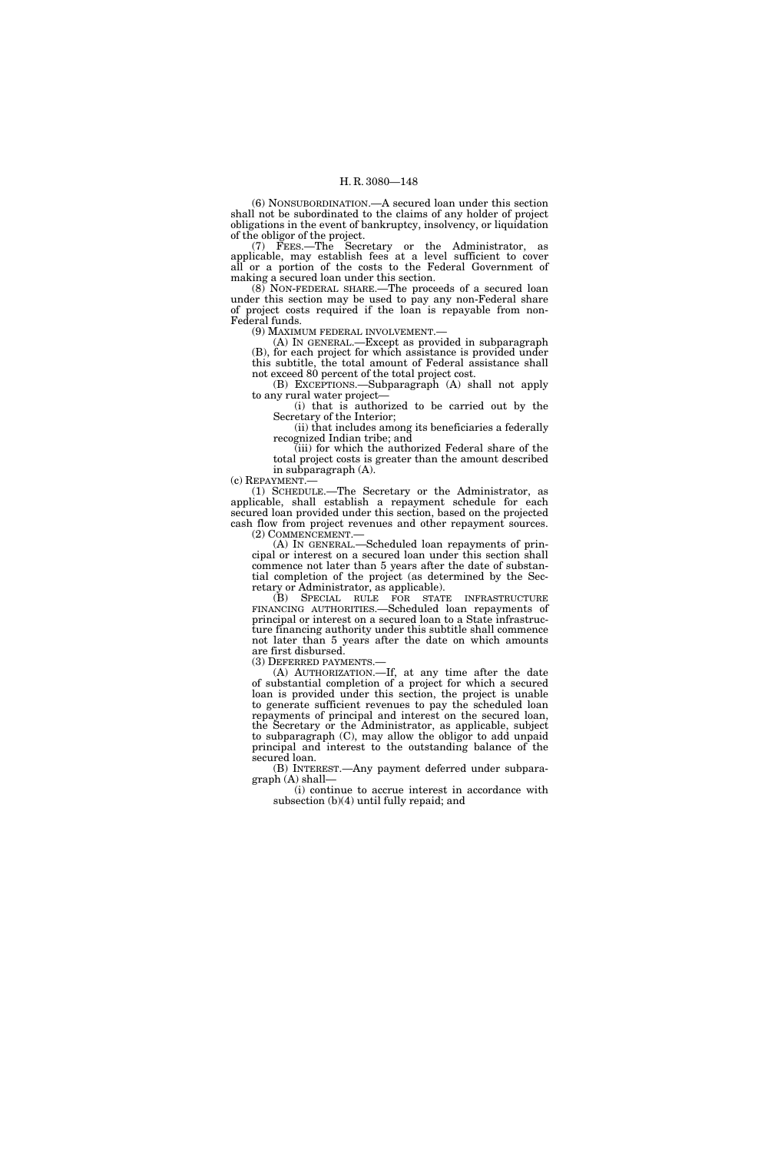(6) NONSUBORDINATION.—A secured loan under this section shall not be subordinated to the claims of any holder of project obligations in the event of bankruptcy, insolvency, or liquidation of the obligor of the project.

(7) FEES.—The Secretary or the Administrator, as applicable, may establish fees at a level sufficient to cover all or a portion of the costs to the Federal Government of making a secured loan under this section.

(8) NON-FEDERAL SHARE.—The proceeds of a secured loan under this section may be used to pay any non-Federal share of project costs required if the loan is repayable from non-Federal funds.

(9) MAXIMUM FEDERAL INVOLVEMENT.—

(A) IN GENERAL.—Except as provided in subparagraph (B), for each project for which assistance is provided under this subtitle, the total amount of Federal assistance shall not exceed 80 percent of the total project cost.

(B) EXCEPTIONS.—Subparagraph (A) shall not apply to any rural water project—

(i) that is authorized to be carried out by the Secretary of the Interior;

(ii) that includes among its beneficiaries a federally recognized Indian tribe; and

(iii) for which the authorized Federal share of the total project costs is greater than the amount described in subparagraph (A).<br>(c) REPAYMENT.—

(1) SCHEDULE.—The Secretary or the Administrator, as applicable, shall establish a repayment schedule for each secured loan provided under this section, based on the projected cash flow from project revenues and other repayment sources.

(2) COMMENCEMENT.—

(A) IN GENERAL.—Scheduled loan repayments of principal or interest on a secured loan under this section shall commence not later than 5 years after the date of substantial completion of the project (as determined by the Secretary or Administrator, as applicable).

(B) SPECIAL RULE FOR STATE INFRASTRUCTURE FINANCING AUTHORITIES.—Scheduled loan repayments of principal or interest on a secured loan to a State infrastructure financing authority under this subtitle shall commence not later than 5 years after the date on which amounts are first disbursed.

(3) DEFERRED PAYMENTS.—

(A) AUTHORIZATION.—If, at any time after the date of substantial completion of a project for which a secured loan is provided under this section, the project is unable to generate sufficient revenues to pay the scheduled loan repayments of principal and interest on the secured loan, the Secretary or the Administrator, as applicable, subject to subparagraph (C), may allow the obligor to add unpaid principal and interest to the outstanding balance of the secured loan.

(B) INTEREST.—Any payment deferred under subparagraph (A) shall—

(i) continue to accrue interest in accordance with subsection (b)(4) until fully repaid; and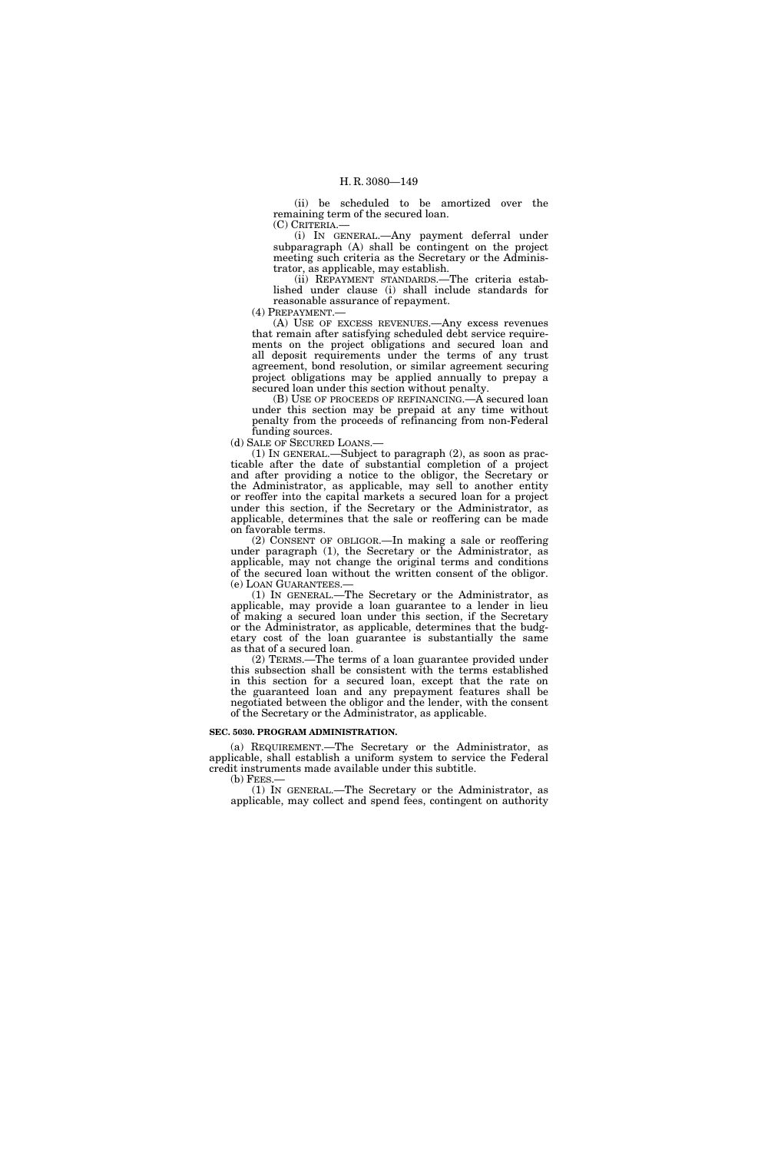(ii) be scheduled to be amortized over the remaining term of the secured loan. (C) CRITERIA.—

(i) IN GENERAL.—Any payment deferral under subparagraph (A) shall be contingent on the project meeting such criteria as the Secretary or the Adminis-

trator, as applicable, may establish. (ii) REPAYMENT STANDARDS.—The criteria established under clause (i) shall include standards for reasonable assurance of repayment.

(4) PREPAYMENT.—

(A) USE OF EXCESS REVENUES.—Any excess revenues that remain after satisfying scheduled debt service requirements on the project obligations and secured loan and all deposit requirements under the terms of any trust agreement, bond resolution, or similar agreement securing project obligations may be applied annually to prepay a secured loan under this section without penalty.

(B) USE OF PROCEEDS OF REFINANCING.—A secured loan under this section may be prepaid at any time without penalty from the proceeds of refinancing from non-Federal funding sources.

(d) SALE OF SECURED LOANS.—

(1) IN GENERAL.—Subject to paragraph (2), as soon as practicable after the date of substantial completion of a project and after providing a notice to the obligor, the Secretary or the Administrator, as applicable, may sell to another entity or reoffer into the capital markets a secured loan for a project under this section, if the Secretary or the Administrator, as applicable, determines that the sale or reoffering can be made on favorable terms.

(2) CONSENT OF OBLIGOR.—In making a sale or reoffering under paragraph (1), the Secretary or the Administrator, as applicable, may not change the original terms and conditions of the secured loan without the written consent of the obligor. (e) LOAN GUARANTEES.—

(1) IN GENERAL.—The Secretary or the Administrator, as applicable, may provide a loan guarantee to a lender in lieu of making a secured loan under this section, if the Secretary or the Administrator, as applicable, determines that the budgetary cost of the loan guarantee is substantially the same as that of a secured loan.

(2) TERMS.—The terms of a loan guarantee provided under this subsection shall be consistent with the terms established in this section for a secured loan, except that the rate on the guaranteed loan and any prepayment features shall be negotiated between the obligor and the lender, with the consent of the Secretary or the Administrator, as applicable.

#### **SEC. 5030. PROGRAM ADMINISTRATION.**

(a) REQUIREMENT.—The Secretary or the Administrator, as applicable, shall establish a uniform system to service the Federal credit instruments made available under this subtitle.

 $(b)$  FEES.

(1) IN GENERAL.—The Secretary or the Administrator, as applicable, may collect and spend fees, contingent on authority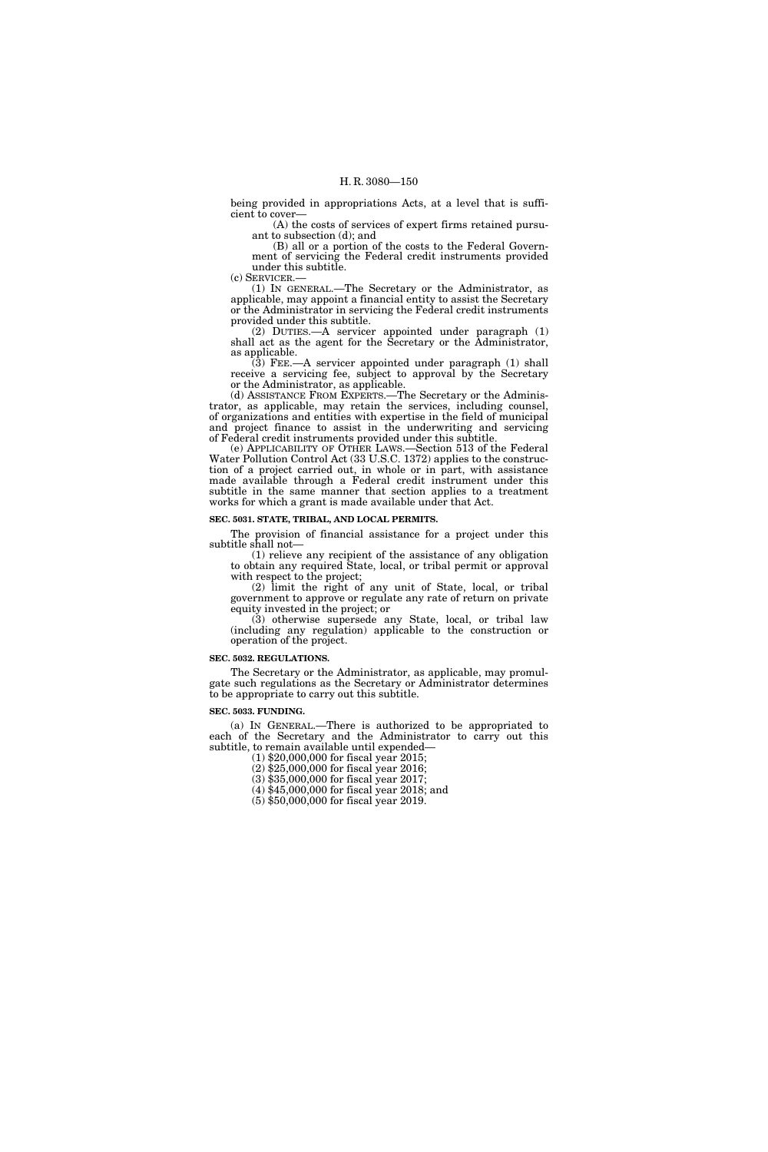being provided in appropriations Acts, at a level that is sufficient to cover—

(A) the costs of services of expert firms retained pursuant to subsection (d); and

(B) all or a portion of the costs to the Federal Government of servicing the Federal credit instruments provided under this subtitle.

(c) SERVICER.— (1) IN GENERAL.—The Secretary or the Administrator, as applicable, may appoint a financial entity to assist the Secretary

or the Administrator in servicing the Federal credit instruments provided under this subtitle. (2) DUTIES.—A servicer appointed under paragraph (1)

shall act as the agent for the Secretary or the Administrator, as applicable.

(3) FEE.—A servicer appointed under paragraph (1) shall receive a servicing fee, subject to approval by the Secretary or the Administrator, as applicable.

(d) ASSISTANCE FROM EXPERTS.—The Secretary or the Administrator, as applicable, may retain the services, including counsel, of organizations and entities with expertise in the field of municipal and project finance to assist in the underwriting and servicing of Federal credit instruments provided under this subtitle.

(e) APPLICABILITY OF OTHER LAWS.—Section 513 of the Federal Water Pollution Control Act (33 U.S.C. 1372) applies to the construction of a project carried out, in whole or in part, with assistance made available through a Federal credit instrument under this subtitle in the same manner that section applies to a treatment works for which a grant is made available under that Act.

## **SEC. 5031. STATE, TRIBAL, AND LOCAL PERMITS.**

The provision of financial assistance for a project under this subtitle shall not—

(1) relieve any recipient of the assistance of any obligation to obtain any required State, local, or tribal permit or approval with respect to the project;

(2) limit the right of any unit of State, local, or tribal government to approve or regulate any rate of return on private equity invested in the project; or

(3) otherwise supersede any State, local, or tribal law (including any regulation) applicable to the construction or operation of the project.

#### **SEC. 5032. REGULATIONS.**

The Secretary or the Administrator, as applicable, may promulgate such regulations as the Secretary or Administrator determines to be appropriate to carry out this subtitle.

#### **SEC. 5033. FUNDING.**

(a) IN GENERAL.—There is authorized to be appropriated to each of the Secretary and the Administrator to carry out this subtitle, to remain available until expended—

(1) \$20,000,000 for fiscal year 2015;

(2) \$25,000,000 for fiscal year 2016;

(3) \$35,000,000 for fiscal year 2017;

(4) \$45,000,000 for fiscal year 2018; and

(5) \$50,000,000 for fiscal year 2019.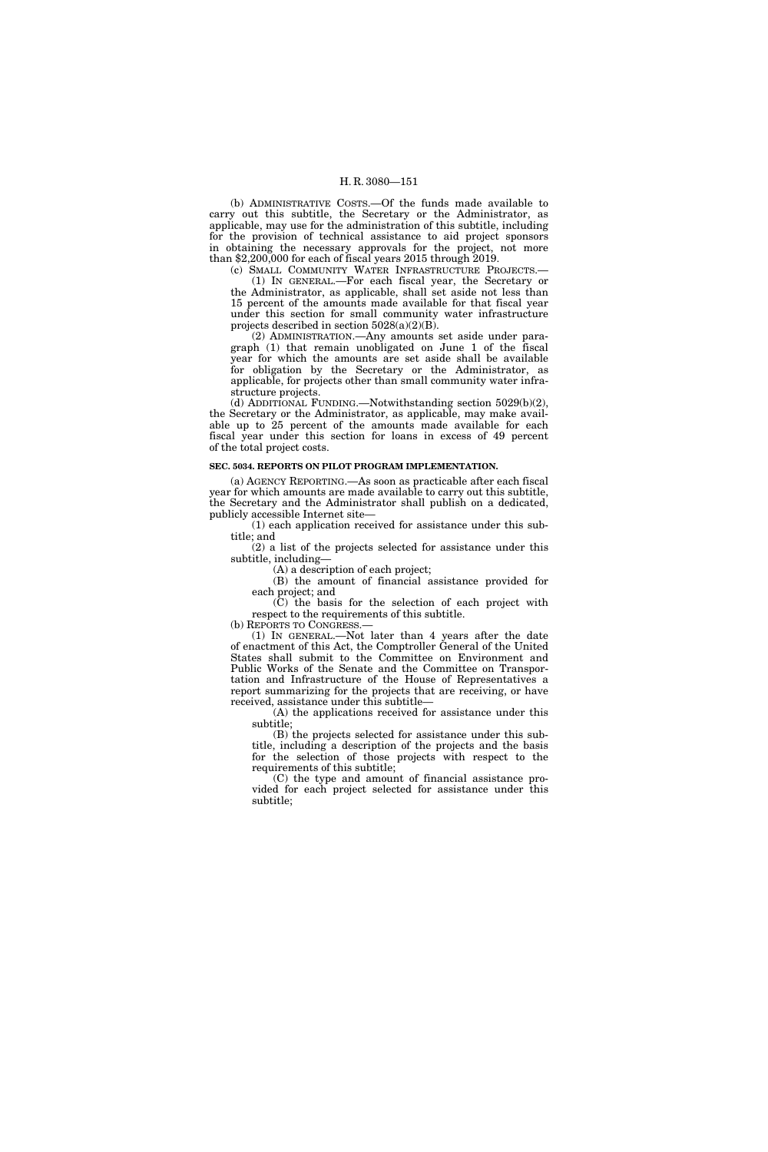(b) ADMINISTRATIVE COSTS.—Of the funds made available to carry out this subtitle, the Secretary or the Administrator, as applicable, may use for the administration of this subtitle, including for the provision of technical assistance to aid project sponsors in obtaining the necessary approvals for the project, not more than \$2,200,000 for each of fiscal years 2015 through 2019.

(c) SMALL COMMUNITY WATER INFRASTRUCTURE PROJECTS.— (1) IN GENERAL.—For each fiscal year, the Secretary or

the Administrator, as applicable, shall set aside not less than 15 percent of the amounts made available for that fiscal year under this section for small community water infrastructure projects described in section 5028(a)(2)(B).

(2) ADMINISTRATION.—Any amounts set aside under paragraph (1) that remain unobligated on June 1 of the fiscal year for which the amounts are set aside shall be available for obligation by the Secretary or the Administrator, as applicable, for projects other than small community water infrastructure projects.

(d) ADDITIONAL FUNDING.—Notwithstanding section 5029(b)(2), the Secretary or the Administrator, as applicable, may make available up to 25 percent of the amounts made available for each fiscal year under this section for loans in excess of 49 percent of the total project costs.

#### **SEC. 5034. REPORTS ON PILOT PROGRAM IMPLEMENTATION.**

(a) AGENCY REPORTING.—As soon as practicable after each fiscal year for which amounts are made available to carry out this subtitle, the Secretary and the Administrator shall publish on a dedicated, publicly accessible Internet site—

(1) each application received for assistance under this subtitle; and

(2) a list of the projects selected for assistance under this subtitle, including—

(A) a description of each project;

(B) the amount of financial assistance provided for each project; and

(C) the basis for the selection of each project with respect to the requirements of this subtitle.

(b) REPORTS TO CONGRESS.—

(1) IN GENERAL.—Not later than 4 years after the date of enactment of this Act, the Comptroller General of the United States shall submit to the Committee on Environment and Public Works of the Senate and the Committee on Transportation and Infrastructure of the House of Representatives a report summarizing for the projects that are receiving, or have received, assistance under this subtitle—

(A) the applications received for assistance under this subtitle;

(B) the projects selected for assistance under this subtitle, including a description of the projects and the basis for the selection of those projects with respect to the requirements of this subtitle;

(C) the type and amount of financial assistance provided for each project selected for assistance under this subtitle;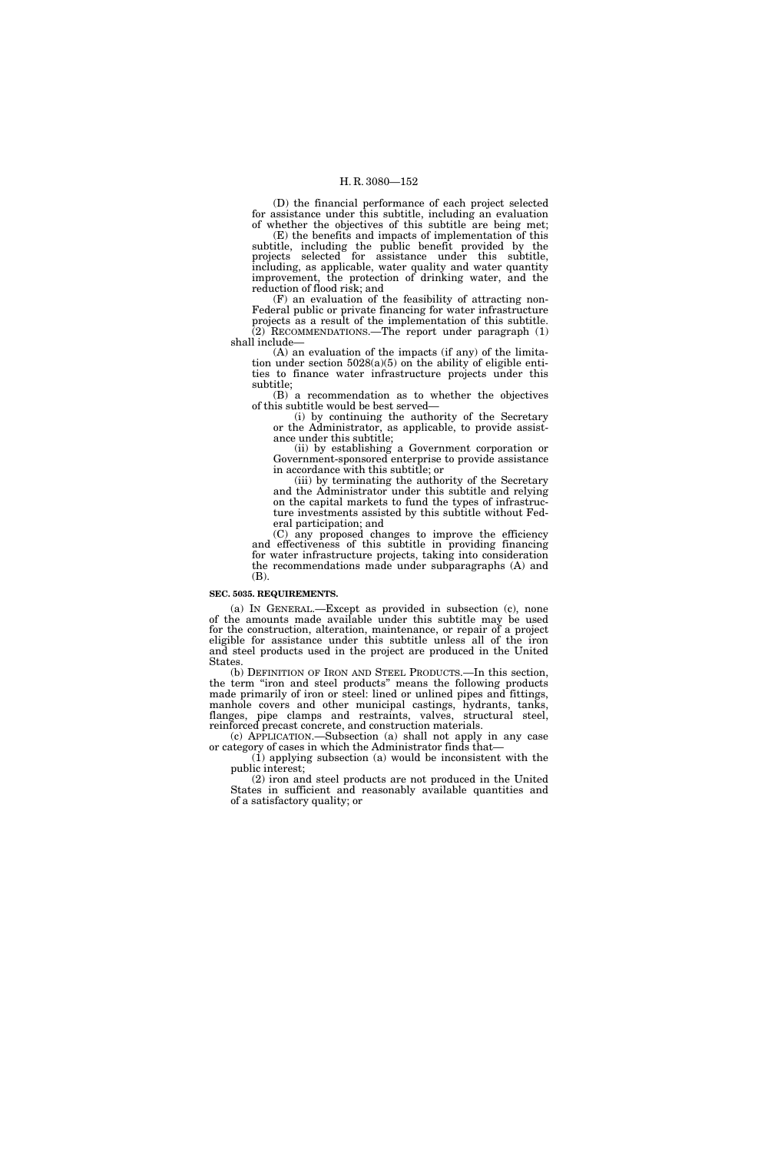(D) the financial performance of each project selected for assistance under this subtitle, including an evaluation of whether the objectives of this subtitle are being met;

(E) the benefits and impacts of implementation of this subtitle, including the public benefit provided by the projects selected for assistance under this subtitle, including, as applicable, water quality and water quantity improvement, the protection of drinking water, and the reduction of flood risk; and

(F) an evaluation of the feasibility of attracting non-Federal public or private financing for water infrastructure

projects as a result of the implementation of this subtitle. (2) RECOMMENDATIONS.—The report under paragraph (1) shall include—

(A) an evaluation of the impacts (if any) of the limitation under section  $5028(a)(5)$  on the ability of eligible entities to finance water infrastructure projects under this subtitle;

(B) a recommendation as to whether the objectives of this subtitle would be best served—

(i) by continuing the authority of the Secretary or the Administrator, as applicable, to provide assistance under this subtitle;

(ii) by establishing a Government corporation or Government-sponsored enterprise to provide assistance in accordance with this subtitle; or

(iii) by terminating the authority of the Secretary and the Administrator under this subtitle and relying on the capital markets to fund the types of infrastructure investments assisted by this subtitle without Federal participation; and

(C) any proposed changes to improve the efficiency and effectiveness of this subtitle in providing financing for water infrastructure projects, taking into consideration the recommendations made under subparagraphs (A) and (B).

# **SEC. 5035. REQUIREMENTS.**

(a) IN GENERAL.—Except as provided in subsection (c), none of the amounts made available under this subtitle may be used for the construction, alteration, maintenance, or repair of a project eligible for assistance under this subtitle unless all of the iron and steel products used in the project are produced in the United States.

(b) DEFINITION OF IRON AND STEEL PRODUCTS.—In this section, the term ''iron and steel products'' means the following products made primarily of iron or steel: lined or unlined pipes and fittings, manhole covers and other municipal castings, hydrants, tanks, flanges, pipe clamps and restraints, valves, structural steel, reinforced precast concrete, and construction materials.

(c) APPLICATION.—Subsection (a) shall not apply in any case or category of cases in which the Administrator finds that—

(1) applying subsection (a) would be inconsistent with the public interest;

(2) iron and steel products are not produced in the United States in sufficient and reasonably available quantities and of a satisfactory quality; or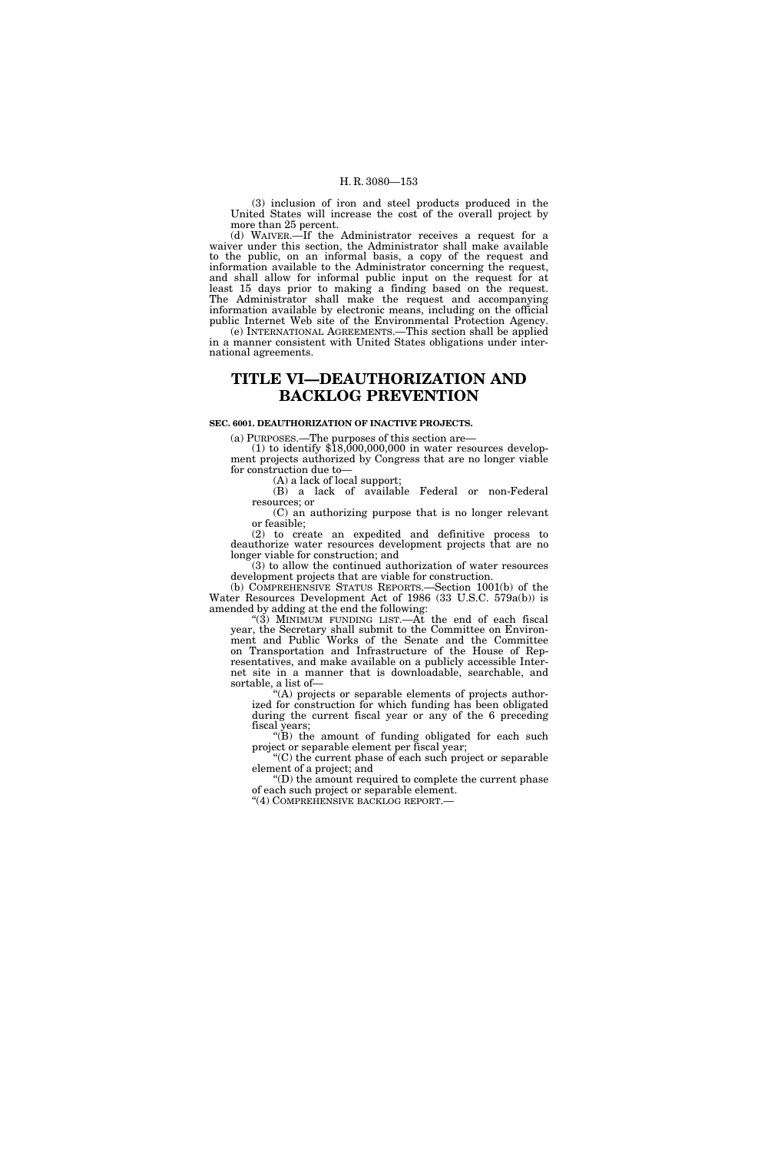(3) inclusion of iron and steel products produced in the United States will increase the cost of the overall project by more than 25 percent.

(d) WAIVER.—If the Administrator receives a request for a waiver under this section, the Administrator shall make available to the public, on an informal basis, a copy of the request and information available to the Administrator concerning the request, and shall allow for informal public input on the request for at least 15 days prior to making a finding based on the request. The Administrator shall make the request and accompanying information available by electronic means, including on the official public Internet Web site of the Environmental Protection Agency.

(e) INTERNATIONAL AGREEMENTS.—This section shall be applied in a manner consistent with United States obligations under international agreements.

# **TITLE VI—DEAUTHORIZATION AND BACKLOG PREVENTION**

### **SEC. 6001. DEAUTHORIZATION OF INACTIVE PROJECTS.**

(a) PURPOSES.—The purposes of this section are—

 $(1)$  to identify  $$18,000,000,000$  in water resources development projects authorized by Congress that are no longer viable for construction due to—

(A) a lack of local support;

(B) a lack of available Federal or non-Federal resources; or (C) an authorizing purpose that is no longer relevant

or feasible;

(2) to create an expedited and definitive process to deauthorize water resources development projects that are no longer viable for construction; and

(3) to allow the continued authorization of water resources development projects that are viable for construction.

(b) COMPREHENSIVE STATUS REPORTS.—Section 1001(b) of the Water Resources Development Act of 1986 (33 U.S.C. 579a(b)) is amended by adding at the end the following:

"(3) MINIMUM FUNDING LIST. $-A$ t the end of each fiscal year, the Secretary shall submit to the Committee on Environment and Public Works of the Senate and the Committee on Transportation and Infrastructure of the House of Representatives, and make available on a publicly accessible Internet site in a manner that is downloadable, searchable, and sortable, a list of—

''(A) projects or separable elements of projects authorized for construction for which funding has been obligated during the current fiscal year or any of the 6 preceding fiscal years;

 $f(B)$  the amount of funding obligated for each such project or separable element per fiscal year;

''(C) the current phase of each such project or separable element of a project; and

''(D) the amount required to complete the current phase of each such project or separable element. ''(4) COMPREHENSIVE BACKLOG REPORT.—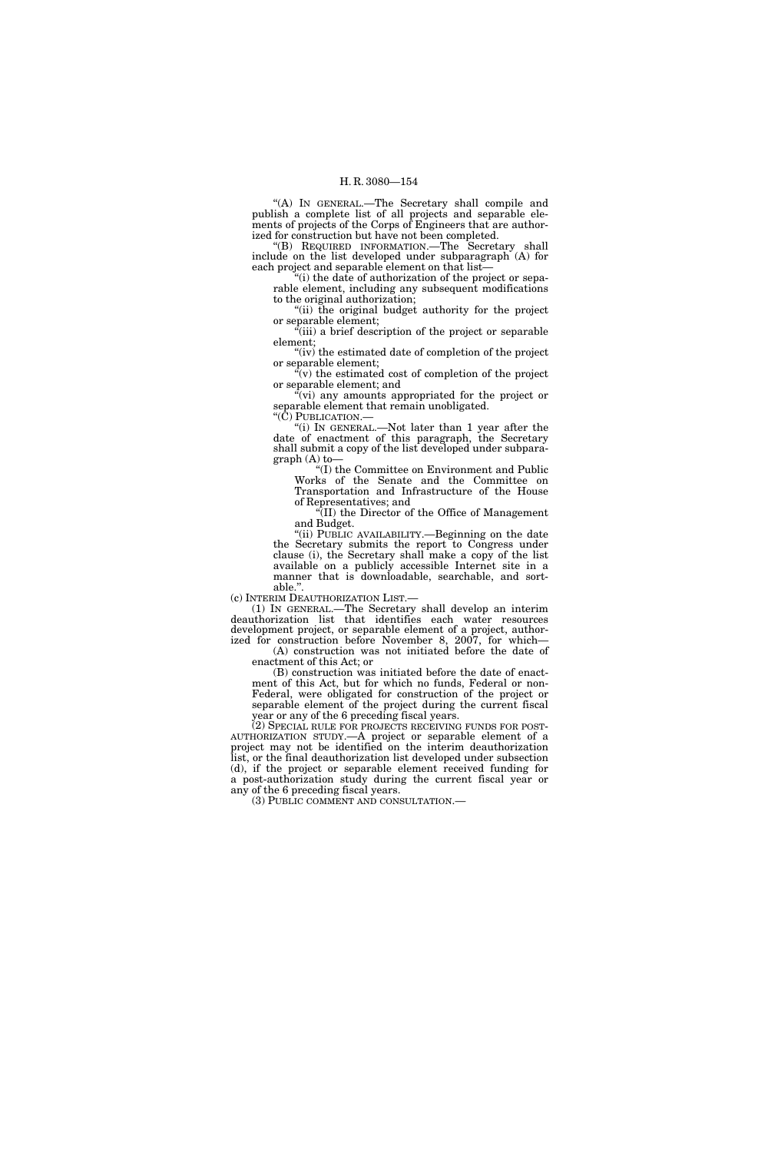''(A) IN GENERAL.—The Secretary shall compile and publish a complete list of all projects and separable elements of projects of the Corps of Engineers that are authorized for construction but have not been completed.

''(B) REQUIRED INFORMATION.—The Secretary shall include on the list developed under subparagraph (A) for each project and separable element on that list—

 $f(i)$  the date of authorization of the project or separable element, including any subsequent modifications to the original authorization;

"(ii) the original budget authority for the project or separable element;

''(iii) a brief description of the project or separable element;

"(iv) the estimated date of completion of the project" or separable element;

 $\sqrt[n]{v}$  the estimated cost of completion of the project or separable element; and

''(vi) any amounts appropriated for the project or separable element that remain unobligated.

''(C) PUBLICATION.—

''(i) IN GENERAL.—Not later than 1 year after the date of enactment of this paragraph, the Secretary shall submit a copy of the list developed under subparagraph (A) to—

''(I) the Committee on Environment and Public Works of the Senate and the Committee on Transportation and Infrastructure of the House of Representatives; and

''(II) the Director of the Office of Management and Budget.

"(ii) PUBLIC AVAILABILITY.—Beginning on the date the Secretary submits the report to Congress under clause (i), the Secretary shall make a copy of the list available on a publicly accessible Internet site in a manner that is downloadable, searchable, and sort-

able.".<br>(c) INTERIM DEAUTHORIZATION LIST.—

(c) INTERIM DEAUTHORIZATION LIST.— (1) IN GENERAL.—The Secretary shall develop an interim deauthorization list that identifies each water resources development project, or separable element of a project, authorized for construction before November 8, 2007, for which—

(A) construction was not initiated before the date of enactment of this Act; or

(B) construction was initiated before the date of enactment of this Act, but for which no funds, Federal or non-Federal, were obligated for construction of the project or separable element of the project during the current fiscal year or any of the 6 preceding fiscal years.<br>(2) SPECIAL RULE FOR PROJECTS RECEIVING FUNDS FOR POST-

AUTHORIZATION STUDY.—A project or separable element of a project may not be identified on the interim deauthorization list, or the final deauthorization list developed under subsection (d), if the project or separable element received funding for a post-authorization study during the current fiscal year or any of the 6 preceding fiscal years.

(3) PUBLIC COMMENT AND CONSULTATION.—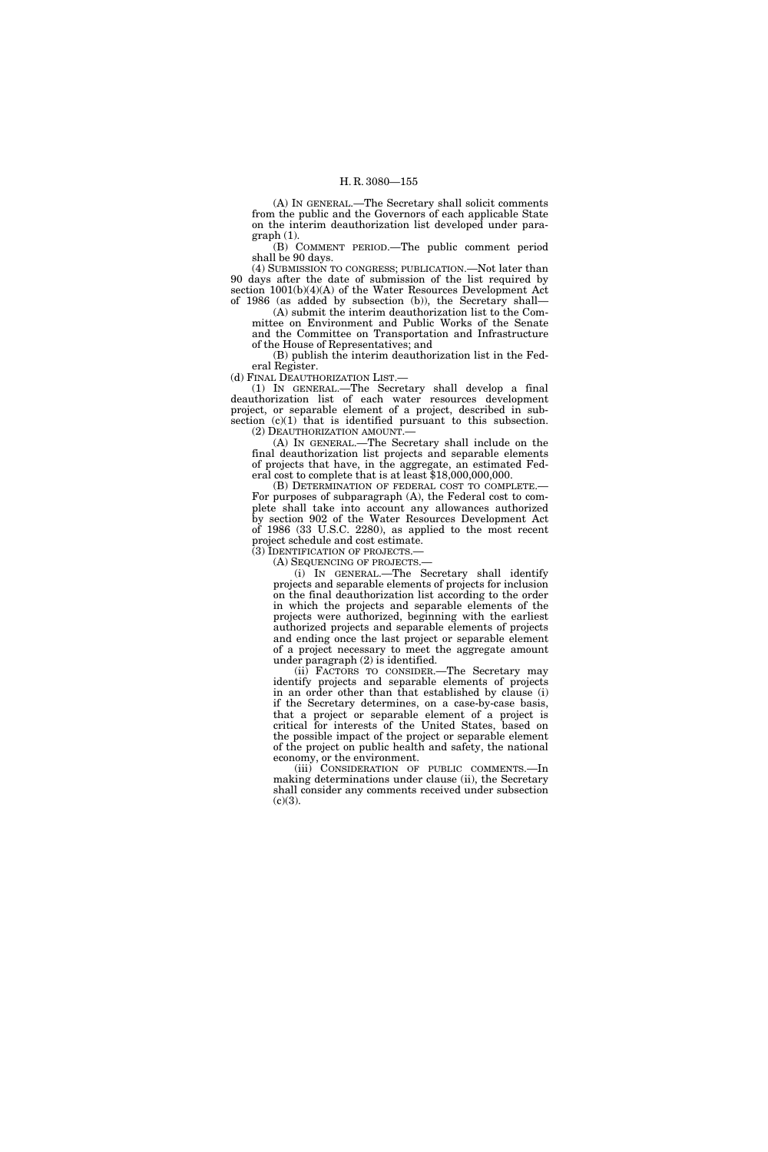(A) IN GENERAL.—The Secretary shall solicit comments from the public and the Governors of each applicable State on the interim deauthorization list developed under paragraph (1).

(B) COMMENT PERIOD.—The public comment period shall be 90 days.

(4) SUBMISSION TO CONGRESS; PUBLICATION.—Not later than 90 days after the date of submission of the list required by section 1001(b)(4)(A) of the Water Resources Development Act of 1986 (as added by subsection (b)), the Secretary shall—

(A) submit the interim deauthorization list to the Committee on Environment and Public Works of the Senate and the Committee on Transportation and Infrastructure of the House of Representatives; and

(B) publish the interim deauthorization list in the Federal Register.

(d) FINAL DEAUTHORIZATION LIST.—

(1) IN GENERAL.—The Secretary shall develop a final deauthorization list of each water resources development project, or separable element of a project, described in subsection  $(c)(1)$  that is identified pursuant to this subsection. (2) DEAUTHORIZATION AMOUNT.—

(A) IN GENERAL.—The Secretary shall include on the final deauthorization list projects and separable elements of projects that have, in the aggregate, an estimated Federal cost to complete that is at least \$18,000,000,000.

(B) DETERMINATION OF FEDERAL COST TO COMPLETE.— For purposes of subparagraph (A), the Federal cost to complete shall take into account any allowances authorized by section 902 of the Water Resources Development Act of 1986 (33 U.S.C. 2280), as applied to the most recent project schedule and cost estimate.

(3) IDENTIFICATION OF PROJECTS.— (A) SEQUENCING OF PROJECTS.—

(i) IN GENERAL.—The Secretary shall identify projects and separable elements of projects for inclusion on the final deauthorization list according to the order in which the projects and separable elements of the projects were authorized, beginning with the earliest authorized projects and separable elements of projects and ending once the last project or separable element of a project necessary to meet the aggregate amount under paragraph (2) is identified.

(ii) FACTORS TO CONSIDER.—The Secretary may identify projects and separable elements of projects in an order other than that established by clause (i) if the Secretary determines, on a case-by-case basis, that a project or separable element of a project is critical for interests of the United States, based on the possible impact of the project or separable element of the project on public health and safety, the national economy, or the environment.

(iii) CONSIDERATION OF PUBLIC COMMENTS.—In making determinations under clause (ii), the Secretary shall consider any comments received under subsection  $(c)(3)$ .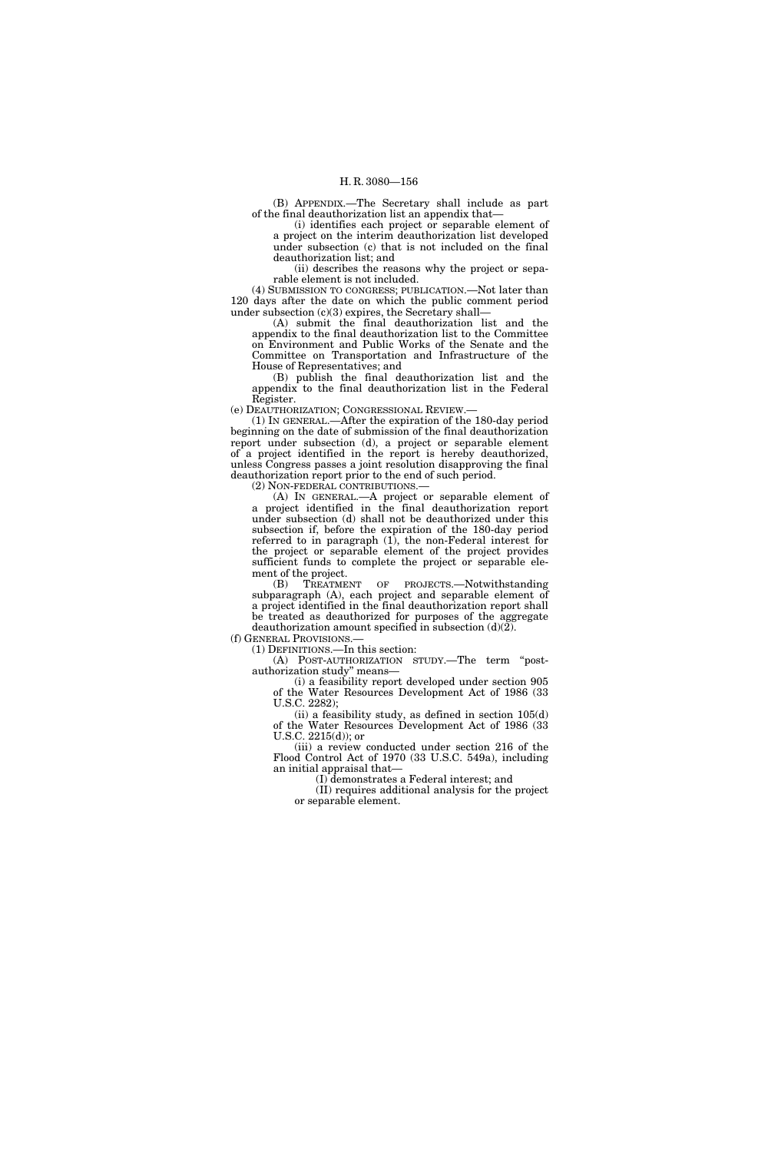(B) APPENDIX.—The Secretary shall include as part of the final deauthorization list an appendix that—

(i) identifies each project or separable element of a project on the interim deauthorization list developed under subsection (c) that is not included on the final deauthorization list; and

(ii) describes the reasons why the project or separable element is not included.

(4) SUBMISSION TO CONGRESS; PUBLICATION.—Not later than 120 days after the date on which the public comment period under subsection (c)(3) expires, the Secretary shall—

(A) submit the final deauthorization list and the appendix to the final deauthorization list to the Committee on Environment and Public Works of the Senate and the Committee on Transportation and Infrastructure of the House of Representatives; and

(B) publish the final deauthorization list and the appendix to the final deauthorization list in the Federal Register.

(e) DEAUTHORIZATION; CONGRESSIONAL REVIEW.—

(1) IN GENERAL.—After the expiration of the 180-day period beginning on the date of submission of the final deauthorization report under subsection (d), a project or separable element of a project identified in the report is hereby deauthorized, unless Congress passes a joint resolution disapproving the final deauthorization report prior to the end of such period.

(2) NON-FEDERAL CONTRIBUTIONS.

(A) IN GENERAL.—A project or separable element of a project identified in the final deauthorization report under subsection (d) shall not be deauthorized under this subsection if, before the expiration of the 180-day period referred to in paragraph  $(1)$ , the non-Federal interest for the project or separable element of the project provides sufficient funds to complete the project or separable element of the project.

(B) TREATMENT OF PROJECTS.—Notwithstanding subparagraph (A), each project and separable element of a project identified in the final deauthorization report shall be treated as deauthorized for purposes of the aggregate deauthorization amount specified in subsection  $(d)(2)$ .

(f) GENERAL PROVISIONS.— (1) DEFINITIONS.—In this section:

(A) POST-AUTHORIZATION STUDY.—The term ''postauthorization study'' means—

(i) a feasibility report developed under section 905 of the Water Resources Development Act of 1986 (33 U.S.C. 2282);

(ii) a feasibility study, as defined in section  $105(d)$ of the Water Resources Development Act of 1986 (33 U.S.C. 2215(d)); or

(iii) a review conducted under section 216 of the Flood Control Act of 1970 (33 U.S.C. 549a), including an initial appraisal that—

(I) demonstrates a Federal interest; and

(II) requires additional analysis for the project or separable element.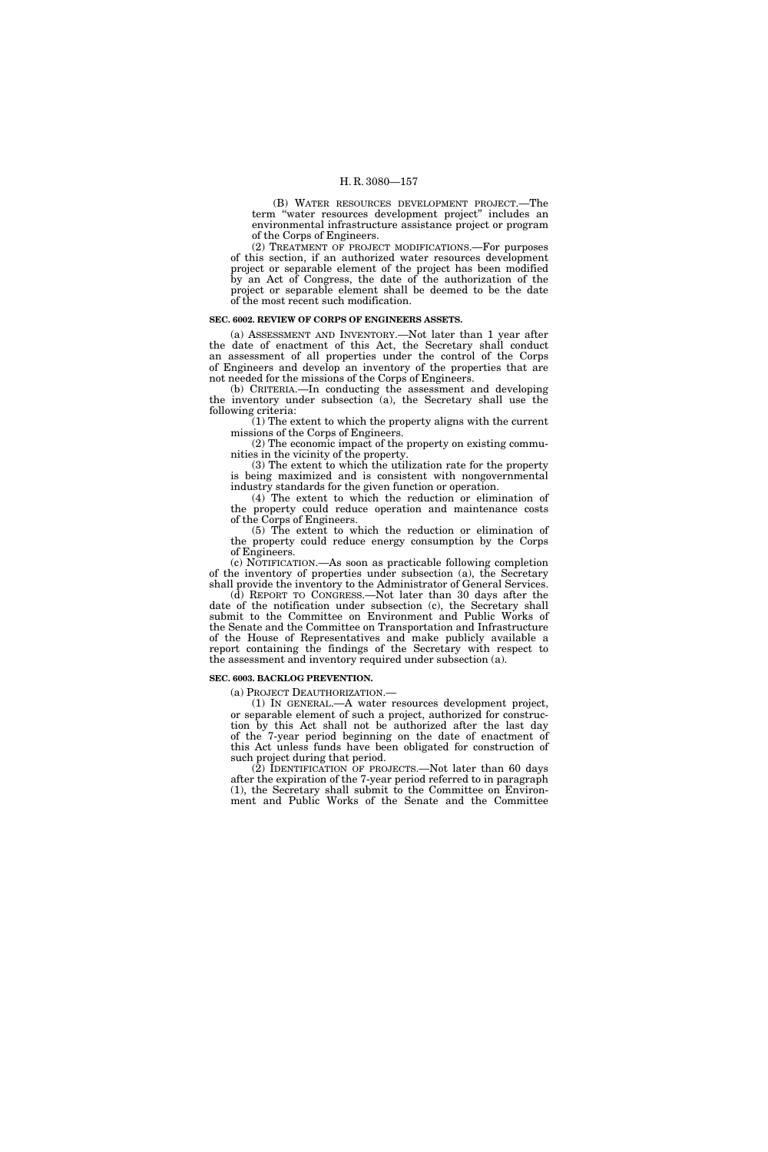(B) WATER RESOURCES DEVELOPMENT PROJECT.—The term ''water resources development project'' includes an environmental infrastructure assistance project or program of the Corps of Engineers.

(2) TREATMENT OF PROJECT MODIFICATIONS.—For purposes of this section, if an authorized water resources development project or separable element of the project has been modified by an Act of Congress, the date of the authorization of the project or separable element shall be deemed to be the date of the most recent such modification.

### **SEC. 6002. REVIEW OF CORPS OF ENGINEERS ASSETS.**

(a) ASSESSMENT AND INVENTORY.—Not later than 1 year after the date of enactment of this Act, the Secretary shall conduct an assessment of all properties under the control of the Corps of Engineers and develop an inventory of the properties that are not needed for the missions of the Corps of Engineers.

(b) CRITERIA.—In conducting the assessment and developing the inventory under subsection (a), the Secretary shall use the following criteria:

(1) The extent to which the property aligns with the current missions of the Corps of Engineers.

(2) The economic impact of the property on existing communities in the vicinity of the property.

(3) The extent to which the utilization rate for the property is being maximized and is consistent with nongovernmental industry standards for the given function or operation.

(4) The extent to which the reduction or elimination of the property could reduce operation and maintenance costs of the Corps of Engineers.

(5) The extent to which the reduction or elimination of the property could reduce energy consumption by the Corps of Engineers.

(c) NOTIFICATION.—As soon as practicable following completion of the inventory of properties under subsection (a), the Secretary shall provide the inventory to the Administrator of General Services.

(d) REPORT TO CONGRESS.—Not later than 30 days after the date of the notification under subsection (c), the Secretary shall submit to the Committee on Environment and Public Works of the Senate and the Committee on Transportation and Infrastructure of the House of Representatives and make publicly available a report containing the findings of the Secretary with respect to the assessment and inventory required under subsection (a).

### **SEC. 6003. BACKLOG PREVENTION.**

(a) PROJECT DEAUTHORIZATION.—

(1) IN GENERAL.—A water resources development project, or separable element of such a project, authorized for construction by this Act shall not be authorized after the last day of the 7-year period beginning on the date of enactment of this Act unless funds have been obligated for construction of such project during that period.

(2) IDENTIFICATION OF PROJECTS.—Not later than 60 days after the expiration of the 7-year period referred to in paragraph (1), the Secretary shall submit to the Committee on Environment and Public Works of the Senate and the Committee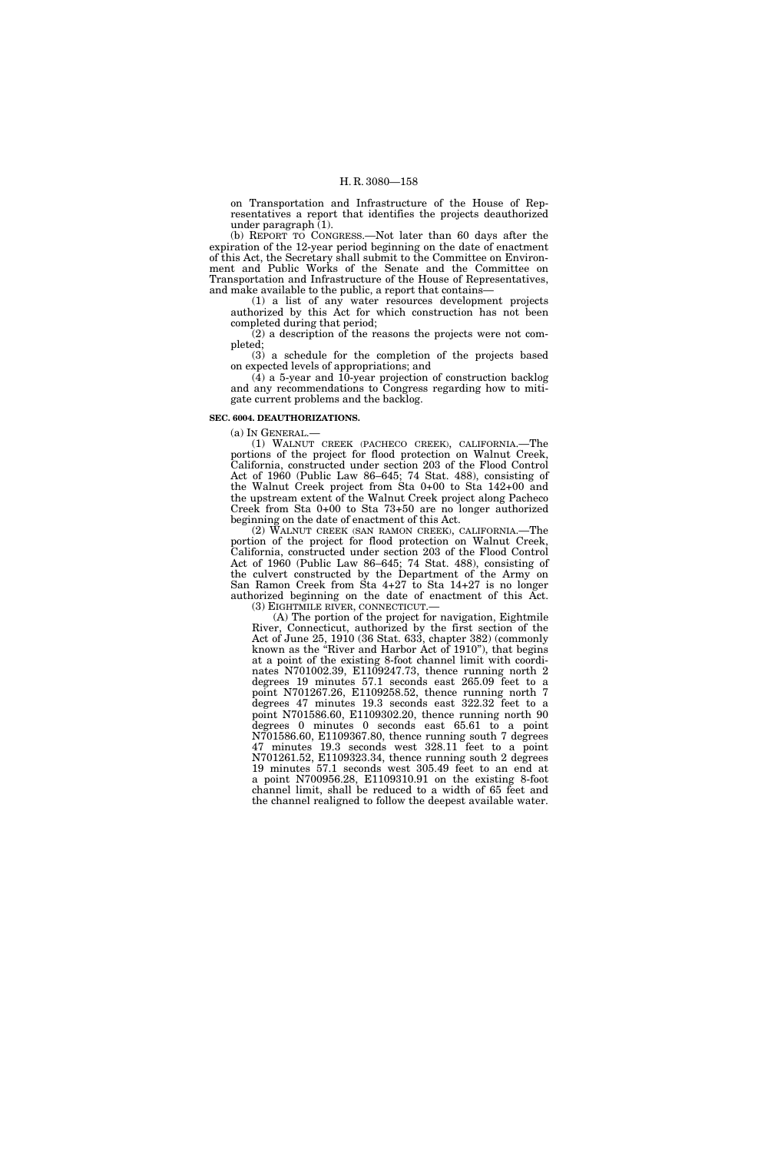on Transportation and Infrastructure of the House of Representatives a report that identifies the projects deauthorized under paragraph (1).

(b) REPORT TO CONGRESS.—Not later than 60 days after the expiration of the 12-year period beginning on the date of enactment of this Act, the Secretary shall submit to the Committee on Environment and Public Works of the Senate and the Committee on Transportation and Infrastructure of the House of Representatives, and make available to the public, a report that contains—

(1) a list of any water resources development projects authorized by this Act for which construction has not been completed during that period;

(2) a description of the reasons the projects were not completed;

(3) a schedule for the completion of the projects based on expected levels of appropriations; and

 $(4)$  a 5-year and 10-year projection of construction backlog and any recommendations to Congress regarding how to mitigate current problems and the backlog.

# **SEC. 6004. DEAUTHORIZATIONS.**

(a) IN GENERAL.—

(1) WALNUT CREEK (PACHECO CREEK), CALIFORNIA.—The portions of the project for flood protection on Walnut Creek, California, constructed under section 203 of the Flood Control Act of 1960 (Public Law 86–645; 74 Stat. 488), consisting of the Walnut Creek project from Sta 0+00 to Sta 142+00 and the upstream extent of the Walnut Creek project along Pacheco Creek from Sta 0+00 to Sta 73+50 are no longer authorized beginning on the date of enactment of this Act.

(2) WALNUT CREEK (SAN RAMON CREEK), CALIFORNIA.—The portion of the project for flood protection on Walnut Creek, California, constructed under section 203 of the Flood Control Act of 1960 (Public Law 86–645; 74 Stat. 488), consisting of the culvert constructed by the Department of the Army on San Ramon Creek from Sta 4+27 to Sta 14+27 is no longer authorized beginning on the date of enactment of this Act. (3) EIGHTMILE RIVER, CONNECTICUT.—

(A) The portion of the project for navigation, Eightmile River, Connecticut, authorized by the first section of the Act of June 25, 1910 (36 Stat. 633, chapter 382) (commonly known as the ''River and Harbor Act of 1910''), that begins at a point of the existing 8-foot channel limit with coordinates N701002.39, E1109247.73, thence running north 2 degrees 19 minutes 57.1 seconds east 265.09 feet to a point N701267.26, E1109258.52, thence running north 7 degrees 47 minutes 19.3 seconds east 322.32 feet to a point N701586.60, E1109302.20, thence running north 90 degrees 0 minutes 0 seconds east 65.61 to a point N701586.60, E1109367.80, thence running south 7 degrees 47 minutes 19.3 seconds west 328.11 feet to a point N701261.52, E1109323.34, thence running south 2 degrees 19 minutes 57.1 seconds west 305.49 feet to an end at a point N700956.28, E1109310.91 on the existing 8-foot channel limit, shall be reduced to a width of 65 feet and the channel realigned to follow the deepest available water.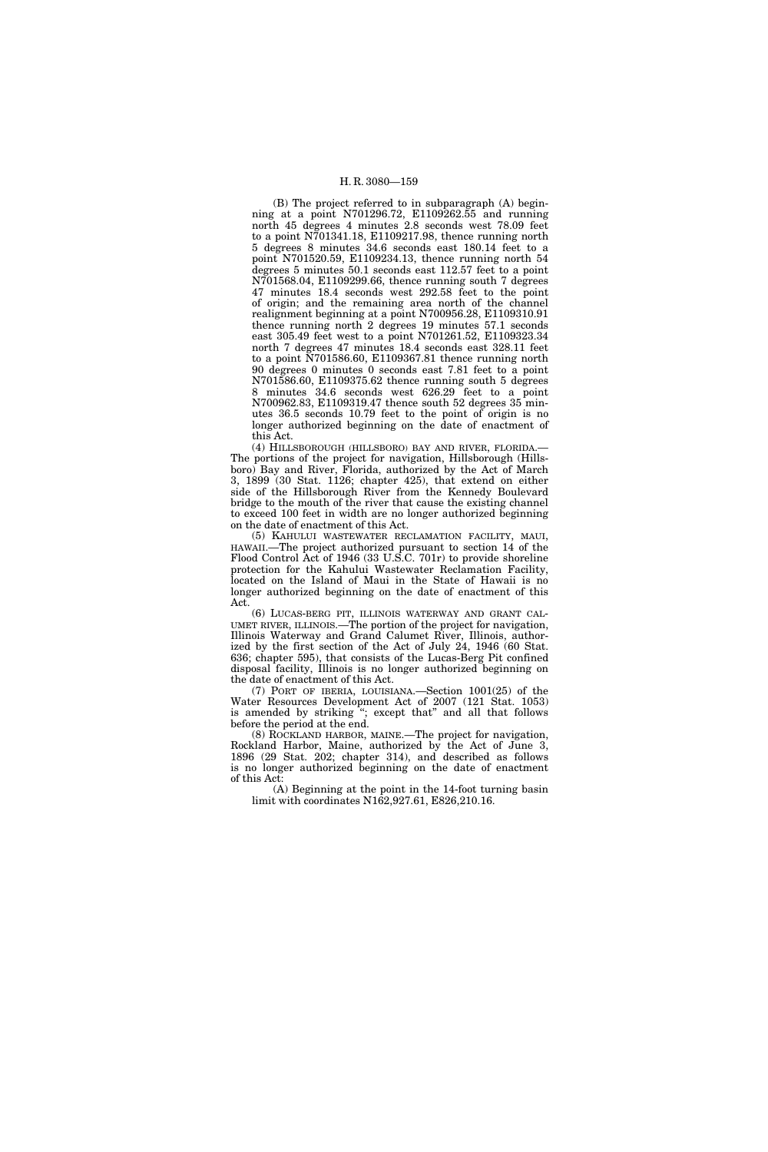(B) The project referred to in subparagraph (A) beginning at a point N701296.72, E1109262.55 and running north 45 degrees 4 minutes 2.8 seconds west 78.09 feet to a point N701341.18, E1109217.98, thence running north 5 degrees 8 minutes 34.6 seconds east 180.14 feet to a point N701520.59, E1109234.13, thence running north 54 degrees 5 minutes 50.1 seconds east 112.57 feet to a point N701568.04, E1109299.66, thence running south 7 degrees 47 minutes 18.4 seconds west 292.58 feet to the point of origin; and the remaining area north of the channel realignment beginning at a point N700956.28, E1109310.91 thence running north 2 degrees 19 minutes 57.1 seconds east 305.49 feet west to a point N701261.52, E1109323.34 north 7 degrees 47 minutes 18.4 seconds east 328.11 feet to a point N701586.60, E1109367.81 thence running north 90 degrees 0 minutes 0 seconds east 7.81 feet to a point N701586.60, E1109375.62 thence running south 5 degrees 8 minutes 34.6 seconds west 626.29 feet to a point N700962.83, E1109319.47 thence south 52 degrees 35 minutes 36.5 seconds 10.79 feet to the point of origin is no longer authorized beginning on the date of enactment of this Act.

(4) HILLSBOROUGH (HILLSBORO) BAY AND RIVER, FLORIDA.— The portions of the project for navigation, Hillsborough (Hillsboro) Bay and River, Florida, authorized by the Act of March 3, 1899 (30 Stat. 1126; chapter 425), that extend on either side of the Hillsborough River from the Kennedy Boulevard bridge to the mouth of the river that cause the existing channel to exceed 100 feet in width are no longer authorized beginning on the date of enactment of this Act.

(5) KAHULUI WASTEWATER RECLAMATION FACILITY, MAUI, HAWAII.—The project authorized pursuant to section 14 of the Flood Control Act of 1946 (33 U.S.C. 701r) to provide shoreline protection for the Kahului Wastewater Reclamation Facility, located on the Island of Maui in the State of Hawaii is no longer authorized beginning on the date of enactment of this Act.

(6) LUCAS-BERG PIT, ILLINOIS WATERWAY AND GRANT CAL-UMET RIVER, ILLINOIS.—The portion of the project for navigation, Illinois Waterway and Grand Calumet River, Illinois, authorized by the first section of the Act of July 24, 1946 (60 Stat. 636; chapter 595), that consists of the Lucas-Berg Pit confined disposal facility, Illinois is no longer authorized beginning on the date of enactment of this Act.

(7) PORT OF IBERIA, LOUISIANA.—Section 1001(25) of the Water Resources Development Act of 2007 (121 Stat. 1053) is amended by striking "; except that" and all that follows before the period at the end.

(8) ROCKLAND HARBOR, MAINE.—The project for navigation, Rockland Harbor, Maine, authorized by the Act of June 3, 1896 (29 Stat. 202; chapter 314), and described as follows is no longer authorized beginning on the date of enactment of this Act:

(A) Beginning at the point in the 14-foot turning basin limit with coordinates N162,927.61, E826,210.16.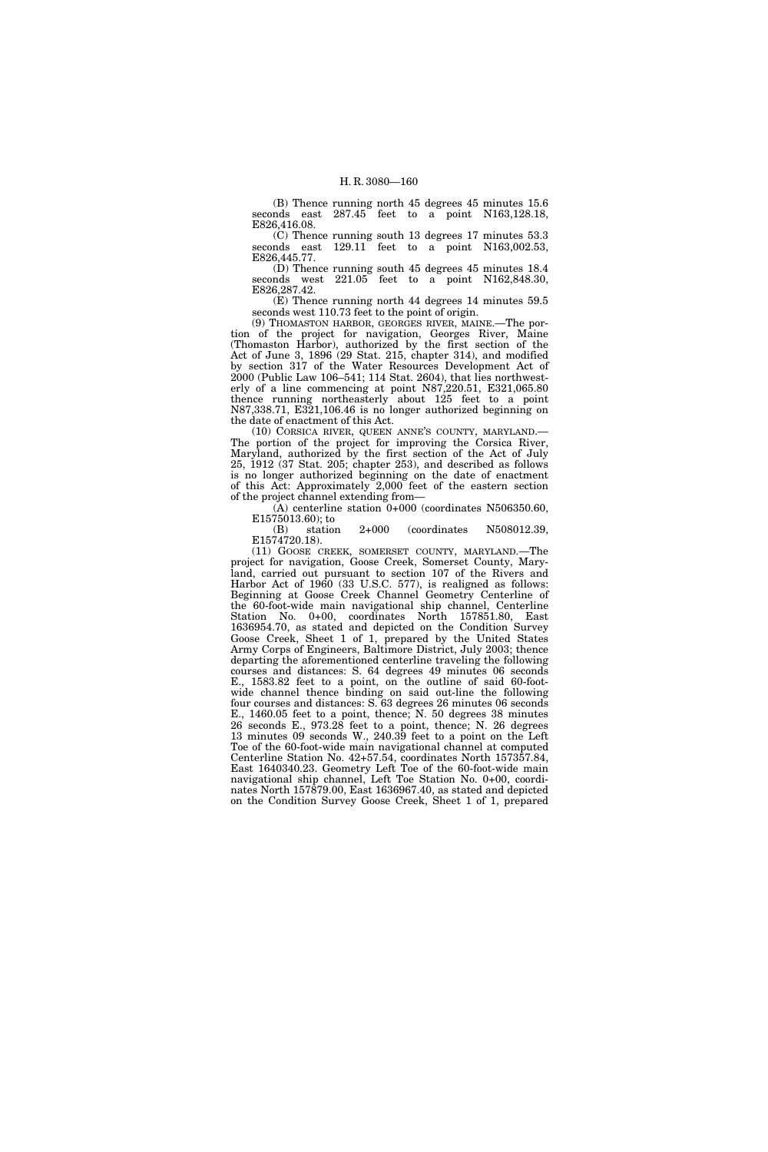(B) Thence running north 45 degrees 45 minutes 15.6 seconds east 287.45 feet to a point N163,128.18, E826,416.08.

(C) Thence running south 13 degrees 17 minutes 53.3 seconds east  $129.11$  feet to a point N163,002.53, E826,445.77.

(D) Thence running south 45 degrees 45 minutes 18.4 seconds west  $221.05$  feet to a point N162,848.30, E826,287.42.

(E) Thence running north 44 degrees 14 minutes 59.5 seconds west 110.73 feet to the point of origin.

(9) THOMASTON HARBOR, GEORGES RIVER, MAINE.—The portion of the project for navigation, Georges River, Maine (Thomaston Harbor), authorized by the first section of the Act of June 3, 1896 (29 Stat. 215, chapter 314), and modified by section 317 of the Water Resources Development Act of 2000 (Public Law 106–541; 114 Stat. 2604), that lies northwesterly of a line commencing at point N87,220.51, E321,065.80 thence running northeasterly about 125 feet to a point N87,338.71, E321,106.46 is no longer authorized beginning on the date of enactment of this Act.

(10) CORSICA RIVER, QUEEN ANNE'S COUNTY, MARYLAND.— The portion of the project for improving the Corsica River, Maryland, authorized by the first section of the Act of July 25, 1912 (37 Stat. 205; chapter 253), and described as follows is no longer authorized beginning on the date of enactment of this Act: Approximately 2,000 feet of the eastern section of the project channel extending from—

(A) centerline station 0+000 (coordinates N506350.60, E1575013.60); to

(B) station 2+000 (coordinates N508012.39, E1574720.18).

(11) GOOSE CREEK, SOMERSET COUNTY, MARYLAND.—The project for navigation, Goose Creek, Somerset County, Maryland, carried out pursuant to section 107 of the Rivers and Harbor Act of 1960 (33 U.S.C. 577), is realigned as follows: Beginning at Goose Creek Channel Geometry Centerline of the 60-foot-wide main navigational ship channel, Centerline Station No. 0+00, coordinates North 157851.80, East 1636954.70, as stated and depicted on the Condition Survey Goose Creek, Sheet 1 of 1, prepared by the United States Army Corps of Engineers, Baltimore District, July 2003; thence departing the aforementioned centerline traveling the following courses and distances: S. 64 degrees 49 minutes 06 seconds E., 1583.82 feet to a point, on the outline of said 60-footwide channel thence binding on said out-line the following four courses and distances: S. 63 degrees 26 minutes 06 seconds E., 1460.05 feet to a point, thence; N. 50 degrees 38 minutes 26 seconds E., 973.28 feet to a point, thence; N. 26 degrees 13 minutes 09 seconds W., 240.39 feet to a point on the Left Toe of the 60-foot-wide main navigational channel at computed Centerline Station No. 42+57.54, coordinates North 157357.84, East 1640340.23. Geometry Left Toe of the 60-foot-wide main navigational ship channel, Left Toe Station No. 0+00, coordinates North 157879.00, East 1636967.40, as stated and depicted on the Condition Survey Goose Creek, Sheet 1 of 1, prepared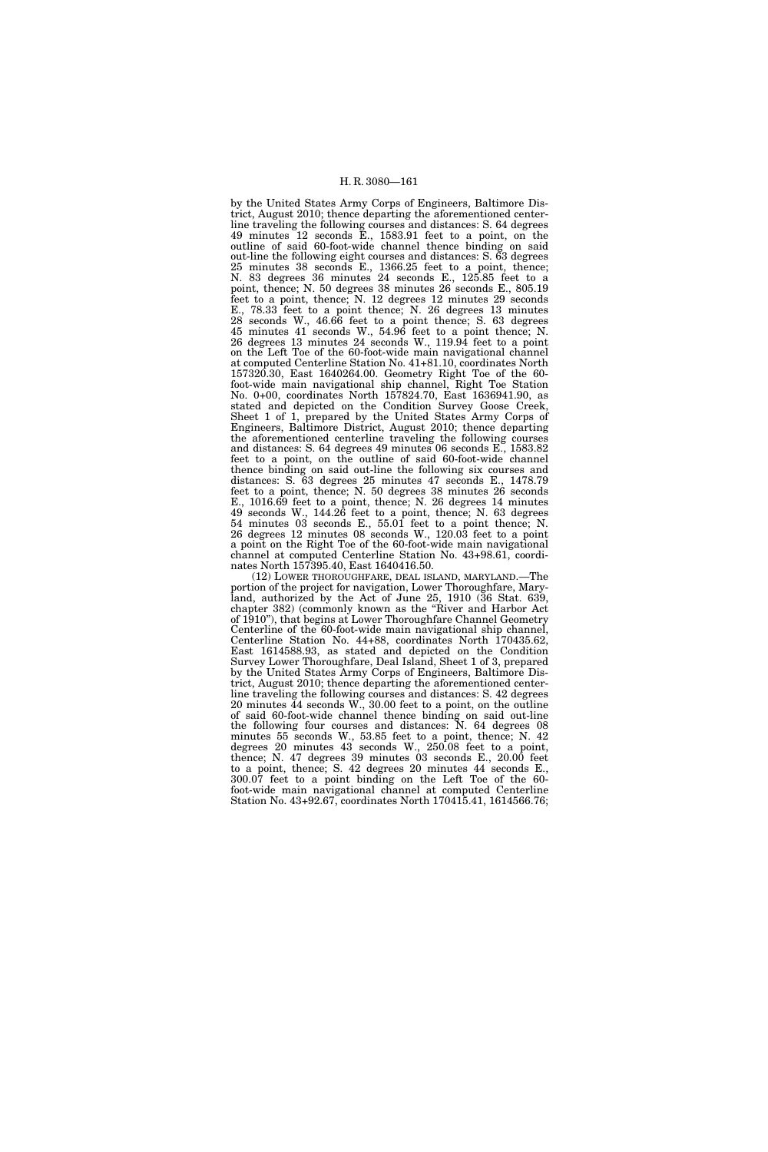by the United States Army Corps of Engineers, Baltimore District, August 2010; thence departing the aforementioned centerline traveling the following courses and distances: S. 64 degrees 49 minutes 12 seconds E., 1583.91 feet to a point, on the outline of said 60-foot-wide channel thence binding on said out-line the following eight courses and distances: S. 63 degrees 25 minutes 38 seconds E., 1366.25 feet to a point, thence; N. 83 degrees 36 minutes 24 seconds E., 125.85 feet to a point, thence; N. 50 degrees 38 minutes 26 seconds E., 805.19 feet to a point, thence; N. 12 degrees 12 minutes 29 seconds E., 78.33 feet to a point thence; N. 26 degrees 13 minutes 28 seconds W., 46.66 feet to a point thence; S. 63 degrees 45 minutes 41 seconds W., 54.96 feet to a point thence; N. 26 degrees 13 minutes 24 seconds W., 119.94 feet to a point on the Left Toe of the 60-foot-wide main navigational channel at computed Centerline Station No. 41+81.10, coordinates North 157320.30, East 1640264.00. Geometry Right Toe of the 60 foot-wide main navigational ship channel, Right Toe Station No. 0+00, coordinates North 157824.70, East 1636941.90, as stated and depicted on the Condition Survey Goose Creek, Sheet 1 of 1, prepared by the United States Army Corps of Engineers, Baltimore District, August 2010; thence departing the aforementioned centerline traveling the following courses and distances: S. 64 degrees 49 minutes 06 seconds E., 1583.82 feet to a point, on the outline of said 60-foot-wide channel thence binding on said out-line the following six courses and distances: S. 63 degrees 25 minutes 47 seconds E., 1478.79 feet to a point, thence; N. 50 degrees 38 minutes 26 seconds E., 1016.69 feet to a point, thence; N. 26 degrees 14 minutes 49 seconds W., 144.26 feet to a point, thence; N. 63 degrees 54 minutes 03 seconds E., 55.01 feet to a point thence; N. 26 degrees 12 minutes 08 seconds W., 120.03 feet to a point a point on the Right Toe of the 60-foot-wide main navigational channel at computed Centerline Station No. 43+98.61, coordinates North 157395.40, East 1640416.50.

(12) LOWER THOROUGHFARE, DEAL ISLAND, MARYLAND.—The portion of the project for navigation, Lower Thoroughfare, Maryland, authorized by the Act of June 25, 1910 (36 Stat. 639, chapter 382) (commonly known as the ''River and Harbor Act of 1910''), that begins at Lower Thoroughfare Channel Geometry Centerline of the 60-foot-wide main navigational ship channel, Centerline Station No. 44+88, coordinates North 170435.62, East 1614588.93, as stated and depicted on the Condition Survey Lower Thoroughfare, Deal Island, Sheet 1 of 3, prepared by the United States Army Corps of Engineers, Baltimore District, August 2010; thence departing the aforementioned centerline traveling the following courses and distances: S. 42 degrees 20 minutes 44 seconds W., 30.00 feet to a point, on the outline of said 60-foot-wide channel thence binding on said out-line the following four courses and distances: N. 64 degrees 08 minutes 55 seconds W., 53.85 feet to a point, thence; N. 42 degrees 20 minutes 43 seconds W., 250.08 feet to a point, thence; N. 47 degrees 39 minutes 03 seconds E., 20.00 feet to a point, thence; S. 42 degrees 20 minutes 44 seconds E., 300.07 feet to a point binding on the Left Toe of the 60 foot-wide main navigational channel at computed Centerline Station No. 43+92.67, coordinates North 170415.41, 1614566.76;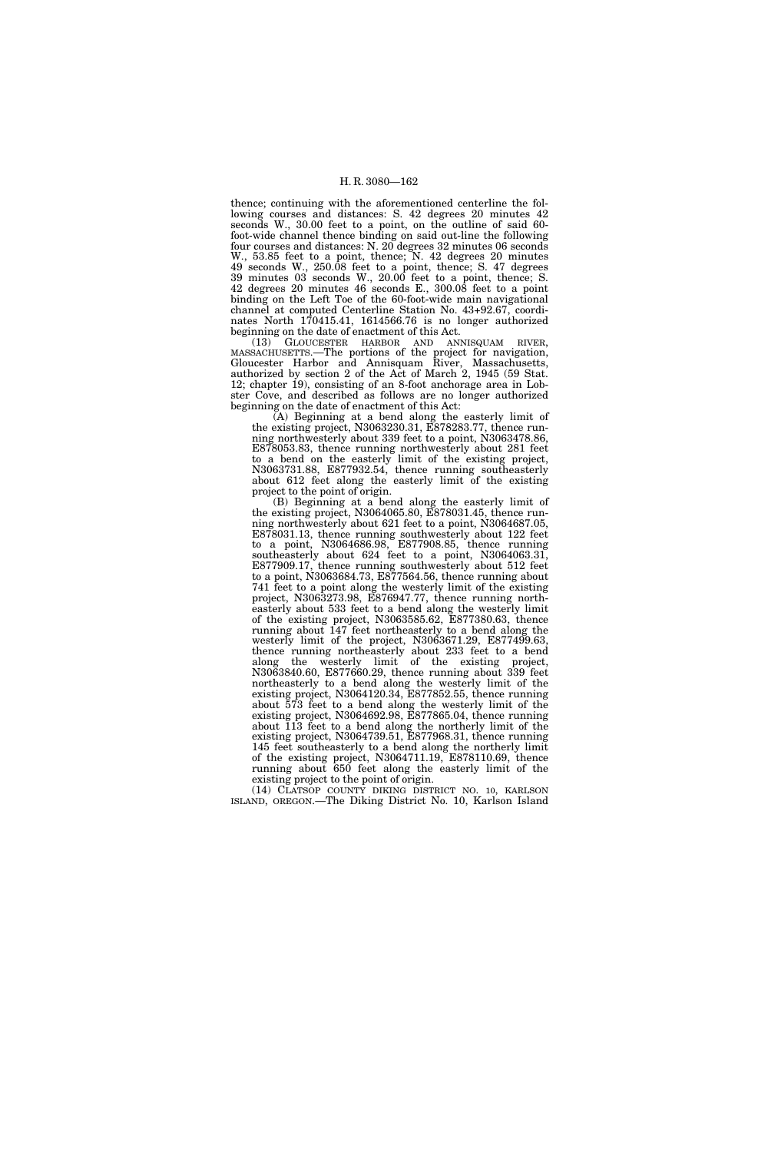thence; continuing with the aforementioned centerline the following courses and distances: S. 42 degrees 20 minutes 42 seconds W., 30.00 feet to a point, on the outline of said 60 foot-wide channel thence binding on said out-line the following four courses and distances: N. 20 degrees 32 minutes 06 seconds W., 53.85 feet to a point, thence; N. 42 degrees 20 minutes 49 seconds W., 250.08 feet to a point, thence; S. 47 degrees 39 minutes 03 seconds W., 20.00 feet to a point, thence; S. 42 degrees 20 minutes 46 seconds E., 300.08 feet to a point binding on the Left Toe of the 60-foot-wide main navigational channel at computed Centerline Station No. 43+92.67, coordinates North 170415.41, 1614566.76 is no longer authorized beginning on the date of enactment of this Act.

(13) GLOUCESTER HARBOR AND ANNISQUAM RIVER, MASSACHUSETTS.—The portions of the project for navigation, Gloucester Harbor and Annisquam River, Massachusetts, authorized by section 2 of the Act of March 2, 1945 (59 Stat. 12; chapter 19), consisting of an 8-foot anchorage area in Lobster Cove, and described as follows are no longer authorized beginning on the date of enactment of this Act:

(A) Beginning at a bend along the easterly limit of the existing project, N3063230.31, E878283.77, thence running northwesterly about 339 feet to a point, N3063478.86, E878053.83, thence running northwesterly about 281 feet to a bend on the easterly limit of the existing project, N3063731.88, E877932.54, thence running southeasterly about 612 feet along the easterly limit of the existing project to the point of origin.

(B) Beginning at a bend along the easterly limit of the existing project, N3064065.80, E878031.45, thence running northwesterly about 621 feet to a point, N3064687.05, E878031.13, thence running southwesterly about 122 feet to a point, N3064686.98, E877908.85, thence running southeasterly about 624 feet to a point, N3064063.31, E877909.17, thence running southwesterly about 512 feet to a point, N3063684.73, E877564.56, thence running about 741 feet to a point along the westerly limit of the existing project, N3063273.98, E876947.77, thence running northeasterly about 533 feet to a bend along the westerly limit of the existing project, N3063585.62, E877380.63, thence running about 147 feet northeasterly to a bend along the westerly limit of the project, N3063671.29, E877499.63, thence running northeasterly about 233 feet to a bend along the westerly limit of the existing project, N3063840.60, E877660.29, thence running about 339 feet northeasterly to a bend along the westerly limit of the existing project, N3064120.34, E877852.55, thence running about 573 feet to a bend along the westerly limit of the existing project, N3064692.98, E877865.04, thence running about 113 feet to a bend along the northerly limit of the existing project, N3064739.51, E877968.31, thence running 145 feet southeasterly to a bend along the northerly limit of the existing project, N3064711.19, E878110.69, thence running about 650 feet along the easterly limit of the existing project to the point of origin.

(14) CLATSOP COUNTY DIKING DISTRICT NO. 10, KARLSON ISLAND, OREGON.—The Diking District No. 10, Karlson Island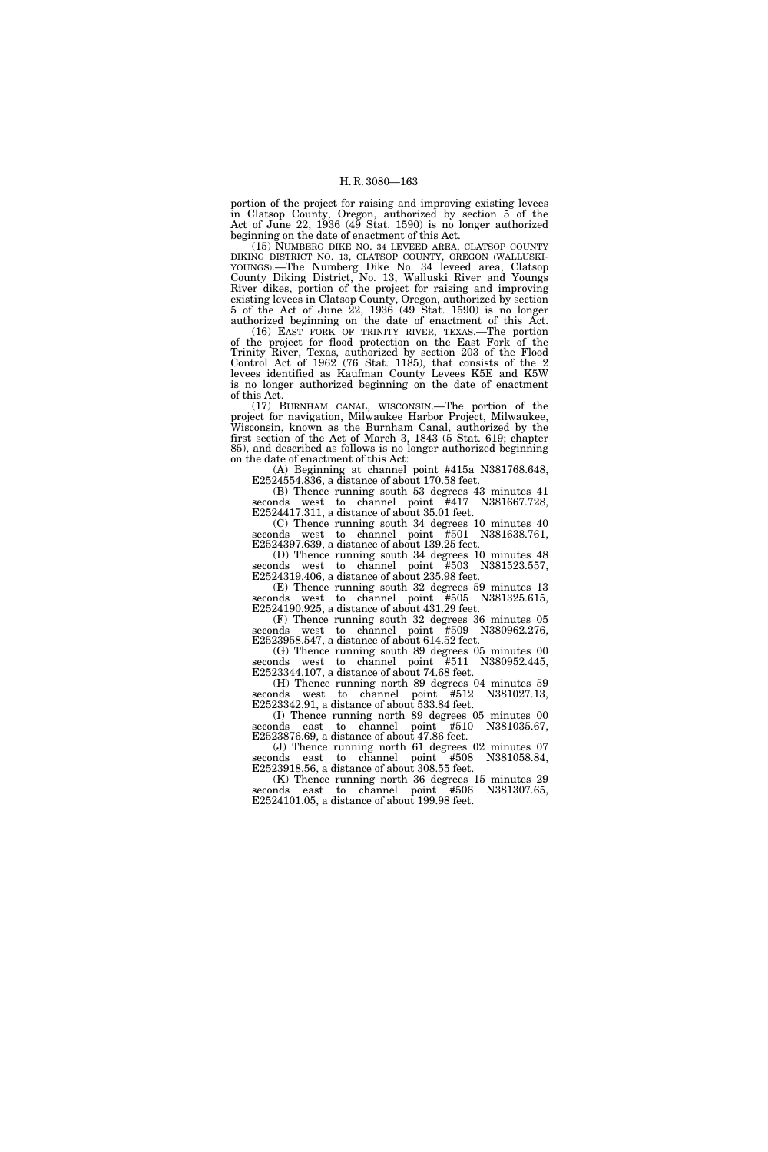portion of the project for raising and improving existing levees in Clatsop County, Oregon, authorized by section 5 of the Act of June 22, 1936 (49 Stat. 1590) is no longer authorized beginning on the date of enactment of this Act.

(15) NUMBERG DIKE NO. 34 LEVEED AREA, CLATSOP COUNTY DIKING DISTRICT NO. 13, CLATSOP COUNTY, OREGON (WALLUSKI-YOUNGS).—The Numberg Dike No. 34 leveed area, Clatsop County Diking District, No. 13, Walluski River and Youngs River dikes, portion of the project for raising and improving existing levees in Clatsop County, Oregon, authorized by section 5 of the Act of June  $\overline{22}$ , 1936 (49 Stat. 1590) is no longer authorized beginning on the date of enactment of this Act.

(16) EAST FORK OF TRINITY RIVER, TEXAS.—The portion of the project for flood protection on the East Fork of the Trinity River, Texas, authorized by section 203 of the Flood Control Act of 1962 (76 Stat. 1185), that consists of the 2 levees identified as Kaufman County Levees K5E and K5W is no longer authorized beginning on the date of enactment of this Act.

(17) BURNHAM CANAL, WISCONSIN.—The portion of the project for navigation, Milwaukee Harbor Project, Milwaukee, Wisconsin, known as the Burnham Canal, authorized by the first section of the Act of March 3, 1843 (5 Stat. 619; chapter 85), and described as follows is no longer authorized beginning on the date of enactment of this Act:

(A) Beginning at channel point #415a N381768.648, E2524554.836, a distance of about 170.58 feet.

(B) Thence running south 53 degrees 43 minutes 41 seconds west to channel point #417 N381667.728, E2524417.311, a distance of about 35.01 feet.

(C) Thence running south 34 degrees 10 minutes 40 seconds west to channel point #501 N381638.761, E2524397.639, a distance of about 139.25 feet.

(D) Thence running south 34 degrees 10 minutes 48 seconds west to channel point #503 N381523.557, E2524319.406, a distance of about 235.98 feet.

(E) Thence running south 32 degrees 59 minutes 13 seconds west to channel point #505 N381325.615, E2524190.925, a distance of about 431.29 feet.

(F) Thence running south 32 degrees 36 minutes 05 seconds west to channel point #509 N380962.276, E2523958.547, a distance of about 614.52 feet.

(G) Thence running south 89 degrees 05 minutes 00 seconds west to channel point #511 N380952.445, E2523344.107, a distance of about 74.68 feet.

(H) Thence running north 89 degrees 04 minutes 59 seconds west to channel point #512 N381027.13, E2523342.91, a distance of about 533.84 feet.

(I) Thence running north 89 degrees 05 minutes 00 seconds east to channel point #510 E2523876.69, a distance of about 47.86 feet.

(J) Thence running north 61 degrees 02 minutes 07 nds east to channel point #508 N381058.84, seconds east to channel point #508 E2523918.56, a distance of about 308.55 feet.

(K) Thence running north 36 degrees 15 minutes 29 seconds east to channel point #506 N381307.65, E2524101.05, a distance of about 199.98 feet.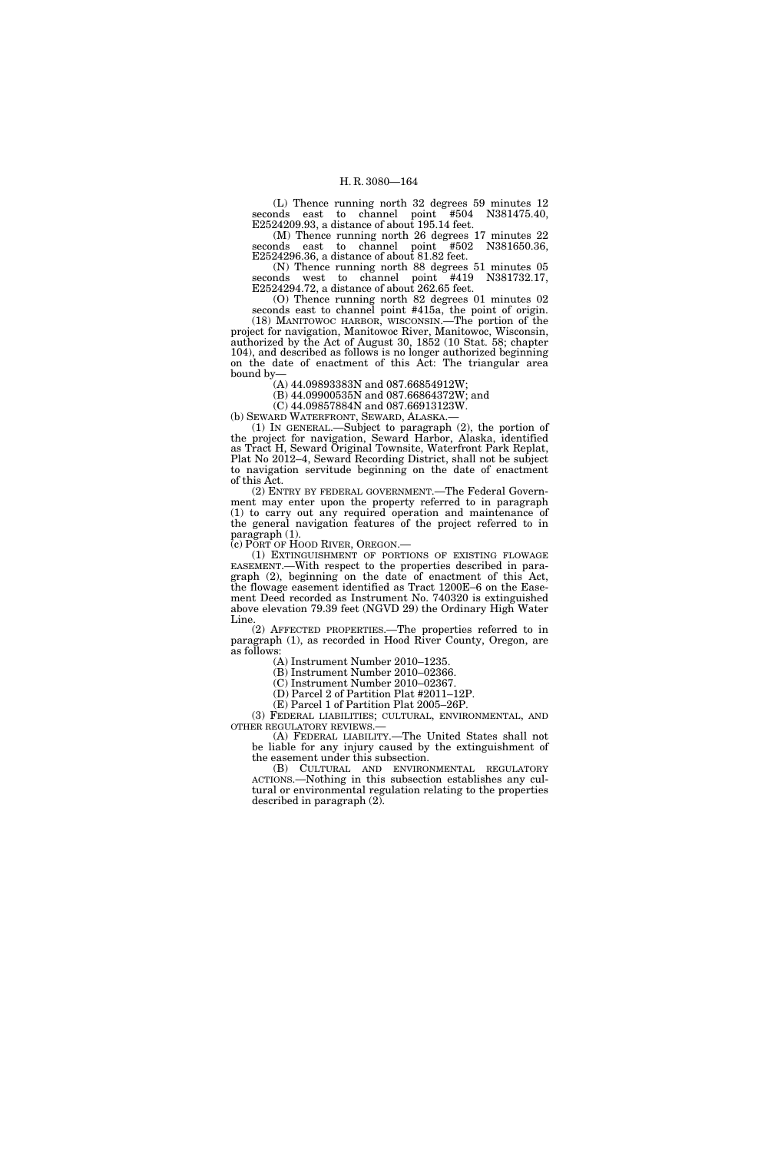(L) Thence running north 32 degrees 59 minutes 12 seconds east to channel point #504 N381475.40, E2524209.93, a distance of about 195.14 feet.

(M) Thence running north 26 degrees 17 minutes 22 seconds east to channel point #502 N381650.36, E2524296.36, a distance of about 81.82 feet.

(N) Thence running north 88 degrees 51 minutes 05 seconds west to channel point #419 N381732.17, E2524294.72, a distance of about 262.65 feet.

(O) Thence running north 82 degrees 01 minutes 02 seconds east to channel point #415a, the point of origin.

(18) MANITOWOC HARBOR, WISCONSIN.—The portion of the project for navigation, Manitowoc River, Manitowoc, Wisconsin, authorized by the Act of August 30, 1852 (10 Stat. 58; chapter 104), and described as follows is no longer authorized beginning on the date of enactment of this Act: The triangular area bound by—

(A) 44.09893383N and 087.66854912W;

(B) 44.09900535N and 087.66864372W; and

(C) 44.09857884N and 087.66913123W.

(b) SEWARD WATERFRONT, SEWARD, ALASKA.-(1) IN GENERAL.—Subject to paragraph (2), the portion of the project for navigation, Seward Harbor, Alaska, identified

as Tract H, Seward Original Townsite, Waterfront Park Replat, Plat No 2012–4, Seward Recording District, shall not be subject to navigation servitude beginning on the date of enactment of this Act.

(2) ENTRY BY FEDERAL GOVERNMENT.—The Federal Government may enter upon the property referred to in paragraph (1) to carry out any required operation and maintenance of the general navigation features of the project referred to in paragraph (1).<br>(c) PORT OF HOOD RIVER, OREGON.—

(1) EXTINGUISHMENT OF PORTIONS OF EXISTING FLOWAGE EASEMENT.—With respect to the properties described in paragraph (2), beginning on the date of enactment of this Act, the flowage easement identified as Tract 1200E–6 on the Easement Deed recorded as Instrument No. 740320 is extinguished above elevation 79.39 feet (NGVD 29) the Ordinary High Water Line.

(2) AFFECTED PROPERTIES.—The properties referred to in paragraph (1), as recorded in Hood River County, Oregon, are as follows:

(A) Instrument Number 2010–1235.

(B) Instrument Number 2010–02366.

(C) Instrument Number 2010–02367.

(D) Parcel 2 of Partition Plat #2011–12P.

(E) Parcel 1 of Partition Plat 2005–26P.

(3) FEDERAL LIABILITIES; CULTURAL, ENVIRONMENTAL, AND OTHER REGULATORY REVIEWS.—

(A) FEDERAL LIABILITY.—The United States shall not be liable for any injury caused by the extinguishment of the easement under this subsection.

(B) CULTURAL AND ENVIRONMENTAL REGULATORY ACTIONS.—Nothing in this subsection establishes any cultural or environmental regulation relating to the properties described in paragraph (2).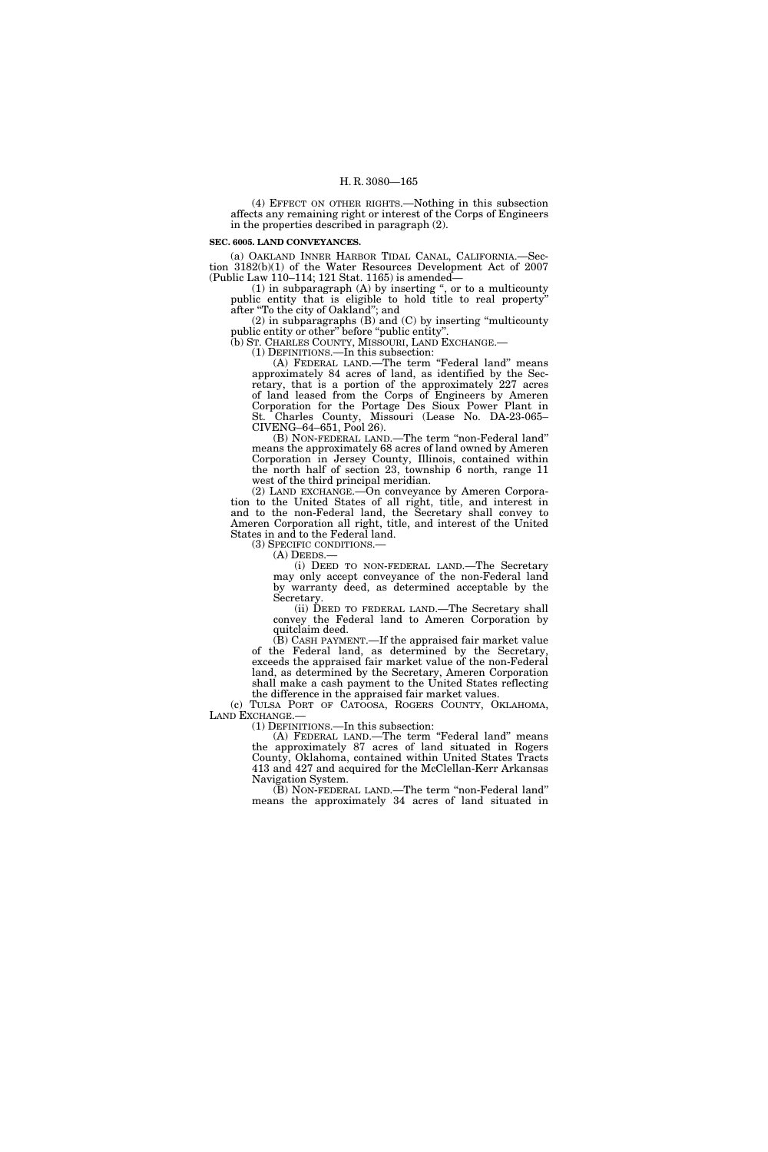(4) EFFECT ON OTHER RIGHTS.—Nothing in this subsection affects any remaining right or interest of the Corps of Engineers in the properties described in paragraph (2).

#### **SEC. 6005. LAND CONVEYANCES.**

(a) OAKLAND INNER HARBOR TIDAL CANAL, CALIFORNIA.—Section 3182(b)(1) of the Water Resources Development Act of 2007 (Public Law 110–114; 121 Stat. 1165) is amended—

(1) in subparagraph (A) by inserting '', or to a multicounty public entity that is eligible to hold title to real property'' after ''To the city of Oakland''; and

(2) in subparagraphs (B) and (C) by inserting ''multicounty public entity or other" before "public entity"

(b) ST. CHARLES COUNTY, MISSOURI, LAND EXCHANGE.—

(1) DEFINITIONS.—In this subsection:

(A) FEDERAL LAND.—The term "Federal land" means approximately 84 acres of land, as identified by the Secretary, that is a portion of the approximately 227 acres of land leased from the Corps of Engineers by Ameren Corporation for the Portage Des Sioux Power Plant in St. Charles County, Missouri (Lease No. DA-23-065– CIVENG–64–651, Pool 26).

(B) NON-FEDERAL LAND.—The term ''non-Federal land'' means the approximately 68 acres of land owned by Ameren Corporation in Jersey County, Illinois, contained within the north half of section 23, township 6 north, range 11 west of the third principal meridian.

(2) LAND EXCHANGE.—On conveyance by Ameren Corporation to the United States of all right, title, and interest in and to the non-Federal land, the Secretary shall convey to Ameren Corporation all right, title, and interest of the United States in and to the Federal land.<br>(3) SPECIFIC CONDITIONS.—

(A) DEEDS.—<br>(i) DEED TO NON-FEDERAL LAND.—The Secretary may only accept conveyance of the non-Federal land by warranty deed, as determined acceptable by the Secretary.

(ii) DEED TO FEDERAL LAND.—The Secretary shall convey the Federal land to Ameren Corporation by quitclaim deed.

(B) CASH PAYMENT.—If the appraised fair market value of the Federal land, as determined by the Secretary, exceeds the appraised fair market value of the non-Federal land, as determined by the Secretary, Ameren Corporation shall make a cash payment to the United States reflecting the difference in the appraised fair market values.

(c) TULSA PORT OF CATOOSA, ROGERS COUNTY, OKLAHOMA, LAND EXCHANGE.— (1) DEFINITIONS.—In this subsection:

(A) FEDERAL LAND.—The term ''Federal land'' means the approximately 87 acres of land situated in Rogers County, Oklahoma, contained within United States Tracts 413 and 427 and acquired for the McClellan-Kerr Arkansas Navigation System.

(B) NON-FEDERAL LAND.—The term ''non-Federal land'' means the approximately 34 acres of land situated in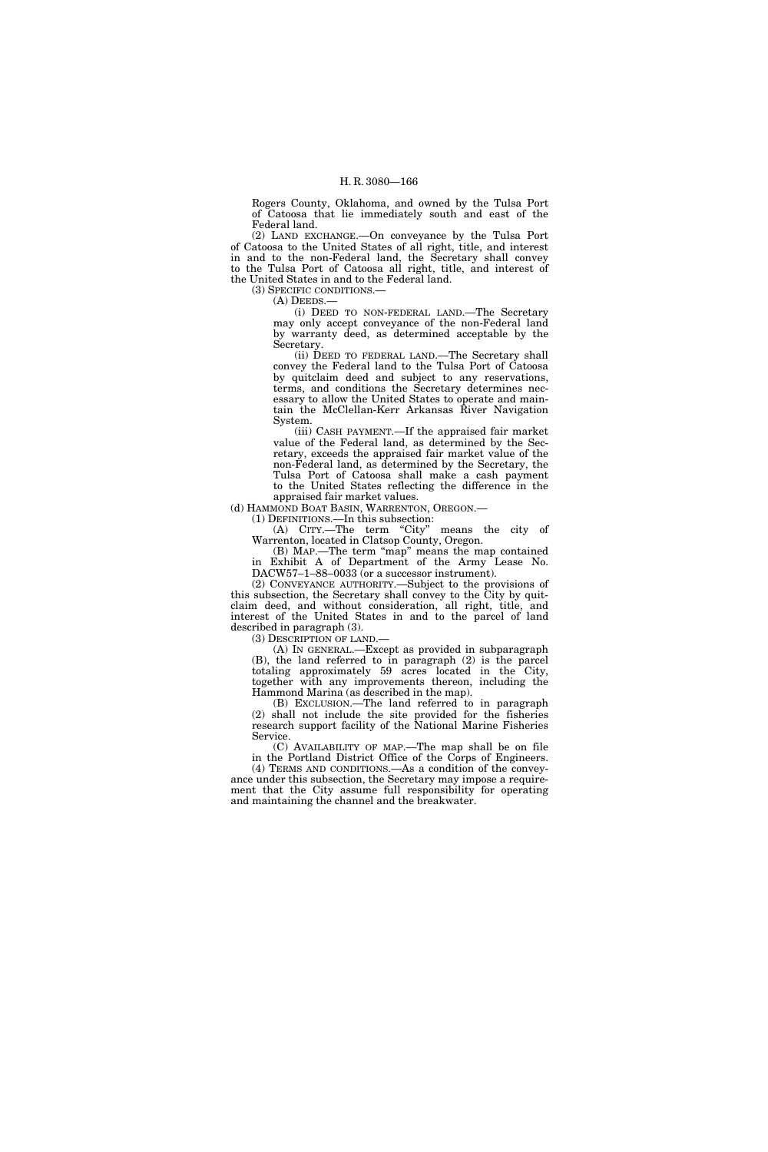Rogers County, Oklahoma, and owned by the Tulsa Port of Catoosa that lie immediately south and east of the Federal land.

(2) LAND EXCHANGE.—On conveyance by the Tulsa Port of Catoosa to the United States of all right, title, and interest in and to the non-Federal land, the Secretary shall convey to the Tulsa Port of Catoosa all right, title, and interest of the United States in and to the Federal land.

(3) SPECIFIC CONDITIONS.—

(A) DEEDS.—

(i) DEED TO NON-FEDERAL LAND.—The Secretary may only accept conveyance of the non-Federal land by warranty deed, as determined acceptable by the Secretary.

(ii) DEED TO FEDERAL LAND.—The Secretary shall convey the Federal land to the Tulsa Port of Catoosa by quitclaim deed and subject to any reservations, terms, and conditions the Secretary determines necessary to allow the United States to operate and maintain the McClellan-Kerr Arkansas River Navigation System.

(iii) CASH PAYMENT.—If the appraised fair market value of the Federal land, as determined by the Secretary, exceeds the appraised fair market value of the non-Federal land, as determined by the Secretary, the Tulsa Port of Catoosa shall make a cash payment to the United States reflecting the difference in the appraised fair market values.

(d) HAMMOND BOAT BASIN, WARRENTON, OREGON.—

(1) DEFINITIONS.—In this subsection:

(A) CITY.-The term "City" means the city of Warrenton, located in Clatsop County, Oregon.

(B) MAP.—The term ''map'' means the map contained in Exhibit A of Department of the Army Lease No. DACW57–1–88–0033 (or a successor instrument).

(2) CONVEYANCE AUTHORITY.—Subject to the provisions of this subsection, the Secretary shall convey to the City by quitclaim deed, and without consideration, all right, title, and interest of the United States in and to the parcel of land described in paragraph (3).

(3) DESCRIPTION OF LAND.—

(A) IN GENERAL.—Except as provided in subparagraph (B), the land referred to in paragraph (2) is the parcel totaling approximately 59 acres located in the City, together with any improvements thereon, including the Hammond Marina (as described in the map).

(B) EXCLUSION.—The land referred to in paragraph (2) shall not include the site provided for the fisheries research support facility of the National Marine Fisheries Service.

(C) AVAILABILITY OF MAP.—The map shall be on file in the Portland District Office of the Corps of Engineers. (4) TERMS AND CONDITIONS.—As a condition of the convey-

ance under this subsection, the Secretary may impose a requirement that the City assume full responsibility for operating and maintaining the channel and the breakwater.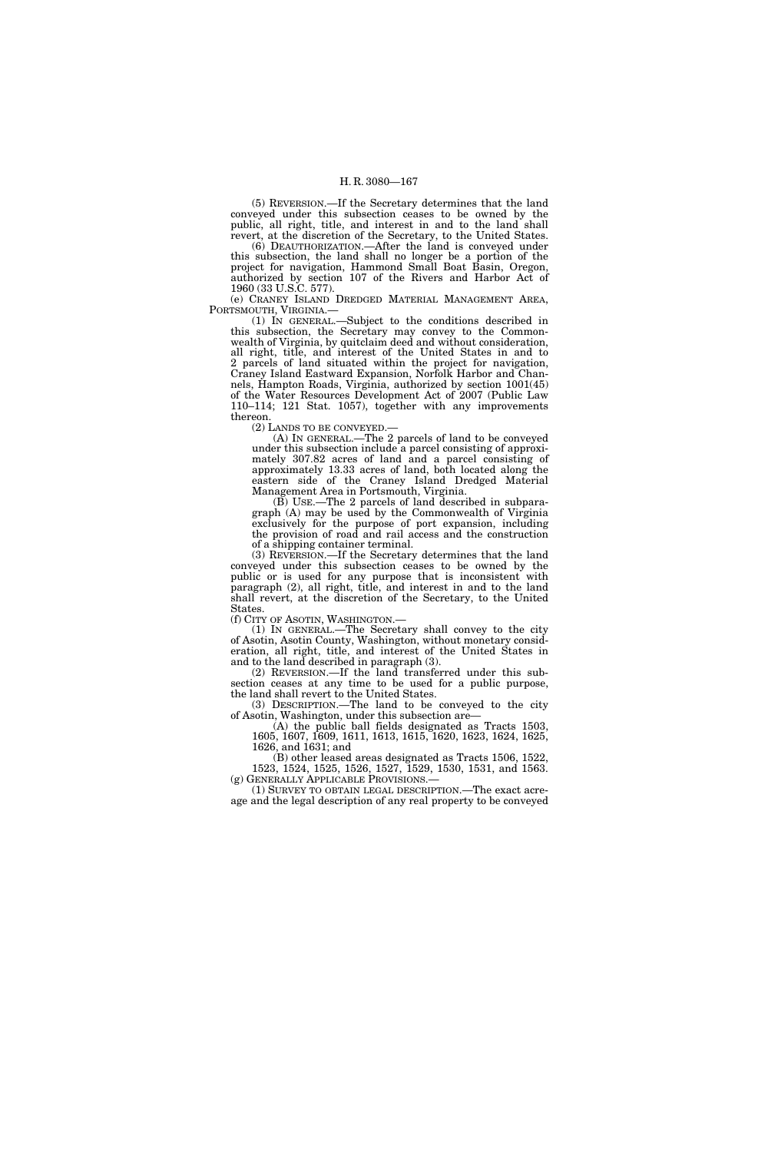(5) REVERSION.—If the Secretary determines that the land conveyed under this subsection ceases to be owned by the public, all right, title, and interest in and to the land shall revert, at the discretion of the Secretary, to the United States.

(6) DEAUTHORIZATION.—After the land is conveyed under this subsection, the land shall no longer be a portion of the project for navigation, Hammond Small Boat Basin, Oregon, authorized by section 107 of the Rivers and Harbor Act of 1960 (33 U.S.C. 577).

(e) CRANEY ISLAND DREDGED MATERIAL MANAGEMENT AREA, PORTSMOUTH, VIRGINIA.— (1) IN GENERAL.—Subject to the conditions described in

this subsection, the Secretary may convey to the Commonwealth of Virginia, by quitclaim deed and without consideration, all right, title, and interest of the United States in and to 2 parcels of land situated within the project for navigation, Craney Island Eastward Expansion, Norfolk Harbor and Channels, Hampton Roads, Virginia, authorized by section 1001(45) of the Water Resources Development Act of 2007 (Public Law 110–114; 121 Stat. 1057), together with any improvements thereon.

(2) LANDS TO BE CONVEYED.—

(A) IN GENERAL.—The 2 parcels of land to be conveyed under this subsection include a parcel consisting of approximately 307.82 acres of land and a parcel consisting of approximately 13.33 acres of land, both located along the eastern side of the Craney Island Dredged Material Management Area in Portsmouth, Virginia.

(B) USE.—The 2 parcels of land described in subparagraph (A) may be used by the Commonwealth of Virginia exclusively for the purpose of port expansion, including the provision of road and rail access and the construction of a shipping container terminal.

(3) REVERSION.—If the Secretary determines that the land conveyed under this subsection ceases to be owned by the public or is used for any purpose that is inconsistent with paragraph (2), all right, title, and interest in and to the land shall revert, at the discretion of the Secretary, to the United **States** 

(f) CITY OF ASOTIN, WASHINGTON.—

(1) IN GENERAL.—The Secretary shall convey to the city of Asotin, Asotin County, Washington, without monetary consideration, all right, title, and interest of the United States in and to the land described in paragraph (3).

(2) REVERSION.—If the land transferred under this subsection ceases at any time to be used for a public purpose, the land shall revert to the United States.

(3) DESCRIPTION.—The land to be conveyed to the city of Asotin, Washington, under this subsection are—

(A) the public ball fields designated as Tracts 1503, 1605, 1607, 1609, 1611, 1613, 1615, 1620, 1623, 1624, 1625, 1626, and 1631; and

(B) other leased areas designated as Tracts 1506, 1522, 1523, 1524, 1525, 1526, 1527, 1529, 1530, 1531, and 1563.

(g) GENERALLY APPLICABLE PROVISIONS.— (1) SURVEY TO OBTAIN LEGAL DESCRIPTION.—The exact acreage and the legal description of any real property to be conveyed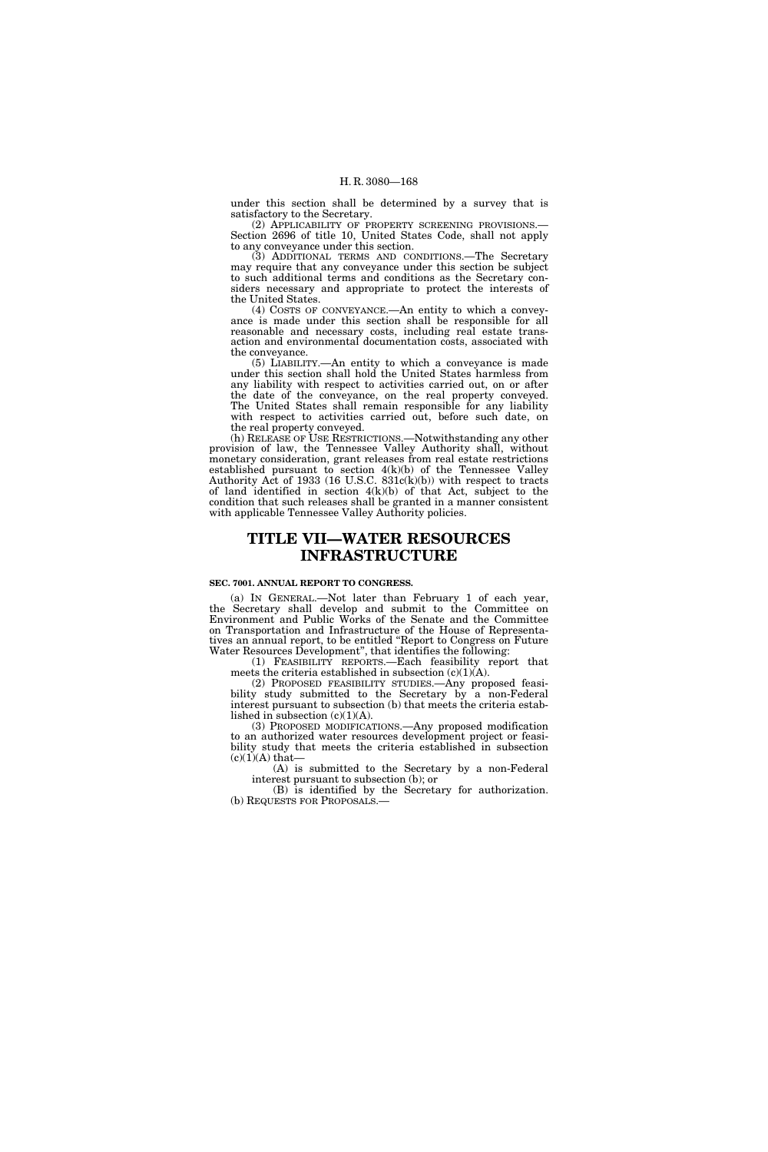under this section shall be determined by a survey that is satisfactory to the Secretary.

(2) APPLICABILITY OF PROPERTY SCREENING PROVISIONS.— Section 2696 of title 10, United States Code, shall not apply to any conveyance under this section.

(3) ADDITIONAL TERMS AND CONDITIONS.—The Secretary may require that any conveyance under this section be subject to such additional terms and conditions as the Secretary considers necessary and appropriate to protect the interests of the United States.

(4) COSTS OF CONVEYANCE.—An entity to which a conveyance is made under this section shall be responsible for all reasonable and necessary costs, including real estate transaction and environmental documentation costs, associated with the conveyance.

(5) LIABILITY.—An entity to which a conveyance is made under this section shall hold the United States harmless from any liability with respect to activities carried out, on or after the date of the conveyance, on the real property conveyed. The United States shall remain responsible for any liability with respect to activities carried out, before such date, on the real property conveyed.

(h) RELEASE OF USE RESTRICTIONS.—Notwithstanding any other provision of law, the Tennessee Valley Authority shall, without monetary consideration, grant releases from real estate restrictions established pursuant to section 4(k)(b) of the Tennessee Valley Authority Act of 1933 (16 U.S.C. 831c(k)(b)) with respect to tracts of land identified in section  $4(k)(b)$  of that Act, subject to the condition that such releases shall be granted in a manner consistent with applicable Tennessee Valley Authority policies.

# **TITLE VII—WATER RESOURCES INFRASTRUCTURE**

### **SEC. 7001. ANNUAL REPORT TO CONGRESS.**

(a) IN GENERAL.—Not later than February 1 of each year, the Secretary shall develop and submit to the Committee on Environment and Public Works of the Senate and the Committee on Transportation and Infrastructure of the House of Representatives an annual report, to be entitled ''Report to Congress on Future Water Resources Development'', that identifies the following:

(1) FEASIBILITY REPORTS.—Each feasibility report that meets the criteria established in subsection  $(c)(1)(A)$ .

(2) PROPOSED FEASIBILITY STUDIES.—Any proposed feasibility study submitted to the Secretary by a non-Federal interest pursuant to subsection (b) that meets the criteria established in subsection  $(c)(1)(A)$ .

(3) PROPOSED MODIFICATIONS.—Any proposed modification to an authorized water resources development project or feasibility study that meets the criteria established in subsection  $(c)(1)(A)$  that-

(A) is submitted to the Secretary by a non-Federal interest pursuant to subsection (b); or

(B) is identified by the Secretary for authorization. (b) REQUESTS FOR PROPOSALS.—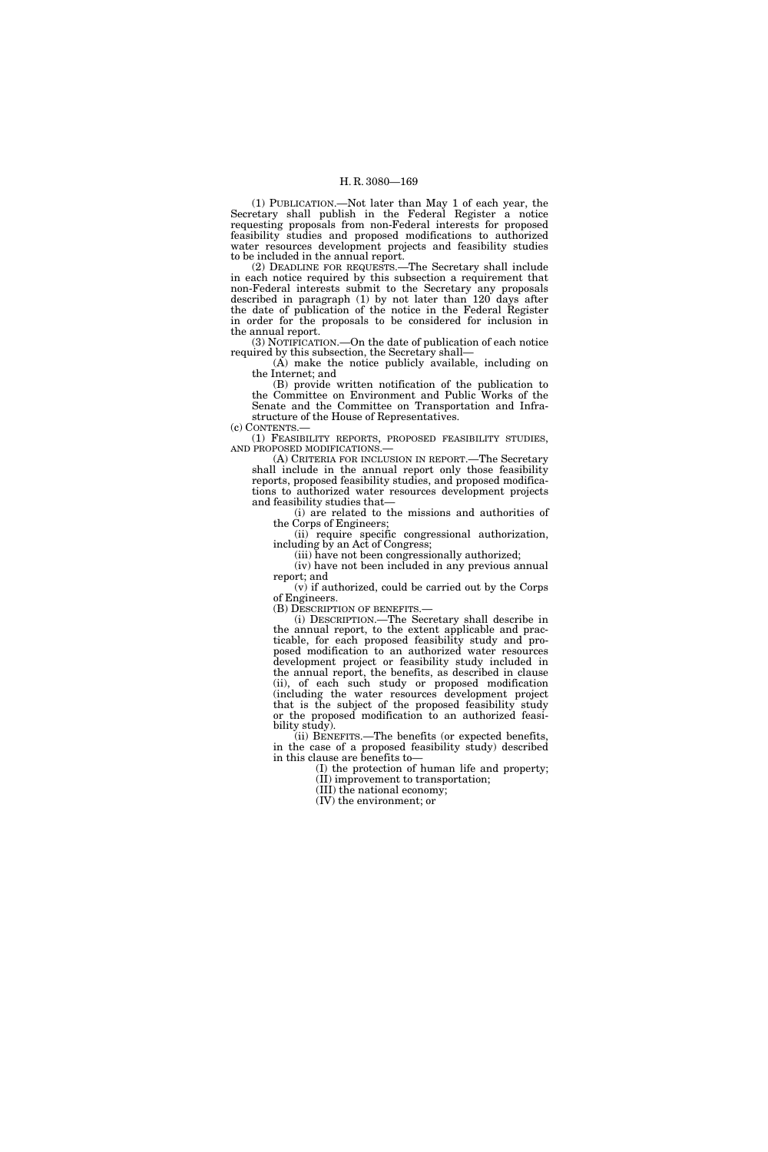(1) PUBLICATION.—Not later than May 1 of each year, the Secretary shall publish in the Federal Register a notice requesting proposals from non-Federal interests for proposed feasibility studies and proposed modifications to authorized water resources development projects and feasibility studies to be included in the annual report.

(2) DEADLINE FOR REQUESTS.—The Secretary shall include in each notice required by this subsection a requirement that non-Federal interests submit to the Secretary any proposals described in paragraph (1) by not later than 120 days after the date of publication of the notice in the Federal Register in order for the proposals to be considered for inclusion in the annual report.

(3) NOTIFICATION.—On the date of publication of each notice required by this subsection, the Secretary shall—

(A) make the notice publicly available, including on the Internet; and

(B) provide written notification of the publication to the Committee on Environment and Public Works of the Senate and the Committee on Transportation and Infrastructure of the House of Representatives.

(c) CONTENTS.—

(1) FEASIBILITY REPORTS, PROPOSED FEASIBILITY STUDIES, AND PROPOSED MODIFICATIONS.—

(A) CRITERIA FOR INCLUSION IN REPORT.—The Secretary shall include in the annual report only those feasibility reports, proposed feasibility studies, and proposed modifications to authorized water resources development projects and feasibility studies that—

(i) are related to the missions and authorities of the Corps of Engineers;

(ii) require specific congressional authorization, including by an Act of Congress;

(iii) have not been congressionally authorized;

(iv) have not been included in any previous annual report; and

(v) if authorized, could be carried out by the Corps of Engineers.

(B) DESCRIPTION OF BENEFITS.—

(i) DESCRIPTION.—The Secretary shall describe in the annual report, to the extent applicable and practicable, for each proposed feasibility study and proposed modification to an authorized water resources development project or feasibility study included in the annual report, the benefits, as described in clause (ii), of each such study or proposed modification (including the water resources development project that is the subject of the proposed feasibility study or the proposed modification to an authorized feasibility study).

(ii) BENEFITS.—The benefits (or expected benefits, in the case of a proposed feasibility study) described in this clause are benefits to—

(I) the protection of human life and property; (II) improvement to transportation;

(III) the national economy;

(IV) the environment; or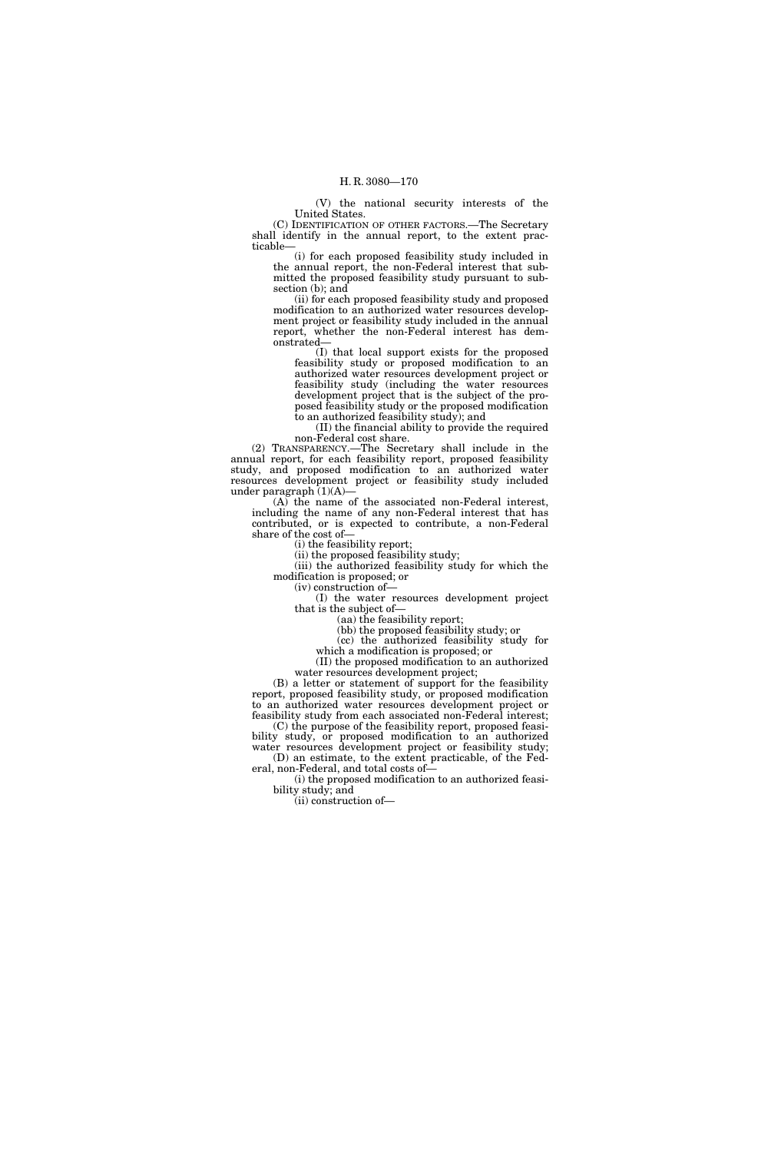(V) the national security interests of the United States.

(C) IDENTIFICATION OF OTHER FACTORS.—The Secretary shall identify in the annual report, to the extent practicable—

(i) for each proposed feasibility study included in the annual report, the non-Federal interest that submitted the proposed feasibility study pursuant to subsection (b); and

(ii) for each proposed feasibility study and proposed modification to an authorized water resources development project or feasibility study included in the annual report, whether the non-Federal interest has demonstrated—

(I) that local support exists for the proposed feasibility study or proposed modification to an authorized water resources development project or feasibility study (including the water resources development project that is the subject of the proposed feasibility study or the proposed modification to an authorized feasibility study); and

(II) the financial ability to provide the required non-Federal cost share.

(2) TRANSPARENCY.—The Secretary shall include in the annual report, for each feasibility report, proposed feasibility study, and proposed modification to an authorized water resources development project or feasibility study included under paragraph (1)(A)—

(A) the name of the associated non-Federal interest, including the name of any non-Federal interest that has contributed, or is expected to contribute, a non-Federal share of the cost of—

(i) the feasibility report;

(ii) the proposed feasibility study; (iii) the authorized feasibility study for which the modification is proposed; or

(iv) construction of—

(I) the water resources development project that is the subject of—

(aa) the feasibility report;

(bb) the proposed feasibility study; or

(cc) the authorized feasibility study for

which a modification is proposed; or (II) the proposed modification to an authorized water resources development project;

(B) a letter or statement of support for the feasibility report, proposed feasibility study, or proposed modification to an authorized water resources development project or

feasibility study from each associated non-Federal interest; (C) the purpose of the feasibility report, proposed feasibility study, or proposed modification to an authorized

water resources development project or feasibility study; (D) an estimate, to the extent practicable, of the Federal, non-Federal, and total costs of—

(i) the proposed modification to an authorized feasibility study; and

(ii) construction of—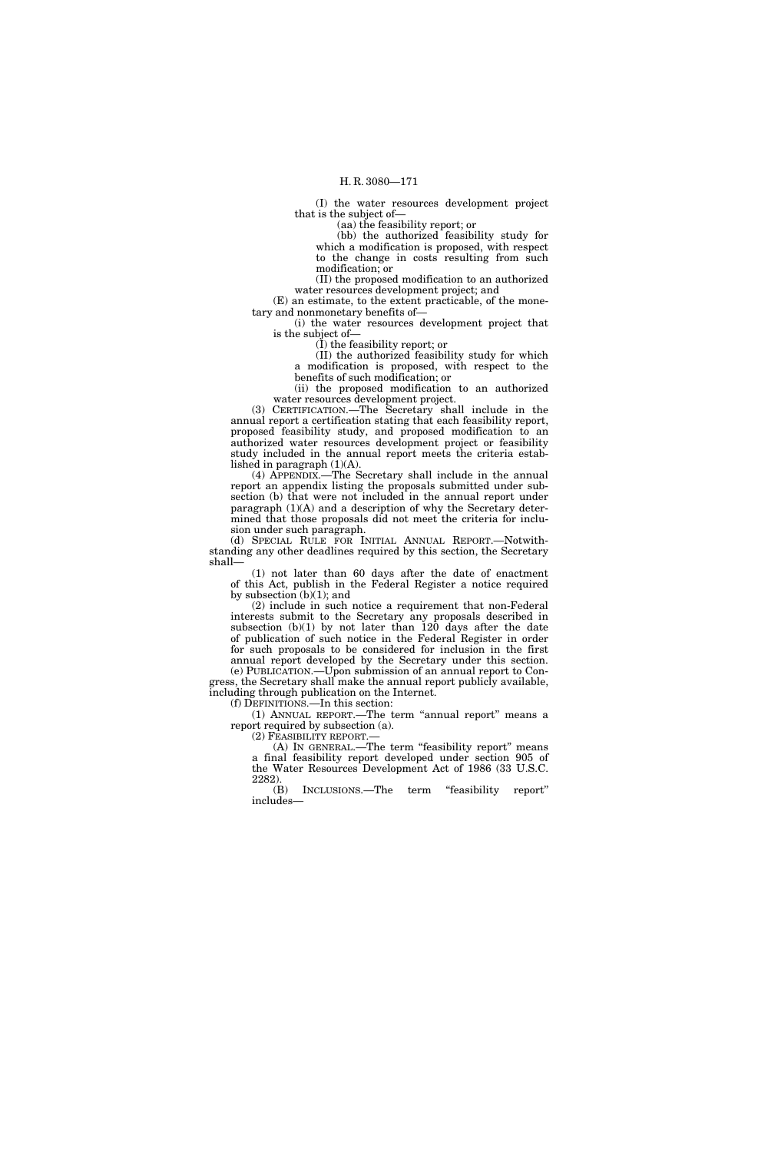(I) the water resources development project that is the subject of—

(aa) the feasibility report; or

(bb) the authorized feasibility study for which a modification is proposed, with respect to the change in costs resulting from such modification; or

(II) the proposed modification to an authorized water resources development project; and

(E) an estimate, to the extent practicable, of the monetary and nonmonetary benefits of—

(i) the water resources development project that is the subject of—

(I) the feasibility report; or

(II) the authorized feasibility study for which a modification is proposed, with respect to the benefits of such modification; or

(ii) the proposed modification to an authorized water resources development project.

(3) CERTIFICATION.—The Secretary shall include in the annual report a certification stating that each feasibility report, proposed feasibility study, and proposed modification to an authorized water resources development project or feasibility study included in the annual report meets the criteria established in paragraph  $(1)(A)$ .

(4) APPENDIX.—The Secretary shall include in the annual report an appendix listing the proposals submitted under subsection (b) that were not included in the annual report under paragraph (1)(A) and a description of why the Secretary determined that those proposals did not meet the criteria for inclusion under such paragraph.

(d) SPECIAL RULE FOR INITIAL ANNUAL REPORT.—Notwithstanding any other deadlines required by this section, the Secretary shall—

(1) not later than 60 days after the date of enactment of this Act, publish in the Federal Register a notice required by subsection  $(b)(1)$ ; and

(2) include in such notice a requirement that non-Federal interests submit to the Secretary any proposals described in subsection  $(b)(1)$  by not later than 120 days after the date of publication of such notice in the Federal Register in order for such proposals to be considered for inclusion in the first annual report developed by the Secretary under this section. (e) PUBLICATION.—Upon submission of an annual report to Con-

gress, the Secretary shall make the annual report publicly available, including through publication on the Internet.

(f) DEFINITIONS.—In this section:

(1) ANNUAL REPORT.—The term ''annual report'' means a report required by subsection (a).

(2) FEASIBILITY REPORT.—

(A) IN GENERAL.—The term ''feasibility report'' means a final feasibility report developed under section 905 of the Water Resources Development Act of 1986 (33 U.S.C. 2282).<br>(B)

INCLUSIONS.—The term "feasibility report" includes—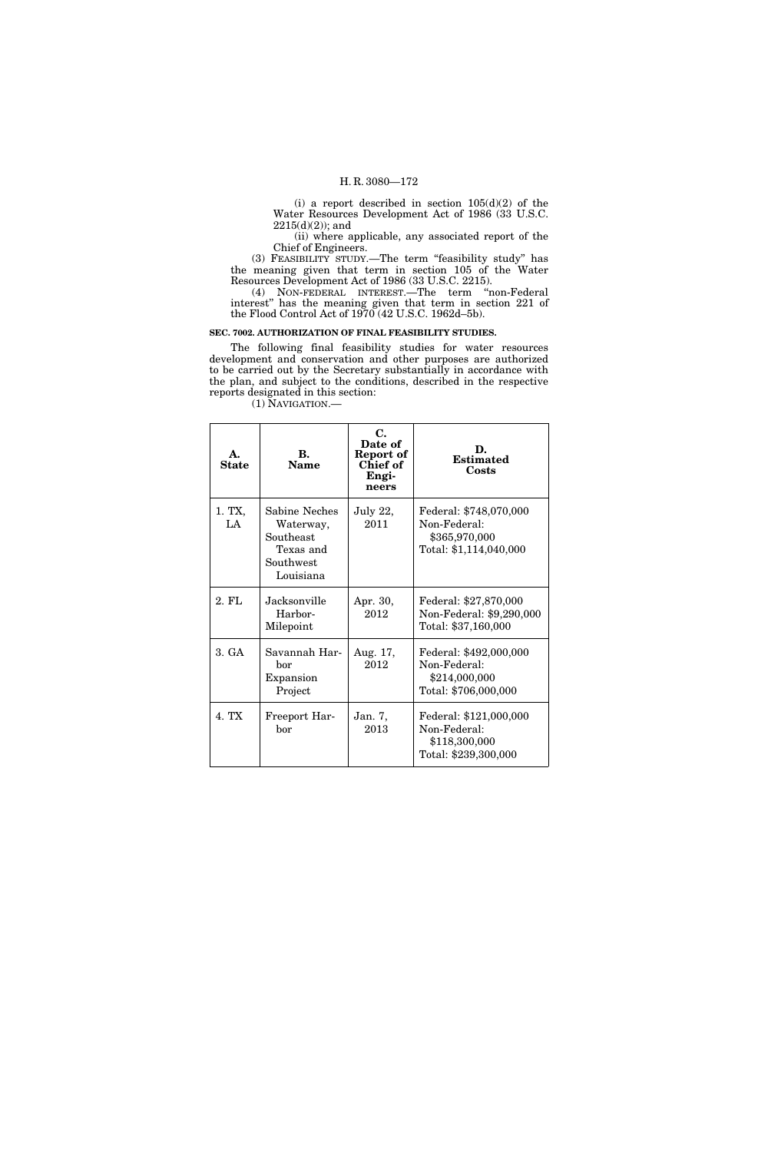(i) a report described in section  $105(d)(2)$  of the Water Resources Development Act of 1986 (33 U.S.C.  $2215(d)(2)$ ; and

(ii) where applicable, any associated report of the Chief of Engineers.

(3) FEASIBILITY STUDY.—The term ''feasibility study'' has the meaning given that term in section 105 of the Water Resources Development Act of 1986 (33 U.S.C. 2215).

(4) NON-FEDERAL INTEREST.—The term ''non-Federal interest'' has the meaning given that term in section 221 of the Flood Control Act of 1970 (42 U.S.C. 1962d–5b).

# **SEC. 7002. AUTHORIZATION OF FINAL FEASIBILITY STUDIES.**

The following final feasibility studies for water resources development and conservation and other purposes are authorized to be carried out by the Secretary substantially in accordance with the plan, and subject to the conditions, described in the respective reports designated in this section:

(1) NAVIGATION.—

| А.<br><b>State</b> | B.<br><b>Name</b>                                                              | C.<br>Date of<br>Report of<br><b>Chief of</b><br>Engi-<br>neers | D.<br><b>Estimated</b><br>Costs                                                   |
|--------------------|--------------------------------------------------------------------------------|-----------------------------------------------------------------|-----------------------------------------------------------------------------------|
| 1. TX,<br>LA       | Sabine Neches<br>Waterway,<br>Southeast<br>Texas and<br>Southwest<br>Louisiana | July $22$ ,<br>2011                                             | Federal: \$748,070,000<br>Non-Federal:<br>\$365,970,000<br>Total: \$1,114,040,000 |
| 2. FL              | Jacksonville<br>Harbor-<br>Milepoint                                           | Apr. 30,<br>2012                                                | Federal: \$27,870,000<br>Non-Federal: \$9,290,000<br>Total: \$37,160,000          |
| 3. GA              | Savannah Har-<br>bor<br>Expansion<br>Project                                   | Aug. 17,<br>2012                                                | Federal: \$492,000,000<br>Non-Federal:<br>\$214,000,000<br>Total: \$706,000,000   |
| 4. TX              | Freeport Har-<br>hor                                                           | Jan. 7,<br>2013                                                 | Federal: \$121,000,000<br>Non-Federal:<br>\$118,300,000<br>Total: \$239,300,000   |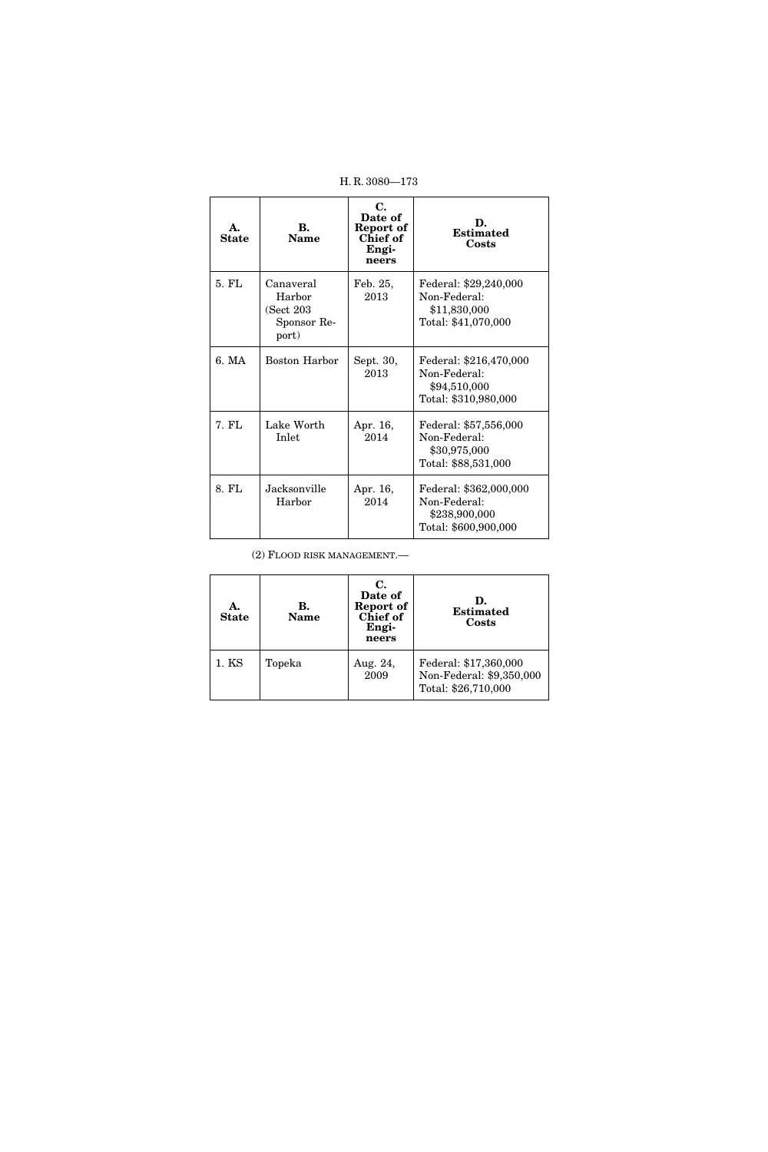| A.<br>State | $\mathbf{R}$ .<br><b>Name</b>                            | С.<br>Date of<br>Report of<br><b>Chief of</b><br>Engi-<br>neers | D.<br><b>Estimated</b><br>Costs                                                 |
|-------------|----------------------------------------------------------|-----------------------------------------------------------------|---------------------------------------------------------------------------------|
| 5. FL       | Canaveral<br>Harbor<br>(Sect 203<br>Sponsor Re-<br>port) | Feb. 25,<br>2013                                                | Federal: \$29,240,000<br>Non-Federal:<br>\$11,830,000<br>Total: \$41,070,000    |
| 6. MA       | Boston Harbor                                            | Sept. 30,<br>2013                                               | Federal: \$216,470,000<br>Non-Federal:<br>\$94,510,000<br>Total: \$310,980,000  |
| $7.$ FL     | Lake Worth<br>Inlet                                      | Apr. 16,<br>2014                                                | Federal: \$57,556,000<br>Non-Federal:<br>\$30,975,000<br>Total: \$88,531,000    |
| 8. FL       | Jacksonville<br>Harbor                                   | Apr. 16,<br>2014                                                | Federal: \$362,000,000<br>Non-Federal:<br>\$238,900,000<br>Total: \$600,900,000 |

(2) FLOOD RISK MANAGEMENT.—

| A.<br><b>State</b> | В.<br><b>Name</b> | С.<br>Date of<br>Report of<br>Chief of<br>Engi-<br>neers | D.<br><b>Estimated</b><br>Costs                                          |
|--------------------|-------------------|----------------------------------------------------------|--------------------------------------------------------------------------|
| 1. KS              | Topeka            | Aug. 24,<br>2009                                         | Federal: \$17,360,000<br>Non-Federal: \$9,350,000<br>Total: \$26,710,000 |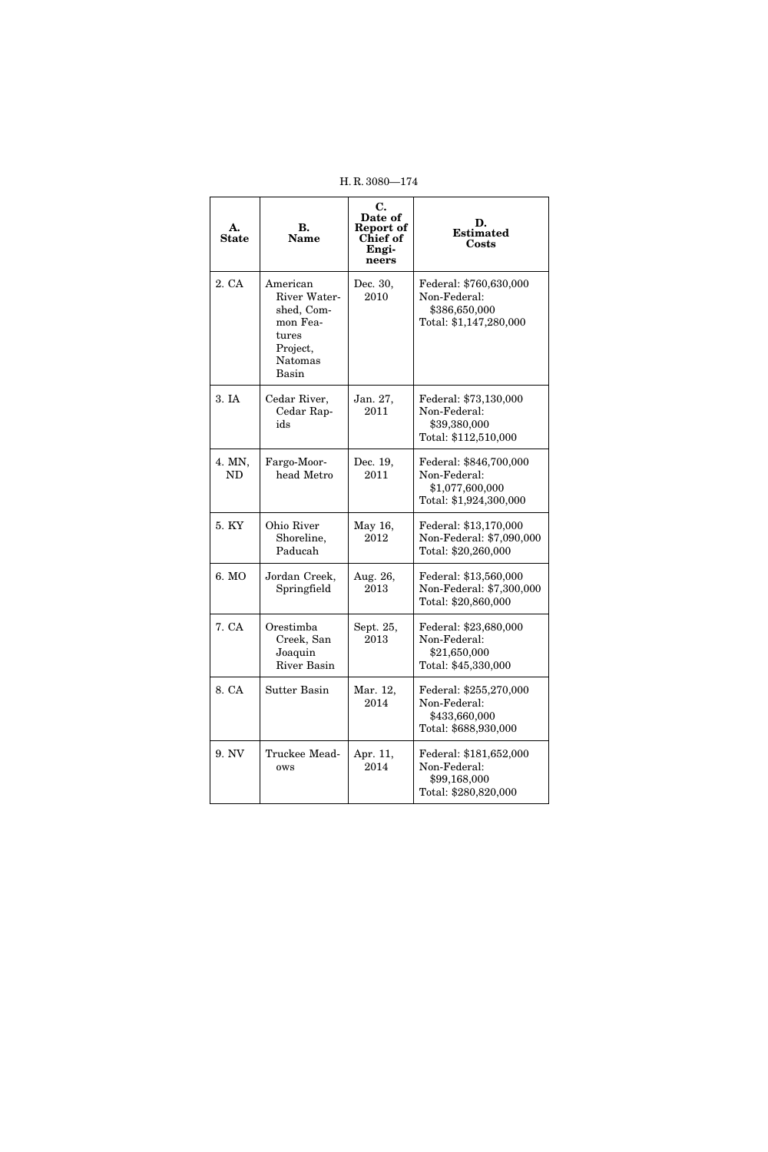| А.<br><b>State</b>  | В.<br><b>Name</b>                                                                           | C.<br>Date of<br>Report of<br>Chief of<br>Engi-<br>neers | D.<br><b>Estimated</b><br>Costs                                                     |
|---------------------|---------------------------------------------------------------------------------------------|----------------------------------------------------------|-------------------------------------------------------------------------------------|
| 2. CA               | American<br>River Water-<br>shed, Com-<br>mon Fea-<br>tures<br>Project,<br>Natomas<br>Basin | Dec. 30,<br>2010                                         | Federal: \$760,630,000<br>Non-Federal:<br>\$386,650,000<br>Total: \$1,147,280,000   |
| 3. IA               | Cedar River,<br>Cedar Rap-<br>ids                                                           | Jan. 27,<br>2011                                         | Federal: \$73,130,000<br>Non-Federal:<br>\$39,380,000<br>Total: \$112,510,000       |
| 4. MN,<br><b>ND</b> | Fargo-Moor-<br>head Metro                                                                   | Dec. 19,<br>2011                                         | Federal: \$846,700,000<br>Non-Federal:<br>\$1,077,600,000<br>Total: \$1,924,300,000 |
| 5. KY               | Ohio River<br>Shoreline,<br>Paducah                                                         | May 16,<br>2012                                          | Federal: \$13,170,000<br>Non-Federal: \$7,090,000<br>Total: \$20,260,000            |
| 6. MO               | Jordan Creek,<br>Springfield                                                                | Aug. 26,<br>2013                                         | Federal: \$13,560,000<br>Non-Federal: \$7,300,000<br>Total: \$20,860,000            |
| 7. CA               | Orestimba<br>Creek, San<br>Joaquin<br><b>River Basin</b>                                    | Sept. 25,<br>2013                                        | Federal: \$23,680,000<br>Non-Federal:<br>\$21,650,000<br>Total: \$45,330,000        |
| 8. CA               | Sutter Basin                                                                                | Mar. 12,<br>2014                                         | Federal: \$255,270,000<br>Non-Federal:<br>\$433,660,000<br>Total: \$688,930,000     |
| 9. NV               | Truckee Mead-<br>ows                                                                        | Apr. 11,<br>2014                                         | Federal: \$181,652,000<br>Non-Federal:<br>\$99,168,000<br>Total: \$280,820,000      |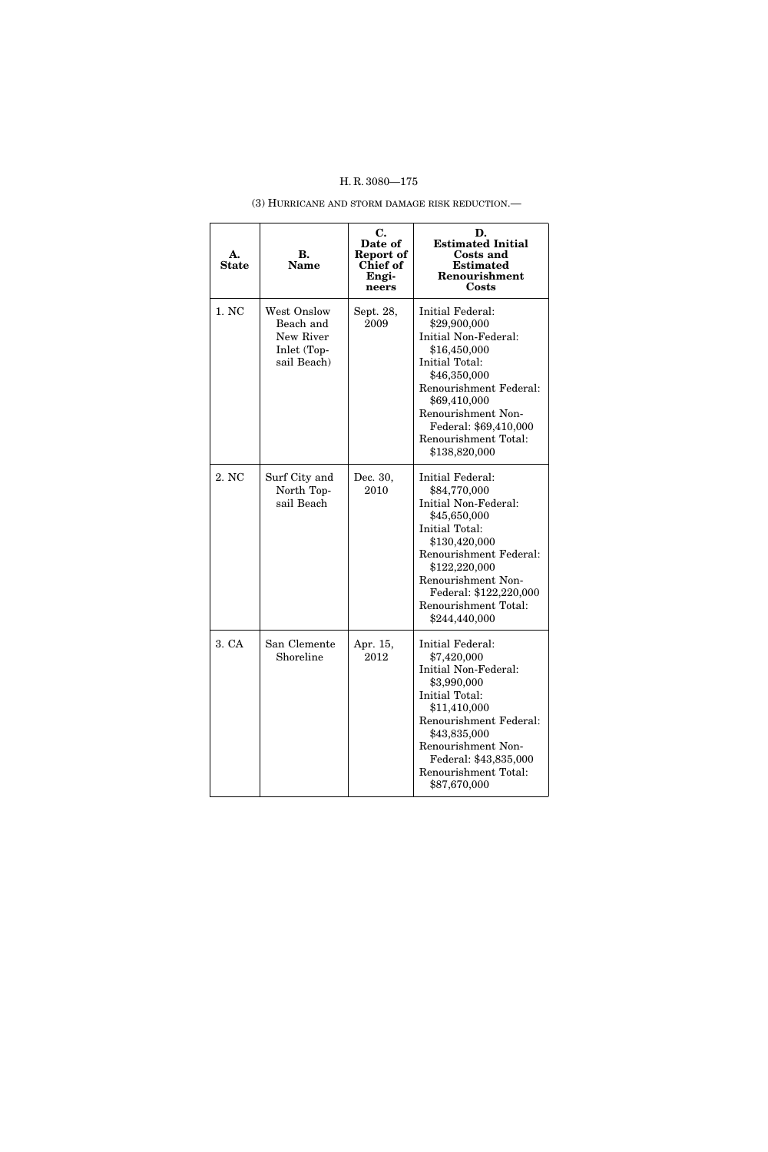# (3) HURRICANE AND STORM DAMAGE RISK REDUCTION.—

| А.<br><b>State</b> | В.<br><b>Name</b>                                                   | С.<br>Date of<br>Report of<br>Chief of<br>Engi-<br>neers | D.<br><b>Estimated Initial</b><br>Costs and<br><b>Estimated</b><br><b>Renourishment</b><br>Costs                                                                                                                                                    |
|--------------------|---------------------------------------------------------------------|----------------------------------------------------------|-----------------------------------------------------------------------------------------------------------------------------------------------------------------------------------------------------------------------------------------------------|
| 1. NC              | West Onslow<br>Beach and<br>New River<br>Inlet (Top-<br>sail Beach) | Sept. 28,<br>2009                                        | <b>Initial Federal:</b><br>\$29,900,000<br>Initial Non-Federal:<br>\$16,450,000<br>Initial Total:<br>\$46,350,000<br>Renourishment Federal:<br>\$69,410,000<br>Renourishment Non-<br>Federal: \$69,410,000<br>Renourishment Total:<br>\$138,820,000 |
| 2. NC              | Surf City and<br>North Top-<br>sail Beach                           | Dec. 30,<br>2010                                         | Initial Federal:<br>\$84,770,000<br>Initial Non-Federal:<br>\$45,650,000<br>Initial Total:<br>\$130,420,000<br>Renourishment Federal:<br>\$122,220,000<br>Renourishment Non-<br>Federal: \$122,220,000<br>Renourishment Total:<br>\$244,440,000     |
| 3. CA              | San Clemente<br>Shoreline                                           | Apr. 15,<br>2012                                         | Initial Federal:<br>\$7,420,000<br>Initial Non-Federal:<br>\$3,990,000<br>Initial Total:<br>\$11,410,000<br>Renourishment Federal:<br>\$43,835,000<br>Renourishment Non-<br>Federal: \$43,835,000<br>Renourishment Total:<br>\$87,670,000           |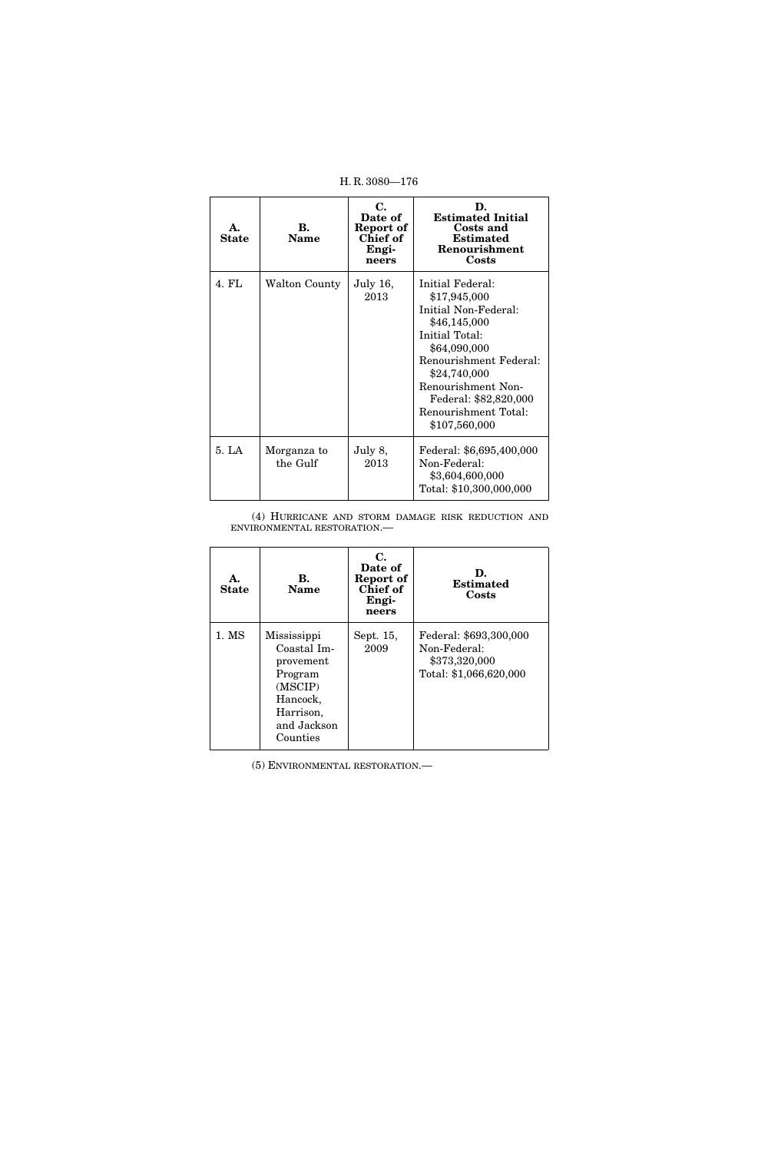| <b>State</b> | В.<br>Name              | C.<br>Date of<br>Report of<br>Chief of<br>Engi-<br>neers | D.<br><b>Estimated Initial</b><br>Costs and<br><b>Estimated</b><br>Renourishment<br>Costs                                                                                                                                                    |
|--------------|-------------------------|----------------------------------------------------------|----------------------------------------------------------------------------------------------------------------------------------------------------------------------------------------------------------------------------------------------|
| 4. FL        | Walton County           | <b>July 16,</b><br>2013                                  | Initial Federal:<br>\$17,945,000<br>Initial Non-Federal:<br>\$46,145,000<br>Initial Total:<br>\$64,090,000<br>Renourishment Federal:<br>\$24,740,000<br>Renourishment Non-<br>Federal: \$82,820,000<br>Renourishment Total:<br>\$107,560,000 |
| 5. LA        | Morganza to<br>the Gulf | July 8,<br>2013                                          | Federal: \$6,695,400,000<br>Non-Federal:<br>\$3,604,600,000<br>Total: \$10,300,000,000                                                                                                                                                       |

(4) HURRICANE AND STORM DAMAGE RISK REDUCTION AND ENVIRONMENTAL RESTORATION.—

| A.<br><b>State</b> | B.<br><b>Name</b>                                                                                                 | $\mathbf{C}$ .<br>Date of<br>Report of<br>Chief of<br>Engi-<br>neers | D.<br><b>Estimated</b><br>Costs                                                   |
|--------------------|-------------------------------------------------------------------------------------------------------------------|----------------------------------------------------------------------|-----------------------------------------------------------------------------------|
| 1. MS              | Mississippi<br>Coastal Im-<br>provement<br>Program<br>(MSCIP)<br>Hancock,<br>Harrison,<br>and Jackson<br>Counties | Sept. 15,<br>2009                                                    | Federal: \$693,300,000<br>Non-Federal:<br>\$373,320,000<br>Total: \$1,066,620,000 |

(5) ENVIRONMENTAL RESTORATION.—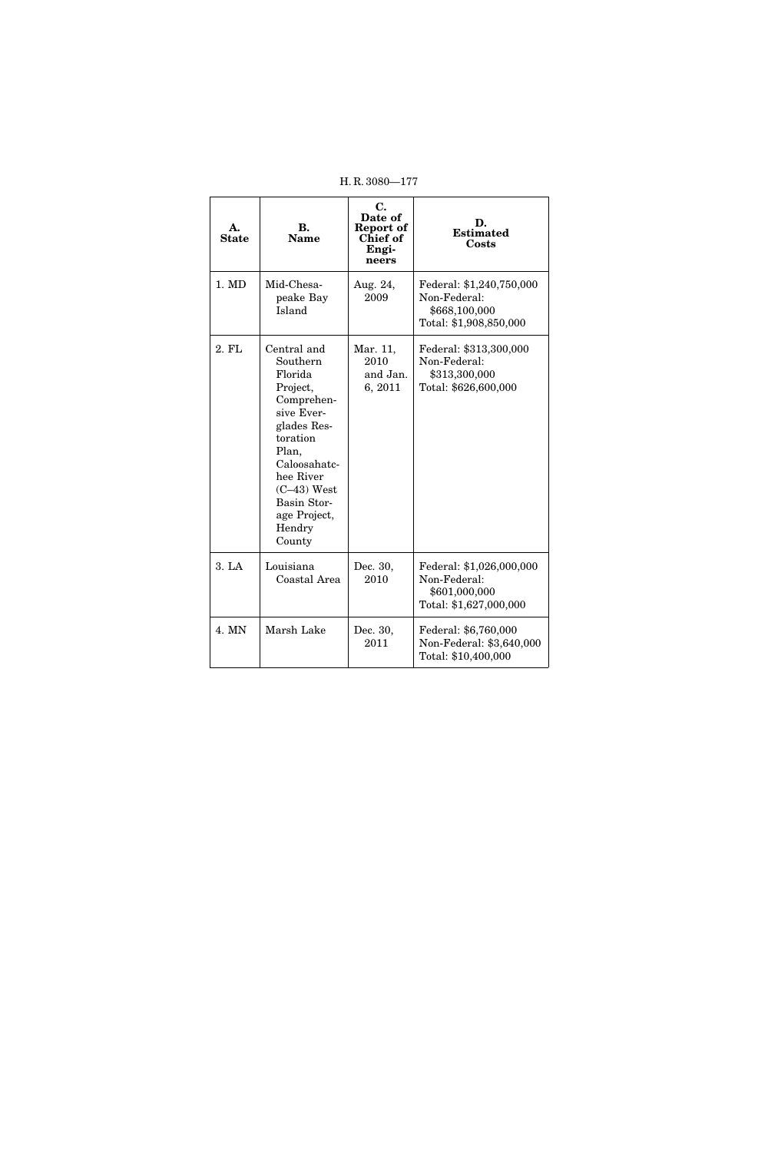| А.<br><b>State</b> | <b>B.</b><br><b>Name</b>                                                                                                                                                                                        | С.<br>Date of<br>Report of<br>Chief of<br>Engi-<br>neers | D.<br><b>Estimated</b><br>Costs                                                     |
|--------------------|-----------------------------------------------------------------------------------------------------------------------------------------------------------------------------------------------------------------|----------------------------------------------------------|-------------------------------------------------------------------------------------|
| 1. MD              | Mid-Chesa-<br>peake Bay<br>Island                                                                                                                                                                               | Aug. 24,<br>2009                                         | Federal: \$1,240,750,000<br>Non-Federal:<br>\$668,100,000<br>Total: \$1,908,850,000 |
| 2. FL              | Central and<br>Southern<br>Florida<br>Project,<br>Comprehen-<br>sive Ever-<br>glades Res-<br>toration<br>Plan,<br>Caloosahatc-<br>hee River<br>$(C-43)$ West<br>Basin Stor-<br>age Project,<br>Hendry<br>County | Mar. 11,<br>2010<br>and Jan.<br>6, 2011                  | Federal: \$313,300,000<br>Non-Federal:<br>\$313,300,000<br>Total: \$626,600,000     |
| 3. LA              | Louisiana<br>Coastal Area                                                                                                                                                                                       | Dec. 30,<br>2010                                         | Federal: \$1,026,000,000<br>Non-Federal:<br>\$601,000,000<br>Total: \$1,627,000,000 |
| 4. MN              | Marsh Lake                                                                                                                                                                                                      | Dec. 30,<br>2011                                         | Federal: \$6,760,000<br>Non-Federal: \$3,640,000<br>Total: \$10,400,000             |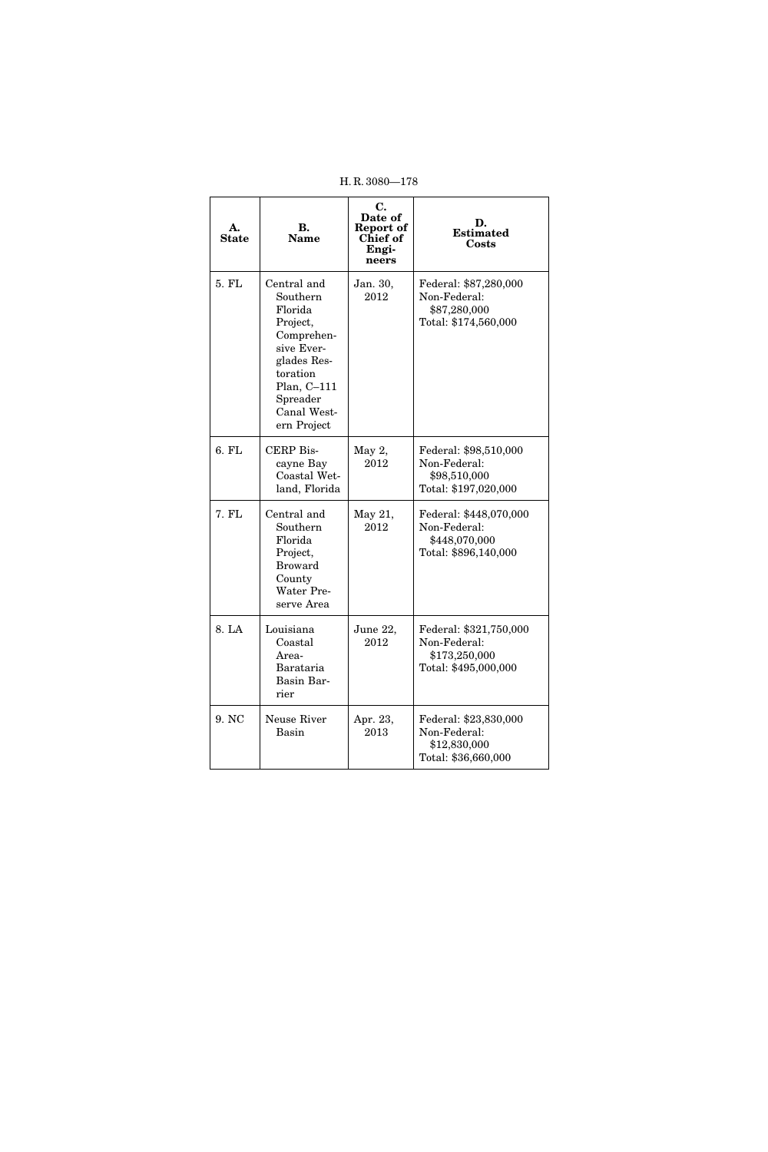| H.R. 3080-178      |                                                                                                                                                                |                                                          |                                                                                 |
|--------------------|----------------------------------------------------------------------------------------------------------------------------------------------------------------|----------------------------------------------------------|---------------------------------------------------------------------------------|
| А.<br><b>State</b> | <b>B.</b><br><b>Name</b>                                                                                                                                       | C.<br>Date of<br>Report of<br>Chief of<br>Engi-<br>neers | D.<br><b>Estimated</b><br>Costs                                                 |
| 5. FL              | Central and<br>Southern<br>Florida<br>Project,<br>Comprehen-<br>sive Ever-<br>glades Res-<br>toration<br>Plan, C-111<br>Spreader<br>Canal West-<br>ern Project | Jan. 30,<br>2012                                         | Federal: \$87,280,000<br>Non-Federal:<br>\$87,280,000<br>Total: \$174,560,000   |
| 6. FL              | CERP Bis-<br>cayne Bay<br>Coastal Wet-<br>land, Florida                                                                                                        | May 2,<br>2012                                           | Federal: \$98,510,000<br>Non-Federal:<br>\$98,510,000<br>Total: \$197,020,000   |
| 7. FL              | Central and<br>Southern<br>Florida<br>Project,<br><b>Broward</b><br>County<br>Water Pre-<br>serve Area                                                         | May 21,<br>2012                                          | Federal: \$448,070,000<br>Non-Federal:<br>\$448,070,000<br>Total: \$896,140,000 |
| 8. LA              | Louisiana<br>Coastal<br>Area-<br>Barataria<br>Basin Bar-<br>rier                                                                                               | June 22,<br>2012                                         | Federal: \$321,750,000<br>Non-Federal:<br>\$173,250,000<br>Total: \$495,000,000 |
| 9. NC              | Neuse River<br>Basin                                                                                                                                           | Apr. 23,<br>2013                                         | Federal: \$23,830,000<br>Non-Federal:<br>\$12,830,000<br>Total: \$36,660,000    |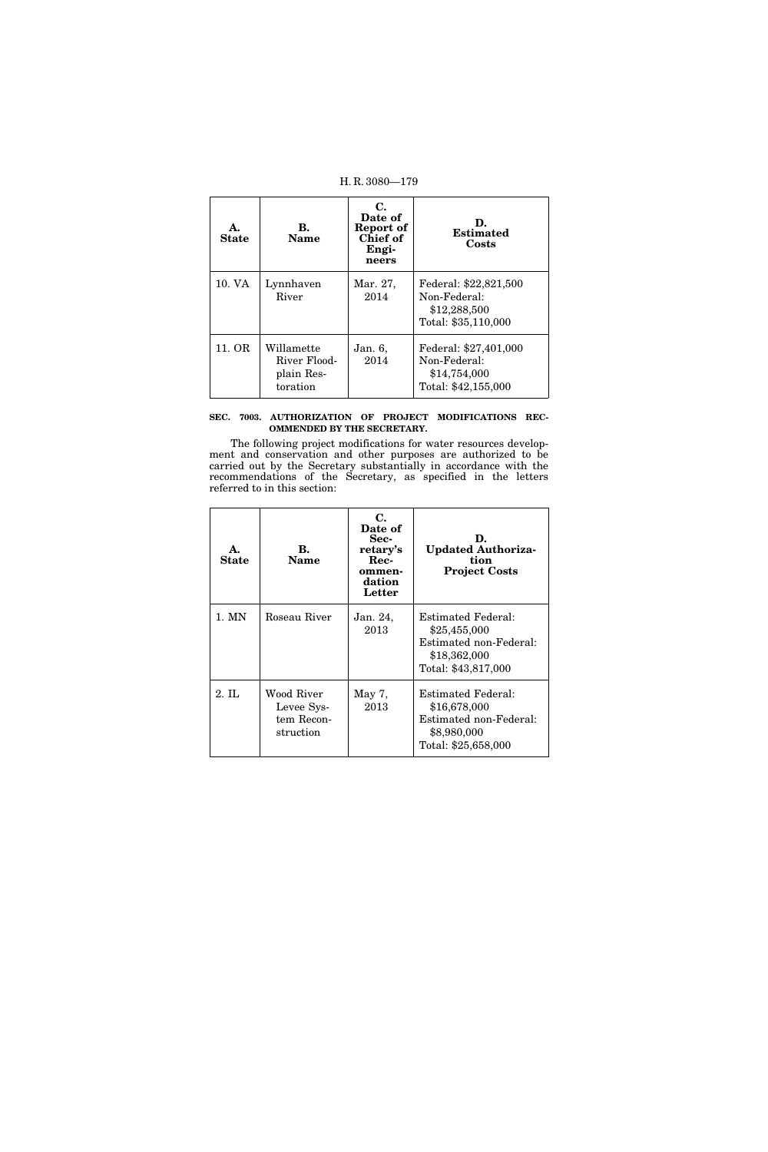| А.<br><b>State</b> | В.<br><b>Name</b>                                    | С.<br>Date of<br>Report of<br>Chief of<br>Engi-<br>neers | D.<br><b>Estimated</b><br>Costs                                              |
|--------------------|------------------------------------------------------|----------------------------------------------------------|------------------------------------------------------------------------------|
| 10. VA             | Lynnhaven<br>River                                   | Mar. 27,<br>2014                                         | Federal: \$22,821,500<br>Non-Federal:<br>\$12,288,500<br>Total: \$35,110,000 |
| 11. OR             | Willamette<br>River Flood-<br>plain Res-<br>toration | Jan. 6,<br>2014                                          | Federal: \$27,401,000<br>Non-Federal:<br>\$14,754,000<br>Total: \$42,155,000 |

# **SEC. 7003. AUTHORIZATION OF PROJECT MODIFICATIONS REC-OMMENDED BY THE SECRETARY.**

The following project modifications for water resources development and conservation and other purposes are authorized to be carried out by the Secretary substantially in accordance with the recommendations of the Secretary, as specified in the letters referred to in this section:

| <b>State</b> | B.<br>Name                                          | С.<br>Date of<br>Sec-<br>retary's<br>Rec-<br>ommen-<br>dation<br>Letter | D.<br><b>Updated Authoriza-</b><br>tion<br><b>Project Costs</b>                                            |
|--------------|-----------------------------------------------------|-------------------------------------------------------------------------|------------------------------------------------------------------------------------------------------------|
| $1.$ MN      | Roseau River                                        | Jan. 24,<br>2013                                                        | <b>Estimated Federal:</b><br>\$25,455,000<br>Estimated non-Federal:<br>\$18,362,000<br>Total: \$43,817,000 |
| $2.$ IL      | Wood River<br>Levee Sys-<br>tem Recon-<br>struction | May 7,<br>2013                                                          | <b>Estimated Federal:</b><br>\$16,678,000<br>Estimated non-Federal:<br>\$8,980,000<br>Total: \$25,658,000  |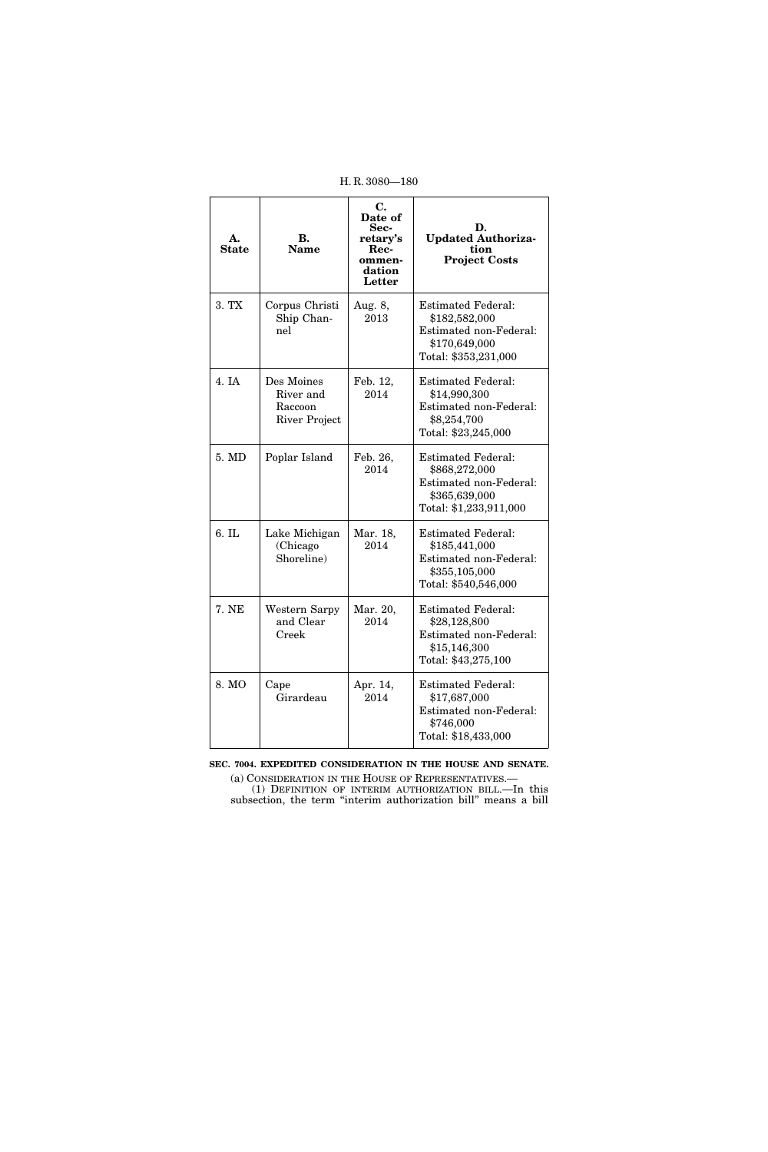| H.R. 3080-180      |                                                     |                                                                         |                                                                                                                 |
|--------------------|-----------------------------------------------------|-------------------------------------------------------------------------|-----------------------------------------------------------------------------------------------------------------|
| А.<br><b>State</b> | В.<br><b>Name</b>                                   | C.<br>Date of<br>Sec-<br>retary's<br>Rec-<br>ommen-<br>dation<br>Letter | D.<br><b>Updated Authoriza-</b><br>tion<br><b>Project Costs</b>                                                 |
| 3. TX              | Corpus Christi<br>Ship Chan-<br>nel                 | Aug. 8,<br>2013                                                         | <b>Estimated Federal:</b><br>\$182,582,000<br>Estimated non-Federal:<br>\$170,649,000<br>Total: \$353,231,000   |
| 4. IA              | Des Moines<br>River and<br>Raccoon<br>River Project | Feb. 12,<br>2014                                                        | <b>Estimated Federal:</b><br>\$14,990,300<br>Estimated non-Federal:<br>\$8,254,700<br>Total: \$23,245,000       |
| 5. MD              | Poplar Island                                       | Feb. 26,<br>2014                                                        | <b>Estimated Federal:</b><br>\$868,272,000<br>Estimated non-Federal:<br>\$365,639,000<br>Total: \$1,233,911,000 |
| 6. IL              | Lake Michigan<br>(Chicago<br>Shoreline)             | Mar. 18,<br>2014                                                        | <b>Estimated Federal:</b><br>\$185,441,000<br>Estimated non-Federal:<br>\$355,105,000<br>Total: \$540,546,000   |
| 7. NE              | Western Sarpy<br>and Clear<br>Creek                 | Mar. 20,<br>2014                                                        | <b>Estimated Federal:</b><br>\$28,128,800<br>Estimated non-Federal:<br>\$15,146,300<br>Total: \$43,275,100      |
| 8. MO              | Cape<br>Girardeau                                   | Apr. 14,<br>2014                                                        | <b>Estimated Federal:</b><br>\$17,687,000<br>Estimated non-Federal:<br>\$746,000<br>Total: \$18,433,000         |

**SEC. 7004. EXPEDITED CONSIDERATION IN THE HOUSE AND SENATE.** 

(a) CONSIDERATION IN THE HOUSE OF REPRESENTATIVES.— (1) DEFINITION OF INTERIM AUTHORIZATION BILL.—In this subsection, the term ''interim authorization bill'' means a bill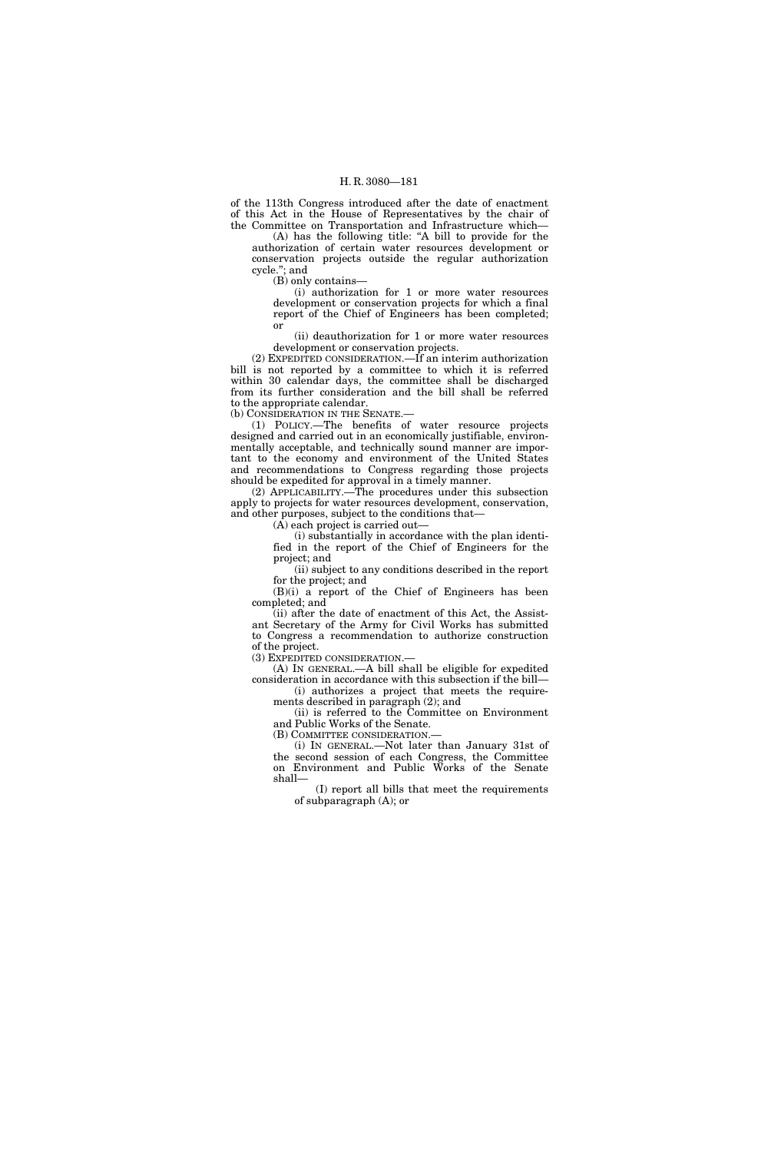## H. R. 3080—181

of the 113th Congress introduced after the date of enactment of this Act in the House of Representatives by the chair of the Committee on Transportation and Infrastructure which—

(A) has the following title: ''A bill to provide for the authorization of certain water resources development or conservation projects outside the regular authorization cycle.''; and

(B) only contains—

(i) authorization for 1 or more water resources development or conservation projects for which a final report of the Chief of Engineers has been completed; or

(ii) deauthorization for 1 or more water resources development or conservation projects.

(2) EXPEDITED CONSIDERATION.—If an interim authorization bill is not reported by a committee to which it is referred within 30 calendar days, the committee shall be discharged from its further consideration and the bill shall be referred to the appropriate calendar.

(b) CONSIDERATION IN THE SENATE.—

(1) POLICY.—The benefits of water resource projects designed and carried out in an economically justifiable, environmentally acceptable, and technically sound manner are important to the economy and environment of the United States and recommendations to Congress regarding those projects should be expedited for approval in a timely manner.

(2) APPLICABILITY.—The procedures under this subsection apply to projects for water resources development, conservation, and other purposes, subject to the conditions that—

 $(A)$  each project is carried out—

(i) substantially in accordance with the plan identified in the report of the Chief of Engineers for the project; and

(ii) subject to any conditions described in the report for the project; and

(B)(i) a report of the Chief of Engineers has been completed; and

(ii) after the date of enactment of this Act, the Assistant Secretary of the Army for Civil Works has submitted to Congress a recommendation to authorize construction of the project.

(3) EXPEDITED CONSIDERATION.—

(A) IN GENERAL.—A bill shall be eligible for expedited consideration in accordance with this subsection if the bill—

(i) authorizes a project that meets the requirements described in paragraph (2); and

(ii) is referred to the Committee on Environment and Public Works of the Senate.

(B) COMMITTEE CONSIDERATION.—

(i) IN GENERAL.—Not later than January 31st of the second session of each Congress, the Committee on Environment and Public Works of the Senate shall—

(I) report all bills that meet the requirements of subparagraph (A); or